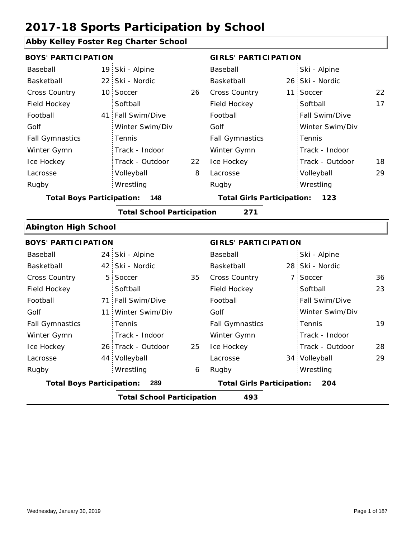### **Abby Kelley Foster Reg Charter School**

| <b>BOYS' PARTICIPATION</b>       |                 |                                   |    | <b>GIRLS' PARTICIPATION</b>       |  |                 |    |
|----------------------------------|-----------------|-----------------------------------|----|-----------------------------------|--|-----------------|----|
| Baseball                         |                 | 19 Ski - Alpine                   |    | Baseball                          |  | Ski - Alpine    |    |
| Basketball                       | 22 <sub>1</sub> | Ski - Nordic                      |    | Basketball                        |  | 26 Ski - Nordic |    |
| Cross Country                    | 10 <sup>°</sup> | Soccer                            | 26 | Cross Country                     |  | 11 Soccer       | 22 |
| Field Hockey                     |                 | Softball                          |    | Field Hockey                      |  | Softball        | 17 |
| Football                         | 41              | Fall Swim/Dive                    |    | Football                          |  | Fall Swim/Dive  |    |
| Golf                             |                 | Winter Swim/Div                   |    | Golf                              |  | Winter Swim/Div |    |
| <b>Fall Gymnastics</b>           |                 | Tennis                            |    | <b>Fall Gymnastics</b>            |  | Tennis          |    |
| Winter Gymn                      |                 | Track - Indoor                    |    | Winter Gymn                       |  | Track - Indoor  |    |
| Ice Hockey                       |                 | Track - Outdoor                   | 22 | Ice Hockey                        |  | Track - Outdoor | 18 |
| Lacrosse                         |                 | Volleyball                        | 8  | Lacrosse                          |  | Volleyball      | 29 |
| Rugby                            |                 | Wrestling                         |    | Rugby                             |  | Wrestling       |    |
| <b>Total Boys Participation:</b> |                 | 148                               |    | <b>Total Girls Participation:</b> |  | 123             |    |
|                                  |                 | <b>Total School Participation</b> |    | 271                               |  |                 |    |
| <b>Abington High School</b>      |                 |                                   |    |                                   |  |                 |    |
| <b>BOYS' PARTICIPATION</b>       |                 |                                   |    | <b>GIRLS' PARTICIPATION</b>       |  |                 |    |
| Baseball                         | 24 <sup>1</sup> | Ski - Alpine                      |    | Baseball                          |  | Ski - Alpine    |    |
| Basketball                       | 42              | Ski - Nordic                      |    | Basketball                        |  | 28 Ski - Nordic |    |
| Cross Country                    | 5               | Soccer                            | 35 | Cross Country                     |  | 7 Soccer        | 36 |
| Field Hockey                     |                 | Softball                          |    | Field Hockey                      |  | Softball        | 23 |
| Football                         |                 | 71 Fall Swim/Dive                 |    | Football                          |  | Fall Swim/Dive  |    |
| Golf                             | 11 :            | Winter Swim/Div                   |    | Golf                              |  | Winter Swim/Div |    |
| <b>Fall Gymnastics</b>           |                 | Tennis                            |    | <b>Fall Gymnastics</b>            |  | Tennis          | 19 |
| Winter Gymn                      |                 | Track - Indoor                    |    | Winter Gymn                       |  | Track - Indoor  |    |
| Ice Hockey                       |                 | 26 Track - Outdoor                | 25 | Ice Hockey                        |  | Track - Outdoor | 28 |
| Lacrosse                         | 44              | Volleyball                        |    | Lacrosse                          |  | 34 Volleyball   | 29 |
| Rugby                            |                 | Wrestling                         | 6  | Rugby                             |  | Wrestling       |    |

6 Rugby Wrestling Rugby Rugby **Total Boys Participation: 289 Total Girls Participation: 204**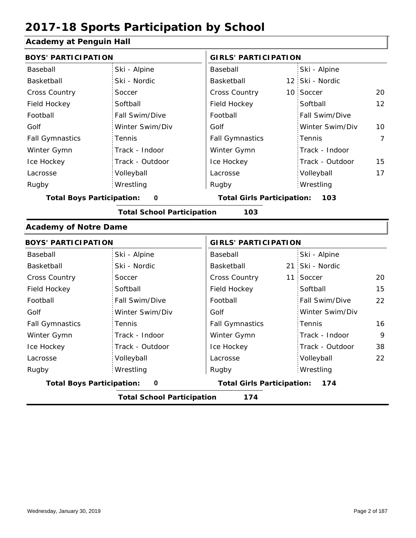### **Academy at Penguin Hall**

| Acauerity at Penguin Hall        |                                   |                                   |                             |                 |    |  |  |
|----------------------------------|-----------------------------------|-----------------------------------|-----------------------------|-----------------|----|--|--|
| <b>BOYS' PARTICIPATION</b>       |                                   |                                   | <b>GIRLS' PARTICIPATION</b> |                 |    |  |  |
| Baseball                         | Ski - Alpine                      | Baseball                          |                             | Ski - Alpine    |    |  |  |
| Basketball                       | Ski - Nordic                      | Basketball                        |                             | 12 Ski - Nordic |    |  |  |
| Cross Country                    | Soccer                            | <b>Cross Country</b>              |                             | 10 Soccer       | 20 |  |  |
| Field Hockey                     | Softball                          | Field Hockey                      |                             | Softball        | 12 |  |  |
| Football                         | Fall Swim/Dive                    | Football                          |                             | Fall Swim/Dive  |    |  |  |
| Golf                             | Winter Swim/Div                   | Golf                              |                             | Winter Swim/Div | 10 |  |  |
| <b>Fall Gymnastics</b>           | Tennis                            | <b>Fall Gymnastics</b>            |                             | Tennis          | 7  |  |  |
| Winter Gymn                      | Track - Indoor                    | Winter Gymn                       |                             | Track - Indoor  |    |  |  |
| Ice Hockey                       | Track - Outdoor                   | Ice Hockey                        |                             | Track - Outdoor | 15 |  |  |
| Lacrosse                         | Volleyball                        | Lacrosse                          |                             | Volleyball      | 17 |  |  |
| Rugby                            | Wrestling                         | Rugby                             |                             | Wrestling       |    |  |  |
| <b>Total Boys Participation:</b> | $\mathbf 0$                       | <b>Total Girls Participation:</b> |                             | 103             |    |  |  |
|                                  | <b>Total School Participation</b> | 103                               |                             |                 |    |  |  |
| <b>Academy of Notre Dame</b>     |                                   |                                   |                             |                 |    |  |  |
| <b>BOYS' PARTICIPATION</b>       |                                   |                                   | <b>GIRLS' PARTICIPATION</b> |                 |    |  |  |
| Baseball                         | Ski - Alpine                      | Baseball                          |                             | Ski - Alpine    |    |  |  |
| Basketball                       | Ski - Nordic                      | Basketball                        |                             | 21 Ski - Nordic |    |  |  |
| <b>Cross Country</b>             | Soccer                            | Cross Country                     |                             | 11 Soccer       | 20 |  |  |
| Field Hockey                     | Softball                          | Field Hockey                      |                             | Softball        | 15 |  |  |
| Football                         | Fall Swim/Dive                    | Football                          |                             | Fall Swim/Dive  | 22 |  |  |
| Golf                             | Winter Swim/Div                   | Golf                              |                             | Winter Swim/Div |    |  |  |
| <b>Fall Gymnastics</b>           | Tennis                            | <b>Fall Gymnastics</b>            |                             | Tennis          | 16 |  |  |

|                                  | <b>Total School Participation</b> | 174                               |                 |
|----------------------------------|-----------------------------------|-----------------------------------|-----------------|
| <b>Total Boys Participation:</b> | 0                                 | <b>Total Girls Participation:</b> | 174             |
| Rugby                            | Wrestling                         | Rugby                             | Wrestling       |
| Lacrosse                         | Volleyball                        | Lacrosse                          | Volleyball      |
| Ice Hockey                       | Track - Outdoor                   | Ice Hockey                        | Track - Outdoor |
| Winter Gymn                      | Track - Indoor                    | Winter Gymn                       | Track - Indoor  |
| <b>Fall Gymnastics</b>           | Tennis                            | <b>Fall Gymnastics</b>            | Tennis          |
| Golf                             | Winter Swim/Div                   | Golf                              | Winter Swim/Di  |
|                                  |                                   |                                   |                 |

9 38

22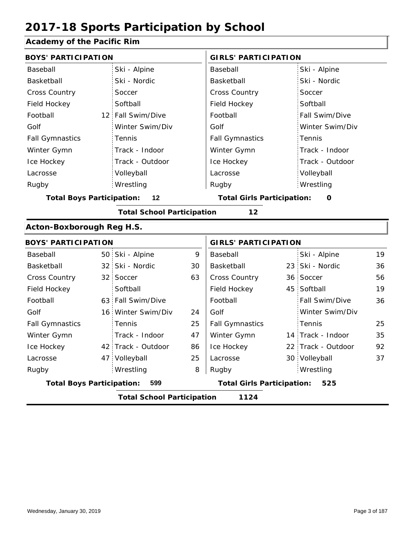### **Academy of the Pacific Rim**

| <b>BOYS' PARTICIPATION</b>       |                 |                                   |    | <b>GIRLS' PARTICIPATION</b>       |  |                    |    |
|----------------------------------|-----------------|-----------------------------------|----|-----------------------------------|--|--------------------|----|
| Baseball                         |                 | Ski - Alpine                      |    | Baseball                          |  | Ski - Alpine       |    |
| Basketball                       |                 | Ski - Nordic                      |    | Basketball                        |  | Ski - Nordic       |    |
| <b>Cross Country</b>             |                 | Soccer                            |    | Cross Country                     |  | Soccer             |    |
| Field Hockey                     |                 | Softball                          |    | Field Hockey                      |  | Softball           |    |
| Football                         |                 | 12 Fall Swim/Dive                 |    | Football                          |  | Fall Swim/Dive     |    |
| Golf                             |                 | Winter Swim/Div                   |    | Golf                              |  | Winter Swim/Div    |    |
| <b>Fall Gymnastics</b>           |                 | Tennis                            |    | <b>Fall Gymnastics</b>            |  | Tennis             |    |
| Winter Gymn                      |                 | Track - Indoor                    |    | Winter Gymn                       |  | Track - Indoor     |    |
| Ice Hockey                       |                 | Track - Outdoor                   |    | Ice Hockey                        |  | Track - Outdoor    |    |
| Lacrosse                         |                 | Volleyball                        |    | Lacrosse                          |  | Volleyball         |    |
| Rugby                            |                 | Wrestling                         |    | Rugby                             |  | Wrestling          |    |
| <b>Total Boys Participation:</b> |                 | 12                                |    | <b>Total Girls Participation:</b> |  | O                  |    |
|                                  |                 | <b>Total School Participation</b> |    | 12                                |  |                    |    |
| Acton-Boxborough Reg H.S.        |                 |                                   |    |                                   |  |                    |    |
| <b>BOYS' PARTICIPATION</b>       |                 |                                   |    | <b>GIRLS' PARTICIPATION</b>       |  |                    |    |
| Baseball                         |                 | 50 Ski - Alpine                   | 9  | Baseball                          |  | Ski - Alpine       | 19 |
| Basketball                       |                 | 32 Ski - Nordic                   | 30 | Basketball                        |  | 23 Ski - Nordic    | 36 |
| <b>Cross Country</b>             |                 | 32 Soccer                         | 63 | Cross Country                     |  | 36 Soccer          | 56 |
| Field Hockey                     |                 | Softball                          |    | Field Hockey                      |  | 45 Softball        | 19 |
| Football                         |                 | 63 Fall Swim/Dive                 |    | Football                          |  | Fall Swim/Dive     | 36 |
| Golf                             | 16 <sup>1</sup> | Winter Swim/Div                   | 24 | Golf                              |  | Winter Swim/Div    |    |
| <b>Fall Gymnastics</b>           |                 | Tennis                            | 25 | <b>Fall Gymnastics</b>            |  | Tennis             | 25 |
| Winter Gymn                      |                 | Track - Indoor                    | 47 | Winter Gymn                       |  | 14 Track - Indoor  | 35 |
| Ice Hockey                       |                 | 42 Track - Outdoor                | 86 | Ice Hockey                        |  | 22 Track - Outdoor | 92 |
| Lacrosse                         | 47              | Volleyball                        | 25 | Lacrosse                          |  | 30 Volleyball      | 37 |
| Rugby                            |                 | Wrestling                         | 8  | Rugby                             |  | Wrestling          |    |
| <b>Total Boys Participation:</b> |                 | 599                               |    | <b>Total Girls Participation:</b> |  | 525                |    |
|                                  |                 | <b>Total School Participation</b> |    | 1124                              |  |                    |    |
|                                  |                 |                                   |    |                                   |  |                    |    |

I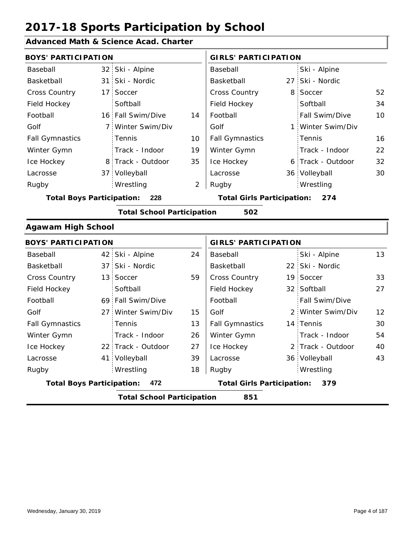### **Advanced Math & Science Acad. Charter**

| <b>BOYS' PARTICIPATION</b>       |                 |                                   |                | <b>GIRLS' PARTICIPATION</b>       |  |                   |    |
|----------------------------------|-----------------|-----------------------------------|----------------|-----------------------------------|--|-------------------|----|
| Baseball                         | 32 <sup>2</sup> | Ski - Alpine                      |                | Baseball                          |  | Ski - Alpine      |    |
| Basketball                       | 31              | Ski - Nordic                      |                | Basketball                        |  | 27 Ski - Nordic   |    |
| <b>Cross Country</b>             | 17 <sup>1</sup> | Soccer                            |                | Cross Country                     |  | 8 Soccer          | 52 |
| Field Hockey                     |                 | Softball                          |                | Field Hockey                      |  | Softball          | 34 |
| Football                         |                 | 16 Fall Swim/Dive                 | 14             | Football                          |  | Fall Swim/Dive    | 10 |
| Golf                             | $\overline{7}$  | Winter Swim/Div                   |                | Golf                              |  | 1 Winter Swim/Div |    |
| <b>Fall Gymnastics</b>           |                 | Tennis                            | 10             | <b>Fall Gymnastics</b>            |  | Tennis            | 16 |
| Winter Gymn                      |                 | Track - Indoor                    | 19             | Winter Gymn                       |  | Track - Indoor    | 22 |
| Ice Hockey                       | 8.              | Track - Outdoor                   | 35             | Ice Hockey                        |  | 6 Track - Outdoor | 32 |
| Lacrosse                         |                 | 37 Volleyball                     |                | Lacrosse                          |  | 36 Volleyball     | 30 |
| Rugby                            |                 | Wrestling                         | $\overline{2}$ | Rugby                             |  | Wrestling         |    |
| <b>Total Boys Participation:</b> |                 | 228                               |                | <b>Total Girls Participation:</b> |  | 274               |    |
|                                  |                 | <b>Total School Participation</b> |                | 502                               |  |                   |    |
| <b>Agawam High School</b>        |                 |                                   |                |                                   |  |                   |    |
| <b>BOYS' PARTICIPATION</b>       |                 |                                   |                | <b>GIRLS' PARTICIPATION</b>       |  |                   |    |
| Baseball                         | 42:             | Ski - Alpine                      | 24             | Baseball                          |  | Ski - Alpine      | 13 |
| Basketball                       | 37 <sup>1</sup> | Ski - Nordic                      |                | Basketball                        |  | 22 Ski - Nordic   |    |
| <b>Cross Country</b>             | 13 <sup>1</sup> | Soccer                            | 59             | <b>Cross Country</b>              |  | 19 Soccer         | 33 |
| Field Hockey                     |                 | Softball                          |                | Field Hockey                      |  | 32 Softball       | 27 |
| Football                         | 69              | Fall Swim/Dive                    |                | Football                          |  | Fall Swim/Dive    |    |
| Golf                             | 27 <sup>1</sup> | Winter Swim/Div                   | 15             | Golf                              |  | 2 Winter Swim/Div | 12 |
| <b>Fall Gymnastics</b>           |                 | Tennis                            | 13             | <b>Fall Gymnastics</b>            |  | 14 Tennis         | 30 |
| Winter Gymn                      |                 | Track - Indoor                    | 26             | Winter Gymn                       |  | Track - Indoor    | 54 |
| Ice Hockey                       | 22.             | Track - Outdoor                   | 27             | Ice Hockey                        |  | 2 Track - Outdoor | 40 |
| Lacrosse                         | 41              | Volleyball                        | 39             | Lacrosse                          |  | 36 Volleyball     | 43 |
| Rugby                            |                 | Wrestling                         | 18             | Rugby                             |  | Wrestling         |    |

**Total Boys Participation: 472 Total Girls Participation: 379**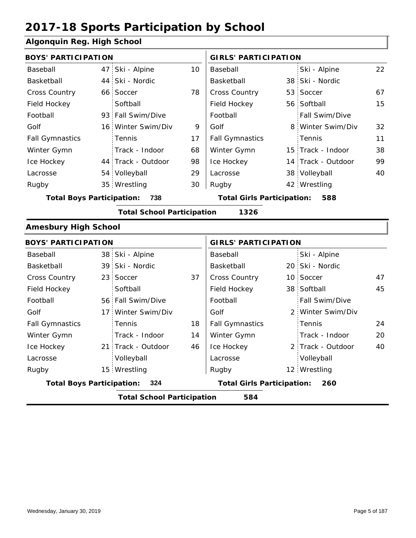### **Algonquin Reg. High School**

|                                  | <b>BOYS' PARTICIPATION</b> |                                   |    |                                          | <b>GIRLS' PARTICIPATION</b> |                    |    |  |
|----------------------------------|----------------------------|-----------------------------------|----|------------------------------------------|-----------------------------|--------------------|----|--|
| Baseball                         | 47                         | Ski - Alpine                      | 10 | Baseball                                 |                             | Ski - Alpine       | 22 |  |
| Basketball                       |                            | 44 Ski - Nordic                   |    | Basketball                               |                             | 38 Ski - Nordic    |    |  |
| <b>Cross Country</b>             |                            | 66 Soccer                         | 78 | <b>Cross Country</b>                     |                             | 53 Soccer          | 67 |  |
| Field Hockey                     |                            | Softball                          |    | Field Hockey                             |                             | 56 Softball        | 15 |  |
| Football                         |                            | 93 Fall Swim/Dive                 |    | Football                                 |                             | Fall Swim/Dive     |    |  |
| Golf                             |                            | 16 Winter Swim/Div                | 9  | Golf                                     |                             | 8 Winter Swim/Div  | 32 |  |
| <b>Fall Gymnastics</b>           |                            | Tennis                            | 17 | <b>Fall Gymnastics</b>                   |                             | Tennis             | 11 |  |
| Winter Gymn                      |                            | Track - Indoor                    | 68 | Winter Gymn                              |                             | 15 Track - Indoor  | 38 |  |
| Ice Hockey                       |                            | 44 Track - Outdoor                | 98 | Ice Hockey                               |                             | 14 Track - Outdoor | 99 |  |
| Lacrosse                         |                            | 54 Volleyball                     | 29 | Lacrosse                                 |                             | 38 Volleyball      | 40 |  |
| Rugby                            |                            | 35 Wrestling                      | 30 | Rugby                                    |                             | 42 Wrestling       |    |  |
| <b>Total Boys Participation:</b> |                            | 738                               |    | <b>Total Girls Participation:</b><br>588 |                             |                    |    |  |
|                                  |                            | <b>Total School Participation</b> |    | 1326                                     |                             |                    |    |  |
| <b>Amesbury High School</b>      |                            |                                   |    |                                          |                             |                    |    |  |
| <b>BOYS' PARTICIPATION</b>       |                            |                                   |    | <b>GIRLS' PARTICIPATION</b>              |                             |                    |    |  |
| Baseball                         |                            | 38 Ski - Alpine                   |    | Baseball                                 |                             | Ski - Alpine       |    |  |
| Basketball                       |                            | 39 Ski - Nordic                   |    | Basketball                               |                             | 20 Ski - Nordic    |    |  |
| Cross Country                    |                            | 23 Soccer                         | 37 | Cross Country                            |                             | 10 Soccer          | 47 |  |
|                                  |                            |                                   |    |                                          |                             |                    |    |  |

|                                          |  | <b>Total School Participation</b> |                                   | 584                    |                       |    |
|------------------------------------------|--|-----------------------------------|-----------------------------------|------------------------|-----------------------|----|
| <b>Total Boys Participation:</b><br>-324 |  |                                   | <b>Total Girls Participation:</b> | 260                    |                       |    |
| Rugby                                    |  | 15 Wrestling                      |                                   | Rugby                  | 12 Wrestling          |    |
| Lacrosse                                 |  | Volleyball                        |                                   | Lacrosse               | Volleyball            |    |
| Ice Hockey                               |  | 21 Track - Outdoor                | 46                                | Ice Hockey             | 2 Track - Outdoor     | 40 |
| Winter Gymn                              |  | Track - Indoor                    | 14                                | Winter Gymn            | Track - Indoor        | 20 |
| <b>Fall Gymnastics</b>                   |  | Tennis                            | 18                                | <b>Fall Gymnastics</b> | Tennis                | 24 |
| Golf                                     |  | 17 Winter Swim/Div                |                                   | Golf                   | 2 Winter Swim/Div     |    |
| Football                                 |  | 56 Fall Swim/Dive                 |                                   | Football               | <b>Fall Swim/Dive</b> |    |
| Field Hockey                             |  | Softball                          |                                   | Field Hockey           | 38 Softball           | 45 |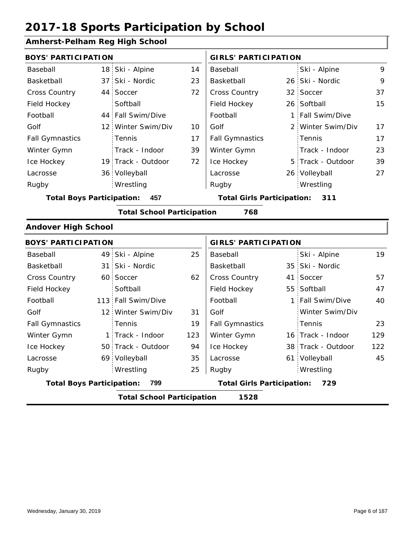### **Amherst-Pelham Reg High School**

| <b>BOYS' PARTICIPATION</b>              |  |                    |                                   | <b>GIRLS' PARTICIPATION</b> |     |                   |    |
|-----------------------------------------|--|--------------------|-----------------------------------|-----------------------------|-----|-------------------|----|
| Baseball                                |  | 18 Ski - Alpine    | 14                                | Baseball                    |     | Ski - Alpine      | 9  |
| Basketball                              |  | 37 Ski - Nordic    | 23                                | Basketball                  |     | 26 Ski - Nordic   | 9  |
| <b>Cross Country</b>                    |  | 44 Soccer          | 72                                | <b>Cross Country</b>        |     | 32 Soccer         | 37 |
| Field Hockey                            |  | Softball           |                                   | Field Hockey                |     | 26 Softball       | 15 |
| Football                                |  | 44 Fall Swim/Dive  |                                   | Football                    |     | 1 Fall Swim/Dive  |    |
| Golf                                    |  | 12 Winter Swim/Div | 10                                | Golf                        |     | 2 Winter Swim/Div | 17 |
| <b>Fall Gymnastics</b>                  |  | <b>Tennis</b>      | 17                                | <b>Fall Gymnastics</b>      |     | Tennis            | 17 |
| Winter Gymn                             |  | Track - Indoor     | 39                                | Winter Gymn                 |     | Track - Indoor    | 23 |
| Ice Hockey                              |  | 19 Track - Outdoor | 72                                | Ice Hockey                  |     | 5 Track - Outdoor | 39 |
| Lacrosse                                |  | 36 Volleyball      |                                   | Lacrosse                    |     | 26 Volleyball     | 27 |
| Rugby                                   |  | Wrestling          |                                   | Rugby                       |     | Wrestling         |    |
| 457<br><b>Total Boys Participation:</b> |  |                    | <b>Total Girls Participation:</b> |                             | 311 |                   |    |

**Total School Participation 768**

#### **Andover High School**

|                                           | <b>BOYS' PARTICIPATION</b> |                    |                                   |                        | <b>GIRLS' PARTICIPATION</b> |                    |     |  |
|-------------------------------------------|----------------------------|--------------------|-----------------------------------|------------------------|-----------------------------|--------------------|-----|--|
| Baseball                                  |                            | 49 Ski - Alpine    | 25                                | Baseball               |                             | Ski - Alpine       | 19  |  |
| Basketball                                |                            | 31 Ski - Nordic    |                                   | Basketball             |                             | 35 Ski - Nordic    |     |  |
| <b>Cross Country</b>                      |                            | 60 Soccer          | 62                                | <b>Cross Country</b>   |                             | 41 Soccer          | 57  |  |
| Field Hockey                              |                            | Softball           |                                   | Field Hockey           |                             | 55 Softball        | 47  |  |
| Football                                  |                            | 113 Fall Swim/Dive |                                   | Football               |                             | 1 Fall Swim/Dive   | 40  |  |
| Golf                                      |                            | 12 Winter Swim/Div | 31                                | Golf                   |                             | Winter Swim/Div    |     |  |
| <b>Fall Gymnastics</b>                    |                            | <b>Tennis</b>      | 19                                | <b>Fall Gymnastics</b> |                             | Tennis             | 23  |  |
| Winter Gymn                               |                            | 1 Track - Indoor   | 123                               | Winter Gymn            |                             | 16 Track - Indoor  | 129 |  |
| Ice Hockey                                |                            | 50 Track - Outdoor | 94                                | Ice Hockey             |                             | 38 Track - Outdoor | 122 |  |
| Lacrosse                                  |                            | 69 Volleyball      | 35                                | Lacrosse               |                             | 61 Volleyball      | 45  |  |
| Rugby                                     |                            | Wrestling          | 25                                | Rugby                  |                             | Wrestling          |     |  |
| <b>Total Boys Participation:</b><br>799   |                            |                    | <b>Total Girls Participation:</b> |                        | 729                         |                    |     |  |
| 1528<br><b>Total School Participation</b> |                            |                    |                                   |                        |                             |                    |     |  |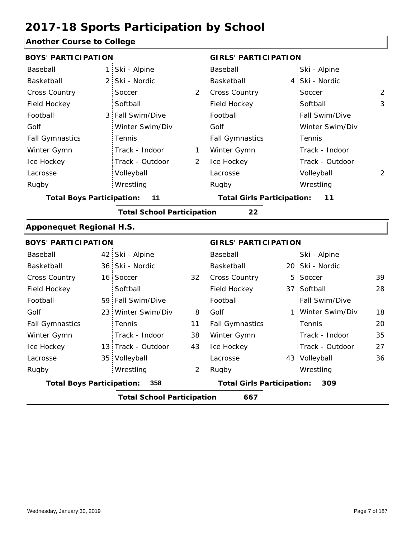### **Another Course to College**

|                                         | <b>GIRLS' PARTICIPATION</b> |                                                                                                                                                                                 |  |  |
|-----------------------------------------|-----------------------------|---------------------------------------------------------------------------------------------------------------------------------------------------------------------------------|--|--|
| Ski - Alpine                            | Baseball                    | Ski - Alpine                                                                                                                                                                    |  |  |
| Ski - Nordic                            | Basketball                  | 4 Ski - Nordic                                                                                                                                                                  |  |  |
| $\overline{2}$<br>Soccer                | Cross Country               | $\overline{2}$<br>Soccer                                                                                                                                                        |  |  |
| Softball                                | Field Hockey                | Softball<br>3                                                                                                                                                                   |  |  |
| Fall Swim/Dive                          | Football                    | Fall Swim/Dive                                                                                                                                                                  |  |  |
| Winter Swim/Div                         | Golf                        | Winter Swim/Div                                                                                                                                                                 |  |  |
| Tennis                                  | <b>Fall Gymnastics</b>      | Tennis                                                                                                                                                                          |  |  |
| Track - Indoor<br>1                     | Winter Gymn                 | Track - Indoor                                                                                                                                                                  |  |  |
| Track - Outdoor<br>2                    | Ice Hockey                  | Track - Outdoor                                                                                                                                                                 |  |  |
| Volleyball                              | Lacrosse                    | $\overline{2}$<br>Volleyball                                                                                                                                                    |  |  |
| Wrestling                               | Rugby                       | Wrestling                                                                                                                                                                       |  |  |
| <b>Total Boys Participation:</b><br>11  |                             | 11                                                                                                                                                                              |  |  |
|                                         | 22                          |                                                                                                                                                                                 |  |  |
| <b>Apponequet Regional H.S.</b>         |                             |                                                                                                                                                                                 |  |  |
|                                         |                             |                                                                                                                                                                                 |  |  |
| 42 Ski - Alpine                         | Baseball                    | Ski - Alpine                                                                                                                                                                    |  |  |
| 36 Ski - Nordic                         | Basketball                  | 20 Ski - Nordic                                                                                                                                                                 |  |  |
| 32<br>16 Soccer                         | <b>Cross Country</b><br>5   | Soccer<br>39                                                                                                                                                                    |  |  |
| Softball                                | Field Hockey                | 37 Softball<br>28                                                                                                                                                               |  |  |
| 59 Fall Swim/Dive                       | Football                    | Fall Swim/Dive                                                                                                                                                                  |  |  |
| 23 Winter Swim/Div<br>8                 | Golf                        | 1 Winter Swim/Div<br>18                                                                                                                                                         |  |  |
| Tennis<br>11                            | <b>Fall Gymnastics</b>      | Tennis<br>20                                                                                                                                                                    |  |  |
| Track - Indoor<br>38                    | Winter Gymn                 | Track - Indoor<br>35                                                                                                                                                            |  |  |
| 43<br>13 Track - Outdoor                | Ice Hockey                  | Track - Outdoor<br>27                                                                                                                                                           |  |  |
| 35 Volleyball                           | Lacrosse                    | 43 Volleyball<br>36                                                                                                                                                             |  |  |
| Wrestling<br>$\overline{2}$             | Rugby                       | Wrestling                                                                                                                                                                       |  |  |
| <b>Total Boys Participation:</b><br>358 |                             | 309                                                                                                                                                                             |  |  |
|                                         | 667                         |                                                                                                                                                                                 |  |  |
|                                         |                             | <b>Total Girls Participation:</b><br><b>Total School Participation</b><br><b>GIRLS' PARTICIPATION</b><br><b>Total Girls Participation:</b><br><b>Total School Participation</b> |  |  |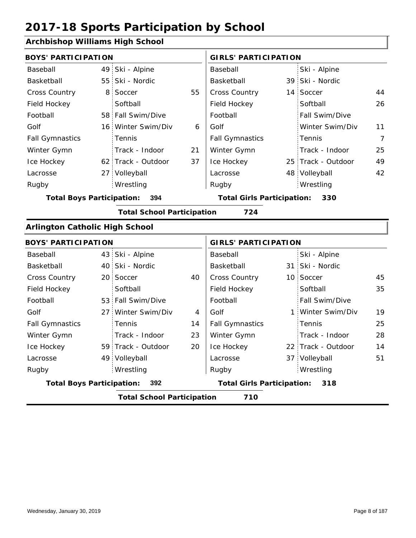### **Archbishop Williams High School**

| <u><b>UNUSING WILLIAMS INGHI USHOON</b></u> |                |                                   |    |                                   |   |                    |            |
|---------------------------------------------|----------------|-----------------------------------|----|-----------------------------------|---|--------------------|------------|
| <b>BOYS' PARTICIPATION</b>                  |                |                                   |    | <b>GIRLS' PARTICIPATION</b>       |   |                    |            |
| Baseball                                    |                | 49 Ski - Alpine                   |    | Baseball                          |   | Ski - Alpine       |            |
| Basketball                                  |                | 55 Ski - Nordic                   |    | Basketball                        |   | 39 Ski - Nordic    |            |
| Cross Country                               | 8 <sup>1</sup> | Soccer                            | 55 | Cross Country                     |   | 14 Soccer          | 44         |
| Field Hockey                                |                | Softball                          |    | Field Hockey                      |   | Softball           | 26         |
| Football                                    |                | 58 Fall Swim/Dive                 |    | Football                          |   | Fall Swim/Dive     |            |
| Golf                                        |                | 16 Winter Swim/Div                | 6  | Golf                              |   | Winter Swim/Div    | 11         |
| <b>Fall Gymnastics</b>                      |                | Tennis                            |    | <b>Fall Gymnastics</b>            |   | Tennis             | 7          |
| Winter Gymn                                 |                | Track - Indoor                    | 21 | Winter Gymn                       |   | Track - Indoor     | 25         |
| Ice Hockey                                  |                | 62 Track - Outdoor                | 37 | Ice Hockey                        |   | 25 Track - Outdoor | 49         |
| Lacrosse                                    |                | 27 Volleyball                     |    | Lacrosse                          |   | 48 Volleyball      | 42         |
| Rugby                                       |                | Wrestling                         |    | Rugby                             |   | Wrestling          |            |
| <b>Total Boys Participation:</b>            |                | 394                               |    | <b>Total Girls Participation:</b> |   | 330                |            |
|                                             |                | <b>Total School Participation</b> |    | 724                               |   |                    |            |
| <b>Arlington Catholic High School</b>       |                |                                   |    |                                   |   |                    |            |
| <b>BOYS' PARTICIPATION</b>                  |                |                                   |    | <b>GIRLS' PARTICIPATION</b>       |   |                    |            |
| Baseball                                    |                | 43 Ski - Alpine                   |    | Baseball                          |   | Ski - Alpine       |            |
| Basketball                                  |                | 40 Ski - Nordic                   |    | Basketball                        |   | 31 Ski - Nordic    |            |
| Cross Country                               |                | 20 Soccer                         | 40 | Cross Country                     |   | 10 Soccer          | 45         |
| Field Hockey                                |                | Softball                          |    | Field Hockey                      |   | Softball           | 35         |
| Football                                    |                | 53 Fall Swim/Dive                 |    | Football                          |   | Fall Swim/Dive     |            |
| Golf                                        |                | 27 Winter Swim/Div                | 4  | Golf                              | 1 | Winter Swim/Div    | 19         |
|                                             |                |                                   |    |                                   |   |                    | $\sim$ $-$ |

| <b>Total Boys Participation:</b><br>-392 |  |                    | <b>Total Girls Participation:</b> | 318                    |                    |    |
|------------------------------------------|--|--------------------|-----------------------------------|------------------------|--------------------|----|
| Rugby                                    |  | Wrestling          |                                   | Rugby                  | Wrestling          |    |
| Lacrosse                                 |  | 49 Volleyball      |                                   | Lacrosse               | 37 Volleyball      | 51 |
| Ice Hockey                               |  | 59 Track - Outdoor | 20                                | Ice Hockey             | 22 Track - Outdoor | 14 |
| Winter Gymn                              |  | Track - Indoor     | 23                                | Winter Gymn            | Track - Indoor     | 28 |
| <b>Fall Gymnastics</b>                   |  | Tennis             | 14                                | <b>Fall Gymnastics</b> | : Tennis           | 25 |
| Golf                                     |  | 27 Winter Swim/Div | 4                                 | Golf                   | 1 Winter Swim/Div  | 19 |
| Football                                 |  | 53 Fall Swim/Dive  |                                   | Football               | Fall Swim/Dive     |    |
|                                          |  |                    |                                   |                        |                    |    |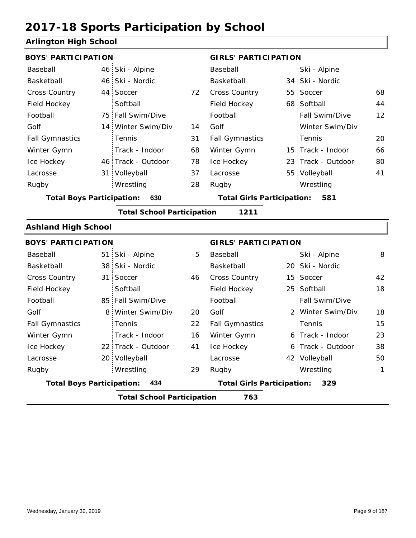### **Arlington High School**

| <b>BOYS' PARTICIPATION</b>              |                 |                                   |    | <b>GIRLS' PARTICIPATION</b>       |  |                    |    |
|-----------------------------------------|-----------------|-----------------------------------|----|-----------------------------------|--|--------------------|----|
| Baseball                                | 46              | Ski - Alpine                      |    | Baseball                          |  | Ski - Alpine       |    |
| Basketball                              | 46 <sup>1</sup> | Ski - Nordic                      |    | Basketball                        |  | 34 Ski - Nordic    |    |
| <b>Cross Country</b>                    | 44 <sup>1</sup> | Soccer                            | 72 | Cross Country                     |  | 55 Soccer          | 68 |
| Field Hockey                            |                 | Softball                          |    | Field Hockey                      |  | 68 Softball        | 44 |
| Football                                | 75              | Fall Swim/Dive                    |    | Football                          |  | Fall Swim/Dive     | 12 |
| Golf                                    | 14              | Winter Swim/Div                   | 14 | Golf                              |  | Winter Swim/Div    |    |
| <b>Fall Gymnastics</b>                  |                 | Tennis                            | 31 | <b>Fall Gymnastics</b>            |  | Tennis             | 20 |
| Winter Gymn                             |                 | Track - Indoor                    | 68 | Winter Gymn                       |  | 15 Track - Indoor  | 66 |
| Ice Hockey                              | 46 <sup>1</sup> | Track - Outdoor                   | 78 | Ice Hockey                        |  | 23 Track - Outdoor | 80 |
| Lacrosse                                | 31              | Volleyball                        | 37 | Lacrosse                          |  | 55 Volleyball      | 41 |
| Rugby                                   |                 | Wrestling                         | 28 | Rugby                             |  | Wrestling          |    |
| <b>Total Boys Participation:</b><br>630 |                 |                                   |    | <b>Total Girls Participation:</b> |  | 581                |    |
|                                         |                 | <b>Total School Participation</b> |    | 1211                              |  |                    |    |
| <b>Ashland High School</b>              |                 |                                   |    |                                   |  |                    |    |
| <b>BOYS' PARTICIPATION</b>              |                 |                                   |    | <b>GIRLS' PARTICIPATION</b>       |  |                    |    |
| Baseball                                | 51              | Ski - Alpine                      | 5  | Baseball                          |  | Ski - Alpine       | 8  |
| Basketball                              | 38              | Ski - Nordic                      |    | Basketball                        |  | 20 Ski - Nordic    |    |
| <b>Cross Country</b>                    | 31              | Soccer                            | 46 | <b>Cross Country</b>              |  | 15 Soccer          | 42 |
| Field Hockey                            |                 | Softball                          |    | Field Hockey                      |  | 25 Softball        | 18 |
| Football                                | 85              | Fall Swim/Dive                    |    | Football                          |  | Fall Swim/Dive     |    |
| Golf                                    | 8               | Winter Swim/Div                   | 20 | Golf                              |  | 2 Winter Swim/Div  | 18 |
| <b>Fall Gymnastics</b>                  |                 | Tennis                            | 22 | <b>Fall Gymnastics</b>            |  | Tennis             | 15 |
| Winter Gymn                             |                 | Track - Indoor                    | 16 | Winter Gymn                       |  | 6 Track - Indoor   | 23 |
| Ice Hockey                              |                 | 22 Track - Outdoor                | 41 | Ice Hockey                        |  | 6 Track - Outdoor  | 38 |

29

Lacrosse

**Total Boys Participation: 434 Total Girls Participation: 329**

20 Volleyball

Wrestling Rugby Rugby

**Total School Participation 763**

Lacrosse

42 Volleyball 50

Wrestling 1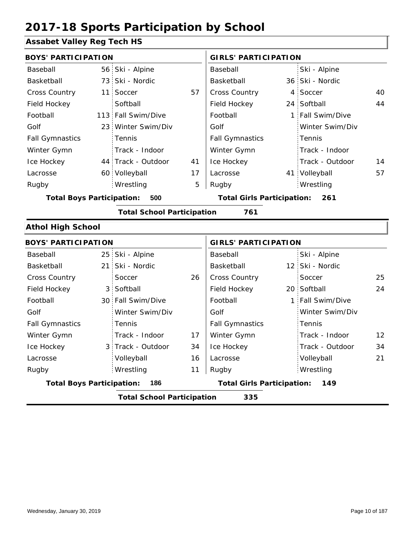### **Assabet Valley Reg Tech HS**

| <b>BOYS' PARTICIPATION</b>       |                 |                                   |    | <b>GIRLS' PARTICIPATION</b>       |              |                  |    |
|----------------------------------|-----------------|-----------------------------------|----|-----------------------------------|--------------|------------------|----|
| Baseball                         |                 | 56 Ski - Alpine                   |    | Baseball                          |              | Ski - Alpine     |    |
| Basketball                       | 73              | Ski - Nordic                      |    | Basketball                        |              | 36 Ski - Nordic  |    |
| Cross Country                    | 11              | Soccer                            | 57 | Cross Country                     |              | 4 Soccer         | 40 |
| Field Hockey                     |                 | Softball                          |    | Field Hockey                      |              | 24 Softball      | 44 |
| Football                         | 113             | Fall Swim/Dive                    |    | Football                          |              | 1 Fall Swim/Dive |    |
| Golf                             | 23 <sup>1</sup> | Winter Swim/Div                   |    | Golf                              |              | Winter Swim/Div  |    |
| <b>Fall Gymnastics</b>           |                 | Tennis                            |    | <b>Fall Gymnastics</b>            |              | Tennis           |    |
| Winter Gymn                      |                 | Track - Indoor                    |    | Winter Gymn                       |              | Track - Indoor   |    |
| Ice Hockey                       |                 | 44 Track - Outdoor                | 41 | Ice Hockey                        |              | Track - Outdoor  | 14 |
| Lacrosse                         |                 | 60 Volleyball                     | 17 | Lacrosse                          |              | 41 Volleyball    | 57 |
| Rugby                            |                 | Wrestling                         | 5  | Rugby                             |              | Wrestling        |    |
| <b>Total Boys Participation:</b> |                 | 500                               |    | <b>Total Girls Participation:</b> |              | 261              |    |
|                                  |                 | <b>Total School Participation</b> |    | 761                               |              |                  |    |
| <b>Athol High School</b>         |                 |                                   |    |                                   |              |                  |    |
| <b>BOYS' PARTICIPATION</b>       |                 |                                   |    | <b>GIRLS' PARTICIPATION</b>       |              |                  |    |
| Baseball                         | 25              | Ski - Alpine                      |    | Baseball                          |              | Ski - Alpine     |    |
| Basketball                       | 21              | Ski - Nordic                      |    | Basketball                        |              | 12 Ski - Nordic  |    |
| <b>Cross Country</b>             |                 | Soccer                            | 26 | Cross Country                     |              | Soccer           | 25 |
| Field Hockey                     | 3               | Softball                          |    | Field Hockey                      |              | 20 Softball      | 24 |
| Football                         | 30 <sup>1</sup> | Fall Swim/Dive                    |    | Football                          | $\mathbf{1}$ | Fall Swim/Dive   |    |
| Golf                             |                 | Winter Swim/Div                   |    | Golf                              |              | Winter Swim/Div  |    |
| <b>Fall Gymnastics</b>           |                 | Tennis                            |    | <b>Fall Gymnastics</b>            |              | Tennis           |    |
| Winter Gymn                      |                 | Track - Indoor                    | 17 | Winter Gymn                       |              | Track - Indoor   | 12 |
| Ice Hockey                       | 3               | Track - Outdoor                   | 34 | Ice Hockey                        |              | Track - Outdoor  | 34 |
| Lacrosse                         |                 | Volleyball                        | 16 | Lacrosse                          |              | Volleyball       | 21 |

11 Wrestling Rugby Rugby **Total Boys Participation: 186 Total Girls Participation: 149**

**Total School Participation 335**

Wrestling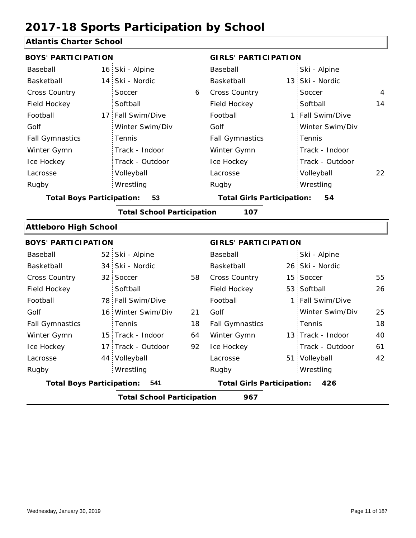### **Atlantis Charter School**

| udinis viidi tui sulivul                 |  |                    |    |                                   |    |                   |                |  |  |
|------------------------------------------|--|--------------------|----|-----------------------------------|----|-------------------|----------------|--|--|
| <b>BOYS' PARTICIPATION</b>               |  |                    |    | <b>GIRLS' PARTICIPATION</b>       |    |                   |                |  |  |
| Baseball                                 |  | 16 Ski - Alpine    |    | Baseball                          |    | Ski - Alpine      |                |  |  |
| Basketball                               |  | 14 Ski - Nordic    |    | Basketball                        |    | 13 Ski - Nordic   |                |  |  |
| Cross Country                            |  | Soccer             | 6  | <b>Cross Country</b>              |    | Soccer            | $\overline{4}$ |  |  |
| Field Hockey                             |  | Softball           |    | Field Hockey                      |    | Softball          | 14             |  |  |
| Football                                 |  | 17 Fall Swim/Dive  |    | Football                          |    | 1 Fall Swim/Dive  |                |  |  |
| Golf                                     |  | Winter Swim/Div    |    | Golf                              |    | Winter Swim/Div   |                |  |  |
| <b>Fall Gymnastics</b>                   |  | Tennis             |    | <b>Fall Gymnastics</b>            |    | Tennis            |                |  |  |
| Winter Gymn                              |  | Track - Indoor     |    | Winter Gymn                       |    | Track - Indoor    |                |  |  |
| Ice Hockey                               |  | Track - Outdoor    |    | Ice Hockey                        |    | Track - Outdoor   |                |  |  |
| Lacrosse                                 |  | Volleyball         |    | Lacrosse                          |    | Volleyball        | 22             |  |  |
| Rugby                                    |  | Wrestling          |    | Rugby                             |    | Wrestling         |                |  |  |
| <b>Total Boys Participation:</b>         |  | 53                 |    | <b>Total Girls Participation:</b> |    | 54                |                |  |  |
| <b>Total School Participation</b><br>107 |  |                    |    |                                   |    |                   |                |  |  |
| <b>Attleboro High School</b>             |  |                    |    |                                   |    |                   |                |  |  |
| <b>BOYS' PARTICIPATION</b>               |  |                    |    | <b>GIRLS' PARTICIPATION</b>       |    |                   |                |  |  |
| Baseball                                 |  | 52 Ski - Alpine    |    | Baseball                          |    | Ski - Alpine      |                |  |  |
| Basketball                               |  | 34 Ski - Nordic    |    | Basketball                        |    | 26 Ski - Nordic   |                |  |  |
| Cross Country                            |  | 32 Soccer          | 58 | Cross Country                     |    | 15 Soccer         | 55             |  |  |
| Field Hockey                             |  | Softball           |    | Field Hockey                      |    | 53 Softball       | 26             |  |  |
| Football                                 |  | 78 Fall Swim/Dive  |    | Football                          | 1. | Fall Swim/Dive    |                |  |  |
| Golf                                     |  | 16 Winter Swim/Div | 21 | Golf                              |    | Winter Swim/Div   | 25             |  |  |
| <b>Fall Gymnastics</b>                   |  | Tennis             | 18 | <b>Fall Gymnastics</b>            |    | Tennis            | 18             |  |  |
| Winter Gymn                              |  | 15 Track - Indoor  | 64 | Winter Gymn                       |    | 13 Track - Indoor | 40             |  |  |
| Ice Hockey                               |  | 17 Track - Outdoor | 92 | Ice Hockey                        |    | Track - Outdoor   | 61             |  |  |
| Lacrosse                                 |  | 44 Volleyball      |    | Lacrosse                          |    | 51 Volleyball     | 42             |  |  |
| Rugby                                    |  | Wrestling          |    | Rugby                             |    | Wrestling         |                |  |  |
| <b>Total Boys Participation:</b>         |  | 541                |    | <b>Total Girls Participation:</b> |    | 426               |                |  |  |
| <b>Total School Participation</b><br>967 |  |                    |    |                                   |    |                   |                |  |  |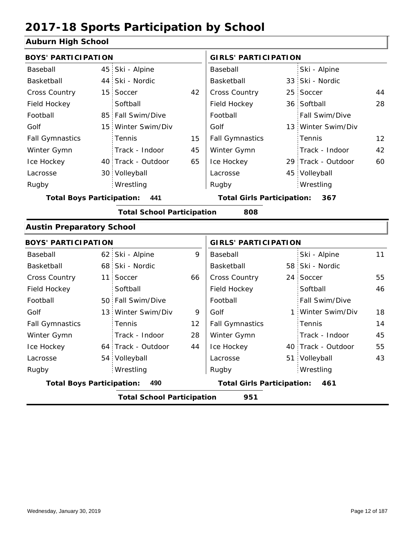### **Auburn High School**

| <b>BOYS' PARTICIPATION</b>              |                 |                                   |    | <b>GIRLS' PARTICIPATION</b>       |  |                    |    |
|-----------------------------------------|-----------------|-----------------------------------|----|-----------------------------------|--|--------------------|----|
| Baseball                                | 45 <sup>1</sup> | Ski - Alpine                      |    | Baseball                          |  | Ski - Alpine       |    |
| Basketball                              |                 | 44 Ski - Nordic                   |    | Basketball                        |  | 33 Ski - Nordic    |    |
| Cross Country                           |                 | 15 Soccer                         | 42 | <b>Cross Country</b>              |  | 25 Soccer          | 44 |
| Field Hockey                            |                 | Softball                          |    | Field Hockey                      |  | 36 Softball        | 28 |
| Football                                |                 | 85 Fall Swim/Dive                 |    | Football                          |  | Fall Swim/Dive     |    |
| Golf                                    |                 | 15 Winter Swim/Div                |    | Golf                              |  | 13 Winter Swim/Div |    |
| <b>Fall Gymnastics</b>                  |                 | Tennis                            | 15 | <b>Fall Gymnastics</b>            |  | Tennis             | 12 |
| Winter Gymn                             |                 | Track - Indoor                    | 45 | Winter Gymn                       |  | Track - Indoor     | 42 |
| Ice Hockey                              |                 | 40 Track - Outdoor                | 65 | Ice Hockey                        |  | 29 Track - Outdoor | 60 |
| Lacrosse                                |                 | 30 Volleyball                     |    | Lacrosse                          |  | 45 Volleyball      |    |
| Rugby                                   |                 | Wrestling                         |    | Rugby                             |  | Wrestling          |    |
| <b>Total Boys Participation:</b><br>441 |                 |                                   |    | <b>Total Girls Participation:</b> |  | 367                |    |
|                                         |                 | <b>Total School Participation</b> |    | 808                               |  |                    |    |
| <b>Austin Preparatory School</b>        |                 |                                   |    |                                   |  |                    |    |
| <b>BOYS' PARTICIPATION</b>              |                 |                                   |    | <b>GIRLS' PARTICIPATION</b>       |  |                    |    |
| Baseball                                | 62:             | Ski - Alpine                      | 9  | Baseball                          |  | Ski - Alpine       | 11 |
| Basketball                              |                 | 68 Ski - Nordic                   |    | Basketball                        |  | 58 Ski - Nordic    |    |
| Cross Country                           | 11 <sup>1</sup> | Soccer                            | 66 | <b>Cross Country</b>              |  | 24 Soccer          | 55 |
| Field Hockey                            |                 | Softball                          |    | Field Hockey                      |  | Softball           | 46 |
| Football                                |                 | 50 Fall Swim/Dive                 |    | Football                          |  | Fall Swim/Dive     |    |
| Golf                                    | 13 <sup>1</sup> | Winter Swim/Div                   | 9  | Golf                              |  | 1 Winter Swim/Div  | 18 |
| <b>Fall Gymnastics</b>                  |                 | Tennis                            | 12 | <b>Fall Gymnastics</b>            |  | Tennis             | 14 |

| <b>Total Boys Participation:</b><br>490 |  |                    |    | <b>Total Girls Participation:</b><br>461 |  |                    |    |
|-----------------------------------------|--|--------------------|----|------------------------------------------|--|--------------------|----|
| Rugby                                   |  | Wrestling          |    | Rugby                                    |  | Wrestling          |    |
| Lacrosse                                |  | 54 Volleyball      |    | Lacrosse                                 |  | 51 Volleyball      | 43 |
| Ice Hockey                              |  | 64 Track - Outdoor | 44 | Ice Hockey                               |  | 40 Track - Outdoor | 55 |
| Winter Gymn                             |  | Track - Indoor     | 28 | Winter Gymn                              |  | Track - Indoor     | 45 |
| <b>Fall Gymnastics</b>                  |  | Гennis             | 12 | <b>Fall Gymnastics</b>                   |  | Tennis             | 14 |
| Golf                                    |  | 13 Winter Swim/Div | 9  | Golf                                     |  | 1 Winter Swim/Div  | 18 |
| Football                                |  | 50 Fall Swim/Dive  |    | Football                                 |  | Fall Swim/Dive     |    |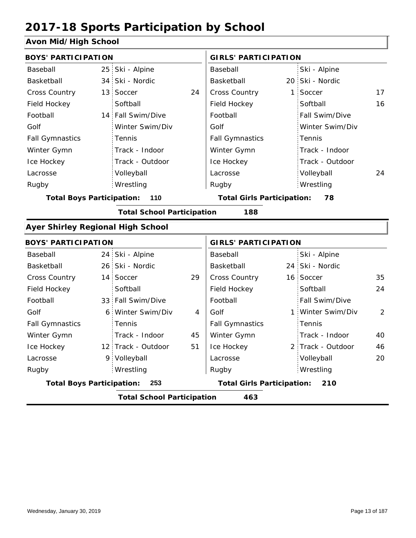### **Avon Mid/High School**

| <b>BOYS' PARTICIPATION</b>               |                                          |                                   |    | <b>GIRLS' PARTICIPATION</b>       |       |                   |    |  |  |  |
|------------------------------------------|------------------------------------------|-----------------------------------|----|-----------------------------------|-------|-------------------|----|--|--|--|
| Baseball                                 |                                          | 25 Ski - Alpine                   |    | Baseball                          |       | Ski - Alpine      |    |  |  |  |
| Basketball                               |                                          | 34 Ski - Nordic                   |    | Basketball                        |       | 20 Ski - Nordic   |    |  |  |  |
| Cross Country                            |                                          | 13 Soccer                         | 24 | Cross Country                     | $1$ : | Soccer            | 17 |  |  |  |
| Field Hockey                             |                                          | Softball                          |    | Field Hockey                      |       | Softball          | 16 |  |  |  |
| Football                                 |                                          | 14 Fall Swim/Dive                 |    | Football                          |       | Fall Swim/Dive    |    |  |  |  |
| Golf                                     |                                          | Winter Swim/Div                   |    | Golf                              |       | Winter Swim/Div   |    |  |  |  |
| <b>Fall Gymnastics</b>                   |                                          | Tennis                            |    | <b>Fall Gymnastics</b>            |       | Tennis            |    |  |  |  |
| Winter Gymn                              |                                          | Track - Indoor                    |    | Winter Gymn                       |       | Track - Indoor    |    |  |  |  |
| Ice Hockey                               |                                          | Track - Outdoor                   |    | Ice Hockey                        |       | Track - Outdoor   |    |  |  |  |
| Lacrosse                                 |                                          | Volleyball                        |    | Lacrosse                          |       | Volleyball        | 24 |  |  |  |
| Rugby                                    |                                          | Wrestling                         |    | Rugby                             |       | Wrestling         |    |  |  |  |
| <b>Total Boys Participation:</b>         |                                          | 110                               |    | <b>Total Girls Participation:</b> |       | 78                |    |  |  |  |
|                                          |                                          | <b>Total School Participation</b> |    | 188                               |       |                   |    |  |  |  |
| <b>Ayer Shirley Regional High School</b> |                                          |                                   |    |                                   |       |                   |    |  |  |  |
| <b>BOYS' PARTICIPATION</b>               |                                          |                                   |    | <b>GIRLS' PARTICIPATION</b>       |       |                   |    |  |  |  |
| Baseball                                 |                                          | 24 Ski - Alpine                   |    | Baseball                          |       | Ski - Alpine      |    |  |  |  |
| Basketball                               |                                          | 26 Ski - Nordic                   |    | Basketball                        |       | 24 Ski - Nordic   |    |  |  |  |
| <b>Cross Country</b>                     |                                          | 14 Soccer                         | 29 | Cross Country                     |       | 16 Soccer         | 35 |  |  |  |
| Field Hockey                             |                                          | Softball                          |    | Field Hockey                      |       | Softball          | 24 |  |  |  |
| Football                                 |                                          | 33 Fall Swim/Dive                 |    | Football                          |       | Fall Swim/Dive    |    |  |  |  |
| Golf                                     |                                          | 6 Winter Swim/Div                 | 4  | Golf                              |       | 1 Winter Swim/Div | 2  |  |  |  |
| <b>Fall Gymnastics</b>                   |                                          | Tennis                            |    | <b>Fall Gymnastics</b>            |       | Tennis            |    |  |  |  |
| Winter Gymn                              |                                          | Track - Indoor                    | 45 | Winter Gymn                       |       | Track - Indoor    | 40 |  |  |  |
| Ice Hockey                               |                                          | 12 Track - Outdoor                | 51 | Ice Hockey                        |       | 2 Track - Outdoor | 46 |  |  |  |
| Lacrosse                                 |                                          | 9 Volleyball                      |    | Lacrosse                          |       | Volleyball        | 20 |  |  |  |
| Rugby                                    |                                          | Wrestling                         |    | Rugby                             |       | Wrestling         |    |  |  |  |
| <b>Total Boys Participation:</b>         |                                          | 253                               |    | <b>Total Girls Participation:</b> |       | 210               |    |  |  |  |
|                                          | <b>Total School Participation</b><br>463 |                                   |    |                                   |       |                   |    |  |  |  |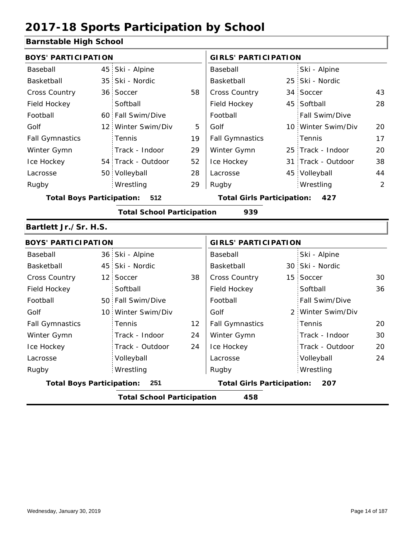### **Barnstable High School**

| <b>BOYS' PARTICIPATION</b>               |  |                    |    | <b>GIRLS' PARTICIPATION</b>       |  |                    |    |
|------------------------------------------|--|--------------------|----|-----------------------------------|--|--------------------|----|
| Baseball                                 |  | 45 Ski - Alpine    |    | Baseball                          |  | Ski - Alpine       |    |
| Basketball                               |  | 35 Ski - Nordic    |    | Basketball                        |  | 25 Ski - Nordic    |    |
| <b>Cross Country</b>                     |  | 36 Soccer          | 58 | <b>Cross Country</b>              |  | 34 Soccer          | 43 |
| Field Hockey                             |  | Softball           |    | Field Hockey                      |  | 45 Softball        | 28 |
| Football                                 |  | 60 Fall Swim/Dive  |    | Football                          |  | Fall Swim/Dive     |    |
| Golf                                     |  | 12 Winter Swim/Div | 5  | Golf                              |  | 10 Winter Swim/Div | 20 |
| <b>Fall Gymnastics</b>                   |  | <b>Tennis</b>      | 19 | <b>Fall Gymnastics</b>            |  | Tennis             | 17 |
| Winter Gymn                              |  | Track - Indoor     | 29 | Winter Gymn                       |  | 25 Track - Indoor  | 20 |
| Ice Hockey                               |  | 54 Track - Outdoor | 52 | Ice Hockey                        |  | 31 Track - Outdoor | 38 |
| Lacrosse                                 |  | 50 Volleyball      | 28 | Lacrosse                          |  | 45 Volleyball      | 44 |
| Rugby                                    |  | Wrestling          | 29 | Rugby                             |  | Wrestling          | 2  |
| <b>Total Boys Participation:</b><br>512  |  |                    |    | <b>Total Girls Participation:</b> |  | 427                |    |
| 939<br><b>Total School Participation</b> |  |                    |    |                                   |  |                    |    |

#### **Bartlett Jr./Sr. H.S.**

| <b>BOYS' PARTICIPATION</b>               |  |                    |                                   | <b>GIRLS' PARTICIPATION</b> |     |                   |    |
|------------------------------------------|--|--------------------|-----------------------------------|-----------------------------|-----|-------------------|----|
| Baseball                                 |  | 36 Ski - Alpine    |                                   | Baseball                    |     | Ski - Alpine      |    |
| Basketball                               |  | 45 Ski - Nordic    |                                   | Basketball                  |     | 30 Ski - Nordic   |    |
| <b>Cross Country</b>                     |  | 12 Soccer          | 38                                | <b>Cross Country</b>        |     | 15 Soccer         | 30 |
| Field Hockey                             |  | Softball           |                                   | Field Hockey                |     | Softball          | 36 |
| Football                                 |  | 50 Fall Swim/Dive  |                                   | Football                    |     | Fall Swim/Dive    |    |
| Golf                                     |  | 10 Winter Swim/Div |                                   | Golf                        |     | 2 Winter Swim/Div |    |
| <b>Fall Gymnastics</b>                   |  | Tennis             | 12                                | <b>Fall Gymnastics</b>      |     | Tennis            | 20 |
| Winter Gymn                              |  | Track - Indoor     | 24                                | Winter Gymn                 |     | Track - Indoor    | 30 |
| Ice Hockey                               |  | Track - Outdoor    | 24                                | Ice Hockey                  |     | Track - Outdoor   | 20 |
| Lacrosse                                 |  | Volleyball         |                                   | Lacrosse                    |     | Volleyball        | 24 |
| Rugby                                    |  | Wrestling          |                                   | Rugby                       |     | Wrestling         |    |
| <b>Total Boys Participation:</b><br>251  |  |                    | <b>Total Girls Participation:</b> |                             | 207 |                   |    |
| <b>Total School Participation</b><br>458 |  |                    |                                   |                             |     |                   |    |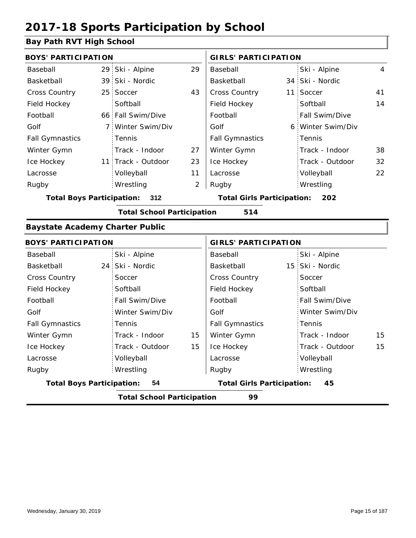### **Bay Path RVT High School**

| <b>BOYS' PARTICIPATION</b>             |                 |                                   |    | <b>GIRLS' PARTICIPATION</b>       |  |                   |                |
|----------------------------------------|-----------------|-----------------------------------|----|-----------------------------------|--|-------------------|----------------|
| Baseball                               |                 | 29 Ski - Alpine                   | 29 | Baseball                          |  | Ski - Alpine      | $\overline{4}$ |
| Basketball                             |                 | 39 Ski - Nordic                   |    | Basketball                        |  | 34 Ski - Nordic   |                |
| <b>Cross Country</b>                   | 25 <sup>2</sup> | Soccer                            | 43 | Cross Country                     |  | 11 Soccer         | 41             |
| Field Hockey                           |                 | Softball                          |    | Field Hockey                      |  | Softball          | 14             |
| Football                               |                 | 66 Fall Swim/Dive                 |    | Football                          |  | Fall Swim/Dive    |                |
| Golf                                   |                 | 7 Winter Swim/Div                 |    | Golf                              |  | 6 Winter Swim/Div |                |
| <b>Fall Gymnastics</b>                 |                 | Tennis                            |    | <b>Fall Gymnastics</b>            |  | Tennis            |                |
| Winter Gymn                            |                 | Track - Indoor                    | 27 | Winter Gymn                       |  | Track - Indoor    | 38             |
| Ice Hockey                             |                 | 11 Track - Outdoor                | 23 | Ice Hockey                        |  | Track - Outdoor   | 32             |
| Lacrosse                               |                 | Volleyball                        | 11 | Lacrosse                          |  | Volleyball        | 22             |
| Rugby                                  |                 | Wrestling                         | 2  | Rugby                             |  | Wrestling         |                |
| <b>Total Boys Participation:</b>       |                 | 312                               |    | <b>Total Girls Participation:</b> |  | 202               |                |
|                                        |                 | <b>Total School Participation</b> |    | 514                               |  |                   |                |
| <b>Baystate Academy Charter Public</b> |                 |                                   |    |                                   |  |                   |                |
| <b>BOYS' PARTICIPATION</b>             |                 |                                   |    | <b>GIRLS' PARTICIPATION</b>       |  |                   |                |
| Baseball                               |                 | Ski - Alpine                      |    | Baseball                          |  | Ski - Alpine      |                |
| Basketball                             |                 | 24 Ski - Nordic                   |    | Basketball                        |  | 15 Ski - Nordic   |                |
| Cross Country                          |                 | Soccer                            |    | <b>Cross Country</b>              |  | Soccer            |                |
| Field Hockey                           |                 | Softball                          |    | Field Hockey                      |  | Softball          |                |
| Football                               |                 | Fall Swim/Dive                    |    | Football                          |  | Fall Swim/Dive    |                |
| Golf                                   |                 | Winter Swim/Div                   |    | Golf                              |  | Winter Swim/Div   |                |
| <b>Fall Gymnastics</b>                 |                 | <b>Tennis</b>                     |    | <b>Fall Gymnastics</b>            |  | Tennis            |                |

|                                  | <b>Total School Participation</b> |    | 99                                |                 |
|----------------------------------|-----------------------------------|----|-----------------------------------|-----------------|
| <b>Total Boys Participation:</b> | 54                                |    | <b>Total Girls Participation:</b> | 45              |
| Rugby                            | Wrestling                         |    | Rugby                             | Wrestling       |
| Lacrosse                         | Volleyball                        |    | Lacrosse                          | Volleyball      |
| Ice Hockey                       | Track - Outdoor                   | 15 | Ice Hockey                        | Track - Outdoor |
| Winter Gymn                      | Track - Indoor                    | 15 | Winter Gymn                       | Track - Indoor  |
| <b>Fall Gymnastics</b>           | Tennis                            |    | <b>Fall Gymnastics</b>            | Tennis          |
| Golf                             | Winter Swim/Div                   |    | Golf                              | Winter Swim/Div |

15 15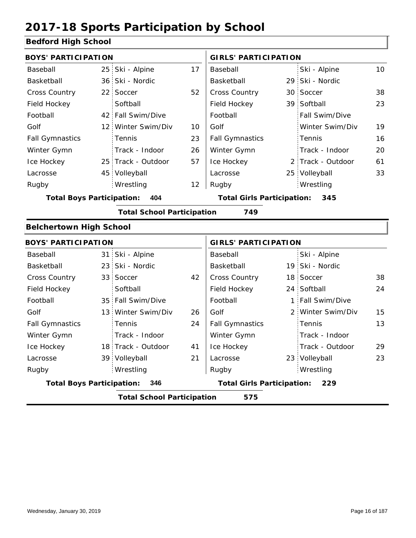### **Bedford High School**

|                |                                                                                                                                                                                                                                                                                                                                                                                                                                              | <b>GIRLS' PARTICIPATION</b> |                                                                        |                 |                                                                                                                                                                                                                                                                                       |
|----------------|----------------------------------------------------------------------------------------------------------------------------------------------------------------------------------------------------------------------------------------------------------------------------------------------------------------------------------------------------------------------------------------------------------------------------------------------|-----------------------------|------------------------------------------------------------------------|-----------------|---------------------------------------------------------------------------------------------------------------------------------------------------------------------------------------------------------------------------------------------------------------------------------------|
|                | 17                                                                                                                                                                                                                                                                                                                                                                                                                                           | Baseball                    |                                                                        | Ski - Alpine    | 10 <sup>°</sup>                                                                                                                                                                                                                                                                       |
|                |                                                                                                                                                                                                                                                                                                                                                                                                                                              | Basketball                  |                                                                        |                 |                                                                                                                                                                                                                                                                                       |
|                | 52                                                                                                                                                                                                                                                                                                                                                                                                                                           | Cross Country               |                                                                        |                 | 38                                                                                                                                                                                                                                                                                    |
| Softball       |                                                                                                                                                                                                                                                                                                                                                                                                                                              | Field Hockey                |                                                                        |                 | 23                                                                                                                                                                                                                                                                                    |
|                |                                                                                                                                                                                                                                                                                                                                                                                                                                              | Football                    |                                                                        | Fall Swim/Dive  |                                                                                                                                                                                                                                                                                       |
|                | 10                                                                                                                                                                                                                                                                                                                                                                                                                                           | Golf                        |                                                                        | Winter Swim/Div | 19                                                                                                                                                                                                                                                                                    |
| Tennis         | 23                                                                                                                                                                                                                                                                                                                                                                                                                                           | <b>Fall Gymnastics</b>      |                                                                        | Tennis          | 16                                                                                                                                                                                                                                                                                    |
| Track - Indoor | 26                                                                                                                                                                                                                                                                                                                                                                                                                                           | Winter Gymn                 |                                                                        | Track - Indoor  | 20                                                                                                                                                                                                                                                                                    |
|                | 57                                                                                                                                                                                                                                                                                                                                                                                                                                           | Ice Hockey                  |                                                                        |                 | 61                                                                                                                                                                                                                                                                                    |
|                |                                                                                                                                                                                                                                                                                                                                                                                                                                              | Lacrosse                    |                                                                        |                 | 33                                                                                                                                                                                                                                                                                    |
| Wrestling      | 12                                                                                                                                                                                                                                                                                                                                                                                                                                           | Rugby                       |                                                                        | Wrestling       |                                                                                                                                                                                                                                                                                       |
| 404            |                                                                                                                                                                                                                                                                                                                                                                                                                                              |                             |                                                                        | 345             |                                                                                                                                                                                                                                                                                       |
|                |                                                                                                                                                                                                                                                                                                                                                                                                                                              | 749                         |                                                                        |                 |                                                                                                                                                                                                                                                                                       |
|                |                                                                                                                                                                                                                                                                                                                                                                                                                                              |                             |                                                                        |                 |                                                                                                                                                                                                                                                                                       |
|                |                                                                                                                                                                                                                                                                                                                                                                                                                                              |                             |                                                                        |                 |                                                                                                                                                                                                                                                                                       |
|                |                                                                                                                                                                                                                                                                                                                                                                                                                                              | Baseball                    |                                                                        | Ski - Alpine    |                                                                                                                                                                                                                                                                                       |
|                |                                                                                                                                                                                                                                                                                                                                                                                                                                              | Basketball                  |                                                                        |                 |                                                                                                                                                                                                                                                                                       |
|                | 42                                                                                                                                                                                                                                                                                                                                                                                                                                           | Cross Country               |                                                                        |                 | 38                                                                                                                                                                                                                                                                                    |
| Softball       |                                                                                                                                                                                                                                                                                                                                                                                                                                              | Field Hockey                |                                                                        |                 | 24                                                                                                                                                                                                                                                                                    |
|                |                                                                                                                                                                                                                                                                                                                                                                                                                                              | Football                    |                                                                        | Fall Swim/Dive  |                                                                                                                                                                                                                                                                                       |
|                | 26                                                                                                                                                                                                                                                                                                                                                                                                                                           | Golf                        |                                                                        |                 | 15                                                                                                                                                                                                                                                                                    |
| Tennis         | 24                                                                                                                                                                                                                                                                                                                                                                                                                                           | <b>Fall Gymnastics</b>      |                                                                        | Tennis          | 13                                                                                                                                                                                                                                                                                    |
| Track - Indoor |                                                                                                                                                                                                                                                                                                                                                                                                                                              | Winter Gymn                 |                                                                        | Track - Indoor  |                                                                                                                                                                                                                                                                                       |
|                | 41                                                                                                                                                                                                                                                                                                                                                                                                                                           | Ice Hockey                  |                                                                        | Track - Outdoor | 29                                                                                                                                                                                                                                                                                    |
|                | 21                                                                                                                                                                                                                                                                                                                                                                                                                                           | Lacrosse                    |                                                                        |                 | 23                                                                                                                                                                                                                                                                                    |
| Wrestling      |                                                                                                                                                                                                                                                                                                                                                                                                                                              | Rugby                       |                                                                        | Wrestling       |                                                                                                                                                                                                                                                                                       |
| 346            |                                                                                                                                                                                                                                                                                                                                                                                                                                              |                             |                                                                        | 229             |                                                                                                                                                                                                                                                                                       |
|                |                                                                                                                                                                                                                                                                                                                                                                                                                                              | 575                         |                                                                        |                 |                                                                                                                                                                                                                                                                                       |
|                | <b>BOYS' PARTICIPATION</b><br>25 Ski - Alpine<br>36 Ski - Nordic<br>22 Soccer<br>42 Fall Swim/Dive<br>12 Winter Swim/Div<br>25 Track - Outdoor<br>45 Volleyball<br><b>Total Boys Participation:</b><br><b>Belchertown High School</b><br><b>BOYS' PARTICIPATION</b><br>31 Ski - Alpine<br>23 Ski - Nordic<br>33 Soccer<br>35 Fall Swim/Dive<br>13 Winter Swim/Div<br>18 Track - Outdoor<br>39 Volleyball<br><b>Total Boys Participation:</b> |                             | <b>Total School Participation</b><br><b>Total School Participation</b> |                 | 29 Ski - Nordic<br>30 Soccer<br>39 Softball<br>2 Track - Outdoor<br>25 Volleyball<br><b>Total Girls Participation:</b><br><b>GIRLS' PARTICIPATION</b><br>19 Ski - Nordic<br>18 Soccer<br>24 Softball<br>1:<br>2 Winter Swim/Div<br>23 Volleyball<br><b>Total Girls Participation:</b> |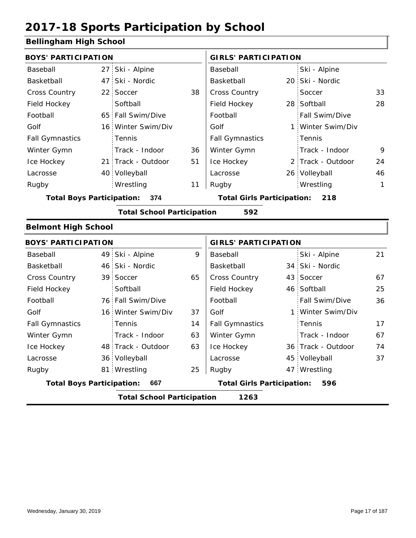### **Bellingham High School**

|                                  | <b>BOYS' PARTICIPATION</b> |                                   |    |                                   | <b>GIRLS' PARTICIPATION</b> |                   |              |  |  |
|----------------------------------|----------------------------|-----------------------------------|----|-----------------------------------|-----------------------------|-------------------|--------------|--|--|
| Baseball                         |                            | 27 Ski - Alpine                   |    | Baseball                          |                             | Ski - Alpine      |              |  |  |
| Basketball                       |                            | 47 Ski - Nordic                   |    | Basketball                        |                             | 20 Ski - Nordic   |              |  |  |
| Cross Country                    | 22 <sup>2</sup>            | Soccer                            | 38 | Cross Country                     |                             | Soccer            | 33           |  |  |
| Field Hockey                     |                            | Softball                          |    | Field Hockey                      |                             | 28 Softball       | 28           |  |  |
| Football                         |                            | 65 Fall Swim/Dive                 |    | Football                          |                             | Fall Swim/Dive    |              |  |  |
| Golf                             |                            | 16 Winter Swim/Div                |    | Golf                              |                             | 1 Winter Swim/Div |              |  |  |
| <b>Fall Gymnastics</b>           |                            | Tennis                            |    | <b>Fall Gymnastics</b>            |                             | Tennis            |              |  |  |
| Winter Gymn                      |                            | Track - Indoor                    | 36 | Winter Gymn                       |                             | Track - Indoor    | 9            |  |  |
| Ice Hockey                       |                            | 21 Track - Outdoor                | 51 | Ice Hockey                        |                             | 2 Track - Outdoor | 24           |  |  |
| Lacrosse                         |                            | 40 Volleyball                     |    | Lacrosse                          |                             | 26 Volleyball     | 46           |  |  |
| Rugby                            |                            | Wrestling                         | 11 | Rugby                             |                             | Wrestling         | $\mathbf{1}$ |  |  |
| <b>Total Boys Participation:</b> |                            | 374                               |    | <b>Total Girls Participation:</b> |                             | 218               |              |  |  |
|                                  |                            | <b>Total School Participation</b> |    | 592                               |                             |                   |              |  |  |
| <b>Belmont High School</b>       |                            |                                   |    |                                   |                             |                   |              |  |  |
| <b>BOYS' PARTICIPATION</b>       |                            |                                   |    | <b>GIRLS' PARTICIPATION</b>       |                             |                   |              |  |  |
| Baseball                         |                            | 49 Ski - Alpine                   | 9  | Baseball                          |                             | Ski - Alpine      | 21           |  |  |
| Basketball                       |                            | 46 Ski - Nordic                   |    | Basketball                        |                             | 34 Ski - Nordic   |              |  |  |
| Cross Country                    |                            | 39 Soccer                         | 65 | Cross Country                     |                             | 43 Soccer         | 67           |  |  |
| Field Hockey                     |                            | Softball                          |    | Field Hockey                      |                             | 46 Softball       | 25           |  |  |
| Football                         |                            | 76 Fall Swim/Dive                 |    | Football                          |                             | Fall Swim/Dive    | 36           |  |  |
| Golf                             |                            | 16 Winter Swim/Div                | 37 | Golf                              | $\mathbf{1}$                | Winter Swim/Div   |              |  |  |
| <b>Fall Gymnastics</b>           |                            | Tennis                            | 14 | <b>Fall Gymnastics</b>            |                             | Tennis            | 17           |  |  |
| Winter Gymn                      |                            | Track - Indoor                    | 63 | Winter Gymn                       |                             | Track - Indoor    | 67           |  |  |

| <b>Total School Participation</b><br>1263 |  |                    |    |                                   |  |                    |  |
|-------------------------------------------|--|--------------------|----|-----------------------------------|--|--------------------|--|
| <b>Total Boys Participation:</b>          |  | 667                |    | <b>Total Girls Participation:</b> |  | 596                |  |
| Rugby                                     |  | 81 Wrestling       | 25 | Rugby                             |  | 47 Wrestling       |  |
| Lacrosse                                  |  | 36 Volleyball      |    | Lacrosse                          |  | 45 Volleyball      |  |
| Ice Hockey                                |  | 48 Track - Outdoor | 63 | Ice Hockey                        |  | 36 Track - Outdoor |  |
| Winter Gymn                               |  | Track - Indoor     | 63 | Winter Gymn                       |  | Track - Indoor     |  |
| <b>Fall Gymnastics</b>                    |  | .<br>Fennis        | 14 | <b>Fall Gymnastics</b>            |  | Tennis             |  |
|                                           |  |                    |    |                                   |  |                    |  |

74

37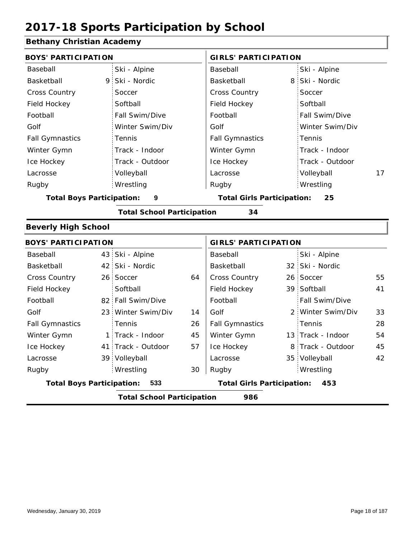### **Bethany Christian Academy**

| <b>BOYS' PARTICIPATION</b>       |                                   |    | <b>GIRLS' PARTICIPATION</b>             |   |                   |    |  |
|----------------------------------|-----------------------------------|----|-----------------------------------------|---|-------------------|----|--|
| Baseball                         | Ski - Alpine                      |    | Baseball                                |   | Ski - Alpine      |    |  |
| Basketball<br>9                  | Ski - Nordic                      |    | Basketball                              | 8 | Ski - Nordic      |    |  |
| <b>Cross Country</b>             | Soccer                            |    | Cross Country                           |   | Soccer            |    |  |
| Field Hockey                     | Softball                          |    | Field Hockey                            |   | Softball          |    |  |
| Football                         | Fall Swim/Dive                    |    | Football                                |   | Fall Swim/Dive    |    |  |
| Golf                             | Winter Swim/Div                   |    | Golf                                    |   | Winter Swim/Div   |    |  |
| <b>Fall Gymnastics</b>           | Tennis                            |    | <b>Fall Gymnastics</b>                  |   | Tennis            |    |  |
| Winter Gymn                      | Track - Indoor                    |    | Winter Gymn                             |   | Track - Indoor    |    |  |
| Ice Hockey                       | Track - Outdoor                   |    | Ice Hockey                              |   | Track - Outdoor   |    |  |
| Lacrosse                         | Volleyball                        |    | Lacrosse                                |   | Volleyball        | 17 |  |
| Rugby                            | Wrestling                         |    | Rugby                                   |   | Wrestling         |    |  |
| <b>Total Boys Participation:</b> | $\boldsymbol{9}$                  |    | <b>Total Girls Participation:</b><br>25 |   |                   |    |  |
|                                  | <b>Total School Participation</b> |    | 34                                      |   |                   |    |  |
| <b>Beverly High School</b>       |                                   |    |                                         |   |                   |    |  |
| <b>BOYS' PARTICIPATION</b>       |                                   |    | <b>GIRLS' PARTICIPATION</b>             |   |                   |    |  |
| Baseball                         | 43 Ski - Alpine                   |    | Baseball                                |   | Ski - Alpine      |    |  |
| Basketball                       | 42 Ski - Nordic                   |    | Basketball                              |   | 32 Ski - Nordic   |    |  |
| <b>Cross Country</b>             | 26 Soccer                         | 64 | Cross Country                           |   | 26 Soccer         | 55 |  |
| Field Hockey                     | Softball                          |    | Field Hockey                            |   | 39 Softball       | 41 |  |
| Football                         | 82 Fall Swim/Dive                 |    | Football                                |   | Fall Swim/Dive    |    |  |
| Golf                             | 23 Winter Swim/Div                | 14 | Golf                                    |   | 2 Winter Swim/Div | 33 |  |
| <b>Fall Gymnastics</b>           | Tennis                            | 26 | <b>Fall Gymnastics</b>                  |   | Tennis            | 28 |  |
| Winter Gymn                      | 1 Track - Indoor                  | 45 | Winter Gymn                             |   | 13 Track - Indoor | 54 |  |
| Ice Hockey                       | 41 Track - Outdoor                | 57 | Ice Hockey                              |   | 8 Track - Outdoor | 45 |  |
| Lacrosse                         | 39 Volleyball                     |    | Lacrosse                                |   | 35 Volleyball     | 42 |  |
| Rugby                            | Wrestling                         | 30 | Rugby                                   |   | Wrestling         |    |  |
| <b>Total Boys Participation:</b> | 533                               |    | <b>Total Girls Participation:</b>       |   | 453               |    |  |
|                                  | <b>Total School Participation</b> |    | 986                                     |   |                   |    |  |

I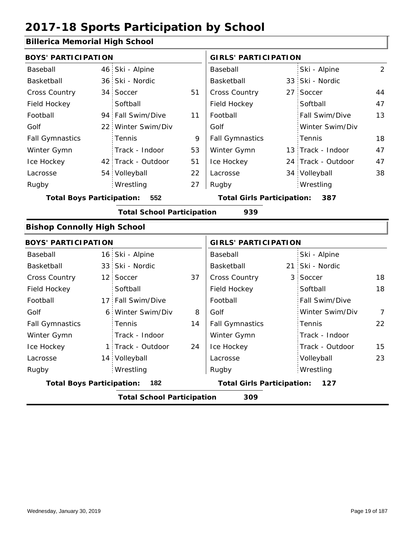### **Billerica Memorial High School**

| <b>BOYS' PARTICIPATION</b>                                                          |     |                                   |    | <b>GIRLS' PARTICIPATION</b> |                 |                    |                |  |
|-------------------------------------------------------------------------------------|-----|-----------------------------------|----|-----------------------------|-----------------|--------------------|----------------|--|
| Baseball                                                                            |     | 46 Ski - Alpine                   |    | Baseball                    |                 | Ski - Alpine       | $\overline{2}$ |  |
| Basketball                                                                          |     | 36 Ski - Nordic                   |    | Basketball                  |                 | 33 Ski - Nordic    |                |  |
| Cross Country                                                                       |     | 34 Soccer                         | 51 | Cross Country               | 27 <sup>1</sup> | Soccer             | 44             |  |
| Field Hockey                                                                        |     | Softball                          |    | Field Hockey                |                 | Softball           | 47             |  |
| Football                                                                            |     | 94 Fall Swim/Dive                 | 11 | Football                    |                 | Fall Swim/Dive     | 13             |  |
| Golf                                                                                |     | 22 Winter Swim/Div                |    | Golf                        |                 | Winter Swim/Div    |                |  |
| <b>Fall Gymnastics</b>                                                              |     | Tennis                            | 9  | <b>Fall Gymnastics</b>      |                 | Tennis             | 18             |  |
| Winter Gymn                                                                         |     | Track - Indoor                    | 53 | Winter Gymn                 |                 | 13 Track - Indoor  | 47             |  |
| Ice Hockey                                                                          |     | 42 Track - Outdoor                | 51 | Ice Hockey                  |                 | 24 Track - Outdoor | 47             |  |
| Lacrosse                                                                            |     | 54 Volleyball                     | 22 | Lacrosse                    |                 | 34 Volleyball      | 38             |  |
| Rugby                                                                               |     | Wrestling                         | 27 | Rugby                       |                 | Wrestling          |                |  |
| <b>Total Boys Participation:</b>                                                    | 552 | <b>Total Girls Participation:</b> |    | 387                         |                 |                    |                |  |
|                                                                                     |     | <b>Total School Participation</b> |    | 939                         |                 |                    |                |  |
| <b>Bishop Connolly High School</b>                                                  |     |                                   |    |                             |                 |                    |                |  |
| <b>BOYS' PARTICIPATION</b>                                                          |     |                                   |    | <b>GIRLS' PARTICIPATION</b> |                 |                    |                |  |
| Baseball                                                                            |     | 16 Ski - Alpine                   |    | Baseball                    |                 | Ski - Alpine       |                |  |
| Basketball                                                                          |     | 33 Ski - Nordic                   |    | Basketball                  |                 | 21 Ski - Nordic    |                |  |
| Cross Country                                                                       |     | 12 Soccer                         | 37 | Cross Country               | 3 <sup>1</sup>  | Soccer             | 18             |  |
| Field Hockey                                                                        |     | Softball                          |    | Field Hockey                |                 | Softball           | 18             |  |
| Football                                                                            |     | 17 Fall Swim/Dive                 |    | Football                    |                 | Fall Swim/Dive     |                |  |
| Golf                                                                                |     | 6 Winter Swim/Div                 | 8  | Golf                        |                 | Winter Swim/Div    | 7              |  |
| <b>Fall Gymnastics</b>                                                              |     | Tennis                            | 14 | <b>Fall Gymnastics</b>      |                 | Tennis             | 22             |  |
| Winter Gymn                                                                         |     | Track - Indoor                    |    | Winter Gymn                 |                 | Track - Indoor     |                |  |
| Ice Hockey                                                                          |     | 1 Track - Outdoor                 | 24 | Ice Hockey                  |                 | Track - Outdoor    | 15             |  |
| Lacrosse                                                                            |     | 14 Volleyball                     |    | Lacrosse                    |                 | Volleyball         | 23             |  |
| Rugby                                                                               |     | Wrestling                         |    | Rugby                       |                 | Wrestling          |                |  |
| 182<br><b>Total Girls Participation:</b><br><b>Total Boys Participation:</b><br>127 |     |                                   |    |                             |                 |                    |                |  |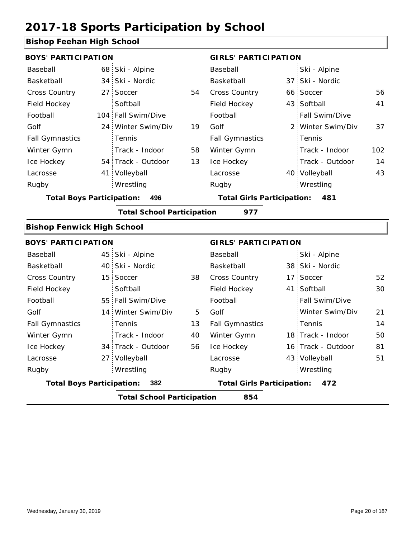34 Track - Outdoor

27 Volleyball

Wrestling Rugby Rugby

#### **Bishop Feehan High School**

|                                         | <b>BOYS' PARTICIPATION</b> |                                   |    |                                   |  | <b>GIRLS' PARTICIPATION</b> |     |  |  |  |
|-----------------------------------------|----------------------------|-----------------------------------|----|-----------------------------------|--|-----------------------------|-----|--|--|--|
| Baseball                                | 68 <sup>1</sup>            | Ski - Alpine                      |    | Baseball                          |  | Ski - Alpine                |     |  |  |  |
| Basketball                              | 34                         | Ski - Nordic                      |    | Basketball                        |  | 37 Ski - Nordic             |     |  |  |  |
| Cross Country                           | 27                         | Soccer                            | 54 | Cross Country                     |  | 66 Soccer                   | 56  |  |  |  |
| Field Hockey                            |                            | Softball                          |    | Field Hockey                      |  | 43 Softball                 | 41  |  |  |  |
| Football                                | 104                        | Fall Swim/Dive                    |    | Football                          |  | Fall Swim/Dive              |     |  |  |  |
| Golf                                    | 24 <sup>1</sup>            | Winter Swim/Div                   | 19 | Golf                              |  | 2 Winter Swim/Div           | 37  |  |  |  |
| <b>Fall Gymnastics</b>                  |                            | Tennis                            |    | <b>Fall Gymnastics</b>            |  | Tennis                      |     |  |  |  |
| Winter Gymn                             |                            | Track - Indoor                    | 58 | Winter Gymn                       |  | Track - Indoor              | 102 |  |  |  |
| Ice Hockey                              |                            | 54 Track - Outdoor                | 13 | Ice Hockey                        |  | Track - Outdoor             | 14  |  |  |  |
| Lacrosse                                | 41                         | Volleyball                        |    | Lacrosse                          |  | 40 Volleyball               | 43  |  |  |  |
| Rugby                                   |                            | Wrestling                         |    | Rugby                             |  | Wrestling                   |     |  |  |  |
| 496<br><b>Total Boys Participation:</b> |                            |                                   |    | <b>Total Girls Participation:</b> |  | 481                         |     |  |  |  |
|                                         |                            | <b>Total School Participation</b> |    | 977                               |  |                             |     |  |  |  |
| <b>Bishop Fenwick High School</b>       |                            |                                   |    |                                   |  |                             |     |  |  |  |
| <b>BOYS' PARTICIPATION</b>              |                            |                                   |    | <b>GIRLS' PARTICIPATION</b>       |  |                             |     |  |  |  |
| Baseball                                | 45                         | Ski - Alpine                      |    | Baseball                          |  | Ski - Alpine                |     |  |  |  |
| Basketball                              | 40                         | Ski - Nordic                      |    | Basketball                        |  | 38 Ski - Nordic             |     |  |  |  |
| <b>Cross Country</b>                    | 15                         | Soccer                            | 38 | Cross Country                     |  | 17 Soccer                   | 52  |  |  |  |
| Field Hockey                            |                            | Softball                          |    | Field Hockey                      |  | 41 Softball                 | 30  |  |  |  |
|                                         |                            |                                   |    |                                   |  |                             |     |  |  |  |
| Football                                | 55                         | Fall Swim/Dive                    |    | Football                          |  | Fall Swim/Dive              |     |  |  |  |
| Golf                                    | 14                         | Winter Swim/Div                   | 5  | Golf                              |  | Winter Swim/Div             | 21  |  |  |  |
| <b>Fall Gymnastics</b>                  |                            | Tennis                            | 13 | <b>Fall Gymnastics</b>            |  | Tennis                      | 14  |  |  |  |

56

**Total Boys Participation: 382 Total Girls Participation: 472**

**Total School Participation 854**

Ice Hockey Lacrosse

Ice Hockey Lacrosse

81

16 Track - Outdoor

Wrestling

43 Volleyball 51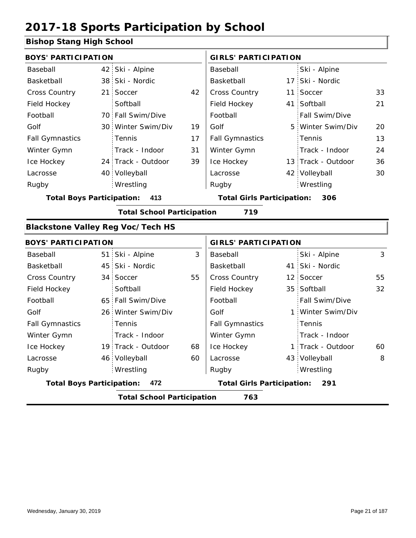### **Bishop Stang High School**

| <b>BOYS' PARTICIPATION</b>               |                 |                                   |    | <b>GIRLS' PARTICIPATION</b>       |  |                    |    |
|------------------------------------------|-----------------|-----------------------------------|----|-----------------------------------|--|--------------------|----|
| Baseball                                 | 42              | Ski - Alpine                      |    | Baseball                          |  | Ski - Alpine       |    |
| Basketball                               |                 | 38 Ski - Nordic                   |    | Basketball                        |  | 17 Ski - Nordic    |    |
| Cross Country                            | 21 <sup>1</sup> | Soccer                            | 42 | <b>Cross Country</b>              |  | 11 Soccer          | 33 |
| Field Hockey                             |                 | Softball                          |    | Field Hockey                      |  | 41 Softball        | 21 |
| Football                                 |                 | 70 Fall Swim/Dive                 |    | Football                          |  | Fall Swim/Dive     |    |
| Golf                                     |                 | 30 Winter Swim/Div                | 19 | Golf                              |  | 5 Winter Swim/Div  | 20 |
| <b>Fall Gymnastics</b>                   |                 | Tennis                            | 17 | <b>Fall Gymnastics</b>            |  | Tennis             | 13 |
| Winter Gymn                              |                 | Track - Indoor                    | 31 | Winter Gymn                       |  | Track - Indoor     | 24 |
| Ice Hockey                               |                 | 24 Track - Outdoor                | 39 | Ice Hockey                        |  | 13 Track - Outdoor | 36 |
| Lacrosse                                 |                 | 40 Volleyball                     |    | Lacrosse                          |  | 42 Volleyball      | 30 |
| Rugby                                    |                 | Wrestling                         |    | Rugby                             |  | Wrestling          |    |
| <b>Total Boys Participation:</b>         |                 | 413                               |    | <b>Total Girls Participation:</b> |  | 306                |    |
|                                          |                 | <b>Total School Participation</b> |    | 719                               |  |                    |    |
| <b>Blackstone Valley Reg Voc/Tech HS</b> |                 |                                   |    |                                   |  |                    |    |
| <b>BOYS' PARTICIPATION</b>               |                 |                                   |    | <b>GIRLS' PARTICIPATION</b>       |  |                    |    |
| Baseball                                 |                 | 51 Ski - Alpine                   | 3  | Baseball                          |  | Ski - Alpine       | 3  |
| Basketball                               |                 | 45 Ski - Nordic                   |    | Basketball                        |  | 41 Ski - Nordic    |    |
| <b>Cross Country</b>                     |                 | 34 Soccer                         | 55 | <b>Cross Country</b>              |  | 12 Soccer          | 55 |
| Field Hockey                             |                 | Softball                          |    | Field Hockey                      |  | 35 Softball        | 32 |
| Football                                 |                 | 65 Fall Swim/Dive                 |    | Football                          |  | Fall Swim/Dive     |    |
| Golf                                     |                 | 26 Winter Swim/Div                |    | Golf                              |  | 1 Winter Swim/Div  |    |
| <b>Fall Gymnastics</b>                   |                 | Tennis                            |    | <b>Fall Gymnastics</b>            |  | Tennis             |    |
| Winter Gymn                              |                 | Track - Indoor                    |    | Winter Gymn                       |  | Track - Indoor     |    |
| Ice Hockey                               |                 | 19 Track - Outdoor                | 68 | Ice Hockey                        |  | 1 Track - Outdoor  | 60 |
| Lacrosse                                 |                 | 46 Volleyball                     | 60 | Lacrosse                          |  | 43 Volleyball      | 8  |
| Rugby                                    |                 | Wrestling                         |    | Rugby                             |  | Wrestling          |    |
| <b>Total Boys Participation:</b>         |                 | 472                               |    | <b>Total Girls Participation:</b> |  | 291                |    |
|                                          |                 | <b>Total School Participation</b> |    | 763                               |  |                    |    |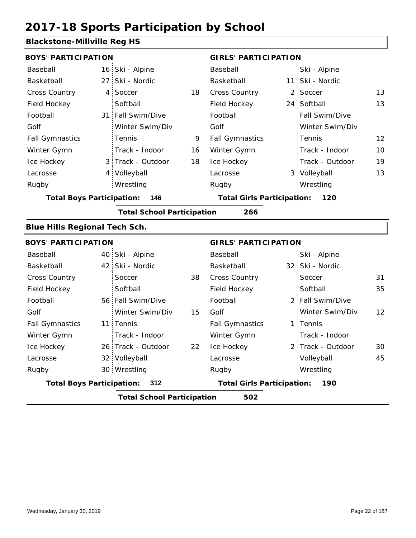### **Blackstone-Millville Reg HS**

| <b>BOYS' PARTICIPATION</b>           |                 |                                   |    | <b>GIRLS' PARTICIPATION</b>       |   |                   |    |
|--------------------------------------|-----------------|-----------------------------------|----|-----------------------------------|---|-------------------|----|
| Baseball                             | 16 <sub>1</sub> | Ski - Alpine                      |    | Baseball                          |   | Ski - Alpine      |    |
| Basketball                           | 27              | Ski - Nordic                      |    | Basketball                        |   | 11 Ski - Nordic   |    |
| <b>Cross Country</b>                 | $\overline{4}$  | Soccer                            | 18 | Cross Country                     | 2 | Soccer            | 13 |
| Field Hockey                         |                 | Softball                          |    | Field Hockey                      |   | 24 Softball       | 13 |
| Football                             |                 | 31 Fall Swim/Dive                 |    | Football                          |   | Fall Swim/Dive    |    |
| Golf                                 |                 | Winter Swim/Div                   |    | Golf                              |   | Winter Swim/Div   |    |
| <b>Fall Gymnastics</b>               |                 | Tennis                            | 9  | <b>Fall Gymnastics</b>            |   | Tennis            | 12 |
| Winter Gymn                          |                 | Track - Indoor                    | 16 | Winter Gymn                       |   | Track - Indoor    | 10 |
| Ice Hockey                           |                 | 3 Track - Outdoor                 | 18 | Ice Hockey                        |   | Track - Outdoor   | 19 |
| Lacrosse                             |                 | 4 Volleyball                      |    | Lacrosse                          |   | 3 Volleyball      | 13 |
| Rugby                                |                 | Wrestling                         |    | Rugby                             |   | Wrestling         |    |
| <b>Total Boys Participation:</b>     |                 | 146                               |    | <b>Total Girls Participation:</b> |   | 120               |    |
|                                      |                 | <b>Total School Participation</b> |    | 266                               |   |                   |    |
| <b>Blue Hills Regional Tech Sch.</b> |                 |                                   |    |                                   |   |                   |    |
| <b>BOYS' PARTICIPATION</b>           |                 |                                   |    | <b>GIRLS' PARTICIPATION</b>       |   |                   |    |
| Baseball                             |                 | 40 Ski - Alpine                   |    | Baseball                          |   | Ski - Alpine      |    |
| Basketball                           | 42:             | Ski - Nordic                      |    | Basketball                        |   | 32 Ski - Nordic   |    |
| <b>Cross Country</b>                 |                 | Soccer                            | 38 | Cross Country                     |   | Soccer            | 31 |
| Field Hockey                         |                 | Softball                          |    | Field Hockey                      |   | Softball          | 35 |
| Football                             |                 | 56 Fall Swim/Dive                 |    | Football                          |   | 2 Fall Swim/Dive  |    |
| Golf                                 |                 | Winter Swim/Div                   | 15 | Golf                              |   | Winter Swim/Div   | 12 |
| <b>Fall Gymnastics</b>               |                 | 11 Tennis                         |    | <b>Fall Gymnastics</b>            |   | 1 Tennis          |    |
| Winter Gymn                          |                 | Track - Indoor                    |    | Winter Gymn                       |   | Track - Indoor    |    |
| Ice Hockey                           |                 | 26 Track - Outdoor                | 22 | Ice Hockey                        |   | 2 Track - Outdoor | 30 |
| Lacrosse                             |                 | 32 Volleyball                     |    | Lacrosse                          |   | Volleyball        | 45 |
| Rugby                                |                 | 30 Wrestling                      |    | Rugby                             |   | Wrestling         |    |
| <b>Total Boys Participation:</b>     |                 | 312                               |    | <b>Total Girls Participation:</b> |   | 190               |    |
|                                      |                 | <b>Total School Participation</b> |    | 502                               |   |                   |    |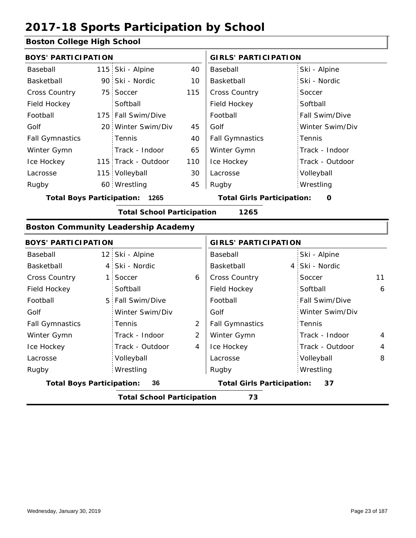### **Boston College High School**

| <b>BOYS' PARTICIPATION</b> |                |                                            |                | <b>GIRLS' PARTICIPATION</b>       |  |                 |    |
|----------------------------|----------------|--------------------------------------------|----------------|-----------------------------------|--|-----------------|----|
| Baseball                   |                | 115 Ski - Alpine                           | 40             | Baseball                          |  | Ski - Alpine    |    |
| Basketball                 |                | 90 Ski - Nordic                            | 10             | Basketball                        |  | Ski - Nordic    |    |
| Cross Country              |                | 75 Soccer                                  | 115            | Cross Country                     |  | Soccer          |    |
| Field Hockey               |                | Softball                                   |                | Field Hockey                      |  | Softball        |    |
| Football                   |                | 175 Fall Swim/Dive                         |                | Football                          |  | Fall Swim/Dive  |    |
| Golf                       |                | 20 Winter Swim/Div                         | 45             | Golf                              |  | Winter Swim/Div |    |
| <b>Fall Gymnastics</b>     |                | Tennis                                     | 40             | <b>Fall Gymnastics</b>            |  | Tennis          |    |
| Winter Gymn                |                | Track - Indoor                             | 65             | Winter Gymn                       |  | Track - Indoor  |    |
| Ice Hockey                 |                | 115 Track - Outdoor                        | 110            | Ice Hockey                        |  | Track - Outdoor |    |
| Lacrosse                   |                | 115 Volleyball                             | 30             | Lacrosse                          |  | Volleyball      |    |
| Rugby                      |                | 60 Wrestling                               | 45             | Rugby                             |  | Wrestling       |    |
|                            |                | <b>Total Boys Participation: 1265</b>      |                | <b>Total Girls Participation:</b> |  | $\mathbf 0$     |    |
|                            |                | <b>Total School Participation</b>          |                | 1265                              |  |                 |    |
|                            |                | <b>Boston Community Leadership Academy</b> |                |                                   |  |                 |    |
| <b>BOYS' PARTICIPATION</b> |                |                                            |                | <b>GIRLS' PARTICIPATION</b>       |  |                 |    |
| Baseball                   |                | 12 Ski - Alpine                            |                | Baseball                          |  | Ski - Alpine    |    |
| Basketball                 | $\overline{4}$ | Ski - Nordic                               |                | Basketball                        |  | 4 Ski - Nordic  |    |
| <b>Cross Country</b>       | 1:             | Soccer                                     | 6              | <b>Cross Country</b>              |  | Soccer          | 11 |
| Field Hockey               |                | Softball                                   |                | Field Hockey                      |  | Softball        | 6  |
| Football                   | 5              | Fall Swim/Dive                             |                | Football                          |  | Fall Swim/Dive  |    |
| Golf                       |                | Winter Swim/Div                            |                | Golf                              |  | Winter Swim/Div |    |
| <b>Fall Gymnastics</b>     |                | Tennis                                     | $\overline{2}$ | <b>Fall Gymnastics</b>            |  | Tennis          |    |
| Winter Gymn                |                | Track - Indoor                             | $\overline{2}$ | Winter Gymn                       |  | Track - Indoor  | 4  |
| Ice Hockey                 |                | Track - Outdoor                            | $\overline{4}$ | Ice Hockey                        |  | Track - Outdoor | 4  |
| Lacrosse                   |                | Volleyball                                 |                | Lacrosse                          |  | Volleyball      | 8  |

Wrestling Rugby Rugby Wrestling **Total Boys Participation: 36 Total Girls Participation: 37**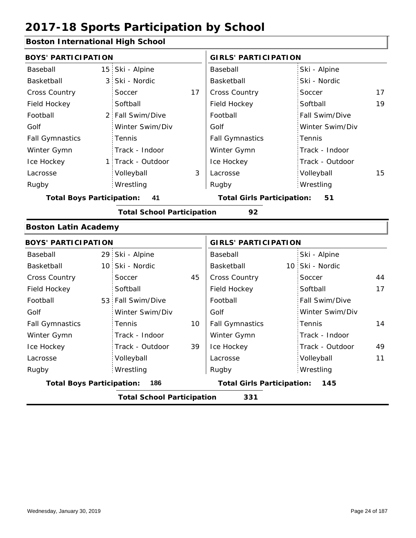### **Boston International High School**

| <b>BOYS' PARTICIPATION</b>              |                 |                                   |    | <b>GIRLS' PARTICIPATION</b>              |                 |    |  |
|-----------------------------------------|-----------------|-----------------------------------|----|------------------------------------------|-----------------|----|--|
| Baseball                                | 15              | Ski - Alpine                      |    | Baseball                                 | Ski - Alpine    |    |  |
| Basketball                              | 3               | Ski - Nordic                      |    | Basketball                               | Ski - Nordic    |    |  |
| <b>Cross Country</b>                    |                 | Soccer                            | 17 | Cross Country                            | Soccer          | 17 |  |
| Field Hockey                            |                 | Softball                          |    | Field Hockey                             | Softball        | 19 |  |
| Football                                | $2^+$           | Fall Swim/Dive                    |    | Football                                 | Fall Swim/Dive  |    |  |
| Golf                                    |                 | Winter Swim/Div                   |    | Golf                                     | Winter Swim/Div |    |  |
| <b>Fall Gymnastics</b>                  |                 | Tennis                            |    | <b>Fall Gymnastics</b>                   | Tennis          |    |  |
| Winter Gymn                             |                 | Track - Indoor                    |    | Winter Gymn                              | Track - Indoor  |    |  |
| Ice Hockey                              | 1:              | Track - Outdoor                   |    | Ice Hockey                               | Track - Outdoor |    |  |
| Lacrosse                                |                 | Volleyball                        | 3  | Lacrosse                                 | Volleyball      | 15 |  |
| Rugby                                   |                 | Wrestling                         |    | Rugby                                    | Wrestling       |    |  |
| <b>Total Boys Participation:</b>        |                 | 41                                |    | <b>Total Girls Participation:</b>        | 51              |    |  |
|                                         |                 | <b>Total School Participation</b> |    | 92                                       |                 |    |  |
| <b>Boston Latin Academy</b>             |                 |                                   |    |                                          |                 |    |  |
| <b>BOYS' PARTICIPATION</b>              |                 |                                   |    | <b>GIRLS' PARTICIPATION</b>              |                 |    |  |
| Baseball                                | 29              | Ski - Alpine                      |    | Baseball                                 | Ski - Alpine    |    |  |
| Basketball                              | 10:             | Ski - Nordic                      |    | Basketball                               | 10 Ski - Nordic |    |  |
| <b>Cross Country</b>                    |                 | Soccer                            | 45 | Cross Country                            | Soccer          | 44 |  |
| Field Hockey                            |                 | Softball                          |    | Field Hockey                             | Softball        | 17 |  |
| Football                                | 53 <sup>1</sup> | Fall Swim/Dive                    |    | Football                                 | Fall Swim/Dive  |    |  |
| Golf                                    |                 | Winter Swim/Div                   |    | Golf                                     | Winter Swim/Div |    |  |
| <b>Fall Gymnastics</b>                  |                 | Tennis                            | 10 | <b>Fall Gymnastics</b>                   | Tennis          | 14 |  |
| Winter Gymn                             |                 | Track - Indoor                    |    | Winter Gymn                              | Track - Indoor  |    |  |
| Ice Hockey                              |                 | Track - Outdoor                   | 39 | Ice Hockey                               | Track - Outdoor | 49 |  |
| Lacrosse                                |                 | Volleyball                        |    | Lacrosse                                 | Volleyball      | 11 |  |
| Rugby                                   |                 | Wrestling                         |    | Rugby                                    | Wrestling       |    |  |
| <b>Total Boys Participation:</b><br>186 |                 |                                   |    | <b>Total Girls Participation:</b><br>145 |                 |    |  |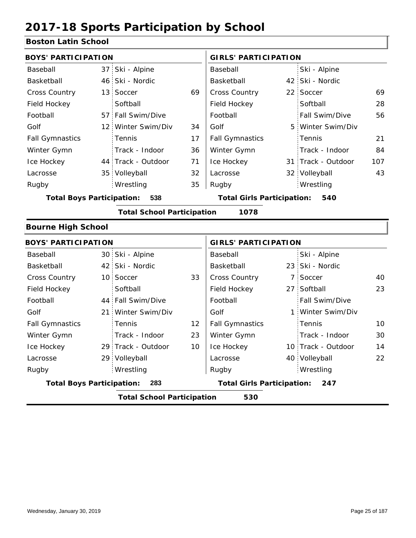### **Boston Latin School**

| <b>BOYS' PARTICIPATION</b>              |                 |                                   |    | <b>GIRLS' PARTICIPATION</b>       |  |                    |     |  |
|-----------------------------------------|-----------------|-----------------------------------|----|-----------------------------------|--|--------------------|-----|--|
| Baseball                                | 37              | Ski - Alpine                      |    | Baseball                          |  | Ski - Alpine       |     |  |
| Basketball                              | 46:             | Ski - Nordic                      |    | Basketball                        |  | 42 Ski - Nordic    |     |  |
| Cross Country                           | 13              | Soccer                            | 69 | <b>Cross Country</b>              |  | 22 Soccer          | 69  |  |
| Field Hockey                            |                 | Softball                          |    | Field Hockey                      |  | Softball           | 28  |  |
| Football                                | 57              | Fall Swim/Dive                    |    | Football                          |  | Fall Swim/Dive     | 56  |  |
| Golf                                    | 12 <sup>1</sup> | Winter Swim/Div                   | 34 | Golf                              |  | 5 Winter Swim/Div  |     |  |
| <b>Fall Gymnastics</b>                  |                 | Tennis                            | 17 | <b>Fall Gymnastics</b>            |  | Tennis             | 21  |  |
| Winter Gymn                             |                 | Track - Indoor                    | 36 | Winter Gymn                       |  | Track - Indoor     | 84  |  |
| Ice Hockey                              |                 | 44 Track - Outdoor                | 71 | Ice Hockey                        |  | 31 Track - Outdoor | 107 |  |
| Lacrosse                                | 35 <sub>1</sub> | Volleyball                        | 32 | Lacrosse                          |  | 32 Volleyball      | 43  |  |
| Rugby                                   |                 | Wrestling                         | 35 | Rugby                             |  | Wrestling          |     |  |
| <b>Total Boys Participation:</b><br>538 |                 |                                   |    | <b>Total Girls Participation:</b> |  | 540                |     |  |
|                                         |                 | <b>Total School Participation</b> |    | 1078                              |  |                    |     |  |
| <b>Bourne High School</b>               |                 |                                   |    |                                   |  |                    |     |  |
| <b>BOYS' PARTICIPATION</b>              |                 |                                   |    | <b>GIRLS' PARTICIPATION</b>       |  |                    |     |  |
| Baseball                                |                 | 30 Ski - Alpine                   |    | Baseball                          |  | Ski - Alpine       |     |  |
| Basketball                              | 42              | Ski - Nordic                      |    | Basketball                        |  | 23 Ski - Nordic    |     |  |
| <b>Cross Country</b>                    | 10:             | Soccer                            | 33 | Cross Country                     |  | 7 Soccer           | 40  |  |
| Field Hockey                            |                 | Softball                          |    | Field Hockey                      |  | 27 Softball        | 23  |  |
| Football                                | 44:             | Fall Swim/Dive                    |    | Football                          |  | Fall Swim/Dive     |     |  |
| Golf                                    | 21:             | Winter Swim/Div                   |    | Golf                              |  | 1 Winter Swim/Div  |     |  |
| <b>Fall Gymnastics</b>                  |                 | Tennis                            | 12 | <b>Fall Gymnastics</b>            |  | Tennis             | 10  |  |
| Winter Gymn                             |                 | Track - Indoor                    | 23 | Winter Gymn                       |  | Track - Indoor     | 30  |  |
| Ice Hockey                              |                 | 29 Track - Outdoor                | 10 | Ice Hockey                        |  | 10 Track - Outdoor | 14  |  |
| Lacrosse                                | 29              | Volleyball                        |    | Lacrosse                          |  | 40 Volleyball      | 22  |  |
| Rugby                                   |                 | Wrestling                         |    | Rugby                             |  | Wrestling          |     |  |
| <b>Total Boys Participation:</b>        |                 | 283                               |    | <b>Total Girls Participation:</b> |  | 247                |     |  |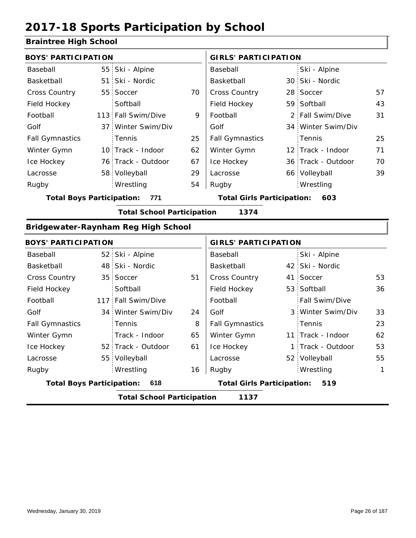### **Braintree High School**

|                                           |                                                                                                                                                                                                                                                                                                                                                                                                                                   | <b>GIRLS' PARTICIPATION</b>         |                                   |                |                                                                                                                                                                                                                                                                                                                                                                                    |  |  |
|-------------------------------------------|-----------------------------------------------------------------------------------------------------------------------------------------------------------------------------------------------------------------------------------------------------------------------------------------------------------------------------------------------------------------------------------------------------------------------------------|-------------------------------------|-----------------------------------|----------------|------------------------------------------------------------------------------------------------------------------------------------------------------------------------------------------------------------------------------------------------------------------------------------------------------------------------------------------------------------------------------------|--|--|
|                                           |                                                                                                                                                                                                                                                                                                                                                                                                                                   | Baseball                            |                                   | Ski - Alpine   |                                                                                                                                                                                                                                                                                                                                                                                    |  |  |
|                                           |                                                                                                                                                                                                                                                                                                                                                                                                                                   | Basketball                          |                                   |                |                                                                                                                                                                                                                                                                                                                                                                                    |  |  |
|                                           | 70                                                                                                                                                                                                                                                                                                                                                                                                                                | <b>Cross Country</b>                |                                   |                | 57                                                                                                                                                                                                                                                                                                                                                                                 |  |  |
| Softball                                  |                                                                                                                                                                                                                                                                                                                                                                                                                                   | Field Hockey                        |                                   |                | 43                                                                                                                                                                                                                                                                                                                                                                                 |  |  |
|                                           | 9                                                                                                                                                                                                                                                                                                                                                                                                                                 | Football                            |                                   |                | 31                                                                                                                                                                                                                                                                                                                                                                                 |  |  |
|                                           |                                                                                                                                                                                                                                                                                                                                                                                                                                   | Golf                                |                                   |                |                                                                                                                                                                                                                                                                                                                                                                                    |  |  |
| Tennis                                    | 25                                                                                                                                                                                                                                                                                                                                                                                                                                | <b>Fall Gymnastics</b>              |                                   | Tennis         | 25                                                                                                                                                                                                                                                                                                                                                                                 |  |  |
|                                           | 62                                                                                                                                                                                                                                                                                                                                                                                                                                | Winter Gymn                         |                                   |                | 71                                                                                                                                                                                                                                                                                                                                                                                 |  |  |
|                                           | 67                                                                                                                                                                                                                                                                                                                                                                                                                                | Ice Hockey                          |                                   |                | 70                                                                                                                                                                                                                                                                                                                                                                                 |  |  |
|                                           | 29                                                                                                                                                                                                                                                                                                                                                                                                                                | Lacrosse                            |                                   |                | 39                                                                                                                                                                                                                                                                                                                                                                                 |  |  |
| Wrestling                                 | 54                                                                                                                                                                                                                                                                                                                                                                                                                                | Rugby                               |                                   | Wrestling      |                                                                                                                                                                                                                                                                                                                                                                                    |  |  |
| 771                                       |                                                                                                                                                                                                                                                                                                                                                                                                                                   |                                     |                                   | 603            |                                                                                                                                                                                                                                                                                                                                                                                    |  |  |
|                                           |                                                                                                                                                                                                                                                                                                                                                                                                                                   | 1374                                |                                   |                |                                                                                                                                                                                                                                                                                                                                                                                    |  |  |
|                                           |                                                                                                                                                                                                                                                                                                                                                                                                                                   |                                     |                                   |                |                                                                                                                                                                                                                                                                                                                                                                                    |  |  |
|                                           |                                                                                                                                                                                                                                                                                                                                                                                                                                   |                                     |                                   |                |                                                                                                                                                                                                                                                                                                                                                                                    |  |  |
|                                           |                                                                                                                                                                                                                                                                                                                                                                                                                                   | Baseball                            |                                   | Ski - Alpine   |                                                                                                                                                                                                                                                                                                                                                                                    |  |  |
|                                           |                                                                                                                                                                                                                                                                                                                                                                                                                                   | Basketball                          |                                   |                |                                                                                                                                                                                                                                                                                                                                                                                    |  |  |
|                                           | 51                                                                                                                                                                                                                                                                                                                                                                                                                                | <b>Cross Country</b>                |                                   | Soccer         | 53                                                                                                                                                                                                                                                                                                                                                                                 |  |  |
| Softball                                  |                                                                                                                                                                                                                                                                                                                                                                                                                                   | Field Hockey                        |                                   |                | 36                                                                                                                                                                                                                                                                                                                                                                                 |  |  |
|                                           |                                                                                                                                                                                                                                                                                                                                                                                                                                   | Football                            |                                   | Fall Swim/Dive |                                                                                                                                                                                                                                                                                                                                                                                    |  |  |
|                                           | 24                                                                                                                                                                                                                                                                                                                                                                                                                                | Golf                                |                                   |                | 33                                                                                                                                                                                                                                                                                                                                                                                 |  |  |
| Tennis                                    | 8                                                                                                                                                                                                                                                                                                                                                                                                                                 | <b>Fall Gymnastics</b>              |                                   | Tennis         | 23                                                                                                                                                                                                                                                                                                                                                                                 |  |  |
| Track - Indoor                            | 65                                                                                                                                                                                                                                                                                                                                                                                                                                | Winter Gymn                         |                                   |                | 62                                                                                                                                                                                                                                                                                                                                                                                 |  |  |
|                                           | 61                                                                                                                                                                                                                                                                                                                                                                                                                                | Ice Hockey                          |                                   |                | 53                                                                                                                                                                                                                                                                                                                                                                                 |  |  |
|                                           |                                                                                                                                                                                                                                                                                                                                                                                                                                   | Lacrosse                            |                                   |                | 55                                                                                                                                                                                                                                                                                                                                                                                 |  |  |
| Wrestling                                 | 16                                                                                                                                                                                                                                                                                                                                                                                                                                | Rugby                               |                                   | Wrestling      | 1                                                                                                                                                                                                                                                                                                                                                                                  |  |  |
| 618                                       |                                                                                                                                                                                                                                                                                                                                                                                                                                   |                                     |                                   | 519            |                                                                                                                                                                                                                                                                                                                                                                                    |  |  |
| <b>Total School Participation</b><br>1137 |                                                                                                                                                                                                                                                                                                                                                                                                                                   |                                     |                                   |                |                                                                                                                                                                                                                                                                                                                                                                                    |  |  |
|                                           | <b>BOYS' PARTICIPATION</b><br>55 Ski - Alpine<br>51 Ski - Nordic<br>55 Soccer<br>113 Fall Swim/Dive<br>37 Winter Swim/Div<br>10 Track - Indoor<br>76 Track - Outdoor<br>58 Volleyball<br><b>Total Boys Participation:</b><br><b>BOYS' PARTICIPATION</b><br>52 Ski - Alpine<br>48 Ski - Nordic<br>35 Soccer<br>117 Fall Swim/Dive<br>34 Winter Swim/Div<br>52 Track - Outdoor<br>55 Volleyball<br><b>Total Boys Participation:</b> | Bridgewater-Raynham Reg High School | <b>Total School Participation</b> |                | 30 Ski - Nordic<br>28 Soccer<br>59 Softball<br>2 Fall Swim/Dive<br>34 Winter Swim/Div<br>12 Track - Indoor<br>36 Track - Outdoor<br>66 Volleyball<br><b>Total Girls Participation:</b><br><b>GIRLS' PARTICIPATION</b><br>42 Ski - Nordic<br>41<br>53 Softball<br>3 Winter Swim/Div<br>11 Track - Indoor<br>1 Track - Outdoor<br>52 Volleyball<br><b>Total Girls Participation:</b> |  |  |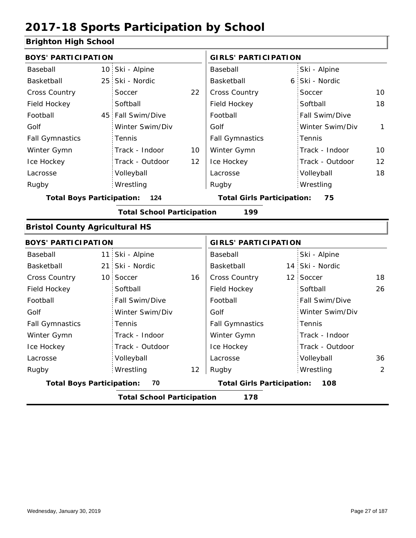### **Brighton High School**

|                 |                                                                                                                                                                                                                                                                                         | <b>GIRLS' PARTICIPATION</b> |                                                                        |                 |                                                                                                                                            |
|-----------------|-----------------------------------------------------------------------------------------------------------------------------------------------------------------------------------------------------------------------------------------------------------------------------------------|-----------------------------|------------------------------------------------------------------------|-----------------|--------------------------------------------------------------------------------------------------------------------------------------------|
|                 |                                                                                                                                                                                                                                                                                         | Baseball                    |                                                                        | Ski - Alpine    |                                                                                                                                            |
|                 |                                                                                                                                                                                                                                                                                         | Basketball                  |                                                                        | Ski - Nordic    |                                                                                                                                            |
| Soccer          | 22                                                                                                                                                                                                                                                                                      | Cross Country               |                                                                        | Soccer          | 10                                                                                                                                         |
| Softball        |                                                                                                                                                                                                                                                                                         | Field Hockey                |                                                                        | Softball        | 18                                                                                                                                         |
|                 |                                                                                                                                                                                                                                                                                         | Football                    |                                                                        | Fall Swim/Dive  |                                                                                                                                            |
| Winter Swim/Div |                                                                                                                                                                                                                                                                                         | Golf                        |                                                                        | Winter Swim/Div | $\mathbf{1}$                                                                                                                               |
| Tennis          |                                                                                                                                                                                                                                                                                         | <b>Fall Gymnastics</b>      |                                                                        | Tennis          |                                                                                                                                            |
| Track - Indoor  | 10                                                                                                                                                                                                                                                                                      | Winter Gymn                 |                                                                        | Track - Indoor  | 10                                                                                                                                         |
| Track - Outdoor | 12                                                                                                                                                                                                                                                                                      | Ice Hockey                  |                                                                        | Track - Outdoor | $12 \overline{ }$                                                                                                                          |
| Volleyball      |                                                                                                                                                                                                                                                                                         | Lacrosse                    |                                                                        | Volleyball      | 18                                                                                                                                         |
| Wrestling       |                                                                                                                                                                                                                                                                                         | Rugby                       |                                                                        | Wrestling       |                                                                                                                                            |
| 124             |                                                                                                                                                                                                                                                                                         |                             |                                                                        | 75              |                                                                                                                                            |
|                 |                                                                                                                                                                                                                                                                                         | 199                         |                                                                        |                 |                                                                                                                                            |
|                 |                                                                                                                                                                                                                                                                                         |                             |                                                                        |                 |                                                                                                                                            |
|                 |                                                                                                                                                                                                                                                                                         |                             |                                                                        |                 |                                                                                                                                            |
|                 |                                                                                                                                                                                                                                                                                         | Baseball                    |                                                                        | Ski - Alpine    |                                                                                                                                            |
|                 |                                                                                                                                                                                                                                                                                         | Basketball                  |                                                                        |                 |                                                                                                                                            |
|                 | 16                                                                                                                                                                                                                                                                                      | <b>Cross Country</b>        |                                                                        |                 | 18                                                                                                                                         |
| Softball        |                                                                                                                                                                                                                                                                                         | Field Hockey                |                                                                        | Softball        | 26                                                                                                                                         |
| Fall Swim/Dive  |                                                                                                                                                                                                                                                                                         | Football                    |                                                                        | Fall Swim/Dive  |                                                                                                                                            |
| Winter Swim/Div |                                                                                                                                                                                                                                                                                         | Golf                        |                                                                        | Winter Swim/Div |                                                                                                                                            |
| Tennis          |                                                                                                                                                                                                                                                                                         | <b>Fall Gymnastics</b>      |                                                                        | Tennis          |                                                                                                                                            |
| Track - Indoor  |                                                                                                                                                                                                                                                                                         | Winter Gymn                 |                                                                        | Track - Indoor  |                                                                                                                                            |
| Track - Outdoor |                                                                                                                                                                                                                                                                                         | Ice Hockey                  |                                                                        | Track - Outdoor |                                                                                                                                            |
| Volleyball      |                                                                                                                                                                                                                                                                                         | Lacrosse                    |                                                                        | Volleyball      | 36                                                                                                                                         |
| Wrestling       | 12                                                                                                                                                                                                                                                                                      | Rugby                       |                                                                        | Wrestling       | 2                                                                                                                                          |
| 70              |                                                                                                                                                                                                                                                                                         |                             |                                                                        | 108             |                                                                                                                                            |
|                 |                                                                                                                                                                                                                                                                                         | 178                         |                                                                        |                 |                                                                                                                                            |
|                 | <b>BOYS' PARTICIPATION</b><br>10 Ski - Alpine<br>25 Ski - Nordic<br>45 Fall Swim/Dive<br><b>Total Boys Participation:</b><br><b>Bristol County Agricultural HS</b><br><b>BOYS' PARTICIPATION</b><br>11 Ski - Alpine<br>21 Ski - Nordic<br>10 Soccer<br><b>Total Boys Participation:</b> |                             | <b>Total School Participation</b><br><b>Total School Participation</b> |                 | 6<br><b>Total Girls Participation:</b><br><b>GIRLS' PARTICIPATION</b><br>14 Ski - Nordic<br>12 Soccer<br><b>Total Girls Participation:</b> |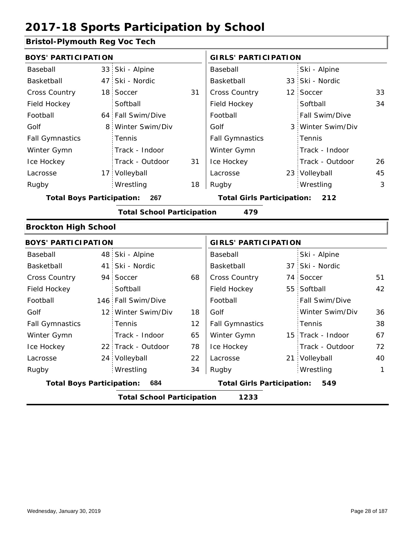### **Bristol-Plymouth Reg Voc Tech**

| <b>BOYS' PARTICIPATION</b>       |                 |                                   |    | <b>GIRLS' PARTICIPATION</b>       |                             |                   |              |  |
|----------------------------------|-----------------|-----------------------------------|----|-----------------------------------|-----------------------------|-------------------|--------------|--|
| Baseball                         | 33 <sup>°</sup> | Ski - Alpine                      |    | Baseball                          |                             | Ski - Alpine      |              |  |
| Basketball                       | 47              | Ski - Nordic                      |    | Basketball                        |                             | 33 Ski - Nordic   |              |  |
| <b>Cross Country</b>             | 18              | Soccer                            | 31 | Cross Country                     |                             | 12 Soccer         | 33           |  |
| Field Hockey                     |                 | Softball                          |    | Field Hockey                      |                             | Softball          | 34           |  |
| Football                         |                 | 64 Fall Swim/Dive                 |    | Football                          |                             | Fall Swim/Dive    |              |  |
| Golf                             | 8               | Winter Swim/Div                   |    | Golf                              |                             | 3 Winter Swim/Div |              |  |
| <b>Fall Gymnastics</b>           |                 | Tennis                            |    | <b>Fall Gymnastics</b>            |                             | Tennis            |              |  |
| Winter Gymn                      |                 | Track - Indoor                    |    | Winter Gymn                       |                             | Track - Indoor    |              |  |
| Ice Hockey                       |                 | Track - Outdoor                   | 31 | Ice Hockey                        |                             | Track - Outdoor   | 26           |  |
| Lacrosse                         |                 | 17 Volleyball                     |    | Lacrosse                          |                             | 23 Volleyball     | 45           |  |
| Rugby                            |                 | Wrestling                         | 18 | Rugby                             |                             | Wrestling         | 3            |  |
| <b>Total Boys Participation:</b> |                 | 267                               |    | <b>Total Girls Participation:</b> |                             | 212               |              |  |
|                                  |                 | <b>Total School Participation</b> |    | 479                               |                             |                   |              |  |
| <b>Brockton High School</b>      |                 |                                   |    |                                   |                             |                   |              |  |
| <b>BOYS' PARTICIPATION</b>       |                 |                                   |    |                                   | <b>GIRLS' PARTICIPATION</b> |                   |              |  |
| Baseball                         |                 | 48 Ski - Alpine                   |    | Baseball                          |                             | Ski - Alpine      |              |  |
| Basketball                       | 41:             | Ski - Nordic                      |    | Basketball                        |                             | 37 Ski - Nordic   |              |  |
| Cross Country                    | 94              | Soccer                            | 68 | <b>Cross Country</b>              |                             | 74 Soccer         | 51           |  |
| Field Hockey                     |                 | Softball                          |    | Field Hockey                      |                             | 55 Softball       | 42           |  |
| Football                         |                 | 146 Fall Swim/Dive                |    | Football                          |                             | Fall Swim/Dive    |              |  |
| Golf                             |                 | 12 Winter Swim/Div                | 18 | Golf                              |                             | Winter Swim/Div   | 36           |  |
| <b>Fall Gymnastics</b>           |                 | Tennis                            | 12 | <b>Fall Gymnastics</b>            |                             | Tennis            | 38           |  |
| Winter Gymn                      |                 | Track - Indoor                    | 65 | Winter Gymn                       |                             | 15 Track - Indoor | 67           |  |
| Ice Hockey                       |                 | 22 Track - Outdoor                | 78 | Ice Hockey                        |                             | Track - Outdoor   | 72           |  |
| Lacrosse                         |                 | 24 Volleyball                     | 22 | Lacrosse                          |                             | 21 Volleyball     | 40           |  |
| Rugby                            |                 | Wrestling                         | 34 | Rugby                             |                             | Wrestling         | $\mathbf{1}$ |  |
| <b>Total Boys Participation:</b> |                 | 684                               |    | <b>Total Girls Participation:</b> |                             | 549               |              |  |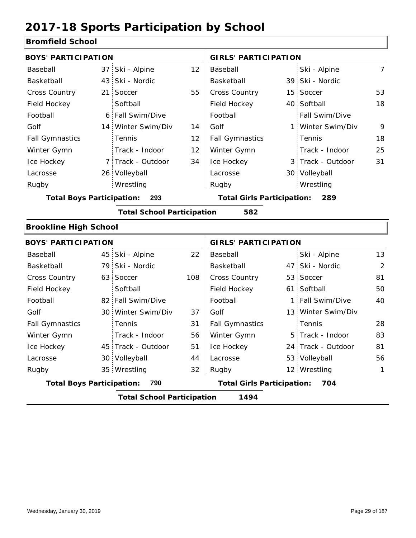#### **Bromfield School**

| <b>BOYS' PARTICIPATION</b>              |                                          |                    |     | <b>GIRLS' PARTICIPATION</b>       |    |                    |                |  |
|-----------------------------------------|------------------------------------------|--------------------|-----|-----------------------------------|----|--------------------|----------------|--|
| Baseball                                | 37                                       | Ski - Alpine       | 12  | Baseball                          |    | Ski - Alpine       | $\overline{7}$ |  |
| Basketball                              |                                          | 43 Ski - Nordic    |     | Basketball                        |    | 39 Ski - Nordic    |                |  |
| <b>Cross Country</b>                    | 21 i                                     | Soccer             | 55  | Cross Country                     | 15 | Soccer             | 53             |  |
| Field Hockey                            |                                          | Softball           |     | Field Hockey                      |    | 40 Softball        | 18             |  |
| Football                                |                                          | 6 Fall Swim/Dive   |     | Football                          |    | Fall Swim/Dive     |                |  |
| Golf                                    |                                          | 14 Winter Swim/Div | 14  | Golf                              |    | 1 Winter Swim/Div  | 9              |  |
| <b>Fall Gymnastics</b>                  |                                          | Tennis             | 12  | <b>Fall Gymnastics</b>            |    | Tennis             | 18             |  |
| Winter Gymn                             |                                          | Track - Indoor     | 12  | Winter Gymn                       |    | Track - Indoor     | 25             |  |
| Ice Hockey                              |                                          | 7 Track - Outdoor  | 34  | Ice Hockey                        |    | 3 Track - Outdoor  | 31             |  |
| Lacrosse                                |                                          | 26 Volleyball      |     | Lacrosse                          |    | 30 Volleyball      |                |  |
| Rugby                                   |                                          | Wrestling          |     | Rugby                             |    | Wrestling          |                |  |
| <b>Total Boys Participation:</b><br>293 |                                          |                    |     | <b>Total Girls Participation:</b> |    | 289                |                |  |
|                                         | <b>Total School Participation</b><br>582 |                    |     |                                   |    |                    |                |  |
| <b>Brookline High School</b>            |                                          |                    |     |                                   |    |                    |                |  |
| <b>BOYS' PARTICIPATION</b>              |                                          |                    |     | <b>GIRLS' PARTICIPATION</b>       |    |                    |                |  |
| Baseball                                | 45                                       | Ski - Alpine       | 22  | Baseball                          |    | Ski - Alpine       | 13             |  |
| Basketball                              |                                          | 79 Ski - Nordic    |     | Basketball                        |    | 47 Ski - Nordic    | 2              |  |
| Cross Country                           |                                          | 63 Soccer          | 108 | Cross Country                     | 53 | Soccer             | 81             |  |
| Field Hockey                            |                                          | Softball           |     | Field Hockey                      |    | 61 Softball        | 50             |  |
| Football                                |                                          | 82 Fall Swim/Dive  |     | Football                          | 1: | Fall Swim/Dive     | 40             |  |
| Golf                                    |                                          | 30 Winter Swim/Div | 37  | Golf                              |    | 13 Winter Swim/Div |                |  |
| <b>Fall Gymnastics</b>                  |                                          | Tennis             | 31  | <b>Fall Gymnastics</b>            |    | Tennis             | 28             |  |
| Winter Gymn                             |                                          | Track - Indoor     | 56  | Winter Gymn                       |    | 5 Track - Indoor   | 83             |  |
|                                         |                                          | 45 Track - Outdoor | 51  | Ice Hockey                        |    | 24 Track - Outdoor | 81             |  |
| Ice Hockey                              |                                          |                    |     |                                   |    |                    |                |  |
| Lacrosse                                |                                          | 30 Volleyball      | 44  | Lacrosse                          |    | 53 Volleyball      | 56             |  |
| Rugby                                   |                                          | 35 Wrestling       | 32  | Rugby                             |    | 12 Wrestling       | $\mathbf{1}$   |  |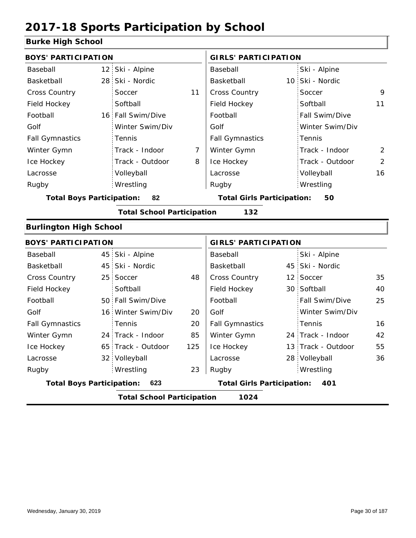### **Burke High School**

| <b>BOYS' PARTICIPATION</b>       |    |                                   |                | <b>GIRLS' PARTICIPATION</b>       |    |                   |                |
|----------------------------------|----|-----------------------------------|----------------|-----------------------------------|----|-------------------|----------------|
| Baseball                         |    | 12 Ski - Alpine                   |                | Baseball                          |    | Ski - Alpine      |                |
| Basketball                       | 28 | Ski - Nordic                      |                | Basketball                        |    | 10 Ski - Nordic   |                |
| <b>Cross Country</b>             |    | Soccer                            | 11             | Cross Country                     |    | Soccer            | 9              |
| Field Hockey                     |    | Softball                          |                | Field Hockey                      |    | Softball          | 11             |
| Football                         |    | 16 Fall Swim/Dive                 |                | Football                          |    | Fall Swim/Dive    |                |
| Golf                             |    | Winter Swim/Div                   |                | Golf                              |    | Winter Swim/Div   |                |
| <b>Fall Gymnastics</b>           |    | Tennis                            |                | <b>Fall Gymnastics</b>            |    | Tennis            |                |
| Winter Gymn                      |    | Track - Indoor                    | $\overline{7}$ | Winter Gymn                       |    | Track - Indoor    | 2              |
| Ice Hockey                       |    | Track - Outdoor                   | 8              | Ice Hockey                        |    | Track - Outdoor   | $\overline{2}$ |
| Lacrosse                         |    | Volleyball                        |                | Lacrosse                          |    | Volleyball        | 16             |
| Rugby                            |    | Wrestling                         |                | Rugby                             |    | Wrestling         |                |
| <b>Total Boys Participation:</b> |    | 82                                |                | <b>Total Girls Participation:</b> |    | 50                |                |
|                                  |    | <b>Total School Participation</b> |                | 132                               |    |                   |                |
| <b>Burlington High School</b>    |    |                                   |                |                                   |    |                   |                |
| <b>BOYS' PARTICIPATION</b>       |    |                                   |                | <b>GIRLS' PARTICIPATION</b>       |    |                   |                |
| Baseball                         |    | 45 Ski - Alpine                   |                | Baseball                          |    | Ski - Alpine      |                |
| Basketball                       |    | 45 Ski - Nordic                   |                | Basketball                        |    | 45 Ski - Nordic   |                |
| <b>Cross Country</b>             |    | 25 Soccer                         | 48             | Cross Country                     |    | 12 Soccer         | 35             |
| Field Hockey                     |    | Softball                          |                | Field Hockey                      |    | 30 Softball       | 40             |
| Football                         |    | 50 Fall Swim/Dive                 |                | Football                          |    | Fall Swim/Dive    | 25             |
| Golf                             |    | 16 Winter Swim/Div                | 20             | Golf                              |    | Winter Swim/Div   |                |
| <b>Fall Gymnastics</b>           |    | Tennis                            | 20             | <b>Fall Gymnastics</b>            |    | Tennis            | 16             |
| Winter Gymn                      |    | 24 Track - Indoor                 | 85             | Winter Gymn                       |    | 24 Track - Indoor | 42             |
| Ice Hockey                       |    | 65 Track - Outdoor                | 125            | Ice Hockey                        | 13 | Track - Outdoor   | 55             |
| Lacrosse                         |    | 32 Volleyball                     |                | Lacrosse                          | 28 | Volleyball        | 36             |
| Rugby                            |    | Wrestling                         | 23             | Rugby                             |    | Wrestling         |                |

**Total Boys Participation: 623 Total Girls Participation: 401**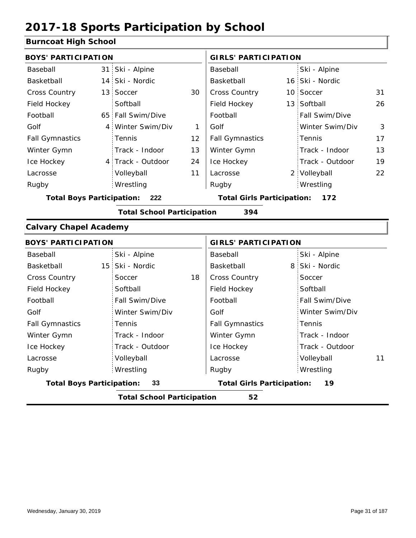#### **Burncoat High School**

| <b>BOYS' PARTICIPATION</b>              |             |                                          | <b>GIRLS' PARTICIPATION</b> |                        |  |                       |    |
|-----------------------------------------|-------------|------------------------------------------|-----------------------------|------------------------|--|-----------------------|----|
| Baseball                                |             | 31 Ski - Alpine                          |                             | Baseball               |  | Ski - Alpine          |    |
| Basketball                              |             | 14 Ski - Nordic                          |                             | Basketball             |  | 16 Ski - Nordic       |    |
| <b>Cross Country</b>                    |             | 13 Soccer                                | 30                          | <b>Cross Country</b>   |  | 10 Soccer             | 31 |
| Field Hockey                            |             | Softball                                 |                             | Field Hockey           |  | 13 Softball           | 26 |
| Football                                |             | 65 Fall Swim/Dive                        |                             | Football               |  | <b>Fall Swim/Dive</b> |    |
| Golf                                    | $4^{\circ}$ | Winter Swim/Div                          |                             | Golf                   |  | Winter Swim/Div       | 3  |
| <b>Fall Gymnastics</b>                  |             | <b>Tennis</b>                            | 12 <sup>2</sup>             | <b>Fall Gymnastics</b> |  | Tennis                | 17 |
| Winter Gymn                             |             | Track - Indoor                           | 13                          | Winter Gymn            |  | Track - Indoor        | 13 |
| Ice Hockey                              |             | 4 Track - Outdoor                        | 24                          | Ice Hockey             |  | Track - Outdoor       | 19 |
| Lacrosse                                |             | Volleyball                               | 11                          | Lacrosse               |  | 2 Volleyball          | 22 |
| Rugby                                   |             | Wrestling                                |                             | Rugby                  |  | Wrestling             |    |
| <b>Total Boys Participation:</b><br>222 |             | <b>Total Girls Participation:</b><br>172 |                             |                        |  |                       |    |

**Total School Participation 394**

#### **Calvary Chapel Academy**

| <b>BOYS' PARTICIPATION</b> |                                         |    | <b>GIRLS' PARTICIPATION</b>             |                  |  |  |  |  |
|----------------------------|-----------------------------------------|----|-----------------------------------------|------------------|--|--|--|--|
| Baseball                   | Ski - Alpine                            |    | Baseball                                | Ski - Alpine     |  |  |  |  |
| Basketball                 | 15 Ski - Nordic                         |    | Basketball                              | 8 Ski - Nordic   |  |  |  |  |
| <b>Cross Country</b>       | Soccer                                  | 18 | <b>Cross Country</b>                    | Soccer           |  |  |  |  |
| Field Hockey               | Softball                                |    | Field Hockey                            | Softball         |  |  |  |  |
| Football                   | Fall Swim/Dive                          |    | Football                                | Fall Swim/Dive   |  |  |  |  |
| Golf                       | Winter Swim/Div                         |    | Golf                                    | Winter Swim/Div  |  |  |  |  |
| <b>Fall Gymnastics</b>     | Tennis                                  |    | <b>Fall Gymnastics</b>                  | Tennis           |  |  |  |  |
| Winter Gymn                | Track - Indoor                          |    | Winter Gymn                             | Track - Indoor   |  |  |  |  |
| Ice Hockey                 | Track - Outdoor                         |    | Ice Hockey                              | Track - Outdoor  |  |  |  |  |
| Lacrosse                   | Volleyball                              |    | Lacrosse                                | Volleyball<br>11 |  |  |  |  |
| Rugby                      | Wrestling                               |    | Rugby                                   | Wrestling        |  |  |  |  |
|                            | 33<br><b>Total Boys Participation:</b>  |    | 19<br><b>Total Girls Participation:</b> |                  |  |  |  |  |
|                            | <b>Total School Participation</b><br>52 |    |                                         |                  |  |  |  |  |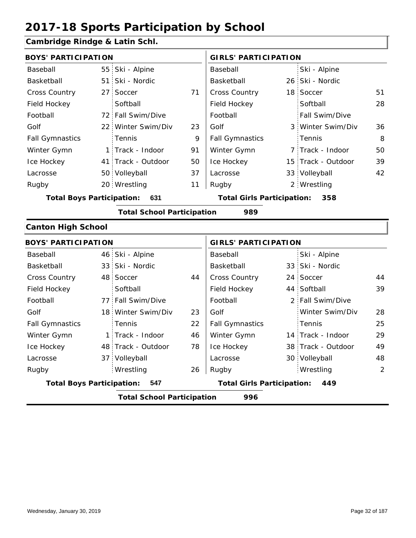### **Cambridge Rindge & Latin Schl.**

| <b>BOYS' PARTICIPATION</b>       |                                   |    | <b>GIRLS' PARTICIPATION</b>       |  |                    |    |
|----------------------------------|-----------------------------------|----|-----------------------------------|--|--------------------|----|
| Baseball                         | 55 Ski - Alpine                   |    | Baseball                          |  | Ski - Alpine       |    |
| Basketball                       | 51 Ski - Nordic                   |    | Basketball                        |  | 26 Ski - Nordic    |    |
| <b>Cross Country</b>             | 27 Soccer                         | 71 | <b>Cross Country</b>              |  | 18 Soccer          | 51 |
| Field Hockey                     | Softball                          |    | Field Hockey                      |  | Softball           | 28 |
| Football                         | 72 Fall Swim/Dive                 |    | Football                          |  | Fall Swim/Dive     |    |
| Golf                             | 22 Winter Swim/Div                | 23 | Golf                              |  | 3 Winter Swim/Div  | 36 |
| <b>Fall Gymnastics</b>           | Tennis                            | 9  | <b>Fall Gymnastics</b>            |  | Tennis             | 8  |
| Winter Gymn                      | 1 Track - Indoor                  | 91 | Winter Gymn                       |  | 7 Track - Indoor   | 50 |
| Ice Hockey                       | 41 Track - Outdoor                | 50 | Ice Hockey                        |  | 15 Track - Outdoor | 39 |
| Lacrosse                         | 50 Volleyball                     | 37 | Lacrosse                          |  | 33 Volleyball      | 42 |
| Rugby                            | 20 Wrestling                      | 11 | Rugby                             |  | 2 Wrestling        |    |
| <b>Total Boys Participation:</b> | 631                               |    | <b>Total Girls Participation:</b> |  | 358                |    |
|                                  | <b>Total School Participation</b> |    | 989                               |  |                    |    |
| <b>Canton High School</b>        |                                   |    |                                   |  |                    |    |

| <b>BOYS' PARTICIPATION</b>              |                                          |                                   | <b>GIRLS' PARTICIPATION</b> |                        |  |                    |    |  |
|-----------------------------------------|------------------------------------------|-----------------------------------|-----------------------------|------------------------|--|--------------------|----|--|
| Baseball                                |                                          | 46 Ski - Alpine                   |                             | Baseball               |  | Ski - Alpine       |    |  |
| Basketball                              |                                          | 33 Ski - Nordic                   |                             | Basketball             |  | 33 Ski - Nordic    |    |  |
| <b>Cross Country</b>                    |                                          | 48 Soccer                         | 44                          | <b>Cross Country</b>   |  | 24 Soccer          | 44 |  |
| Field Hockey                            |                                          | Softball                          |                             | Field Hockey           |  | 44 Softball        | 39 |  |
| Football                                |                                          | 77 Fall Swim/Dive                 |                             | Football               |  | 2 Fall Swim/Dive   |    |  |
| Golf                                    |                                          | 18 Winter Swim/Div                | 23                          | Golf                   |  | Winter Swim/Div    | 28 |  |
| <b>Fall Gymnastics</b>                  |                                          | Tennis                            | 22                          | <b>Fall Gymnastics</b> |  | Tennis             | 25 |  |
| Winter Gymn                             |                                          | 1 Track - Indoor                  | 46                          | Winter Gymn            |  | 14 Track - Indoor  | 29 |  |
| Ice Hockey                              |                                          | 48 Track - Outdoor                | 78                          | Ice Hockey             |  | 38 Track - Outdoor | 49 |  |
| Lacrosse                                |                                          | 37 Volleyball                     |                             | Lacrosse               |  | 30 Volleyball      | 48 |  |
| Rugby                                   |                                          | Wrestling                         | 26                          | Rugby                  |  | Wrestling          | 2  |  |
| <b>Total Boys Participation:</b><br>547 |                                          | <b>Total Girls Participation:</b> |                             | 449                    |  |                    |    |  |
|                                         | 996<br><b>Total School Participation</b> |                                   |                             |                        |  |                    |    |  |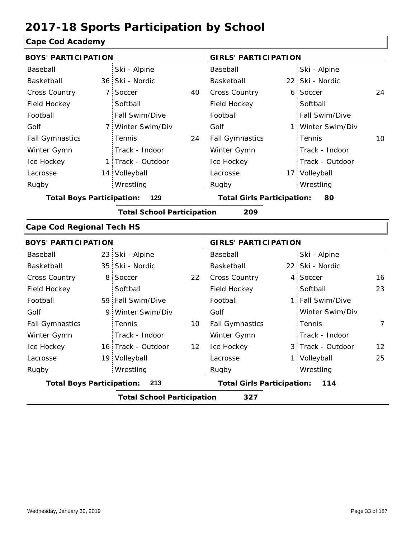### **Cape Cod Academy**

| <b>BOYS' PARTICIPATION</b>       |                 |                                   |    | <b>GIRLS' PARTICIPATION</b>       |    |                   |    |
|----------------------------------|-----------------|-----------------------------------|----|-----------------------------------|----|-------------------|----|
| Baseball                         |                 | Ski - Alpine                      |    | Baseball                          |    | Ski - Alpine      |    |
| Basketball                       |                 | 36 Ski - Nordic                   |    | Basketball                        |    | 22 Ski - Nordic   |    |
| <b>Cross Country</b>             | 7:              | Soccer                            | 40 | Cross Country                     |    | 6 Soccer          | 24 |
| Field Hockey                     |                 | Softball                          |    | Field Hockey                      |    | Softball          |    |
| Football                         |                 | Fall Swim/Dive                    |    | Football                          |    | Fall Swim/Dive    |    |
| Golf                             |                 | 7 Winter Swim/Div                 |    | Golf                              |    | 1 Winter Swim/Div |    |
| <b>Fall Gymnastics</b>           |                 | Tennis                            | 24 | <b>Fall Gymnastics</b>            |    | Tennis            | 10 |
| Winter Gymn                      |                 | Track - Indoor                    |    | Winter Gymn                       |    | Track - Indoor    |    |
| Ice Hockey                       |                 | 1 Track - Outdoor                 |    | Ice Hockey                        |    | Track - Outdoor   |    |
| Lacrosse                         |                 | 14 Volleyball                     |    | Lacrosse                          |    | 17 Volleyball     |    |
| Rugby                            |                 | Wrestling                         |    | Rugby                             |    | Wrestling         |    |
| <b>Total Boys Participation:</b> |                 | 129                               |    | <b>Total Girls Participation:</b> |    | 80                |    |
|                                  |                 | <b>Total School Participation</b> |    | 209                               |    |                   |    |
| <b>Cape Cod Regional Tech HS</b> |                 |                                   |    |                                   |    |                   |    |
| <b>BOYS' PARTICIPATION</b>       |                 |                                   |    | <b>GIRLS' PARTICIPATION</b>       |    |                   |    |
| Baseball                         |                 | 23 Ski - Alpine                   |    | Baseball                          |    | Ski - Alpine      |    |
| Basketball                       | 35 <sup>1</sup> | Ski - Nordic                      |    | Basketball                        |    | 22 Ski - Nordic   |    |
| <b>Cross Country</b>             | 8 <sup>1</sup>  | Soccer                            | 22 | Cross Country                     |    | 4 Soccer          | 16 |
| Field Hockey                     |                 | Softball                          |    | Field Hockey                      |    | Softball          | 23 |
| Football                         |                 | 59 Fall Swim/Dive                 |    | Football                          |    | 1 Fall Swim/Dive  |    |
| Golf                             | 9.              | Winter Swim/Div                   |    | Golf                              |    | Winter Swim/Div   |    |
| <b>Fall Gymnastics</b>           |                 | Tennis                            | 10 | <b>Fall Gymnastics</b>            |    | Tennis            | 7  |
| Winter Gymn                      |                 | Track - Indoor                    |    | Winter Gymn                       |    | Track - Indoor    |    |
| Ice Hockey                       |                 | 16 Track - Outdoor                | 12 | Ice Hockey                        |    | 3 Track - Outdoor | 12 |
| Lacrosse                         |                 | 19 Volleyball                     |    | Lacrosse                          | 1. | Volleyball        | 25 |
| Rugby                            |                 | Wrestling                         |    | Rugby                             |    | Wrestling         |    |
| <b>Total Boys Participation:</b> |                 | 213                               |    | <b>Total Girls Participation:</b> |    | 114               |    |
|                                  |                 | <b>Total School Participation</b> |    | 327                               |    |                   |    |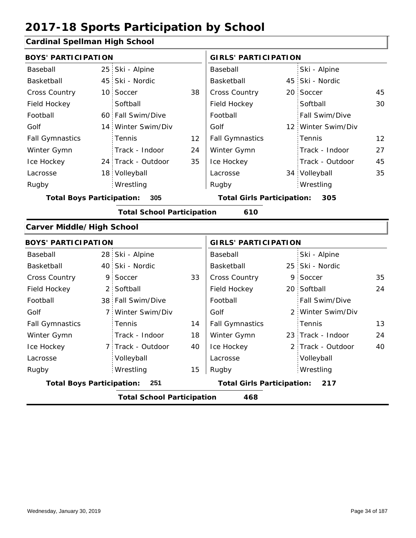### **Cardinal Spellman High School**

| <b>BOYS' PARTICIPATION</b>       |                 |                                   |    | <b>GIRLS' PARTICIPATION</b>              |  |                    |    |
|----------------------------------|-----------------|-----------------------------------|----|------------------------------------------|--|--------------------|----|
| Baseball                         | 25 <sub>1</sub> | Ski - Alpine                      |    | Baseball                                 |  | Ski - Alpine       |    |
| Basketball                       |                 | 45 Ski - Nordic                   |    | Basketball                               |  | 45 Ski - Nordic    |    |
| <b>Cross Country</b>             |                 | 10 Soccer                         | 38 | Cross Country                            |  | 20 Soccer          | 45 |
| Field Hockey                     |                 | Softball                          |    | Field Hockey                             |  | Softball           | 30 |
| Football                         |                 | 60 Fall Swim/Dive                 |    | Football                                 |  | Fall Swim/Dive     |    |
| Golf                             |                 | 14 Winter Swim/Div                |    | Golf                                     |  | 12 Winter Swim/Div |    |
| <b>Fall Gymnastics</b>           |                 | Tennis                            | 12 | <b>Fall Gymnastics</b>                   |  | Tennis             | 12 |
| Winter Gymn                      |                 | Track - Indoor                    | 24 | Winter Gymn                              |  | Track - Indoor     | 27 |
| Ice Hockey                       |                 | 24 Track - Outdoor                | 35 | Ice Hockey                               |  | Track - Outdoor    | 45 |
| Lacrosse                         |                 | 18 Volleyball                     |    | Lacrosse                                 |  | 34 Volleyball      | 35 |
| Rugby                            |                 | Wrestling                         |    | Rugby                                    |  | Wrestling          |    |
| <b>Total Boys Participation:</b> |                 | 305                               |    | <b>Total Girls Participation:</b><br>305 |  |                    |    |
|                                  |                 | <b>Total School Participation</b> |    | 610                                      |  |                    |    |
| <b>Carver Middle/High School</b> |                 |                                   |    |                                          |  |                    |    |
| <b>BOYS' PARTICIPATION</b>       |                 |                                   |    | <b>GIRLS' PARTICIPATION</b>              |  |                    |    |
| Baseball                         |                 | 28 Ski - Alpine                   |    | Baseball                                 |  | Ski - Alpine       |    |
| Basketball                       |                 | 40 Ski - Nordic                   |    | Basketball                               |  | 25 Ski - Nordic    |    |
| <b>Cross Country</b>             | 9.              | Soccer                            | 33 | <b>Cross Country</b>                     |  | 9 Soccer           | 35 |
| Field Hockey                     | $2^{\circ}$     | Softball                          |    | Field Hockey                             |  | 20 Softball        | 24 |
| Football                         |                 | 38 Fall Swim/Dive                 |    | Football                                 |  | Fall Swim/Dive     |    |

|                                  | <b>Total School Participation</b> |    | 468                               |                                                 |    |
|----------------------------------|-----------------------------------|----|-----------------------------------|-------------------------------------------------|----|
| <b>Total Boys Participation:</b> | -251                              |    | <b>Total Girls Participation:</b> | 217                                             |    |
| Rugby                            | Wrestling                         | 15 | Rugby                             | Wrestling                                       |    |
| Lacrosse                         | Volleyball                        |    | Lacrosse                          | Volleyball                                      |    |
| Ice Hockey                       | 7 Track - Outdoor                 | 40 | Ice Hockey                        | 2 Track - Outdoor                               | 40 |
| Winter Gymn                      | Track - Indoor                    | 18 | Winter Gymn                       | 23 Track - Indoor                               | 24 |
| <b>Fall Gymnastics</b>           | Tennis                            | 14 | <b>Fall Gymnastics</b>            | Tennis                                          | 13 |
| Golf                             | 7 Winter Swim/Div                 |    | Golf                              | 2 Winter Swim/Div                               |    |
| Football                         | 38 Fall Swim/Dive                 |    | Football                          | Fall Swim/Dive                                  |    |
| .                                |                                   |    | , , , , , , , , , , , , , , , ,   | -- - - - - - - - - - - - - - - - - <del>-</del> |    |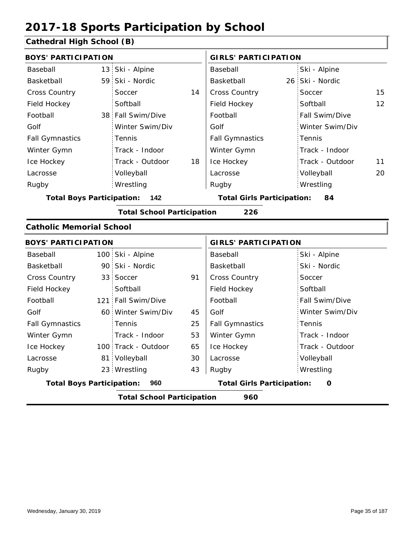### **Cathedral High School (B)**

|                                         | <b>BOYS' PARTICIPATION</b> |                                   |                                   |                             |    | <b>GIRLS' PARTICIPATION</b> |    |
|-----------------------------------------|----------------------------|-----------------------------------|-----------------------------------|-----------------------------|----|-----------------------------|----|
| Baseball                                |                            | 13 Ski - Alpine                   |                                   | Baseball                    |    | Ski - Alpine                |    |
| Basketball                              |                            | 59 Ski - Nordic                   |                                   | Basketball                  |    | 26 Ski - Nordic             |    |
| Cross Country                           |                            | Soccer                            | 14                                | Cross Country               |    | Soccer                      | 15 |
| Field Hockey                            |                            | Softball                          |                                   | Field Hockey                |    | Softball                    | 12 |
| Football                                |                            | 38 Fall Swim/Dive                 |                                   | Football                    |    | Fall Swim/Dive              |    |
| Golf                                    |                            | Winter Swim/Div                   |                                   | Golf                        |    | Winter Swim/Div             |    |
| <b>Fall Gymnastics</b>                  |                            | Tennis                            |                                   | <b>Fall Gymnastics</b>      |    | Tennis                      |    |
| Winter Gymn                             |                            | Track - Indoor                    |                                   | Winter Gymn                 |    | Track - Indoor              |    |
| Ice Hockey                              |                            | Track - Outdoor                   | 18                                | Ice Hockey                  |    | Track - Outdoor             | 11 |
| Lacrosse                                |                            | Volleyball                        |                                   | Lacrosse                    |    | Volleyball                  | 20 |
| Rugby                                   |                            | Wrestling                         |                                   | Rugby                       |    | Wrestling                   |    |
| <b>Total Boys Participation:</b><br>142 |                            |                                   | <b>Total Girls Participation:</b> |                             | 84 |                             |    |
|                                         |                            | <b>Total School Participation</b> |                                   | 226                         |    |                             |    |
| <b>Catholic Memorial School</b>         |                            |                                   |                                   |                             |    |                             |    |
| <b>BOYS' PARTICIPATION</b>              |                            |                                   |                                   | <b>GIRLS' PARTICIPATION</b> |    |                             |    |
| Baseball                                |                            | 100 Ski - Alpine                  |                                   | Baseball                    |    | Ski - Alpine                |    |
| Basketball                              |                            | 90 Ski - Nordic                   |                                   | Basketball                  |    | Ski - Nordic                |    |
| Cross Country                           |                            | 33 Soccer                         | 91                                | Cross Country               |    | Soccer                      |    |
| Field Hockey                            |                            | Softball                          |                                   | Field Hockey                |    | Softball                    |    |
| Football                                |                            | 121 Fall Swim/Dive                |                                   | Football                    |    | Fall Swim/Dive              |    |
| Golf                                    |                            | 60 Winter Swim/Div                | 45                                | Golf                        |    | Winter Swim/Div             |    |
| <b>Fall Gymnastics</b>                  |                            | Tennis                            | 25                                | <b>Fall Gymnastics</b>      |    | Tennis                      |    |
| Winter Gymn                             |                            | Track - Indoor                    | 53                                | Winter Gymn                 |    | Track - Indoor              |    |
| Ice Hockey                              |                            | 100 Track - Outdoor               | 65                                | Ice Hockey                  |    | Track - Outdoor             |    |

**Total Boys Participation: 960 Total Girls Participation: 0**

81 Volleyball

Wrestling Rugby Rugby 23

Lacrosse

**Total School Participation 960**

30 43

Volleyball Wrestling

Lacrosse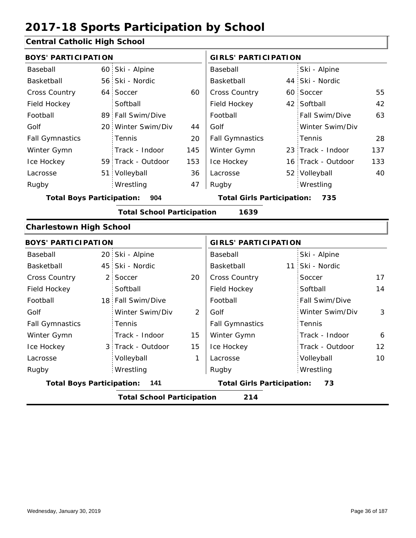### **Central Catholic High School**

| <b>BOYS' PARTICIPATION</b>              |                                           |                                   |     | <b>GIRLS' PARTICIPATION</b> |  |                    |     |
|-----------------------------------------|-------------------------------------------|-----------------------------------|-----|-----------------------------|--|--------------------|-----|
| Baseball                                |                                           | 60 Ski - Alpine                   |     | Baseball                    |  | Ski - Alpine       |     |
| Basketball                              |                                           | 56 Ski - Nordic                   |     | Basketball                  |  | 44 Ski - Nordic    |     |
| <b>Cross Country</b>                    |                                           | 64 Soccer                         | 60  | <b>Cross Country</b>        |  | 60 Soccer          | 55  |
| Field Hockey                            |                                           | Softball                          |     | Field Hockey                |  | 42 Softball        | 42  |
| Football                                |                                           | 89 Fall Swim/Dive                 |     | Football                    |  | Fall Swim/Dive     | 63  |
| Golf                                    |                                           | 20 Winter Swim/Div                | 44  | Golf                        |  | Winter Swim/Div    |     |
| <b>Fall Gymnastics</b>                  |                                           | <b>Tennis</b>                     | 20  | <b>Fall Gymnastics</b>      |  | Tennis             | 28  |
| Winter Gymn                             |                                           | Track - Indoor                    | 145 | Winter Gymn                 |  | 23 Track - Indoor  | 137 |
| Ice Hockey                              |                                           | 59 Track - Outdoor                | 153 | Ice Hockey                  |  | 16 Track - Outdoor | 133 |
| Lacrosse                                |                                           | 51 Volleyball                     | 36  | Lacrosse                    |  | 52 Volleyball      | 40  |
| Rugby                                   |                                           | Wrestling                         | 47  | Rugby                       |  | Wrestling          |     |
| <b>Total Boys Participation:</b><br>904 |                                           | <b>Total Girls Participation:</b> |     | 735                         |  |                    |     |
|                                         | 1639<br><b>Total School Participation</b> |                                   |     |                             |  |                    |     |

#### **Charlestown High School**

|                                           | <b>BOYS' PARTICIPATION</b> |                                         |    | <b>GIRLS' PARTICIPATION</b> |                 |                   |  |
|-------------------------------------------|----------------------------|-----------------------------------------|----|-----------------------------|-----------------|-------------------|--|
| Baseball                                  |                            | 20 Ski - Alpine                         |    | Baseball                    | Ski - Alpine    |                   |  |
| Basketball                                |                            | 45 Ski - Nordic                         |    | Basketball                  | 11 Ski - Nordic |                   |  |
| <b>Cross Country</b>                      |                            | 2 Soccer                                | 20 | <b>Cross Country</b>        | Soccer          | 17                |  |
| Field Hockey                              |                            | Softball                                |    | Field Hockey                | Softball        | 14                |  |
| Football                                  |                            | 18 Fall Swim/Dive                       |    | Football                    | Fall Swim/Dive  |                   |  |
| Golf                                      |                            | Winter Swim/Div                         | 2  | Golf                        | Winter Swim/Div | 3                 |  |
| <b>Fall Gymnastics</b>                    |                            | Tennis                                  |    | <b>Fall Gymnastics</b>      | Tennis          |                   |  |
| Winter Gymn                               |                            | Track - Indoor                          | 15 | Winter Gymn                 | Track - Indoor  | 6                 |  |
| Ice Hockey                                |                            | 3 Track - Outdoor                       | 15 | Ice Hockey                  | Track - Outdoor | $12 \overline{ }$ |  |
| Lacrosse                                  |                            | Volleyball                              | 1  | Lacrosse                    | Volleyball      | 10                |  |
| Rugby                                     |                            | Wrestling                               |    | Rugby                       | Wrestling       |                   |  |
| <b>Total Boys Participation:</b><br>- 141 |                            | 73<br><b>Total Girls Participation:</b> |    |                             |                 |                   |  |
|                                           |                            | <b>Total School Participation</b>       |    | 214                         |                 |                   |  |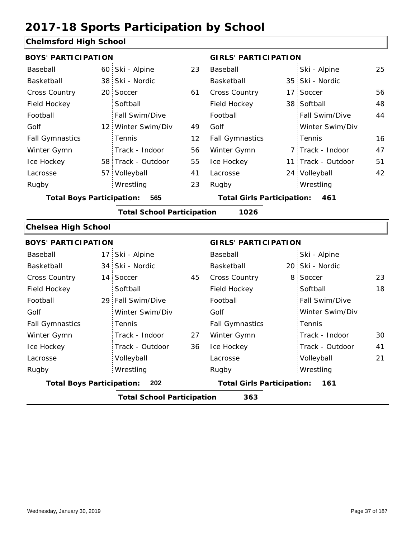#### **Chelmsford High School**

|                            | <b>BOYS' PARTICIPATION</b>              |                                   |    |                             | <b>GIRLS' PARTICIPATION</b>       |                    |    |  |
|----------------------------|-----------------------------------------|-----------------------------------|----|-----------------------------|-----------------------------------|--------------------|----|--|
| Baseball                   |                                         | 60 Ski - Alpine                   | 23 | Baseball                    |                                   | Ski - Alpine       | 25 |  |
| Basketball                 | 38                                      | Ski - Nordic                      |    | Basketball                  |                                   | 35 Ski - Nordic    |    |  |
| <b>Cross Country</b>       | 20                                      | Soccer                            | 61 | Cross Country               |                                   | 17 Soccer          | 56 |  |
| Field Hockey               |                                         | Softball                          |    | Field Hockey                |                                   | 38 Softball        | 48 |  |
| Football                   |                                         | Fall Swim/Dive                    |    | Football                    |                                   | Fall Swim/Dive     | 44 |  |
| Golf                       | $12^+$                                  | Winter Swim/Div                   | 49 | Golf                        |                                   | Winter Swim/Div    |    |  |
| <b>Fall Gymnastics</b>     |                                         | Tennis                            | 12 | <b>Fall Gymnastics</b>      |                                   | Tennis             | 16 |  |
| Winter Gymn                |                                         | Track - Indoor                    | 56 | Winter Gymn                 |                                   | 7 Track - Indoor   | 47 |  |
| Ice Hockey                 |                                         | 58 Track - Outdoor                | 55 | Ice Hockey                  |                                   | 11 Track - Outdoor | 51 |  |
| Lacrosse                   | 57.                                     | Volleyball                        | 41 | Lacrosse                    |                                   | 24 Volleyball      | 42 |  |
| Rugby                      |                                         | Wrestling                         | 23 | Rugby                       |                                   | Wrestling          |    |  |
|                            | <b>Total Boys Participation:</b><br>565 |                                   |    |                             | <b>Total Girls Participation:</b> | 461                |    |  |
|                            |                                         | <b>Total School Participation</b> |    | 1026                        |                                   |                    |    |  |
|                            |                                         |                                   |    |                             |                                   |                    |    |  |
| <b>Chelsea High School</b> |                                         |                                   |    |                             |                                   |                    |    |  |
| <b>BOYS' PARTICIPATION</b> |                                         |                                   |    | <b>GIRLS' PARTICIPATION</b> |                                   |                    |    |  |
| Baseball                   | 17                                      | Ski - Alpine                      |    | Baseball                    |                                   | Ski - Alpine       |    |  |
| Basketball                 | 34                                      | Ski - Nordic                      |    | Basketball                  |                                   | 20 Ski - Nordic    |    |  |
| <b>Cross Country</b>       | 14                                      | Soccer                            | 45 | Cross Country               |                                   | 8 Soccer           | 23 |  |
| Field Hockey               |                                         | Softball                          |    | Field Hockey                |                                   | Softball           | 18 |  |
| Football                   | 29                                      | Fall Swim/Dive                    |    | Football                    |                                   | Fall Swim/Dive     |    |  |
| Golf                       |                                         | Winter Swim/Div                   |    | Golf                        |                                   | Winter Swim/Div    |    |  |
| <b>Fall Gymnastics</b>     |                                         | Tennis                            |    | <b>Fall Gymnastics</b>      |                                   | Tennis             |    |  |
| Winter Gymn                |                                         | Track - Indoor                    | 27 | Winter Gymn                 |                                   | Track - Indoor     | 30 |  |
| Ice Hockey                 |                                         | Track - Outdoor                   | 36 | Ice Hockey                  |                                   | Track - Outdoor    | 41 |  |
| Lacrosse                   |                                         | Volleyball                        |    | Lacrosse                    |                                   | Volleyball         | 21 |  |
| Rugby                      |                                         | Wrestling                         |    | Rugby                       |                                   | Wrestling          |    |  |

**Total School Participation 363**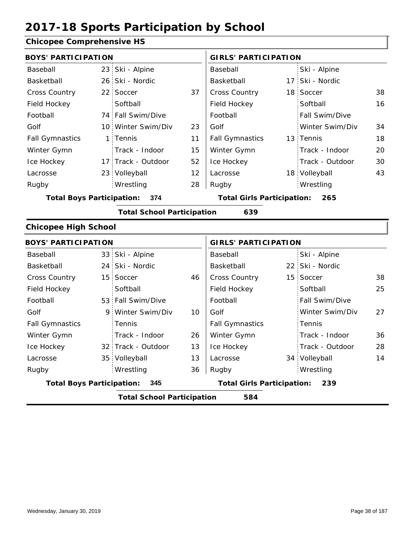### **Chicopee Comprehensive HS**

|                                  | <b>BOYS' PARTICIPATION</b> |                                   |    |                                          | <b>GIRLS' PARTICIPATION</b> |                 |    |  |
|----------------------------------|----------------------------|-----------------------------------|----|------------------------------------------|-----------------------------|-----------------|----|--|
| Baseball                         |                            | 23 Ski - Alpine                   |    | Baseball                                 |                             | Ski - Alpine    |    |  |
| Basketball                       |                            | 26 Ski - Nordic                   |    | Basketball                               |                             | 17 Ski - Nordic |    |  |
| <b>Cross Country</b>             |                            | 22 Soccer                         | 37 | Cross Country                            |                             | 18 Soccer       | 38 |  |
| Field Hockey                     |                            | Softball                          |    | Field Hockey                             |                             | Softball        | 16 |  |
| Football                         |                            | 74 Fall Swim/Dive                 |    | Football                                 |                             | Fall Swim/Dive  |    |  |
| Golf                             |                            | 10 Winter Swim/Div                | 23 | Golf                                     |                             | Winter Swim/Div | 34 |  |
| <b>Fall Gymnastics</b>           |                            | 1 Tennis                          | 11 | <b>Fall Gymnastics</b>                   |                             | 13 Tennis       | 18 |  |
| Winter Gymn                      |                            | Track - Indoor                    | 15 | Winter Gymn                              |                             | Track - Indoor  | 20 |  |
| Ice Hockey                       |                            | 17 Track - Outdoor                | 52 | Ice Hockey                               |                             | Track - Outdoor | 30 |  |
| Lacrosse                         |                            | 23 Volleyball                     | 12 | Lacrosse                                 |                             | 18 Volleyball   | 43 |  |
| Rugby                            |                            | Wrestling                         | 28 | Rugby                                    |                             | Wrestling       |    |  |
| <b>Total Boys Participation:</b> |                            | 374                               |    | <b>Total Girls Participation:</b><br>265 |                             |                 |    |  |
|                                  |                            | <b>Total School Participation</b> |    | 639                                      |                             |                 |    |  |
| <b>Chicopee High School</b>      |                            |                                   |    |                                          |                             |                 |    |  |
| <b>BOYS' PARTICIPATION</b>       |                            |                                   |    | <b>GIRLS' PARTICIPATION</b>              |                             |                 |    |  |
| Baseball                         |                            | 33 Ski - Alpine                   |    | Baseball                                 |                             | Ski - Alpine    |    |  |
| Basketball                       |                            | 24 Ski - Nordic                   |    | Basketball                               |                             | 22 Ski - Nordic |    |  |
| <b>Cross Country</b>             |                            | 15 Soccer                         | 46 | Cross Country                            |                             | 15 Soccer       | 38 |  |
| Field Hockey                     |                            | Softball                          |    | Field Hockey                             |                             | Softball        | 25 |  |
|                                  |                            |                                   |    |                                          |                             |                 |    |  |

|                                  | <b>Total School Participation</b> |    | 584                               |                 |    |
|----------------------------------|-----------------------------------|----|-----------------------------------|-----------------|----|
| <b>Total Boys Participation:</b> | -345                              |    | <b>Total Girls Participation:</b> | 239             |    |
| Rugby                            | Wrestling                         | 36 | Rugby                             | Wrestling       |    |
| Lacrosse                         | 35 Volleyball                     | 13 | Lacrosse                          | 34 Volleyball   | 14 |
| Ice Hockey                       | 32 Track - Outdoor                | 13 | Ice Hockey                        | Track - Outdoor | 28 |
| Winter Gymn                      | Track - Indoor                    | 26 | Winter Gymn                       | Track - Indoor  | 36 |
| <b>Fall Gymnastics</b>           | Tennis                            |    | <b>Fall Gymnastics</b>            | Tennis          |    |
| Golf                             | 9 Winter Swim/Div                 | 10 | Golf                              | Winter Swim/Div | 27 |
| Football                         | 53 Fall Swim/Dive                 |    | Football                          | Fall Swim/Dive  |    |
|                                  |                                   |    |                                   |                 |    |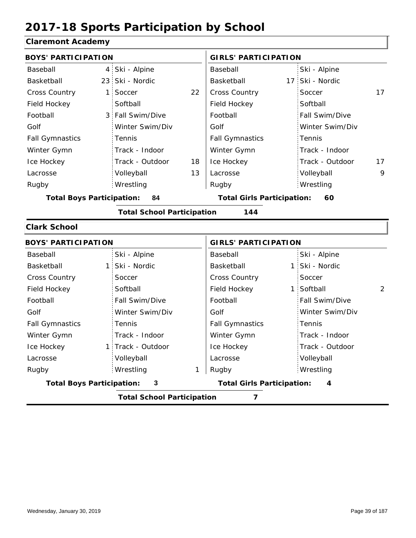#### **Claremont Academy**

| <b>BOYS' PARTICIPATION</b>       |                |                                   |    | <b>GIRLS' PARTICIPATION</b>       |                 |    |
|----------------------------------|----------------|-----------------------------------|----|-----------------------------------|-----------------|----|
| Baseball                         | 4:             | Ski - Alpine                      |    | Baseball                          | Ski - Alpine    |    |
| Basketball                       |                | 23 Ski - Nordic                   |    | Basketball                        | 17 Ski - Nordic |    |
| <b>Cross Country</b>             | $\mathbf{1}$   | Soccer                            | 22 | Cross Country                     | Soccer          | 17 |
| Field Hockey                     |                | Softball                          |    | Field Hockey                      | Softball        |    |
| Football                         | 3 <sup>1</sup> | Fall Swim/Dive                    |    | Football                          | Fall Swim/Dive  |    |
| Golf                             |                | Winter Swim/Div                   |    | Golf                              | Winter Swim/Div |    |
| <b>Fall Gymnastics</b>           |                | Tennis                            |    | <b>Fall Gymnastics</b>            | Tennis          |    |
| Winter Gymn                      |                | Track - Indoor                    |    | Winter Gymn                       | Track - Indoor  |    |
| Ice Hockey                       |                | Track - Outdoor                   | 18 | Ice Hockey                        | Track - Outdoor | 17 |
| Lacrosse                         |                | Volleyball                        | 13 | Lacrosse                          | Volleyball      | 9  |
| Rugby                            |                | Wrestling                         |    | Rugby                             | Wrestling       |    |
| <b>Total Boys Participation:</b> |                | 84                                |    | <b>Total Girls Participation:</b> | 60              |    |
|                                  |                | <b>Total School Participation</b> |    | 144                               |                 |    |
| <b>Clark School</b>              |                |                                   |    |                                   |                 |    |
| <b>BOYS' PARTICIPATION</b>       |                |                                   |    | <b>GIRLS' PARTICIPATION</b>       |                 |    |
| Baseball                         |                | Ski - Alpine                      |    | Baseball                          | Ski - Alpine    |    |
| Basketball                       | $\mathbf{1}$   | Ski - Nordic                      |    | Basketball                        | 1 Ski - Nordic  |    |
| <b>Cross Country</b>             |                | Soccer                            |    | <b>Cross Country</b>              | Soccer          |    |
| Field Hockey                     |                | Softball                          |    | Field Hockey                      | 1 Softball      | 2  |
| Football                         |                | Fall Swim/Dive                    |    | Football                          | Fall Swim/Dive  |    |
| Golf                             |                | Winter Swim/Div                   |    | Golf                              | Winter Swim/Div |    |
| <b>Fall Gymnastics</b>           |                | Tennis                            |    | <b>Fall Gymnastics</b>            | Tennis          |    |
| Winter Gymn                      |                | Track - Indoor                    |    | Winter Gymn                       | Track - Indoor  |    |
| Ice Hockey                       |                | 1 Track - Outdoor                 |    | Ice Hockey                        | Track - Outdoor |    |
| Lacrosse                         |                | Volleyball                        |    | Lacrosse                          | Volleyball      |    |
| Rugby                            |                | Wrestling                         | 1  | Rugby                             | Wrestling       |    |
| <b>Total Boys Participation:</b> |                | 3                                 |    | <b>Total Girls Participation:</b> | 4               |    |

**Total School Participation 7**

I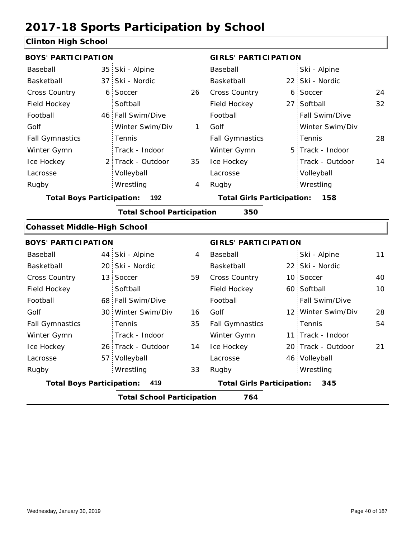#### **Clinton High School**

| <b>BOYS' PARTICIPATION</b>         |                 |                                   |    | <b>GIRLS' PARTICIPATION</b>              |     |                    |    |
|------------------------------------|-----------------|-----------------------------------|----|------------------------------------------|-----|--------------------|----|
| Baseball                           |                 | 35 Ski - Alpine                   |    | Baseball                                 |     | Ski - Alpine       |    |
| Basketball                         | 37 <sup>1</sup> | Ski - Nordic                      |    | Basketball                               |     | 22 Ski - Nordic    |    |
| <b>Cross Country</b>               |                 | 6 Soccer                          | 26 | Cross Country                            |     | 6 Soccer           | 24 |
| Field Hockey                       |                 | Softball                          |    | Field Hockey                             | 27: | Softball           | 32 |
| Football                           |                 | 46 Fall Swim/Dive                 |    | Football                                 |     | Fall Swim/Dive     |    |
| Golf                               |                 | Winter Swim/Div                   | 1  | Golf                                     |     | Winter Swim/Div    |    |
| <b>Fall Gymnastics</b>             |                 | Tennis                            |    | <b>Fall Gymnastics</b>                   |     | Tennis             | 28 |
| Winter Gymn                        |                 | Track - Indoor                    |    | Winter Gymn                              |     | 5 Track - Indoor   |    |
| Ice Hockey                         |                 | 2 Track - Outdoor                 | 35 | Ice Hockey                               |     | Track - Outdoor    | 14 |
| Lacrosse                           |                 | Volleyball                        |    | Lacrosse                                 |     | Volleyball         |    |
| Rugby                              |                 | Wrestling                         | 4  | Rugby                                    |     | Wrestling          |    |
| <b>Total Boys Participation:</b>   |                 | 192                               |    | <b>Total Girls Participation:</b>        |     | 158                |    |
|                                    |                 | <b>Total School Participation</b> |    | 350                                      |     |                    |    |
| <b>Cohasset Middle-High School</b> |                 |                                   |    |                                          |     |                    |    |
| <b>BOYS' PARTICIPATION</b>         |                 |                                   |    | <b>GIRLS' PARTICIPATION</b>              |     |                    |    |
| Baseball                           |                 | 44 Ski - Alpine                   | 4  | Baseball                                 |     | Ski - Alpine       | 11 |
| Basketball                         |                 | 20 Ski - Nordic                   |    | Basketball                               |     | 22 Ski - Nordic    |    |
| <b>Cross Country</b>               |                 | 13 Soccer                         | 59 | Cross Country                            |     | 10 Soccer          | 40 |
| Field Hockey                       |                 | Softball                          |    | Field Hockey                             |     | 60 Softball        | 10 |
| Football                           |                 | 68 Fall Swim/Dive                 |    | Football                                 |     | Fall Swim/Dive     |    |
| Golf                               |                 | 30 Winter Swim/Div                | 16 | Golf                                     |     | 12 Winter Swim/Div | 28 |
| <b>Fall Gymnastics</b>             |                 | Tennis                            | 35 | <b>Fall Gymnastics</b>                   |     | Tennis             | 54 |
| Winter Gymn                        |                 | Track - Indoor                    |    | Winter Gymn                              |     | 11 Track - Indoor  |    |
| Ice Hockey                         |                 | 26 Track - Outdoor                | 14 | Ice Hockey                               |     | 20 Track - Outdoor | 21 |
| Lacrosse                           |                 | 57 Volleyball                     |    | Lacrosse                                 |     | 46 Volleyball      |    |
| Rugby                              |                 | Wrestling                         | 33 | Rugby                                    |     | Wrestling          |    |
| <b>Total Boys Participation:</b>   |                 | 419                               |    | <b>Total Girls Participation:</b><br>345 |     |                    |    |
|                                    |                 | <b>Total School Participation</b> |    | 764                                      |     |                    |    |
|                                    |                 |                                   |    |                                          |     |                    |    |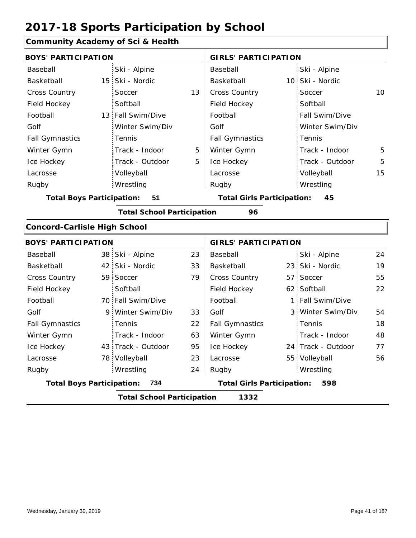### **Community Academy of Sci & Health**

| <b>BOYS' PARTICIPATION</b>             |  |                                   |    | <b>GIRLS' PARTICIPATION</b>             |  |                    |    |  |
|----------------------------------------|--|-----------------------------------|----|-----------------------------------------|--|--------------------|----|--|
| Baseball                               |  | Ski - Alpine                      |    | Baseball                                |  | Ski - Alpine       |    |  |
| Basketball                             |  | 15 Ski - Nordic                   |    | Basketball                              |  | 10 Ski - Nordic    |    |  |
| Cross Country                          |  | Soccer                            | 13 | Cross Country                           |  | Soccer             | 10 |  |
| Field Hockey                           |  | Softball                          |    | Field Hockey                            |  | Softball           |    |  |
| Football                               |  | 13 Fall Swim/Dive                 |    | Football                                |  | Fall Swim/Dive     |    |  |
| Golf                                   |  | Winter Swim/Div                   |    | Golf                                    |  | Winter Swim/Div    |    |  |
| <b>Fall Gymnastics</b>                 |  | Tennis                            |    | <b>Fall Gymnastics</b>                  |  | Tennis             |    |  |
| Winter Gymn                            |  | Track - Indoor                    | 5  | Winter Gymn                             |  | Track - Indoor     | 5  |  |
| Ice Hockey                             |  | Track - Outdoor                   | 5  | Ice Hockey                              |  | Track - Outdoor    | 5  |  |
| Lacrosse                               |  | Volleyball                        |    | Lacrosse                                |  | Volleyball         | 15 |  |
| Rugby                                  |  | Wrestling                         |    | Rugby                                   |  | Wrestling          |    |  |
| <b>Total Boys Participation:</b><br>51 |  |                                   |    | <b>Total Girls Participation:</b><br>45 |  |                    |    |  |
|                                        |  | <b>Total School Participation</b> |    | 96                                      |  |                    |    |  |
| <b>Concord-Carlisle High School</b>    |  |                                   |    |                                         |  |                    |    |  |
| <b>BOYS' PARTICIPATION</b>             |  |                                   |    | <b>GIRLS' PARTICIPATION</b>             |  |                    |    |  |
| Baseball                               |  | 38 Ski - Alpine                   | 23 | Baseball                                |  | Ski - Alpine       | 24 |  |
| Basketball                             |  | 42 Ski - Nordic                   | 33 | Basketball                              |  | 23 Ski - Nordic    | 19 |  |
| <b>Cross Country</b>                   |  | 59 Soccer                         | 79 | Cross Country                           |  | 57 Soccer          | 55 |  |
| Field Hockey                           |  | Softball                          |    | Field Hockey                            |  | 62 Softball        | 22 |  |
| Football                               |  | 70 Fall Swim/Dive                 |    | Football                                |  | 1 Fall Swim/Dive   |    |  |
| Golf                                   |  | 9 Winter Swim/Div                 | 33 | Golf                                    |  | 3 Winter Swim/Div  | 54 |  |
| <b>Fall Gymnastics</b>                 |  | Tennis                            | 22 | <b>Fall Gymnastics</b>                  |  | Tennis             | 18 |  |
| Winter Gymn                            |  | Track - Indoor                    | 63 | Winter Gymn                             |  | Track - Indoor     | 48 |  |
| Ice Hockey                             |  | 43 Track - Outdoor                | 95 | Ice Hockey                              |  | 24 Track - Outdoor | 77 |  |
| Lacrosse                               |  | 78 Volleyball                     | 23 | Lacrosse                                |  | 55 Volleyball      | 56 |  |
| Rugby                                  |  | Wrestling                         | 24 | Rugby                                   |  | Wrestling          |    |  |
| <b>Total Boys Participation:</b>       |  | 734                               |    | <b>Total Girls Participation:</b>       |  | 598                |    |  |
|                                        |  | <b>Total School Participation</b> |    | 1332                                    |  |                    |    |  |
|                                        |  |                                   |    |                                         |  |                    |    |  |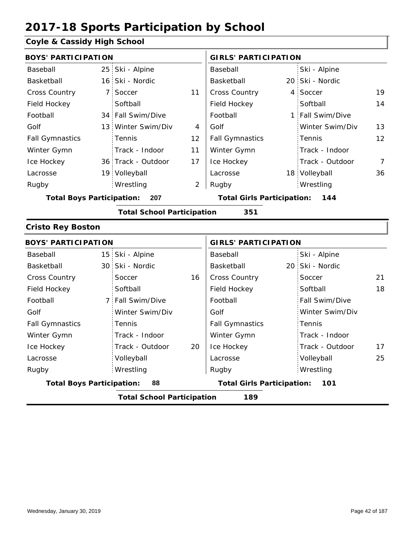#### **Coyle & Cassidy High School**

|                                         | <b>BOYS' PARTICIPATION</b> |                                          |                |                        | <b>GIRLS' PARTICIPATION</b> |                  |    |  |
|-----------------------------------------|----------------------------|------------------------------------------|----------------|------------------------|-----------------------------|------------------|----|--|
| Baseball                                |                            | 25 Ski - Alpine                          |                | Baseball               |                             | Ski - Alpine     |    |  |
| Basketball                              |                            | 16 Ski - Nordic                          |                | Basketball             |                             | 20 Ski - Nordic  |    |  |
| <b>Cross Country</b>                    |                            | 7 Soccer                                 | 11             | <b>Cross Country</b>   |                             | 4 Soccer         | 19 |  |
| Field Hockey                            |                            | Softball                                 |                | Field Hockey           |                             | Softball         | 14 |  |
| Football                                |                            | 34 Fall Swim/Dive                        |                | Football               |                             | 1 Fall Swim/Dive |    |  |
| Golf                                    |                            | 13 Winter Swim/Div                       | 4              | Golf                   |                             | Winter Swim/Div  | 13 |  |
| <b>Fall Gymnastics</b>                  |                            | <b>Tennis</b>                            | 12             | <b>Fall Gymnastics</b> |                             | Tennis           | 12 |  |
| Winter Gymn                             |                            | Track - Indoor                           | 11             | Winter Gymn            |                             | Track - Indoor   |    |  |
| Ice Hockey                              |                            | 36 Track - Outdoor                       | 17             | Ice Hockey             |                             | Track - Outdoor  | 7  |  |
| Lacrosse                                |                            | 19 Volleyball                            |                | Lacrosse               |                             | 18 Volleyball    | 36 |  |
| Rugby                                   |                            | Wrestling                                | $\overline{2}$ | Rugby                  |                             | Wrestling        |    |  |
| <b>Total Boys Participation:</b><br>207 |                            | <b>Total Girls Participation:</b><br>144 |                |                        |                             |                  |    |  |

#### **Total School Participation 351**

#### **Cristo Rey Boston**

|                                          | <b>BOYS' PARTICIPATION</b> |    |                                   | <b>GIRLS' PARTICIPATION</b> |    |  |  |  |
|------------------------------------------|----------------------------|----|-----------------------------------|-----------------------------|----|--|--|--|
| Baseball                                 | 15 Ski - Alpine            |    | Baseball                          | Ski - Alpine                |    |  |  |  |
| Basketball                               | 30 Ski - Nordic            |    | Basketball                        | 20 Ski - Nordic             |    |  |  |  |
| <b>Cross Country</b>                     | Soccer                     | 16 | <b>Cross Country</b>              | Soccer                      | 21 |  |  |  |
| Field Hockey                             | Softball                   |    | Field Hockey                      | Softball                    | 18 |  |  |  |
| Football                                 | 7 Fall Swim/Dive           |    | Football                          | <b>Fall Swim/Dive</b>       |    |  |  |  |
| Golf                                     | Winter Swim/Div            |    | Golf                              | Winter Swim/Div             |    |  |  |  |
| <b>Fall Gymnastics</b>                   | Tennis                     |    | <b>Fall Gymnastics</b>            | Tennis                      |    |  |  |  |
| Winter Gymn                              | Track - Indoor             |    | Winter Gymn                       | Track - Indoor              |    |  |  |  |
| Ice Hockey                               | Track - Outdoor            | 20 | Ice Hockey                        | Track - Outdoor             | 17 |  |  |  |
| Lacrosse                                 | Volleyball                 |    | Lacrosse                          | Volleyball                  | 25 |  |  |  |
| Rugby                                    | Wrestling                  |    | Rugby                             | Wrestling                   |    |  |  |  |
| <b>Total Boys Participation:</b>         | 88                         |    | <b>Total Girls Participation:</b> | 101                         |    |  |  |  |
| <b>Total School Participation</b><br>189 |                            |    |                                   |                             |    |  |  |  |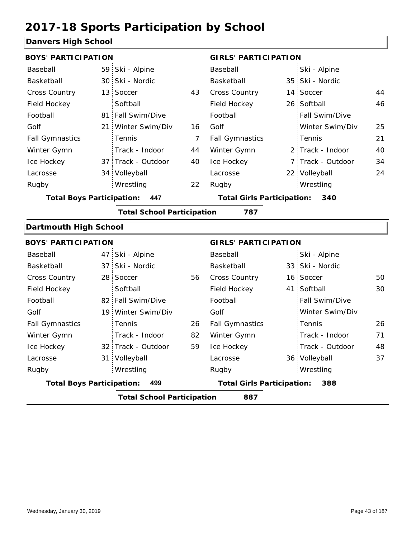#### **Danvers High School**

| <b>BOYS' PARTICIPATION</b>       |     |                                   |                | <b>GIRLS' PARTICIPATION</b>              |  |                   |    |  |
|----------------------------------|-----|-----------------------------------|----------------|------------------------------------------|--|-------------------|----|--|
| Baseball                         |     | 59 Ski - Alpine                   |                | Baseball                                 |  | Ski - Alpine      |    |  |
| Basketball                       |     | 30 Ski - Nordic                   |                | Basketball                               |  | 35 Ski - Nordic   |    |  |
| Cross Country                    |     | 13 Soccer                         | 43             | <b>Cross Country</b>                     |  | 14 Soccer         | 44 |  |
| Field Hockey                     |     | Softball                          |                | Field Hockey                             |  | 26 Softball       | 46 |  |
| Football                         |     | 81 Fall Swim/Dive                 |                | Football                                 |  | Fall Swim/Dive    |    |  |
| Golf                             | 21: | Winter Swim/Div                   | 16             | Golf                                     |  | Winter Swim/Div   | 25 |  |
| <b>Fall Gymnastics</b>           |     | Tennis                            | $\overline{7}$ | <b>Fall Gymnastics</b>                   |  | Tennis            | 21 |  |
| Winter Gymn                      |     | Track - Indoor                    | 44             | Winter Gymn                              |  | 2 Track - Indoor  | 40 |  |
| Ice Hockey                       |     | 37 Track - Outdoor                | 40             | Ice Hockey                               |  | 7 Track - Outdoor | 34 |  |
| Lacrosse                         |     | 34 Volleyball                     |                | Lacrosse                                 |  | 22 Volleyball     | 24 |  |
| Rugby                            |     | Wrestling                         | 22             | Rugby                                    |  | Wrestling         |    |  |
| <b>Total Boys Participation:</b> |     | 447                               |                | <b>Total Girls Participation:</b><br>340 |  |                   |    |  |
|                                  |     | <b>Total School Participation</b> |                | 787                                      |  |                   |    |  |
| <b>Dartmouth High School</b>     |     |                                   |                |                                          |  |                   |    |  |
| <b>BOYS' PARTICIPATION</b>       |     |                                   |                | <b>GIRLS' PARTICIPATION</b>              |  |                   |    |  |
| Baseball                         |     | 47 Ski - Alpine                   |                | Baseball                                 |  | Ski - Alpine      |    |  |
| Basketball                       |     | 37 Ski - Nordic                   |                | Basketball                               |  | 33 Ski - Nordic   |    |  |
| Cross Country                    |     | 28 Soccer                         | 56             | Cross Country                            |  | 16 Soccer         | 50 |  |
| Field Hockey                     |     | Softball                          |                | Field Hockey                             |  | 41 Softball       | 30 |  |
| Football                         |     | 82 Fall Swim/Dive                 |                | Football                                 |  | Fall Swim/Dive    |    |  |

|                                  | <b>Total School Participation</b> |    | 887                               |                 |    |
|----------------------------------|-----------------------------------|----|-----------------------------------|-----------------|----|
| <b>Total Boys Participation:</b> | 499                               |    | <b>Total Girls Participation:</b> | 388             |    |
| Rugby                            | Wrestling                         |    | Rugby                             | Wrestling       |    |
| Lacrosse                         | 31 Volleyball                     |    | Lacrosse                          | 36 Volleyball   | 37 |
| Ice Hockey                       | 32 Track - Outdoor                | 59 | Ice Hockey                        | Track - Outdoor | 48 |
| Winter Gymn                      | Track - Indoor                    | 82 | Winter Gymn                       | Track - Indoor  | 71 |

26

Golf

Fall Gymnastics

19 Winter Swim/Div

Tennis

Golf

Fall Gymnastics

26 71 48

Winter Swim/Div

Tennis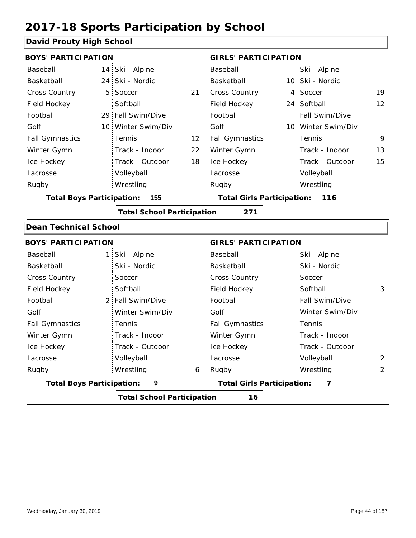#### **David Prouty High School**

| <b>BOYS' PARTICIPATION</b>              |  |                    |                                   | <b>GIRLS' PARTICIPATION</b> |     |                       |    |
|-----------------------------------------|--|--------------------|-----------------------------------|-----------------------------|-----|-----------------------|----|
| Baseball                                |  | 14 Ski - Alpine    |                                   | Baseball                    |     | Ski - Alpine          |    |
| Basketball                              |  | 24 Ski - Nordic    |                                   | Basketball                  |     | 10 Ski - Nordic       |    |
| <b>Cross Country</b>                    |  | 5 Soccer           | 21                                | <b>Cross Country</b>        |     | 4 Soccer              | 19 |
| Field Hockey                            |  | Softball           |                                   | Field Hockey                |     | 24 Softball           | 12 |
| Football                                |  | 29 Fall Swim/Dive  |                                   | Football                    |     | <b>Fall Swim/Dive</b> |    |
| Golf                                    |  | 10 Winter Swim/Div |                                   | Golf                        |     | 10 Winter Swim/Div    |    |
| <b>Fall Gymnastics</b>                  |  | Tennis             | 12                                | <b>Fall Gymnastics</b>      |     | Tennis                | 9  |
| Winter Gymn                             |  | Track - Indoor     | 22                                | Winter Gymn                 |     | Track - Indoor        | 13 |
| Ice Hockey                              |  | Track - Outdoor    | 18                                | Ice Hockey                  |     | Track - Outdoor       | 15 |
| Lacrosse                                |  | Volleyball         |                                   | Lacrosse                    |     | Volleyball            |    |
| Rugby                                   |  | Wrestling          |                                   | Rugby                       |     | Wrestling             |    |
| 155<br><b>Total Boys Participation:</b> |  |                    | <b>Total Girls Participation:</b> |                             | 116 |                       |    |

**Total School Participation 271**

#### **Dean Technical School**

|                                  | <b>BOYS' PARTICIPATION</b>        |   |                                   | <b>GIRLS' PARTICIPATION</b> |   |  |  |
|----------------------------------|-----------------------------------|---|-----------------------------------|-----------------------------|---|--|--|
| Baseball                         | 1 Ski - Alpine                    |   | Baseball                          | Ski - Alpine                |   |  |  |
| Basketball                       | Ski - Nordic                      |   | Basketball                        | Ski - Nordic                |   |  |  |
| <b>Cross Country</b>             | Soccer                            |   | <b>Cross Country</b>              | Soccer                      |   |  |  |
| Field Hockey                     | Softball                          |   | Field Hockey                      | Softball                    | 3 |  |  |
| Football                         | 2 Fall Swim/Dive                  |   | Football                          | <b>Fall Swim/Dive</b>       |   |  |  |
| Golf                             | Winter Swim/Div                   |   | Golf                              | Winter Swim/Div             |   |  |  |
| <b>Fall Gymnastics</b>           | Tennis                            |   | <b>Fall Gymnastics</b>            | Tennis                      |   |  |  |
| Winter Gymn                      | Track - Indoor                    |   | Winter Gymn                       | Track - Indoor              |   |  |  |
| Ice Hockey                       | Track - Outdoor                   |   | Ice Hockey                        | Track - Outdoor             |   |  |  |
| Lacrosse                         | Volleyball                        |   | Lacrosse                          | Volleyball                  | 2 |  |  |
| Rugby                            | Wrestling                         | 6 | Rugby                             | Wrestling                   | 2 |  |  |
| <b>Total Boys Participation:</b> | 9                                 |   | <b>Total Girls Participation:</b> | 7                           |   |  |  |
|                                  | <b>Total School Participation</b> |   | 16                                |                             |   |  |  |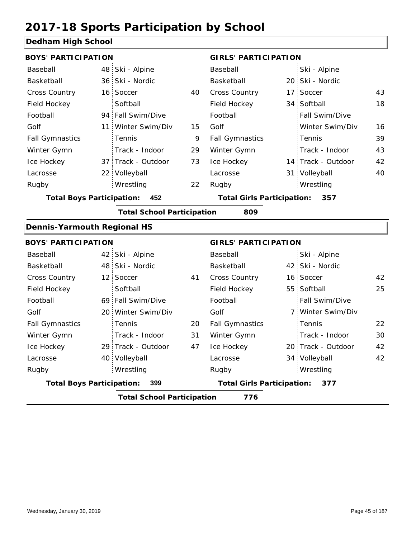#### **Dedham High School**

| <b>BOYS' PARTICIPATION</b>         |                                   |    | <b>GIRLS' PARTICIPATION</b>       |  |                    |    |
|------------------------------------|-----------------------------------|----|-----------------------------------|--|--------------------|----|
| Baseball                           | 48 Ski - Alpine                   |    | Baseball                          |  | Ski - Alpine       |    |
| Basketball                         | 36 Ski - Nordic                   |    | Basketball                        |  | 20 Ski - Nordic    |    |
| Cross Country                      | 16 Soccer                         | 40 | Cross Country                     |  | 17 Soccer          | 43 |
| Field Hockey                       | Softball                          |    | Field Hockey                      |  | 34 Softball        | 18 |
| Football                           | 94 Fall Swim/Dive                 |    | Football                          |  | Fall Swim/Dive     |    |
| Golf                               | 11 Winter Swim/Div                | 15 | Golf                              |  | Winter Swim/Div    | 16 |
| <b>Fall Gymnastics</b>             | Tennis                            | 9  | <b>Fall Gymnastics</b>            |  | Tennis             | 39 |
| Winter Gymn                        | Track - Indoor                    | 29 | Winter Gymn                       |  | Track - Indoor     | 43 |
| Ice Hockey                         | 37 Track - Outdoor                | 73 | Ice Hockey                        |  | 14 Track - Outdoor | 42 |
| Lacrosse                           | 22 Volleyball                     |    | Lacrosse                          |  | 31 Volleyball      | 40 |
| Rugby                              | Wrestling                         | 22 | Rugby                             |  | Wrestling          |    |
| <b>Total Boys Participation:</b>   | 452                               |    | <b>Total Girls Participation:</b> |  | 357                |    |
|                                    | <b>Total School Participation</b> |    | 809                               |  |                    |    |
| <b>Dennis-Yarmouth Regional HS</b> |                                   |    |                                   |  |                    |    |
| <b>BOYS' PARTICIPATION</b>         |                                   |    | <b>GIRLS' PARTICIPATION</b>       |  |                    |    |
| Baseball                           | 42 Ski - Alpine                   |    | Baseball                          |  | Ski - Alpine       |    |
| Basketball                         | 48 Ski - Nordic                   |    | Basketball                        |  | 42 Ski - Nordic    |    |
| <b>Cross Country</b>               | 12 Soccer                         | 41 | <b>Cross Country</b>              |  | 16 Soccer          | 42 |
| Field Hockey                       | Softball                          |    | Field Hockey                      |  | 55 Softball        | 25 |
| Football                           | 69 Fall Swim/Dive                 |    | Football                          |  | Fall Swim/Dive     |    |
| Golf                               | 20 Winter Swim/Div                |    | Golf                              |  | 7 Winter Swim/Div  |    |
| <b>Fall Gymnastics</b>             | Tennis                            | 20 | <b>Fall Gymnastics</b>            |  | Tennis             | 22 |
| Winter Gymn                        | Track - Indoor                    | 31 | Winter Gymn                       |  | Track - Indoor     | 30 |
| Ice Hockey                         | 29 Track - Outdoor                | 47 | Ice Hockey                        |  | 20 Track - Outdoor | 42 |
| Lacrosse                           | 40 Volleyball                     |    | Lacrosse                          |  | 34 Volleyball      | 42 |
| Rugby                              | Wrestling                         |    | Rugby                             |  | Wrestling          |    |
| <b>Total Boys Participation:</b>   | 399                               |    | <b>Total Girls Participation:</b> |  | 377                |    |
|                                    | <b>Total School Participation</b> |    | 776                               |  |                    |    |
|                                    |                                   |    |                                   |  |                    |    |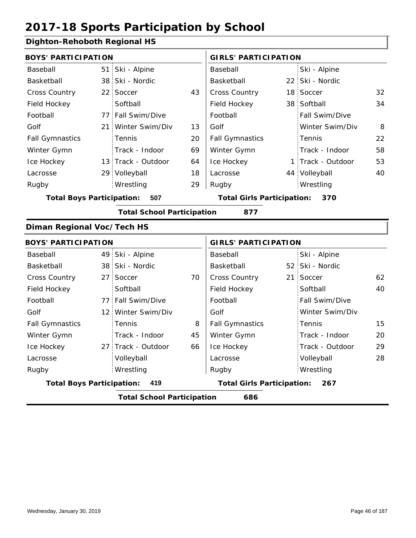#### **Dighton-Rehoboth Regional HS**

| <b>BOYS' PARTICIPATION</b>       |                 |                                   |    | <b>GIRLS' PARTICIPATION</b>       |                 |                   |    |
|----------------------------------|-----------------|-----------------------------------|----|-----------------------------------|-----------------|-------------------|----|
| Baseball                         |                 | 51 Ski - Alpine                   |    | Baseball                          |                 | Ski - Alpine      |    |
| Basketball                       |                 | 38 Ski - Nordic                   |    | Basketball                        |                 | 22 Ski - Nordic   |    |
| Cross Country                    |                 | 22 Soccer                         | 43 | Cross Country                     |                 | 18 Soccer         | 32 |
| Field Hockey                     |                 | Softball                          |    | Field Hockey                      |                 | 38 Softball       | 34 |
| Football                         |                 | 77 Fall Swim/Dive                 |    | Football                          |                 | Fall Swim/Dive    |    |
| Golf                             |                 | 21 Winter Swim/Div                | 13 | Golf                              |                 | Winter Swim/Div   | 8  |
| <b>Fall Gymnastics</b>           |                 | Tennis                            | 20 | <b>Fall Gymnastics</b>            |                 | Tennis            | 22 |
| Winter Gymn                      |                 | Track - Indoor                    | 69 | Winter Gymn                       |                 | Track - Indoor    | 58 |
| Ice Hockey                       |                 | 13 Track - Outdoor                | 64 | Ice Hockey                        |                 | 1 Track - Outdoor | 53 |
| Lacrosse                         |                 | 29 Volleyball                     | 18 | Lacrosse                          |                 | 44 Volleyball     | 40 |
| Rugby                            |                 | Wrestling                         | 29 | Rugby                             |                 | Wrestling         |    |
| <b>Total Boys Participation:</b> |                 | 507                               |    | <b>Total Girls Participation:</b> |                 | 370               |    |
|                                  |                 | <b>Total School Participation</b> |    | 877                               |                 |                   |    |
| Diman Regional Voc/Tech HS       |                 |                                   |    |                                   |                 |                   |    |
| <b>BOYS' PARTICIPATION</b>       |                 |                                   |    | <b>GIRLS' PARTICIPATION</b>       |                 |                   |    |
| Baseball                         |                 | 49 Ski - Alpine                   |    | Baseball                          |                 | Ski - Alpine      |    |
| Basketball                       |                 | 38 Ski - Nordic                   |    | Basketball                        |                 | 52 Ski - Nordic   |    |
| Cross Country                    | 27 <sup>1</sup> | Soccer                            | 70 | Cross Country                     | 21 <sup>2</sup> | Soccer            | 62 |
| Field Hockey                     |                 | Softball                          |    | Field Hockey                      |                 | Softball          | 40 |
| Football                         |                 | 77 Fall Swim/Dive                 |    | Football                          |                 | Fall Swim/Dive    |    |
| Golf                             |                 | 12 Winter Swim/Div                |    | Golf                              |                 | Winter Swim/Div   |    |
| <b>Fall Gymnastics</b>           |                 | Tennis                            | 8  | <b>Fall Gymnastics</b>            |                 | Tennis            | 15 |
| Winter Gymn                      |                 | Track - Indoor                    | 45 | Winter Gymn                       |                 | Track - Indoor    | 20 |
| Ice Hockey                       |                 | 27 Track - Outdoor                | 66 | Ice Hockey                        |                 | Track - Outdoor   | 29 |
| Lacrosse                         |                 | Volleyball                        |    | Lacrosse                          |                 | Volleyball        | 28 |

**Total Boys Participation: 419 Total Girls Participation: 267**

Wrestling Rugby Rugby

**Total School Participation 686**

Wrestling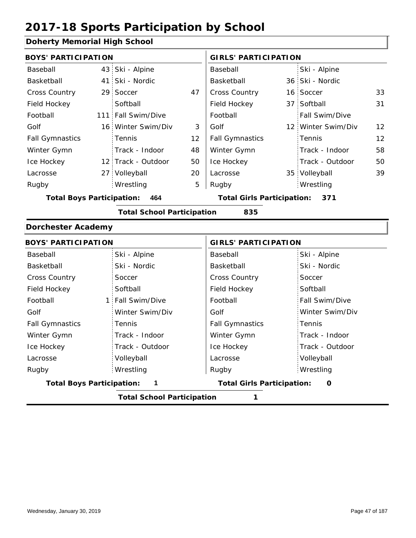#### **Doherty Memorial High School**

| <b>BOYS' PARTICIPATION</b> |                    |    | <b>GIRLS' PARTICIPATION</b> |  |                       |                   |
|----------------------------|--------------------|----|-----------------------------|--|-----------------------|-------------------|
| Baseball                   | 43 Ski - Alpine    |    | Baseball                    |  | Ski - Alpine          |                   |
| Basketball                 | 41 Ski - Nordic    |    | Basketball                  |  | 36 Ski - Nordic       |                   |
| <b>Cross Country</b>       | 29 Soccer          | 47 | <b>Cross Country</b>        |  | 16 Soccer             | 33                |
| Field Hockey               | Softball           |    | Field Hockey                |  | 37 Softball           | 31                |
| Football                   | 111 Fall Swim/Dive |    | Football                    |  | <b>Fall Swim/Dive</b> |                   |
| Golf                       | 16 Winter Swim/Div | 3  | Golf                        |  | 12 Winter Swim/Div    | $12 \overline{ }$ |
| <b>Fall Gymnastics</b>     | Tennis             | 12 | <b>Fall Gymnastics</b>      |  | Tennis                | 12                |
| Winter Gymn                | Track - Indoor     | 48 | Winter Gymn                 |  | Track - Indoor        | 58                |
| Ice Hockey                 | 12 Track - Outdoor | 50 | Ice Hockey                  |  | Track - Outdoor       | 50                |
| Lacrosse                   | 27 Volleyball      | 20 | Lacrosse                    |  | 35 Volleyball         | 39                |
| Rugby                      | Wrestling          | 5  | Rugby                       |  | Wrestling             |                   |

**Total Boys Participation: 464 Total Girls Participation: 371**

**Total School Participation 835**

#### **Dorchester Academy**

| <b>BOYS' PARTICIPATION</b>       |                  | <b>GIRLS' PARTICIPATION</b>       |                       |
|----------------------------------|------------------|-----------------------------------|-----------------------|
| Baseball                         | Ski - Alpine     | Baseball                          | Ski - Alpine          |
| Basketball                       | Ski - Nordic     | Basketball                        | Ski - Nordic          |
| <b>Cross Country</b>             | Soccer           | <b>Cross Country</b>              | Soccer                |
| Field Hockey                     | Softball         | Field Hockey                      | Softball              |
| Football                         | 1 Fall Swim/Dive | Football                          | <b>Fall Swim/Dive</b> |
| Golf                             | Winter Swim/Div  | Golf                              | Winter Swim/Div       |
| <b>Fall Gymnastics</b>           | <b>Tennis</b>    | <b>Fall Gymnastics</b>            | : Tennis              |
| Winter Gymn                      | Track - Indoor   | Winter Gymn                       | Track - Indoor        |
| Ice Hockey                       | Track - Outdoor  | Ice Hockey                        | Track - Outdoor       |
| Lacrosse                         | Volleyball       | Lacrosse                          | Volleyball            |
| Rugby                            | Wrestling        | Rugby                             | Wrestling             |
| <b>Total Boys Participation:</b> | $\mathbf{1}$     | <b>Total Girls Participation:</b> | 0                     |
|                                  |                  |                                   |                       |

**Total School Participation 1**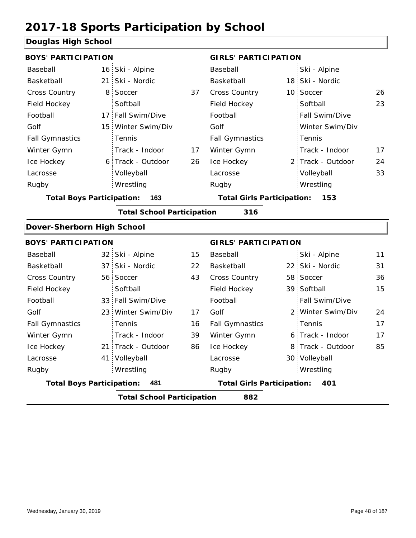#### **Douglas High School**

| <b>BOYS' PARTICIPATION</b>       |                 |                                   |    | <b>GIRLS' PARTICIPATION</b>       |                   |    |
|----------------------------------|-----------------|-----------------------------------|----|-----------------------------------|-------------------|----|
| Baseball                         |                 | 16 Ski - Alpine                   |    | Baseball                          | Ski - Alpine      |    |
| Basketball                       | 21              | Ski - Nordic                      |    | Basketball                        | 18 Ski - Nordic   |    |
| Cross Country                    | 8               | Soccer                            | 37 | Cross Country                     | 10 Soccer         | 26 |
| Field Hockey                     |                 | Softball                          |    | Field Hockey                      | Softball          | 23 |
| Football                         |                 | 17 Fall Swim/Dive                 |    | Football                          | Fall Swim/Dive    |    |
| Golf                             | 15 <sup>1</sup> | Winter Swim/Div                   |    | Golf                              | Winter Swim/Div   |    |
| <b>Fall Gymnastics</b>           |                 | Tennis                            |    | <b>Fall Gymnastics</b>            | Tennis            |    |
| Winter Gymn                      |                 | Track - Indoor                    | 17 | Winter Gymn                       | Track - Indoor    | 17 |
| Ice Hockey                       |                 | 6 Track - Outdoor                 | 26 | Ice Hockey                        | 2 Track - Outdoor | 24 |
| Lacrosse                         |                 | Volleyball                        |    | Lacrosse                          | Volleyball        | 33 |
| Rugby                            |                 | Wrestling                         |    | Rugby                             | Wrestling         |    |
| <b>Total Boys Participation:</b> |                 | 163                               |    | <b>Total Girls Participation:</b> | 153               |    |
|                                  |                 | <b>Total School Participation</b> |    | 316                               |                   |    |
| Dover-Sherborn High School       |                 |                                   |    |                                   |                   |    |
| <b>BOYS' PARTICIPATION</b>       |                 |                                   |    | <b>GIRLS' PARTICIPATION</b>       |                   |    |
| Baseball                         |                 | 32 Ski - Alpine                   | 15 | Baseball                          | Ski - Alpine      | 11 |
| Basketball                       |                 | 37 Ski - Nordic                   | 22 | Basketball                        | 22 Ski - Nordic   | 31 |
| <b>Cross Country</b>             |                 | 56 Soccer                         | 43 | Cross Country                     | 58 Soccer         | 36 |
| Field Hockey                     |                 | Softball                          |    | Field Hockey                      | 39 Softball       | 15 |
| Football                         |                 | 33 Fall Swim/Dive                 |    | Football                          | Fall Swim/Dive    |    |
| Golf                             | 23 <sup>1</sup> | Winter Swim/Div                   | 17 | Golf                              | 2 Winter Swim/Div | 24 |
| <b>Fall Gymnastics</b>           |                 | Tennis                            | 16 | <b>Fall Gymnastics</b>            | Tennis            | 17 |
| Winter Gymn                      |                 | Track - Indoor                    | 39 | Winter Gymn                       | 6 Track - Indoor  | 17 |
| Ice Hockey                       |                 | 21 Track - Outdoor                | 86 | Ice Hockey                        | 8 Track - Outdoor | 85 |
| Lacrosse                         |                 | 41 Volleyball                     |    | Lacrosse                          | 30 Volleyball     |    |
| Rugby                            |                 | Wrestling                         |    | Rugby                             | Wrestling         |    |
| <b>Total Boys Participation:</b> |                 | 481                               |    | <b>Total Girls Participation:</b> | 401               |    |
|                                  |                 | <b>Total School Participation</b> |    | 882                               |                   |    |
|                                  |                 |                                   |    |                                   |                   |    |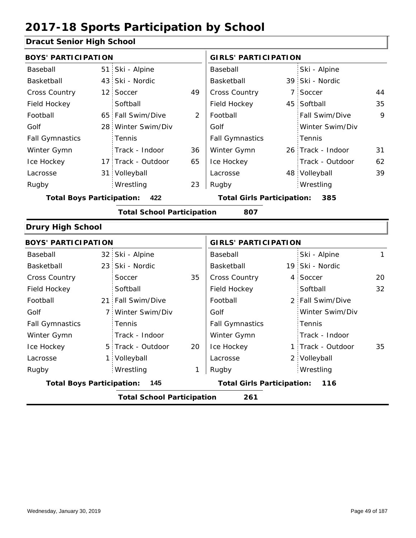#### **Dracut Senior High School**

| <b>BOYS' PARTICIPATION</b>       |                                   |    | <b>GIRLS' PARTICIPATION</b>       |                   |    |
|----------------------------------|-----------------------------------|----|-----------------------------------|-------------------|----|
| Baseball                         | 51 Ski - Alpine                   |    | Baseball                          | Ski - Alpine      |    |
| Basketball                       | 43 Ski - Nordic                   |    | Basketball                        | 39 Ski - Nordic   |    |
| <b>Cross Country</b>             | 12 Soccer                         | 49 | Cross Country                     | 7 Soccer          | 44 |
| Field Hockey                     | Softball                          |    | Field Hockey                      | 45 Softball       | 35 |
| Football                         | 65 Fall Swim/Dive                 | 2  | Football                          | Fall Swim/Dive    | 9  |
| Golf                             | 28 Winter Swim/Div                |    | Golf                              | Winter Swim/Div   |    |
| <b>Fall Gymnastics</b>           | <b>Tennis</b>                     |    | <b>Fall Gymnastics</b>            | Tennis            |    |
| Winter Gymn                      | Track - Indoor                    | 36 | Winter Gymn                       | 26 Track - Indoor | 31 |
| Ice Hockey                       | 17 Track - Outdoor                | 65 | Ice Hockey                        | Track - Outdoor   | 62 |
| Lacrosse                         | 31 Volleyball                     |    | Lacrosse                          | 48 Volleyball     | 39 |
| Rugby                            | Wrestling                         | 23 | Rugby                             | Wrestling         |    |
| <b>Total Boys Participation:</b> | 422                               |    | <b>Total Girls Participation:</b> | 385               |    |
|                                  | <b>Total School Participation</b> |    | 807                               |                   |    |
| <b>Drury High School</b>         |                                   |    |                                   |                   |    |
| <b>BOYS' PARTICIPATION</b>       |                                   |    | <b>GIRLS' PARTICIPATION</b>       |                   |    |

| <b>BUTS FARTIVIFAILUN</b>               |  |                                          |    | GIRLS FARTIGIFATION    |  |                   |    |
|-----------------------------------------|--|------------------------------------------|----|------------------------|--|-------------------|----|
| Baseball                                |  | 32 Ski - Alpine                          |    | Baseball               |  | Ski - Alpine      | 1  |
| Basketball                              |  | 23 Ski - Nordic                          |    | Basketball             |  | 19 Ski - Nordic   |    |
| <b>Cross Country</b>                    |  | Soccer                                   | 35 | <b>Cross Country</b>   |  | 4 Soccer          | 20 |
| Field Hockey                            |  | Softball                                 |    | Field Hockey           |  | Softball          | 32 |
| Football                                |  | 21 Fall Swim/Dive                        |    | Football               |  | 2 Fall Swim/Dive  |    |
| Golf                                    |  | 7 Winter Swim/Div                        |    | Golf                   |  | Winter Swim/Div   |    |
| <b>Fall Gymnastics</b>                  |  | Tennis                                   |    | <b>Fall Gymnastics</b> |  | Tennis            |    |
| Winter Gymn                             |  | Track - Indoor                           |    | Winter Gymn            |  | Track - Indoor    |    |
| Ice Hockey                              |  | 5 Track - Outdoor                        | 20 | Ice Hockey             |  | 1 Track - Outdoor | 35 |
| Lacrosse                                |  | 1 Volleyball                             |    | Lacrosse               |  | 2 Volleyball      |    |
| Rugby                                   |  | Wrestling                                | 1  | Rugby                  |  | Wrestling         |    |
| <b>Total Boys Participation:</b><br>145 |  | <b>Total Girls Participation:</b><br>116 |    |                        |  |                   |    |
|                                         |  | <b>Total School Participation</b>        |    | 261                    |  |                   |    |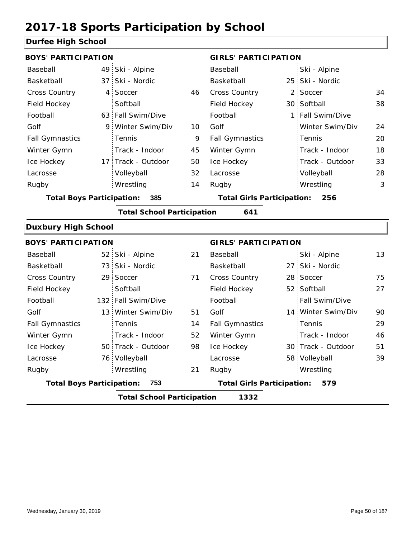#### **Durfee High School**

| , , , , , , , , , , , , ,        |                                           |                                   |    |                                   |     |                    |    |  |  |
|----------------------------------|-------------------------------------------|-----------------------------------|----|-----------------------------------|-----|--------------------|----|--|--|
| <b>BOYS' PARTICIPATION</b>       |                                           |                                   |    | <b>GIRLS' PARTICIPATION</b>       |     |                    |    |  |  |
| Baseball                         |                                           | 49 Ski - Alpine                   |    | Baseball                          |     | Ski - Alpine       |    |  |  |
| Basketball                       |                                           | 37 Ski - Nordic                   |    | Basketball                        | 25  | Ski - Nordic       |    |  |  |
| Cross Country                    |                                           | 4 Soccer                          | 46 | Cross Country                     | 2   | Soccer             | 34 |  |  |
| Field Hockey                     |                                           | Softball                          |    | Field Hockey                      | 30  | Softball           | 38 |  |  |
| Football                         |                                           | 63 Fall Swim/Dive                 |    | Football                          | 1:  | Fall Swim/Dive     |    |  |  |
| Golf                             |                                           | 9 Winter Swim/Div                 | 10 | Golf                              |     | Winter Swim/Div    | 24 |  |  |
| <b>Fall Gymnastics</b>           |                                           | Tennis                            | 9  | <b>Fall Gymnastics</b>            |     | Tennis             | 20 |  |  |
| Winter Gymn                      |                                           | Track - Indoor                    | 45 | Winter Gymn                       |     | Track - Indoor     | 18 |  |  |
| Ice Hockey                       |                                           | 17 Track - Outdoor                | 50 | Ice Hockey                        |     | Track - Outdoor    | 33 |  |  |
| Lacrosse                         |                                           | Volleyball                        | 32 | Lacrosse                          |     | Volleyball         | 28 |  |  |
| Rugby                            |                                           | Wrestling                         | 14 | Rugby                             |     | Wrestling          | 3  |  |  |
| <b>Total Boys Participation:</b> |                                           | 385                               |    | <b>Total Girls Participation:</b> |     | 256                |    |  |  |
|                                  |                                           | <b>Total School Participation</b> |    | 641                               |     |                    |    |  |  |
| <b>Duxbury High School</b>       |                                           |                                   |    |                                   |     |                    |    |  |  |
| <b>BOYS' PARTICIPATION</b>       |                                           |                                   |    | <b>GIRLS' PARTICIPATION</b>       |     |                    |    |  |  |
| Baseball                         |                                           | 52 Ski - Alpine                   | 21 | Baseball                          |     | Ski - Alpine       | 13 |  |  |
| Basketball                       |                                           | 73 Ski - Nordic                   |    | Basketball                        | 27: | Ski - Nordic       |    |  |  |
| Cross Country                    |                                           | 29 Soccer                         | 71 | Cross Country                     |     | 28 Soccer          | 75 |  |  |
| Field Hockey                     |                                           | Softball                          |    | Field Hockey                      |     | 52 Softball        | 27 |  |  |
| Football                         |                                           | 132 Fall Swim/Dive                |    | Football                          |     | Fall Swim/Dive     |    |  |  |
| Golf                             |                                           | 13 Winter Swim/Div                | 51 | Golf                              |     | 14 Winter Swim/Div | 90 |  |  |
| <b>Fall Gymnastics</b>           |                                           | Tennis                            | 14 | <b>Fall Gymnastics</b>            |     | Tennis             | 29 |  |  |
| Winter Gymn                      |                                           | Track - Indoor                    | 52 | Winter Gymn                       |     | Track - Indoor     | 46 |  |  |
| Ice Hockey                       |                                           | 50 Track - Outdoor                | 98 | Ice Hockey                        |     | 30 Track - Outdoor | 51 |  |  |
| Lacrosse                         |                                           | 76 Volleyball                     |    | Lacrosse                          |     | 58 Volleyball      | 39 |  |  |
| Rugby                            |                                           | Wrestling                         | 21 | Rugby                             |     | Wrestling          |    |  |  |
| <b>Total Boys Participation:</b> |                                           | 753                               |    | <b>Total Girls Participation:</b> |     | 579                |    |  |  |
|                                  | <b>Total School Participation</b><br>1332 |                                   |    |                                   |     |                    |    |  |  |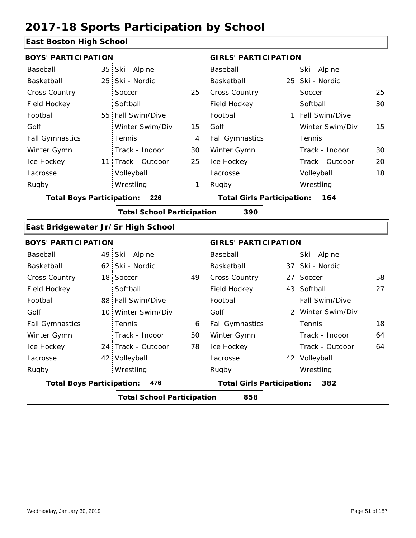#### **East Boston High School**

| <b>BOYS' PARTICIPATION</b>         |                                          |                                   |    | <b>GIRLS' PARTICIPATION</b>       |  |                   |    |  |
|------------------------------------|------------------------------------------|-----------------------------------|----|-----------------------------------|--|-------------------|----|--|
| Baseball                           |                                          | 35 Ski - Alpine                   |    | Baseball                          |  | Ski - Alpine      |    |  |
| Basketball                         | 25 <sup>2</sup>                          | Ski - Nordic                      |    | Basketball                        |  | 25 Ski - Nordic   |    |  |
| <b>Cross Country</b>               |                                          | Soccer                            | 25 | Cross Country                     |  | Soccer            | 25 |  |
| Field Hockey                       |                                          | Softball                          |    | Field Hockey                      |  | Softball          | 30 |  |
| Football                           |                                          | 55 Fall Swim/Dive                 |    | Football                          |  | 1 Fall Swim/Dive  |    |  |
| Golf                               |                                          | Winter Swim/Div                   | 15 | Golf                              |  | Winter Swim/Div   | 15 |  |
| <b>Fall Gymnastics</b>             |                                          | Tennis                            | 4  | <b>Fall Gymnastics</b>            |  | Tennis            |    |  |
| Winter Gymn                        |                                          | Track - Indoor                    | 30 | Winter Gymn                       |  | Track - Indoor    | 30 |  |
| Ice Hockey                         |                                          | 11 Track - Outdoor                | 25 | Ice Hockey                        |  | Track - Outdoor   | 20 |  |
| Lacrosse                           |                                          | Volleyball                        |    | Lacrosse                          |  | Volleyball        | 18 |  |
| Rugby                              |                                          | Wrestling                         | 1  | Rugby                             |  | Wrestling         |    |  |
| <b>Total Boys Participation:</b>   |                                          | 226                               |    | <b>Total Girls Participation:</b> |  | 164               |    |  |
|                                    |                                          | <b>Total School Participation</b> |    | 390                               |  |                   |    |  |
| East Bridgewater Jr/Sr High School |                                          |                                   |    |                                   |  |                   |    |  |
| <b>BOYS' PARTICIPATION</b>         |                                          |                                   |    | <b>GIRLS' PARTICIPATION</b>       |  |                   |    |  |
| Baseball                           |                                          | 49 Ski - Alpine                   |    | Baseball                          |  | Ski - Alpine      |    |  |
| Basketball                         |                                          | 62 Ski - Nordic                   |    | Basketball                        |  | 37 Ski - Nordic   |    |  |
| <b>Cross Country</b>               |                                          | 18 Soccer                         | 49 | Cross Country                     |  | 27 Soccer         | 58 |  |
| Field Hockey                       |                                          | Softball                          |    | Field Hockey                      |  | 43 Softball       | 27 |  |
| Football                           |                                          | 88 Fall Swim/Dive                 |    | Football                          |  | Fall Swim/Dive    |    |  |
| Golf                               |                                          | 10 Winter Swim/Div                |    | Golf                              |  | 2 Winter Swim/Div |    |  |
| <b>Fall Gymnastics</b>             |                                          | Tennis                            | 6  | <b>Fall Gymnastics</b>            |  | Tennis            | 18 |  |
| Winter Gymn                        |                                          | Track - Indoor                    | 50 | Winter Gymn                       |  | Track - Indoor    | 64 |  |
| Ice Hockey                         |                                          | 24 Track - Outdoor                | 78 | Ice Hockey                        |  | Track - Outdoor   | 64 |  |
| Lacrosse                           |                                          | 42 Volleyball                     |    | Lacrosse                          |  | 42 Volleyball     |    |  |
| Rugby                              |                                          | Wrestling                         |    | Rugby                             |  | Wrestling         |    |  |
| <b>Total Boys Participation:</b>   |                                          | 476                               |    | <b>Total Girls Participation:</b> |  | 382               |    |  |
|                                    | <b>Total School Participation</b><br>858 |                                   |    |                                   |  |                   |    |  |
|                                    |                                          |                                   |    |                                   |  |                   |    |  |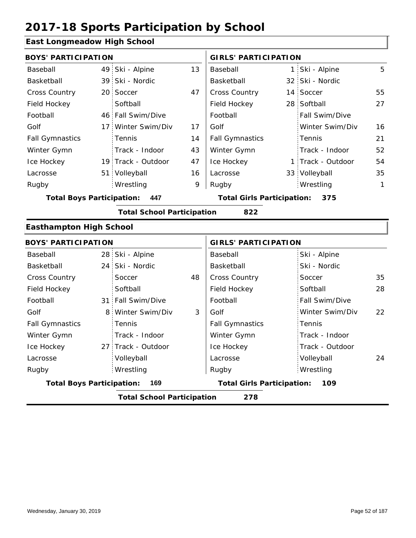#### **East Longmeadow High School**

| <b>BOYS' PARTICIPATION</b>              |  |                                   |    | <b>GIRLS' PARTICIPATION</b>              |  |                   |              |
|-----------------------------------------|--|-----------------------------------|----|------------------------------------------|--|-------------------|--------------|
| Baseball                                |  | 49 Ski - Alpine                   | 13 | Baseball                                 |  | 1 Ski - Alpine    | 5            |
| Basketball                              |  | 39 Ski - Nordic                   |    | Basketball                               |  | 32 Ski - Nordic   |              |
| <b>Cross Country</b>                    |  | 20 Soccer                         | 47 | <b>Cross Country</b>                     |  | 14 Soccer         | 55           |
| Field Hockey                            |  | Softball                          |    | Field Hockey                             |  | 28 Softball       | 27           |
| Football                                |  | 46 Fall Swim/Dive                 |    | Football                                 |  | Fall Swim/Dive    |              |
| Golf                                    |  | 17 Winter Swim/Div                | 17 | Golf                                     |  | Winter Swim/Div   | 16           |
| <b>Fall Gymnastics</b>                  |  | <b>Tennis</b>                     | 14 | <b>Fall Gymnastics</b>                   |  | Tennis            | 21           |
| Winter Gymn                             |  | Track - Indoor                    | 43 | Winter Gymn                              |  | Track - Indoor    | 52           |
| Ice Hockey                              |  | 19 Track - Outdoor                | 47 | Ice Hockey                               |  | 1 Track - Outdoor | 54           |
| Lacrosse                                |  | 51 Volleyball                     | 16 | Lacrosse                                 |  | 33 Volleyball     | 35           |
| Rugby                                   |  | Wrestling                         | 9  | Rugby                                    |  | Wrestling         | $\mathbf{1}$ |
| <b>Total Boys Participation:</b><br>447 |  |                                   |    | <b>Total Girls Participation:</b><br>375 |  |                   |              |
|                                         |  | <b>Total School Participation</b> |    | 822                                      |  |                   |              |
| <b>Easthampton High School</b>          |  |                                   |    |                                          |  |                   |              |

| <b>BOYS' PARTICIPATION</b>              |   |                                          |    | <b>GIRLS' PARTICIPATION</b> |                 |    |  |
|-----------------------------------------|---|------------------------------------------|----|-----------------------------|-----------------|----|--|
| Baseball                                |   | 28 Ski - Alpine                          |    | Baseball                    | Ski - Alpine    |    |  |
| Basketball                              |   | 24 Ski - Nordic                          |    | Basketball                  | Ski - Nordic    |    |  |
| <b>Cross Country</b>                    |   | Soccer                                   | 48 | <b>Cross Country</b>        | Soccer          | 35 |  |
| Field Hockey                            |   | Softball                                 |    | Field Hockey                | Softball        | 28 |  |
| Football                                |   | 31 Fall Swim/Dive                        |    | Football                    | Fall Swim/Dive  |    |  |
| Golf                                    | 8 | Winter Swim/Div                          | 3  | Golf                        | Winter Swim/Div | 22 |  |
| <b>Fall Gymnastics</b>                  |   | <b>Tennis</b>                            |    | <b>Fall Gymnastics</b>      | Tennis          |    |  |
| Winter Gymn                             |   | Track - Indoor                           |    | Winter Gymn                 | Track - Indoor  |    |  |
| Ice Hockey                              |   | 27 Track - Outdoor                       |    | Ice Hockey                  | Track - Outdoor |    |  |
| Lacrosse                                |   | Volleyball                               |    | Lacrosse                    | Volleyball      | 24 |  |
| Rugby                                   |   | Wrestling                                |    | Rugby                       | Wrestling       |    |  |
| <b>Total Boys Participation:</b><br>169 |   | <b>Total Girls Participation:</b><br>109 |    |                             |                 |    |  |
|                                         |   | <b>Total School Participation</b>        |    | 278                         |                 |    |  |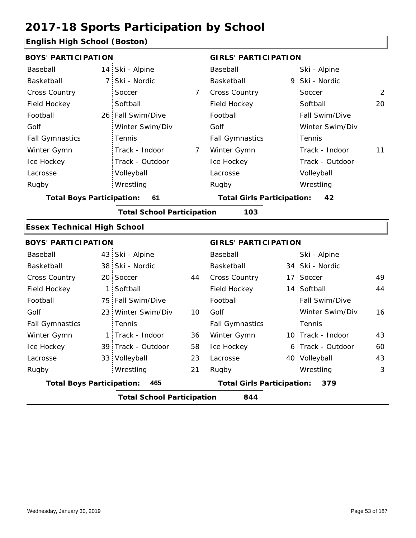#### **English High School (Boston)**

| <b>BOYS' PARTICIPATION</b><br>14 Ski - Alpine<br>Baseball                    |                        | <b>GIRLS' PARTICIPATION</b>       |                 |                                                                                                                                                                                                                |  |  |  |
|------------------------------------------------------------------------------|------------------------|-----------------------------------|-----------------|----------------------------------------------------------------------------------------------------------------------------------------------------------------------------------------------------------------|--|--|--|
|                                                                              | Baseball               |                                   | Ski - Alpine    |                                                                                                                                                                                                                |  |  |  |
| 7 Ski - Nordic                                                               | Basketball             |                                   | Ski - Nordic    |                                                                                                                                                                                                                |  |  |  |
| $\overline{7}$                                                               | Cross Country          |                                   | Soccer          | 2                                                                                                                                                                                                              |  |  |  |
|                                                                              | Field Hockey           |                                   | Softball        | 20                                                                                                                                                                                                             |  |  |  |
| 26 Fall Swim/Dive                                                            | Football               |                                   | Fall Swim/Dive  |                                                                                                                                                                                                                |  |  |  |
| Winter Swim/Div                                                              | Golf                   |                                   | Winter Swim/Div |                                                                                                                                                                                                                |  |  |  |
|                                                                              | <b>Fall Gymnastics</b> |                                   | Tennis          |                                                                                                                                                                                                                |  |  |  |
| Track - Indoor<br>7                                                          | Winter Gymn            |                                   | Track - Indoor  | 11                                                                                                                                                                                                             |  |  |  |
| Track - Outdoor                                                              | Ice Hockey             |                                   | Track - Outdoor |                                                                                                                                                                                                                |  |  |  |
|                                                                              | Lacrosse               |                                   | Volleyball      |                                                                                                                                                                                                                |  |  |  |
|                                                                              | Rugby                  |                                   | Wrestling       |                                                                                                                                                                                                                |  |  |  |
| 61                                                                           |                        |                                   | 42              |                                                                                                                                                                                                                |  |  |  |
|                                                                              | 103                    |                                   |                 |                                                                                                                                                                                                                |  |  |  |
|                                                                              |                        |                                   |                 |                                                                                                                                                                                                                |  |  |  |
|                                                                              |                        |                                   |                 |                                                                                                                                                                                                                |  |  |  |
| 43 Ski - Alpine                                                              | Baseball               |                                   | Ski - Alpine    |                                                                                                                                                                                                                |  |  |  |
| 38 Ski - Nordic                                                              | Basketball             |                                   |                 |                                                                                                                                                                                                                |  |  |  |
| 44                                                                           | Cross Country          |                                   | Soccer          | 49                                                                                                                                                                                                             |  |  |  |
|                                                                              | Field Hockey           |                                   |                 | 44                                                                                                                                                                                                             |  |  |  |
| 75 Fall Swim/Dive                                                            | Football               |                                   | Fall Swim/Dive  |                                                                                                                                                                                                                |  |  |  |
| 23 Winter Swim/Div<br>10                                                     | Golf                   |                                   | Winter Swim/Div | 16                                                                                                                                                                                                             |  |  |  |
|                                                                              | <b>Fall Gymnastics</b> |                                   | Tennis          |                                                                                                                                                                                                                |  |  |  |
| 1 Track - Indoor<br>36                                                       | Winter Gymn            |                                   |                 | 43                                                                                                                                                                                                             |  |  |  |
| 58<br>39 Track - Outdoor                                                     | Ice Hockey             |                                   |                 | 60                                                                                                                                                                                                             |  |  |  |
| 23                                                                           | Lacrosse               |                                   |                 | 43                                                                                                                                                                                                             |  |  |  |
| 21                                                                           | Rugby                  |                                   | Wrestling       | 3                                                                                                                                                                                                              |  |  |  |
| 465                                                                          |                        |                                   | 379             |                                                                                                                                                                                                                |  |  |  |
| <b>Total Boys Participation:</b><br><b>Total School Participation</b><br>844 |                        |                                   |                 |                                                                                                                                                                                                                |  |  |  |
|                                                                              |                        | <b>Total School Participation</b> |                 | 9<br><b>Total Girls Participation:</b><br><b>GIRLS' PARTICIPATION</b><br>34 Ski - Nordic<br>17:<br>14 Softball<br>10 Track - Indoor<br>6 Track - Outdoor<br>40 Volleyball<br><b>Total Girls Participation:</b> |  |  |  |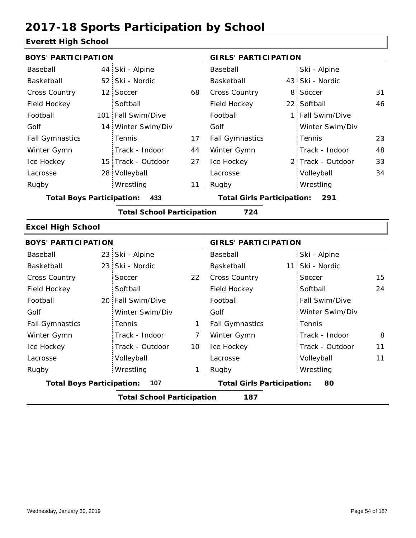### **Everett High School**

| <b>BOYS' PARTICIPATION</b>       |                                   |    | <b>GIRLS' PARTICIPATION</b>       |  |                   |    |
|----------------------------------|-----------------------------------|----|-----------------------------------|--|-------------------|----|
| Baseball                         | 44 Ski - Alpine                   |    | Baseball                          |  | Ski - Alpine      |    |
| Basketball                       | 52 Ski - Nordic                   |    | Basketball                        |  | 43 Ski - Nordic   |    |
| Cross Country                    | 12 Soccer                         | 68 | <b>Cross Country</b>              |  | 8 Soccer          | 31 |
| Field Hockey                     | Softball                          |    | Field Hockey                      |  | 22 Softball       | 46 |
| Football                         | 101 Fall Swim/Dive                |    | Football                          |  | 1 Fall Swim/Dive  |    |
| Golf                             | 14 Winter Swim/Div                |    | Golf                              |  | Winter Swim/Div   |    |
| <b>Fall Gymnastics</b>           | <b>Tennis</b>                     | 17 | <b>Fall Gymnastics</b>            |  | Tennis            | 23 |
| Winter Gymn                      | Track - Indoor                    | 44 | Winter Gymn                       |  | Track - Indoor    | 48 |
| Ice Hockey                       | 15 Track - Outdoor                | 27 | Ice Hockey                        |  | 2 Track - Outdoor | 33 |
| Lacrosse                         | 28 Volleyball                     |    | Lacrosse                          |  | Volleyball        | 34 |
| Rugby                            | Wrestling                         | 11 | Rugby                             |  | Wrestling         |    |
| <b>Total Boys Participation:</b> | 433                               |    | <b>Total Girls Participation:</b> |  | 291               |    |
|                                  | <b>Total School Participation</b> |    | 724                               |  |                   |    |
| <b>Excel High School</b>         |                                   |    |                                   |  |                   |    |
| <b>BOYS' PARTICIPATION</b>       |                                   |    | <b>GIRLS' PARTICIPATION</b>       |  |                   |    |

| Baseball               |                                          | 23 Ski - Alpine   |    | Baseball                                | Ski - Alpine          |    |  |  |  |
|------------------------|------------------------------------------|-------------------|----|-----------------------------------------|-----------------------|----|--|--|--|
| Basketball             |                                          | 23 Ski - Nordic   |    | Basketball                              | 11 Ski - Nordic       |    |  |  |  |
| <b>Cross Country</b>   |                                          | Soccer            | 22 | <b>Cross Country</b>                    | Soccer                | 15 |  |  |  |
| Field Hockey           |                                          | Softball          |    | Field Hockey                            | Softball              | 24 |  |  |  |
| Football               |                                          | 20 Fall Swim/Dive |    | Football                                | <b>Fall Swim/Dive</b> |    |  |  |  |
| Golf                   |                                          | Winter Swim/Div   |    | Golf                                    | Winter Swim/Div       |    |  |  |  |
| <b>Fall Gymnastics</b> |                                          | Tennis            |    | <b>Fall Gymnastics</b>                  | : Tennis              |    |  |  |  |
| Winter Gymn            |                                          | Track - Indoor    | 7  | Winter Gymn                             | Track - Indoor        | 8  |  |  |  |
| Ice Hockey             |                                          | Track - Outdoor   | 10 | Ice Hockey                              | Track - Outdoor       | 11 |  |  |  |
| Lacrosse               |                                          | Volleyball        |    | Lacrosse                                | Volleyball            | 11 |  |  |  |
| Rugby                  |                                          | Wrestling         | 1  | Rugby                                   | Wrestling             |    |  |  |  |
|                        | <b>Total Boys Participation:</b><br>107  |                   |    | <b>Total Girls Participation:</b><br>80 |                       |    |  |  |  |
|                        | 187<br><b>Total School Participation</b> |                   |    |                                         |                       |    |  |  |  |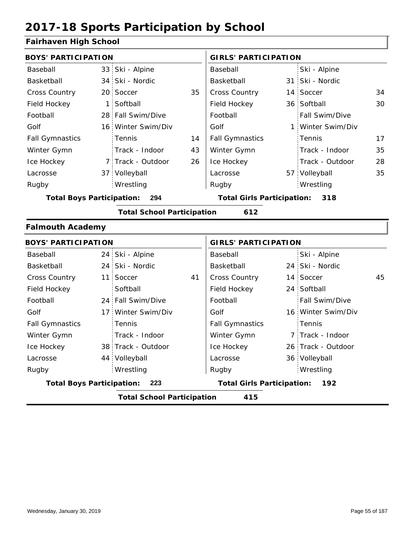#### **Fairhaven High School**

| <b>BOYS' PARTICIPATION</b>       |    |                                   |    | <b>GIRLS' PARTICIPATION</b>       |  |                   |    |
|----------------------------------|----|-----------------------------------|----|-----------------------------------|--|-------------------|----|
| Baseball                         |    | 33 Ski - Alpine                   |    | Baseball                          |  | Ski - Alpine      |    |
| Basketball                       |    | 34 Ski - Nordic                   |    | Basketball                        |  | 31 Ski - Nordic   |    |
| <b>Cross Country</b>             |    | 20 Soccer                         | 35 | <b>Cross Country</b>              |  | 14 Soccer         | 34 |
| Field Hockey                     | 1: | Softball                          |    | Field Hockey                      |  | 36 Softball       | 30 |
| Football                         |    | 28 Fall Swim/Dive                 |    | Football                          |  | Fall Swim/Dive    |    |
| Golf                             |    | 16 Winter Swim/Div                |    | Golf                              |  | 1 Winter Swim/Div |    |
| <b>Fall Gymnastics</b>           |    | <b>Tennis</b>                     | 14 | <b>Fall Gymnastics</b>            |  | Tennis            | 17 |
| Winter Gymn                      |    | Track - Indoor                    | 43 | Winter Gymn                       |  | Track - Indoor    | 35 |
| Ice Hockey                       |    | 7 Track - Outdoor                 | 26 | Ice Hockey                        |  | Track - Outdoor   | 28 |
| Lacrosse                         |    | 37 Volleyball                     |    | Lacrosse                          |  | 57 Volleyball     | 35 |
| Rugby                            |    | Wrestling                         |    | Rugby                             |  | Wrestling         |    |
| <b>Total Boys Participation:</b> |    | 294                               |    | <b>Total Girls Participation:</b> |  | 318               |    |
|                                  |    | <b>Total School Participation</b> |    | 612                               |  |                   |    |
| <b>Falmouth Academy</b>          |    |                                   |    |                                   |  |                   |    |
| <b>DOVCL DADTICIDATION</b>       |    |                                   |    | CIBLE DABTICIBATION               |  |                   |    |

| <b>BOYS' PARTICIPATION</b> |                                          |                    |                                          | <b>GIRLS' PARTICIPATION</b> |  |                    |    |  |
|----------------------------|------------------------------------------|--------------------|------------------------------------------|-----------------------------|--|--------------------|----|--|
| Baseball                   |                                          | 24 Ski - Alpine    |                                          | Baseball                    |  | Ski - Alpine       |    |  |
| Basketball                 |                                          | 24 Ski - Nordic    |                                          | Basketball                  |  | 24 Ski - Nordic    |    |  |
| <b>Cross Country</b>       |                                          | 11 Soccer          | 41                                       | <b>Cross Country</b>        |  | 14 Soccer          | 45 |  |
| Field Hockey               |                                          | Softball           |                                          | Field Hockey                |  | 24 Softball        |    |  |
| Football                   |                                          | 24 Fall Swim/Dive  |                                          | Football                    |  | Fall Swim/Dive     |    |  |
| Golf                       |                                          | 17 Winter Swim/Div |                                          | Golf                        |  | 16 Winter Swim/Div |    |  |
| <b>Fall Gymnastics</b>     |                                          | Tennis             |                                          | <b>Fall Gymnastics</b>      |  | Tennis             |    |  |
| Winter Gymn                |                                          | Track - Indoor     |                                          | Winter Gymn                 |  | 7 Track - Indoor   |    |  |
| Ice Hockey                 |                                          | 38 Track - Outdoor |                                          | Ice Hockey                  |  | 26 Track - Outdoor |    |  |
| Lacrosse                   |                                          | 44 Volleyball      |                                          | Lacrosse                    |  | 36 Volleyball      |    |  |
| Rugby                      |                                          | Wrestling          |                                          | Rugby                       |  | Wrestling          |    |  |
|                            | <b>Total Boys Participation:</b><br>223  |                    | <b>Total Girls Participation:</b><br>192 |                             |  |                    |    |  |
|                            | <b>Total School Participation</b><br>415 |                    |                                          |                             |  |                    |    |  |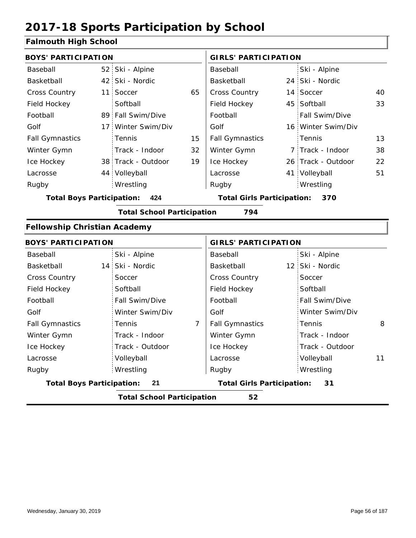### **Falmouth High School**

| <u>annoath i ligh concol</u>        |                 |                                   |    |                                   |                    |    |
|-------------------------------------|-----------------|-----------------------------------|----|-----------------------------------|--------------------|----|
| <b>BOYS' PARTICIPATION</b>          |                 |                                   |    | <b>GIRLS' PARTICIPATION</b>       |                    |    |
| Baseball                            |                 | 52 Ski - Alpine                   |    | Baseball                          | Ski - Alpine       |    |
| Basketball                          | 42 <sup>1</sup> | Ski - Nordic                      |    | Basketball                        | 24 Ski - Nordic    |    |
| Cross Country                       | 11 <sup>1</sup> | Soccer                            | 65 | <b>Cross Country</b>              | 14 Soccer          | 40 |
| Field Hockey                        |                 | Softball                          |    | Field Hockey                      | 45 Softball        | 33 |
| Football                            |                 | 89 Fall Swim/Dive                 |    | Football                          | Fall Swim/Dive     |    |
| Golf                                | 17 <sup>1</sup> | Winter Swim/Div                   |    | Golf                              | 16 Winter Swim/Div |    |
| <b>Fall Gymnastics</b>              |                 | Tennis                            | 15 | <b>Fall Gymnastics</b>            | Tennis             | 13 |
| Winter Gymn                         |                 | Track - Indoor                    | 32 | Winter Gymn                       | 7 Track - Indoor   | 38 |
| Ice Hockey                          |                 | 38 Track - Outdoor                | 19 | Ice Hockey                        | 26 Track - Outdoor | 22 |
| Lacrosse                            |                 | 44 Volleyball                     |    | Lacrosse                          | 41 Volleyball      | 51 |
| Rugby                               |                 | Wrestling                         |    | Rugby                             | Wrestling          |    |
| <b>Total Boys Participation:</b>    |                 | 424                               |    | <b>Total Girls Participation:</b> | 370                |    |
|                                     |                 | <b>Total School Participation</b> |    | 794                               |                    |    |
| <b>Fellowship Christian Academy</b> |                 |                                   |    |                                   |                    |    |
| <b>BOYS' PARTICIPATION</b>          |                 |                                   |    | <b>GIRLS' PARTICIPATION</b>       |                    |    |
| Baseball                            |                 | Ski - Alpine                      |    | Baseball                          | Ski - Alpine       |    |
| Basketball                          | 14 <sup>1</sup> | Ski - Nordic                      |    | Basketball                        | 12 Ski - Nordic    |    |
| <b>Cross Country</b>                |                 | Soccer                            |    | Cross Country                     | Soccer             |    |
| Field Hockey                        |                 | Softball                          |    | Field Hockey                      | Softball           |    |
| Football                            |                 | Fall Swim/Dive                    |    | Football                          | Fall Swim/Dive     |    |
| Golf                                |                 | Winter Swim/Div                   |    | Golf                              | Winter Swim/Div    |    |
|                                     |                 |                                   |    |                                   |                    |    |

| BOYS' PARTICIPATION              |                                   | <b>GIRLS' PARTICIPATION</b>       |                  |  |  |
|----------------------------------|-----------------------------------|-----------------------------------|------------------|--|--|
| Baseball                         | Ski - Alpine                      | Baseball                          | Ski - Alpine     |  |  |
| Basketball                       | 14 Ski - Nordic                   | Basketball                        | 12 Ski - Nordic  |  |  |
| <b>Cross Country</b>             | Soccer                            | <b>Cross Country</b>              | Soccer           |  |  |
| Field Hockey                     | Softball                          | Field Hockey                      | Softball         |  |  |
| Football                         | Fall Swim/Dive                    | Football                          | Fall Swim/Dive   |  |  |
| Golf                             | Winter Swim/Div                   | Golf                              | Winter Swim/Div  |  |  |
| <b>Fall Gymnastics</b>           | 7<br>Tennis                       | <b>Fall Gymnastics</b>            | 8<br>Tennis      |  |  |
| Winter Gymn                      | Track - Indoor                    | Winter Gymn                       | Track - Indoor   |  |  |
| Ice Hockey                       | Track - Outdoor                   | Ice Hockey                        | Track - Outdoor  |  |  |
| Lacrosse                         | Volleyball                        | Lacrosse                          | 11<br>Volleyball |  |  |
| Rugby                            | Wrestling                         | Rugby                             | Wrestling        |  |  |
| <b>Total Boys Participation:</b> | 21                                | <b>Total Girls Participation:</b> | 31               |  |  |
|                                  | <b>Total School Participation</b> | 52                                |                  |  |  |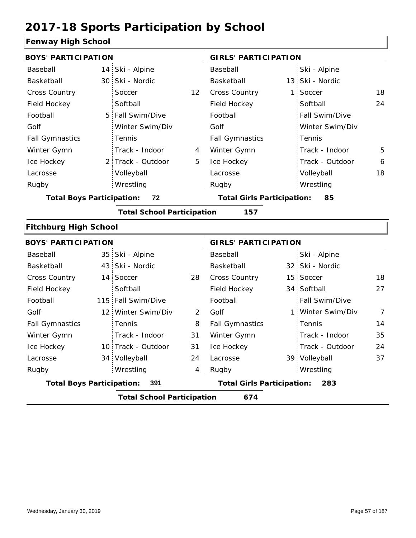#### **Fenway High School**

| <b>BOYS' PARTICIPATION</b>             |                                         |                                   |    | <b>GIRLS' PARTICIPATION</b>       |                                          |                   |                |  |
|----------------------------------------|-----------------------------------------|-----------------------------------|----|-----------------------------------|------------------------------------------|-------------------|----------------|--|
| Baseball                               |                                         | 14 Ski - Alpine                   |    | Baseball                          |                                          | Ski - Alpine      |                |  |
| Basketball                             |                                         | 30 Ski - Nordic                   |    | Basketball                        |                                          | 13 Ski - Nordic   |                |  |
| <b>Cross Country</b>                   |                                         | Soccer                            | 12 | Cross Country                     | 1                                        | Soccer            | 18             |  |
| Field Hockey                           |                                         | Softball                          |    | Field Hockey                      |                                          | Softball          | 24             |  |
| Football                               |                                         | 5 Fall Swim/Dive                  |    | Football                          |                                          | Fall Swim/Dive    |                |  |
| Golf                                   |                                         | Winter Swim/Div                   |    | Golf                              |                                          | Winter Swim/Div   |                |  |
| <b>Fall Gymnastics</b>                 |                                         | Tennis                            |    | <b>Fall Gymnastics</b>            |                                          | Tennis            |                |  |
| Winter Gymn                            |                                         | Track - Indoor                    | 4  | Winter Gymn                       |                                          | Track - Indoor    | 5              |  |
| Ice Hockey                             |                                         | 2 Track - Outdoor                 | 5  | Ice Hockey                        |                                          | Track - Outdoor   | 6              |  |
| Lacrosse                               |                                         | Volleyball                        |    | Lacrosse                          |                                          | Volleyball        | 18             |  |
| Rugby                                  |                                         | Wrestling                         |    | Rugby                             |                                          | Wrestling         |                |  |
| 72<br><b>Total Boys Participation:</b> |                                         |                                   |    | <b>Total Girls Participation:</b> |                                          | 85                |                |  |
|                                        |                                         | <b>Total School Participation</b> |    | 157                               |                                          |                   |                |  |
| <b>Fitchburg High School</b>           |                                         |                                   |    |                                   |                                          |                   |                |  |
| <b>BOYS' PARTICIPATION</b>             |                                         |                                   |    | <b>GIRLS' PARTICIPATION</b>       |                                          |                   |                |  |
| Baseball                               |                                         | 35 Ski - Alpine                   |    | Baseball                          |                                          | Ski - Alpine      |                |  |
| Basketball                             |                                         | 43 Ski - Nordic                   |    | Basketball                        |                                          | 32 Ski - Nordic   |                |  |
| <b>Cross Country</b>                   |                                         | 14 Soccer                         | 28 | Cross Country                     |                                          | 15 Soccer         | 18             |  |
| Field Hockey                           |                                         | Softball                          |    | Field Hockey                      |                                          | 34 Softball       | 27             |  |
| Football                               |                                         | 115 Fall Swim/Dive                |    | Football                          |                                          | Fall Swim/Dive    |                |  |
| Golf                                   |                                         | 12 Winter Swim/Div                | 2  | Golf                              |                                          | 1 Winter Swim/Div | $\overline{7}$ |  |
| <b>Fall Gymnastics</b>                 |                                         | Tennis                            | 8  | <b>Fall Gymnastics</b>            |                                          | Tennis            | 14             |  |
| Winter Gymn                            |                                         | Track - Indoor                    | 31 | Winter Gymn                       |                                          | Track - Indoor    | 35             |  |
| Ice Hockey                             |                                         | 10 Track - Outdoor                | 31 | Ice Hockey                        |                                          | Track - Outdoor   | 24             |  |
| Lacrosse                               |                                         | 34 Volleyball                     | 24 | Lacrosse                          |                                          | 39 Volleyball     | 37             |  |
| Rugby                                  |                                         | Wrestling                         | 4  | Rugby                             |                                          | Wrestling         |                |  |
|                                        | <b>Total Boys Participation:</b><br>391 |                                   |    |                                   | <b>Total Girls Participation:</b><br>283 |                   |                |  |
|                                        |                                         | <b>Total School Participation</b> |    | 674                               |                                          |                   |                |  |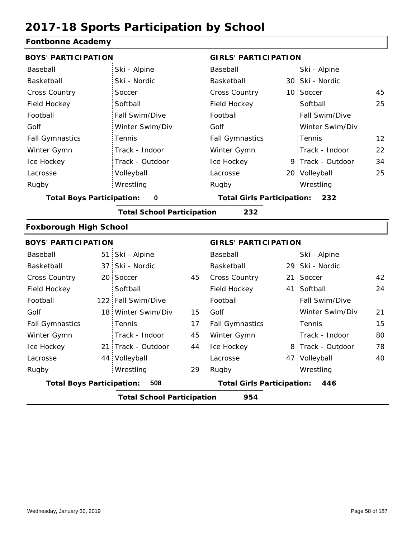#### **Fontbonne Academy**

| <b>BOYS' PARTICIPATION</b>       |                                   |    | <b>GIRLS' PARTICIPATION</b>              |  |                   |    |
|----------------------------------|-----------------------------------|----|------------------------------------------|--|-------------------|----|
| Baseball                         | Ski - Alpine                      |    | Baseball                                 |  | Ski - Alpine      |    |
| Basketball                       | Ski - Nordic                      |    | Basketball                               |  | 30 Ski - Nordic   |    |
| <b>Cross Country</b>             | Soccer                            |    | Cross Country                            |  | 10 Soccer         | 45 |
| Field Hockey                     | Softball                          |    | Field Hockey                             |  | Softball          | 25 |
| Football                         | Fall Swim/Dive                    |    | Football                                 |  | Fall Swim/Dive    |    |
| Golf                             | Winter Swim/Div                   |    | Golf                                     |  | Winter Swim/Div   |    |
| <b>Fall Gymnastics</b>           | Tennis                            |    | <b>Fall Gymnastics</b>                   |  | Tennis            | 12 |
| Winter Gymn                      | Track - Indoor                    |    | Winter Gymn                              |  | Track - Indoor    | 22 |
| Ice Hockey                       | Track - Outdoor                   |    | Ice Hockey                               |  | 9 Track - Outdoor | 34 |
| Lacrosse                         | Volleyball                        |    | Lacrosse                                 |  | 20 Volleyball     | 25 |
| Rugby                            | Wrestling                         |    | Rugby                                    |  | Wrestling         |    |
| <b>Total Boys Participation:</b> | $\mathbf 0$                       |    | <b>Total Girls Participation:</b>        |  | 232               |    |
|                                  | <b>Total School Participation</b> |    | 232                                      |  |                   |    |
| <b>Foxborough High School</b>    |                                   |    |                                          |  |                   |    |
| <b>BOYS' PARTICIPATION</b>       |                                   |    | <b>GIRLS' PARTICIPATION</b>              |  |                   |    |
| Baseball                         | 51 Ski - Alpine                   |    | Baseball                                 |  | Ski - Alpine      |    |
| Basketball                       | 37 Ski - Nordic                   |    | Basketball                               |  | 29 Ski - Nordic   |    |
| <b>Cross Country</b>             | 20 Soccer                         | 45 | Cross Country                            |  | 21 Soccer         | 42 |
| Field Hockey                     | Softball                          |    | Field Hockey                             |  | 41 Softball       | 24 |
| Football                         | 122 Fall Swim/Dive                |    | Football                                 |  | Fall Swim/Dive    |    |
| Golf                             | 18 Winter Swim/Div                | 15 | Golf                                     |  | Winter Swim/Div   | 21 |
| <b>Fall Gymnastics</b>           | Tennis                            | 17 | <b>Fall Gymnastics</b>                   |  | Tennis            | 15 |
| Winter Gymn                      | Track - Indoor                    | 45 | Winter Gymn                              |  | Track - Indoor    | 80 |
| Ice Hockey                       | 21 Track - Outdoor                | 44 | Ice Hockey                               |  | 8 Track - Outdoor | 78 |
| Lacrosse                         | 44 Volleyball                     |    | Lacrosse                                 |  | 47 Volleyball     | 40 |
| Rugby                            | Wrestling                         | 29 | Rugby                                    |  | Wrestling         |    |
| <b>Total Boys Participation:</b> | 508                               |    | <b>Total Girls Participation:</b><br>446 |  |                   |    |
|                                  | <b>Total School Participation</b> |    | 954                                      |  |                   |    |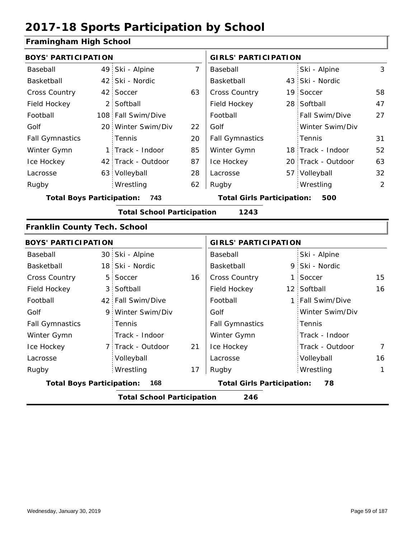#### **Framingham High School**

| <b>BOYS' PARTICIPATION</b>              |                |                                   |                | <b>GIRLS' PARTICIPATION</b>              |  |                    |    |  |
|-----------------------------------------|----------------|-----------------------------------|----------------|------------------------------------------|--|--------------------|----|--|
| Baseball                                |                | 49 Ski - Alpine                   | $\overline{7}$ | Baseball                                 |  | Ski - Alpine       | 3  |  |
| Basketball                              |                | 42 Ski - Nordic                   |                | Basketball                               |  | 43 Ski - Nordic    |    |  |
| Cross Country                           |                | 42 Soccer                         | 63             | Cross Country                            |  | 19 Soccer          | 58 |  |
| Field Hockey                            |                | 2 Softball                        |                | Field Hockey                             |  | 28 Softball        | 47 |  |
| Football                                |                | 108 Fall Swim/Dive                |                | Football                                 |  | Fall Swim/Dive     | 27 |  |
| Golf                                    |                | 20 Winter Swim/Div                | 22             | Golf                                     |  | Winter Swim/Div    |    |  |
| <b>Fall Gymnastics</b>                  |                | Tennis                            | 20             | <b>Fall Gymnastics</b>                   |  | Tennis             | 31 |  |
| Winter Gymn                             |                | 1 Track - Indoor                  | 85             | Winter Gymn                              |  | 18 Track - Indoor  | 52 |  |
| Ice Hockey                              |                | 42 Track - Outdoor                | 87             | Ice Hockey                               |  | 20 Track - Outdoor | 63 |  |
| Lacrosse                                |                | 63 Volleyball                     | 28             | Lacrosse                                 |  | 57 Volleyball      | 32 |  |
| Rugby                                   |                | Wrestling                         | 62             | Rugby                                    |  | Wrestling          | 2  |  |
| <b>Total Boys Participation:</b><br>743 |                |                                   |                | <b>Total Girls Participation:</b><br>500 |  |                    |    |  |
|                                         |                | <b>Total School Participation</b> |                | 1243                                     |  |                    |    |  |
| <b>Franklin County Tech. School</b>     |                |                                   |                |                                          |  |                    |    |  |
| <b>BOYS' PARTICIPATION</b>              |                |                                   |                | <b>GIRLS' PARTICIPATION</b>              |  |                    |    |  |
| Baseball                                |                | 30 Ski - Alpine                   |                | Baseball                                 |  | Ski - Alpine       |    |  |
| Basketball                              |                | 18 Ski - Nordic                   |                | Basketball                               |  | 9 Ski - Nordic     |    |  |
| Cross Country                           | 5 <sub>1</sub> | Soccer                            | 16             | Cross Country                            |  | 1 Soccer           | 15 |  |
| Field Hockey                            |                | 3 Softball                        |                | Field Hockey                             |  | 12 Softball        | 16 |  |
| Football                                |                | 42 Fall Swim/Dive                 |                | Football                                 |  | 1 Fall Swim/Dive   |    |  |
| Golf                                    |                | 9 Winter Swim/Div                 |                | Golf                                     |  | Winter Swim/Div    |    |  |
| <b>Fall Gymnastics</b>                  |                | Tennis                            |                | <b>Fall Gymnastics</b>                   |  | Tennis             |    |  |
| Winter Gymn                             |                | Track - Indoor                    |                | Winter Gymn                              |  | Track - Indoor     |    |  |
| Ice Hockey                              |                | 7 Track - Outdoor                 | 21             | Ice Hockey                               |  | Track - Outdoor    | 7  |  |
| Lacrosse                                |                | Volleyball                        |                | Lacrosse                                 |  | Volleyball         | 16 |  |
| Rugby                                   |                | Wrestling                         | 17             | Rugby                                    |  | Wrestling          | 1  |  |
| <b>Total Boys Participation:</b>        |                | 168                               |                | <b>Total Girls Participation:</b>        |  | 78                 |    |  |
|                                         |                | <b>Total School Participation</b> |                | 246                                      |  |                    |    |  |
|                                         |                |                                   |                |                                          |  |                    |    |  |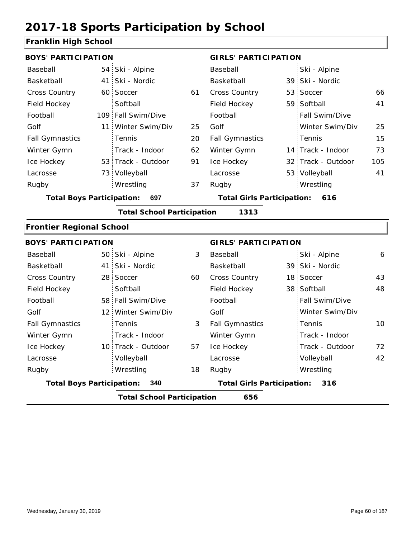#### **Franklin High School**

| <b>BOYS' PARTICIPATION</b>       |                                          |                                   |    | <b>GIRLS' PARTICIPATION</b>              |  |                    |     |  |  |
|----------------------------------|------------------------------------------|-----------------------------------|----|------------------------------------------|--|--------------------|-----|--|--|
| Baseball                         |                                          | 54 Ski - Alpine                   |    | Baseball                                 |  | Ski - Alpine       |     |  |  |
| Basketball                       |                                          | 41 Ski - Nordic                   |    | Basketball                               |  | 39 Ski - Nordic    |     |  |  |
| <b>Cross Country</b>             |                                          | 60 Soccer                         | 61 | Cross Country                            |  | 53 Soccer          | 66  |  |  |
| Field Hockey                     |                                          | Softball                          |    | Field Hockey                             |  | 59 Softball        | 41  |  |  |
| Football                         |                                          | 109 Fall Swim/Dive                |    | Football                                 |  | Fall Swim/Dive     |     |  |  |
| Golf                             |                                          | 11 Winter Swim/Div                | 25 | Golf                                     |  | Winter Swim/Div    | 25  |  |  |
| <b>Fall Gymnastics</b>           |                                          | Tennis                            | 20 | <b>Fall Gymnastics</b>                   |  | Tennis             | 15  |  |  |
| Winter Gymn                      |                                          | Track - Indoor                    | 62 | Winter Gymn                              |  | 14 Track - Indoor  | 73  |  |  |
| Ice Hockey                       |                                          | 53 Track - Outdoor                | 91 | Ice Hockey                               |  | 32 Track - Outdoor | 105 |  |  |
| Lacrosse                         |                                          | 73 Volleyball                     |    | Lacrosse                                 |  | 53 Volleyball      | 41  |  |  |
| Rugby                            |                                          | Wrestling                         | 37 | Rugby                                    |  | Wrestling          |     |  |  |
| <b>Total Boys Participation:</b> |                                          | 697                               |    | <b>Total Girls Participation:</b>        |  | 616                |     |  |  |
|                                  |                                          | <b>Total School Participation</b> |    | 1313                                     |  |                    |     |  |  |
| <b>Frontier Regional School</b>  |                                          |                                   |    |                                          |  |                    |     |  |  |
| <b>BOYS' PARTICIPATION</b>       |                                          |                                   |    | <b>GIRLS' PARTICIPATION</b>              |  |                    |     |  |  |
| Baseball                         |                                          | 50 Ski - Alpine                   | 3  | Baseball                                 |  | Ski - Alpine       | 6   |  |  |
| Basketball                       |                                          | 41 Ski - Nordic                   |    | Basketball                               |  | 39 Ski - Nordic    |     |  |  |
| <b>Cross Country</b>             |                                          | 28 Soccer                         | 60 | Cross Country                            |  | 18 Soccer          | 43  |  |  |
| Field Hockey                     |                                          | Softball                          |    | Field Hockey                             |  | 38 Softball        | 48  |  |  |
| Football                         |                                          | 58 Fall Swim/Dive                 |    | Football                                 |  | Fall Swim/Dive     |     |  |  |
| Golf                             |                                          | 12 Winter Swim/Div                |    | Golf                                     |  | Winter Swim/Div    |     |  |  |
| <b>Fall Gymnastics</b>           |                                          | Tennis                            | 3  | <b>Fall Gymnastics</b>                   |  | Tennis             | 10  |  |  |
| Winter Gymn                      |                                          | Track - Indoor                    |    | Winter Gymn                              |  | Track - Indoor     |     |  |  |
| Ice Hockey                       |                                          | 10 Track - Outdoor                | 57 | Ice Hockey                               |  | Track - Outdoor    | 72  |  |  |
| Lacrosse                         |                                          | Volleyball                        |    | Lacrosse                                 |  | Volleyball         | 42  |  |  |
| Rugby                            |                                          | Wrestling                         | 18 | Rugby                                    |  | Wrestling          |     |  |  |
| <b>Total Boys Participation:</b> |                                          | 340                               |    | <b>Total Girls Participation:</b><br>316 |  |                    |     |  |  |
|                                  | <b>Total School Participation</b><br>656 |                                   |    |                                          |  |                    |     |  |  |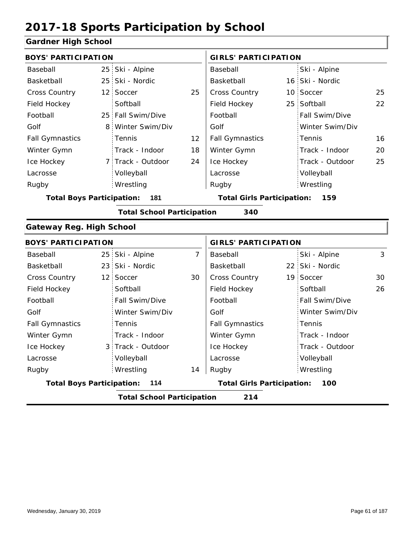#### **Gardner High School**

| <b>BOYS' PARTICIPATION</b>              |                 |                                   |                | <b>GIRLS' PARTICIPATION</b>       |    |                 |    |
|-----------------------------------------|-----------------|-----------------------------------|----------------|-----------------------------------|----|-----------------|----|
| Baseball                                |                 | 25 Ski - Alpine                   |                | Baseball                          |    | Ski - Alpine    |    |
| Basketball                              |                 | 25 Ski - Nordic                   |                | Basketball                        |    | 16 Ski - Nordic |    |
| Cross Country                           | 12 <sub>1</sub> | Soccer                            | 25             | <b>Cross Country</b>              |    | 10 Soccer       | 25 |
| Field Hockey                            |                 | Softball                          |                | Field Hockey                      | 25 | Softball        | 22 |
| Football                                |                 | 25 Fall Swim/Dive                 |                | Football                          |    | Fall Swim/Dive  |    |
| Golf                                    | 8               | Winter Swim/Div                   |                | Golf                              |    | Winter Swim/Div |    |
| <b>Fall Gymnastics</b>                  |                 | Tennis                            | 12             | <b>Fall Gymnastics</b>            |    | Tennis          | 16 |
| Winter Gymn                             |                 | Track - Indoor                    | 18             | Winter Gymn                       |    | Track - Indoor  | 20 |
| Ice Hockey                              |                 | 7 Track - Outdoor                 | 24             | Ice Hockey                        |    | Track - Outdoor | 25 |
| Lacrosse                                |                 | Volleyball                        |                | Lacrosse                          |    | Volleyball      |    |
| Rugby                                   |                 | Wrestling                         |                | Rugby                             |    | Wrestling       |    |
| <b>Total Boys Participation:</b>        |                 | 181                               |                | <b>Total Girls Participation:</b> |    | 159             |    |
|                                         |                 | <b>Total School Participation</b> |                | 340                               |    |                 |    |
| <b>Gateway Reg. High School</b>         |                 |                                   |                |                                   |    |                 |    |
| <b>BOYS' PARTICIPATION</b>              |                 |                                   |                | <b>GIRLS' PARTICIPATION</b>       |    |                 |    |
| Baseball                                |                 | 25 Ski - Alpine                   | $\overline{7}$ | Baseball                          |    | Ski - Alpine    | 3  |
| Basketball                              |                 | 23 Ski - Nordic                   |                | Basketball                        |    | 22 Ski - Nordic |    |
| Cross Country                           | 12 <sup>1</sup> | Soccer                            | 30             | Cross Country                     |    | 19 Soccer       | 30 |
| Field Hockey                            |                 | Softball                          |                | Field Hockey                      |    | Softball        | 26 |
| Football                                |                 | Fall Swim/Dive                    |                | Football                          |    | Fall Swim/Dive  |    |
| Golf                                    |                 | Winter Swim/Div                   |                | Golf                              |    | Winter Swim/Div |    |
| <b>Fall Gymnastics</b>                  |                 | Tennis                            |                | <b>Fall Gymnastics</b>            |    | Tennis          |    |
| Winter Gymn                             |                 | Track - Indoor                    |                | Winter Gymn                       |    | Track - Indoor  |    |
| Ice Hockey                              |                 | 3 Track - Outdoor                 |                | Ice Hockey                        |    | Track - Outdoor |    |
| Lacrosse                                |                 | Volleyball                        |                | Lacrosse                          |    | Volleyball      |    |
| Rugby                                   |                 | Wrestling                         | 14             | Rugby                             |    | Wrestling       |    |
| <b>Total Boys Participation:</b><br>114 |                 |                                   |                | <b>Total Girls Participation:</b> |    | 100             |    |

**Total School Participation 214**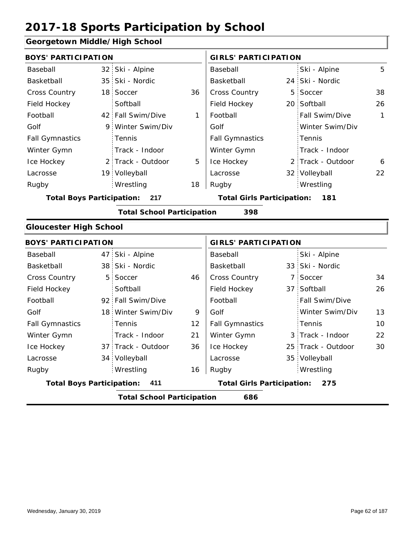#### **Georgetown Middle/High School**

| <b>BOYS' PARTICIPATION</b>       |                |                                   |              | <b>GIRLS' PARTICIPATION</b>              |   |                   |              |  |
|----------------------------------|----------------|-----------------------------------|--------------|------------------------------------------|---|-------------------|--------------|--|
| Baseball                         |                | 32 Ski - Alpine                   |              | Baseball                                 |   | Ski - Alpine      | 5            |  |
| Basketball                       |                | 35 Ski - Nordic                   |              | Basketball                               |   | 24 Ski - Nordic   |              |  |
| <b>Cross Country</b>             |                | 18 Soccer                         | 36           | Cross Country                            |   | 5 Soccer          | 38           |  |
| Field Hockey                     |                | Softball                          |              | Field Hockey                             |   | 20 Softball       | 26           |  |
| Football                         |                | 42 Fall Swim/Dive                 | $\mathbf{1}$ | Football                                 |   | Fall Swim/Dive    | $\mathbf{1}$ |  |
| Golf                             | 9              | Winter Swim/Div                   |              | Golf                                     |   | Winter Swim/Div   |              |  |
| <b>Fall Gymnastics</b>           |                | Tennis                            |              | <b>Fall Gymnastics</b>                   |   | Tennis            |              |  |
| Winter Gymn                      |                | Track - Indoor                    |              | Winter Gymn                              |   | Track - Indoor    |              |  |
| Ice Hockey                       |                | 2 Track - Outdoor                 | 5            | Ice Hockey                               |   | 2 Track - Outdoor | 6            |  |
| Lacrosse                         |                | 19 Volleyball                     |              | Lacrosse                                 |   | 32 Volleyball     | 22           |  |
| Rugby                            |                | Wrestling                         | 18           | Rugby                                    |   | Wrestling         |              |  |
| <b>Total Boys Participation:</b> |                | 217                               |              | <b>Total Girls Participation:</b><br>181 |   |                   |              |  |
|                                  |                | <b>Total School Participation</b> |              | 398                                      |   |                   |              |  |
| <b>Gloucester High School</b>    |                |                                   |              |                                          |   |                   |              |  |
| <b>BOYS' PARTICIPATION</b>       |                |                                   |              | <b>GIRLS' PARTICIPATION</b>              |   |                   |              |  |
| Baseball                         |                | 47 Ski - Alpine                   |              | Baseball                                 |   | Ski - Alpine      |              |  |
| Basketball                       |                | 38 Ski - Nordic                   |              | Basketball                               |   | 33 Ski - Nordic   |              |  |
| <b>Cross Country</b>             | 5 <sup>1</sup> | Soccer                            | 46           | Cross Country                            | 7 | Soccer            | 34           |  |
| Field Hockey                     |                | Softball                          |              | Field Hockey                             |   | 37 Softball       | 26           |  |

|                                          |  | <b>Total School Participation</b> |                                          | 686                    |  |                       |    |
|------------------------------------------|--|-----------------------------------|------------------------------------------|------------------------|--|-----------------------|----|
| <b>Total Boys Participation:</b><br>-411 |  |                                   | <b>Total Girls Participation:</b><br>275 |                        |  |                       |    |
| Rugby                                    |  | Wrestling                         | 16                                       | Rugby                  |  | Wrestling             |    |
| Lacrosse                                 |  | 34 Volleyball                     |                                          | Lacrosse               |  | 35 Volleyball         |    |
| Ice Hockey                               |  | 37 Track - Outdoor                | 36                                       | Ice Hockey             |  | 25 Track - Outdoor    | 30 |
| Winter Gymn                              |  | Track - Indoor                    | 21                                       | Winter Gymn            |  | 3 Track - Indoor      | 22 |
| <b>Fall Gymnastics</b>                   |  | Tennis                            | 12                                       | <b>Fall Gymnastics</b> |  | Tennis                | 10 |
| Golf                                     |  | 18 Winter Swim/Div                | 9                                        | Golf                   |  | Winter Swim/Div       | 13 |
| Football                                 |  | 92 Fall Swim/Dive                 |                                          | Football               |  | <b>Fall Swim/Dive</b> |    |
|                                          |  |                                   |                                          |                        |  |                       |    |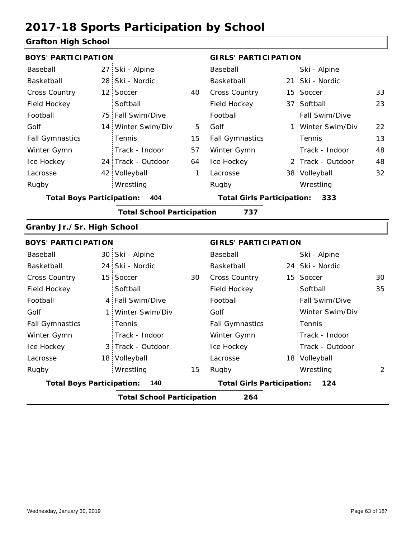### **Grafton High School**

| <b>BOYS' PARTICIPATION</b>       |     |                                   |    | <b>GIRLS' PARTICIPATION</b>       |    |                   |    |
|----------------------------------|-----|-----------------------------------|----|-----------------------------------|----|-------------------|----|
| Baseball                         |     | 27 Ski - Alpine                   |    | Baseball                          |    | Ski - Alpine      |    |
| Basketball                       |     | 28 Ski - Nordic                   |    | Basketball                        |    | 21 Ski - Nordic   |    |
| <b>Cross Country</b>             |     | 12 Soccer                         | 40 | <b>Cross Country</b>              | 15 | Soccer            | 33 |
| Field Hockey                     |     | Softball                          |    | Field Hockey                      |    | 37 Softball       | 23 |
| Football                         |     | 75 Fall Swim/Dive                 |    | Football                          |    | Fall Swim/Dive    |    |
| Golf                             |     | 14 Winter Swim/Div                | 5  | Golf                              |    | 1 Winter Swim/Div | 22 |
| <b>Fall Gymnastics</b>           |     | Tennis                            | 15 | <b>Fall Gymnastics</b>            |    | Tennis            | 13 |
| Winter Gymn                      |     | Track - Indoor                    | 57 | Winter Gymn                       |    | Track - Indoor    | 48 |
| Ice Hockey                       |     | 24 Track - Outdoor                | 64 | Ice Hockey                        |    | 2 Track - Outdoor | 48 |
| Lacrosse                         |     | 42 Volleyball                     | 1  | Lacrosse                          |    | 38 Volleyball     | 32 |
| Rugby                            |     | Wrestling                         |    | Rugby                             |    | Wrestling         |    |
| <b>Total Boys Participation:</b> |     | 404                               |    | <b>Total Girls Participation:</b> |    | 333               |    |
|                                  |     | <b>Total School Participation</b> |    | 737                               |    |                   |    |
| Granby Jr./Sr. High School       |     |                                   |    |                                   |    |                   |    |
| <b>BOYS' PARTICIPATION</b>       |     |                                   |    | <b>GIRLS' PARTICIPATION</b>       |    |                   |    |
| Baseball                         |     | 30 Ski - Alpine                   |    | Baseball                          |    | Ski - Alpine      |    |
| Basketball                       |     | 24 Ski - Nordic                   |    | Basketball                        |    | 24 Ski - Nordic   |    |
| Cross Country                    |     | 15 Soccer                         | 30 | <b>Cross Country</b>              |    | 15 Soccer         | 30 |
| Field Hockey                     |     | Softball                          |    | Field Hockey                      |    | Softball          | 35 |
| Football                         |     | 4 Fall Swim/Dive                  |    | Football                          |    | Fall Swim/Dive    |    |
| Golf                             | 1 : | Winter Swim/Div                   |    | Golf                              |    | Winter Swim/Div   |    |
|                                  |     |                                   |    |                                   |    |                   |    |

|                                  |     | <b>Total School Participation</b>        |    | 264                    |  |                 |    |
|----------------------------------|-----|------------------------------------------|----|------------------------|--|-----------------|----|
| <b>Total Boys Participation:</b> | 140 | <b>Total Girls Participation:</b><br>124 |    |                        |  |                 |    |
| Rugby                            |     | Wrestling                                | 15 | Rugby                  |  | Wrestling       | 2  |
| Lacrosse                         |     | 18 Volleyball                            |    | Lacrosse               |  | 18 Volleyball   |    |
| Ice Hockey                       |     | 3 Track - Outdoor                        |    | Ice Hockey             |  | Track - Outdoor |    |
| Winter Gymn                      |     | Track - Indoor                           |    | Winter Gymn            |  | Track - Indoor  |    |
| <b>Fall Gymnastics</b>           |     | : Tennis                                 |    | <b>Fall Gymnastics</b> |  | Tennis          |    |
| Golf                             |     | 1 Winter Swim/Div                        |    | Golf                   |  | Winter Swim/Div |    |
| Football                         |     | 4 Fall Swim/Dive                         |    | Football               |  | Fall Swim/Dive  |    |
| Field Hockey                     |     | Softball                                 |    | Field Hockey           |  | Softball        | 35 |
| <b>Cross Country</b>             |     | 15 Soccer                                | 30 | <b>Cross Country</b>   |  | 15 Soccer       | 30 |
|                                  |     |                                          |    |                        |  |                 |    |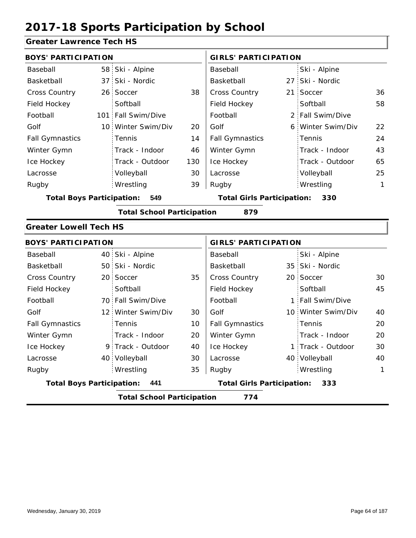#### **Greater Lawrence Tech HS**

|                                  | <b>BOYS' PARTICIPATION</b> |                                   |                             | <b>GIRLS' PARTICIPATION</b>       |    |                  |    |
|----------------------------------|----------------------------|-----------------------------------|-----------------------------|-----------------------------------|----|------------------|----|
| Baseball                         |                            | 58 Ski - Alpine                   |                             | Baseball                          |    | Ski - Alpine     |    |
| Basketball                       | 37                         | Ski - Nordic                      |                             | Basketball                        | 27 | Ski - Nordic     |    |
| <b>Cross Country</b>             |                            | 26 Soccer                         | 38                          | Cross Country                     | 21 | Soccer           | 36 |
| Field Hockey                     |                            | Softball                          |                             | Field Hockey                      |    | Softball         | 58 |
| Football                         | 101                        | Fall Swim/Dive                    |                             | Football                          |    | 2 Fall Swim/Dive |    |
| Golf                             |                            | 10 Winter Swim/Div                | 20                          | Golf                              | 6. | Winter Swim/Div  | 22 |
| <b>Fall Gymnastics</b>           |                            | Tennis                            | 14                          | <b>Fall Gymnastics</b>            |    | Tennis           | 24 |
| Winter Gymn                      |                            | Track - Indoor                    | 46                          | Winter Gymn                       |    | Track - Indoor   | 43 |
| Ice Hockey                       |                            | Track - Outdoor                   | 130                         | Ice Hockey                        |    | Track - Outdoor  | 65 |
| Lacrosse                         |                            | Volleyball                        | 30                          | Lacrosse                          |    | Volleyball       | 25 |
| Rugby                            |                            | Wrestling                         | 39                          | Rugby                             |    | Wrestling        | 1  |
| <b>Total Boys Participation:</b> |                            | 549                               |                             | <b>Total Girls Participation:</b> |    | 330              |    |
|                                  |                            | <b>Total School Participation</b> |                             | 879                               |    |                  |    |
| <b>Greater Lowell Tech HS</b>    |                            |                                   |                             |                                   |    |                  |    |
| <b>BOYS' PARTICIPATION</b>       |                            |                                   | <b>GIRLS' PARTICIPATION</b> |                                   |    |                  |    |
| Baseball                         |                            | 40 Ski - Alpine                   |                             | Baseball                          |    | Ski - Alpine     |    |
| Basketball                       |                            | 50 Ski - Nordic                   |                             | Basketball                        |    | 35 Ski - Nordic  |    |

|                                                                                       | <b>Total School Participation</b><br>774 |                    |    |                        |  |                    |    |  |
|---------------------------------------------------------------------------------------|------------------------------------------|--------------------|----|------------------------|--|--------------------|----|--|
| <b>Total Girls Participation:</b><br><b>Total Boys Participation:</b><br>- 441<br>333 |                                          |                    |    |                        |  |                    |    |  |
| Rugby                                                                                 |                                          | Wrestling          | 35 | Rugby                  |  | Wrestling          | 1  |  |
| Lacrosse                                                                              |                                          | 40 Volleyball      | 30 | Lacrosse               |  | 40 Volleyball      | 40 |  |
| Ice Hockey                                                                            |                                          | 9 Track - Outdoor  | 40 | Ice Hockey             |  | 1 Track - Outdoor  | 30 |  |
| Winter Gymn                                                                           |                                          | Track - Indoor     | 20 | Winter Gymn            |  | Track - Indoor     | 20 |  |
| <b>Fall Gymnastics</b>                                                                |                                          | Tennis             | 10 | <b>Fall Gymnastics</b> |  | Tennis             | 20 |  |
| Golf                                                                                  |                                          | 12 Winter Swim/Div | 30 | Golf                   |  | 10 Winter Swim/Div | 40 |  |
| Football                                                                              |                                          | 70 Fall Swim/Dive  |    | Football               |  | 1 Fall Swim/Dive   |    |  |
| Field Hockey                                                                          |                                          | Softball           |    | Field Hockey           |  | Softball           | 45 |  |
| <b>Cross Country</b>                                                                  |                                          | 20 Soccer          | 35 | <b>Cross Country</b>   |  | 20 Soccer          | 30 |  |
| Basketball                                                                            |                                          | 50 Ski - Nordic    |    | Basketball             |  | 35 Ski - Nordic    |    |  |
| Dascuall                                                                              |                                          | $40$ JNI - Alplite |    | Dascuall               |  | $JNI - MINIIC$     |    |  |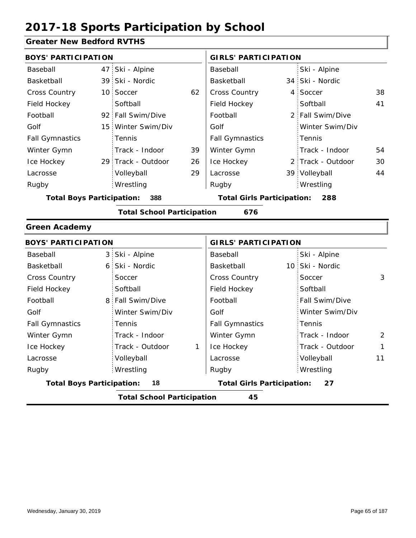#### **Greater New Bedford RVTHS**

|                                  | <b>BOYS' PARTICIPATION</b> |                                   |    | <b>GIRLS' PARTICIPATION</b>              |  |                   |    |
|----------------------------------|----------------------------|-----------------------------------|----|------------------------------------------|--|-------------------|----|
| Baseball                         |                            | 47 Ski - Alpine                   |    | Baseball                                 |  | Ski - Alpine      |    |
| Basketball                       |                            | 39 Ski - Nordic                   |    | Basketball                               |  | 34 Ski - Nordic   |    |
| <b>Cross Country</b>             |                            | 10 Soccer                         | 62 | <b>Cross Country</b>                     |  | 4 Soccer          | 38 |
| Field Hockey                     |                            | Softball                          |    | Field Hockey                             |  | Softball          | 41 |
| Football                         |                            | 92 Fall Swim/Dive                 |    | Football                                 |  | 2 Fall Swim/Dive  |    |
| Golf                             |                            | 15 Winter Swim/Div                |    | Golf                                     |  | Winter Swim/Div   |    |
| <b>Fall Gymnastics</b>           |                            | Tennis                            |    | <b>Fall Gymnastics</b>                   |  | Tennis            |    |
| Winter Gymn                      |                            | Track - Indoor                    | 39 | Winter Gymn                              |  | Track - Indoor    | 54 |
| Ice Hockey                       |                            | 29 Track - Outdoor                | 26 | Ice Hockey                               |  | 2 Track - Outdoor | 30 |
| Lacrosse                         |                            | Volleyball                        | 29 | Lacrosse                                 |  | 39 Volleyball     | 44 |
| Rugby                            |                            | Wrestling                         |    | Rugby                                    |  | Wrestling         |    |
| <b>Total Boys Participation:</b> |                            | 388                               |    | <b>Total Girls Participation:</b><br>288 |  |                   |    |
|                                  |                            | <b>Total School Participation</b> |    | 676                                      |  |                   |    |
| <b>Green Academy</b>             |                            |                                   |    |                                          |  |                   |    |

|                                  | <b>BOYS' PARTICIPATION</b>              |                                         | <b>GIRLS' PARTICIPATION</b> |  |  |  |  |  |
|----------------------------------|-----------------------------------------|-----------------------------------------|-----------------------------|--|--|--|--|--|
| Baseball                         | 3 Ski - Alpine                          | Baseball                                | Ski - Alpine                |  |  |  |  |  |
| Basketball                       | 6 Ski - Nordic                          | Basketball                              | 10 Ski - Nordic             |  |  |  |  |  |
| <b>Cross Country</b>             | Soccer                                  | <b>Cross Country</b>                    | 3<br>Soccer                 |  |  |  |  |  |
| Field Hockey                     | Softball                                | Field Hockey                            | Softball                    |  |  |  |  |  |
| Football                         | 8 Fall Swim/Dive                        | Football                                | Fall Swim/Dive              |  |  |  |  |  |
| Golf                             | Winter Swim/Div                         | Golf                                    | Winter Swim/Div             |  |  |  |  |  |
| <b>Fall Gymnastics</b>           | <b>Tennis</b>                           | <b>Fall Gymnastics</b>                  | Tennis                      |  |  |  |  |  |
| Winter Gymn                      | Track - Indoor                          | Winter Gymn                             | Track - Indoor<br>2         |  |  |  |  |  |
| Ice Hockey                       | Track - Outdoor<br>1                    | Ice Hockey                              | Track - Outdoor<br>1        |  |  |  |  |  |
| Lacrosse                         | Volleyball                              | Lacrosse                                | Volleyball<br>11            |  |  |  |  |  |
| Rugby                            | Wrestling                               | Rugby                                   | Wrestling                   |  |  |  |  |  |
| <b>Total Boys Participation:</b> | 18                                      | <b>Total Girls Participation:</b><br>27 |                             |  |  |  |  |  |
|                                  | <b>Total School Participation</b><br>45 |                                         |                             |  |  |  |  |  |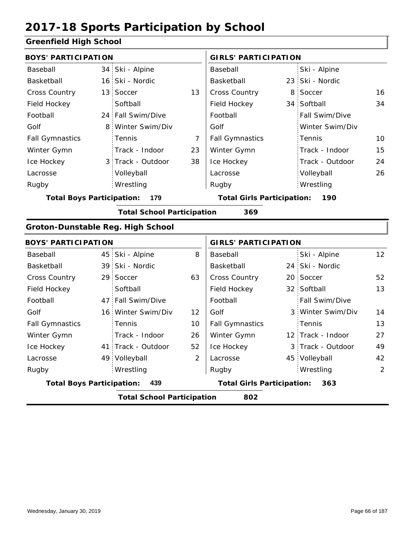#### **Greenfield High School**

| <b>BOYS' PARTICIPATION</b>               |                                                                                     |                    | <b>GIRLS' PARTICIPATION</b> |                                   |  |                   |                 |  |
|------------------------------------------|-------------------------------------------------------------------------------------|--------------------|-----------------------------|-----------------------------------|--|-------------------|-----------------|--|
| Baseball                                 |                                                                                     | 34 Ski - Alpine    |                             | Baseball                          |  | Ski - Alpine      |                 |  |
| Basketball                               |                                                                                     | 16 Ski - Nordic    |                             | Basketball                        |  | 23 Ski - Nordic   |                 |  |
| Cross Country                            |                                                                                     | 13 Soccer          | 13                          | Cross Country                     |  | 8 Soccer          | 16              |  |
| Field Hockey                             |                                                                                     | Softball           |                             | Field Hockey                      |  | 34 Softball       | 34              |  |
| Football                                 |                                                                                     | 24 Fall Swim/Dive  |                             | Football                          |  | Fall Swim/Dive    |                 |  |
| Golf                                     |                                                                                     | 8 Winter Swim/Div  |                             | Golf                              |  | Winter Swim/Div   |                 |  |
| <b>Fall Gymnastics</b>                   |                                                                                     | Tennis             | $\overline{7}$              | <b>Fall Gymnastics</b>            |  | Tennis            | 10              |  |
| Winter Gymn                              |                                                                                     | Track - Indoor     | 23                          | Winter Gymn                       |  | Track - Indoor    | 15              |  |
| Ice Hockey                               |                                                                                     | 3 Track - Outdoor  | 38                          | Ice Hockey                        |  | Track - Outdoor   | 24              |  |
| Lacrosse                                 |                                                                                     | Volleyball         |                             | Lacrosse                          |  | Volleyball        | 26              |  |
| Rugby                                    |                                                                                     | Wrestling          |                             | Rugby                             |  | Wrestling         |                 |  |
|                                          | <b>Total Boys Participation:</b><br>179<br><b>Total Girls Participation:</b><br>190 |                    |                             |                                   |  |                   |                 |  |
| <b>Total School Participation</b><br>369 |                                                                                     |                    |                             |                                   |  |                   |                 |  |
| Groton-Dunstable Reg. High School        |                                                                                     |                    |                             |                                   |  |                   |                 |  |
| <b>BOYS' PARTICIPATION</b>               |                                                                                     |                    |                             | <b>GIRLS' PARTICIPATION</b>       |  |                   |                 |  |
| Baseball                                 |                                                                                     | 45 Ski - Alpine    | 8                           | Baseball                          |  | Ski - Alpine      | 12 <sup>2</sup> |  |
| Basketball                               |                                                                                     | 39 Ski - Nordic    |                             | Basketball                        |  | 24 Ski - Nordic   |                 |  |
| <b>Cross Country</b>                     |                                                                                     | 29 Soccer          | 63                          | Cross Country                     |  | 20 Soccer         | 52              |  |
| Field Hockey                             |                                                                                     | Softball           |                             | Field Hockey                      |  | 32 Softball       | 13              |  |
| Football                                 |                                                                                     | 47 Fall Swim/Dive  |                             | Football                          |  | Fall Swim/Dive    |                 |  |
| Golf                                     |                                                                                     | 16 Winter Swim/Div | 12                          | Golf                              |  | 3 Winter Swim/Div | 14              |  |
| <b>Fall Gymnastics</b>                   |                                                                                     | Tennis             | 10                          | <b>Fall Gymnastics</b>            |  | Tennis            | 13              |  |
| Winter Gymn                              |                                                                                     | Track - Indoor     | 26                          | Winter Gymn                       |  | 12 Track - Indoor | 27              |  |
| Ice Hockey                               |                                                                                     | 41 Track - Outdoor | 52                          | Ice Hockey                        |  | 3 Track - Outdoor | 49              |  |
| Lacrosse                                 |                                                                                     | 49 Volleyball      | $\overline{2}$              | Lacrosse                          |  | 45 Volleyball     | 42              |  |
| Rugby                                    |                                                                                     | Wrestling          |                             | Rugby                             |  | Wrestling         | 2               |  |
| <b>Total Boys Participation:</b>         |                                                                                     | 439                |                             | <b>Total Girls Participation:</b> |  | 363               |                 |  |
|                                          | <b>Total School Participation</b><br>802                                            |                    |                             |                                   |  |                   |                 |  |
|                                          |                                                                                     |                    |                             |                                   |  |                   |                 |  |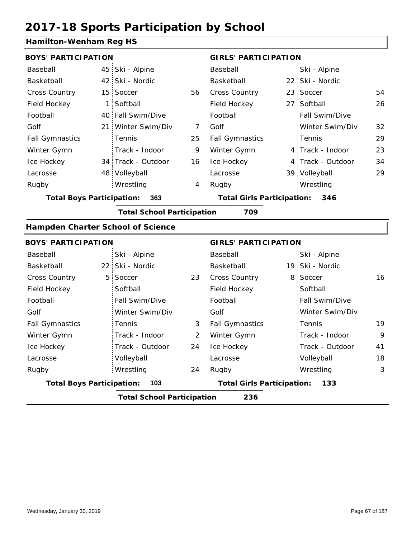#### **Hamilton-Wenham Reg HS**

| <b>BOYS' PARTICIPATION</b>              |  |                                          |    | <b>GIRLS' PARTICIPATION</b> |  |                   |    |
|-----------------------------------------|--|------------------------------------------|----|-----------------------------|--|-------------------|----|
| Baseball                                |  | 45 Ski - Alpine                          |    | Baseball                    |  | Ski - Alpine      |    |
| Basketball                              |  | 42 Ski - Nordic                          |    | Basketball                  |  | 22 Ski - Nordic   |    |
| <b>Cross Country</b>                    |  | 15 Soccer                                | 56 | <b>Cross Country</b>        |  | 23 Soccer         | 54 |
| Field Hockey                            |  | 1 Softball                               |    | Field Hockey                |  | 27 Softball       | 26 |
| Football                                |  | 40 Fall Swim/Dive                        |    | Football                    |  | Fall Swim/Dive    |    |
| Golf                                    |  | 21 Winter Swim/Div                       | 7  | Golf                        |  | Winter Swim/Div   | 32 |
| <b>Fall Gymnastics</b>                  |  | Tennis                                   | 25 | <b>Fall Gymnastics</b>      |  | Tennis            | 29 |
| Winter Gymn                             |  | Track - Indoor                           | 9  | Winter Gymn                 |  | 4 Track - Indoor  | 23 |
| Ice Hockey                              |  | 34 Track - Outdoor                       | 16 | Ice Hockey                  |  | 4 Track - Outdoor | 34 |
| Lacrosse                                |  | 48 Volleyball                            |    | Lacrosse                    |  | 39 Volleyball     | 29 |
| Rugby                                   |  | Wrestling                                | 4  | Rugby                       |  | Wrestling         |    |
| <b>Total Boys Participation:</b><br>363 |  | <b>Total Girls Participation:</b><br>346 |    |                             |  |                   |    |
|                                         |  | <b>Total School Participation</b>        |    | 709                         |  |                   |    |

#### **Hampden Charter School of Science**

| <b>BOYS' PARTICIPATION</b> |                                          |    |                                          | <b>GIRLS' PARTICIPATION</b> |  |  |  |  |
|----------------------------|------------------------------------------|----|------------------------------------------|-----------------------------|--|--|--|--|
| Baseball                   | Ski - Alpine                             |    | Baseball                                 | Ski - Alpine                |  |  |  |  |
| Basketball                 | 22 Ski - Nordic                          |    | Basketball                               | 19 Ski - Nordic             |  |  |  |  |
| <b>Cross Country</b>       | 5 Soccer                                 | 23 | <b>Cross Country</b>                     | 8 Soccer<br>16              |  |  |  |  |
| Field Hockey               | Softball                                 |    | Field Hockey                             | Softball                    |  |  |  |  |
| Football                   | Fall Swim/Dive                           |    | Football                                 | <b>Fall Swim/Dive</b>       |  |  |  |  |
| Golf                       | Winter Swim/Div                          |    | Golf                                     | Winter Swim/Div             |  |  |  |  |
| <b>Fall Gymnastics</b>     | Tennis                                   | 3  | <b>Fall Gymnastics</b>                   | 19<br>Tennis                |  |  |  |  |
| Winter Gymn                | Track - Indoor                           | 2  | Winter Gymn                              | Track - Indoor<br>9         |  |  |  |  |
| Ice Hockey                 | Track - Outdoor                          | 24 | Ice Hockey                               | Track - Outdoor<br>41       |  |  |  |  |
| Lacrosse                   | Volleyball                               |    | Lacrosse                                 | 18<br>Volleyball            |  |  |  |  |
| Rugby                      | Wrestling                                | 24 | Rugby                                    | Wrestling<br>3              |  |  |  |  |
|                            | <b>Total Boys Participation:</b><br>103  |    | <b>Total Girls Participation:</b><br>133 |                             |  |  |  |  |
|                            | 236<br><b>Total School Participation</b> |    |                                          |                             |  |  |  |  |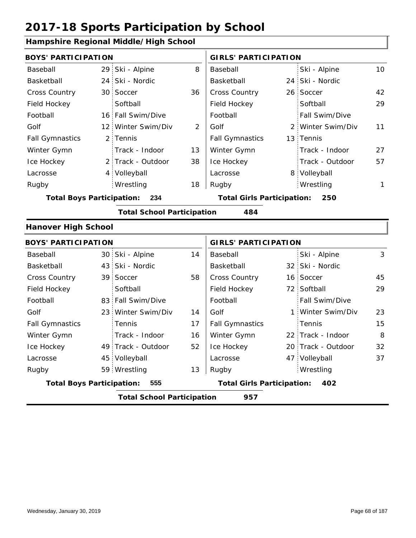### **Hampshire Regional Middle/High School**

| <b>BOYS' PARTICIPATION</b>       |                                   |                | <b>GIRLS' PARTICIPATION</b>       |   |                    |                 |
|----------------------------------|-----------------------------------|----------------|-----------------------------------|---|--------------------|-----------------|
| Baseball                         | 29 Ski - Alpine                   | 8              | Baseball                          |   | Ski - Alpine       | 10 <sup>°</sup> |
| Basketball                       | 24 Ski - Nordic                   |                | Basketball                        |   | 24 Ski - Nordic    |                 |
| Cross Country                    | 30 Soccer                         | 36             | Cross Country                     |   | 26 Soccer          | 42              |
| Field Hockey                     | Softball                          |                | Field Hockey                      |   | Softball           | 29              |
| Football                         | 16 Fall Swim/Dive                 |                | Football                          |   | Fall Swim/Dive     |                 |
| Golf                             | 12 Winter Swim/Div                | $\overline{2}$ | Golf                              |   | 2 Winter Swim/Div  | 11              |
| <b>Fall Gymnastics</b>           | 2 Tennis                          |                | <b>Fall Gymnastics</b>            |   | 13 Tennis          |                 |
| Winter Gymn                      | Track - Indoor                    | 13             | Winter Gymn                       |   | Track - Indoor     | 27              |
| Ice Hockey                       | 2 Track - Outdoor                 | 38             | Ice Hockey                        |   | Track - Outdoor    | 57              |
| Lacrosse                         | 4 Volleyball                      |                | Lacrosse                          |   | 8 Volleyball       |                 |
| Rugby                            | Wrestling                         | 18             | Rugby                             |   | Wrestling          | 1               |
| <b>Total Boys Participation:</b> | 234                               |                | <b>Total Girls Participation:</b> |   | 250                |                 |
|                                  | <b>Total School Participation</b> |                | 484                               |   |                    |                 |
| <b>Hanover High School</b>       |                                   |                |                                   |   |                    |                 |
| <b>BOYS' PARTICIPATION</b>       |                                   |                | <b>GIRLS' PARTICIPATION</b>       |   |                    |                 |
| Baseball                         | 30 Ski - Alpine                   | 14             | Baseball                          |   | Ski - Alpine       | 3               |
| Basketball                       | 43 Ski - Nordic                   |                | Basketball                        |   | 32 Ski - Nordic    |                 |
| <b>Cross Country</b>             | 39 Soccer                         | 58             | Cross Country                     |   | 16 Soccer          | 45              |
| Field Hockey                     | Softball                          |                | Field Hockey                      |   | 72 Softball        | 29              |
| Football                         | 83 Fall Swim/Dive                 |                | Football                          |   | Fall Swim/Dive     |                 |
| Golf                             | 23 Winter Swim/Div                | 14             | Golf                              | 1 | Winter Swim/Div    | 23              |
| <b>Fall Gymnastics</b>           | Tennis                            | 17             | <b>Fall Gymnastics</b>            |   | Tennis             | 15              |
| Winter Gymn                      | Track - Indoor                    | 16             | Winter Gymn                       |   | 22 Track - Indoor  | 8               |
| Ice Hockey                       | 49 Track - Outdoor                | 52             | Ice Hockey                        |   | 20 Track - Outdoor | 32              |

13

Lacrosse

| <b>Total Boys Participation:</b> | 555                               |     | <b>Total Girls Participation:</b> | 402 |
|----------------------------------|-----------------------------------|-----|-----------------------------------|-----|
|                                  | <b>Total School Participation</b> | 957 |                                   |     |
|                                  |                                   |     |                                   |     |
|                                  |                                   |     |                                   |     |

45

Volleyball Wrestling

Rugby Rugby 59

Lacrosse

47

Wrestling

Volleyball 37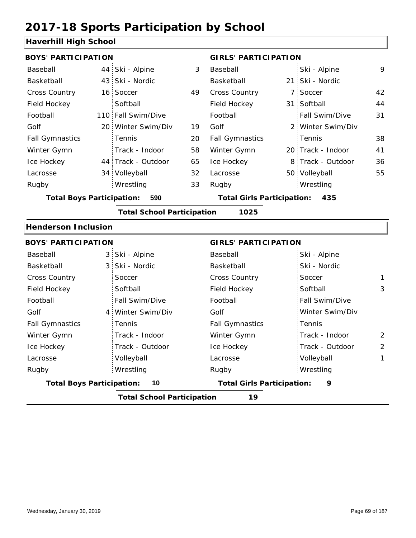### **Haverhill High School**

| патсніні підп эспоог                    |  |                                   |    |                                          |  |                   |    |
|-----------------------------------------|--|-----------------------------------|----|------------------------------------------|--|-------------------|----|
| <b>BOYS' PARTICIPATION</b>              |  |                                   |    | <b>GIRLS' PARTICIPATION</b>              |  |                   |    |
| Baseball                                |  | 44 Ski - Alpine                   | 3  | Baseball                                 |  | Ski - Alpine      | 9  |
| Basketball                              |  | 43 Ski - Nordic                   |    | Basketball                               |  | 21 Ski - Nordic   |    |
| <b>Cross Country</b>                    |  | 16 Soccer                         | 49 | Cross Country                            |  | 7 Soccer          | 42 |
| Field Hockey                            |  | Softball                          |    | Field Hockey                             |  | 31 Softball       | 44 |
| Football                                |  | 110 Fall Swim/Dive                |    | Football                                 |  | Fall Swim/Dive    | 31 |
| Golf                                    |  | 20 Winter Swim/Div                | 19 | Golf                                     |  | 2 Winter Swim/Div |    |
| <b>Fall Gymnastics</b>                  |  | Tennis                            | 20 | <b>Fall Gymnastics</b>                   |  | Tennis            | 38 |
| Winter Gymn                             |  | Track - Indoor                    | 58 | Winter Gymn                              |  | 20 Track - Indoor | 41 |
| Ice Hockey                              |  | 44 Track - Outdoor                | 65 | Ice Hockey                               |  | 8 Track - Outdoor | 36 |
| Lacrosse                                |  | 34 Volleyball                     | 32 | Lacrosse                                 |  | 50 Volleyball     | 55 |
| Rugby                                   |  | Wrestling                         | 33 | Rugby                                    |  | Wrestling         |    |
| <b>Total Boys Participation:</b><br>590 |  |                                   |    | <b>Total Girls Participation:</b><br>435 |  |                   |    |
|                                         |  | <b>Total School Participation</b> |    | 1025                                     |  |                   |    |
| <b>Henderson Inclusion</b>              |  |                                   |    |                                          |  |                   |    |
| <b>BOYS' PARTICIPATION</b>              |  |                                   |    | <b>GIRLS' PARTICIPATION</b>              |  |                   |    |
| Baseball                                |  | 3 Ski - Alpine                    |    | Baseball                                 |  | Ski - Alpine      |    |
| Basketball                              |  | 3 Ski - Nordic                    |    | Basketball                               |  | Ski - Nordic      |    |
| <b>Cross Country</b>                    |  | Soccer                            |    | Cross Country                            |  | Soccer            | 1  |
| Field Hockey                            |  | Softball                          |    | Field Hockey                             |  | Softball          | 3  |
| Football                                |  | Fall Swim/Dive                    |    | Football                                 |  | Fall Swim/Dive    |    |
| Golf                                    |  | 4 Winter Swim/Div                 |    | Golf                                     |  | Winter Swim/Div   |    |
| <b>Fall Gymnastics</b>                  |  | Tennis                            |    | <b>Fall Gymnastics</b>                   |  | Tennis            |    |

|                                  | <b>Total School Participation</b> | 19                                |                 |                |
|----------------------------------|-----------------------------------|-----------------------------------|-----------------|----------------|
| <b>Total Boys Participation:</b> | -10                               | <b>Total Girls Participation:</b> | 9               |                |
| Rugby                            | Wrestling                         | Rugby                             | Wrestling       |                |
| Lacrosse                         | Volleyball                        | Lacrosse                          | Volleyball      |                |
| Ice Hockey                       | Track - Outdoor                   | Ice Hockey                        | Track - Outdoor | $\overline{2}$ |
| Winter Gymn                      | Track - Indoor                    | Winter Gymn                       | Track - Indoor  | $\overline{2}$ |
| <b>Fall Gymnastics</b>           | Tennis                            | <b>Fall Gymnastics</b>            | : Tennis        |                |
| Golf                             | 4 Winter Swim/Div                 | Golf                              | Winter Swim/Div |                |

2 2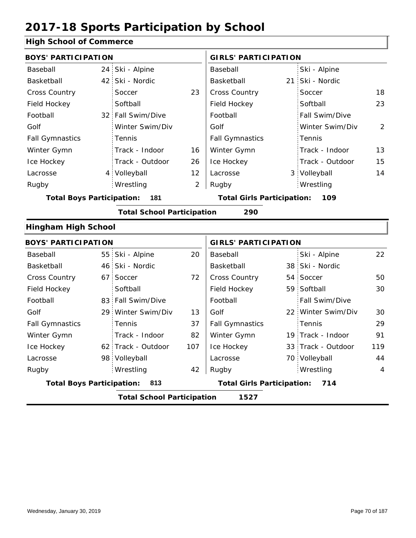#### **High School of Commerce**

| <b>BOYS' PARTICIPATION</b>       |      |                                   |                | <b>GIRLS' PARTICIPATION</b>              |  |                    |     |  |
|----------------------------------|------|-----------------------------------|----------------|------------------------------------------|--|--------------------|-----|--|
| Baseball                         | 24:  | Ski - Alpine                      |                | Baseball                                 |  | Ski - Alpine       |     |  |
| Basketball                       | 42   | Ski - Nordic                      |                | Basketball                               |  | 21 Ski - Nordic    |     |  |
| <b>Cross Country</b>             |      | Soccer                            | 23             | Cross Country                            |  | Soccer             | 18  |  |
| Field Hockey                     |      | Softball                          |                | Field Hockey                             |  | Softball           | 23  |  |
| Football                         |      | 32 Fall Swim/Dive                 |                | Football                                 |  | Fall Swim/Dive     |     |  |
| Golf                             |      | Winter Swim/Div                   |                | Golf                                     |  | Winter Swim/Div    | 2   |  |
| <b>Fall Gymnastics</b>           |      | Tennis                            |                | <b>Fall Gymnastics</b>                   |  | Tennis             |     |  |
| Winter Gymn                      |      | Track - Indoor                    | 16             | Winter Gymn                              |  | Track - Indoor     | 13  |  |
| Ice Hockey                       |      | Track - Outdoor                   | 26             | Ice Hockey                               |  | Track - Outdoor    | 15  |  |
| Lacrosse                         |      | 4 Volleyball                      | 12             | Lacrosse                                 |  | 3 Volleyball       | 14  |  |
| Rugby                            |      | Wrestling                         | $\overline{2}$ | Rugby                                    |  | Wrestling          |     |  |
| <b>Total Boys Participation:</b> |      | 181                               |                | <b>Total Girls Participation:</b><br>109 |  |                    |     |  |
|                                  |      | <b>Total School Participation</b> |                | 290                                      |  |                    |     |  |
| <b>Hingham High School</b>       |      |                                   |                |                                          |  |                    |     |  |
| <b>BOYS' PARTICIPATION</b>       |      |                                   |                | <b>GIRLS' PARTICIPATION</b>              |  |                    |     |  |
| Baseball                         |      | 55 Ski - Alpine                   | 20             | Baseball                                 |  | Ski - Alpine       | 22  |  |
| Basketball                       | 46 : | Ski - Nordic                      |                | Basketball                               |  | 38 Ski - Nordic    |     |  |
| <b>Cross Country</b>             | 67.  | Soccer                            | 72             | <b>Cross Country</b>                     |  | 54 Soccer          | 50  |  |
| Field Hockey                     |      | Softball                          |                | Field Hockey                             |  | 59 Softball        | 30  |  |
| Football                         |      | 83 Fall Swim/Dive                 |                | Football                                 |  | Fall Swim/Dive     |     |  |
| Golf                             |      | 29 Winter Swim/Div                | 13             | Golf                                     |  | 22 Winter Swim/Div | 30  |  |
| <b>Fall Gymnastics</b>           |      | Tennis                            | 37             | <b>Fall Gymnastics</b>                   |  | Tennis             | 29  |  |
| Winter Gymn                      |      | Track - Indoor                    | 82             | Winter Gymn                              |  | 19 Track - Indoor  | 91  |  |
| Ice Hockey                       |      | 62 Track - Outdoor                | 107            | Ice Hockey                               |  | 33 Track - Outdoor | 119 |  |
| Lacrosse                         |      | 98 Volleyball                     |                | Lacrosse                                 |  | 70 Volleyball      | 44  |  |
| Rugby                            |      | Wrestling                         | 42             | Rugby                                    |  | Wrestling          | 4   |  |
| <b>Total Boys Participation:</b> |      | 813                               |                | <b>Total Girls Participation:</b>        |  | 714                |     |  |
|                                  |      | <b>Total School Participation</b> |                | 1527                                     |  |                    |     |  |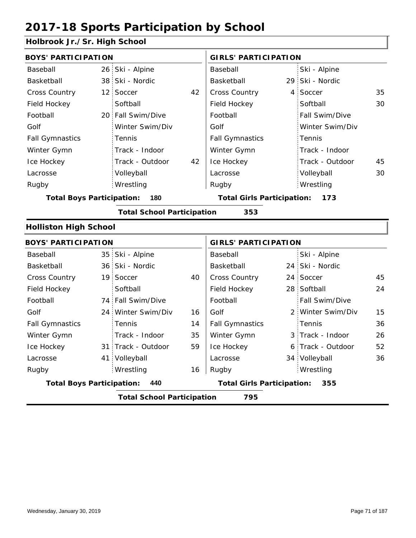#### **Holbrook Jr./Sr. High School**

| <b>BOYS' PARTICIPATION</b>               |  |                    |    | <b>GIRLS' PARTICIPATION</b>              |    |                   |    |  |
|------------------------------------------|--|--------------------|----|------------------------------------------|----|-------------------|----|--|
| Baseball                                 |  | 26 Ski - Alpine    |    | Baseball                                 |    | Ski - Alpine      |    |  |
| Basketball                               |  | 38 Ski - Nordic    |    | Basketball                               |    | 29 Ski - Nordic   |    |  |
| Cross Country                            |  | 12 Soccer          | 42 | Cross Country                            | 4  | Soccer            | 35 |  |
| Field Hockey                             |  | Softball           |    | Field Hockey                             |    | Softball          | 30 |  |
| Football                                 |  | 20 Fall Swim/Dive  |    | Football                                 |    | Fall Swim/Dive    |    |  |
| Golf                                     |  | Winter Swim/Div    |    | Golf                                     |    | Winter Swim/Div   |    |  |
| <b>Fall Gymnastics</b>                   |  | Tennis             |    | <b>Fall Gymnastics</b>                   |    | Tennis            |    |  |
| Winter Gymn                              |  | Track - Indoor     |    | Winter Gymn                              |    | Track - Indoor    |    |  |
| Ice Hockey                               |  | Track - Outdoor    | 42 | Ice Hockey                               |    | Track - Outdoor   | 45 |  |
| Lacrosse                                 |  | Volleyball         |    | Lacrosse                                 |    | Volleyball        | 30 |  |
| Rugby                                    |  | Wrestling          |    | Rugby                                    |    | Wrestling         |    |  |
| <b>Total Boys Participation:</b><br>180  |  |                    |    | <b>Total Girls Participation:</b><br>173 |    |                   |    |  |
| <b>Total School Participation</b><br>353 |  |                    |    |                                          |    |                   |    |  |
| <b>Holliston High School</b>             |  |                    |    |                                          |    |                   |    |  |
| <b>BOYS' PARTICIPATION</b>               |  |                    |    | <b>GIRLS' PARTICIPATION</b>              |    |                   |    |  |
| Baseball                                 |  | 35 Ski - Alpine    |    | Baseball                                 |    | Ski - Alpine      |    |  |
| Basketball                               |  | 36 Ski - Nordic    |    | Basketball                               |    | 24 Ski - Nordic   |    |  |
| Cross Country                            |  | 19 Soccer          | 40 | Cross Country                            | 24 | Soccer            | 45 |  |
| Field Hockey                             |  | Softball           |    | Field Hockey                             |    | 28 Softball       | 24 |  |
| Football                                 |  | 74 Fall Swim/Dive  |    | Football                                 |    | Fall Swim/Dive    |    |  |
| Golf                                     |  | 24 Winter Swim/Div | 16 | Golf                                     |    | 2 Winter Swim/Div | 15 |  |
| <b>Fall Gymnastics</b>                   |  | Tennis             | 14 | <b>Fall Gymnastics</b>                   |    | Tennis            | 36 |  |
| Winter Gymn                              |  | Track - Indoor     | 35 | Winter Gymn                              |    | 3 Track - Indoor  | 26 |  |
| Ice Hockey                               |  | 31 Track - Outdoor | 59 | Ice Hockey                               |    | 6 Track - Outdoor | 52 |  |
| Lacrosse                                 |  | 41 Volleyball      |    | Lacrosse                                 |    | 34 Volleyball     | 36 |  |
| Rugby                                    |  | Wrestling          | 16 | Rugby                                    |    | Wrestling         |    |  |
| <b>Total Boys Participation:</b><br>440  |  |                    |    | <b>Total Girls Participation:</b><br>355 |    |                   |    |  |

**Total School Participation 795**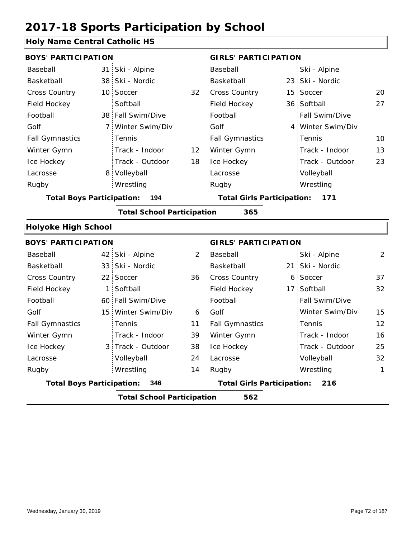#### **Holy Name Central Catholic HS**

| <b>BOYS' PARTICIPATION</b>              |             |                                   |                                          | <b>GIRLS' PARTICIPATION</b> |  |                   |    |
|-----------------------------------------|-------------|-----------------------------------|------------------------------------------|-----------------------------|--|-------------------|----|
| Baseball                                |             | 31 Ski - Alpine                   |                                          | Baseball                    |  | Ski - Alpine      |    |
| Basketball                              |             | 38 Ski - Nordic                   |                                          | Basketball                  |  | 23 Ski - Nordic   |    |
| <b>Cross Country</b>                    |             | 10 Soccer                         | 32                                       | <b>Cross Country</b>        |  | 15 Soccer         | 20 |
| Field Hockey                            |             | Softball                          |                                          | Field Hockey                |  | 36 Softball       | 27 |
| Football                                |             | 38 Fall Swim/Dive                 |                                          | Football                    |  | Fall Swim/Dive    |    |
| Golf                                    | $7^{\circ}$ | Winter Swim/Div                   |                                          | Golf                        |  | 4 Winter Swim/Div |    |
| <b>Fall Gymnastics</b>                  |             | Tennis                            |                                          | <b>Fall Gymnastics</b>      |  | Tennis            | 10 |
| Winter Gymn                             |             | Track - Indoor                    | 12                                       | Winter Gymn                 |  | Track - Indoor    | 13 |
| Ice Hockey                              |             | Track - Outdoor                   | 18                                       | Ice Hockey                  |  | Track - Outdoor   | 23 |
| Lacrosse                                | 8.          | Volleyball                        |                                          | Lacrosse                    |  | Volleyball        |    |
| Rugby                                   |             | Wrestling                         |                                          | Rugby                       |  | Wrestling         |    |
| 194<br><b>Total Boys Participation:</b> |             |                                   | <b>Total Girls Participation:</b><br>171 |                             |  |                   |    |
|                                         |             | <b>Total School Participation</b> |                                          | 365                         |  |                   |    |
| <b>Holyoke High School</b>              |             |                                   |                                          |                             |  |                   |    |

#### 42 Ski - Alpine 33 21 Ski - Nordic 22 Soccer 36 | Cross Country 6 Soccer 37 1 Softball **Field Hockey** 17 60 Fall Swim/Dive 15 Winter Swim/Div 6 3 Track - Outdoor 2 2 Ski - Alpine 32 11 39 15 38 12 24 16 14 25 Baseball Basketball Cross Country Field Hockey Football Golf Fall Gymnastics Ice Hockey Lacrosse 22 Soccer Softball **Tennis** Track - Indoor Volleyball Wrestling Rugby Rugby **BOYS' PARTICIPATION GIRLS' PARTICIPATION** Baseball Basketball Football Golf Fall Gymnastics Winter Gymn Ice Hockey Lacrosse 21 Ski - Nordic Soccer 17 Softball Fall Swim/Dive Winter Swim/Div Tennis Track - Indoor Track - Outdoor Winter Gymn Volleyball 32 Wrestling 1 **Total Boys Participation: 346 Total Girls Participation: 216 Total School Participation 562**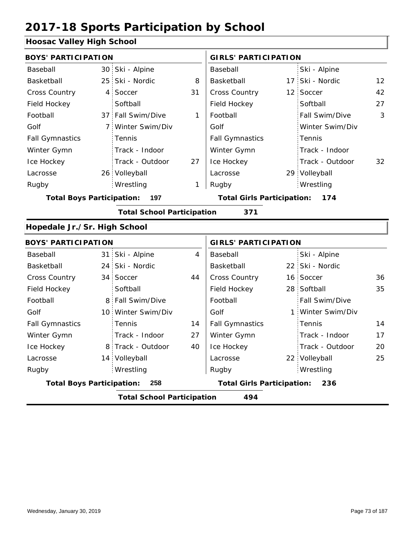#### **Hoosac Valley High School**

| <b>BOYS' PARTICIPATION</b><br><b>GIRLS' PARTICIPATION</b><br>30 Ski - Alpine<br>Ski - Alpine<br>Baseball<br>Baseball<br>25 Ski - Nordic<br>17 Ski - Nordic<br>Basketball<br>Basketball<br>8<br>Cross Country<br>Cross Country<br>12 Soccer<br>4 Soccer<br>31 | $12 \overline{ }$<br>42<br>27<br>3 |  |  |  |  |  |  |  |
|--------------------------------------------------------------------------------------------------------------------------------------------------------------------------------------------------------------------------------------------------------------|------------------------------------|--|--|--|--|--|--|--|
|                                                                                                                                                                                                                                                              |                                    |  |  |  |  |  |  |  |
|                                                                                                                                                                                                                                                              |                                    |  |  |  |  |  |  |  |
|                                                                                                                                                                                                                                                              |                                    |  |  |  |  |  |  |  |
|                                                                                                                                                                                                                                                              |                                    |  |  |  |  |  |  |  |
| Softball<br>Field Hockey<br>Softball<br>Field Hockey                                                                                                                                                                                                         |                                    |  |  |  |  |  |  |  |
| 37 Fall Swim/Dive<br>Football<br>Football<br>1<br>Fall Swim/Dive                                                                                                                                                                                             |                                    |  |  |  |  |  |  |  |
| Golf<br>Golf<br>Winter Swim/Div<br>7 Winter Swim/Div                                                                                                                                                                                                         |                                    |  |  |  |  |  |  |  |
| <b>Fall Gymnastics</b><br>Tennis<br><b>Fall Gymnastics</b><br>Tennis                                                                                                                                                                                         |                                    |  |  |  |  |  |  |  |
| Winter Gymn<br>Track - Indoor<br>Winter Gymn<br>Track - Indoor                                                                                                                                                                                               |                                    |  |  |  |  |  |  |  |
| Ice Hockey<br>Track - Outdoor<br>Ice Hockey<br>Track - Outdoor<br>27                                                                                                                                                                                         | 32                                 |  |  |  |  |  |  |  |
| 26 Volleyball<br>29 Volleyball<br>Lacrosse<br>Lacrosse                                                                                                                                                                                                       |                                    |  |  |  |  |  |  |  |
| Wrestling<br>Rugby<br>Wrestling<br>Rugby<br>1                                                                                                                                                                                                                |                                    |  |  |  |  |  |  |  |
| <b>Total Boys Participation:</b><br>197<br><b>Total Girls Participation:</b><br>174                                                                                                                                                                          |                                    |  |  |  |  |  |  |  |
| <b>Total School Participation</b><br>371                                                                                                                                                                                                                     |                                    |  |  |  |  |  |  |  |
| Hopedale Jr./Sr. High School                                                                                                                                                                                                                                 |                                    |  |  |  |  |  |  |  |
| <b>BOYS' PARTICIPATION</b><br><b>GIRLS' PARTICIPATION</b>                                                                                                                                                                                                    |                                    |  |  |  |  |  |  |  |
| 31 Ski - Alpine<br>$\overline{4}$<br>Ski - Alpine<br>Baseball<br>Baseball                                                                                                                                                                                    |                                    |  |  |  |  |  |  |  |
| Basketball<br>24 Ski - Nordic<br>Basketball<br>22 Ski - Nordic                                                                                                                                                                                               |                                    |  |  |  |  |  |  |  |
| Cross Country<br>Cross Country<br>34 Soccer<br>44<br>16 Soccer                                                                                                                                                                                               | 36                                 |  |  |  |  |  |  |  |
| Field Hockey<br>Softball<br>Field Hockey<br>28 Softball                                                                                                                                                                                                      | 35                                 |  |  |  |  |  |  |  |
| Football<br>8 Fall Swim/Dive<br>Football<br>Fall Swim/Dive                                                                                                                                                                                                   |                                    |  |  |  |  |  |  |  |
| Golf<br>Golf<br>Winter Swim/Div<br>10 Winter Swim/Div<br>1                                                                                                                                                                                                   |                                    |  |  |  |  |  |  |  |
| <b>Fall Gymnastics</b><br>Tennis<br><b>Fall Gymnastics</b><br>Tennis<br>14                                                                                                                                                                                   | 14                                 |  |  |  |  |  |  |  |
| Winter Gymn<br>Winter Gymn<br>Track - Indoor<br>Track - Indoor<br>27                                                                                                                                                                                         | 17                                 |  |  |  |  |  |  |  |
| 8 Track - Outdoor<br>40<br>Ice Hockey<br>Track - Outdoor<br>Ice Hockey                                                                                                                                                                                       | 20                                 |  |  |  |  |  |  |  |
| 14 Volleyball<br>22 Volleyball<br>Lacrosse<br>Lacrosse                                                                                                                                                                                                       | 25                                 |  |  |  |  |  |  |  |
| Wrestling<br>Wrestling<br>Rugby<br>Rugby                                                                                                                                                                                                                     |                                    |  |  |  |  |  |  |  |
| <b>Total Boys Participation:</b><br>258<br><b>Total Girls Participation:</b><br>236                                                                                                                                                                          |                                    |  |  |  |  |  |  |  |
| <b>Total School Participation</b><br>494                                                                                                                                                                                                                     |                                    |  |  |  |  |  |  |  |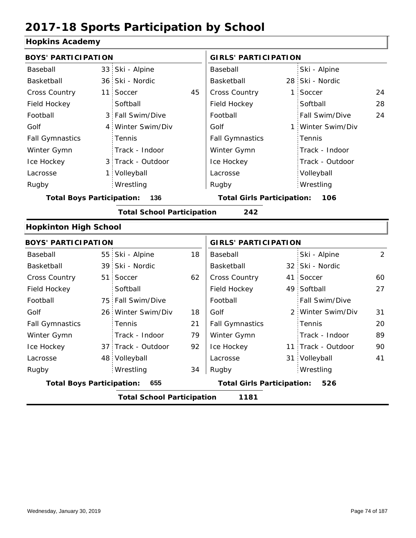#### **Hopkins Academy**

| <b>BOYS' PARTICIPATION</b>       |     |                                   |    | <b>GIRLS' PARTICIPATION</b>       |    |                    |                |  |
|----------------------------------|-----|-----------------------------------|----|-----------------------------------|----|--------------------|----------------|--|
| Baseball                         |     | 33 Ski - Alpine                   |    | Baseball                          |    | Ski - Alpine       |                |  |
| Basketball                       |     | 36 Ski - Nordic                   |    | Basketball                        |    | 28 Ski - Nordic    |                |  |
| <b>Cross Country</b>             | 11: | Soccer                            | 45 | Cross Country                     | 1: | Soccer             | 24             |  |
| Field Hockey                     |     | Softball                          |    | Field Hockey                      |    | Softball           | 28             |  |
| Football                         |     | 3 Fall Swim/Dive                  |    | Football                          |    | Fall Swim/Dive     | 24             |  |
| Golf                             |     | 4 Winter Swim/Div                 |    | Golf                              |    | 1 Winter Swim/Div  |                |  |
| <b>Fall Gymnastics</b>           |     | Tennis                            |    | <b>Fall Gymnastics</b>            |    | Tennis             |                |  |
| Winter Gymn                      |     | Track - Indoor                    |    | Winter Gymn                       |    | Track - Indoor     |                |  |
| Ice Hockey                       |     | 3 Track - Outdoor                 |    | Ice Hockey                        |    | Track - Outdoor    |                |  |
| Lacrosse                         |     | 1 Volleyball                      |    | Lacrosse                          |    | Volleyball         |                |  |
| Rugby                            |     | Wrestling                         |    | Rugby                             |    | Wrestling          |                |  |
| <b>Total Boys Participation:</b> |     | 136                               |    | <b>Total Girls Participation:</b> |    | 106                |                |  |
|                                  |     | <b>Total School Participation</b> |    | 242                               |    |                    |                |  |
| <b>Hopkinton High School</b>     |     |                                   |    |                                   |    |                    |                |  |
| <b>BOYS' PARTICIPATION</b>       |     |                                   |    | <b>GIRLS' PARTICIPATION</b>       |    |                    |                |  |
| Baseball                         |     | 55 Ski - Alpine                   | 18 | Baseball                          |    | Ski - Alpine       | $\overline{2}$ |  |
| Basketball                       |     | 39 Ski - Nordic                   |    | Basketball                        |    | 32 Ski - Nordic    |                |  |
| <b>Cross Country</b>             | 51: | Soccer                            | 62 | <b>Cross Country</b>              |    | 41 Soccer          | 60             |  |
| Field Hockey                     |     | Softball                          |    | Field Hockey                      |    | 49 Softball        | 27             |  |
| Football                         |     | 75 Fall Swim/Dive                 |    | Football                          |    | Fall Swim/Dive     |                |  |
| Golf                             |     | 26 Winter Swim/Div                | 18 | Golf                              |    | 2 Winter Swim/Div  | 31             |  |
| <b>Fall Gymnastics</b>           |     | Tennis                            | 21 | <b>Fall Gymnastics</b>            |    | Tennis             | 20             |  |
| Winter Gymn                      |     | Track - Indoor                    | 79 | Winter Gymn                       |    | Track - Indoor     | 89             |  |
| Ice Hockey                       |     | 37 Track - Outdoor                | 92 | Ice Hockey                        |    | 11 Track - Outdoor | 90             |  |
| Lacrosse                         |     | 48 Volleyball                     |    | Lacrosse                          |    | 31 Volleyball      | 41             |  |
| Rugby                            |     | Wrestling                         | 34 | Rugby                             |    | Wrestling          |                |  |
| <b>Total Boys Participation:</b> |     | 655                               |    | <b>Total Girls Participation:</b> |    | 526                |                |  |
|                                  |     | <b>Total School Participation</b> |    | 1181                              |    |                    |                |  |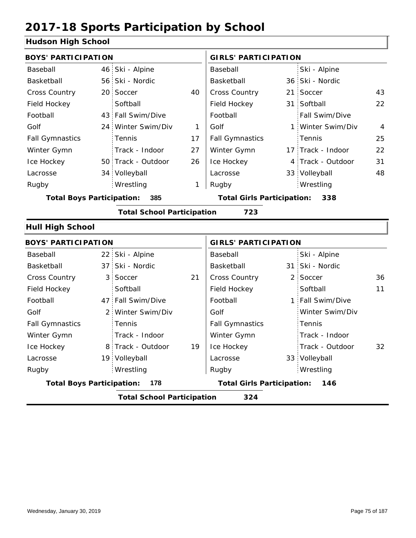### **Hudson High School**

| <b>BOYS' PARTICIPATION</b>       |                 |                                   |    | <b>GIRLS' PARTICIPATION</b>              |  |                   |                |  |
|----------------------------------|-----------------|-----------------------------------|----|------------------------------------------|--|-------------------|----------------|--|
| Baseball                         |                 | 46 Ski - Alpine                   |    | Baseball                                 |  | Ski - Alpine      |                |  |
| Basketball                       |                 | 56 Ski - Nordic                   |    | Basketball                               |  | 36 Ski - Nordic   |                |  |
| <b>Cross Country</b>             | 20 <sup>1</sup> | Soccer                            | 40 | Cross Country                            |  | 21 Soccer         | 43             |  |
| Field Hockey                     |                 | Softball                          |    | Field Hockey                             |  | 31 Softball       | 22             |  |
| Football                         |                 | 43 Fall Swim/Dive                 |    | Football                                 |  | Fall Swim/Dive    |                |  |
| Golf                             | 24              | Winter Swim/Div                   | 1  | Golf                                     |  | 1 Winter Swim/Div | $\overline{4}$ |  |
| <b>Fall Gymnastics</b>           |                 | Tennis                            | 17 | <b>Fall Gymnastics</b>                   |  | Tennis            | 25             |  |
| Winter Gymn                      |                 | Track - Indoor                    | 27 | Winter Gymn                              |  | 17 Track - Indoor | 22             |  |
| Ice Hockey                       |                 | 50 Track - Outdoor                | 26 | Ice Hockey                               |  | 4 Track - Outdoor | 31             |  |
| Lacrosse                         |                 | 34 Volleyball                     |    | Lacrosse                                 |  | 33 Volleyball     | 48             |  |
| Rugby                            |                 | Wrestling                         | 1  | Rugby                                    |  | Wrestling         |                |  |
| <b>Total Boys Participation:</b> |                 | 385                               |    | <b>Total Girls Participation:</b><br>338 |  |                   |                |  |
|                                  |                 | <b>Total School Participation</b> |    | 723                                      |  |                   |                |  |
| <b>Hull High School</b>          |                 |                                   |    |                                          |  |                   |                |  |
| <b>BOYS' PARTICIPATION</b>       |                 |                                   |    | <b>GIRLS' PARTICIPATION</b>              |  |                   |                |  |
| Baseball                         | 22              | Ski - Alpine                      |    | Baseball                                 |  | Ski - Alpine      |                |  |
| Basketball                       | 37 <sub>1</sub> | Ski - Nordic                      |    | Basketball                               |  | 31 Ski - Nordic   |                |  |
| <b>Cross Country</b>             | 3               | Soccer                            | 21 | <b>Cross Country</b>                     |  | 2 Soccer          | 36             |  |
| Field Hockey                     |                 | Softball                          |    | Field Hockey                             |  | Softball          | 11             |  |
| Football                         | 47              | Fall Swim/Dive                    |    | Football                                 |  | 1 Fall Swim/Dive  |                |  |
|                                  |                 |                                   |    |                                          |  |                   |                |  |

|                                  | <b>Total School Participation</b> |    | 324                               |                  |    |
|----------------------------------|-----------------------------------|----|-----------------------------------|------------------|----|
| <b>Total Boys Participation:</b> | 178                               |    | <b>Total Girls Participation:</b> | 146              |    |
| Rugby                            | Wrestling                         |    | Rugby                             | Wrestling        |    |
| Lacrosse                         | 19 Volleyball                     |    | Lacrosse                          | 33 Volleyball    |    |
| Ice Hockey                       | 8 Track - Outdoor                 | 19 | Ice Hockey                        | Track - Outdoor  | 32 |
| Winter Gymn                      | Track - Indoor                    |    | Winter Gymn                       | Track - Indoor   |    |
| <b>Fall Gymnastics</b>           | Tennis                            |    | <b>Fall Gymnastics</b>            | Tennis           |    |
| Golf                             | 2 Winter Swim/Div                 |    | Golf                              | Winter Swim/Div  |    |
| Football                         | 47 Fall Swim/Dive                 |    | Football                          | 1 Fall Swim/Dive |    |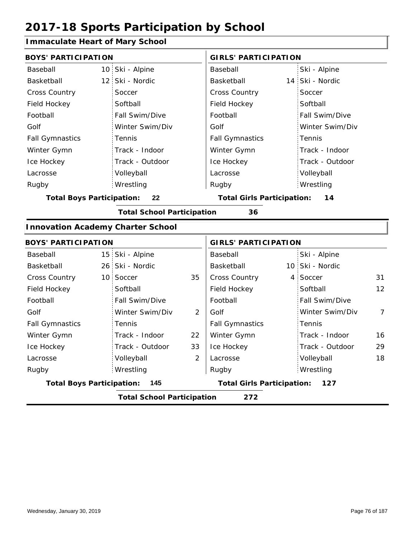#### **Immaculate Heart of Mary School**

| <b>BOYS' PARTICIPATION</b>               |                 |                                   |                | <b>GIRLS' PARTICIPATION</b>       |                             |                 |                |  |  |
|------------------------------------------|-----------------|-----------------------------------|----------------|-----------------------------------|-----------------------------|-----------------|----------------|--|--|
| Baseball                                 | 10:             | Ski - Alpine                      |                | Baseball                          |                             | Ski - Alpine    |                |  |  |
| Basketball                               | 12 <sup>2</sup> | Ski - Nordic                      |                | Basketball                        |                             | 14 Ski - Nordic |                |  |  |
| <b>Cross Country</b>                     |                 | Soccer                            |                | Cross Country                     |                             | Soccer          |                |  |  |
| Field Hockey                             |                 | Softball                          |                | Field Hockey                      |                             | Softball        |                |  |  |
| Football                                 |                 | Fall Swim/Dive                    |                | Football                          |                             | Fall Swim/Dive  |                |  |  |
| Golf                                     |                 | Winter Swim/Div                   |                | Golf                              |                             | Winter Swim/Div |                |  |  |
| <b>Fall Gymnastics</b>                   |                 | Tennis                            |                | <b>Fall Gymnastics</b>            |                             | Tennis          |                |  |  |
| Winter Gymn                              |                 | Track - Indoor                    |                | Winter Gymn                       |                             | Track - Indoor  |                |  |  |
| Ice Hockey                               |                 | Track - Outdoor                   |                | Ice Hockey                        |                             | Track - Outdoor |                |  |  |
| Lacrosse                                 |                 | Volleyball                        |                | Lacrosse                          |                             | Volleyball      |                |  |  |
| Rugby                                    |                 | Wrestling                         |                | Rugby                             |                             | Wrestling       |                |  |  |
| <b>Total Boys Participation:</b>         |                 | 22                                |                | <b>Total Girls Participation:</b> |                             | 14              |                |  |  |
|                                          |                 | <b>Total School Participation</b> |                | 36                                |                             |                 |                |  |  |
| <b>Innovation Academy Charter School</b> |                 |                                   |                |                                   |                             |                 |                |  |  |
| <b>BOYS' PARTICIPATION</b>               |                 |                                   |                |                                   | <b>GIRLS' PARTICIPATION</b> |                 |                |  |  |
| Baseball                                 | 15              | Ski - Alpine                      |                | Baseball                          |                             | Ski - Alpine    |                |  |  |
| Basketball                               |                 | 26 Ski - Nordic                   |                | Basketball                        |                             | 10 Ski - Nordic |                |  |  |
| <b>Cross Country</b>                     | 10 <sub>1</sub> | Soccer                            | 35             | Cross Country                     |                             | 4 Soccer        | 31             |  |  |
| Field Hockey                             |                 | Softball                          |                | Field Hockey                      |                             | Softball        | 12             |  |  |
| Football                                 |                 | Fall Swim/Dive                    |                | Football                          |                             | Fall Swim/Dive  |                |  |  |
| Golf                                     |                 | Winter Swim/Div                   | 2              | Golf                              |                             | Winter Swim/Div | $\overline{7}$ |  |  |
| <b>Fall Gymnastics</b>                   |                 | Tennis                            |                | <b>Fall Gymnastics</b>            |                             | Tennis          |                |  |  |
| Winter Gymn                              |                 | Track - Indoor                    | 22             | Winter Gymn                       |                             | Track - Indoor  | 16             |  |  |
| Ice Hockey                               |                 | Track - Outdoor                   | 33             | Ice Hockey                        |                             | Track - Outdoor | 29             |  |  |
| Lacrosse                                 |                 | Volleyball                        | $\overline{2}$ | Lacrosse                          |                             | Volleyball      | 18             |  |  |
| Rugby                                    |                 | Wrestling                         |                | Rugby                             |                             | Wrestling       |                |  |  |
| <b>Total Boys Participation:</b>         |                 | 145                               |                | <b>Total Girls Participation:</b> |                             | 127             |                |  |  |
|                                          |                 | <b>Total School Participation</b> |                | 272                               |                             |                 |                |  |  |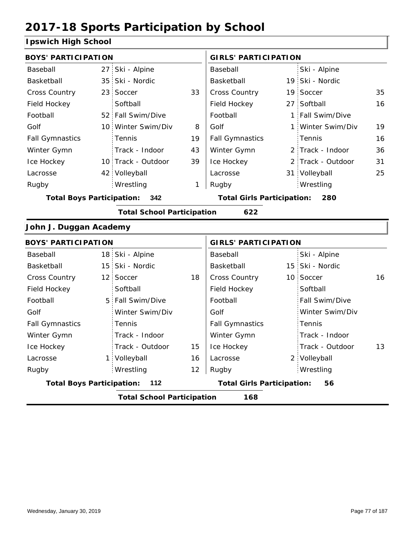### **Ipswich High School**

| <b>BOYS' PARTICIPATION</b>       |                 |                                   |    | <b>GIRLS' PARTICIPATION</b>              |  |                   |    |  |
|----------------------------------|-----------------|-----------------------------------|----|------------------------------------------|--|-------------------|----|--|
| Baseball                         | 27              | Ski - Alpine                      |    | Baseball                                 |  | Ski - Alpine      |    |  |
| Basketball                       | 35 <sup>1</sup> | Ski - Nordic                      |    | Basketball                               |  | 19 Ski - Nordic   |    |  |
| <b>Cross Country</b>             | 23 <sup>1</sup> | Soccer                            | 33 | Cross Country                            |  | 19 Soccer         | 35 |  |
| Field Hockey                     |                 | Softball                          |    | Field Hockey                             |  | 27 Softball       | 16 |  |
| Football                         |                 | 52 Fall Swim/Dive                 |    | Football                                 |  | 1 Fall Swim/Dive  |    |  |
| Golf                             |                 | 10 Winter Swim/Div                | 8  | Golf                                     |  | 1 Winter Swim/Div | 19 |  |
| <b>Fall Gymnastics</b>           |                 | Tennis                            | 19 | <b>Fall Gymnastics</b>                   |  | Tennis            | 16 |  |
| Winter Gymn                      |                 | Track - Indoor                    | 43 | Winter Gymn                              |  | 2 Track - Indoor  | 36 |  |
| Ice Hockey                       |                 | 10 Track - Outdoor                | 39 | Ice Hockey                               |  | 2 Track - Outdoor | 31 |  |
| Lacrosse                         |                 | 42 Volleyball                     |    | Lacrosse                                 |  | 31 Volleyball     | 25 |  |
| Rugby                            |                 | Wrestling                         | 1  | Rugby                                    |  | Wrestling         |    |  |
| <b>Total Boys Participation:</b> |                 | - 342                             |    | <b>Total Girls Participation:</b><br>280 |  |                   |    |  |
|                                  |                 | <b>Total School Participation</b> |    | 622                                      |  |                   |    |  |
| John J. Duggan Academy           |                 |                                   |    |                                          |  |                   |    |  |
| <b>BOYS' PARTICIPATION</b>       |                 |                                   |    | <b>GIRLS' PARTICIPATION</b>              |  |                   |    |  |
| Baseball                         |                 | 18 Ski - Alpine                   |    | Baseball                                 |  | Ski - Alpine      |    |  |
| Basketball                       |                 | 15 Ski - Nordic                   |    | Basketball                               |  | 15 Ski - Nordic   |    |  |
| <b>Cross Country</b>             | 12 <sup>1</sup> | Soccer                            | 18 | Cross Country                            |  | 10 Soccer         | 16 |  |
| Field Hockey                     |                 | Softball                          |    | Field Hockey                             |  | Softball          |    |  |
| Football                         | 5               | Fall Swim/Dive                    |    | Football                                 |  | Fall Swim/Dive    |    |  |
|                                  |                 |                                   |    |                                          |  |                   |    |  |

|                                  | <b>Total School Participation</b> |    | 168                               |                       |    |
|----------------------------------|-----------------------------------|----|-----------------------------------|-----------------------|----|
| <b>Total Boys Participation:</b> | - 112                             |    | <b>Total Girls Participation:</b> | 56                    |    |
| Rugby                            | Wrestling                         | 12 | Rugby                             | Wrestling             |    |
| Lacrosse                         | 1 Volleyball                      | 16 | Lacrosse                          | 2 Volleyball          |    |
| Ice Hockey                       | Track - Outdoor                   | 15 | Ice Hockey                        | Track - Outdoor       | 13 |
| Winter Gymn                      | Track - Indoor                    |    | Winter Gymn                       | Track - Indoor        |    |
| <b>Fall Gymnastics</b>           | Tennis                            |    | <b>Fall Gymnastics</b>            | Tennis                |    |
| Golf                             | Winter Swim/Div                   |    | Golf                              | Winter Swim/Div       |    |
| FOOTDAIL                         | 5 Fall Swim/Dive                  |    | FOOTDAIL                          | <b>Fall Swim/Dive</b> |    |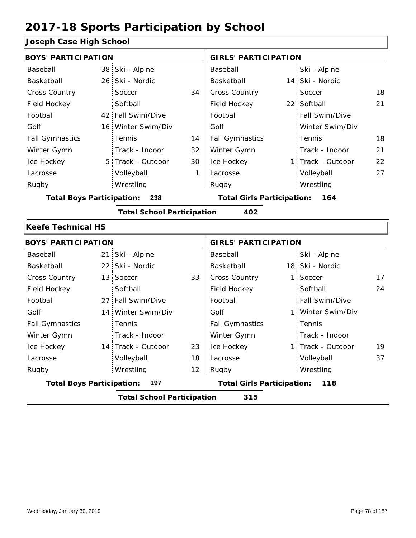#### **Joseph Case High School**

| <b>BOYS' PARTICIPATION</b>               |                                         |                    |              | <b>GIRLS' PARTICIPATION</b> |                                   |                   |    |
|------------------------------------------|-----------------------------------------|--------------------|--------------|-----------------------------|-----------------------------------|-------------------|----|
| Baseball                                 |                                         | 38 Ski - Alpine    |              | Baseball                    |                                   | Ski - Alpine      |    |
| Basketball                               |                                         | 26 Ski - Nordic    |              | Basketball                  |                                   | 14 Ski - Nordic   |    |
| Cross Country                            |                                         | Soccer             | 34           | Cross Country               |                                   | Soccer            | 18 |
| Field Hockey                             |                                         | Softball           |              | Field Hockey                |                                   | 22 Softball       | 21 |
| Football                                 |                                         | 42 Fall Swim/Dive  |              | Football                    |                                   | Fall Swim/Dive    |    |
| Golf                                     |                                         | 16 Winter Swim/Div |              | Golf                        |                                   | Winter Swim/Div   |    |
| <b>Fall Gymnastics</b>                   |                                         | Tennis             | 14           | <b>Fall Gymnastics</b>      |                                   | Tennis            | 18 |
| Winter Gymn                              |                                         | Track - Indoor     | 32           | Winter Gymn                 |                                   | Track - Indoor    | 21 |
| Ice Hockey                               |                                         | 5 Track - Outdoor  | 30           | Ice Hockey                  |                                   | 1 Track - Outdoor | 22 |
| Lacrosse                                 |                                         | Volleyball         | $\mathbf{1}$ | Lacrosse                    |                                   | Volleyball        | 27 |
| Rugby                                    |                                         | Wrestling          |              | Rugby                       |                                   | Wrestling         |    |
|                                          | <b>Total Boys Participation:</b><br>238 |                    |              |                             | <b>Total Girls Participation:</b> | 164               |    |
| <b>Total School Participation</b><br>402 |                                         |                    |              |                             |                                   |                   |    |
| <b>Keefe Technical HS</b>                |                                         |                    |              |                             |                                   |                   |    |
| <b>BOYS' PARTICIPATION</b>               |                                         |                    |              |                             |                                   |                   |    |
|                                          |                                         |                    |              | <b>GIRLS' PARTICIPATION</b> |                                   |                   |    |
| Baseball                                 |                                         | 21 Ski - Alpine    |              | Baseball                    |                                   | Ski - Alpine      |    |
| Basketball                               |                                         | 22 Ski - Nordic    |              | Basketball                  |                                   | 18 Ski - Nordic   |    |
| Cross Country                            |                                         | 13 Soccer          | 33           | Cross Country               | 1                                 | Soccer            | 17 |
| Field Hockey                             |                                         | Softball           |              | Field Hockey                |                                   | Softball          | 24 |
| Football                                 |                                         | 27 Fall Swim/Dive  |              | Football                    |                                   | Fall Swim/Dive    |    |
| Golf                                     |                                         | 14 Winter Swim/Div |              | Golf                        | 1.                                | Winter Swim/Div   |    |
| <b>Fall Gymnastics</b>                   |                                         | Tennis             |              | <b>Fall Gymnastics</b>      |                                   | Tennis            |    |
| Winter Gymn                              |                                         | Track - Indoor     |              | Winter Gymn                 |                                   | Track - Indoor    |    |
| Ice Hockey                               |                                         | 14 Track - Outdoor | 23           | Ice Hockey                  |                                   | 1 Track - Outdoor | 19 |
| Lacrosse                                 |                                         | Volleyball         | 18           | Lacrosse                    |                                   | Volleyball        | 37 |
| Rugby                                    |                                         | Wrestling          | 12           | Rugby                       |                                   | Wrestling         |    |

**Total School Participation 315**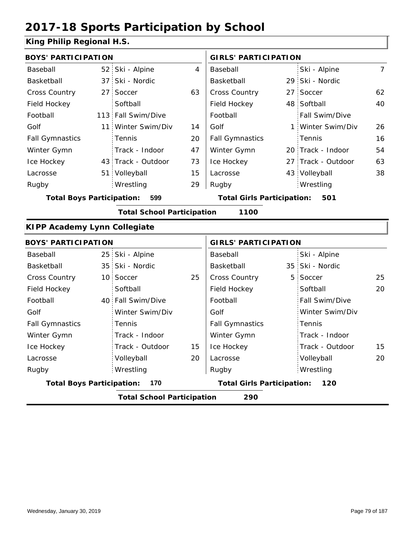#### **King Philip Regional H.S.**

| <b>BOYS' PARTICIPATION</b>          |                 |                                   |    | <b>GIRLS' PARTICIPATION</b>       |                    |                |
|-------------------------------------|-----------------|-----------------------------------|----|-----------------------------------|--------------------|----------------|
| Baseball                            |                 | 52 Ski - Alpine                   | 4  | Baseball                          | Ski - Alpine       | $\overline{7}$ |
| Basketball                          |                 | 37 Ski - Nordic                   |    | Basketball                        | 29 Ski - Nordic    |                |
| Cross Country                       | 27 <sup>1</sup> | Soccer                            | 63 | Cross Country                     | 27 Soccer          | 62             |
| Field Hockey                        |                 | Softball                          |    | Field Hockey                      | 48 Softball        | 40             |
| Football                            |                 | 113 Fall Swim/Dive                |    | Football                          | Fall Swim/Dive     |                |
| Golf                                |                 | 11 Winter Swim/Div                | 14 | Golf                              | 1 Winter Swim/Div  | 26             |
| <b>Fall Gymnastics</b>              |                 | Tennis                            | 20 | <b>Fall Gymnastics</b>            | Tennis             | 16             |
| Winter Gymn                         |                 | Track - Indoor                    | 47 | Winter Gymn                       | 20 Track - Indoor  | 54             |
| Ice Hockey                          |                 | 43 Track - Outdoor                | 73 | Ice Hockey                        | 27 Track - Outdoor | 63             |
| Lacrosse                            |                 | 51 Volleyball                     | 15 | Lacrosse                          | 43 Volleyball      | 38             |
| Rugby                               |                 | Wrestling                         | 29 | Rugby                             | Wrestling          |                |
| <b>Total Boys Participation:</b>    |                 | 599                               |    | <b>Total Girls Participation:</b> | 501                |                |
|                                     |                 | <b>Total School Participation</b> |    | 1100                              |                    |                |
| <b>KIPP Academy Lynn Collegiate</b> |                 |                                   |    |                                   |                    |                |
| <b>BOYS' PARTICIPATION</b>          |                 |                                   |    | <b>GIRLS' PARTICIPATION</b>       |                    |                |
| Baseball                            |                 | 25 Ski - Alpine                   |    | Baseball                          | Ski - Alpine       |                |
| Basketball                          |                 | 35 Ski - Nordic                   |    | Basketball                        | 35 Ski - Nordic    |                |
| <b>Cross Country</b>                |                 | 10 Soccer                         | 25 | Cross Country                     | 5 Soccer           | 25             |
| Field Hockey                        |                 | Softball                          |    | Field Hockey                      | Softball           | 20             |
| Football                            |                 | 40 Fall Swim/Dive                 |    | Football                          | Fall Swim/Dive     |                |
| Golf                                |                 | Winter Swim/Div                   |    | Golf                              | Winter Swim/Div    |                |
| <b>Fall Gymnastics</b>              |                 | Tennis                            |    | <b>Fall Gymnastics</b>            | Tennis             |                |
| Winter Gymn                         |                 | Track - Indoor                    |    | Winter Gymn                       | Track - Indoor     |                |
| Ice Hockey                          |                 | Track - Outdoor                   | 15 | Ice Hockey                        | Track - Outdoor    | 15             |
| Lacrosse                            |                 | Volleyball                        | 20 | Lacrosse                          | Volleyball         | 20             |
| Rugby                               |                 | Wrestling                         |    | Rugby                             | Wrestling          |                |
| <b>Total Boys Participation:</b>    |                 | 170                               |    | <b>Total Girls Participation:</b> | 120                |                |
|                                     |                 | <b>Total School Participation</b> |    | 290                               |                    |                |
|                                     |                 |                                   |    |                                   |                    |                |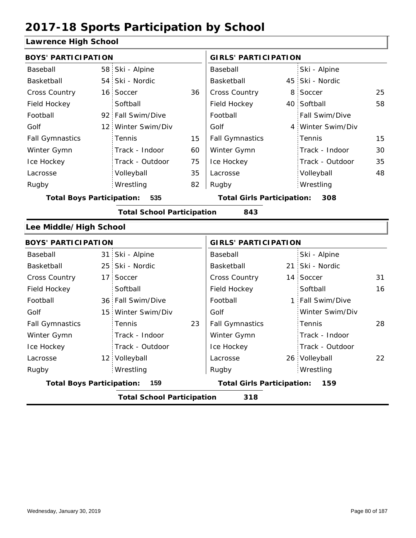#### **Lawrence High School**

| <b>BOYS' PARTICIPATION</b>       |                 |                                   |    | <b>GIRLS' PARTICIPATION</b>              |  |                   |    |  |
|----------------------------------|-----------------|-----------------------------------|----|------------------------------------------|--|-------------------|----|--|
| Baseball                         | 58              | Ski - Alpine                      |    | Baseball                                 |  | Ski - Alpine      |    |  |
| Basketball                       |                 | 54 Ski - Nordic                   |    | Basketball                               |  | 45 Ski - Nordic   |    |  |
| Cross Country                    | 16 <sup>1</sup> | Soccer                            | 36 | Cross Country                            |  | 8 Soccer          | 25 |  |
| Field Hockey                     |                 | Softball                          |    | Field Hockey                             |  | 40 Softball       | 58 |  |
| Football                         |                 | 92 Fall Swim/Dive                 |    | Football                                 |  | Fall Swim/Dive    |    |  |
| Golf                             | 12 <sup>1</sup> | Winter Swim/Div                   |    | Golf                                     |  | 4 Winter Swim/Div |    |  |
| <b>Fall Gymnastics</b>           |                 | Tennis                            | 15 | <b>Fall Gymnastics</b>                   |  | Tennis            | 15 |  |
| Winter Gymn                      |                 | Track - Indoor                    | 60 | Winter Gymn                              |  | Track - Indoor    | 30 |  |
| Ice Hockey                       |                 | Track - Outdoor                   | 75 | Ice Hockey                               |  | Track - Outdoor   | 35 |  |
| Lacrosse                         |                 | Volleyball                        | 35 | Lacrosse                                 |  | Volleyball        | 48 |  |
| Rugby                            |                 | Wrestling                         | 82 | Rugby                                    |  | Wrestling         |    |  |
| <b>Total Boys Participation:</b> |                 | 535                               |    | <b>Total Girls Participation:</b><br>308 |  |                   |    |  |
|                                  |                 | <b>Total School Participation</b> |    | 843                                      |  |                   |    |  |
| Lee Middle/High School           |                 |                                   |    |                                          |  |                   |    |  |
| <b>BOYS' PARTICIPATION</b>       |                 |                                   |    | <b>GIRLS' PARTICIPATION</b>              |  |                   |    |  |
| Baseball                         | 31 <sup>1</sup> | Ski - Alpine                      |    | Baseball                                 |  | Ski - Alpine      |    |  |
| Basketball                       |                 | 25 Ski - Nordic                   |    | Basketball                               |  | 21 Ski - Nordic   |    |  |
| Cross Country                    | 17 <sup>1</sup> | Soccer                            |    | Cross Country                            |  | 14 Soccer         | 31 |  |
| Field Hockey                     |                 | Softball                          |    | Field Hockey                             |  | Softball          | 16 |  |
| Football                         |                 | 36 Fall Swim/Dive                 |    | Football                                 |  | 1 Fall Swim/Dive  |    |  |

**Total School Participation 318**

12 Volleyball **Lacrosse** 26

**Total Boys Participation: 159 Total Girls Participation: 159**

Golf

Winter Gymn Ice Hockey Lacrosse

15 Winter Swim/Div

Track - Indoor Track - Outdoor

Tennis

Wrestling Rugby Rugby

23 Fall Gymnastics Fennis 28

Winter Swim/Div

Track - Indoor Track - Outdoor

Volleyball 22

Tennis

Wrestling

Golf

Fall Gymnastics

Ice Hockey Lacrosse

Winter Gymn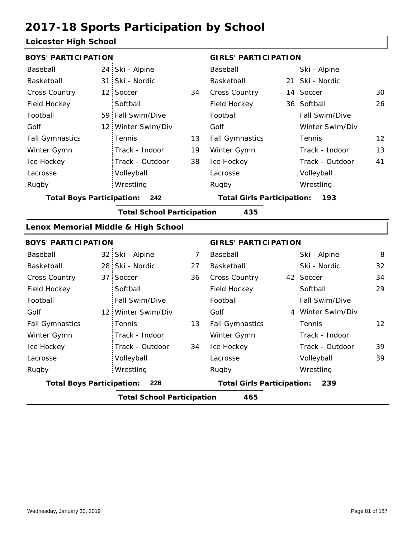#### **Leicester High School**

| <b>BOYS' PARTICIPATION</b>       |                 |                                     |                | <b>GIRLS' PARTICIPATION</b>       |    |                   |    |
|----------------------------------|-----------------|-------------------------------------|----------------|-----------------------------------|----|-------------------|----|
| Baseball                         |                 | 24 Ski - Alpine                     |                | Baseball                          |    | Ski - Alpine      |    |
| Basketball                       | 31 <sup>1</sup> | Ski - Nordic                        |                | Basketball                        | 21 | Ski - Nordic      |    |
| <b>Cross Country</b>             |                 | 12 Soccer                           | 34             | <b>Cross Country</b>              |    | 14 Soccer         | 30 |
| Field Hockey                     |                 | Softball                            |                | Field Hockey                      |    | 36 Softball       | 26 |
| Football                         |                 | 59 Fall Swim/Dive                   |                | Football                          |    | Fall Swim/Dive    |    |
| Golf                             |                 | 12 Winter Swim/Div                  |                | Golf                              |    | Winter Swim/Div   |    |
| <b>Fall Gymnastics</b>           |                 | Tennis                              | 13             | <b>Fall Gymnastics</b>            |    | Tennis            | 12 |
| Winter Gymn                      |                 | Track - Indoor                      | 19             | Winter Gymn                       |    | Track - Indoor    | 13 |
| Ice Hockey                       |                 | Track - Outdoor                     | 38             | Ice Hockey                        |    | Track - Outdoor   | 41 |
| Lacrosse                         |                 | Volleyball                          |                | Lacrosse                          |    | Volleyball        |    |
| Rugby                            |                 | Wrestling                           |                | Rugby                             |    | Wrestling         |    |
| <b>Total Boys Participation:</b> |                 | 242                                 |                | <b>Total Girls Participation:</b> |    | 193               |    |
|                                  |                 | <b>Total School Participation</b>   |                | 435                               |    |                   |    |
|                                  |                 | Lenox Memorial Middle & High School |                |                                   |    |                   |    |
| <b>BOYS' PARTICIPATION</b>       |                 |                                     |                | <b>GIRLS' PARTICIPATION</b>       |    |                   |    |
| Baseball                         |                 | 32 Ski - Alpine                     | $\overline{7}$ | Baseball                          |    | Ski - Alpine      | 8  |
| Basketball                       |                 | 28 Ski - Nordic                     | 27             | Basketball                        |    | Ski - Nordic      | 32 |
| Cross Country                    |                 | 37 Soccer                           | 36             | Cross Country                     |    | 42 Soccer         | 34 |
| Field Hockey                     |                 | Softball                            |                | Field Hockey                      |    | Softball          | 29 |
| Football                         |                 | Fall Swim/Dive                      |                | Football                          |    | Fall Swim/Dive    |    |
| Golf                             |                 | 12 Winter Swim/Div                  |                | Golf                              |    | 4 Winter Swim/Div |    |
| <b>Fall Gymnastics</b>           |                 | Tennis                              | 13             | <b>Fall Gymnastics</b>            |    | Tennis            | 12 |
| Winter Gymn                      |                 | Track - Indoor                      |                | Winter Gymn                       |    | Track - Indoor    |    |
| Ice Hockey                       |                 | Track - Outdoor                     | 34             | Ice Hockey                        |    | Track - Outdoor   | 39 |
| Lacrosse                         |                 | Volleyball                          |                | Lacrosse                          |    | Volleyball        | 39 |
| Rugby                            |                 | Wrestling                           |                | Rugby                             |    | Wrestling         |    |

**Total Boys Participation: 226 Total Girls Participation: 239**

**Total School Participation 465**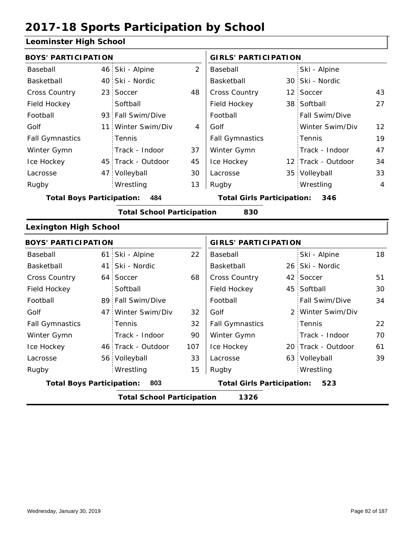#### **Leominster High School**

| -commoter myn                    |                 |                                   |                                          |                                   |  |                    |                |
|----------------------------------|-----------------|-----------------------------------|------------------------------------------|-----------------------------------|--|--------------------|----------------|
| <b>BOYS' PARTICIPATION</b>       |                 |                                   |                                          | <b>GIRLS' PARTICIPATION</b>       |  |                    |                |
| Baseball                         |                 | 46 Ski - Alpine                   | $\overline{2}$                           | Baseball                          |  | Ski - Alpine       |                |
| Basketball                       |                 | 40 Ski - Nordic                   |                                          | Basketball                        |  | 30 Ski - Nordic    |                |
| Cross Country                    |                 | 23 Soccer                         | 48                                       | Cross Country                     |  | 12 Soccer          | 43             |
| Field Hockey                     |                 | Softball                          |                                          | Field Hockey                      |  | 38 Softball        | 27             |
| Football                         |                 | 93 Fall Swim/Dive                 |                                          | Football                          |  | Fall Swim/Dive     |                |
| Golf                             |                 | 11 Winter Swim/Div                | 4                                        | Golf                              |  | Winter Swim/Div    | 12             |
| <b>Fall Gymnastics</b>           |                 | Tennis                            |                                          | <b>Fall Gymnastics</b>            |  | Tennis             | 19             |
| Winter Gymn                      |                 | Track - Indoor                    | 37                                       | Winter Gymn                       |  | Track - Indoor     | 47             |
| Ice Hockey                       |                 | 45 Track - Outdoor                | 45                                       | Ice Hockey                        |  | 12 Track - Outdoor | 34             |
| Lacrosse                         |                 | 47 Volleyball                     | 30                                       | Lacrosse                          |  | 35 Volleyball      | 33             |
| Rugby                            |                 | Wrestling                         | 13                                       | Rugby                             |  | Wrestling          | $\overline{4}$ |
| <b>Total Boys Participation:</b> |                 | 484                               | <b>Total Girls Participation:</b><br>346 |                                   |  |                    |                |
|                                  |                 | <b>Total School Participation</b> |                                          | 830                               |  |                    |                |
| <b>Lexington High School</b>     |                 |                                   |                                          |                                   |  |                    |                |
| <b>BOYS' PARTICIPATION</b>       |                 |                                   |                                          | <b>GIRLS' PARTICIPATION</b>       |  |                    |                |
| Baseball                         | 61 <sup>1</sup> | Ski - Alpine                      | 22                                       | Baseball                          |  | Ski - Alpine       | 18             |
| Basketball                       | 41 :            | Ski - Nordic                      |                                          | Basketball                        |  | 26 Ski - Nordic    |                |
| Cross Country                    |                 | 64 Soccer                         | 68                                       | Cross Country                     |  | 42 Soccer          | 51             |
| Field Hockey                     |                 | Softball                          |                                          | Field Hockey                      |  | 45 Softball        | 30             |
| Football                         |                 | 89 Fall Swim/Dive                 |                                          | Football                          |  | Fall Swim/Dive     | 34             |
| Golf                             |                 | 47 Winter Swim/Div                | 32                                       | Golf                              |  | 2 Winter Swim/Div  |                |
| <b>Fall Gymnastics</b>           |                 | Tennis                            | 32                                       | <b>Fall Gymnastics</b>            |  | Tennis             | 22             |
| Winter Gymn                      |                 | Track - Indoor                    | 90                                       | Winter Gymn                       |  | Track - Indoor     | 70             |
| Ice Hockey                       |                 | 46 Track - Outdoor                | 107                                      | Ice Hockey                        |  | 20 Track - Outdoor | 61             |
| Lacrosse                         |                 | 56 Volleyball                     | 33                                       | Lacrosse                          |  | 63 Volleyball      | 39             |
| Rugby                            |                 | Wrestling                         | 15                                       | Rugby                             |  | Wrestling          |                |
| <b>Total Boys Participation:</b> |                 | 803                               |                                          | <b>Total Girls Participation:</b> |  | 523                |                |
|                                  |                 |                                   |                                          |                                   |  |                    |                |

**Total School Participation 1326**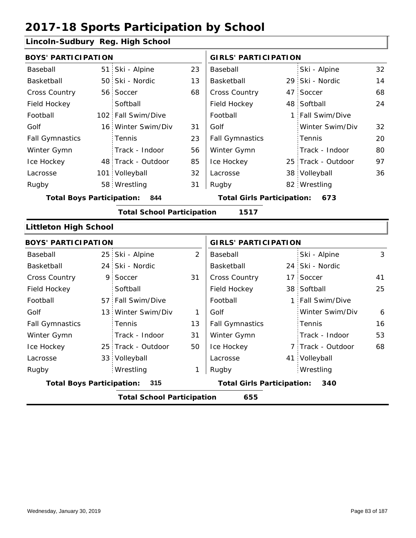### **Lincoln-Sudbury Reg. High School**

| <b>BOYS' PARTICIPATION</b>              |  |                                   |                                   | <b>GIRLS' PARTICIPATION</b> |     |                    |    |  |
|-----------------------------------------|--|-----------------------------------|-----------------------------------|-----------------------------|-----|--------------------|----|--|
| Baseball                                |  | 51 Ski - Alpine                   | 23                                | Baseball                    |     | Ski - Alpine       | 32 |  |
| Basketball                              |  | 50 Ski - Nordic                   | 13                                | Basketball                  |     | 29 Ski - Nordic    | 14 |  |
| <b>Cross Country</b>                    |  | 56 Soccer                         | 68                                | <b>Cross Country</b>        |     | 47 Soccer          | 68 |  |
| Field Hockey                            |  | Softball                          |                                   | Field Hockey                |     | 48 Softball        | 24 |  |
| Football                                |  | 102 Fall Swim/Dive                |                                   | Football                    |     | 1 Fall Swim/Dive   |    |  |
| Golf                                    |  | 16 Winter Swim/Div                | 31                                | Golf                        |     | Winter Swim/Div    | 32 |  |
| <b>Fall Gymnastics</b>                  |  | Tennis                            | 23                                | <b>Fall Gymnastics</b>      |     | Tennis             | 20 |  |
| Winter Gymn                             |  | Track - Indoor                    | 56                                | Winter Gymn                 |     | Track - Indoor     | 80 |  |
| Ice Hockey                              |  | 48 Track - Outdoor                | 85                                | Ice Hockey                  |     | 25 Track - Outdoor | 97 |  |
| Lacrosse                                |  | 101 Volleyball                    | 32                                | Lacrosse                    |     | 38 Volleyball      | 36 |  |
| Rugby                                   |  | 58 Wrestling                      | 31                                | Rugby                       |     | 82 Wrestling       |    |  |
| <b>Total Boys Participation:</b><br>844 |  |                                   | <b>Total Girls Participation:</b> |                             | 673 |                    |    |  |
|                                         |  | <b>Total School Participation</b> |                                   | 1517                        |     |                    |    |  |
| <b>Littleton High School</b>            |  |                                   |                                   |                             |     |                    |    |  |

| <b>BOYS' PARTICIPATION</b>       |                                          |    | <b>GIRLS' PARTICIPATION</b>       |  |                   |    |  |  |  |
|----------------------------------|------------------------------------------|----|-----------------------------------|--|-------------------|----|--|--|--|
| Baseball                         | 25 Ski - Alpine                          | 2  | Baseball                          |  | Ski - Alpine      | 3  |  |  |  |
| Basketball                       | 24 Ski - Nordic                          |    | Basketball                        |  | 24 Ski - Nordic   |    |  |  |  |
| <b>Cross Country</b>             | 9 Soccer                                 | 31 | <b>Cross Country</b>              |  | 17 Soccer         | 41 |  |  |  |
| Field Hockey                     | Softball                                 |    | Field Hockey                      |  | 38 Softball       | 25 |  |  |  |
| Football                         | 57 Fall Swim/Dive                        |    | Football                          |  | 1 Fall Swim/Dive  |    |  |  |  |
| Golf                             | 13 Winter Swim/Div                       | 1  | Golf                              |  | Winter Swim/Div   | 6  |  |  |  |
| <b>Fall Gymnastics</b>           | <b>Tennis</b>                            | 13 | <b>Fall Gymnastics</b>            |  | <b>Tennis</b>     | 16 |  |  |  |
| Winter Gymn                      | Track - Indoor                           | 31 | Winter Gymn                       |  | Track - Indoor    | 53 |  |  |  |
| Ice Hockey                       | 25 Track - Outdoor                       | 50 | Ice Hockey                        |  | 7 Track - Outdoor | 68 |  |  |  |
| Lacrosse                         | 33 Volleyball                            |    | Lacrosse                          |  | 41 Volleyball     |    |  |  |  |
| Rugby                            | Wrestling                                | 1  | Rugby                             |  | Wrestling         |    |  |  |  |
| <b>Total Boys Participation:</b> | 315                                      |    | <b>Total Girls Participation:</b> |  | 340               |    |  |  |  |
|                                  | 655<br><b>Total School Participation</b> |    |                                   |  |                   |    |  |  |  |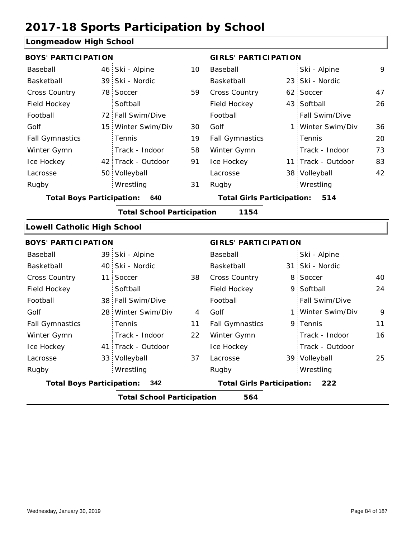#### **Longmeadow High School**

| <b>BOYS' PARTICIPATION</b> |                 |                                                                                                                                                                                                                                                                                                                                                                                                                                                      |                                         |                                                                                                                                                                                                                               |                 |                                                                                                                                                                                                                                                                                                                                                                                   |
|----------------------------|-----------------|------------------------------------------------------------------------------------------------------------------------------------------------------------------------------------------------------------------------------------------------------------------------------------------------------------------------------------------------------------------------------------------------------------------------------------------------------|-----------------------------------------|-------------------------------------------------------------------------------------------------------------------------------------------------------------------------------------------------------------------------------|-----------------|-----------------------------------------------------------------------------------------------------------------------------------------------------------------------------------------------------------------------------------------------------------------------------------------------------------------------------------------------------------------------------------|
|                            | 46 Ski - Alpine | 10                                                                                                                                                                                                                                                                                                                                                                                                                                                   | <b>GIRLS' PARTICIPATION</b><br>Baseball |                                                                                                                                                                                                                               | Ski - Alpine    | 9                                                                                                                                                                                                                                                                                                                                                                                 |
|                            |                 |                                                                                                                                                                                                                                                                                                                                                                                                                                                      |                                         |                                                                                                                                                                                                                               |                 |                                                                                                                                                                                                                                                                                                                                                                                   |
|                            |                 |                                                                                                                                                                                                                                                                                                                                                                                                                                                      |                                         |                                                                                                                                                                                                                               |                 | 47                                                                                                                                                                                                                                                                                                                                                                                |
|                            |                 |                                                                                                                                                                                                                                                                                                                                                                                                                                                      |                                         |                                                                                                                                                                                                                               |                 | 26                                                                                                                                                                                                                                                                                                                                                                                |
|                            |                 |                                                                                                                                                                                                                                                                                                                                                                                                                                                      |                                         |                                                                                                                                                                                                                               |                 |                                                                                                                                                                                                                                                                                                                                                                                   |
|                            |                 |                                                                                                                                                                                                                                                                                                                                                                                                                                                      |                                         |                                                                                                                                                                                                                               |                 | 36                                                                                                                                                                                                                                                                                                                                                                                |
|                            |                 |                                                                                                                                                                                                                                                                                                                                                                                                                                                      |                                         |                                                                                                                                                                                                                               |                 | 20                                                                                                                                                                                                                                                                                                                                                                                |
|                            |                 |                                                                                                                                                                                                                                                                                                                                                                                                                                                      |                                         |                                                                                                                                                                                                                               |                 | 73                                                                                                                                                                                                                                                                                                                                                                                |
|                            |                 |                                                                                                                                                                                                                                                                                                                                                                                                                                                      |                                         |                                                                                                                                                                                                                               |                 | 83                                                                                                                                                                                                                                                                                                                                                                                |
|                            |                 |                                                                                                                                                                                                                                                                                                                                                                                                                                                      |                                         |                                                                                                                                                                                                                               |                 | 42                                                                                                                                                                                                                                                                                                                                                                                |
|                            |                 |                                                                                                                                                                                                                                                                                                                                                                                                                                                      |                                         |                                                                                                                                                                                                                               |                 |                                                                                                                                                                                                                                                                                                                                                                                   |
|                            |                 |                                                                                                                                                                                                                                                                                                                                                                                                                                                      |                                         |                                                                                                                                                                                                                               |                 |                                                                                                                                                                                                                                                                                                                                                                                   |
|                            |                 |                                                                                                                                                                                                                                                                                                                                                                                                                                                      |                                         |                                                                                                                                                                                                                               |                 |                                                                                                                                                                                                                                                                                                                                                                                   |
|                            |                 |                                                                                                                                                                                                                                                                                                                                                                                                                                                      |                                         |                                                                                                                                                                                                                               |                 |                                                                                                                                                                                                                                                                                                                                                                                   |
|                            |                 |                                                                                                                                                                                                                                                                                                                                                                                                                                                      |                                         |                                                                                                                                                                                                                               |                 |                                                                                                                                                                                                                                                                                                                                                                                   |
|                            |                 |                                                                                                                                                                                                                                                                                                                                                                                                                                                      |                                         |                                                                                                                                                                                                                               |                 |                                                                                                                                                                                                                                                                                                                                                                                   |
|                            |                 |                                                                                                                                                                                                                                                                                                                                                                                                                                                      | Baseball                                |                                                                                                                                                                                                                               | Ski - Alpine    |                                                                                                                                                                                                                                                                                                                                                                                   |
|                            |                 |                                                                                                                                                                                                                                                                                                                                                                                                                                                      | Basketball                              |                                                                                                                                                                                                                               |                 |                                                                                                                                                                                                                                                                                                                                                                                   |
|                            | Soccer          | 38                                                                                                                                                                                                                                                                                                                                                                                                                                                   | Cross Country                           |                                                                                                                                                                                                                               |                 | 40                                                                                                                                                                                                                                                                                                                                                                                |
|                            | Softball        |                                                                                                                                                                                                                                                                                                                                                                                                                                                      | Field Hockey                            |                                                                                                                                                                                                                               |                 | 24                                                                                                                                                                                                                                                                                                                                                                                |
|                            |                 |                                                                                                                                                                                                                                                                                                                                                                                                                                                      | Football                                |                                                                                                                                                                                                                               | Fall Swim/Dive  |                                                                                                                                                                                                                                                                                                                                                                                   |
|                            |                 | 4                                                                                                                                                                                                                                                                                                                                                                                                                                                    | Golf                                    |                                                                                                                                                                                                                               |                 | 9                                                                                                                                                                                                                                                                                                                                                                                 |
|                            | Tennis          | 11                                                                                                                                                                                                                                                                                                                                                                                                                                                   | <b>Fall Gymnastics</b>                  |                                                                                                                                                                                                                               |                 | 11                                                                                                                                                                                                                                                                                                                                                                                |
|                            | Track - Indoor  | 22                                                                                                                                                                                                                                                                                                                                                                                                                                                   | Winter Gymn                             |                                                                                                                                                                                                                               | Track - Indoor  | 16                                                                                                                                                                                                                                                                                                                                                                                |
|                            |                 |                                                                                                                                                                                                                                                                                                                                                                                                                                                      | Ice Hockey                              |                                                                                                                                                                                                                               | Track - Outdoor |                                                                                                                                                                                                                                                                                                                                                                                   |
|                            |                 | 37                                                                                                                                                                                                                                                                                                                                                                                                                                                   | Lacrosse                                |                                                                                                                                                                                                                               |                 | 25                                                                                                                                                                                                                                                                                                                                                                                |
|                            | Wrestling       |                                                                                                                                                                                                                                                                                                                                                                                                                                                      | Rugby                                   |                                                                                                                                                                                                                               | Wrestling       |                                                                                                                                                                                                                                                                                                                                                                                   |
|                            | 342             |                                                                                                                                                                                                                                                                                                                                                                                                                                                      |                                         |                                                                                                                                                                                                                               | 222             |                                                                                                                                                                                                                                                                                                                                                                                   |
|                            |                 |                                                                                                                                                                                                                                                                                                                                                                                                                                                      | 564                                     |                                                                                                                                                                                                                               |                 |                                                                                                                                                                                                                                                                                                                                                                                   |
|                            |                 | 39 Ski - Nordic<br>78 Soccer<br>Softball<br>72 Fall Swim/Dive<br>15 Winter Swim/Div<br>Tennis<br>Track - Indoor<br>42 Track - Outdoor<br>50 Volleyball<br>Wrestling<br><b>Total Boys Participation:</b><br>640<br><b>Lowell Catholic High School</b><br><b>BOYS' PARTICIPATION</b><br>39 Ski - Alpine<br>40 Ski - Nordic<br>11<br>38 Fall Swim/Dive<br>28 Winter Swim/Div<br>41 Track - Outdoor<br>33 Volleyball<br><b>Total Boys Participation:</b> | 59<br>30<br>19<br>58<br>91<br>31        | Basketball<br>Cross Country<br>Field Hockey<br>Football<br>Golf<br><b>Fall Gymnastics</b><br>Winter Gymn<br>Ice Hockey<br>Lacrosse<br>Rugby<br><b>Total School Participation</b><br>1154<br><b>Total School Participation</b> |                 | 23 Ski - Nordic<br>62 Soccer<br>43 Softball<br>Fall Swim/Dive<br>1 Winter Swim/Div<br>Tennis<br>Track - Indoor<br>11 Track - Outdoor<br>38 Volleyball<br>Wrestling<br><b>Total Girls Participation:</b><br>514<br><b>GIRLS' PARTICIPATION</b><br>31 Ski - Nordic<br>8 Soccer<br>9 Softball<br>1 Winter Swim/Div<br>9 Tennis<br>39 Volleyball<br><b>Total Girls Participation:</b> |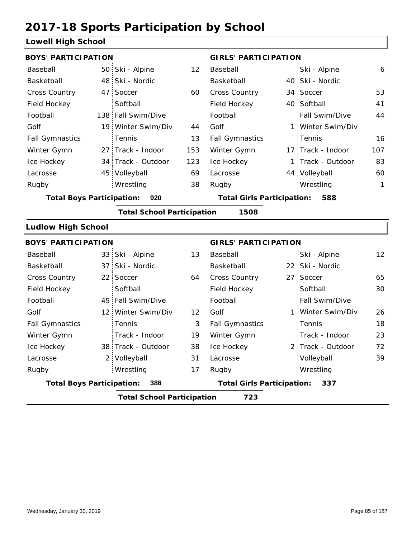#### **Lowell High School**

| <b>BOYS' PARTICIPATION</b>       |                |                                   |     | <b>GIRLS' PARTICIPATION</b>       |                   |              |
|----------------------------------|----------------|-----------------------------------|-----|-----------------------------------|-------------------|--------------|
| Baseball                         |                | 50 Ski - Alpine                   | 12  | Baseball                          | Ski - Alpine      | 6            |
| Basketball                       | 48             | Ski - Nordic                      |     | Basketball                        | 40 Ski - Nordic   |              |
| <b>Cross Country</b>             | 47             | Soccer                            | 60  | <b>Cross Country</b>              | 34 Soccer         | 53           |
| Field Hockey                     |                | Softball                          |     | Field Hockey                      | 40 Softball       | 41           |
| Football                         |                | 138 Fall Swim/Dive                |     | Football                          | Fall Swim/Dive    | 44           |
| Golf                             |                | 19 Winter Swim/Div                | 44  | Golf                              | 1 Winter Swim/Div |              |
| <b>Fall Gymnastics</b>           |                | Tennis                            | 13  | <b>Fall Gymnastics</b>            | Tennis            | 16           |
| Winter Gymn                      |                | 27 Track - Indoor                 | 153 | Winter Gymn                       | 17 Track - Indoor | 107          |
| Ice Hockey                       | 34             | Track - Outdoor                   | 123 | Ice Hockey                        | 1 Track - Outdoor | 83           |
| Lacrosse                         | 45:            | Volleyball                        | 69  | Lacrosse                          | 44 Volleyball     | 60           |
| Rugby                            |                | Wrestling                         | 38  | Rugby                             | Wrestling         | $\mathbf{1}$ |
| <b>Total Boys Participation:</b> |                | 920                               |     | <b>Total Girls Participation:</b> | 588               |              |
|                                  |                | <b>Total School Participation</b> |     | 1508                              |                   |              |
| <b>Ludlow High School</b>        |                |                                   |     |                                   |                   |              |
| <b>BOYS' PARTICIPATION</b>       |                |                                   |     | <b>GIRLS' PARTICIPATION</b>       |                   |              |
| Baseball                         | 33             | Ski - Alpine                      | 13  | Baseball                          | Ski - Alpine      | 12           |
| Basketball                       | 37             | Ski - Nordic                      |     | Basketball                        | 22 Ski - Nordic   |              |
| <b>Cross Country</b>             | $22^{\circ}$   | Soccer                            | 64  | <b>Cross Country</b>              | 27 Soccer         | 65           |
| Field Hockey                     |                | Softball                          |     | Field Hockey                      | Softball          | 30           |
| Football                         |                | 45 Fall Swim/Dive                 |     | Football                          | Fall Swim/Dive    |              |
| Golf                             | 12 :           | Winter Swim/Div                   | 12  | Golf                              | 1 Winter Swim/Div | 26           |
| <b>Fall Gymnastics</b>           |                | Tennis                            | 3   | <b>Fall Gymnastics</b>            | Tennis            | 18           |
| Winter Gymn                      |                | Track - Indoor                    | 19  | Winter Gymn                       | Track - Indoor    | 23           |
| Ice Hockey                       |                | 38 Track - Outdoor                | 38  | Ice Hockey                        | 2 Track - Outdoor | 72           |
| Lacrosse                         | 2 <sub>1</sub> | Volleyball                        | 31  | Lacrosse                          | Volleyball        | 39           |
| Rugby                            |                | Wrestling                         | 17  | Rugby                             | Wrestling         |              |
| <b>Total Boys Participation:</b> |                | 386                               |     | <b>Total Girls Participation:</b> | 337               |              |
|                                  |                | <b>Total School Participation</b> |     | 723                               |                   |              |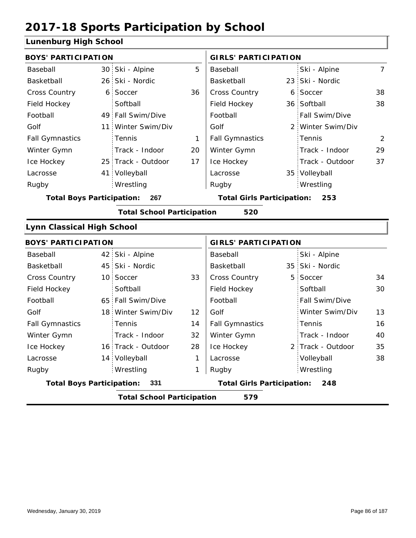#### **Lunenburg High School**

| <b>BOYS' PARTICIPATION</b>        |                                   |    | <b>GIRLS' PARTICIPATION</b>       |   |                   |                |
|-----------------------------------|-----------------------------------|----|-----------------------------------|---|-------------------|----------------|
| Baseball                          | 30 Ski - Alpine                   | 5  | Baseball                          |   | Ski - Alpine      | $\overline{7}$ |
| Basketball                        | 26 Ski - Nordic                   |    | Basketball                        |   | 23 Ski - Nordic   |                |
| Cross Country                     | 6 Soccer                          | 36 | Cross Country                     |   | 6 Soccer          | 38             |
| Field Hockey                      | Softball                          |    | Field Hockey                      |   | 36 Softball       | 38             |
| Football                          | 49 Fall Swim/Dive                 |    | Football                          |   | Fall Swim/Dive    |                |
| Golf                              | 11 Winter Swim/Div                |    | Golf                              |   | 2 Winter Swim/Div |                |
| <b>Fall Gymnastics</b>            | Tennis                            | 1  | <b>Fall Gymnastics</b>            |   | Tennis            | 2              |
| Winter Gymn                       | Track - Indoor                    | 20 | Winter Gymn                       |   | Track - Indoor    | 29             |
| Ice Hockey                        | 25 Track - Outdoor                | 17 | Ice Hockey                        |   | Track - Outdoor   | 37             |
| Lacrosse                          | 41 Volleyball                     |    | Lacrosse                          |   | 35 Volleyball     |                |
| Rugby                             | Wrestling                         |    | Rugby                             |   | Wrestling         |                |
| <b>Total Boys Participation:</b>  | 267                               |    | <b>Total Girls Participation:</b> |   | 253               |                |
|                                   | <b>Total School Participation</b> |    | 520                               |   |                   |                |
| <b>Lynn Classical High School</b> |                                   |    |                                   |   |                   |                |
| <b>BOYS' PARTICIPATION</b>        |                                   |    | <b>GIRLS' PARTICIPATION</b>       |   |                   |                |
| Baseball                          | 42 Ski - Alpine                   |    | Baseball                          |   | Ski - Alpine      |                |
| Basketball                        | 45 Ski - Nordic                   |    | Basketball                        |   | 35 Ski - Nordic   |                |
| <b>Cross Country</b>              | 10 Soccer                         | 33 | Cross Country                     | 5 | Soccer            | 34             |
| Field Hockey                      | Softball                          |    | Field Hockey                      |   | Softball          | 30             |
| Football                          | 65 Fall Swim/Dive                 |    | Football                          |   | Fall Swim/Dive    |                |
| Golf                              | 18 Winter Swim/Div                | 12 | Golf                              |   | Winter Swim/Div   | 13             |
| <b>Fall Gymnastics</b>            | Tennis                            | 14 | <b>Fall Gymnastics</b>            |   | Tennis            | 16             |
| Winter Gymn                       | Track - Indoor                    | 32 | Winter Gymn                       |   | Track - Indoor    | 40             |
| Ice Hockey                        | 16 Track - Outdoor                | 28 | Ice Hockey                        |   | 2 Track - Outdoor | 35             |
| Lacrosse                          | 14 Volleyball                     | 1  | Lacrosse                          |   | Volleyball        | 38             |
| Rugby                             | Wrestling                         | 1  | Rugby                             |   | Wrestling         |                |
| <b>Total Boys Participation:</b>  | 331                               |    | <b>Total Girls Participation:</b> |   | 248               |                |
|                                   | <b>Total School Participation</b> |    | 579                               |   |                   |                |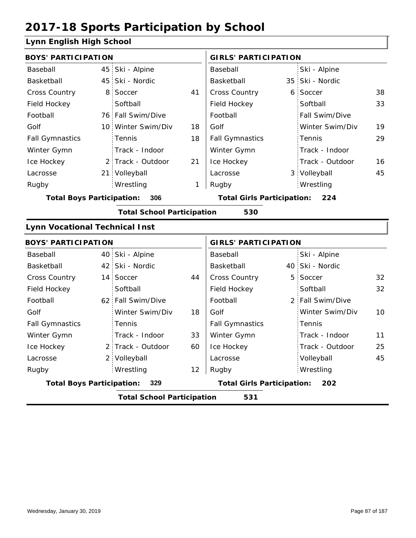#### **Lynn English High School**

| <b>BOYS' PARTICIPATION</b>               |                                          |                    |    | <b>GIRLS' PARTICIPATION</b>           |    |                  |    |  |  |
|------------------------------------------|------------------------------------------|--------------------|----|---------------------------------------|----|------------------|----|--|--|
| Baseball                                 |                                          | 45 Ski - Alpine    |    | Baseball                              |    | Ski - Alpine     |    |  |  |
| Basketball                               |                                          | 45 Ski - Nordic    |    | Basketball                            | 35 | Ski - Nordic     |    |  |  |
| <b>Cross Country</b>                     |                                          | 8 Soccer           | 41 | Cross Country                         | 6  | Soccer           | 38 |  |  |
| Field Hockey                             |                                          | Softball           |    | Field Hockey                          |    | Softball         | 33 |  |  |
| Football                                 |                                          | 76 Fall Swim/Dive  |    | Football                              |    | Fall Swim/Dive   |    |  |  |
| Golf                                     |                                          | 10 Winter Swim/Div | 18 | Golf                                  |    | Winter Swim/Div  | 19 |  |  |
| <b>Fall Gymnastics</b>                   |                                          | Tennis             | 18 | <b>Fall Gymnastics</b>                |    | Tennis           | 29 |  |  |
| Winter Gymn                              |                                          | Track - Indoor     |    | Winter Gymn                           |    | Track - Indoor   |    |  |  |
| Ice Hockey                               |                                          | 2 Track - Outdoor  | 21 | Ice Hockey                            |    | Track - Outdoor  | 16 |  |  |
| Lacrosse                                 |                                          | 21 Volleyball      |    | Lacrosse                              |    | 3 Volleyball     | 45 |  |  |
| Rugby                                    |                                          | Wrestling          | 1  | Rugby                                 |    | Wrestling        |    |  |  |
| <b>Total Boys Participation:</b>         |                                          | 306                |    | <b>Total Girls Participation: 224</b> |    |                  |    |  |  |
| <b>Total School Participation</b><br>530 |                                          |                    |    |                                       |    |                  |    |  |  |
| <b>Lynn Vocational Technical Inst</b>    |                                          |                    |    |                                       |    |                  |    |  |  |
| <b>BOYS' PARTICIPATION</b>               |                                          |                    |    | <b>GIRLS' PARTICIPATION</b>           |    |                  |    |  |  |
| Baseball                                 |                                          | 40 Ski - Alpine    |    | Baseball                              |    | Ski - Alpine     |    |  |  |
| Basketball                               |                                          | 42 Ski - Nordic    |    | Basketball                            |    | 40 Ski - Nordic  |    |  |  |
| <b>Cross Country</b>                     |                                          | 14 Soccer          | 44 | Cross Country                         | 5  | Soccer           | 32 |  |  |
| Field Hockey                             |                                          | Softball           |    | Field Hockey                          |    | Softball         | 32 |  |  |
| Football                                 |                                          | 62 Fall Swim/Dive  |    | Football                              |    | 2 Fall Swim/Dive |    |  |  |
| Golf                                     |                                          | Winter Swim/Div    | 18 | Golf                                  |    | Winter Swim/Div  | 10 |  |  |
| <b>Fall Gymnastics</b>                   |                                          | Tennis             |    | <b>Fall Gymnastics</b>                |    | Tennis           |    |  |  |
| Winter Gymn                              |                                          | Track - Indoor     | 33 | Winter Gymn                           |    | Track - Indoor   | 11 |  |  |
| Ice Hockey                               |                                          | 2 Track - Outdoor  | 60 | Ice Hockey                            |    | Track - Outdoor  | 25 |  |  |
| Lacrosse                                 |                                          | 2 Volleyball       |    | Lacrosse                              |    | Volleyball       | 45 |  |  |
| Rugby                                    |                                          | Wrestling          | 12 | Rugby                                 |    | Wrestling        |    |  |  |
| <b>Total Boys Participation:</b>         |                                          | 329                |    | <b>Total Girls Participation:</b>     |    | 202              |    |  |  |
|                                          | 531<br><b>Total School Participation</b> |                    |    |                                       |    |                  |    |  |  |
|                                          |                                          |                    |    |                                       |    |                  |    |  |  |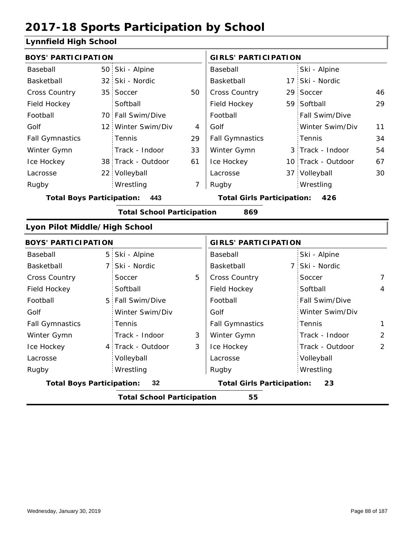#### **Lynnfield High School**

| <b>BOYS' PARTICIPATION</b>       |                 |                                   |                | <b>GIRLS' PARTICIPATION</b>       |                    |                |
|----------------------------------|-----------------|-----------------------------------|----------------|-----------------------------------|--------------------|----------------|
| Baseball                         |                 | 50 Ski - Alpine                   |                | Baseball                          | Ski - Alpine       |                |
| Basketball                       | 32 <sub>1</sub> | Ski - Nordic                      |                | Basketball                        | 17 Ski - Nordic    |                |
| Cross Country                    | 35              | Soccer                            | 50             | Cross Country                     | 29 Soccer          | 46             |
| Field Hockey                     |                 | Softball                          |                | Field Hockey                      | 59 Softball        | 29             |
| Football                         |                 | 70 Fall Swim/Dive                 |                | Football                          | Fall Swim/Dive     |                |
| Golf                             | 12 <sup>1</sup> | Winter Swim/Div                   | 4              | Golf                              | Winter Swim/Div    | 11             |
| <b>Fall Gymnastics</b>           |                 | Tennis                            | 29             | <b>Fall Gymnastics</b>            | Tennis             | 34             |
| Winter Gymn                      |                 | Track - Indoor                    | 33             | Winter Gymn                       | 3 Track - Indoor   | 54             |
| Ice Hockey                       |                 | 38 Track - Outdoor                | 61             | Ice Hockey                        | 10 Track - Outdoor | 67             |
| Lacrosse                         | 22:             | Volleyball                        |                | Lacrosse                          | 37 Volleyball      | 30             |
| Rugby                            |                 | Wrestling                         | $\overline{7}$ | Rugby                             | Wrestling          |                |
| <b>Total Boys Participation:</b> |                 | 443                               |                | <b>Total Girls Participation:</b> | 426                |                |
|                                  |                 | <b>Total School Participation</b> |                | 869                               |                    |                |
| Lyon Pilot Middle/High School    |                 |                                   |                |                                   |                    |                |
| <b>BOYS' PARTICIPATION</b>       |                 |                                   |                | <b>GIRLS' PARTICIPATION</b>       |                    |                |
| Baseball                         |                 | 5 Ski - Alpine                    |                | Baseball                          | Ski - Alpine       |                |
| Basketball                       | $\overline{7}$  | Ski - Nordic                      |                | Basketball                        | 7 Ski - Nordic     |                |
| <b>Cross Country</b>             |                 | Soccer                            | 5              | <b>Cross Country</b>              | Soccer             | $\overline{7}$ |
| Field Hockey                     |                 | Softball                          |                | Field Hockey                      | Softball           | $\overline{4}$ |
| Football                         | 5               | Fall Swim/Dive                    |                | Football                          | Fall Swim/Dive     |                |
| Golf                             |                 | Winter Swim/Div                   |                | Golf                              | Winter Swim/Div    |                |
| <b>Fall Gymnastics</b>           |                 | Tennis                            |                | <b>Fall Gymnastics</b>            | Tennis             | $\mathbf{1}$   |
| Winter Gymn                      |                 | Track - Indoor                    | 3              | Winter Gymn                       | Track - Indoor     | $\overline{2}$ |
| Ice Hockey                       | 4               | Track - Outdoor                   | 3              | Ice Hockey                        | Track - Outdoor    | $\overline{2}$ |
| Lacrosse                         |                 | Volleyball                        |                | Lacrosse                          | Volleyball         |                |

Wrestling Rugby Rugby Wrestling **Total Boys Participation: 32 Total Girls Participation: 23**

**Total School Participation 55**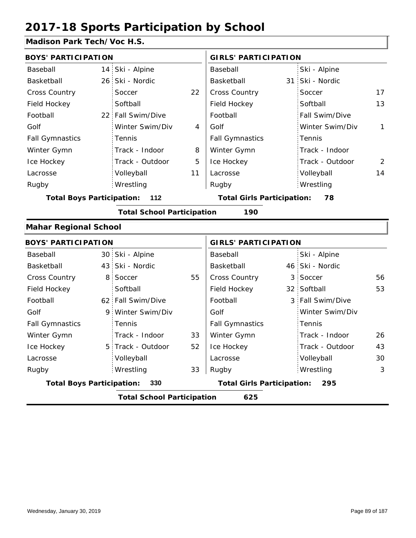#### **Madison Park Tech/Voc H.S.**

| <b>BOYS' PARTICIPATION</b>       |                 |                                   |    | <b>GIRLS' PARTICIPATION</b>       |                  |              |
|----------------------------------|-----------------|-----------------------------------|----|-----------------------------------|------------------|--------------|
| Baseball                         | 14 <sup>1</sup> | Ski - Alpine                      |    | Baseball                          | Ski - Alpine     |              |
| Basketball                       | $26 -$          | Ski - Nordic                      |    | Basketball                        | 31 Ski - Nordic  |              |
| <b>Cross Country</b>             |                 | Soccer                            | 22 | Cross Country                     | Soccer           | 17           |
| Field Hockey                     |                 | Softball                          |    | Field Hockey                      | Softball         | 13           |
| Football                         | 22 <sub>1</sub> | Fall Swim/Dive                    |    | Football                          | Fall Swim/Dive   |              |
| Golf                             |                 | Winter Swim/Div                   | 4  | Golf                              | Winter Swim/Div  | $\mathbf{1}$ |
| <b>Fall Gymnastics</b>           |                 | Tennis                            |    | <b>Fall Gymnastics</b>            | Tennis           |              |
| Winter Gymn                      |                 | Track - Indoor                    | 8  | Winter Gymn                       | Track - Indoor   |              |
| Ice Hockey                       |                 | Track - Outdoor                   | 5  | Ice Hockey                        | Track - Outdoor  | 2            |
| Lacrosse                         |                 | Volleyball                        | 11 | Lacrosse                          | Volleyball       | 14           |
| Rugby                            |                 | Wrestling                         |    | Rugby                             | Wrestling        |              |
| <b>Total Boys Participation:</b> |                 | 112                               |    | <b>Total Girls Participation:</b> | 78               |              |
|                                  |                 | <b>Total School Participation</b> |    | 190                               |                  |              |
| <b>Mahar Regional School</b>     |                 |                                   |    |                                   |                  |              |
| <b>BOYS' PARTICIPATION</b>       |                 |                                   |    | <b>GIRLS' PARTICIPATION</b>       |                  |              |
| Baseball                         |                 | 30 Ski - Alpine                   |    | Baseball                          | Ski - Alpine     |              |
| Basketball                       | 43:             | Ski - Nordic                      |    | Basketball                        | 46 Ski - Nordic  |              |
| Cross Country                    | 8               | Soccer                            | 55 | Cross Country                     | 3 Soccer         | 56           |
| Field Hockey                     |                 | Softball                          |    | Field Hockey                      | 32 Softball      | 53           |
| Football                         |                 | 62 Fall Swim/Dive                 |    | Football                          | 3 Fall Swim/Dive |              |
| Golf                             | 9.              | Winter Swim/Div                   |    | Golf                              | Winter Swim/Div  |              |
| <b>Fall Gymnastics</b>           |                 | Tennis                            |    | <b>Fall Gymnastics</b>            | Tennis           |              |
| Winter Gymn                      |                 | Track - Indoor                    | 33 | Winter Gymn                       | Track - Indoor   | 26           |
| Ice Hockey                       |                 | 5 Track - Outdoor                 | 52 | Ice Hockey                        | Track - Outdoor  | 43           |
| Lacrosse                         |                 | Volleyball                        |    | Lacrosse                          | Volleyball       | 30           |

33

**Total Boys Participation: 330 Total Girls Participation: 295**

Wrestling Rugby Rugby

**Total School Participation 625**

Wrestling 3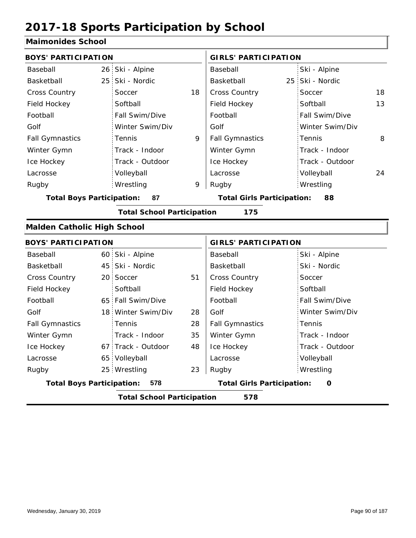#### **Maimonides School**

| <b>BOYS' PARTICIPATION</b>         |                 |                                   |    | <b>GIRLS' PARTICIPATION</b>            |                 |    |  |
|------------------------------------|-----------------|-----------------------------------|----|----------------------------------------|-----------------|----|--|
| Baseball                           |                 | 26 Ski - Alpine                   |    | Baseball                               | Ski - Alpine    |    |  |
| Basketball                         | 25 <sub>1</sub> | Ski - Nordic                      |    | Basketball                             | 25 Ski - Nordic |    |  |
| <b>Cross Country</b>               |                 | Soccer                            | 18 | Cross Country                          | Soccer          | 18 |  |
| Field Hockey                       |                 | Softball                          |    | Field Hockey                           | Softball        | 13 |  |
| Football                           |                 | Fall Swim/Dive                    |    | Football                               | Fall Swim/Dive  |    |  |
| Golf                               |                 | Winter Swim/Div                   |    | Golf                                   | Winter Swim/Div |    |  |
| <b>Fall Gymnastics</b>             |                 | Tennis                            | 9  | <b>Fall Gymnastics</b>                 | Tennis          | 8  |  |
| Winter Gymn                        |                 | Track - Indoor                    |    | Winter Gymn                            | Track - Indoor  |    |  |
| Ice Hockey                         |                 | Track - Outdoor                   |    | Ice Hockey                             | Track - Outdoor |    |  |
| Lacrosse                           |                 | Volleyball                        |    | Lacrosse                               | Volleyball      | 24 |  |
| Rugby                              |                 | Wrestling                         | 9  | Rugby                                  | Wrestling       |    |  |
| <b>Total Boys Participation:</b>   |                 | 87                                |    | <b>Total Girls Participation:</b>      | 88              |    |  |
|                                    |                 | <b>Total School Participation</b> |    | 175                                    |                 |    |  |
| <b>Malden Catholic High School</b> |                 |                                   |    |                                        |                 |    |  |
| <b>BOYS' PARTICIPATION</b>         |                 |                                   |    | <b>GIRLS' PARTICIPATION</b>            |                 |    |  |
| Baseball                           |                 | 60 Ski - Alpine                   |    | Baseball                               | Ski - Alpine    |    |  |
| Basketball                         |                 | 45 Ski - Nordic                   |    | Basketball                             | Ski - Nordic    |    |  |
| <b>Cross Country</b>               |                 | 20 Soccer                         | 51 | <b>Cross Country</b>                   | Soccer          |    |  |
| Field Hockey                       |                 | Softball                          |    | Field Hockey                           | Softball        |    |  |
| Football                           |                 | 65 Fall Swim/Dive                 |    | Football                               | Fall Swim/Dive  |    |  |
| Golf                               |                 | 18 Winter Swim/Div                | 28 | Golf                                   | Winter Swim/Div |    |  |
| <b>Fall Gymnastics</b>             |                 | Tennis                            | 28 | <b>Fall Gymnastics</b>                 | Tennis          |    |  |
| Winter Gymn                        |                 | Track - Indoor                    | 35 | Winter Gymn                            | Track - Indoor  |    |  |
| Ice Hockey                         |                 | 67 Track - Outdoor                | 48 | Ice Hockey                             | Track - Outdoor |    |  |
| Lacrosse                           |                 | 65 Volleyball                     |    | Lacrosse                               | Volleyball      |    |  |
| Rugby                              |                 | 25 Wrestling                      | 23 | Rugby                                  | Wrestling       |    |  |
| <b>Total Boys Participation:</b>   |                 | 578                               |    | <b>Total Girls Participation:</b><br>O |                 |    |  |
|                                    |                 | <b>Total School Participation</b> |    | 578                                    |                 |    |  |
|                                    |                 |                                   |    |                                        |                 |    |  |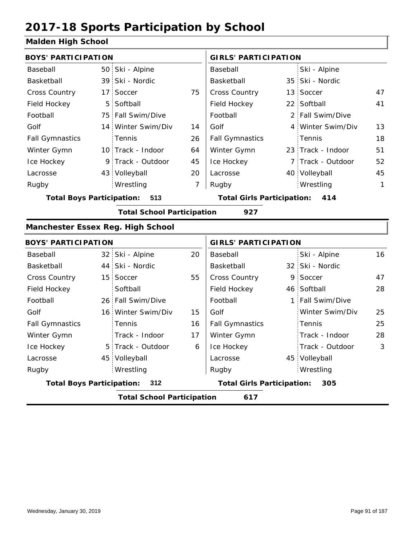#### **Malden High School**

| <b>BOYS' PARTICIPATION</b>               |                                   |    | <b>GIRLS' PARTICIPATION</b>       |  |                   |            |
|------------------------------------------|-----------------------------------|----|-----------------------------------|--|-------------------|------------|
| Baseball                                 | 50 Ski - Alpine                   |    | Baseball                          |  | Ski - Alpine      |            |
| Basketball                               | 39 Ski - Nordic                   |    | Basketball                        |  | 35 Ski - Nordic   |            |
| Cross Country                            | 17 Soccer                         | 75 | Cross Country                     |  | 13 Soccer         | 47         |
| Field Hockey                             | 5 Softball                        |    | Field Hockey                      |  | 22 Softball       | 41         |
| Football                                 | 75 Fall Swim/Dive                 |    | Football                          |  | 2 Fall Swim/Dive  |            |
| Golf                                     | 14 Winter Swim/Div                | 14 | Golf                              |  | 4 Winter Swim/Div | 13         |
| <b>Fall Gymnastics</b>                   | Tennis                            | 26 | <b>Fall Gymnastics</b>            |  | Tennis            | 18         |
| Winter Gymn                              | 10 Track - Indoor                 | 64 | Winter Gymn                       |  | 23 Track - Indoor | 51         |
| Ice Hockey                               | 9 Track - Outdoor                 | 45 | Ice Hockey                        |  | 7 Track - Outdoor | 52         |
| Lacrosse                                 | 43 Volleyball                     | 20 | Lacrosse                          |  | 40 Volleyball     | 45         |
| Rugby                                    | Wrestling                         | 7  | Rugby                             |  | Wrestling         | 1          |
| <b>Total Boys Participation:</b>         | 513                               |    | <b>Total Girls Participation:</b> |  | 414               |            |
|                                          | <b>Total School Participation</b> |    | 927                               |  |                   |            |
| <b>Manchester Essex Reg. High School</b> |                                   |    |                                   |  |                   |            |
| <b>BOYS' PARTICIPATION</b>               |                                   |    | <b>GIRLS' PARTICIPATION</b>       |  |                   |            |
| Baseball                                 | 32 Ski - Alpine                   | 20 | Baseball                          |  | Ski - Alpine      | 16         |
| Basketball                               | 44 Ski - Nordic                   |    | Basketball                        |  | 32 Ski - Nordic   |            |
| <b>Cross Country</b>                     | 15 Soccer                         | 55 | Cross Country                     |  | 9 Soccer          | 47         |
| Field Hockey                             | Softball                          |    | Field Hockey                      |  | 46 Softball       | 28         |
| Football                                 | 26 Fall Swim/Dive                 |    | Football                          |  | 1 Fall Swim/Dive  |            |
| Golf                                     | 16 Winter Swim/Div                | 15 | Golf                              |  | Winter Swim/Div   | 25         |
| <b>Fall Gymnastics</b>                   | Tennis                            | 16 | <b>Fall Gymnastics</b>            |  | Tennis            | 25         |
| Winter Gymn                              | Track - Indoor                    | 17 | Winter Gymn                       |  | Track - Indoor    | 28         |
| Ice Hockey                               | 5 Track - Outdoor                 | 6  | Ice Hockey                        |  | Track - Outdoor   | $\sqrt{3}$ |
| Lacrosse                                 | 45 Volleyball                     |    | Lacrosse                          |  | 45 Volleyball     |            |
| Rugby                                    | Wrestling                         |    | Rugby                             |  | Wrestling         |            |
| <b>Total Boys Participation:</b>         | 312                               |    | <b>Total Girls Participation:</b> |  | 305               |            |
|                                          | <b>Total School Participation</b> |    | 617                               |  |                   |            |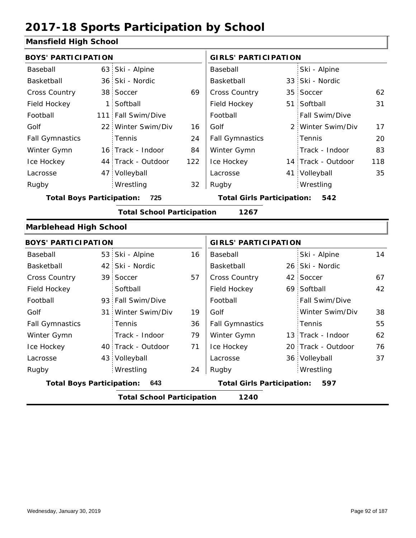#### **Mansfield High School**

| <b>BOYS' PARTICIPATION</b>       |                 |                                   |     | <b>GIRLS' PARTICIPATION</b>              |  |                    |     |  |
|----------------------------------|-----------------|-----------------------------------|-----|------------------------------------------|--|--------------------|-----|--|
| Baseball                         |                 | 63 Ski - Alpine                   |     | Baseball                                 |  | Ski - Alpine       |     |  |
| Basketball                       |                 | 36 Ski - Nordic                   |     | Basketball                               |  | 33 Ski - Nordic    |     |  |
| <b>Cross Country</b>             |                 | 38 Soccer                         | 69  | Cross Country                            |  | 35 Soccer          | 62  |  |
| Field Hockey                     | 1               | Softball                          |     | Field Hockey                             |  | 51 Softball        | 31  |  |
| Football                         |                 | 111 Fall Swim/Dive                |     | Football                                 |  | Fall Swim/Dive     |     |  |
| Golf                             | 22 <sup>1</sup> | Winter Swim/Div                   | 16  | Golf                                     |  | 2 Winter Swim/Div  | 17  |  |
| <b>Fall Gymnastics</b>           |                 | Tennis                            | 24  | <b>Fall Gymnastics</b>                   |  | Tennis             | 20  |  |
| Winter Gymn                      |                 | 16 Track - Indoor                 | 84  | Winter Gymn                              |  | Track - Indoor     | 83  |  |
| Ice Hockey                       |                 | 44 Track - Outdoor                | 122 | Ice Hockey                               |  | 14 Track - Outdoor | 118 |  |
| Lacrosse                         |                 | 47 Volleyball                     |     | Lacrosse                                 |  | 41 Volleyball      | 35  |  |
| Rugby                            |                 | Wrestling                         | 32  | Rugby                                    |  | Wrestling          |     |  |
| <b>Total Boys Participation:</b> |                 | 725                               |     | <b>Total Girls Participation:</b><br>542 |  |                    |     |  |
|                                  |                 | <b>Total School Participation</b> |     | 1267                                     |  |                    |     |  |
| <b>Marblehead High School</b>    |                 |                                   |     |                                          |  |                    |     |  |
| <b>BOYS' PARTICIPATION</b>       |                 |                                   |     | <b>GIRLS' PARTICIPATION</b>              |  |                    |     |  |
| Baseball                         |                 | 53 Ski - Alpine                   | 16  | Baseball                                 |  | Ski - Alpine       | 14  |  |
| Basketball                       |                 | 42 Ski - Nordic                   |     | Basketball                               |  | 26 Ski - Nordic    |     |  |
| <b>Cross Country</b>             |                 | 39 Soccer                         | 57  | <b>Cross Country</b>                     |  | 42 Soccer          | 67  |  |

| Basketball                       | 42 Ski - Nordic                   |    | Basketball                        | 26 Ski - Nordic       |    |
|----------------------------------|-----------------------------------|----|-----------------------------------|-----------------------|----|
| <b>Cross Country</b>             | 39 Soccer                         | 57 | <b>Cross Country</b>              | 42 Soccer             | 67 |
| Field Hockey                     | Softball                          |    | Field Hockey                      | 69 Softball           | 42 |
| Football                         | 93 Fall Swim/Dive                 |    | Football                          | <b>Fall Swim/Dive</b> |    |
| Golf                             | 31 Winter Swim/Div                | 19 | Golf                              | Winter Swim/Div       | 38 |
| <b>Fall Gymnastics</b>           | Tennis                            | 36 | <b>Fall Gymnastics</b>            | Tennis                | 55 |
| Winter Gymn                      | Track - Indoor                    | 79 | Winter Gymn                       | 13 Track - Indoor     | 62 |
| Ice Hockey                       | 40 Track - Outdoor                | 71 | Ice Hockey                        | 20 Track - Outdoor    | 76 |
| Lacrosse                         | 43 Volleyball                     |    | Lacrosse                          | 36 Volleyball         | 37 |
| Rugby                            | Wrestling                         | 24 | Rugby                             | Wrestling             |    |
| <b>Total Boys Participation:</b> | 643                               |    | <b>Total Girls Participation:</b> | 597                   |    |
|                                  | <b>Total School Participation</b> |    | 1240                              |                       |    |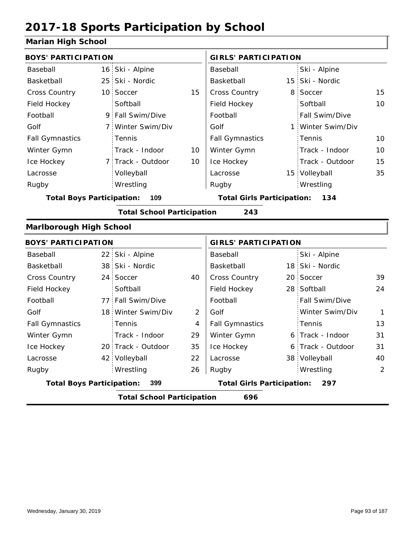#### **Marian High School**

| <b>BOYS' PARTICIPATION</b>       |     |                                   |                                          | <b>GIRLS' PARTICIPATION</b>       |    |                   |    |  |
|----------------------------------|-----|-----------------------------------|------------------------------------------|-----------------------------------|----|-------------------|----|--|
| Baseball                         |     | 16 Ski - Alpine                   |                                          | Baseball                          |    | Ski - Alpine      |    |  |
| Basketball                       |     | 25 Ski - Nordic                   |                                          | Basketball                        |    | 15 Ski - Nordic   |    |  |
| Cross Country                    |     | 10 Soccer                         | 15                                       | Cross Country                     | 8  | Soccer            | 15 |  |
| Field Hockey                     |     | Softball                          |                                          | Field Hockey                      |    | Softball          | 10 |  |
| Football                         |     | 9 Fall Swim/Dive                  |                                          | Football                          |    | Fall Swim/Dive    |    |  |
| Golf                             |     | 7 Winter Swim/Div                 |                                          | Golf                              |    | 1 Winter Swim/Div |    |  |
| <b>Fall Gymnastics</b>           |     | Tennis                            |                                          | <b>Fall Gymnastics</b>            |    | Tennis            | 10 |  |
| Winter Gymn                      |     | Track - Indoor                    | 10                                       | Winter Gymn                       |    | Track - Indoor    | 10 |  |
| Ice Hockey                       |     | 7 Track - Outdoor                 | 10                                       | Ice Hockey                        |    | Track - Outdoor   | 15 |  |
| Lacrosse                         |     | Volleyball                        |                                          | Lacrosse                          |    | 15 Volleyball     | 35 |  |
| Rugby                            |     | Wrestling                         |                                          | Rugby                             |    | Wrestling         |    |  |
| <b>Total Boys Participation:</b> |     | 109                               |                                          | <b>Total Girls Participation:</b> |    | 134               |    |  |
|                                  |     | <b>Total School Participation</b> |                                          | 243                               |    |                   |    |  |
| <b>Marlborough High School</b>   |     |                                   |                                          |                                   |    |                   |    |  |
| <b>BOYS' PARTICIPATION</b>       |     |                                   |                                          | <b>GIRLS' PARTICIPATION</b>       |    |                   |    |  |
| Baseball                         |     | 22 Ski - Alpine                   |                                          | Baseball                          |    | Ski - Alpine      |    |  |
| Basketball                       |     | 38 Ski - Nordic                   |                                          | Basketball                        |    | 18 Ski - Nordic   |    |  |
| Cross Country                    |     | 24 Soccer                         | 40                                       | Cross Country                     | 20 | Soccer            | 39 |  |
| Field Hockey                     |     | Softball                          |                                          | Field Hockey                      |    | 28 Softball       | 24 |  |
| Football                         |     | 77 Fall Swim/Dive                 |                                          | Football                          |    | Fall Swim/Dive    |    |  |
| Golf                             |     | 18 Winter Swim/Div                | $\overline{2}$                           | Golf                              |    | Winter Swim/Div   | 1  |  |
| <b>Fall Gymnastics</b>           |     | Tennis                            | 4                                        | <b>Fall Gymnastics</b>            |    | Tennis            | 13 |  |
| Winter Gymn                      |     | Track - Indoor                    | 29                                       | Winter Gymn                       |    | 6 Track - Indoor  | 31 |  |
| Ice Hockey                       |     | 20 Track - Outdoor                | 35                                       | Ice Hockey                        |    | 6 Track - Outdoor | 31 |  |
| Lacrosse                         |     | 42 Volleyball                     | 22                                       | Lacrosse                          |    | 38 Volleyball     | 40 |  |
| Rugby                            |     | Wrestling                         | 26                                       | Rugby                             |    | Wrestling         | 2  |  |
| <b>Total Boys Participation:</b> | 399 |                                   | <b>Total Girls Participation:</b><br>297 |                                   |    |                   |    |  |

**Total School Participation 696**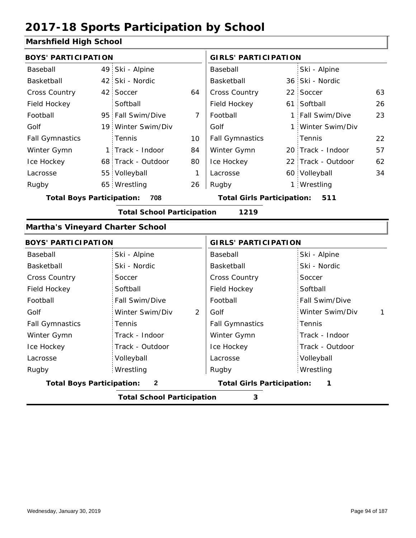Track - Outdoor

Volleyball Wrestling Rugby Rugby

#### **Marshfield High School**

| <b>BOYS' PARTICIPATION</b>              |                                   |    | <b>GIRLS' PARTICIPATION</b>       |  |                    |              |  |
|-----------------------------------------|-----------------------------------|----|-----------------------------------|--|--------------------|--------------|--|
| Baseball                                | 49 Ski - Alpine                   |    | Baseball                          |  | Ski - Alpine       |              |  |
| Basketball                              | 42 Ski - Nordic                   |    | Basketball                        |  | 36 Ski - Nordic    |              |  |
| Cross Country                           | 42 Soccer                         | 64 | <b>Cross Country</b>              |  | 22 Soccer          | 63           |  |
| Field Hockey                            | Softball                          |    | Field Hockey                      |  | 61 Softball        | 26           |  |
| Football                                | 95 Fall Swim/Dive                 | 7  | Football                          |  | 1 Fall Swim/Dive   | 23           |  |
| Golf                                    | 19 Winter Swim/Div                |    | Golf                              |  | 1 Winter Swim/Div  |              |  |
| <b>Fall Gymnastics</b>                  | Tennis                            | 10 | <b>Fall Gymnastics</b>            |  | Tennis             | 22           |  |
| Winter Gymn                             | 1 Track - Indoor                  | 84 | Winter Gymn                       |  | 20 Track - Indoor  | 57           |  |
| Ice Hockey                              | 68 Track - Outdoor                | 80 | Ice Hockey                        |  | 22 Track - Outdoor | 62           |  |
| Lacrosse                                | 55 Volleyball                     | 1  | Lacrosse                          |  | 60 Volleyball      | 34           |  |
| Rugby                                   | 65 Wrestling                      | 26 | Rugby                             |  | 1 Wrestling        |              |  |
| <b>Total Boys Participation:</b>        | 708                               |    | <b>Total Girls Participation:</b> |  | 511                |              |  |
|                                         | <b>Total School Participation</b> |    | 1219                              |  |                    |              |  |
| <b>Martha's Vineyard Charter School</b> |                                   |    |                                   |  |                    |              |  |
| <b>BOYS' PARTICIPATION</b>              |                                   |    | <b>GIRLS' PARTICIPATION</b>       |  |                    |              |  |
| Baseball                                | Ski - Alpine                      |    | Baseball                          |  | Ski - Alpine       |              |  |
| Basketball                              | Ski - Nordic                      |    | Basketball                        |  | Ski - Nordic       |              |  |
| <b>Cross Country</b>                    | Soccer                            |    | <b>Cross Country</b>              |  | Soccer             |              |  |
| Field Hockey                            | Softball                          |    | Field Hockey                      |  | Softball           |              |  |
| Football                                | Fall Swim/Dive                    |    | Football                          |  | Fall Swim/Dive     |              |  |
| Golf                                    | Winter Swim/Div                   | 2  | Golf                              |  | Winter Swim/Div    | $\mathbf{1}$ |  |
| <b>Fall Gymnastics</b>                  | Tennis                            |    | <b>Fall Gymnastics</b>            |  | Tennis             |              |  |
| Winter Gymn                             | Track - Indoor                    |    | Winter Gymn                       |  | Track - Indoor     |              |  |

Ice Hockey Lacrosse

**Total Boys Participation: 2 Total Girls Participation: 1**

**Total School Participation 3**

Ice Hockey Lacrosse

Track - Outdoor

Volleyball Wrestling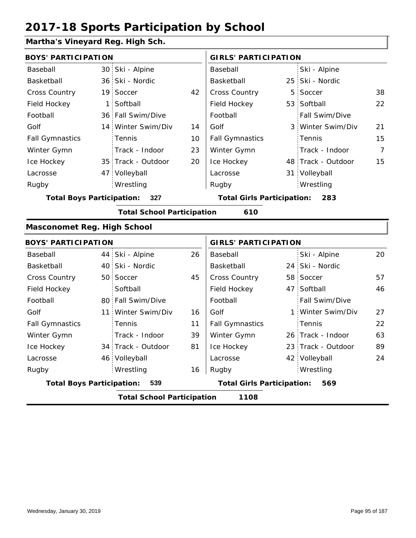#### **Martha's Vineyard Reg. High Sch.**

| <b>BOYS' PARTICIPATION</b>       |                                   |    | <b>GIRLS' PARTICIPATION</b>       |                    |    |
|----------------------------------|-----------------------------------|----|-----------------------------------|--------------------|----|
| Baseball                         | 30 Ski - Alpine                   |    | Baseball                          | Ski - Alpine       |    |
| Basketball                       | 36 Ski - Nordic                   |    | Basketball                        | 25 Ski - Nordic    |    |
| <b>Cross Country</b>             | 19 Soccer                         | 42 | <b>Cross Country</b>              | 5 Soccer           | 38 |
| Field Hockey                     | 1 Softball                        |    | Field Hockey                      | 53 Softball        | 22 |
| Football                         | 36 Fall Swim/Dive                 |    | Football                          | Fall Swim/Dive     |    |
| Golf                             | 14 Winter Swim/Div                | 14 | Golf                              | 3 Winter Swim/Div  | 21 |
| <b>Fall Gymnastics</b>           | <b>Tennis</b>                     | 10 | <b>Fall Gymnastics</b>            | : Tennis           | 15 |
| Winter Gymn                      | Track - Indoor                    | 23 | Winter Gymn                       | Track - Indoor     | 7  |
| Ice Hockey                       | 35 Track - Outdoor                | 20 | Ice Hockey                        | 48 Track - Outdoor | 15 |
| Lacrosse                         | 47 Volleyball                     |    | Lacrosse                          | 31 Volleyball      |    |
| Rugby                            | Wrestling                         |    | Rugby                             | Wrestling          |    |
| <b>Total Boys Participation:</b> | 327                               |    | <b>Total Girls Participation:</b> | 283                |    |
|                                  | <b>Total School Participation</b> |    | 610                               |                    |    |
| Masconomet Reg. High School      |                                   |    |                                   |                    |    |
|                                  |                                   |    |                                   |                    |    |

|                                  | <b>BOYS' PARTICIPATION</b> |                                   |    |                                   | <b>GIRLS' PARTICIPATION</b> |                       |    |  |
|----------------------------------|----------------------------|-----------------------------------|----|-----------------------------------|-----------------------------|-----------------------|----|--|
| Baseball                         |                            | 44 Ski - Alpine                   | 26 | Baseball                          |                             | Ski - Alpine          | 20 |  |
| Basketball                       |                            | 40 Ski - Nordic                   |    | Basketball                        |                             | 24 Ski - Nordic       |    |  |
| <b>Cross Country</b>             |                            | 50 Soccer                         | 45 | <b>Cross Country</b>              |                             | 58 Soccer             | 57 |  |
| Field Hockey                     |                            | Softball                          |    | Field Hockey                      |                             | 47 Softball           | 46 |  |
| Football                         |                            | 80 Fall Swim/Dive                 |    | Football                          |                             | <b>Fall Swim/Dive</b> |    |  |
| Golf                             |                            | 11 Winter Swim/Div                | 16 | Golf                              |                             | 1 Winter Swim/Div     | 27 |  |
| <b>Fall Gymnastics</b>           |                            | Tennis                            | 11 | <b>Fall Gymnastics</b>            |                             | : Tennis              | 22 |  |
| Winter Gymn                      |                            | Track - Indoor                    | 39 | Winter Gymn                       |                             | 26 Track - Indoor     | 63 |  |
| Ice Hockey                       |                            | 34 Track - Outdoor                | 81 | Ice Hockey                        |                             | 23 Track - Outdoor    | 89 |  |
| Lacrosse                         |                            | 46 Volleyball                     |    | Lacrosse                          |                             | 42 Volleyball         | 24 |  |
| Rugby                            |                            | Wrestling                         | 16 | Rugby                             |                             | Wrestling             |    |  |
| <b>Total Boys Participation:</b> |                            | 539                               |    | <b>Total Girls Participation:</b> |                             | 569                   |    |  |
|                                  |                            | <b>Total School Participation</b> |    | 1108                              |                             |                       |    |  |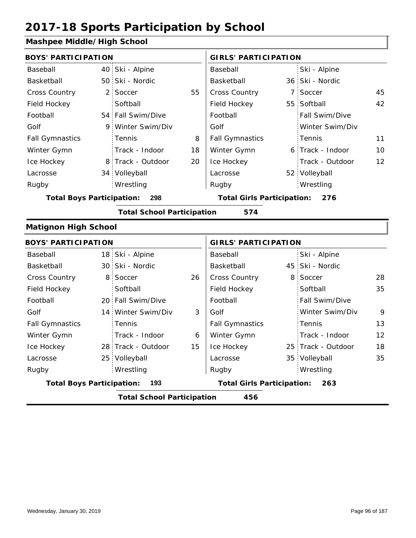#### **Mashpee Middle/High School**

| <b>BOYS' PARTICIPATION</b>       |    |                                   |    | <b>GIRLS' PARTICIPATION</b>       |  |                     |    |
|----------------------------------|----|-----------------------------------|----|-----------------------------------|--|---------------------|----|
| Baseball                         |    | 40 Ski - Alpine                   |    | Baseball                          |  | Ski - Alpine        |    |
| Basketball                       |    | 50 Ski - Nordic                   |    | Basketball                        |  | 36 Ski - Nordic     |    |
| <b>Cross Country</b>             |    | 2 Soccer                          | 55 | <b>Cross Country</b>              |  | 7 Soccer            | 45 |
| Field Hockey                     |    | Softball                          |    | Field Hockey                      |  | 55 Softball         | 42 |
| Football                         |    | 54 Fall Swim/Dive                 |    | Football                          |  | Fall Swim/Dive      |    |
| Golf                             | 9. | Winter Swim/Div                   |    | Golf                              |  | Winter Swim/Div     |    |
| <b>Fall Gymnastics</b>           |    | <b>Tennis</b>                     | 8  | <b>Fall Gymnastics</b>            |  | Tennis              | 11 |
| Winter Gymn                      |    | Track - Indoor                    | 18 | Winter Gymn                       |  | 6 Track - Indoor    | 10 |
| Ice Hockey                       |    | 8 Track - Outdoor                 | 20 | Ice Hockey                        |  | Track - Outdoor     | 12 |
| Lacrosse                         |    | 34 Volleyball                     |    | Lacrosse                          |  | 52 Volleyball       |    |
| Rugby                            |    | Wrestling                         |    | Rugby                             |  | Wrestling           |    |
| <b>Total Boys Participation:</b> |    | 298                               |    | <b>Total Girls Participation:</b> |  | 276                 |    |
|                                  |    | <b>Total School Participation</b> |    | 574                               |  |                     |    |
| <b>Matignon High School</b>      |    |                                   |    |                                   |  |                     |    |
| <b>BOYS' PARTICIPATION</b>       |    |                                   |    | <b>GIRLS' PARTICIPATION</b>       |  |                     |    |
| <b>Doocholl</b>                  |    | $10 \, \text{C}$ . $\frac{1}{2}$  |    | Doocholl                          |  | $C1.1 \tA1.1.1.2.2$ |    |

|                                  |     | <b>Total School Participation</b> |     | 456                    |                    |                   |
|----------------------------------|-----|-----------------------------------|-----|------------------------|--------------------|-------------------|
| <b>Total Boys Participation:</b> | 193 | <b>Total Girls Participation:</b> | 263 |                        |                    |                   |
| Rugby                            |     | Wrestling                         |     | Rugby                  | Wrestling          |                   |
| Lacrosse                         |     | 25 Volleyball                     |     | Lacrosse               | 35 Volleyball      | 35                |
| Ice Hockey                       |     | 28 Track - Outdoor                | 15  | Ice Hockey             | 25 Track - Outdoor | 18                |
| Winter Gymn                      |     | Track - Indoor                    | 6   | Winter Gymn            | Track - Indoor     | $12 \overline{ }$ |
| <b>Fall Gymnastics</b>           |     | Tennis                            |     | <b>Fall Gymnastics</b> | Tennis             | 13                |
| Golf                             |     | 14 Winter Swim/Div                | 3   | Golf                   | Winter Swim/Div    | 9                 |
| Football                         |     | 20 Fall Swim/Dive                 |     | Football               | Fall Swim/Dive     |                   |
| Field Hockey                     |     | Softball                          |     | Field Hockey           | Softball           | 35                |
| <b>Cross Country</b>             |     | 8 Soccer                          | 26  | <b>Cross Country</b>   | 8 Soccer           | 28                |
| Basketball                       |     | 30 Ski - Nordic                   |     | Basketball             | 45 Ski - Nordic    |                   |
| Baseball                         |     | 18 Ski - Alpine                   |     | Baseball               | Ski - Alpine       |                   |
|                                  |     |                                   |     |                        |                    |                   |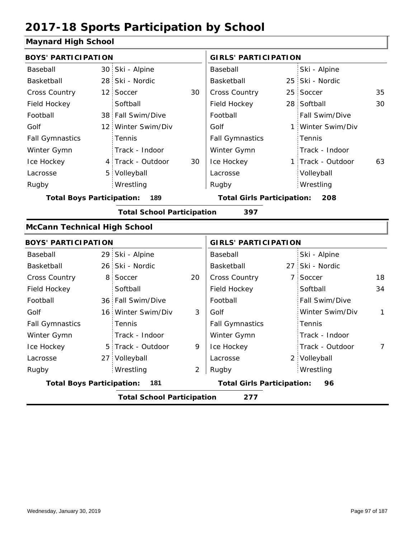#### **Maynard High School**

| וטטווטט וושטו וועשויו                    |                |                                                                                                                                                                                                                                                                                                                                                                                                                                   |                        |                                   |                 |                                                                                                                                                                                                                                                                  |  |  |
|------------------------------------------|----------------|-----------------------------------------------------------------------------------------------------------------------------------------------------------------------------------------------------------------------------------------------------------------------------------------------------------------------------------------------------------------------------------------------------------------------------------|------------------------|-----------------------------------|-----------------|------------------------------------------------------------------------------------------------------------------------------------------------------------------------------------------------------------------------------------------------------------------|--|--|
|                                          |                |                                                                                                                                                                                                                                                                                                                                                                                                                                   |                        |                                   |                 |                                                                                                                                                                                                                                                                  |  |  |
|                                          |                |                                                                                                                                                                                                                                                                                                                                                                                                                                   | Baseball               |                                   | Ski - Alpine    |                                                                                                                                                                                                                                                                  |  |  |
|                                          | Ski - Nordic   |                                                                                                                                                                                                                                                                                                                                                                                                                                   | Basketball             |                                   |                 |                                                                                                                                                                                                                                                                  |  |  |
|                                          | Soccer         | 30                                                                                                                                                                                                                                                                                                                                                                                                                                | Cross Country          |                                   |                 | 35                                                                                                                                                                                                                                                               |  |  |
|                                          | Softball       |                                                                                                                                                                                                                                                                                                                                                                                                                                   | Field Hockey           |                                   |                 | 30                                                                                                                                                                                                                                                               |  |  |
|                                          |                |                                                                                                                                                                                                                                                                                                                                                                                                                                   | Football               |                                   | Fall Swim/Dive  |                                                                                                                                                                                                                                                                  |  |  |
|                                          |                |                                                                                                                                                                                                                                                                                                                                                                                                                                   | Golf                   |                                   | Winter Swim/Div |                                                                                                                                                                                                                                                                  |  |  |
|                                          | Tennis         |                                                                                                                                                                                                                                                                                                                                                                                                                                   | <b>Fall Gymnastics</b> |                                   | Tennis          |                                                                                                                                                                                                                                                                  |  |  |
|                                          | Track - Indoor |                                                                                                                                                                                                                                                                                                                                                                                                                                   | Winter Gymn            |                                   | Track - Indoor  |                                                                                                                                                                                                                                                                  |  |  |
|                                          |                | 30                                                                                                                                                                                                                                                                                                                                                                                                                                | Ice Hockey             |                                   |                 | 63                                                                                                                                                                                                                                                               |  |  |
|                                          | Volleyball     |                                                                                                                                                                                                                                                                                                                                                                                                                                   | Lacrosse               |                                   | Volleyball      |                                                                                                                                                                                                                                                                  |  |  |
|                                          | Wrestling      |                                                                                                                                                                                                                                                                                                                                                                                                                                   | Rugby                  |                                   | Wrestling       |                                                                                                                                                                                                                                                                  |  |  |
|                                          | 189            |                                                                                                                                                                                                                                                                                                                                                                                                                                   |                        |                                   | 208             |                                                                                                                                                                                                                                                                  |  |  |
|                                          |                |                                                                                                                                                                                                                                                                                                                                                                                                                                   | 397                    |                                   |                 |                                                                                                                                                                                                                                                                  |  |  |
|                                          |                |                                                                                                                                                                                                                                                                                                                                                                                                                                   |                        |                                   |                 |                                                                                                                                                                                                                                                                  |  |  |
|                                          |                |                                                                                                                                                                                                                                                                                                                                                                                                                                   |                        |                                   |                 |                                                                                                                                                                                                                                                                  |  |  |
|                                          | Ski - Alpine   |                                                                                                                                                                                                                                                                                                                                                                                                                                   | Baseball               |                                   | Ski - Alpine    |                                                                                                                                                                                                                                                                  |  |  |
|                                          |                |                                                                                                                                                                                                                                                                                                                                                                                                                                   | Basketball             |                                   |                 |                                                                                                                                                                                                                                                                  |  |  |
|                                          | Soccer         | 20                                                                                                                                                                                                                                                                                                                                                                                                                                | Cross Country          |                                   | Soccer          | 18                                                                                                                                                                                                                                                               |  |  |
|                                          | Softball       |                                                                                                                                                                                                                                                                                                                                                                                                                                   | Field Hockey           |                                   | Softball        | 34                                                                                                                                                                                                                                                               |  |  |
|                                          |                |                                                                                                                                                                                                                                                                                                                                                                                                                                   | Football               |                                   | Fall Swim/Dive  |                                                                                                                                                                                                                                                                  |  |  |
|                                          |                | 3                                                                                                                                                                                                                                                                                                                                                                                                                                 | Golf                   |                                   | Winter Swim/Div | 1                                                                                                                                                                                                                                                                |  |  |
|                                          | Tennis         |                                                                                                                                                                                                                                                                                                                                                                                                                                   | <b>Fall Gymnastics</b> |                                   | Tennis          |                                                                                                                                                                                                                                                                  |  |  |
|                                          | Track - Indoor |                                                                                                                                                                                                                                                                                                                                                                                                                                   | Winter Gymn            |                                   | Track - Indoor  |                                                                                                                                                                                                                                                                  |  |  |
|                                          |                | 9                                                                                                                                                                                                                                                                                                                                                                                                                                 | Ice Hockey             |                                   | Track - Outdoor | 7                                                                                                                                                                                                                                                                |  |  |
|                                          |                |                                                                                                                                                                                                                                                                                                                                                                                                                                   | Lacrosse               |                                   |                 |                                                                                                                                                                                                                                                                  |  |  |
|                                          | Wrestling      | 2                                                                                                                                                                                                                                                                                                                                                                                                                                 | Rugby                  |                                   | Wrestling       |                                                                                                                                                                                                                                                                  |  |  |
|                                          | 181            |                                                                                                                                                                                                                                                                                                                                                                                                                                   |                        |                                   | 96              |                                                                                                                                                                                                                                                                  |  |  |
| <b>Total School Participation</b><br>277 |                |                                                                                                                                                                                                                                                                                                                                                                                                                                   |                        |                                   |                 |                                                                                                                                                                                                                                                                  |  |  |
|                                          |                | <b>BOYS' PARTICIPATION</b><br>30 Ski - Alpine<br>28 <sup>1</sup><br>12 <sup>1</sup><br>38 Fall Swim/Dive<br>12 Winter Swim/Div<br>4 Track - Outdoor<br>5 <sup>1</sup><br><b>Total Boys Participation:</b><br><b>McCann Technical High School</b><br><b>BOYS' PARTICIPATION</b><br>29<br>26 Ski - Nordic<br>8<br>36 Fall Swim/Dive<br>16 Winter Swim/Div<br>5 Track - Outdoor<br>27 Volleyball<br><b>Total Boys Participation:</b> |                        | <b>Total School Participation</b> |                 | <b>GIRLS' PARTICIPATION</b><br>25 Ski - Nordic<br>25 Soccer<br>28 Softball<br>1:<br>1 Track - Outdoor<br><b>Total Girls Participation:</b><br><b>GIRLS' PARTICIPATION</b><br>27 Ski - Nordic<br>$7^{\circ}$<br>2 Volleyball<br><b>Total Girls Participation:</b> |  |  |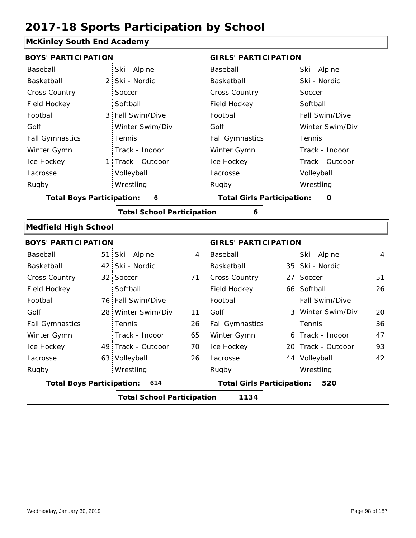### **McKinley South End Academy**

| <b>BOYS' PARTICIPATION</b>       |                                   |    | <b>GIRLS' PARTICIPATION</b>       |                |                    |    |  |
|----------------------------------|-----------------------------------|----|-----------------------------------|----------------|--------------------|----|--|
| Baseball                         | Ski - Alpine                      |    | Baseball                          |                | Ski - Alpine       |    |  |
| Basketball                       | 2 Ski - Nordic                    |    | Basketball                        |                | Ski - Nordic       |    |  |
| <b>Cross Country</b>             | Soccer                            |    | <b>Cross Country</b>              |                | Soccer             |    |  |
| Field Hockey                     | Softball                          |    | Field Hockey                      |                | Softball           |    |  |
| Football                         | 3 Fall Swim/Dive                  |    | Football                          |                | Fall Swim/Dive     |    |  |
| Golf                             | Winter Swim/Div                   |    | Golf                              |                | Winter Swim/Div    |    |  |
| <b>Fall Gymnastics</b>           | Tennis                            |    | <b>Fall Gymnastics</b>            |                | Tennis             |    |  |
| Winter Gymn                      | Track - Indoor                    |    | Winter Gymn                       |                | Track - Indoor     |    |  |
| Ice Hockey                       | 1 Track - Outdoor                 |    | Ice Hockey                        |                | Track - Outdoor    |    |  |
| Lacrosse                         | Volleyball                        |    | Lacrosse                          |                | Volleyball         |    |  |
| Rugby                            | Wrestling                         |    | Rugby                             |                | Wrestling          |    |  |
| <b>Total Boys Participation:</b> | 6                                 |    | <b>Total Girls Participation:</b> |                | O                  |    |  |
|                                  | <b>Total School Participation</b> |    | 6                                 |                |                    |    |  |
| <b>Medfield High School</b>      |                                   |    |                                   |                |                    |    |  |
| <b>BOYS' PARTICIPATION</b>       |                                   |    | <b>GIRLS' PARTICIPATION</b>       |                |                    |    |  |
| Baseball                         | 51 Ski - Alpine                   | 4  | Baseball                          |                | Ski - Alpine       | 4  |  |
| Basketball                       | 42 Ski - Nordic                   |    | Basketball                        |                | 35 Ski - Nordic    |    |  |
| <b>Cross Country</b>             | 32 Soccer                         | 71 | Cross Country                     | 27             | Soccer             | 51 |  |
| Field Hockey                     | Softball                          |    | Field Hockey                      |                | 66 Softball        | 26 |  |
| Football                         | 76 Fall Swim/Dive                 |    | Football                          |                | Fall Swim/Dive     |    |  |
| Golf                             | 28 Winter Swim/Div                | 11 | Golf                              | 3 <sup>1</sup> | Winter Swim/Div    | 20 |  |
| <b>Fall Gymnastics</b>           | Tennis                            | 26 | <b>Fall Gymnastics</b>            |                | Tennis             | 36 |  |
| Winter Gymn                      | Track - Indoor                    | 65 | Winter Gymn                       |                | 6 Track - Indoor   | 47 |  |
| Ice Hockey                       | 49 Track - Outdoor                | 70 | Ice Hockey                        |                | 20 Track - Outdoor | 93 |  |
| Lacrosse                         | 63 Volleyball                     | 26 | Lacrosse                          |                | 44 Volleyball      | 42 |  |
| Rugby                            | Wrestling                         |    | Rugby                             |                | Wrestling          |    |  |
| <b>Total Boys Participation:</b> | 614                               |    | <b>Total Girls Participation:</b> |                | 520                |    |  |
|                                  | <b>Total School Participation</b> |    | 1134                              |                |                    |    |  |
|                                  |                                   |    |                                   |                |                    |    |  |

I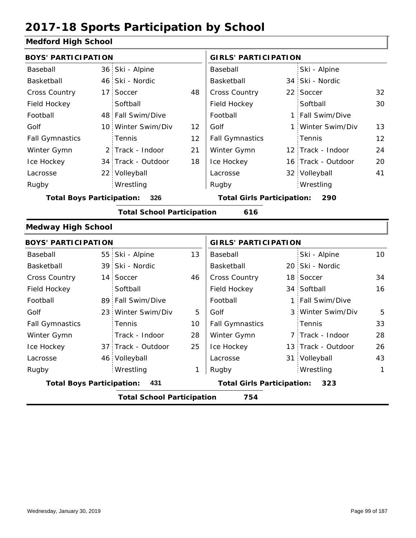#### **Medford High School**

| <b>BOYS' PARTICIPATION</b>       |                                   |    | <b>GIRLS' PARTICIPATION</b>       |  |                    |                  |
|----------------------------------|-----------------------------------|----|-----------------------------------|--|--------------------|------------------|
| Baseball                         | 36 Ski - Alpine                   |    | Baseball                          |  | Ski - Alpine       |                  |
| Basketball                       | 46 Ski - Nordic                   |    | Basketball                        |  | 34 Ski - Nordic    |                  |
| Cross Country                    | 17 Soccer                         | 48 | Cross Country                     |  | 22 Soccer          | 32               |
| Field Hockey                     | Softball                          |    | Field Hockey                      |  | Softball           | 30               |
| Football                         | 48 Fall Swim/Dive                 |    | Football                          |  | 1 Fall Swim/Dive   |                  |
| Golf                             | 10 Winter Swim/Div                | 12 | Golf                              |  | 1 Winter Swim/Div  | 13               |
| <b>Fall Gymnastics</b>           | Tennis                            | 12 | <b>Fall Gymnastics</b>            |  | Tennis             | 12               |
| Winter Gymn                      | 2 Track - Indoor                  | 21 | Winter Gymn                       |  | 12 Track - Indoor  | 24               |
| Ice Hockey                       | 34 Track - Outdoor                | 18 | Ice Hockey                        |  | 16 Track - Outdoor | 20               |
| Lacrosse                         | 22 Volleyball                     |    | Lacrosse                          |  | 32 Volleyball      | 41               |
| Rugby                            | Wrestling                         |    | Rugby                             |  | Wrestling          |                  |
| <b>Total Boys Participation:</b> | 326                               |    | <b>Total Girls Participation:</b> |  | 290                |                  |
|                                  | <b>Total School Participation</b> |    | 616                               |  |                    |                  |
| <b>Medway High School</b>        |                                   |    |                                   |  |                    |                  |
| <b>BOYS' PARTICIPATION</b>       |                                   |    | <b>GIRLS' PARTICIPATION</b>       |  |                    |                  |
| Baseball                         | 55 Ski - Alpine                   | 13 | Baseball                          |  | Ski - Alpine       | 10 <sup>°</sup>  |
| Basketball                       | 39 Ski - Nordic                   |    | Basketball                        |  | 20 Ski - Nordic    |                  |
|                                  | $11$ $C = 22$                     |    | $O_{\text{max}} = O_{\text{max}}$ |  | $100 \, \text{C}$  | $\sim$ $\lambda$ |

|                                  | <b>Total School Participation</b> |     | 754                               |                     |    |
|----------------------------------|-----------------------------------|-----|-----------------------------------|---------------------|----|
| <b>Total Boys Participation:</b> | - 431                             |     | <b>Total Girls Participation:</b> | 323                 |    |
| Rugby                            | Wrestling                         | 1   | Rugby                             | Wrestling           | 1  |
| Lacrosse                         | 46 Volleyball                     |     | Lacrosse                          | 31 Volleyball       | 43 |
| Ice Hockey                       | 37 Track - Outdoor                | 25  | Ice Hockey                        | 13 Track - Outdoor  | 26 |
| Winter Gymn                      | Track - Indoor                    | 28  | Winter Gymn                       | 7 Track - Indoor    | 28 |
| <b>Fall Gymnastics</b>           | <b>Tennis</b>                     | 10  | <b>Fall Gymnastics</b>            | Tennis              | 33 |
| Golf                             | 23 Winter Swim/Div                | 5   | Golf                              | 3 Winter Swim/Div   | 5  |
| Football                         | 89 Fall Swim/Dive                 |     | Football                          | 1 Fall Swim/Dive    |    |
| Field Hockey                     | Softball                          |     | Field Hockey                      | 34 Softball         | 16 |
| <b>Cross Country</b>             | 14 Soccer                         | 46  | <b>Cross Country</b>              | 18 Soccer           | 34 |
| Basketball                       | 39 Ski - Nordic                   |     | Basketball                        | 20 Ski - Nordic     |    |
| Baseball                         | <b>BULL - Alpine</b>              | 3 ا | <b>Baseball</b>                   | <b>SKI - AIDINE</b> | ΙU |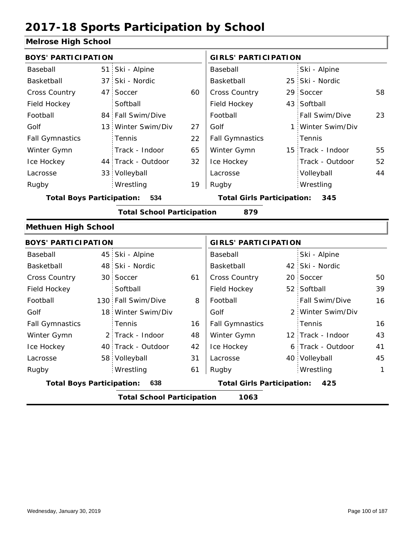#### **Melrose High School**

| <b>BOYS' PARTICIPATION</b>       |    |                                   |     | <b>GIRLS' PARTICIPATION</b>       |  |                   |                 |  |
|----------------------------------|----|-----------------------------------|-----|-----------------------------------|--|-------------------|-----------------|--|
| Baseball                         |    | 51 Ski - Alpine                   |     | Baseball                          |  | Ski - Alpine      |                 |  |
| Basketball                       |    | 37 Ski - Nordic                   |     | Basketball                        |  | 25 Ski - Nordic   |                 |  |
| Cross Country                    | 47 | Soccer                            | 60  | Cross Country                     |  | 29 Soccer         | 58              |  |
| Field Hockey                     |    | Softball                          |     | Field Hockey                      |  | 43 Softball       |                 |  |
| Football                         |    | 84 Fall Swim/Dive                 |     | Football                          |  | Fall Swim/Dive    | 23              |  |
| Golf                             |    | 13 Winter Swim/Div                | 27  | Golf                              |  | 1 Winter Swim/Div |                 |  |
| <b>Fall Gymnastics</b>           |    | Tennis                            | 22  | <b>Fall Gymnastics</b>            |  | Tennis            |                 |  |
| Winter Gymn                      |    | Track - Indoor                    | 65  | Winter Gymn                       |  | 15 Track - Indoor | 55              |  |
| Ice Hockey                       |    | 44 Track - Outdoor                | 32  | Ice Hockey                        |  | Track - Outdoor   | 52              |  |
| Lacrosse                         |    | 33 Volleyball                     |     | Lacrosse                          |  | Volleyball        | 44              |  |
| Rugby                            |    | Wrestling                         | 19  | Rugby                             |  | Wrestling         |                 |  |
| <b>Total Boys Participation:</b> |    | 534                               |     | <b>Total Girls Participation:</b> |  | 345               |                 |  |
|                                  |    | <b>Total School Participation</b> |     | 879                               |  |                   |                 |  |
| <b>Methuen High School</b>       |    |                                   |     |                                   |  |                   |                 |  |
| <b>BOYS' PARTICIPATION</b>       |    |                                   |     | <b>GIRLS' PARTICIPATION</b>       |  |                   |                 |  |
| Baseball                         |    | 45 Ski - Alpine                   |     | Baseball                          |  | Ski - Alpine      |                 |  |
| Basketball                       |    | 48 Ski - Nordic                   |     | Basketball                        |  | 42 Ski - Nordic   |                 |  |
| Cross Country                    |    | 30 Soccer                         | 61  | <b>Cross Country</b>              |  | 20 Soccer         | 50              |  |
| Field Hockey                     |    | Softball                          |     | Field Hockey                      |  | 52 Softball       | 39              |  |
| Football                         |    | 130 Fall Swim/Dive                | 8   | Football                          |  | Fall Swim/Dive    | 16              |  |
| Golf                             |    | 18 Winter Swim/Div                |     | Golf                              |  | 2 Winter Swim/Div |                 |  |
| <b>Fall Gymnastics</b>           |    | Tennis                            | 16. | <b>Fall Gymnastics</b>            |  | Tennis            | 16 <sub>1</sub> |  |

| <b>Total Boys Participation:</b><br>638 |  |                    |    | <b>Total Girls Participation:</b><br>425 |  |                   |    |  |
|-----------------------------------------|--|--------------------|----|------------------------------------------|--|-------------------|----|--|
| Rugby                                   |  | Wrestling          | 61 | Rugby                                    |  | Wrestling         |    |  |
| Lacrosse                                |  | 58 Volleyball      | 31 | Lacrosse                                 |  | 40 Volleyball     | 45 |  |
| Ice Hockey                              |  | 40 Track - Outdoor | 42 | Ice Hockey                               |  | 6 Track - Outdoor | 41 |  |
| Winter Gymn                             |  | 2 Track - Indoor   | 48 | Winter Gymn                              |  | 12 Track - Indoor | 43 |  |
| <b>Fall Gymnastics</b>                  |  | : Tennis           | 16 | <b>Fall Gymnastics</b>                   |  | Tennis            | 16 |  |
| Golf                                    |  | 18 Winter Swim/Div |    | Golf                                     |  | 2 Winter Swim/Div |    |  |
| .                                       |  |                    |    | .                                        |  |                   |    |  |

**Total School Participation 1063**

I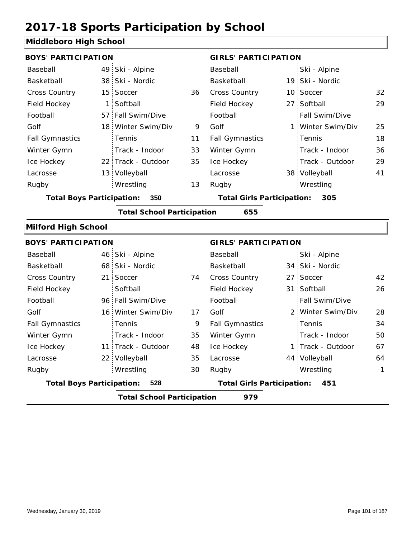#### **Middleboro High School**

| <b>BOYS' PARTICIPATION</b>       |                 |                                   |    | <b>GIRLS' PARTICIPATION</b>       |              |                 |    |  |
|----------------------------------|-----------------|-----------------------------------|----|-----------------------------------|--------------|-----------------|----|--|
|                                  |                 |                                   |    |                                   |              |                 |    |  |
| Baseball                         | 49              | Ski - Alpine                      |    | Baseball                          |              | Ski - Alpine    |    |  |
| Basketball                       | 38              | Ski - Nordic                      |    | Basketball                        |              | 19 Ski - Nordic |    |  |
| Cross Country                    | 15              | Soccer                            | 36 | Cross Country                     |              | 10 Soccer       | 32 |  |
| Field Hockey                     | $\mathbf{1}$    | Softball                          |    | Field Hockey                      |              | 27 Softball     | 29 |  |
| Football                         | 57:             | Fall Swim/Dive                    |    | Football                          |              | Fall Swim/Dive  |    |  |
| Golf                             | 18 <sup>1</sup> | Winter Swim/Div                   | 9  | Golf                              | $\mathbf{1}$ | Winter Swim/Div | 25 |  |
| <b>Fall Gymnastics</b>           |                 | Tennis                            | 11 | <b>Fall Gymnastics</b>            |              | Tennis          | 18 |  |
| Winter Gymn                      |                 | Track - Indoor                    | 33 | Winter Gymn                       |              | Track - Indoor  | 36 |  |
| Ice Hockey                       | 22:             | Track - Outdoor                   | 35 | Ice Hockey                        |              | Track - Outdoor | 29 |  |
| Lacrosse                         | 13              | Volleyball                        |    | Lacrosse                          |              | 38 Volleyball   | 41 |  |
| Rugby                            |                 | Wrestling                         | 13 | Rugby                             |              | Wrestling       |    |  |
| <b>Total Boys Participation:</b> |                 | 350                               |    | <b>Total Girls Participation:</b> |              | 305             |    |  |
|                                  |                 | <b>Total School Participation</b> |    | 655                               |              |                 |    |  |
| <b>Milford High School</b>       |                 |                                   |    |                                   |              |                 |    |  |
| <b>BOYS' PARTICIPATION</b>       |                 |                                   |    | <b>GIRLS' PARTICIPATION</b>       |              |                 |    |  |
| Baseball                         |                 | 46 Ski - Alpine                   |    | Baseball                          |              | Ski - Alpine    |    |  |
| Basketball                       |                 | 68 Ski - Nordic                   |    | Basketball                        |              | 34 Ski - Nordic |    |  |
| <b>Cross Country</b>             | 21 <sup>1</sup> | Soccer                            | 74 | Cross Country                     |              | 27 Soccer       | 42 |  |
| Field Hockey                     |                 | Softball                          |    | Field Hockey                      |              | 31 Softball     | 26 |  |
| Football                         |                 | 96 Fall Swim/Dive                 |    | Football                          |              | Fall Swim/Dive  |    |  |

16 Winter Swim/Div 17 Golf 2

Golf

Fall Gymnastics Winter Gymn Ice Hockey Lacrosse

9 35

48

35

30

**Total Boys Participation: 528 Total Girls Participation: 451**

**Total School Participation 979**

11 Track - Outdoor

Track - Indoor

22 Volleyball

Wrestling Rugby Rugby

Tennis

Golf

Fall Gymnastics

Winter Gymn

Ice Hockey Lacrosse

28

34

50

67

1 Track - Outdoor

Track - Indoor

Winter Swim/Div

Tennis

44 Volleyball 64

Wrestling 1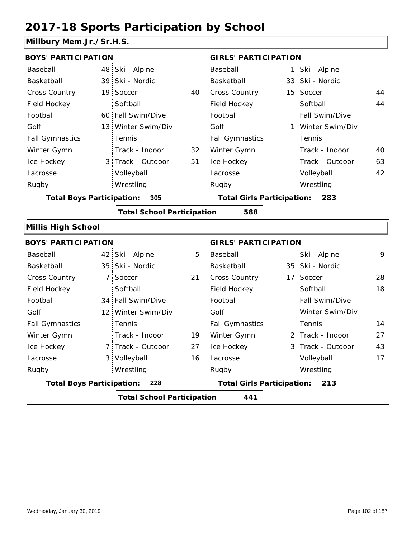#### **Millbury Mem.Jr./Sr.H.S.**

| <b>BOYS' PARTICIPATION</b>       |  |                                   |                             | <b>GIRLS' PARTICIPATION</b>              |  |                   |    |
|----------------------------------|--|-----------------------------------|-----------------------------|------------------------------------------|--|-------------------|----|
| Baseball                         |  | 48 Ski - Alpine                   |                             | Baseball                                 |  | 1 Ski - Alpine    |    |
| Basketball                       |  | 39 Ski - Nordic                   |                             | Basketball                               |  | 33 Ski - Nordic   |    |
| <b>Cross Country</b>             |  | 19 Soccer                         | 40                          | <b>Cross Country</b>                     |  | 15 Soccer         | 44 |
| Field Hockey                     |  | Softball                          |                             | Field Hockey                             |  | Softball          | 44 |
| Football                         |  | 60 Fall Swim/Dive                 |                             | Football                                 |  | Fall Swim/Dive    |    |
| Golf                             |  | 13 Winter Swim/Div                |                             | Golf                                     |  | 1 Winter Swim/Div |    |
| <b>Fall Gymnastics</b>           |  | Tennis                            |                             | <b>Fall Gymnastics</b>                   |  | : Tennis          |    |
| Winter Gymn                      |  | Track - Indoor                    | 32                          | Winter Gymn                              |  | Track - Indoor    | 40 |
| Ice Hockey                       |  | 3 Track - Outdoor                 | 51                          | Ice Hockey                               |  | Track - Outdoor   | 63 |
| Lacrosse                         |  | Volleyball                        |                             | Lacrosse                                 |  | Volleyball        | 42 |
| Rugby                            |  | Wrestling                         |                             | Rugby                                    |  | Wrestling         |    |
| <b>Total Boys Participation:</b> |  | 305                               |                             | <b>Total Girls Participation:</b><br>283 |  |                   |    |
|                                  |  | <b>Total School Participation</b> |                             | 588                                      |  |                   |    |
| <b>Millis High School</b>        |  |                                   |                             |                                          |  |                   |    |
| <b>BOYS' PARTICIPATION</b>       |  |                                   | <b>GIRLS' PARTICIPATION</b> |                                          |  |                   |    |
| Baseball                         |  | 42 Ski - Alpine                   | 5                           | Baseball                                 |  | Ski - Alpine      | 9  |

| Baseball                                |                                          | 42 Ski - Alpine    | 5  | Baseball                                 |  | Ski - Alpine      | 9  |
|-----------------------------------------|------------------------------------------|--------------------|----|------------------------------------------|--|-------------------|----|
| Basketball                              |                                          | 35 Ski - Nordic    |    | Basketball                               |  | 35 Ski - Nordic   |    |
| <b>Cross Country</b>                    |                                          | 7 Soccer           | 21 | <b>Cross Country</b>                     |  | 17 Soccer         | 28 |
| Field Hockey                            |                                          | Softball           |    | Field Hockey                             |  | Softball          | 18 |
| Football                                |                                          | 34 Fall Swim/Dive  |    | Football                                 |  | Fall Swim/Dive    |    |
| Golf                                    |                                          | 12 Winter Swim/Div |    | Golf                                     |  | Winter Swim/Div   |    |
| <b>Fall Gymnastics</b>                  |                                          | Tennis             |    | <b>Fall Gymnastics</b>                   |  | Tennis            | 14 |
| Winter Gymn                             |                                          | Track - Indoor     | 19 | Winter Gymn                              |  | 2 Track - Indoor  | 27 |
| Ice Hockey                              |                                          | 7 Track - Outdoor  | 27 | Ice Hockey                               |  | 3 Track - Outdoor | 43 |
| Lacrosse                                |                                          | 3 Volleyball       | 16 | Lacrosse                                 |  | Volleyball        | 17 |
| Rugby                                   |                                          | Wrestling          |    | Rugby                                    |  | Wrestling         |    |
| <b>Total Boys Participation:</b><br>228 |                                          |                    |    | <b>Total Girls Participation:</b><br>213 |  |                   |    |
|                                         | <b>Total School Participation</b><br>441 |                    |    |                                          |  |                   |    |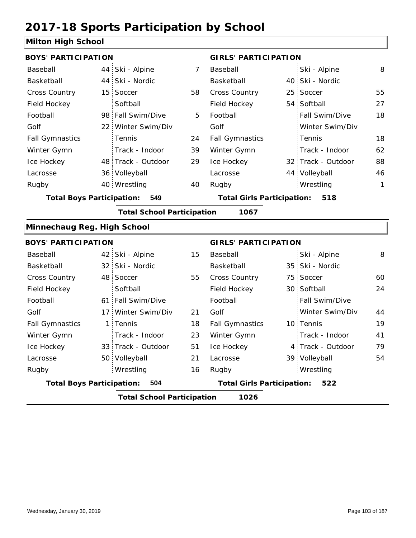#### **Milton High School**

| <b>BOYS' PARTICIPATION</b>                |  |                    |                                   | <b>GIRLS' PARTICIPATION</b> |                                          |                    |    |  |
|-------------------------------------------|--|--------------------|-----------------------------------|-----------------------------|------------------------------------------|--------------------|----|--|
| Baseball                                  |  | 44 Ski - Alpine    | $\overline{7}$                    | Baseball                    |                                          | Ski - Alpine       | 8  |  |
| Basketball                                |  | 44 Ski - Nordic    |                                   | Basketball                  |                                          | 40 Ski - Nordic    |    |  |
| Cross Country                             |  | 15 Soccer          | 58                                | Cross Country               |                                          | 25 Soccer          | 55 |  |
| Field Hockey                              |  | Softball           |                                   | Field Hockey                |                                          | 54 Softball        | 27 |  |
| Football                                  |  | 98 Fall Swim/Dive  | 5                                 | Football                    |                                          | Fall Swim/Dive     | 18 |  |
| Golf                                      |  | 22 Winter Swim/Div |                                   | Golf                        |                                          | Winter Swim/Div    |    |  |
| <b>Fall Gymnastics</b>                    |  | Tennis             | 24                                | <b>Fall Gymnastics</b>      |                                          | Tennis             | 18 |  |
| Winter Gymn                               |  | Track - Indoor     | 39                                | Winter Gymn                 |                                          | Track - Indoor     | 62 |  |
| Ice Hockey                                |  | 48 Track - Outdoor | 29                                | Ice Hockey                  |                                          | 32 Track - Outdoor | 88 |  |
| Lacrosse                                  |  | 36 Volleyball      |                                   | Lacrosse                    |                                          | 44 Volleyball      | 46 |  |
| Rugby                                     |  | 40 Wrestling       | 40                                | Rugby                       |                                          | Wrestling          | 1  |  |
| <b>Total Boys Participation:</b>          |  | 549                | <b>Total Girls Participation:</b> |                             | 518                                      |                    |    |  |
| <b>Total School Participation</b><br>1067 |  |                    |                                   |                             |                                          |                    |    |  |
| Minnechaug Reg. High School               |  |                    |                                   |                             |                                          |                    |    |  |
| <b>BOYS' PARTICIPATION</b>                |  |                    |                                   | <b>GIRLS' PARTICIPATION</b> |                                          |                    |    |  |
| Baseball                                  |  | 42 Ski - Alpine    | 15                                | Baseball                    |                                          | Ski - Alpine       | 8  |  |
| Basketball                                |  | 32 Ski - Nordic    |                                   | Basketball                  |                                          | 35 Ski - Nordic    |    |  |
| <b>Cross Country</b>                      |  | 48 Soccer          | 55                                | Cross Country               |                                          | 75 Soccer          | 60 |  |
| Field Hockey                              |  | Softball           |                                   | Field Hockey                |                                          | 30 Softball        | 24 |  |
| Football                                  |  | 61 Fall Swim/Dive  |                                   | Football                    |                                          | Fall Swim/Dive     |    |  |
| Golf                                      |  | 17 Winter Swim/Div | 21                                | Golf                        |                                          | Winter Swim/Div    | 44 |  |
| <b>Fall Gymnastics</b>                    |  | 1 Tennis           | 18                                | <b>Fall Gymnastics</b>      |                                          | 10 Tennis          | 19 |  |
| Winter Gymn                               |  | Track - Indoor     | 23                                | Winter Gymn                 |                                          | Track - Indoor     | 41 |  |
| Ice Hockey                                |  | 33 Track - Outdoor | 51                                | Ice Hockey                  |                                          | 4 Track - Outdoor  | 79 |  |
| Lacrosse                                  |  | 50 Volleyball      | 21                                | Lacrosse                    |                                          | 39 Volleyball      | 54 |  |
| Rugby                                     |  | Wrestling          | 16                                | Rugby                       |                                          | Wrestling          |    |  |
| <b>Total Boys Participation:</b>          |  | 504                |                                   |                             | <b>Total Girls Participation:</b><br>522 |                    |    |  |
| <b>Total School Participation</b><br>1026 |  |                    |                                   |                             |                                          |                    |    |  |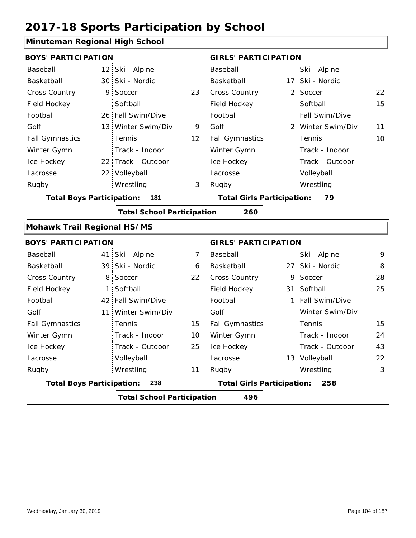#### **Minuteman Regional High School**

| <b>BOYS' PARTICIPATION</b>               |                 |                                   |                | <b>GIRLS' PARTICIPATION</b>       |  |                   |    |
|------------------------------------------|-----------------|-----------------------------------|----------------|-----------------------------------|--|-------------------|----|
| Baseball                                 |                 | 12 Ski - Alpine                   |                | Baseball                          |  | Ski - Alpine      |    |
| Basketball                               |                 | 30 Ski - Nordic                   |                | Basketball                        |  | 17 Ski - Nordic   |    |
| Cross Country                            | 9               | Soccer                            | 23             | Cross Country                     |  | 2 Soccer          | 22 |
| Field Hockey                             |                 | Softball                          |                | Field Hockey                      |  | Softball          | 15 |
| Football                                 |                 | 26 Fall Swim/Dive                 |                | Football                          |  | Fall Swim/Dive    |    |
| Golf                                     |                 | 13 Winter Swim/Div                | 9              | Golf                              |  | 2 Winter Swim/Div | 11 |
| <b>Fall Gymnastics</b>                   |                 | Tennis                            | 12             | <b>Fall Gymnastics</b>            |  | Tennis            | 10 |
| Winter Gymn                              |                 | Track - Indoor                    |                | Winter Gymn                       |  | Track - Indoor    |    |
| Ice Hockey                               |                 | 22 Track - Outdoor                |                | Ice Hockey                        |  | Track - Outdoor   |    |
| Lacrosse                                 |                 | 22 Volleyball                     |                | Lacrosse                          |  | Volleyball        |    |
| Rugby                                    |                 | Wrestling                         | 3              | Rugby                             |  | Wrestling         |    |
| <b>Total Boys Participation:</b>         | 181             | <b>Total Girls Participation:</b> |                | 79                                |  |                   |    |
|                                          |                 | <b>Total School Participation</b> |                | 260                               |  |                   |    |
| <b>Mohawk Trail Regional HS/MS</b>       |                 |                                   |                |                                   |  |                   |    |
| <b>BOYS' PARTICIPATION</b>               |                 |                                   |                | <b>GIRLS' PARTICIPATION</b>       |  |                   |    |
| Baseball                                 | 41              | Ski - Alpine                      | $\overline{7}$ | Baseball                          |  | Ski - Alpine      | 9  |
| Basketball                               |                 | 39 Ski - Nordic                   | 6              | Basketball                        |  | 27 Ski - Nordic   | 8  |
| <b>Cross Country</b>                     | 8 <sup>1</sup>  | Soccer                            | 22             | Cross Country                     |  | 9 Soccer          | 28 |
| Field Hockey                             | $\mathbf{1}$    | Softball                          |                | Field Hockey                      |  | 31 Softball       | 25 |
| Football                                 | 42 <sub>1</sub> | Fall Swim/Dive                    |                | Football                          |  | 1 Fall Swim/Dive  |    |
| Golf                                     | 11              | Winter Swim/Div                   |                | Golf                              |  | Winter Swim/Div   |    |
| <b>Fall Gymnastics</b>                   |                 | Tennis                            | 15             | <b>Fall Gymnastics</b>            |  | Tennis            | 15 |
| Winter Gymn                              |                 | Track - Indoor                    | 10             | Winter Gymn                       |  | Track - Indoor    | 24 |
| Ice Hockey                               |                 | Track - Outdoor                   | 25             | Ice Hockey                        |  | Track - Outdoor   | 43 |
| Lacrosse                                 |                 | Volleyball                        |                | Lacrosse                          |  | 13 Volleyball     | 22 |
| Rugby                                    |                 | Wrestling                         | 11             | Rugby                             |  | Wrestling         | 3  |
| <b>Total Boys Participation:</b>         |                 | 238                               |                | <b>Total Girls Participation:</b> |  | 258               |    |
| <b>Total School Participation</b><br>496 |                 |                                   |                |                                   |  |                   |    |
|                                          |                 |                                   |                |                                   |  |                   |    |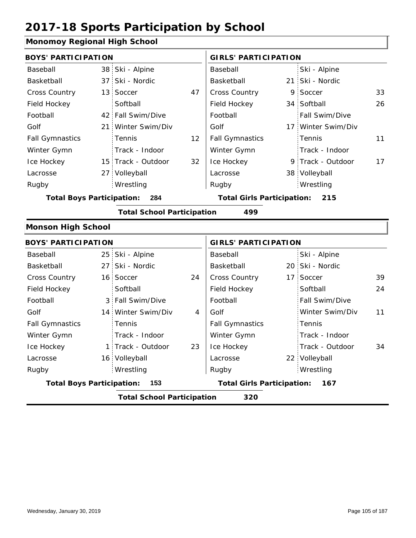### **Monomoy Regional High School**

| <b>BOYS' PARTICIPATION</b>              |  |                    |                                   | <b>GIRLS' PARTICIPATION</b>       |     |                    |    |
|-----------------------------------------|--|--------------------|-----------------------------------|-----------------------------------|-----|--------------------|----|
| Baseball                                |  | 38 Ski - Alpine    |                                   | Baseball                          |     | Ski - Alpine       |    |
| Basketball                              |  | 37 Ski - Nordic    |                                   | Basketball                        | 21: | Ski - Nordic       |    |
| Cross Country                           |  | 13 Soccer          | 47                                | Cross Country                     | 9   | Soccer             | 33 |
| Field Hockey                            |  | Softball           |                                   | Field Hockey                      |     | 34 Softball        | 26 |
| Football                                |  | 42 Fall Swim/Dive  |                                   | Football                          |     | Fall Swim/Dive     |    |
| Golf                                    |  | 21 Winter Swim/Div |                                   | Golf                              |     | 17 Winter Swim/Div |    |
| <b>Fall Gymnastics</b>                  |  | Tennis             | 12                                | <b>Fall Gymnastics</b>            |     | Tennis             | 11 |
| Winter Gymn                             |  | Track - Indoor     |                                   | Winter Gymn                       |     | Track - Indoor     |    |
| Ice Hockey                              |  | 15 Track - Outdoor | 32                                | Ice Hockey                        |     | 9 Track - Outdoor  | 17 |
| Lacrosse                                |  | 27 Volleyball      |                                   | Lacrosse                          |     | 38 Volleyball      |    |
| Rugby                                   |  | Wrestling          |                                   | Rugby                             |     | Wrestling          |    |
| <b>Total Boys Participation:</b><br>284 |  |                    | <b>Total Girls Participation:</b> |                                   | 215 |                    |    |
| <b>Total School Participation</b>       |  |                    |                                   | 499                               |     |                    |    |
| <b>Monson High School</b>               |  |                    |                                   |                                   |     |                    |    |
| <b>BOYS' PARTICIPATION</b>              |  |                    |                                   | <b>GIRLS' PARTICIPATION</b>       |     |                    |    |
| Baseball                                |  | 25 Ski - Alpine    |                                   | Baseball                          |     | Ski - Alpine       |    |
| Basketball                              |  | 27 Ski - Nordic    |                                   | Basketball                        |     | 20 Ski - Nordic    |    |
| <b>Cross Country</b>                    |  | 16 Soccer          | 24                                | Cross Country                     | 17  | Soccer             | 39 |
| Field Hockey                            |  | Softball           |                                   | Field Hockey                      |     | Softball           | 24 |
| Football                                |  | 3 Fall Swim/Dive   |                                   | Football                          |     | Fall Swim/Dive     |    |
| Golf                                    |  | 14 Winter Swim/Div | 4                                 | Golf                              |     | Winter Swim/Div    | 11 |
| <b>Fall Gymnastics</b>                  |  | Tennis             |                                   | <b>Fall Gymnastics</b>            |     | Tennis             |    |
| Winter Gymn                             |  | Track - Indoor     |                                   | Winter Gymn                       |     | Track - Indoor     |    |
| Ice Hockey                              |  | 1 Track - Outdoor  | 23                                | Ice Hockey                        |     | Track - Outdoor    | 34 |
| Lacrosse                                |  | 16 Volleyball      |                                   | Lacrosse                          |     | 22 Volleyball      |    |
| Rugby                                   |  | Wrestling          |                                   | Rugby                             |     | Wrestling          |    |
| 153<br><b>Total Boys Participation:</b> |  |                    |                                   | <b>Total Girls Participation:</b> |     | 167                |    |

**Total School Participation 320**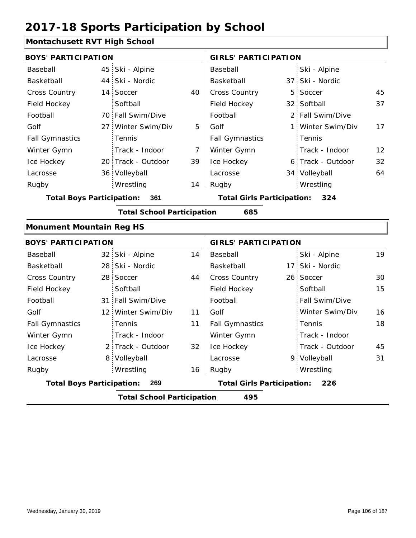#### **Montachusett RVT High School**

| <b>BOYS' PARTICIPATION</b>       |                 |                                   |                | <b>GIRLS' PARTICIPATION</b>       |  |                   |    |  |
|----------------------------------|-----------------|-----------------------------------|----------------|-----------------------------------|--|-------------------|----|--|
| Baseball                         | 45              | Ski - Alpine                      |                | Baseball                          |  | Ski - Alpine      |    |  |
| Basketball                       | 44              | Ski - Nordic                      |                | Basketball                        |  | 37 Ski - Nordic   |    |  |
| Cross Country                    | 14 <sup>1</sup> | Soccer                            | 40             | Cross Country                     |  | 5 Soccer          | 45 |  |
| Field Hockey                     |                 | Softball                          |                | Field Hockey                      |  | 32 Softball       | 37 |  |
| Football                         |                 | 70 Fall Swim/Dive                 |                | Football                          |  | 2 Fall Swim/Dive  |    |  |
| Golf                             | 27 <sup>1</sup> | Winter Swim/Div                   | 5              | Golf                              |  | 1 Winter Swim/Div | 17 |  |
| <b>Fall Gymnastics</b>           |                 | Tennis                            |                | <b>Fall Gymnastics</b>            |  | Tennis            |    |  |
| Winter Gymn                      |                 | Track - Indoor                    | $\overline{7}$ | Winter Gymn                       |  | Track - Indoor    | 12 |  |
| Ice Hockey                       |                 | 20 Track - Outdoor                | 39             | Ice Hockey                        |  | 6 Track - Outdoor | 32 |  |
| Lacrosse                         | 36:             | Volleyball                        |                | Lacrosse                          |  | 34 Volleyball     | 64 |  |
| Rugby                            |                 | Wrestling                         | 14             | Rugby                             |  | Wrestling         |    |  |
| <b>Total Boys Participation:</b> |                 | 361                               |                | <b>Total Girls Participation:</b> |  | 324               |    |  |
|                                  |                 | <b>Total School Participation</b> |                | 685                               |  |                   |    |  |
| <b>Monument Mountain Reg HS</b>  |                 |                                   |                |                                   |  |                   |    |  |
| <b>BOYS' PARTICIPATION</b>       |                 |                                   |                | <b>GIRLS' PARTICIPATION</b>       |  |                   |    |  |
| Baseball                         | 32 <sub>1</sub> | Ski - Alpine                      | 14             | Baseball                          |  | Ski - Alpine      | 19 |  |
| Basketball                       |                 | 28 Ski - Nordic                   |                | Basketball                        |  | 17 Ski - Nordic   |    |  |
| Cross Country                    | 28              | Soccer                            | 44             | Cross Country                     |  | 26 Soccer         | 30 |  |
| Field Hockey                     |                 | Softball                          |                | Field Hockey                      |  | Softball          | 15 |  |
| Football                         |                 | 31 Fall Swim/Dive                 |                | Football                          |  | Fall Swim/Dive    |    |  |

**Total School Participation 495**

8 9 Volleyball

11

Golf

Fall Gymnastics Winter Gymn Ice Hockey Lacrosse

32

16

**Total Boys Participation: 269 Total Girls Participation: 226**

12 Winter Swim/Div 11

2 Track - Outdoor

Wrestling Rugby Rugby

Track - Indoor

Tennis

Golf

Fall Gymnastics

Ice Hockey Lacrosse

Winter Gymn

16

Winter Swim/Div

Track - Indoor Track - Outdoor

Volleyball 31

Tennis

Wrestling

18

45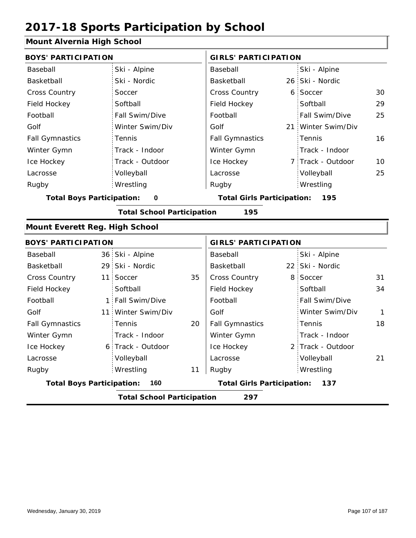### **Mount Alvernia High School**

| <u>sant Alivernia i light scribol</u>        |                                          |                   |    |                                          |                 |                   |              |  |
|----------------------------------------------|------------------------------------------|-------------------|----|------------------------------------------|-----------------|-------------------|--------------|--|
| <b>BOYS' PARTICIPATION</b>                   |                                          |                   |    | <b>GIRLS' PARTICIPATION</b>              |                 |                   |              |  |
| Baseball                                     |                                          | Ski - Alpine      |    | Baseball                                 |                 | Ski - Alpine      |              |  |
| Basketball                                   |                                          | Ski - Nordic      |    | Basketball                               |                 | 26 Ski - Nordic   |              |  |
| <b>Cross Country</b>                         |                                          | Soccer            |    | Cross Country                            |                 | 6 Soccer          | 30           |  |
| Field Hockey                                 |                                          | Softball          |    | Field Hockey                             |                 | Softball          | 29           |  |
| Football                                     |                                          | Fall Swim/Dive    |    | Football                                 |                 | Fall Swim/Dive    | 25           |  |
| Golf                                         |                                          | Winter Swim/Div   |    | Golf                                     | 21 <sup>1</sup> | Winter Swim/Div   |              |  |
| <b>Fall Gymnastics</b>                       |                                          | Tennis            |    | <b>Fall Gymnastics</b>                   |                 | Tennis            | 16           |  |
| Winter Gymn                                  |                                          | Track - Indoor    |    | Winter Gymn                              |                 | Track - Indoor    |              |  |
| Ice Hockey                                   |                                          | Track - Outdoor   |    | Ice Hockey                               |                 | 7 Track - Outdoor | 10           |  |
| Lacrosse                                     |                                          | Volleyball        |    | Lacrosse                                 |                 | Volleyball        | 25           |  |
| Rugby                                        |                                          | Wrestling         |    | Rugby                                    |                 | Wrestling         |              |  |
| <b>Total Boys Participation:</b><br>$\bf{0}$ |                                          |                   |    | <b>Total Girls Participation:</b><br>195 |                 |                   |              |  |
| <b>Total School Participation</b><br>195     |                                          |                   |    |                                          |                 |                   |              |  |
| <b>Mount Everett Reg. High School</b>        |                                          |                   |    |                                          |                 |                   |              |  |
| <b>BOYS' PARTICIPATION</b>                   |                                          |                   |    | <b>GIRLS' PARTICIPATION</b>              |                 |                   |              |  |
| Baseball                                     |                                          | 36 Ski - Alpine   |    | Baseball                                 |                 | Ski - Alpine      |              |  |
| Basketball                                   |                                          | 29 Ski - Nordic   |    | Basketball                               |                 | 22 Ski - Nordic   |              |  |
| Cross Country                                | 11                                       | Soccer            | 35 | Cross Country                            |                 | 8 Soccer          | 31           |  |
| Field Hockey                                 |                                          | Softball          |    | Field Hockey                             |                 | Softball          | 34           |  |
| Football                                     | 1:                                       | Fall Swim/Dive    |    | Football                                 |                 | Fall Swim/Dive    |              |  |
| Golf                                         | 11 <sup>1</sup>                          | Winter Swim/Div   |    | Golf                                     |                 | Winter Swim/Div   | $\mathbf{1}$ |  |
| <b>Fall Gymnastics</b>                       |                                          | Tennis            | 20 | <b>Fall Gymnastics</b>                   |                 | Tennis            | 18           |  |
| Winter Gymn                                  |                                          | Track - Indoor    |    | Winter Gymn                              |                 | Track - Indoor    |              |  |
| Ice Hockey                                   |                                          | 6 Track - Outdoor |    | Ice Hockey                               |                 | 2 Track - Outdoor |              |  |
| Lacrosse                                     |                                          | Volleyball        |    | Lacrosse                                 |                 | Volleyball        | 21           |  |
| Rugby                                        |                                          | Wrestling         | 11 | Rugby                                    |                 | Wrestling         |              |  |
| <b>Total Boys Participation:</b>             |                                          | 160               |    | <b>Total Girls Participation:</b>        |                 | 137               |              |  |
|                                              | <b>Total School Participation</b><br>297 |                   |    |                                          |                 |                   |              |  |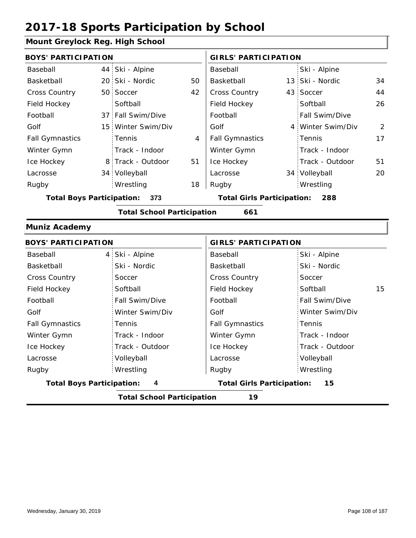#### **Mount Greylock Reg. High School**

| <b>BOYS' PARTICIPATION</b>              |  |                    |    | <b>GIRLS' PARTICIPATION</b>       |  |                   |    |
|-----------------------------------------|--|--------------------|----|-----------------------------------|--|-------------------|----|
| Baseball                                |  | 44 Ski - Alpine    |    | Baseball                          |  | Ski - Alpine      |    |
| Basketball                              |  | 20 Ski - Nordic    | 50 | Basketball                        |  | 13 Ski - Nordic   | 34 |
| <b>Cross Country</b>                    |  | 50 Soccer          | 42 | <b>Cross Country</b>              |  | 43 Soccer         | 44 |
| Field Hockey                            |  | Softball           |    | Field Hockey                      |  | Softball          | 26 |
| Football                                |  | 37 Fall Swim/Dive  |    | Football                          |  | Fall Swim/Dive    |    |
| Golf                                    |  | 15 Winter Swim/Div |    | Golf                              |  | 4 Winter Swim/Div | 2  |
| <b>Fall Gymnastics</b>                  |  | Tennis             | 4  | <b>Fall Gymnastics</b>            |  | Tennis            | 17 |
| Winter Gymn                             |  | Track - Indoor     |    | Winter Gymn                       |  | Track - Indoor    |    |
| Ice Hockey                              |  | 8 Track - Outdoor  | 51 | Ice Hockey                        |  | Track - Outdoor   | 51 |
| Lacrosse                                |  | 34 Volleyball      |    | Lacrosse                          |  | 34 Volleyball     | 20 |
| Rugby                                   |  | Wrestling          | 18 | Rugby                             |  | Wrestling         |    |
| <b>Total Boys Participation:</b><br>373 |  |                    |    | <b>Total Girls Participation:</b> |  | 288               |    |

#### **Total School Participation 661**

#### **Muniz Academy**

| <b>BOYS' PARTICIPATION</b>            |                            | <b>GIRLS' PARTICIPATION</b>       |                 |  |  |
|---------------------------------------|----------------------------|-----------------------------------|-----------------|--|--|
| Baseball                              | 4 Ski - Alpine             | Baseball                          | Ski - Alpine    |  |  |
| Basketball                            | Ski - Nordic               | Basketball                        | Ski - Nordic    |  |  |
| <b>Cross Country</b>                  | Soccer                     | <b>Cross Country</b>              | Soccer          |  |  |
| Field Hockey                          | Softball                   | Field Hockey                      | 15<br>Softball  |  |  |
| Football                              | Fall Swim/Dive             | Football                          | Fall Swim/Dive  |  |  |
| Golf                                  | Winter Swim/Div            | Golf                              | Winter Swim/Div |  |  |
| <b>Fall Gymnastics</b>                | Tennis                     | <b>Fall Gymnastics</b>            | Tennis          |  |  |
| Winter Gymn                           | Track - Indoor             | Winter Gymn                       | Track - Indoor  |  |  |
| Ice Hockey                            | Track - Outdoor            | Ice Hockey                        | Track - Outdoor |  |  |
| Lacrosse                              | Volleyball                 | Lacrosse                          | Volleyball      |  |  |
| Rugby                                 | Wrestling                  | Rugby                             | Wrestling       |  |  |
| <b>Total Boys Participation:</b><br>4 |                            | <b>Total Girls Participation:</b> | 15              |  |  |
|                                       | Tatal Cabaal Dautisination | 10 <sup>-1</sup>                  |                 |  |  |

**Total School Participation 19**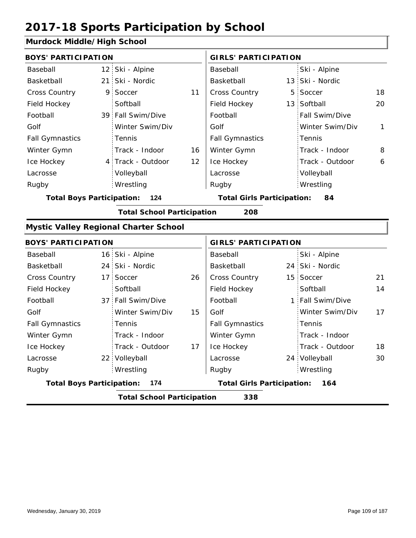### **Murdock Middle/High School**

| Margock Middle, High Scribbl     |                 |                                              |    |                                   |    |                 |              |
|----------------------------------|-----------------|----------------------------------------------|----|-----------------------------------|----|-----------------|--------------|
| <b>BOYS' PARTICIPATION</b>       |                 |                                              |    | <b>GIRLS' PARTICIPATION</b>       |    |                 |              |
| Baseball                         |                 | 12 Ski - Alpine                              |    | Baseball                          |    | Ski - Alpine    |              |
| Basketball                       | 21              | Ski - Nordic                                 |    | Basketball                        |    | 13 Ski - Nordic |              |
| <b>Cross Country</b>             | 9               | Soccer                                       | 11 | Cross Country                     | 5  | Soccer          | 18           |
| Field Hockey                     |                 | Softball                                     |    | Field Hockey                      |    | 13 Softball     | 20           |
| Football                         |                 | 39 Fall Swim/Dive                            |    | Football                          |    | Fall Swim/Dive  |              |
| Golf                             |                 | Winter Swim/Div                              |    | Golf                              |    | Winter Swim/Div | $\mathbf{1}$ |
| <b>Fall Gymnastics</b>           |                 | Tennis                                       |    | <b>Fall Gymnastics</b>            |    | Tennis          |              |
| Winter Gymn                      |                 | Track - Indoor                               | 16 | Winter Gymn                       |    | Track - Indoor  | 8            |
| Ice Hockey                       |                 | 4 Track - Outdoor                            | 12 | Ice Hockey                        |    | Track - Outdoor | 6            |
| Lacrosse                         |                 | Volleyball                                   |    | Lacrosse                          |    | Volleyball      |              |
| Rugby                            |                 | Wrestling                                    |    | Rugby                             |    | Wrestling       |              |
| <b>Total Boys Participation:</b> |                 | 124                                          |    | <b>Total Girls Participation:</b> |    | 84              |              |
|                                  |                 | <b>Total School Participation</b>            |    | 208                               |    |                 |              |
|                                  |                 | <b>Mystic Valley Regional Charter School</b> |    |                                   |    |                 |              |
| <b>BOYS' PARTICIPATION</b>       |                 |                                              |    | <b>GIRLS' PARTICIPATION</b>       |    |                 |              |
| Baseball                         |                 | 16 Ski - Alpine                              |    | Baseball                          |    | Ski - Alpine    |              |
| Basketball                       | 24              | Ski - Nordic                                 |    | Basketball                        |    | 24 Ski - Nordic |              |
| Cross Country                    | 17 <sup>1</sup> | Soccer                                       | 26 | Cross Country                     |    | 15 Soccer       | 21           |
| Field Hockey                     |                 | Softball                                     |    | Field Hockey                      |    | Softball        | 14           |
| Football                         |                 | 37 Fall Swim/Dive                            |    | Football                          | 1: | Fall Swim/Dive  |              |
| Golf                             |                 | Winter Swim/Div                              | 15 | Golf                              |    | Winter Swim/Div | 17           |
| <b>Fall Gymnastics</b>           |                 | Tennis                                       |    | <b>Fall Gymnastics</b>            |    | Tennis          |              |
| Winter Gymn                      |                 | Track - Indoor                               |    | Winter Gymn                       |    | Track - Indoor  |              |
| Ice Hockey                       |                 | Track - Outdoor                              | 17 | Ice Hockey                        |    | Track - Outdoor | 18           |
| Lacrosse                         |                 | 22 Volleyball                                |    | Lacrosse                          |    | 24 Volleyball   | 30           |
| Rugby                            |                 | Wrestling                                    |    | Rugby                             |    | Wrestling       |              |
| <b>Total Boys Participation:</b> |                 | 174                                          |    | <b>Total Girls Participation:</b> |    | 164             |              |
|                                  |                 | <b>Total School Participation</b>            |    | 338                               |    |                 |              |
|                                  |                 |                                              |    |                                   |    |                 |              |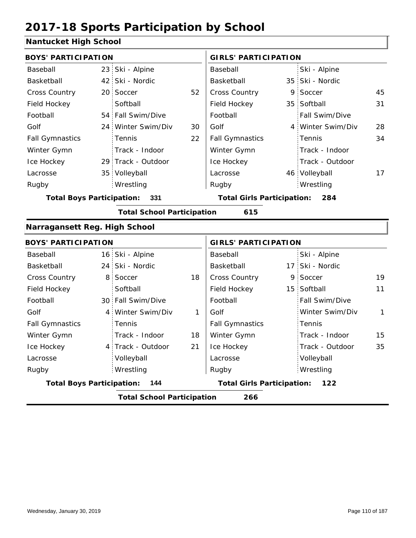### **Nantucket High School**

|                |                                                                                                                                                                                                                                                                                                                                                                                                                         | <b>GIRLS' PARTICIPATION</b> |                                                                        |                 |                                                                                                                                                                                                                                                          |
|----------------|-------------------------------------------------------------------------------------------------------------------------------------------------------------------------------------------------------------------------------------------------------------------------------------------------------------------------------------------------------------------------------------------------------------------------|-----------------------------|------------------------------------------------------------------------|-----------------|----------------------------------------------------------------------------------------------------------------------------------------------------------------------------------------------------------------------------------------------------------|
|                |                                                                                                                                                                                                                                                                                                                                                                                                                         | Baseball                    |                                                                        | Ski - Alpine    |                                                                                                                                                                                                                                                          |
|                |                                                                                                                                                                                                                                                                                                                                                                                                                         | Basketball                  |                                                                        |                 |                                                                                                                                                                                                                                                          |
|                | 52                                                                                                                                                                                                                                                                                                                                                                                                                      | Cross Country               |                                                                        |                 | 45                                                                                                                                                                                                                                                       |
| Softball       |                                                                                                                                                                                                                                                                                                                                                                                                                         | Field Hockey                |                                                                        |                 | 31                                                                                                                                                                                                                                                       |
|                |                                                                                                                                                                                                                                                                                                                                                                                                                         | Football                    |                                                                        | Fall Swim/Dive  |                                                                                                                                                                                                                                                          |
|                | 30                                                                                                                                                                                                                                                                                                                                                                                                                      | Golf                        |                                                                        |                 | 28                                                                                                                                                                                                                                                       |
| Tennis         | 22                                                                                                                                                                                                                                                                                                                                                                                                                      | <b>Fall Gymnastics</b>      |                                                                        | Tennis          | 34                                                                                                                                                                                                                                                       |
| Track - Indoor |                                                                                                                                                                                                                                                                                                                                                                                                                         | Winter Gymn                 |                                                                        | Track - Indoor  |                                                                                                                                                                                                                                                          |
|                |                                                                                                                                                                                                                                                                                                                                                                                                                         | Ice Hockey                  |                                                                        | Track - Outdoor |                                                                                                                                                                                                                                                          |
|                |                                                                                                                                                                                                                                                                                                                                                                                                                         | Lacrosse                    |                                                                        |                 | 17                                                                                                                                                                                                                                                       |
| Wrestling      |                                                                                                                                                                                                                                                                                                                                                                                                                         | Rugby                       |                                                                        |                 |                                                                                                                                                                                                                                                          |
| 331            |                                                                                                                                                                                                                                                                                                                                                                                                                         |                             |                                                                        |                 |                                                                                                                                                                                                                                                          |
|                |                                                                                                                                                                                                                                                                                                                                                                                                                         | 615                         |                                                                        |                 |                                                                                                                                                                                                                                                          |
|                |                                                                                                                                                                                                                                                                                                                                                                                                                         |                             |                                                                        |                 |                                                                                                                                                                                                                                                          |
|                |                                                                                                                                                                                                                                                                                                                                                                                                                         |                             |                                                                        |                 |                                                                                                                                                                                                                                                          |
|                |                                                                                                                                                                                                                                                                                                                                                                                                                         | Baseball                    |                                                                        | Ski - Alpine    |                                                                                                                                                                                                                                                          |
|                |                                                                                                                                                                                                                                                                                                                                                                                                                         | Basketball                  |                                                                        |                 |                                                                                                                                                                                                                                                          |
|                | 18                                                                                                                                                                                                                                                                                                                                                                                                                      | Cross Country               |                                                                        |                 | 19                                                                                                                                                                                                                                                       |
| Softball       |                                                                                                                                                                                                                                                                                                                                                                                                                         | Field Hockey                |                                                                        |                 | 11                                                                                                                                                                                                                                                       |
|                |                                                                                                                                                                                                                                                                                                                                                                                                                         | Football                    |                                                                        | Fall Swim/Dive  |                                                                                                                                                                                                                                                          |
|                | 1                                                                                                                                                                                                                                                                                                                                                                                                                       | Golf                        |                                                                        | Winter Swim/Div | $\mathbf{1}$                                                                                                                                                                                                                                             |
| Tennis         |                                                                                                                                                                                                                                                                                                                                                                                                                         | <b>Fall Gymnastics</b>      |                                                                        | Tennis          |                                                                                                                                                                                                                                                          |
| Track - Indoor | 18                                                                                                                                                                                                                                                                                                                                                                                                                      | Winter Gymn                 |                                                                        | Track - Indoor  | 15                                                                                                                                                                                                                                                       |
|                | 21                                                                                                                                                                                                                                                                                                                                                                                                                      | Ice Hockey                  |                                                                        | Track - Outdoor | 35                                                                                                                                                                                                                                                       |
| Volleyball     |                                                                                                                                                                                                                                                                                                                                                                                                                         | Lacrosse                    |                                                                        | Volleyball      |                                                                                                                                                                                                                                                          |
| Wrestling      |                                                                                                                                                                                                                                                                                                                                                                                                                         | Rugby                       |                                                                        | Wrestling       |                                                                                                                                                                                                                                                          |
| 144            |                                                                                                                                                                                                                                                                                                                                                                                                                         |                             |                                                                        | 122             |                                                                                                                                                                                                                                                          |
|                |                                                                                                                                                                                                                                                                                                                                                                                                                         | 266                         |                                                                        |                 |                                                                                                                                                                                                                                                          |
|                | <b>BOYS' PARTICIPATION</b><br>23 Ski - Alpine<br>42 Ski - Nordic<br>20 Soccer<br>54 Fall Swim/Dive<br>24 Winter Swim/Div<br>29 Track - Outdoor<br>35 Volleyball<br><b>Total Boys Participation:</b><br>Narragansett Reg. High School<br><b>BOYS' PARTICIPATION</b><br>16 Ski - Alpine<br>24 Ski - Nordic<br>8 Soccer<br>30 Fall Swim/Dive<br>4 Winter Swim/Div<br>4 Track - Outdoor<br><b>Total Boys Participation:</b> |                             | <b>Total School Participation</b><br><b>Total School Participation</b> |                 | 35 Ski - Nordic<br>9 Soccer<br>35 Softball<br>4 Winter Swim/Div<br>46 Volleyball<br>Wrestling<br><b>Total Girls Participation: 284</b><br><b>GIRLS' PARTICIPATION</b><br>17 Ski - Nordic<br>9 Soccer<br>15 Softball<br><b>Total Girls Participation:</b> |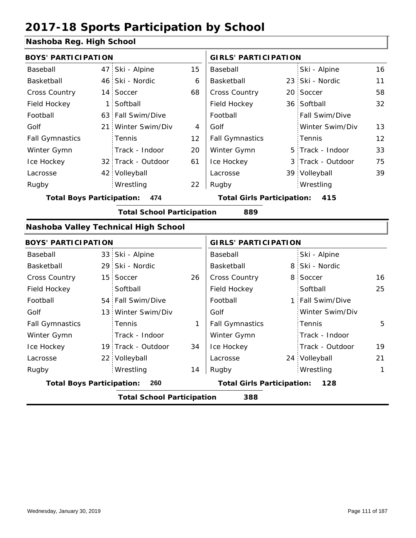### **Nashoba Reg. High School**

| <b>BOYS' PARTICIPATION</b>       |      |                                      |    | <b>GIRLS' PARTICIPATION</b>       |   |                  |    |
|----------------------------------|------|--------------------------------------|----|-----------------------------------|---|------------------|----|
| Baseball                         | 47 : | Ski - Alpine                         | 15 | Baseball                          |   | Ski - Alpine     | 16 |
| Basketball                       | 46   | Ski - Nordic                         | 6  | Basketball                        |   | 23 Ski - Nordic  | 11 |
| <b>Cross Country</b>             | 14:  | Soccer                               | 68 | Cross Country                     |   | 20 Soccer        | 58 |
| Field Hockey                     | 1:   | Softball                             |    | Field Hockey                      |   | 36 Softball      | 32 |
| Football                         |      | 63 Fall Swim/Dive                    |    | Football                          |   | Fall Swim/Dive   |    |
| Golf                             | 21:  | Winter Swim/Div                      | 4  | Golf                              |   | Winter Swim/Div  | 13 |
| <b>Fall Gymnastics</b>           |      | Tennis                               | 12 | <b>Fall Gymnastics</b>            |   | Tennis           | 12 |
| Winter Gymn                      |      | Track - Indoor                       | 20 | Winter Gymn                       | 5 | Track - Indoor   | 33 |
| Ice Hockey                       |      | 32 Track - Outdoor                   | 61 | Ice Hockey                        | 3 | Track - Outdoor  | 75 |
| Lacrosse                         |      | 42 Volleyball                        |    | Lacrosse                          |   | 39 Volleyball    | 39 |
| Rugby                            |      | Wrestling                            | 22 | Rugby                             |   | Wrestling        |    |
| <b>Total Boys Participation:</b> |      | 474                                  |    | <b>Total Girls Participation:</b> |   | 415              |    |
|                                  |      | <b>Total School Participation</b>    |    | 889                               |   |                  |    |
|                                  |      | Nashoba Valley Technical High School |    |                                   |   |                  |    |
| <b>BOYS' PARTICIPATION</b>       |      |                                      |    | <b>GIRLS' PARTICIPATION</b>       |   |                  |    |
| Baseball                         |      | 33 Ski - Alpine                      |    | Baseball                          |   | Ski - Alpine     |    |
| Basketball                       |      | 29 Ski - Nordic                      |    | Basketball                        |   | 8 Ski - Nordic   |    |
| <b>Cross Country</b>             |      | 15 Soccer                            | 26 | <b>Cross Country</b>              |   | 8 Soccer         | 16 |
| Field Hockey                     |      | Softball                             |    | Field Hockey                      |   | Softball         | 25 |
| Football                         |      | 54 Fall Swim/Dive                    |    | Football                          |   | 1 Fall Swim/Dive |    |
| Golf                             |      | 13 Winter Swim/Div                   |    | Golf                              |   | Winter Swim/Div  |    |
| <b>Fall Gymnastics</b>           |      | Tennis                               | 1  | <b>Fall Gymnastics</b>            |   | Tennis           | 5  |
| Winter Gymn                      |      | Track - Indoor                       |    | Winter Gymn                       |   | Track - Indoor   |    |
| Ice Hockey                       |      | 19 Track - Outdoor                   | 34 | Ice Hockey                        |   | Track - Outdoor  | 19 |
| Lacrosse                         |      | 22 Volleyball                        |    | Lacrosse                          |   | 24 Volleyball    | 21 |
| Rugby                            |      | Wrestling                            | 14 | Rugby                             |   | Wrestling        | 1  |
| <b>Total Boys Participation:</b> |      | 260                                  |    | <b>Total Girls Participation:</b> |   | 128              |    |
|                                  |      | <b>Total School Participation</b>    |    | 388                               |   |                  |    |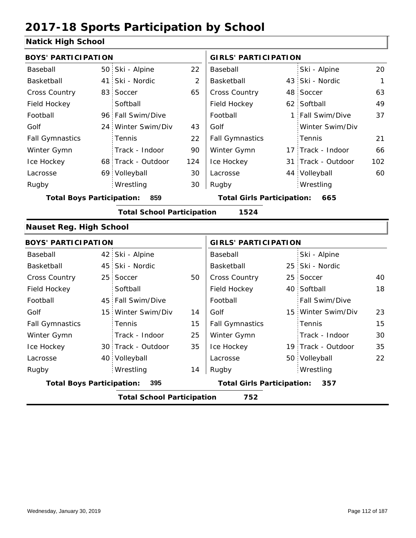### **Natick High School**

| <b>BOYS' PARTICIPATION</b>       |                                   |                | <b>GIRLS' PARTICIPATION</b>       |                    |             |
|----------------------------------|-----------------------------------|----------------|-----------------------------------|--------------------|-------------|
| Baseball                         | 50 Ski - Alpine                   | 22             | Baseball                          | Ski - Alpine       | 20          |
| Basketball                       | 41 Ski - Nordic                   | $\overline{2}$ | Basketball                        | 43 Ski - Nordic    | $\mathbf 1$ |
| Cross Country                    | 83 Soccer                         | 65             | Cross Country                     | 48 Soccer          | 63          |
| Field Hockey                     | Softball                          |                | Field Hockey                      | 62 Softball        | 49          |
| Football                         | 96 Fall Swim/Dive                 |                | Football                          | 1 Fall Swim/Dive   | 37          |
| Golf                             | 24 Winter Swim/Div                | 43             | Golf                              | Winter Swim/Div    |             |
| <b>Fall Gymnastics</b>           | Tennis                            | 22             | <b>Fall Gymnastics</b>            | Tennis             | 21          |
| Winter Gymn                      | Track - Indoor                    | 90             | Winter Gymn                       | 17 Track - Indoor  | 66          |
| Ice Hockey                       | 68 Track - Outdoor                | 124            | Ice Hockey                        | 31 Track - Outdoor | 102         |
| Lacrosse                         | 69 Volleyball                     | 30             | Lacrosse                          | 44 Volleyball      | 60          |
| Rugby                            | Wrestling                         | 30             | Rugby                             | Wrestling          |             |
| <b>Total Boys Participation:</b> | 859                               |                | <b>Total Girls Participation:</b> | 665                |             |
|                                  | <b>Total School Participation</b> |                | 1524                              |                    |             |
| <b>Nauset Reg. High School</b>   |                                   |                |                                   |                    |             |
| <b>BOYS' PARTICIPATION</b>       |                                   |                | <b>GIRLS' PARTICIPATION</b>       |                    |             |
| Baseball                         | 42 Ski - Alpine                   |                | Baseball                          | Ski - Alpine       |             |
| Basketball                       | 45 Ski - Nordic                   |                | Basketball                        | 25 Ski - Nordic    |             |
| <b>Cross Country</b>             | 25 Soccer                         | 50             | Cross Country                     | 25 Soccer          | 40          |
| Field Hockey                     | Softball                          |                | Field Hockey                      | 40 Softball        | 18          |
| Football                         | 45 Fall Swim/Dive                 |                | Football                          | Fall Swim/Dive     |             |
| Golf                             | 15 Winter Swim/Div                | 14             | Golf                              | 15 Winter Swim/Div | 23          |
| <b>Fall Gymnastics</b>           | Tennis                            | 15             | <b>Fall Gymnastics</b>            | Tennis             | 15          |
| Winter Gymn                      | Track - Indoor                    | 25             | Winter Gymn                       | Track - Indoor     | 30          |
| Ice Hockey                       | 30 Track - Outdoor                | 35             | Ice Hockey                        | 19 Track - Outdoor | 35          |
| Lacrosse                         | 40 Volleyball                     |                | Lacrosse                          | 50 Volleyball      | 22          |
| Rugby                            | Wrestling                         | 14             | Rugby                             | Wrestling          |             |
| <b>Total Boys Participation:</b> | 395                               |                | <b>Total Girls Participation:</b> | 357                |             |
|                                  | <b>Total School Participation</b> |                | 752                               |                    |             |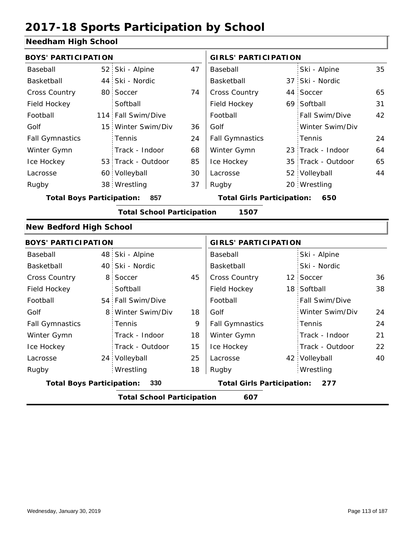### **Needham High School**

| <b>BOYS' PARTICIPATION</b>       |                 |                                   |    | <b>GIRLS' PARTICIPATION</b>           |                    |    |
|----------------------------------|-----------------|-----------------------------------|----|---------------------------------------|--------------------|----|
| Baseball                         |                 | 52 Ski - Alpine                   | 47 | Baseball                              | Ski - Alpine       | 35 |
| Basketball                       |                 | 44 Ski - Nordic                   |    | Basketball                            | 37 Ski - Nordic    |    |
| Cross Country                    | 80 <sub>1</sub> | Soccer                            | 74 | Cross Country                         | 44 Soccer          | 65 |
| Field Hockey                     |                 | Softball                          |    | Field Hockey                          | 69 Softball        | 31 |
| Football                         | 114             | Fall Swim/Dive                    |    | Football                              | Fall Swim/Dive     | 42 |
| Golf                             | 15 <sup>1</sup> | Winter Swim/Div                   | 36 | Golf                                  | Winter Swim/Div    |    |
| <b>Fall Gymnastics</b>           |                 | Tennis                            | 24 | <b>Fall Gymnastics</b>                | Tennis             | 24 |
| Winter Gymn                      |                 | Track - Indoor                    | 68 | Winter Gymn                           | 23 Track - Indoor  | 64 |
| Ice Hockey                       |                 | 53 Track - Outdoor                | 85 | Ice Hockey                            | 35 Track - Outdoor | 65 |
| Lacrosse                         |                 | 60 Volleyball                     | 30 | Lacrosse                              | 52 Volleyball      | 44 |
| Rugby                            |                 | 38 Wrestling                      | 37 | Rugby                                 | 20 Wrestling       |    |
| <b>Total Boys Participation:</b> |                 | 857                               |    | <b>Total Girls Participation: 650</b> |                    |    |
|                                  |                 | <b>Total School Participation</b> |    | 1507                                  |                    |    |
| <b>New Bedford High School</b>   |                 |                                   |    |                                       |                    |    |
| <b>BOYS' PARTICIPATION</b>       |                 |                                   |    | <b>GIRLS' PARTICIPATION</b>           |                    |    |
| Baseball                         |                 | 48 Ski - Alpine                   |    | Baseball                              | Ski - Alpine       |    |
| Basketball                       | 40              | Ski - Nordic                      |    | Basketball                            | Ski - Nordic       |    |
| <b>Cross Country</b>             | 8               | Soccer                            | 45 | Cross Country                         | 12 Soccer          | 36 |
| Field Hockey                     |                 | Softball                          |    | Field Hockey                          | 18 Softball        | 38 |
| Football                         |                 | 54 Fall Swim/Dive                 |    | Football                              | Fall Swim/Dive     |    |
| Golf                             | 8               | Winter Swim/Div                   | 18 | Golf                                  | Winter Swim/Div    | 24 |
| <b>Fall Gymnastics</b>           |                 | Tennis                            | 9  | <b>Fall Gymnastics</b>                | Tennis             | 24 |
| Winter Gymn                      |                 | Track - Indoor                    | 18 | Winter Gymn                           | Track - Indoor     | 21 |
| Ice Hockey                       |                 | Track - Outdoor                   | 15 | Ice Hockey                            | Track - Outdoor    | 22 |
| Lacrosse                         |                 | 24 Volleyball                     | 25 | Lacrosse                              | 42 Volleyball      | 40 |
| Rugby                            |                 | Wrestling                         | 18 | Rugby                                 | Wrestling          |    |
| <b>Total Boys Participation:</b> |                 | 330                               |    | <b>Total Girls Participation:</b>     | 277                |    |
|                                  |                 | <b>Total School Participation</b> |    | 607                                   |                    |    |
|                                  |                 |                                   |    |                                       |                    |    |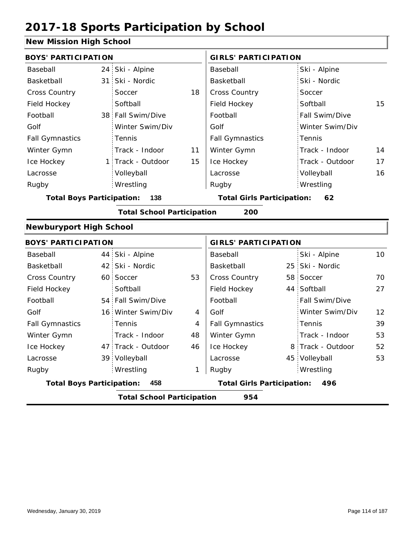### **New Mission High School**

| <b>BOYS' PARTICIPATION</b>       |                                   |    | <b>GIRLS' PARTICIPATION</b>       |                   |                 |
|----------------------------------|-----------------------------------|----|-----------------------------------|-------------------|-----------------|
| Baseball                         | 24 Ski - Alpine                   |    | Baseball                          | Ski - Alpine      |                 |
| Basketball                       | 31 Ski - Nordic                   |    | Basketball                        | Ski - Nordic      |                 |
| Cross Country                    | Soccer                            | 18 | Cross Country                     | Soccer            |                 |
| Field Hockey                     | Softball                          |    | Field Hockey                      | Softball          | 15              |
| Football                         | 38 Fall Swim/Dive                 |    | Football                          | Fall Swim/Dive    |                 |
| Golf                             | Winter Swim/Div                   |    | Golf                              | Winter Swim/Div   |                 |
| <b>Fall Gymnastics</b>           | Tennis                            |    | <b>Fall Gymnastics</b>            | Tennis            |                 |
| Winter Gymn                      | Track - Indoor                    | 11 | Winter Gymn                       | Track - Indoor    | 14              |
| Ice Hockey                       | 1 Track - Outdoor                 | 15 | Ice Hockey                        | Track - Outdoor   | 17              |
| Lacrosse                         | Volleyball                        |    | Lacrosse                          | Volleyball        | 16              |
| Rugby                            | Wrestling                         |    | Rugby                             | Wrestling         |                 |
| <b>Total Boys Participation:</b> | 138                               |    | <b>Total Girls Participation:</b> | 62                |                 |
|                                  | <b>Total School Participation</b> |    | 200                               |                   |                 |
| <b>Newburyport High School</b>   |                                   |    |                                   |                   |                 |
| <b>BOYS' PARTICIPATION</b>       |                                   |    | <b>GIRLS' PARTICIPATION</b>       |                   |                 |
| Baseball                         | 44 Ski - Alpine                   |    | Baseball                          | Ski - Alpine      | 10 <sup>°</sup> |
| Basketball                       | 42 Ski - Nordic                   |    | Basketball                        | 25 Ski - Nordic   |                 |
| <b>Cross Country</b>             | 60 Soccer                         | 53 | Cross Country                     | 58 Soccer         | 70              |
| Field Hockey                     | Softball                          |    | Field Hockey                      | 44 Softball       | 27              |
| Football                         | 54 Fall Swim/Dive                 |    | Football                          | Fall Swim/Dive    |                 |
| Golf                             | 16 Winter Swim/Div                | 4  | Golf                              | Winter Swim/Div   | 12              |
| <b>Fall Gymnastics</b>           | Tennis                            | 4  | <b>Fall Gymnastics</b>            | Tennis            | 39              |
| Winter Gymn                      | Track - Indoor                    | 48 | Winter Gymn                       | Track - Indoor    | 53              |
| Ice Hockey                       | 47 Track - Outdoor                | 46 | Ice Hockey                        | 8 Track - Outdoor | 52              |
| Lacrosse                         | 39 Volleyball                     |    | Lacrosse                          | 45 Volleyball     | 53              |
| Rugby                            | Wrestling                         | 1  | Rugby                             | Wrestling         |                 |
| <b>Total Boys Participation:</b> | 458                               |    | <b>Total Girls Participation:</b> | 496               |                 |
|                                  | <b>Total School Participation</b> |    | 954                               |                   |                 |
|                                  |                                   |    |                                   |                   |                 |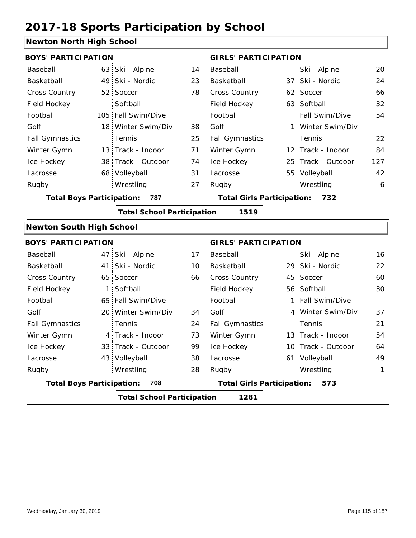### **Newton North High School**

| <b>BOYS' PARTICIPATION</b>       |              |                                   |    | <b>GIRLS' PARTICIPATION</b>           |                 |                    |     |  |
|----------------------------------|--------------|-----------------------------------|----|---------------------------------------|-----------------|--------------------|-----|--|
| Baseball                         | 63           | Ski - Alpine                      | 14 | Baseball                              |                 | Ski - Alpine       | 20  |  |
| Basketball                       |              | 49 Ski - Nordic                   | 23 | Basketball                            | 37 <sup>1</sup> | Ski - Nordic       | 24  |  |
| Cross Country                    |              | 52 Soccer                         | 78 | Cross Country                         |                 | 62 Soccer          | 66  |  |
| Field Hockey                     |              | Softball                          |    | Field Hockey                          |                 | 63 Softball        | 32  |  |
| Football                         |              | 105 Fall Swim/Dive                |    | Football                              |                 | Fall Swim/Dive     | 54  |  |
| Golf                             |              | 18 Winter Swim/Div                | 38 | Golf                                  | $1$ :           | Winter Swim/Div    |     |  |
| <b>Fall Gymnastics</b>           |              | Tennis                            | 25 | <b>Fall Gymnastics</b>                |                 | Tennis             | 22  |  |
| Winter Gymn                      |              | 13 Track - Indoor                 | 71 | Winter Gymn                           |                 | 12 Track - Indoor  | 84  |  |
| Ice Hockey                       |              | 38 Track - Outdoor                | 74 | Ice Hockey                            |                 | 25 Track - Outdoor | 127 |  |
| Lacrosse                         |              | 68 Volleyball                     | 31 | Lacrosse                              |                 | 55 Volleyball      | 42  |  |
| Rugby                            |              | Wrestling                         | 27 | Rugby                                 |                 | Wrestling          | 6   |  |
| <b>Total Boys Participation:</b> |              | 787                               |    | <b>Total Girls Participation: 732</b> |                 |                    |     |  |
|                                  |              | <b>Total School Participation</b> |    | 1519                                  |                 |                    |     |  |
| <b>Newton South High School</b>  |              |                                   |    |                                       |                 |                    |     |  |
| <b>BOYS' PARTICIPATION</b>       |              |                                   |    | <b>GIRLS' PARTICIPATION</b>           |                 |                    |     |  |
| Baseball                         |              | 47 Ski - Alpine                   | 17 | Baseball                              |                 | Ski - Alpine       | 16  |  |
| Basketball                       | 41           | Ski - Nordic                      | 10 | Basketball                            |                 | 29 Ski - Nordic    | 22  |  |
| <b>Cross Country</b>             |              | 65 Soccer                         | 66 | Cross Country                         |                 | 45 Soccer          | 60  |  |
| Field Hockey                     | $\mathbf{1}$ | Softball                          |    | Field Hockey                          |                 | 56 Softball        | 30  |  |
| Football                         |              | 65 Fall Swim/Dive                 |    | Football                              |                 | 1 Fall Swim/Dive   |     |  |
| Golf                             |              | 20 Winter Swim/Div                | 34 | Golf                                  |                 | 4 Winter Swim/Div  | 37  |  |
| <b>Fall Gymnastics</b>           |              | Tennis                            | 24 | <b>Fall Gymnastics</b>                |                 | Tennis             | 21  |  |
| Winter Gymn                      |              | 4 Track - Indoor                  | 73 | Winter Gymn                           |                 | 13 Track - Indoor  | 54  |  |
| Ice Hockey                       |              | 33 Track - Outdoor                | 99 | Ice Hockey                            |                 | 10 Track - Outdoor | 64  |  |
| Lacrosse                         |              | 43 Volleyball                     | 38 | Lacrosse                              |                 | 61 Volleyball      | 49  |  |
| Rugby                            |              | Wrestling                         | 28 | Rugby                                 |                 | Wrestling          | 1   |  |
| <b>Total Boys Participation:</b> |              | 708                               |    | <b>Total Girls Participation:</b>     |                 | 573                |     |  |
|                                  |              | <b>Total School Participation</b> |    | 1281                                  |                 |                    |     |  |
|                                  |              |                                   |    |                                       |                 |                    |     |  |

ı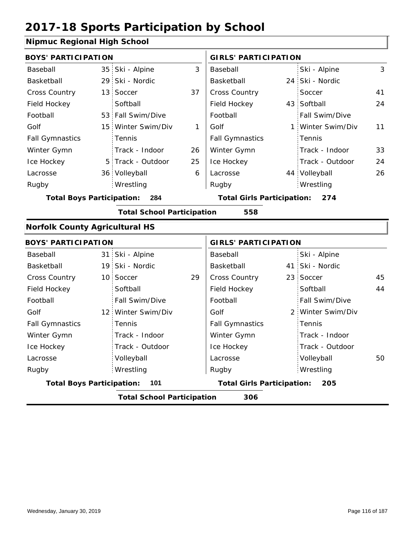### **Nipmuc Regional High School**

| <b>BOYS' PARTICIPATION</b>            |                                      |    | <b>GIRLS' PARTICIPATION</b>              |                 |                   |    |  |
|---------------------------------------|--------------------------------------|----|------------------------------------------|-----------------|-------------------|----|--|
| Baseball                              | 35 Ski - Alpine                      | 3  | Baseball                                 |                 | Ski - Alpine      | 3  |  |
| Basketball                            | 29 Ski - Nordic                      |    | Basketball                               |                 | 24 Ski - Nordic   |    |  |
| <b>Cross Country</b>                  | 13 Soccer                            | 37 | Cross Country                            |                 | Soccer            | 41 |  |
| Field Hockey                          | Softball                             |    | Field Hockey                             |                 | 43 Softball       | 24 |  |
| Football                              | 53 Fall Swim/Dive                    |    | Football                                 |                 | Fall Swim/Dive    |    |  |
| Golf                                  | 15 Winter Swim/Div                   | 1  | Golf                                     | $1 \cdot$       | Winter Swim/Div   | 11 |  |
| <b>Fall Gymnastics</b>                | Tennis                               |    | <b>Fall Gymnastics</b>                   |                 | Tennis            |    |  |
| Winter Gymn                           | Track - Indoor                       | 26 | Winter Gymn                              |                 | Track - Indoor    | 33 |  |
| Ice Hockey                            | 5 Track - Outdoor                    | 25 | Ice Hockey                               |                 | Track - Outdoor   | 24 |  |
| Lacrosse                              | 36 Volleyball                        | 6  | Lacrosse                                 |                 | 44 Volleyball     | 26 |  |
| Rugby                                 | Wrestling                            |    | Rugby                                    |                 | Wrestling         |    |  |
|                                       | <b>Total Boys Participation: 284</b> |    | <b>Total Girls Participation:</b>        |                 | 274               |    |  |
|                                       | <b>Total School Participation</b>    |    | 558                                      |                 |                   |    |  |
| <b>Norfolk County Agricultural HS</b> |                                      |    |                                          |                 |                   |    |  |
| <b>BOYS' PARTICIPATION</b>            |                                      |    | <b>GIRLS' PARTICIPATION</b>              |                 |                   |    |  |
| Baseball                              | 31 Ski - Alpine                      |    | Baseball                                 |                 | Ski - Alpine      |    |  |
| Basketball                            | 19 Ski - Nordic                      |    | Basketball                               |                 | 41 Ski - Nordic   |    |  |
| Cross Country                         | 10 Soccer                            | 29 | Cross Country                            | 23 <sup>1</sup> | Soccer            | 45 |  |
| Field Hockey                          | Softball                             |    | Field Hockey                             |                 | Softball          | 44 |  |
| Football                              | Fall Swim/Dive                       |    | Football                                 |                 | Fall Swim/Dive    |    |  |
| Golf                                  | 12 Winter Swim/Div                   |    | Golf                                     |                 | 2 Winter Swim/Div |    |  |
| <b>Fall Gymnastics</b>                | Tennis                               |    | <b>Fall Gymnastics</b>                   |                 | Tennis            |    |  |
| Winter Gymn                           | Track - Indoor                       |    | Winter Gymn                              |                 | Track - Indoor    |    |  |
| Ice Hockey                            | Track - Outdoor                      |    | Ice Hockey                               |                 | Track - Outdoor   |    |  |
| Lacrosse                              | Volleyball                           |    | Lacrosse                                 |                 | Volleyball        | 50 |  |
| Rugby                                 | Wrestling                            |    | Rugby                                    |                 | Wrestling         |    |  |
| <b>Total Boys Participation:</b>      | 101                                  |    | <b>Total Girls Participation:</b><br>205 |                 |                   |    |  |

**Total School Participation 306**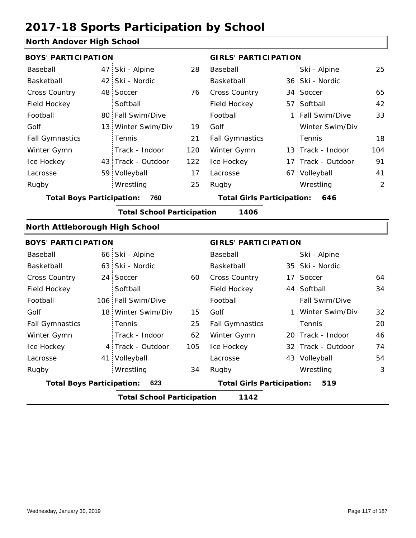### **North Andover High School**

| <b>BOYS' PARTICIPATION</b>       |                                   |     | <b>GIRLS' PARTICIPATION</b>       |  |                    |     |  |
|----------------------------------|-----------------------------------|-----|-----------------------------------|--|--------------------|-----|--|
| Baseball                         | 47 Ski - Alpine                   | 28  | Baseball                          |  | Ski - Alpine       | 25  |  |
| Basketball                       | 42 Ski - Nordic                   |     | Basketball                        |  | 36 Ski - Nordic    |     |  |
| Cross Country                    | 48 Soccer                         | 76  | Cross Country                     |  | 34 Soccer          | 65  |  |
| Field Hockey                     | Softball                          |     | Field Hockey                      |  | 57 Softball        | 42  |  |
| Football                         | 80 Fall Swim/Dive                 |     | Football                          |  | 1 Fall Swim/Dive   | 33  |  |
| Golf                             | 13 Winter Swim/Div                | 19  | Golf                              |  | Winter Swim/Div    |     |  |
| <b>Fall Gymnastics</b>           | Tennis                            | 21  | <b>Fall Gymnastics</b>            |  | Tennis             | 18  |  |
| Winter Gymn                      | Track - Indoor                    | 120 | Winter Gymn                       |  | 13 Track - Indoor  | 104 |  |
| Ice Hockey                       | 43 Track - Outdoor                | 122 | Ice Hockey                        |  | 17 Track - Outdoor | 91  |  |
| Lacrosse                         | 59 Volleyball                     | 17  | Lacrosse                          |  | 67 Volleyball      | 41  |  |
| Rugby                            | Wrestling                         | 25  | Rugby                             |  | Wrestling          | 2   |  |
| <b>Total Boys Participation:</b> | 760                               |     | <b>Total Girls Participation:</b> |  | 646                |     |  |
|                                  | <b>Total School Participation</b> |     | 1406                              |  |                    |     |  |
| North Attleborough High School   |                                   |     |                                   |  |                    |     |  |
| <b>BOYS' PARTICIPATION</b>       |                                   |     | <b>GIRLS' PARTICIPATION</b>       |  |                    |     |  |
| Baseball                         | 66 Ski - Alpine                   |     | Baseball                          |  | Ski - Alpine       |     |  |
| Basketball                       | 63 Ski - Nordic                   |     | Basketball                        |  | 35 Ski - Nordic    |     |  |
| <b>Cross Country</b>             | 24 Soccer                         | 60  | Cross Country                     |  | 17 Soccer          | 64  |  |
| Field Hockey                     | Softball                          |     | Field Hockey                      |  | 44 Softball        | 34  |  |
| Football                         | 106 Fall Swim/Dive                |     | Football                          |  | Fall Swim/Dive     |     |  |
| Golf                             | 18 Winter Swim/Div                | 15  | Golf                              |  | 1 Winter Swim/Div  | 32  |  |
| <b>Fall Gymnastics</b>           | Tennis                            | 25  | <b>Fall Gymnastics</b>            |  | Tennis             | 20  |  |
| Winter Gymn                      | Track - Indoor                    | 62  | Winter Gymn                       |  | 20 Track - Indoor  | 46  |  |
| Ice Hockey                       | 4 Track - Outdoor                 | 105 | Ice Hockey                        |  | 32 Track - Outdoor | 74  |  |
| Lacrosse                         | 41 Volleyball                     |     | Lacrosse                          |  | 43 Volleyball      | 54  |  |
| Rugby                            | Wrestling                         | 34  | Rugby                             |  | Wrestling          | 3   |  |
| <b>Total Boys Participation:</b> | 623                               |     | <b>Total Girls Participation:</b> |  | 519                |     |  |
|                                  | <b>Total School Participation</b> |     | 1142                              |  |                    |     |  |
|                                  |                                   |     |                                   |  |                    |     |  |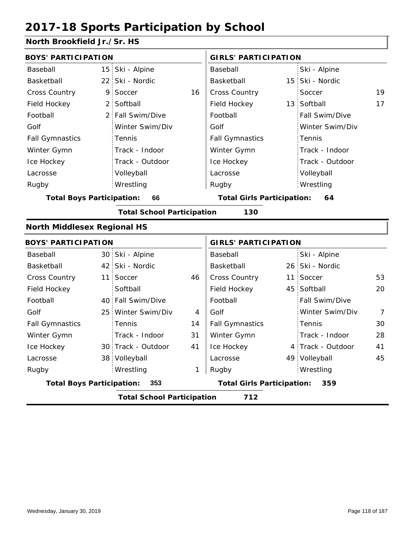### **North Brookfield Jr./Sr. HS**

|                 |                                                                                                                                                                                                                                                                                                                                                       | <b>GIRLS' PARTICIPATION</b> |                                                                        |                 |                                                                                                                                                                                                                              |
|-----------------|-------------------------------------------------------------------------------------------------------------------------------------------------------------------------------------------------------------------------------------------------------------------------------------------------------------------------------------------------------|-----------------------------|------------------------------------------------------------------------|-----------------|------------------------------------------------------------------------------------------------------------------------------------------------------------------------------------------------------------------------------|
|                 |                                                                                                                                                                                                                                                                                                                                                       | Baseball                    |                                                                        | Ski - Alpine    |                                                                                                                                                                                                                              |
|                 |                                                                                                                                                                                                                                                                                                                                                       | Basketball                  |                                                                        |                 |                                                                                                                                                                                                                              |
| Soccer          | 16                                                                                                                                                                                                                                                                                                                                                    | Cross Country               |                                                                        | Soccer          | 19                                                                                                                                                                                                                           |
| Softball        |                                                                                                                                                                                                                                                                                                                                                       | Field Hockey                |                                                                        |                 | 17                                                                                                                                                                                                                           |
| Fall Swim/Dive  |                                                                                                                                                                                                                                                                                                                                                       | Football                    |                                                                        | Fall Swim/Dive  |                                                                                                                                                                                                                              |
| Winter Swim/Div |                                                                                                                                                                                                                                                                                                                                                       | Golf                        |                                                                        | Winter Swim/Div |                                                                                                                                                                                                                              |
| Tennis          |                                                                                                                                                                                                                                                                                                                                                       | <b>Fall Gymnastics</b>      |                                                                        | Tennis          |                                                                                                                                                                                                                              |
| Track - Indoor  |                                                                                                                                                                                                                                                                                                                                                       | Winter Gymn                 |                                                                        | Track - Indoor  |                                                                                                                                                                                                                              |
| Track - Outdoor |                                                                                                                                                                                                                                                                                                                                                       | Ice Hockey                  |                                                                        | Track - Outdoor |                                                                                                                                                                                                                              |
| Volleyball      |                                                                                                                                                                                                                                                                                                                                                       | Lacrosse                    |                                                                        | Volleyball      |                                                                                                                                                                                                                              |
| Wrestling       |                                                                                                                                                                                                                                                                                                                                                       | Rugby                       |                                                                        | Wrestling       |                                                                                                                                                                                                                              |
| 66              |                                                                                                                                                                                                                                                                                                                                                       |                             |                                                                        | 64              |                                                                                                                                                                                                                              |
|                 |                                                                                                                                                                                                                                                                                                                                                       | 130                         |                                                                        |                 |                                                                                                                                                                                                                              |
|                 |                                                                                                                                                                                                                                                                                                                                                       |                             |                                                                        |                 |                                                                                                                                                                                                                              |
|                 |                                                                                                                                                                                                                                                                                                                                                       |                             |                                                                        |                 |                                                                                                                                                                                                                              |
|                 |                                                                                                                                                                                                                                                                                                                                                       | Baseball                    |                                                                        | Ski - Alpine    |                                                                                                                                                                                                                              |
|                 |                                                                                                                                                                                                                                                                                                                                                       | Basketball                  |                                                                        |                 |                                                                                                                                                                                                                              |
| Soccer          | 46                                                                                                                                                                                                                                                                                                                                                    | Cross Country               |                                                                        |                 | 53                                                                                                                                                                                                                           |
| Softball        |                                                                                                                                                                                                                                                                                                                                                       | Field Hockey                |                                                                        |                 | 20                                                                                                                                                                                                                           |
| Fall Swim/Dive  |                                                                                                                                                                                                                                                                                                                                                       | Football                    |                                                                        | Fall Swim/Dive  |                                                                                                                                                                                                                              |
| Winter Swim/Div | 4                                                                                                                                                                                                                                                                                                                                                     | Golf                        |                                                                        | Winter Swim/Div | 7                                                                                                                                                                                                                            |
| Tennis          | 14                                                                                                                                                                                                                                                                                                                                                    | <b>Fall Gymnastics</b>      |                                                                        | Tennis          | 30                                                                                                                                                                                                                           |
| Track - Indoor  | 31                                                                                                                                                                                                                                                                                                                                                    | Winter Gymn                 |                                                                        | Track - Indoor  | 28                                                                                                                                                                                                                           |
|                 | 41                                                                                                                                                                                                                                                                                                                                                    | Ice Hockey                  |                                                                        |                 | 41                                                                                                                                                                                                                           |
|                 |                                                                                                                                                                                                                                                                                                                                                       | Lacrosse                    |                                                                        |                 | 45                                                                                                                                                                                                                           |
| Wrestling       | 1                                                                                                                                                                                                                                                                                                                                                     | Rugby                       |                                                                        | Wrestling       |                                                                                                                                                                                                                              |
| 353             |                                                                                                                                                                                                                                                                                                                                                       |                             |                                                                        | 359             |                                                                                                                                                                                                                              |
|                 |                                                                                                                                                                                                                                                                                                                                                       | 712                         |                                                                        |                 |                                                                                                                                                                                                                              |
|                 | <b>BOYS' PARTICIPATION</b><br>15 Ski - Alpine<br>22 Ski - Nordic<br>9<br>2:<br>2 <sub>1</sub><br><b>Total Boys Participation:</b><br><b>North Middlesex Regional HS</b><br><b>BOYS' PARTICIPATION</b><br>30 Ski - Alpine<br>42 Ski - Nordic<br>11<br>40<br>25 <sup>1</sup><br>30 Track - Outdoor<br>38 Volleyball<br><b>Total Boys Participation:</b> |                             | <b>Total School Participation</b><br><b>Total School Participation</b> |                 | 15 Ski - Nordic<br>13 Softball<br><b>Total Girls Participation:</b><br><b>GIRLS' PARTICIPATION</b><br>26 Ski - Nordic<br>11 Soccer<br>45 Softball<br>4 Track - Outdoor<br>49 Volleyball<br><b>Total Girls Participation:</b> |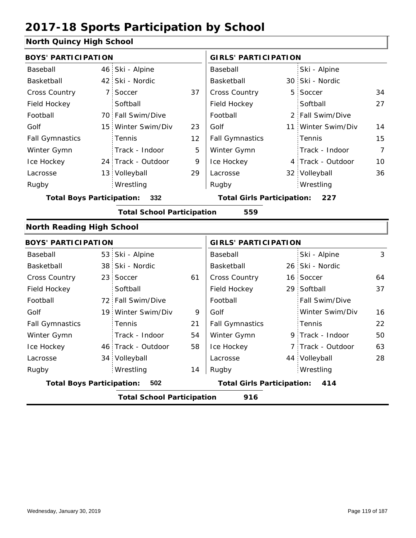### **North Quincy High School**

| ושטו גוו עשוווטץ רווערו שטווטטו         |                 |                                   |    |                                            |  |                    |                |  |  |
|-----------------------------------------|-----------------|-----------------------------------|----|--------------------------------------------|--|--------------------|----------------|--|--|
| <b>BOYS' PARTICIPATION</b>              |                 |                                   |    | <b>GIRLS' PARTICIPATION</b>                |  |                    |                |  |  |
| Baseball                                | 46              | Ski - Alpine                      |    | Baseball                                   |  | Ski - Alpine       |                |  |  |
| Basketball                              |                 | 42 Ski - Nordic                   |    | Basketball                                 |  | 30 Ski - Nordic    |                |  |  |
| Cross Country                           | 7 <sup>1</sup>  | Soccer                            | 37 | Cross Country                              |  | 5 Soccer           | 34             |  |  |
| Field Hockey                            |                 | Softball                          |    | Field Hockey                               |  | Softball           | 27             |  |  |
| Football                                |                 | 70 Fall Swim/Dive                 |    | Football                                   |  | 2 Fall Swim/Dive   |                |  |  |
| Golf                                    |                 | 15 Winter Swim/Div                | 23 | Golf                                       |  | 11 Winter Swim/Div | 14             |  |  |
| <b>Fall Gymnastics</b>                  |                 | Tennis                            | 12 | <b>Fall Gymnastics</b>                     |  | Tennis             | 15             |  |  |
| Winter Gymn                             |                 | Track - Indoor                    | 5  | Winter Gymn                                |  | Track - Indoor     | $\overline{7}$ |  |  |
| Ice Hockey                              |                 | 24 Track - Outdoor                | 9  | Ice Hockey                                 |  | 4 Track - Outdoor  | 10             |  |  |
| Lacrosse                                |                 | 13 Volleyball                     | 29 | Lacrosse                                   |  | 32 Volleyball      | 36             |  |  |
| Rugby                                   |                 | Wrestling                         |    | Rugby                                      |  | Wrestling          |                |  |  |
| <b>Total Boys Participation:</b><br>332 |                 |                                   |    | <b>Total Girls Participation:</b><br>- 227 |  |                    |                |  |  |
|                                         |                 | <b>Total School Participation</b> |    | 559                                        |  |                    |                |  |  |
| <b>North Reading High School</b>        |                 |                                   |    |                                            |  |                    |                |  |  |
| <b>BOYS' PARTICIPATION</b>              |                 |                                   |    | <b>GIRLS' PARTICIPATION</b>                |  |                    |                |  |  |
| Baseball                                |                 | 53 Ski - Alpine                   |    | Baseball                                   |  | Ski - Alpine       | 3              |  |  |
| Basketball                              | 38              | Ski - Nordic                      |    | Basketball                                 |  | 26 Ski - Nordic    |                |  |  |
| Cross Country                           | 23 <sup>1</sup> | Soccer                            | 61 | Cross Country                              |  | 16 Soccer          | 64             |  |  |
| Field Hockey                            |                 | Softball                          |    | Field Hockey                               |  | 29 Softball        | 37             |  |  |
| Football                                |                 | 72 Fall Swim/Dive                 |    | Football                                   |  | Fall Swim/Dive     |                |  |  |
| Golf                                    |                 | 19 Winter Swim/Div                | 9  | Golf                                       |  | Winter Swim/Div    | 16             |  |  |
|                                         |                 |                                   |    |                                            |  |                    |                |  |  |
| <b>Fall Gymnastics</b>                  |                 | Tennis                            | 21 | <b>Fall Gymnastics</b>                     |  | Tennis             | 22             |  |  |

|                                  | <b>Total School Participation</b> |    | 916                               |                             |  |
|----------------------------------|-----------------------------------|----|-----------------------------------|-----------------------------|--|
| <b>Total Boys Participation:</b> | 502                               |    | <b>Total Girls Participation:</b> | 414                         |  |
| Rugby                            | Wrestling                         | 14 | Rugby                             | Wrestling                   |  |
| Lacrosse                         | 34 Volleyball                     |    | Lacrosse                          | 44 Volleyball               |  |
| Ice Hockey                       | 46 Track - Outdoor                | 58 | Ice Hockey                        | 7 Track - Outdoor           |  |
| vviitust Oyiiiit                 | $1100N - 110001$                  | ◡┭ | vviitust Oyiini                   | $7 + 11$ and $-111$ and $0$ |  |

63

28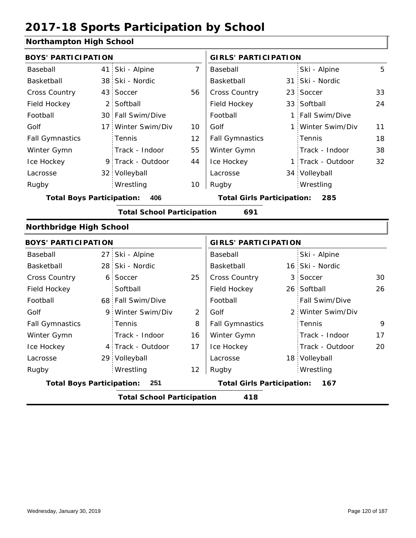### **Northampton High School**

| <b>BOYS' PARTICIPATION</b>       |                 |                                   |                | <b>GIRLS' PARTICIPATION</b>       |  |                   |    |
|----------------------------------|-----------------|-----------------------------------|----------------|-----------------------------------|--|-------------------|----|
| Baseball                         | 41.             | Ski - Alpine                      | $\overline{7}$ | Baseball                          |  | Ski - Alpine      | 5  |
| Basketball                       | 38              | Ski - Nordic                      |                | Basketball                        |  | 31 Ski - Nordic   |    |
| <b>Cross Country</b>             | 43              | Soccer                            | 56             | <b>Cross Country</b>              |  | 23 Soccer         | 33 |
| Field Hockey                     | $\overline{2}$  | Softball                          |                | Field Hockey                      |  | 33 Softball       | 24 |
| Football                         |                 | 30 Fall Swim/Dive                 |                | Football                          |  | 1 Fall Swim/Dive  |    |
| Golf                             | 17 <sup>1</sup> | Winter Swim/Div                   | 10             | Golf                              |  | 1 Winter Swim/Div | 11 |
| <b>Fall Gymnastics</b>           |                 | Tennis                            | 12             | <b>Fall Gymnastics</b>            |  | Tennis            | 18 |
| Winter Gymn                      |                 | Track - Indoor                    | 55             | Winter Gymn                       |  | Track - Indoor    | 38 |
| Ice Hockey                       |                 | 9 Track - Outdoor                 | 44             | Ice Hockey                        |  | 1 Track - Outdoor | 32 |
| Lacrosse                         |                 | 32 Volleyball                     |                | Lacrosse                          |  | 34 Volleyball     |    |
| Rugby                            |                 | Wrestling                         | 10             | Rugby                             |  | Wrestling         |    |
| <b>Total Boys Participation:</b> |                 | 406                               |                | <b>Total Girls Participation:</b> |  | 285               |    |
|                                  |                 | <b>Total School Participation</b> |                | 691                               |  |                   |    |
| Northbridge High School          |                 |                                   |                |                                   |  |                   |    |
| <b>BOYS' PARTICIPATION</b>       |                 |                                   |                | <b>GIRLS' PARTICIPATION</b>       |  |                   |    |
| Baseball                         | 27 <sup>1</sup> | Ski - Alpine                      |                | Baseball                          |  | Ski - Alpine      |    |
| Basketball                       | 28 <sup>1</sup> | Ski - Nordic                      |                | Basketball                        |  | 16 Ski - Nordic   |    |
| Cross Country                    | 6               | Soccer                            | 25             | Cross Country                     |  | 3 Soccer          | 30 |
| Field Hockey                     |                 | Softball                          |                | Field Hockey                      |  | 26 Softball       | 26 |
| Football                         |                 | 68 Fall Swim/Dive                 |                | Football                          |  | Fall Swim/Dive    |    |
| Golf                             | 9.              | Winter Swim/Div                   | $\mathcal{P}$  | Golf                              |  | 2 Winter Swim/Div |    |
| <b>Fall Gymnastics</b>           |                 | Tennis                            | 8              | <b>Fall Gymnastics</b>            |  | Tennis            | 9  |
| Winter Gymn                      |                 | Track - Indoor                    | 16             | Winter Gymn                       |  | Track - Indoor    | 17 |
| Ice Hockey                       | $\overline{4}$  | Track - Outdoor                   | 17             | Ice Hockey                        |  | Track - Outdoor   | 20 |
| Lacrosse                         |                 | 29 Volleyball                     |                | Lacrosse                          |  | 18 Volleyball     |    |
| Rugby                            |                 | Wrestling                         | 12             | Rugby                             |  | Wrestling         |    |
| <b>Total Boys Participation:</b> |                 | 251                               |                | <b>Total Girls Participation:</b> |  | 167               |    |

**Total School Participation 418**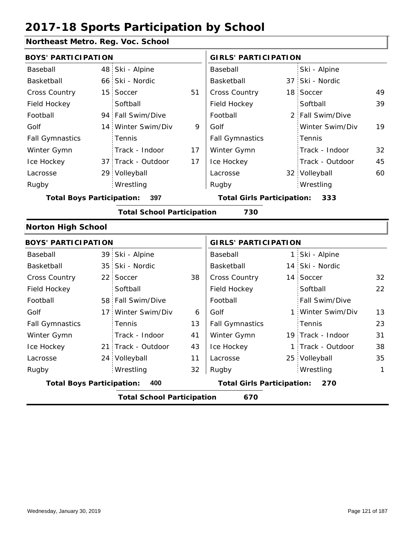### **Northeast Metro. Reg. Voc. School**

| <b>BOYS' PARTICIPATION</b>              |  |                    | <b>GIRLS' PARTICIPATION</b>       |                        |     |                  |    |
|-----------------------------------------|--|--------------------|-----------------------------------|------------------------|-----|------------------|----|
| Baseball                                |  | 48 Ski - Alpine    |                                   | Baseball               |     | Ski - Alpine     |    |
| Basketball                              |  | 66 Ski - Nordic    |                                   | Basketball             |     | 37 Ski - Nordic  |    |
| <b>Cross Country</b>                    |  | 15 Soccer          | 51                                | <b>Cross Country</b>   |     | 18 Soccer        | 49 |
| Field Hockey                            |  | Softball           |                                   | Field Hockey           |     | Softball         | 39 |
| Football                                |  | 94 Fall Swim/Dive  |                                   | Football               |     | 2 Fall Swim/Dive |    |
| Golf                                    |  | 14 Winter Swim/Div | 9                                 | Golf                   |     | Winter Swim/Div  | 19 |
| <b>Fall Gymnastics</b>                  |  | <b>Tennis</b>      |                                   | <b>Fall Gymnastics</b> |     | Tennis           |    |
| Winter Gymn                             |  | Track - Indoor     | 17                                | Winter Gymn            |     | Track - Indoor   | 32 |
| Ice Hockey                              |  | 37 Track - Outdoor | 17                                | Ice Hockey             |     | Track - Outdoor  | 45 |
| Lacrosse                                |  | 29 Volleyball      |                                   | Lacrosse               |     | 32 Volleyball    | 60 |
| Rugby                                   |  | Wrestling          |                                   | Rugby                  |     | Wrestling        |    |
| 397<br><b>Total Boys Participation:</b> |  |                    | <b>Total Girls Participation:</b> |                        | 333 |                  |    |

**Total School Participation 730**

#### **Norton High School**

|                                         | <b>BOYS' PARTICIPATION</b>               |                                          |    |                        | <b>GIRLS' PARTICIPATION</b> |                       |    |  |
|-----------------------------------------|------------------------------------------|------------------------------------------|----|------------------------|-----------------------------|-----------------------|----|--|
| Baseball                                |                                          | 39 Ski - Alpine                          |    | Baseball               |                             | 1 Ski - Alpine        |    |  |
| Basketball                              |                                          | 35 Ski - Nordic                          |    | Basketball             |                             | 14 Ski - Nordic       |    |  |
| <b>Cross Country</b>                    |                                          | 22 Soccer                                | 38 | <b>Cross Country</b>   |                             | 14 Soccer             | 32 |  |
| Field Hockey                            |                                          | Softball                                 |    | Field Hockey           |                             | Softball              | 22 |  |
| Football                                |                                          | 58 Fall Swim/Dive                        |    | Football               |                             | <b>Fall Swim/Dive</b> |    |  |
| Golf                                    |                                          | 17 Winter Swim/Div                       | 6  | Golf                   |                             | 1 Winter Swim/Div     | 13 |  |
| <b>Fall Gymnastics</b>                  |                                          | Tennis                                   | 13 | <b>Fall Gymnastics</b> |                             | Tennis                | 23 |  |
| Winter Gymn                             |                                          | Track - Indoor                           | 41 | Winter Gymn            |                             | 19 Track - Indoor     | 31 |  |
| Ice Hockey                              |                                          | 21 Track - Outdoor                       | 43 | Ice Hockey             |                             | 1 Track - Outdoor     | 38 |  |
| Lacrosse                                |                                          | 24 Volleyball                            | 11 | Lacrosse               |                             | 25 Volleyball         | 35 |  |
| Rugby                                   |                                          | Wrestling                                | 32 | Rugby                  |                             | Wrestling             | 1  |  |
| <b>Total Boys Participation:</b><br>400 |                                          | <b>Total Girls Participation:</b><br>270 |    |                        |                             |                       |    |  |
|                                         | 670<br><b>Total School Participation</b> |                                          |    |                        |                             |                       |    |  |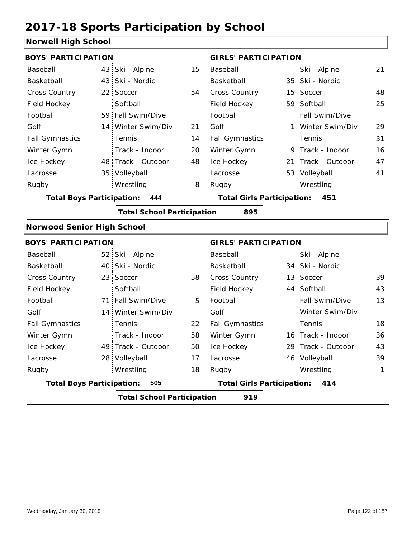### **Norwell High School**

| <b>BOYS' PARTICIPATION</b>               |                |                                                                                                                                                                                                                                                                                                                                                                                                                   | <b>GIRLS' PARTICIPATION</b>              |                                   |                 |                                                                                                                                                                                                                                                                                                  |  |
|------------------------------------------|----------------|-------------------------------------------------------------------------------------------------------------------------------------------------------------------------------------------------------------------------------------------------------------------------------------------------------------------------------------------------------------------------------------------------------------------|------------------------------------------|-----------------------------------|-----------------|--------------------------------------------------------------------------------------------------------------------------------------------------------------------------------------------------------------------------------------------------------------------------------------------------|--|
|                                          |                | 15                                                                                                                                                                                                                                                                                                                                                                                                                | Baseball                                 |                                   | Ski - Alpine    | 21                                                                                                                                                                                                                                                                                               |  |
|                                          |                |                                                                                                                                                                                                                                                                                                                                                                                                                   | Basketball                               |                                   | Ski - Nordic    |                                                                                                                                                                                                                                                                                                  |  |
|                                          |                | 54                                                                                                                                                                                                                                                                                                                                                                                                                | Cross Country                            |                                   |                 | 48                                                                                                                                                                                                                                                                                               |  |
|                                          | Softball       |                                                                                                                                                                                                                                                                                                                                                                                                                   | Field Hockey                             |                                   |                 | 25                                                                                                                                                                                                                                                                                               |  |
|                                          |                |                                                                                                                                                                                                                                                                                                                                                                                                                   | Football                                 |                                   | Fall Swim/Dive  |                                                                                                                                                                                                                                                                                                  |  |
|                                          |                | 21                                                                                                                                                                                                                                                                                                                                                                                                                | Golf                                     |                                   | Winter Swim/Div | 29                                                                                                                                                                                                                                                                                               |  |
|                                          | Tennis         | 14                                                                                                                                                                                                                                                                                                                                                                                                                | <b>Fall Gymnastics</b>                   |                                   | Tennis          | 31                                                                                                                                                                                                                                                                                               |  |
|                                          | Track - Indoor | 20                                                                                                                                                                                                                                                                                                                                                                                                                | Winter Gymn                              |                                   |                 | 16                                                                                                                                                                                                                                                                                               |  |
|                                          |                | 48                                                                                                                                                                                                                                                                                                                                                                                                                | Ice Hockey                               |                                   |                 | 47                                                                                                                                                                                                                                                                                               |  |
|                                          |                |                                                                                                                                                                                                                                                                                                                                                                                                                   | Lacrosse                                 |                                   |                 | 41                                                                                                                                                                                                                                                                                               |  |
|                                          | Wrestling      | 8                                                                                                                                                                                                                                                                                                                                                                                                                 | Rugby                                    |                                   | Wrestling       |                                                                                                                                                                                                                                                                                                  |  |
|                                          | 444            |                                                                                                                                                                                                                                                                                                                                                                                                                   |                                          |                                   |                 |                                                                                                                                                                                                                                                                                                  |  |
|                                          |                |                                                                                                                                                                                                                                                                                                                                                                                                                   | 895                                      |                                   |                 |                                                                                                                                                                                                                                                                                                  |  |
|                                          |                |                                                                                                                                                                                                                                                                                                                                                                                                                   |                                          |                                   |                 |                                                                                                                                                                                                                                                                                                  |  |
|                                          |                |                                                                                                                                                                                                                                                                                                                                                                                                                   |                                          |                                   |                 |                                                                                                                                                                                                                                                                                                  |  |
|                                          |                |                                                                                                                                                                                                                                                                                                                                                                                                                   | Baseball                                 |                                   | Ski - Alpine    |                                                                                                                                                                                                                                                                                                  |  |
|                                          |                |                                                                                                                                                                                                                                                                                                                                                                                                                   | Basketball                               |                                   |                 |                                                                                                                                                                                                                                                                                                  |  |
|                                          |                | 58                                                                                                                                                                                                                                                                                                                                                                                                                | Cross Country                            |                                   |                 | 39                                                                                                                                                                                                                                                                                               |  |
|                                          | Softball       |                                                                                                                                                                                                                                                                                                                                                                                                                   | Field Hockey                             |                                   |                 | 43                                                                                                                                                                                                                                                                                               |  |
|                                          |                | 5                                                                                                                                                                                                                                                                                                                                                                                                                 | Football                                 |                                   | Fall Swim/Dive  | 13                                                                                                                                                                                                                                                                                               |  |
|                                          |                |                                                                                                                                                                                                                                                                                                                                                                                                                   | Golf                                     |                                   | Winter Swim/Div |                                                                                                                                                                                                                                                                                                  |  |
|                                          | Tennis         | 22                                                                                                                                                                                                                                                                                                                                                                                                                | <b>Fall Gymnastics</b>                   |                                   | Tennis          | 18                                                                                                                                                                                                                                                                                               |  |
|                                          | Track - Indoor | 58                                                                                                                                                                                                                                                                                                                                                                                                                | Winter Gymn                              |                                   |                 | 36                                                                                                                                                                                                                                                                                               |  |
|                                          |                | 50                                                                                                                                                                                                                                                                                                                                                                                                                | Ice Hockey                               |                                   |                 | 43                                                                                                                                                                                                                                                                                               |  |
|                                          |                | 17                                                                                                                                                                                                                                                                                                                                                                                                                | Lacrosse                                 |                                   |                 | 39                                                                                                                                                                                                                                                                                               |  |
|                                          | Wrestling      | 18                                                                                                                                                                                                                                                                                                                                                                                                                | Rugby                                    |                                   | Wrestling       | 1                                                                                                                                                                                                                                                                                                |  |
|                                          | 505            |                                                                                                                                                                                                                                                                                                                                                                                                                   | <b>Total Girls Participation:</b><br>414 |                                   |                 |                                                                                                                                                                                                                                                                                                  |  |
| 919<br><b>Total School Participation</b> |                |                                                                                                                                                                                                                                                                                                                                                                                                                   |                                          |                                   |                 |                                                                                                                                                                                                                                                                                                  |  |
|                                          |                | 43 Ski - Alpine<br>43 Ski - Nordic<br>22 Soccer<br>59 Fall Swim/Dive<br>14 Winter Swim/Div<br>48 Track - Outdoor<br>35 Volleyball<br><b>Total Boys Participation:</b><br><b>Norwood Senior High School</b><br><b>BOYS' PARTICIPATION</b><br>52 Ski - Alpine<br>40 Ski - Nordic<br>23 Soccer<br>71 Fall Swim/Dive<br>14 Winter Swim/Div<br>49 Track - Outdoor<br>28 Volleyball<br><b>Total Boys Participation:</b> |                                          | <b>Total School Participation</b> |                 | 35 <sup>1</sup><br>15 Soccer<br>59 Softball<br>1 :<br>9 Track - Indoor<br>21 Track - Outdoor<br>53 Volleyball<br><b>Total Girls Participation: 451</b><br><b>GIRLS' PARTICIPATION</b><br>34 Ski - Nordic<br>13 Soccer<br>44 Softball<br>16 Track - Indoor<br>29 Track - Outdoor<br>46 Volleyball |  |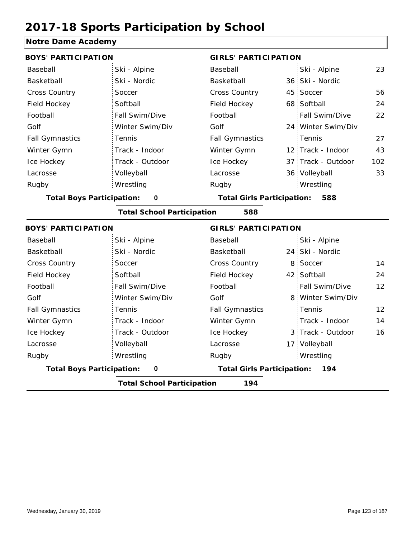### **Notre Dame Academy**

| NUTE DATIK AVAUVITY              |                                   |                                          |                             |                    |                   |  |
|----------------------------------|-----------------------------------|------------------------------------------|-----------------------------|--------------------|-------------------|--|
| <b>BOYS' PARTICIPATION</b>       |                                   |                                          | <b>GIRLS' PARTICIPATION</b> |                    |                   |  |
| Baseball                         | Ski - Alpine                      | Baseball                                 |                             | Ski - Alpine       | 23                |  |
| Basketball                       | Ski - Nordic                      | Basketball                               |                             | 36 Ski - Nordic    |                   |  |
| Cross Country                    | Soccer                            | Cross Country                            | 45                          | Soccer             | 56                |  |
| Field Hockey                     | Softball                          | Field Hockey                             |                             | 68 Softball        | 24                |  |
| Football                         | Fall Swim/Dive                    | Football                                 |                             | Fall Swim/Dive     | 22                |  |
| Golf                             | Winter Swim/Div                   | Golf                                     |                             | 24 Winter Swim/Div |                   |  |
| <b>Fall Gymnastics</b>           | Tennis                            | <b>Fall Gymnastics</b>                   |                             | Tennis             | 27                |  |
| Winter Gymn                      | Track - Indoor                    | Winter Gymn                              |                             | 12 Track - Indoor  | 43                |  |
| Ice Hockey                       | Track - Outdoor                   | Ice Hockey                               |                             | 37 Track - Outdoor | 102               |  |
| Lacrosse                         | Volleyball                        | Lacrosse                                 |                             | 36 Volleyball      | 33                |  |
| Rugby                            | Wrestling                         | Rugby                                    |                             | Wrestling          |                   |  |
| <b>Total Boys Participation:</b> | $\pmb{0}$                         | <b>Total Girls Participation:</b>        |                             | 588                |                   |  |
|                                  | <b>Total School Participation</b> | 588                                      |                             |                    |                   |  |
| <b>BOYS' PARTICIPATION</b>       |                                   | <b>GIRLS' PARTICIPATION</b>              |                             |                    |                   |  |
| Baseball                         | Ski - Alpine                      | Baseball                                 |                             | Ski - Alpine       |                   |  |
| Basketball                       | Ski - Nordic                      | Basketball                               |                             | 24 Ski - Nordic    |                   |  |
| Cross Country                    | Soccer                            | <b>Cross Country</b>                     | 8                           | Soccer             | 14                |  |
| Field Hockey                     | Softball                          | Field Hockey                             |                             | 42 Softball        | 24                |  |
| Football                         | Fall Swim/Dive                    | Football                                 |                             | Fall Swim/Dive     | $12 \overline{ }$ |  |
| Golf                             | Winter Swim/Div                   | Golf                                     |                             | 8 Winter Swim/Div  |                   |  |
| <b>Fall Gymnastics</b>           | Tennis                            | <b>Fall Gymnastics</b>                   |                             | Tennis             | 12                |  |
| Winter Gymn                      | Track - Indoor                    | Winter Gymn                              |                             | Track - Indoor     | 14                |  |
| Ice Hockey                       | Track - Outdoor                   | Ice Hockey                               |                             | 3 Track - Outdoor  | 16                |  |
| Lacrosse                         | Volleyball                        | Lacrosse                                 |                             | 17 Volleyball      |                   |  |
| Rugby                            | Wrestling                         | Rugby                                    |                             | Wrestling          |                   |  |
|                                  |                                   | <b>Total Girls Participation:</b><br>194 |                             |                    |                   |  |
| <b>Total Boys Participation:</b> | $\pmb{0}$                         |                                          |                             |                    |                   |  |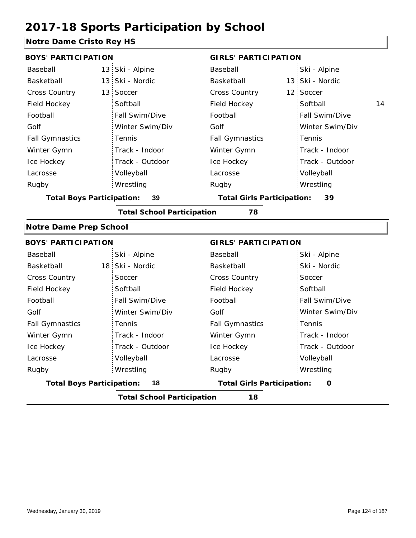#### **Notre Dame Cristo Rey HS**

| <b>BOYS' PARTICIPATION</b>       |                                   | <b>GIRLS' PARTICIPATION</b>             |                 |  |  |
|----------------------------------|-----------------------------------|-----------------------------------------|-----------------|--|--|
| Baseball                         | 13 Ski - Alpine                   | Baseball                                | Ski - Alpine    |  |  |
| Basketball                       | 13 Ski - Nordic                   | Basketball                              | 13 Ski - Nordic |  |  |
| Cross Country                    | 13 Soccer                         | Cross Country                           | Soccer<br>12    |  |  |
| Field Hockey                     | Softball                          | Field Hockey                            | Softball<br>14  |  |  |
| Football                         | Fall Swim/Dive                    | Football                                | Fall Swim/Dive  |  |  |
| Golf                             | Winter Swim/Div                   | Golf                                    | Winter Swim/Div |  |  |
| <b>Fall Gymnastics</b>           | Tennis                            | <b>Fall Gymnastics</b>                  | Tennis          |  |  |
| Winter Gymn                      | Track - Indoor                    | Winter Gymn                             | Track - Indoor  |  |  |
| Ice Hockey                       | Track - Outdoor                   | Ice Hockey                              | Track - Outdoor |  |  |
| Lacrosse                         | Volleyball                        | Lacrosse                                | Volleyball      |  |  |
| Rugby                            | Wrestling                         | Rugby                                   | Wrestling       |  |  |
| <b>Total Boys Participation:</b> | 39                                | <b>Total Girls Participation:</b><br>39 |                 |  |  |
|                                  | <b>Total School Participation</b> | 78                                      |                 |  |  |
| <b>Notre Dame Prep School</b>    |                                   |                                         |                 |  |  |
| <b>BOYS' PARTICIPATION</b>       |                                   | <b>GIRLS' PARTICIPATION</b>             |                 |  |  |
| Baseball                         | Ski - Alpine                      | Baseball                                | Ski - Alpine    |  |  |
| Basketball                       | 18 Ski - Nordic                   | Basketball                              | Ski - Nordic    |  |  |
| <b>Cross Country</b>             | Soccer                            | Cross Country                           | Soccer          |  |  |
| Field Hockey                     | Softball                          | Field Hockey                            | Softball        |  |  |
| Football                         | Fall Swim/Dive                    | Football                                | Fall Swim/Dive  |  |  |

Golf

Fall Gymnastics Winter Gymn Ice Hockey Lacrosse

|                                  | Wrestling                         | Rugby                             | Wrestling |   |
|----------------------------------|-----------------------------------|-----------------------------------|-----------|---|
| <b>Total Boys Participation:</b> | 18                                | <b>Total Girls Participation:</b> |           | 0 |
|                                  | <b>Total School Participation</b> | 18                                |           |   |

Tennis

Volleyball

Track - Indoor Track - Outdoor

Winter Swim/Div

Golf

Fall Gymnastics

Ice Hockey Lacrosse

Rugby

Winter Gymn

Winter Swim/Div

Track - Indoor Track - Outdoor

Tennis

Volleyball Wrestling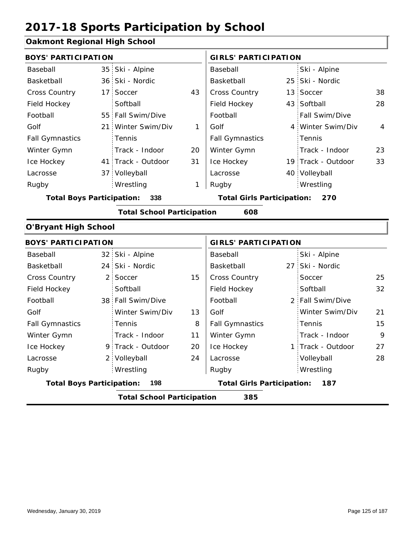#### **Oakmont Regional High School**

| <b>BOYS' PARTICIPATION</b>              |  |                                          |    | <b>GIRLS' PARTICIPATION</b> |  |                    |    |
|-----------------------------------------|--|------------------------------------------|----|-----------------------------|--|--------------------|----|
| Baseball                                |  | 35 Ski - Alpine                          |    | Baseball                    |  | Ski - Alpine       |    |
| Basketball                              |  | 36 Ski - Nordic                          |    | Basketball                  |  | 25 Ski - Nordic    |    |
| <b>Cross Country</b>                    |  | 17 Soccer                                | 43 | <b>Cross Country</b>        |  | 13 Soccer          | 38 |
| Field Hockey                            |  | Softball                                 |    | Field Hockey                |  | 43 Softball        | 28 |
| Football                                |  | 55 Fall Swim/Dive                        |    | Football                    |  | Fall Swim/Dive     |    |
| Golf                                    |  | 21 Winter Swim/Div                       | 1  | Golf                        |  | 4 Winter Swim/Div  | 4  |
| <b>Fall Gymnastics</b>                  |  | <b>Tennis</b>                            |    | <b>Fall Gymnastics</b>      |  | Tennis             |    |
| Winter Gymn                             |  | Track - Indoor                           | 20 | Winter Gymn                 |  | Track - Indoor     | 23 |
| Ice Hockey                              |  | 41 Track - Outdoor                       | 31 | Ice Hockey                  |  | 19 Track - Outdoor | 33 |
| Lacrosse                                |  | 37 Volleyball                            |    | Lacrosse                    |  | 40 Volleyball      |    |
| Rugby                                   |  | Wrestling                                | 1  | Rugby                       |  | Wrestling          |    |
| 338<br><b>Total Boys Participation:</b> |  | <b>Total Girls Participation:</b><br>270 |    |                             |  |                    |    |

#### **Total School Participation 608**

#### **O'Bryant High School**

|                                         | <b>BOYS' PARTICIPATION</b> |                                   |                                          |                        | <b>GIRLS' PARTICIPATION</b> |                   |    |  |
|-----------------------------------------|----------------------------|-----------------------------------|------------------------------------------|------------------------|-----------------------------|-------------------|----|--|
| Baseball                                |                            | 32 Ski - Alpine                   |                                          | Baseball               |                             | Ski - Alpine      |    |  |
| Basketball                              |                            | 24 Ski - Nordic                   |                                          | Basketball             |                             | 27 Ski - Nordic   |    |  |
| <b>Cross Country</b>                    |                            | 2 Soccer                          | 15                                       | <b>Cross Country</b>   |                             | Soccer            | 25 |  |
| Field Hockey                            |                            | Softball                          |                                          | Field Hockey           |                             | Softball          | 32 |  |
| Football                                |                            | 38 Fall Swim/Dive                 |                                          | Football               |                             | 2 Fall Swim/Dive  |    |  |
| Golf                                    |                            | Winter Swim/Div                   | 13                                       | Golf                   |                             | Winter Swim/Div   | 21 |  |
| <b>Fall Gymnastics</b>                  |                            | <b>Tennis</b>                     | 8                                        | <b>Fall Gymnastics</b> |                             | Tennis            | 15 |  |
| Winter Gymn                             |                            | Track - Indoor                    | 11                                       | Winter Gymn            |                             | Track - Indoor    | 9  |  |
| Ice Hockey                              |                            | 9 Track - Outdoor                 | 20                                       | Ice Hockey             |                             | 1 Track - Outdoor | 27 |  |
| Lacrosse                                |                            | 2 Volleyball                      | 24                                       | Lacrosse               |                             | Volleyball        | 28 |  |
| Rugby                                   |                            | Wrestling                         |                                          | Rugby                  |                             | Wrestling         |    |  |
| <b>Total Boys Participation:</b><br>198 |                            |                                   | <b>Total Girls Participation:</b><br>187 |                        |                             |                   |    |  |
|                                         |                            | <b>Total School Participation</b> |                                          | 385                    |                             |                   |    |  |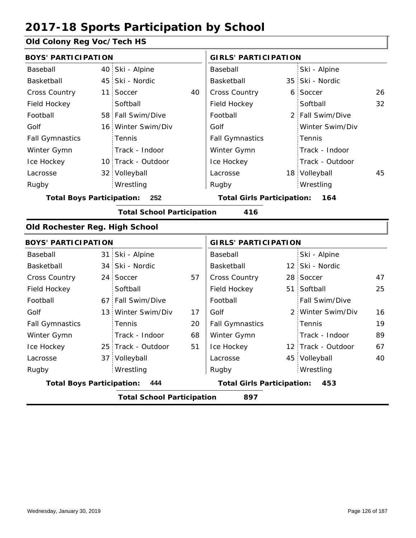### **Old Colony Reg Voc/Tech HS**

|                 |                                                                                                                                                                                                                                                                                                                                                                                        | <b>GIRLS' PARTICIPATION</b> |                                                                        |                 |                                                                                                                                                                                                                                                                                      |
|-----------------|----------------------------------------------------------------------------------------------------------------------------------------------------------------------------------------------------------------------------------------------------------------------------------------------------------------------------------------------------------------------------------------|-----------------------------|------------------------------------------------------------------------|-----------------|--------------------------------------------------------------------------------------------------------------------------------------------------------------------------------------------------------------------------------------------------------------------------------------|
|                 |                                                                                                                                                                                                                                                                                                                                                                                        | Baseball                    |                                                                        | Ski - Alpine    |                                                                                                                                                                                                                                                                                      |
| Ski - Nordic    |                                                                                                                                                                                                                                                                                                                                                                                        | Basketball                  |                                                                        |                 |                                                                                                                                                                                                                                                                                      |
| Soccer          | 40                                                                                                                                                                                                                                                                                                                                                                                     | Cross Country               |                                                                        |                 | 26                                                                                                                                                                                                                                                                                   |
| Softball        |                                                                                                                                                                                                                                                                                                                                                                                        | Field Hockey                |                                                                        | Softball        | 32                                                                                                                                                                                                                                                                                   |
|                 |                                                                                                                                                                                                                                                                                                                                                                                        | Football                    |                                                                        |                 |                                                                                                                                                                                                                                                                                      |
|                 |                                                                                                                                                                                                                                                                                                                                                                                        | Golf                        |                                                                        | Winter Swim/Div |                                                                                                                                                                                                                                                                                      |
| Tennis          |                                                                                                                                                                                                                                                                                                                                                                                        | <b>Fall Gymnastics</b>      |                                                                        | Tennis          |                                                                                                                                                                                                                                                                                      |
| Track - Indoor  |                                                                                                                                                                                                                                                                                                                                                                                        | Winter Gymn                 |                                                                        | Track - Indoor  |                                                                                                                                                                                                                                                                                      |
|                 |                                                                                                                                                                                                                                                                                                                                                                                        | Ice Hockey                  |                                                                        | Track - Outdoor |                                                                                                                                                                                                                                                                                      |
|                 |                                                                                                                                                                                                                                                                                                                                                                                        | Lacrosse                    |                                                                        |                 | 45                                                                                                                                                                                                                                                                                   |
| Wrestling       |                                                                                                                                                                                                                                                                                                                                                                                        | Rugby                       |                                                                        | Wrestling       |                                                                                                                                                                                                                                                                                      |
| 252             |                                                                                                                                                                                                                                                                                                                                                                                        |                             |                                                                        | 164             |                                                                                                                                                                                                                                                                                      |
|                 |                                                                                                                                                                                                                                                                                                                                                                                        | 416                         |                                                                        |                 |                                                                                                                                                                                                                                                                                      |
|                 |                                                                                                                                                                                                                                                                                                                                                                                        |                             |                                                                        |                 |                                                                                                                                                                                                                                                                                      |
|                 |                                                                                                                                                                                                                                                                                                                                                                                        |                             |                                                                        |                 |                                                                                                                                                                                                                                                                                      |
|                 |                                                                                                                                                                                                                                                                                                                                                                                        | Baseball                    |                                                                        | Ski - Alpine    |                                                                                                                                                                                                                                                                                      |
|                 |                                                                                                                                                                                                                                                                                                                                                                                        | Basketball                  |                                                                        |                 |                                                                                                                                                                                                                                                                                      |
| Soccer          | 57                                                                                                                                                                                                                                                                                                                                                                                     | Cross Country               |                                                                        |                 | 47                                                                                                                                                                                                                                                                                   |
| Softball        |                                                                                                                                                                                                                                                                                                                                                                                        | Field Hockey                |                                                                        |                 | 25                                                                                                                                                                                                                                                                                   |
| Fall Swim/Dive  |                                                                                                                                                                                                                                                                                                                                                                                        | Football                    |                                                                        | Fall Swim/Dive  |                                                                                                                                                                                                                                                                                      |
| Winter Swim/Div | 17                                                                                                                                                                                                                                                                                                                                                                                     | Golf                        |                                                                        |                 | 16                                                                                                                                                                                                                                                                                   |
| Tennis          | 20                                                                                                                                                                                                                                                                                                                                                                                     | <b>Fall Gymnastics</b>      |                                                                        | Tennis          | 19                                                                                                                                                                                                                                                                                   |
| Track - Indoor  | 68                                                                                                                                                                                                                                                                                                                                                                                     | Winter Gymn                 |                                                                        | Track - Indoor  | 89                                                                                                                                                                                                                                                                                   |
|                 | 51                                                                                                                                                                                                                                                                                                                                                                                     | Ice Hockey                  |                                                                        |                 | 67                                                                                                                                                                                                                                                                                   |
| Volleyball      |                                                                                                                                                                                                                                                                                                                                                                                        | Lacrosse                    |                                                                        |                 | 40                                                                                                                                                                                                                                                                                   |
| Wrestling       |                                                                                                                                                                                                                                                                                                                                                                                        | Rugby                       |                                                                        | Wrestling       |                                                                                                                                                                                                                                                                                      |
| 444             |                                                                                                                                                                                                                                                                                                                                                                                        |                             |                                                                        | 453             |                                                                                                                                                                                                                                                                                      |
|                 |                                                                                                                                                                                                                                                                                                                                                                                        | 897                         |                                                                        |                 |                                                                                                                                                                                                                                                                                      |
|                 | <b>BOYS' PARTICIPATION</b><br>40 Ski - Alpine<br>45<br>11<br>58 Fall Swim/Dive<br>16 Winter Swim/Div<br>10 Track - Outdoor<br>32 Volleyball<br><b>Total Boys Participation:</b><br>Old Rochester Reg. High School<br><b>BOYS' PARTICIPATION</b><br>31 Ski - Alpine<br>34 Ski - Nordic<br>24<br>67<br>13 <sup>1</sup><br>25 Track - Outdoor<br>37 :<br><b>Total Boys Participation:</b> |                             | <b>Total School Participation</b><br><b>Total School Participation</b> |                 | 35 Ski - Nordic<br>6 Soccer<br>2 Fall Swim/Dive<br>18 Volleyball<br><b>Total Girls Participation:</b><br><b>GIRLS' PARTICIPATION</b><br>12 Ski - Nordic<br>28 Soccer<br>51 Softball<br>2 Winter Swim/Div<br>12 Track - Outdoor<br>45 Volleyball<br><b>Total Girls Participation:</b> |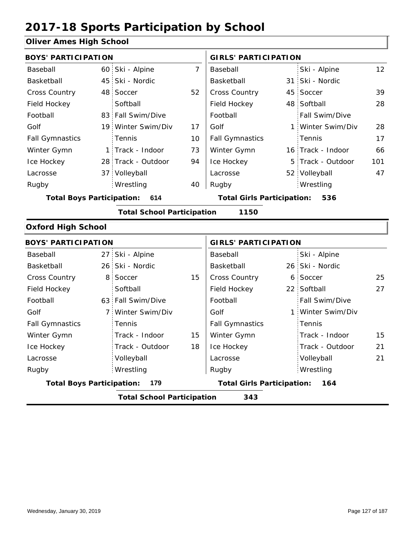### **Oliver Ames High School**

| <b>BOYS' PARTICIPATION</b>                |  |                    |                                          | <b>GIRLS' PARTICIPATION</b> |  |                   |                 |
|-------------------------------------------|--|--------------------|------------------------------------------|-----------------------------|--|-------------------|-----------------|
| Baseball                                  |  | 60 Ski - Alpine    | 7                                        | Baseball                    |  | Ski - Alpine      | 12 <sup>2</sup> |
| Basketball                                |  | 45 Ski - Nordic    |                                          | Basketball                  |  | 31 Ski - Nordic   |                 |
| <b>Cross Country</b>                      |  | 48 Soccer          | 52                                       | <b>Cross Country</b>        |  | 45 Soccer         | 39              |
| Field Hockey                              |  | Softball           |                                          | Field Hockey                |  | 48 Softball       | 28              |
| Football                                  |  | 83 Fall Swim/Dive  |                                          | Football                    |  | Fall Swim/Dive    |                 |
| Golf                                      |  | 19 Winter Swim/Div | 17                                       | Golf                        |  | 1 Winter Swim/Div | 28              |
| <b>Fall Gymnastics</b>                    |  | <b>Tennis</b>      | 10                                       | <b>Fall Gymnastics</b>      |  | Tennis            | 17              |
| Winter Gymn                               |  | 1 Track - Indoor   | 73                                       | Winter Gymn                 |  | 16 Track - Indoor | 66              |
| Ice Hockey                                |  | 28 Track - Outdoor | 94                                       | Ice Hockey                  |  | 5 Track - Outdoor | 101             |
| Lacrosse                                  |  | 37 Volleyball      |                                          | Lacrosse                    |  | 52 Volleyball     | 47              |
| Rugby                                     |  | Wrestling          | 40                                       | Rugby                       |  | Wrestling         |                 |
| <b>Total Boys Participation:</b><br>614   |  |                    | <b>Total Girls Participation:</b><br>536 |                             |  |                   |                 |
| 1150<br><b>Total School Participation</b> |  |                    |                                          |                             |  |                   |                 |

#### **Oxford High School**

| <b>BOYS' PARTICIPATION</b>               |  |                                          |    | <b>GIRLS' PARTICIPATION</b> |  |                   |    |
|------------------------------------------|--|------------------------------------------|----|-----------------------------|--|-------------------|----|
| Baseball                                 |  | 27 Ski - Alpine                          |    | Baseball                    |  | Ski - Alpine      |    |
| Basketball                               |  | 26 Ski - Nordic                          |    | Basketball                  |  | 26 Ski - Nordic   |    |
| <b>Cross Country</b>                     |  | 8 Soccer                                 | 15 | <b>Cross Country</b>        |  | 6 Soccer          | 25 |
| Field Hockey                             |  | Softball                                 |    | Field Hockey                |  | 22 Softball       | 27 |
| Football                                 |  | 63 Fall Swim/Dive                        |    | Football                    |  | Fall Swim/Dive    |    |
| Golf                                     |  | 7 Winter Swim/Div                        |    | Golf                        |  | 1 Winter Swim/Div |    |
| <b>Fall Gymnastics</b>                   |  | <b>Tennis</b>                            |    | <b>Fall Gymnastics</b>      |  | Tennis            |    |
| Winter Gymn                              |  | Track - Indoor                           | 15 | Winter Gymn                 |  | Track - Indoor    | 15 |
| Ice Hockey                               |  | Track - Outdoor                          | 18 | Ice Hockey                  |  | Track - Outdoor   | 21 |
| Lacrosse                                 |  | Volleyball                               |    | Lacrosse                    |  | Volleyball        | 21 |
| Rugby                                    |  | Wrestling                                |    | Rugby                       |  | Wrestling         |    |
| <b>Total Boys Participation:</b><br>179  |  | <b>Total Girls Participation:</b><br>164 |    |                             |  |                   |    |
| <b>Total School Participation</b><br>343 |  |                                          |    |                             |  |                   |    |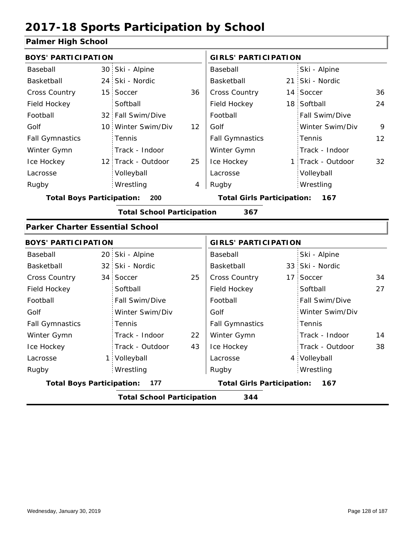### **Palmer High School**

| <b>BOYS' PARTICIPATION</b>             |                 |                                   |    | <b>GIRLS' PARTICIPATION</b>       |                   |    |
|----------------------------------------|-----------------|-----------------------------------|----|-----------------------------------|-------------------|----|
| Baseball                               |                 | 30 Ski - Alpine                   |    | Baseball                          | Ski - Alpine      |    |
| Basketball                             | 24 <sup>2</sup> | Ski - Nordic                      |    | Basketball                        | 21 Ski - Nordic   |    |
| Cross Country                          |                 | 15 Soccer                         | 36 | Cross Country                     | 14 Soccer         | 36 |
| Field Hockey                           |                 | Softball                          |    | Field Hockey                      | 18 Softball       | 24 |
| Football                               |                 | 32 Fall Swim/Dive                 |    | Football                          | Fall Swim/Dive    |    |
| Golf                                   |                 | 10 Winter Swim/Div                | 12 | Golf                              | Winter Swim/Div   | 9  |
| <b>Fall Gymnastics</b>                 |                 | Tennis                            |    | <b>Fall Gymnastics</b>            | Tennis            | 12 |
| Winter Gymn                            |                 | Track - Indoor                    |    | Winter Gymn                       | Track - Indoor    |    |
| Ice Hockey                             |                 | 12 Track - Outdoor                | 25 | Ice Hockey                        | 1 Track - Outdoor | 32 |
| Lacrosse                               |                 | Volleyball                        |    | Lacrosse                          | Volleyball        |    |
| Rugby                                  |                 | Wrestling                         | 4  | Rugby                             | Wrestling         |    |
| <b>Total Boys Participation:</b>       |                 | 200                               |    | <b>Total Girls Participation:</b> | 167               |    |
|                                        |                 | <b>Total School Participation</b> |    | 367                               |                   |    |
| <b>Parker Charter Essential School</b> |                 |                                   |    |                                   |                   |    |
| <b>BOYS' PARTICIPATION</b>             |                 |                                   |    | <b>GIRLS' PARTICIPATION</b>       |                   |    |
| Baseball                               |                 | 20 Ski - Alpine                   |    | Baseball                          | Ski - Alpine      |    |
| Basketball                             |                 | 32 Ski - Nordic                   |    | Basketball                        | 33 Ski - Nordic   |    |
| <b>Cross Country</b>                   |                 | 34 Soccer                         | 25 | Cross Country                     | 17 Soccer         | 34 |
| Field Hockey                           |                 | Softball                          |    | Field Hockey                      | Softball          | 27 |
| Football                               |                 | Fall Swim/Dive                    |    | Football                          | Fall Swim/Dive    |    |
| Golf                                   |                 | Winter Swim/Div                   |    | Golf                              | Winter Swim/Div   |    |
| <b>Fall Gymnastics</b>                 |                 | Tennis                            |    | <b>Fall Gymnastics</b>            | Tennis            |    |
| Winter Gymn                            |                 | Track - Indoor                    | 22 | Winter Gymn                       | Track - Indoor    | 14 |
| Ice Hockey                             |                 | Track - Outdoor                   | 43 | Ice Hockey                        | Track - Outdoor   | 38 |
| Lacrosse                               |                 | 1 Volleyball                      |    | Lacrosse                          | 4 Volleyball      |    |
| Rugby                                  |                 | Wrestling                         |    | Rugby                             | Wrestling         |    |
| <b>Total Boys Participation:</b>       |                 | 177                               |    | <b>Total Girls Participation:</b> | 167               |    |
|                                        |                 | <b>Total School Participation</b> |    | 344                               |                   |    |
|                                        |                 |                                   |    |                                   |                   |    |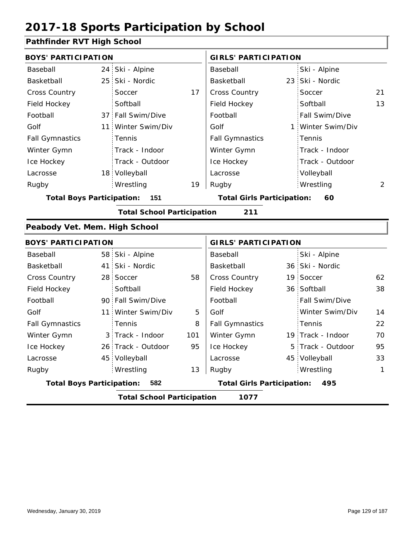### **Pathfinder RVT High School**

| <u>attituder is a right concor</u> |                 |                                   |     |                                          |     |                   |              |  |
|------------------------------------|-----------------|-----------------------------------|-----|------------------------------------------|-----|-------------------|--------------|--|
| <b>BOYS' PARTICIPATION</b>         |                 |                                   |     | <b>GIRLS' PARTICIPATION</b>              |     |                   |              |  |
| Baseball                           | 24 <sub>1</sub> | Ski - Alpine                      |     | Baseball                                 |     | Ski - Alpine      |              |  |
| Basketball                         | 25 <sup>1</sup> | Ski - Nordic                      |     | Basketball                               |     | 23 Ski - Nordic   |              |  |
| <b>Cross Country</b>               |                 | Soccer                            | 17  | Cross Country                            |     | Soccer            | 21           |  |
| Field Hockey                       |                 | Softball                          |     | Field Hockey                             |     | Softball          | 13           |  |
| Football                           |                 | 37 Fall Swim/Dive                 |     | Football                                 |     | Fall Swim/Dive    |              |  |
| Golf                               | 11              | Winter Swim/Div                   |     | Golf                                     | 1 : | Winter Swim/Div   |              |  |
| <b>Fall Gymnastics</b>             |                 | Tennis                            |     | <b>Fall Gymnastics</b>                   |     | Tennis            |              |  |
| Winter Gymn                        |                 | Track - Indoor                    |     | Winter Gymn                              |     | Track - Indoor    |              |  |
| Ice Hockey                         |                 | Track - Outdoor                   |     | Ice Hockey                               |     | Track - Outdoor   |              |  |
| Lacrosse                           |                 | 18 Volleyball                     |     | Lacrosse                                 |     | Volleyball        |              |  |
| Rugby                              |                 | Wrestling                         | 19  | Rugby                                    |     | Wrestling         | 2            |  |
| <b>Total Boys Participation:</b>   |                 | $-151$                            |     | <b>Total Girls Participation:</b>        |     | 60                |              |  |
|                                    |                 | <b>Total School Participation</b> |     | 211                                      |     |                   |              |  |
| Peabody Vet. Mem. High School      |                 |                                   |     |                                          |     |                   |              |  |
| <b>BOYS' PARTICIPATION</b>         |                 |                                   |     | <b>GIRLS' PARTICIPATION</b>              |     |                   |              |  |
| Baseball                           |                 | 58 Ski - Alpine                   |     | Baseball                                 |     | Ski - Alpine      |              |  |
| Basketball                         | 41 <sup>1</sup> | Ski - Nordic                      |     | Basketball                               |     | 36 Ski - Nordic   |              |  |
| <b>Cross Country</b>               | 28 <sup>1</sup> | Soccer                            | 58  | Cross Country                            |     | 19 Soccer         | 62           |  |
| Field Hockey                       |                 | Softball                          |     | Field Hockey                             |     | 36 Softball       | 38           |  |
| Football                           |                 | 90 Fall Swim/Dive                 |     | Football                                 |     | Fall Swim/Dive    |              |  |
| Golf                               | 11 <sup>1</sup> | Winter Swim/Div                   | 5   | Golf                                     |     | Winter Swim/Div   | 14           |  |
| <b>Fall Gymnastics</b>             |                 | Tennis                            | 8   | <b>Fall Gymnastics</b>                   |     | Tennis            | 22           |  |
| Winter Gymn                        |                 | 3 Track - Indoor                  | 101 | Winter Gymn                              |     | 19 Track - Indoor | 70           |  |
| Ice Hockey                         |                 | 26 Track - Outdoor                | 95  | Ice Hockey                               |     | 5 Track - Outdoor | 95           |  |
| Lacrosse                           |                 | 45 Volleyball                     |     | Lacrosse                                 |     | 45 Volleyball     | 33           |  |
| Rugby                              |                 | Wrestling                         | 13  | Rugby                                    |     | Wrestling         | $\mathbf{1}$ |  |
| <b>Total Boys Participation:</b>   |                 | 582                               |     | <b>Total Girls Participation:</b><br>495 |     |                   |              |  |
|                                    |                 | <b>Total School Participation</b> |     | 1077                                     |     |                   |              |  |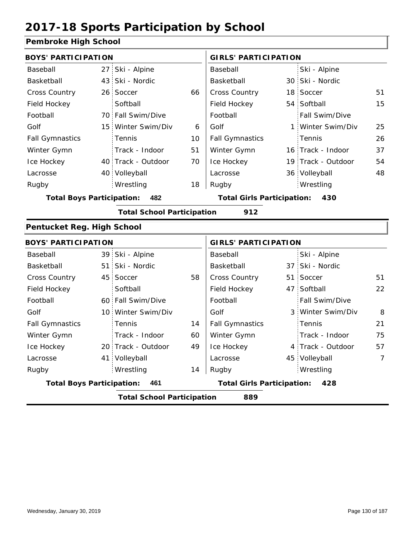### **Pembroke High School**

| <b>BOYS' PARTICIPATION</b>       |                 |                                   |    | <b>GIRLS' PARTICIPATION</b>       |                    |    |
|----------------------------------|-----------------|-----------------------------------|----|-----------------------------------|--------------------|----|
| Baseball                         | 27 <sub>1</sub> | Ski - Alpine                      |    | Baseball                          | Ski - Alpine       |    |
| Basketball                       |                 | 43 Ski - Nordic                   |    | Basketball                        | 30 Ski - Nordic    |    |
| Cross Country                    |                 | 26 Soccer                         | 66 | Cross Country                     | 18 Soccer          | 51 |
| Field Hockey                     |                 | Softball                          |    | Field Hockey                      | 54 Softball        | 15 |
| Football                         |                 | 70 Fall Swim/Dive                 |    | Football                          | Fall Swim/Dive     |    |
| Golf                             |                 | 15 Winter Swim/Div                | 6  | Golf                              | 1 Winter Swim/Div  | 25 |
| <b>Fall Gymnastics</b>           |                 | Tennis                            | 10 | <b>Fall Gymnastics</b>            | Tennis             | 26 |
| Winter Gymn                      |                 | Track - Indoor                    | 51 | Winter Gymn                       | 16 Track - Indoor  | 37 |
| Ice Hockey                       |                 | 40 Track - Outdoor                | 70 | Ice Hockey                        | 19 Track - Outdoor | 54 |
| Lacrosse                         |                 | 40 Volleyball                     |    | Lacrosse                          | 36 Volleyball      | 48 |
| Rugby                            |                 | Wrestling                         | 18 | Rugby                             | Wrestling          |    |
| <b>Total Boys Participation:</b> |                 | 482                               |    | <b>Total Girls Participation:</b> | 430                |    |
|                                  |                 | <b>Total School Participation</b> |    | 912                               |                    |    |
| Pentucket Reg. High School       |                 |                                   |    |                                   |                    |    |
| <b>BOYS' PARTICIPATION</b>       |                 |                                   |    | <b>GIRLS' PARTICIPATION</b>       |                    |    |
| Baseball                         |                 | 39 Ski - Alpine                   |    | Baseball                          | Ski - Alpine       |    |
| Basketball                       |                 | 51 Ski - Nordic                   |    | Basketball                        | 37 Ski - Nordic    |    |
| <b>Cross Country</b>             |                 | 45 Soccer                         | 58 | Cross Country                     | 51 Soccer          | 51 |
| Field Hockey                     |                 | Softball                          |    | Field Hockey                      | 47 Softball        | 22 |
| Football                         |                 | 60 Fall Swim/Dive                 |    | Football                          | Fall Swim/Dive     |    |
| Golf                             |                 | 10 Winter Swim/Div                |    | Golf                              | 3 Winter Swim/Div  | 8  |
| <b>Fall Gymnastics</b>           |                 | Tennis                            | 14 | <b>Fall Gymnastics</b>            | Tennis             | 21 |
| Winter Gymn                      |                 | Track - Indoor                    | 60 | Winter Gymn                       | Track - Indoor     | 75 |
| Ice Hockey                       |                 | 20 Track - Outdoor                | 49 | Ice Hockey                        | 4 Track - Outdoor  | 57 |
| Lacrosse                         |                 | 41 Volleyball                     |    | Lacrosse                          | 45 Volleyball      | 7  |
| Rugby                            |                 | Wrestling                         | 14 | Rugby                             | Wrestling          |    |
| <b>Total Boys Participation:</b> |                 | 461                               |    | <b>Total Girls Participation:</b> | 428                |    |
|                                  |                 | <b>Total School Participation</b> |    | 889                               |                    |    |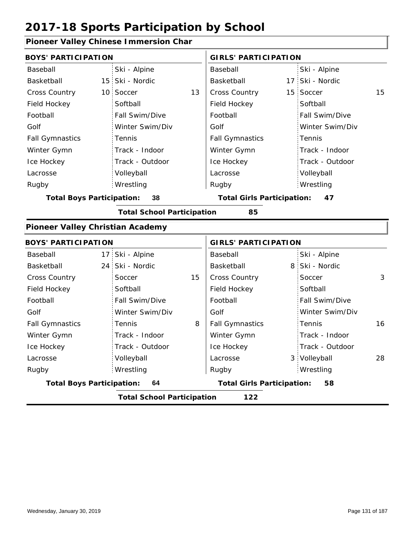### **Pioneer Valley Chinese Immersion Char**

| <b>BOYS' PARTICIPATION</b>              |                 |                                   |    | <b>GIRLS' PARTICIPATION</b>       |  |                 |    |
|-----------------------------------------|-----------------|-----------------------------------|----|-----------------------------------|--|-----------------|----|
| Baseball                                |                 | Ski - Alpine                      |    | Baseball                          |  | Ski - Alpine    |    |
| Basketball                              | 15 <sup>1</sup> | Ski - Nordic                      |    | Basketball                        |  | 17 Ski - Nordic |    |
| <b>Cross Country</b>                    |                 | 10 Soccer                         | 13 | <b>Cross Country</b>              |  | 15 Soccer       | 15 |
| Field Hockey                            |                 | Softball                          |    | Field Hockey                      |  | Softball        |    |
| Football                                |                 | Fall Swim/Dive                    |    | Football                          |  | Fall Swim/Dive  |    |
| Golf                                    |                 | Winter Swim/Div                   |    | Golf                              |  | Winter Swim/Div |    |
| <b>Fall Gymnastics</b>                  |                 | Tennis                            |    | <b>Fall Gymnastics</b>            |  | Tennis          |    |
| Winter Gymn                             |                 | Track - Indoor                    |    | Winter Gymn                       |  | Track - Indoor  |    |
| Ice Hockey                              |                 | Track - Outdoor                   |    | Ice Hockey                        |  | Track - Outdoor |    |
| Lacrosse                                |                 | Volleyball                        |    | Lacrosse                          |  | Volleyball      |    |
| Rugby                                   |                 | Wrestling                         |    | Rugby                             |  | Wrestling       |    |
| <b>Total Boys Participation:</b>        |                 | 38                                |    | <b>Total Girls Participation:</b> |  | 47              |    |
|                                         |                 | <b>Total School Participation</b> |    | 85                                |  |                 |    |
| <b>Pioneer Valley Christian Academy</b> |                 |                                   |    |                                   |  |                 |    |
| <b>BOYS' PARTICIPATION</b>              |                 |                                   |    | <b>GIRLS' PARTICIPATION</b>       |  |                 |    |
| Baseball                                | 17 <sup>1</sup> | Ski - Alpine                      |    | Baseball                          |  | Ski - Alpine    |    |
| Basketball                              | 24 <sup>1</sup> | Ski - Nordic                      |    | Basketball                        |  | 8 Ski - Nordic  |    |
| <b>Cross Country</b>                    |                 | Soccer                            | 15 | <b>Cross Country</b>              |  | Soccer          | 3  |
| Field Hockey                            |                 | Softball                          |    | Field Hockey                      |  | Softball        |    |
| Football                                |                 | Fall Swim/Dive                    |    | Football                          |  | Fall Swim/Dive  |    |
| Golf                                    |                 | Winter Swim/Div                   |    | Golf                              |  | Winter Swim/Div |    |
| <b>Fall Gymnastics</b>                  |                 | Tennis                            | 8  | <b>Fall Gymnastics</b>            |  | Tennis          | 16 |
| Winter Gymn                             |                 | Track - Indoor                    |    | Winter Gymn                       |  | Track - Indoor  |    |
| Ice Hockey                              |                 | Track - Outdoor                   |    | Ice Hockey                        |  | Track - Outdoor |    |
| Lacrosse                                |                 | Volleyball                        |    | Lacrosse                          |  | 3 Volleyball    | 28 |
| Rugby                                   |                 | Wrestling                         |    | Rugby                             |  | Wrestling       |    |
| <b>Total Boys Participation:</b>        |                 | 64                                |    | <b>Total Girls Participation:</b> |  | 58              |    |
|                                         |                 | <b>Total School Participation</b> |    | 122                               |  |                 |    |
|                                         |                 |                                   |    |                                   |  |                 |    |

I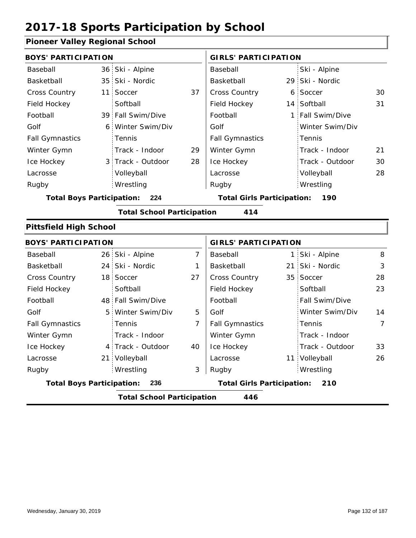### **Pioneer Valley Regional School**

| <b>BOYS' PARTICIPATION</b>       |                 |                                   |                | <b>GIRLS' PARTICIPATION</b>       |   |                  |                |
|----------------------------------|-----------------|-----------------------------------|----------------|-----------------------------------|---|------------------|----------------|
| Baseball                         | 36 <sub>1</sub> | Ski - Alpine                      |                | Baseball                          |   | Ski - Alpine     |                |
| Basketball                       | 35 <sup>1</sup> | Ski - Nordic                      |                | Basketball                        |   | 29 Ski - Nordic  |                |
| <b>Cross Country</b>             | 11 <sup>1</sup> | Soccer                            | 37             | Cross Country                     | 6 | Soccer           | 30             |
| Field Hockey                     |                 | Softball                          |                | Field Hockey                      |   | 14 Softball      | 31             |
| Football                         |                 | 39 Fall Swim/Dive                 |                | Football                          |   | 1 Fall Swim/Dive |                |
| Golf                             | 6.              | Winter Swim/Div                   |                | Golf                              |   | Winter Swim/Div  |                |
| <b>Fall Gymnastics</b>           |                 | Tennis                            |                | <b>Fall Gymnastics</b>            |   | Tennis           |                |
| Winter Gymn                      |                 | Track - Indoor                    | 29             | Winter Gymn                       |   | Track - Indoor   | 21             |
| Ice Hockey                       |                 | 3 Track - Outdoor                 | 28             | Ice Hockey                        |   | Track - Outdoor  | 30             |
| Lacrosse                         |                 | Volleyball                        |                | Lacrosse                          |   | Volleyball       | 28             |
| Rugby                            |                 | Wrestling                         |                | Rugby                             |   | Wrestling        |                |
| <b>Total Boys Participation:</b> |                 | 224                               |                | <b>Total Girls Participation:</b> |   | 190              |                |
|                                  |                 | <b>Total School Participation</b> |                | 414                               |   |                  |                |
| <b>Pittsfield High School</b>    |                 |                                   |                |                                   |   |                  |                |
| <b>BOYS' PARTICIPATION</b>       |                 |                                   |                | <b>GIRLS' PARTICIPATION</b>       |   |                  |                |
| Baseball                         |                 | 26 Ski - Alpine                   | $\overline{7}$ | Baseball                          |   | 1 Ski - Alpine   | 8              |
| Basketball                       | 24              | Ski - Nordic                      | 1              | Basketball                        |   | 21 Ski - Nordic  | 3              |
| <b>Cross Country</b>             | 18 <sup>1</sup> | Soccer                            | 27             | Cross Country                     |   | 35 Soccer        | 28             |
| Field Hockey                     |                 | Softball                          |                | Field Hockey                      |   | Softball         | 23             |
| Football                         |                 | 48 Fall Swim/Dive                 |                | Football                          |   | Fall Swim/Dive   |                |
| Golf                             | 5               | Winter Swim/Div                   | 5              | Golf                              |   | Winter Swim/Div  | 14             |
| <b>Fall Gymnastics</b>           |                 | Tennis                            | $\overline{7}$ | <b>Fall Gymnastics</b>            |   | Tennis           | $\overline{7}$ |
| Winter Gymn                      |                 | Track - Indoor                    |                | Winter Gymn                       |   | Track - Indoor   |                |
| Ice Hockey                       |                 | 4 Track - Outdoor                 | 40             | Ice Hockey                        |   | Track - Outdoor  | 33             |
| Lacrosse                         |                 | 21 Volleyball                     |                | Lacrosse                          |   | 11 Volleyball    | 26             |
| Rugby                            |                 | Wrestling                         | 3              | Rugby                             |   | Wrestling        |                |
| <b>Total Boys Participation:</b> |                 | 236                               |                | <b>Total Girls Participation:</b> |   | 210              |                |

**Total School Participation 446**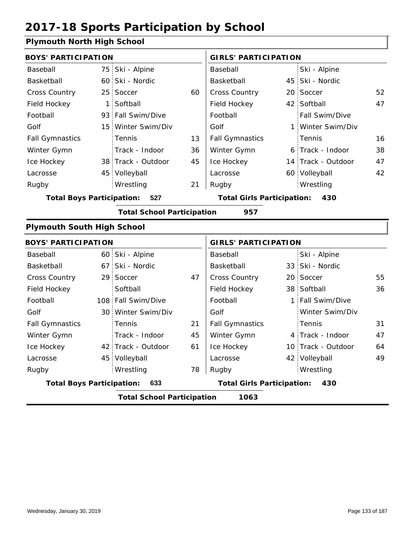### **Plymouth North High School**

|                |                                                                                                                                                                                                                                                                                                                                                                                                                                                                | <b>GIRLS' PARTICIPATION</b> |                                                                        |                 |                                                                                                                                                                                                                                                                                                                                                                    |
|----------------|----------------------------------------------------------------------------------------------------------------------------------------------------------------------------------------------------------------------------------------------------------------------------------------------------------------------------------------------------------------------------------------------------------------------------------------------------------------|-----------------------------|------------------------------------------------------------------------|-----------------|--------------------------------------------------------------------------------------------------------------------------------------------------------------------------------------------------------------------------------------------------------------------------------------------------------------------------------------------------------------------|
|                |                                                                                                                                                                                                                                                                                                                                                                                                                                                                | Baseball                    |                                                                        | Ski - Alpine    |                                                                                                                                                                                                                                                                                                                                                                    |
|                |                                                                                                                                                                                                                                                                                                                                                                                                                                                                | Basketball                  |                                                                        |                 |                                                                                                                                                                                                                                                                                                                                                                    |
|                | 60                                                                                                                                                                                                                                                                                                                                                                                                                                                             | <b>Cross Country</b>        |                                                                        |                 | 52                                                                                                                                                                                                                                                                                                                                                                 |
|                |                                                                                                                                                                                                                                                                                                                                                                                                                                                                | Field Hockey                |                                                                        |                 | 47                                                                                                                                                                                                                                                                                                                                                                 |
|                |                                                                                                                                                                                                                                                                                                                                                                                                                                                                | Football                    |                                                                        | Fall Swim/Dive  |                                                                                                                                                                                                                                                                                                                                                                    |
|                |                                                                                                                                                                                                                                                                                                                                                                                                                                                                | Golf                        |                                                                        |                 |                                                                                                                                                                                                                                                                                                                                                                    |
| Tennis         | 13                                                                                                                                                                                                                                                                                                                                                                                                                                                             | <b>Fall Gymnastics</b>      |                                                                        | Tennis          | 16                                                                                                                                                                                                                                                                                                                                                                 |
| Track - Indoor | 36                                                                                                                                                                                                                                                                                                                                                                                                                                                             | Winter Gymn                 |                                                                        |                 | 38                                                                                                                                                                                                                                                                                                                                                                 |
|                | 45                                                                                                                                                                                                                                                                                                                                                                                                                                                             | Ice Hockey                  |                                                                        |                 | 47                                                                                                                                                                                                                                                                                                                                                                 |
|                |                                                                                                                                                                                                                                                                                                                                                                                                                                                                | Lacrosse                    |                                                                        |                 | 42                                                                                                                                                                                                                                                                                                                                                                 |
| Wrestling      | 21                                                                                                                                                                                                                                                                                                                                                                                                                                                             | Rugby                       |                                                                        | Wrestling       |                                                                                                                                                                                                                                                                                                                                                                    |
| 527            |                                                                                                                                                                                                                                                                                                                                                                                                                                                                |                             |                                                                        | 430             |                                                                                                                                                                                                                                                                                                                                                                    |
|                |                                                                                                                                                                                                                                                                                                                                                                                                                                                                | 957                         |                                                                        |                 |                                                                                                                                                                                                                                                                                                                                                                    |
|                |                                                                                                                                                                                                                                                                                                                                                                                                                                                                |                             |                                                                        |                 |                                                                                                                                                                                                                                                                                                                                                                    |
|                |                                                                                                                                                                                                                                                                                                                                                                                                                                                                |                             |                                                                        |                 |                                                                                                                                                                                                                                                                                                                                                                    |
|                |                                                                                                                                                                                                                                                                                                                                                                                                                                                                | Baseball                    |                                                                        | Ski - Alpine    |                                                                                                                                                                                                                                                                                                                                                                    |
|                |                                                                                                                                                                                                                                                                                                                                                                                                                                                                | Basketball                  |                                                                        |                 |                                                                                                                                                                                                                                                                                                                                                                    |
|                | 47                                                                                                                                                                                                                                                                                                                                                                                                                                                             | Cross Country               |                                                                        |                 | 55                                                                                                                                                                                                                                                                                                                                                                 |
| Softball       |                                                                                                                                                                                                                                                                                                                                                                                                                                                                | Field Hockey                |                                                                        |                 | 36                                                                                                                                                                                                                                                                                                                                                                 |
|                |                                                                                                                                                                                                                                                                                                                                                                                                                                                                | Football                    |                                                                        |                 |                                                                                                                                                                                                                                                                                                                                                                    |
|                |                                                                                                                                                                                                                                                                                                                                                                                                                                                                | Golf                        |                                                                        | Winter Swim/Div |                                                                                                                                                                                                                                                                                                                                                                    |
| Tennis         | 21                                                                                                                                                                                                                                                                                                                                                                                                                                                             | <b>Fall Gymnastics</b>      |                                                                        | Tennis          | 31                                                                                                                                                                                                                                                                                                                                                                 |
| Track - Indoor | 45                                                                                                                                                                                                                                                                                                                                                                                                                                                             | Winter Gymn                 |                                                                        |                 | 47                                                                                                                                                                                                                                                                                                                                                                 |
|                | 61                                                                                                                                                                                                                                                                                                                                                                                                                                                             | Ice Hockey                  |                                                                        |                 | 64                                                                                                                                                                                                                                                                                                                                                                 |
|                |                                                                                                                                                                                                                                                                                                                                                                                                                                                                | Lacrosse                    |                                                                        |                 | 49                                                                                                                                                                                                                                                                                                                                                                 |
| Wrestling      | 78                                                                                                                                                                                                                                                                                                                                                                                                                                                             | Rugby                       |                                                                        | Wrestling       |                                                                                                                                                                                                                                                                                                                                                                    |
| 633            |                                                                                                                                                                                                                                                                                                                                                                                                                                                                |                             |                                                                        | 430             |                                                                                                                                                                                                                                                                                                                                                                    |
|                |                                                                                                                                                                                                                                                                                                                                                                                                                                                                | 1063                        |                                                                        |                 |                                                                                                                                                                                                                                                                                                                                                                    |
|                | <b>BOYS' PARTICIPATION</b><br>75 Ski - Alpine<br>60 Ski - Nordic<br>25 Soccer<br>1 Softball<br>93 Fall Swim/Dive<br>15 Winter Swim/Div<br>38 Track - Outdoor<br>45 Volleyball<br><b>Total Boys Participation:</b><br><b>Plymouth South High School</b><br><b>BOYS' PARTICIPATION</b><br>60 Ski - Alpine<br>67 Ski - Nordic<br>29 Soccer<br>108 Fall Swim/Dive<br>30 Winter Swim/Div<br>42 Track - Outdoor<br>45 Volleyball<br><b>Total Boys Participation:</b> |                             | <b>Total School Participation</b><br><b>Total School Participation</b> |                 | 45 Ski - Nordic<br>20 Soccer<br>42 Softball<br>1 Winter Swim/Div<br>6 Track - Indoor<br>14 Track - Outdoor<br>60 Volleyball<br><b>Total Girls Participation:</b><br><b>GIRLS' PARTICIPATION</b><br>33 Ski - Nordic<br>20 Soccer<br>38 Softball<br>1 Fall Swim/Dive<br>4 Track - Indoor<br>10 Track - Outdoor<br>42 Volleyball<br><b>Total Girls Participation:</b> |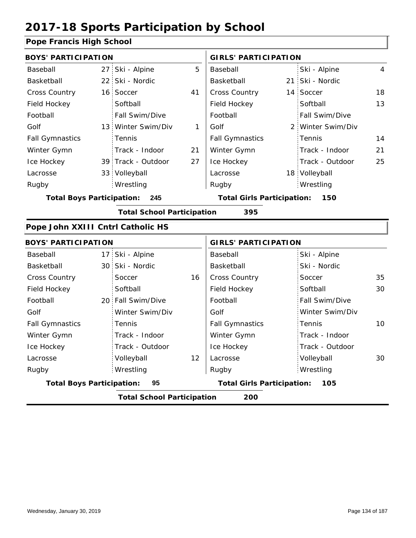### **Pope Francis High School**

| <b>BOYS' PARTICIPATION</b>        |                                   |    | <b>GIRLS' PARTICIPATION</b>       |  |                   |    |  |
|-----------------------------------|-----------------------------------|----|-----------------------------------|--|-------------------|----|--|
| Baseball                          | 27 Ski - Alpine                   | 5  | Baseball                          |  | Ski - Alpine      | 4  |  |
| Basketball                        | 22 Ski - Nordic                   |    | Basketball                        |  | 21 Ski - Nordic   |    |  |
| <b>Cross Country</b>              | 16 Soccer                         | 41 | Cross Country                     |  | 14 Soccer         | 18 |  |
| Field Hockey                      | Softball                          |    | Field Hockey                      |  | Softball          | 13 |  |
| Football                          | Fall Swim/Dive                    |    | Football                          |  | Fall Swim/Dive    |    |  |
| Golf                              | 13 Winter Swim/Div                | 1  | Golf                              |  | 2 Winter Swim/Div |    |  |
| <b>Fall Gymnastics</b>            | Tennis                            |    | <b>Fall Gymnastics</b>            |  | Tennis            | 14 |  |
| Winter Gymn                       | Track - Indoor                    | 21 | Winter Gymn                       |  | Track - Indoor    | 21 |  |
| Ice Hockey                        | 39 Track - Outdoor                | 27 | Ice Hockey                        |  | Track - Outdoor   | 25 |  |
| Lacrosse                          | 33 Volleyball                     |    | Lacrosse                          |  | 18 Volleyball     |    |  |
| Rugby                             | Wrestling                         |    | Rugby                             |  | Wrestling         |    |  |
| <b>Total Boys Participation:</b>  | 245                               |    | <b>Total Girls Participation:</b> |  | 150               |    |  |
|                                   | <b>Total School Participation</b> |    | 395                               |  |                   |    |  |
| Pope John XXIII Cntrl Catholic HS |                                   |    |                                   |  |                   |    |  |
| <b>BOYS' PARTICIPATION</b>        |                                   |    | <b>GIRLS' PARTICIPATION</b>       |  |                   |    |  |
| Baseball                          | 17 Ski - Alpine                   |    | Baseball                          |  | Ski - Alpine      |    |  |
| Basketball                        | 30 Ski - Nordic                   |    | Basketball                        |  | Ski - Nordic      |    |  |
| <b>Cross Country</b>              | Soccer                            | 16 | Cross Country                     |  | Soccer            | 35 |  |
| Field Hockey                      | Softball                          |    | Field Hockey                      |  | Softball          | 30 |  |
| Football                          | 20 Fall Swim/Dive                 |    | Football                          |  | Fall Swim/Dive    |    |  |
| Golf                              | Winter Swim/Div                   |    | Golf                              |  | Winter Swim/Div   |    |  |
| <b>Fall Gymnastics</b>            | Tennis                            |    | <b>Fall Gymnastics</b>            |  | Tennis            | 10 |  |
| Winter Gymn                       | Track - Indoor                    |    | Winter Gymn                       |  | Track - Indoor    |    |  |
| Ice Hockey                        | Track - Outdoor                   |    | Ice Hockey                        |  | Track - Outdoor   |    |  |
| Lacrosse                          | Volleyball                        | 12 | Lacrosse                          |  | Volleyball        | 30 |  |
| Rugby                             | Wrestling                         |    | Rugby                             |  | Wrestling         |    |  |
| <b>Total Boys Participation:</b>  | 95                                |    | <b>Total Girls Participation:</b> |  | 105               |    |  |

**Total School Participation 200**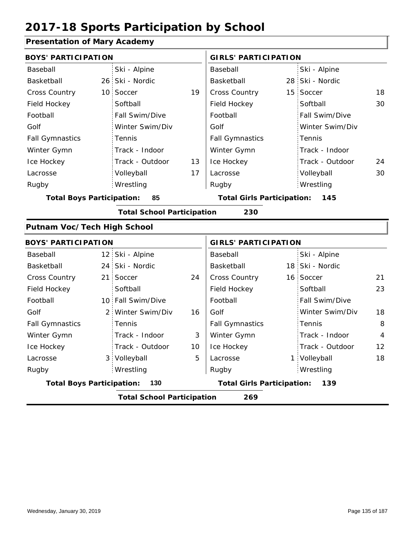### **Presentation of Mary Academy**

| <b>Trescritation of Mary Academy</b> |                                   |                 |                                   |                 |    |
|--------------------------------------|-----------------------------------|-----------------|-----------------------------------|-----------------|----|
| <b>BOYS' PARTICIPATION</b>           |                                   |                 | <b>GIRLS' PARTICIPATION</b>       |                 |    |
| Baseball                             | Ski - Alpine                      |                 | Baseball                          | Ski - Alpine    |    |
| Basketball                           | 26 Ski - Nordic                   |                 | Basketball                        | 28 Ski - Nordic |    |
| Cross Country                        | 10 Soccer                         | 19              | Cross Country                     | 15 Soccer       | 18 |
| Field Hockey                         | Softball                          |                 | Field Hockey                      | Softball        | 30 |
| Football                             | Fall Swim/Dive                    |                 | Football                          | Fall Swim/Dive  |    |
| Golf                                 | Winter Swim/Div                   |                 | Golf                              | Winter Swim/Div |    |
| <b>Fall Gymnastics</b>               | Tennis                            |                 | <b>Fall Gymnastics</b>            | Tennis          |    |
| Winter Gymn                          | Track - Indoor                    |                 | Winter Gymn                       | Track - Indoor  |    |
| Ice Hockey                           | Track - Outdoor                   | 13              | Ice Hockey                        | Track - Outdoor | 24 |
| Lacrosse                             | Volleyball                        | 17              | Lacrosse                          | Volleyball      | 30 |
| Rugby                                | Wrestling                         |                 | Rugby                             | Wrestling       |    |
| <b>Total Boys Participation:</b>     | 85                                |                 | <b>Total Girls Participation:</b> | 145             |    |
|                                      | <b>Total School Participation</b> |                 | 230                               |                 |    |
| Putnam Voc/Tech High School          |                                   |                 |                                   |                 |    |
| <b>BOYS' PARTICIPATION</b>           |                                   |                 | <b>GIRLS' PARTICIPATION</b>       |                 |    |
| Baseball                             | 12 Ski - Alpine                   |                 | Baseball                          | Ski - Alpine    |    |
| Basketball                           | 24 Ski - Nordic                   |                 | Basketball                        | 18 Ski - Nordic |    |
| Cross Country                        | 21 Soccer                         | 24              | Cross Country                     | 16 Soccer       | 21 |
| Field Hockey                         | Softball                          |                 | Field Hockey                      | Softball        | 23 |
| Football                             | 10 Fall Swim/Dive                 |                 | Football                          | Fall Swim/Dive  |    |
| Golf                                 | 2 Winter Swim/Div                 | 16              | Golf                              | Winter Swim/Div | 18 |
| <b>Fall Gymnastics</b>               | Tennis                            |                 | <b>Fall Gymnastics</b>            | Tennis          | 8  |
| Winter Gymn                          | Track - Indoor                    | 3               | Winter Gymn                       | Track - Indoor  | 4  |
| Ice Hockey                           | Track - Outdoor                   | 10 <sup>°</sup> | Ice Hockey                        | Track - Outdoor | 12 |
| Lacrosse                             | 3 Volleyball                      | 5               | Lacrosse                          | 1 Volleyball    | 18 |
| Rugby                                | Wrestling                         |                 | Rugby                             | Wrestling       |    |
| <b>Total Boys Participation:</b>     | 130                               |                 | <b>Total Girls Participation:</b> | 139             |    |
|                                      | <b>Total School Participation</b> |                 | 269                               |                 |    |
|                                      |                                   |                 |                                   |                 |    |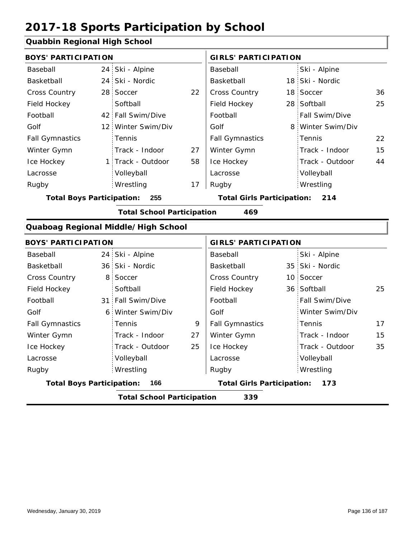### **Quabbin Regional High School**

| <b>BOYS' PARTICIPATION</b>       |                 |                                     |    | <b>GIRLS' PARTICIPATION</b>       |                 |                 |    |
|----------------------------------|-----------------|-------------------------------------|----|-----------------------------------|-----------------|-----------------|----|
| Baseball                         | 24:             | Ski - Alpine                        |    | Baseball                          |                 | Ski - Alpine    |    |
| Basketball                       | 24              | Ski - Nordic                        |    | Basketball                        |                 | 18 Ski - Nordic |    |
| <b>Cross Country</b>             | 28              | Soccer                              | 22 | Cross Country                     | 18 <sup>1</sup> | Soccer          | 36 |
| Field Hockey                     |                 | Softball                            |    | Field Hockey                      | 28              | Softball        | 25 |
| Football                         | 42.             | Fall Swim/Dive                      |    | Football                          |                 | Fall Swim/Dive  |    |
| Golf                             | 12              | Winter Swim/Div                     |    | Golf                              | 8               | Winter Swim/Div |    |
| <b>Fall Gymnastics</b>           |                 | Tennis                              |    | <b>Fall Gymnastics</b>            |                 | Tennis          | 22 |
| Winter Gymn                      |                 | Track - Indoor                      | 27 | Winter Gymn                       |                 | Track - Indoor  | 15 |
| Ice Hockey                       |                 | 1 Track - Outdoor                   | 58 | Ice Hockey                        |                 | Track - Outdoor | 44 |
| Lacrosse                         |                 | Volleyball                          |    | Lacrosse                          |                 | Volleyball      |    |
| Rugby                            |                 | Wrestling                           | 17 | Rugby                             |                 | Wrestling       |    |
| <b>Total Boys Participation:</b> |                 | 255                                 |    | <b>Total Girls Participation:</b> |                 | 214             |    |
|                                  |                 | <b>Total School Participation</b>   |    | 469                               |                 |                 |    |
|                                  |                 | Quaboag Regional Middle/High School |    |                                   |                 |                 |    |
| <b>BOYS' PARTICIPATION</b>       |                 |                                     |    | <b>GIRLS' PARTICIPATION</b>       |                 |                 |    |
| Baseball                         | 24              | Ski - Alpine                        |    | Baseball                          |                 | Ski - Alpine    |    |
| Basketball                       | 36 <sub>1</sub> | Ski - Nordic                        |    | Basketball                        | 35              | Ski - Nordic    |    |
| <b>Cross Country</b>             | 8               | Soccer                              |    | Cross Country                     | 10              | Soccer          |    |
| Field Hockey                     |                 | Softball                            |    | Field Hockey                      |                 | 36 Softball     | 25 |
| Football                         | 31 <sup>1</sup> | Fall Swim/Dive                      |    | Football                          |                 | Fall Swim/Dive  |    |
| Golf                             | 6 <sup>1</sup>  | Winter Swim/Div                     |    | Golf                              |                 | Winter Swim/Div |    |
| <b>Fall Gymnastics</b>           |                 | Tennis                              | 9  | <b>Fall Gymnastics</b>            |                 | Tennis          | 17 |
| Winter Gymn                      |                 | Track - Indoor                      | 27 | Winter Gymn                       |                 | Track - Indoor  | 15 |
| Ice Hockey                       |                 | Track - Outdoor                     | 25 | Ice Hockey                        |                 | Track - Outdoor | 35 |
| Lacrosse                         |                 | Volleyball                          |    | Lacrosse                          |                 | Volleyball      |    |
| Rugby                            |                 | Wrestling                           |    | Rugby                             |                 | Wrestling       |    |

**Total School Participation 339**

**Total Boys Participation: 166 Total Girls Participation: 173**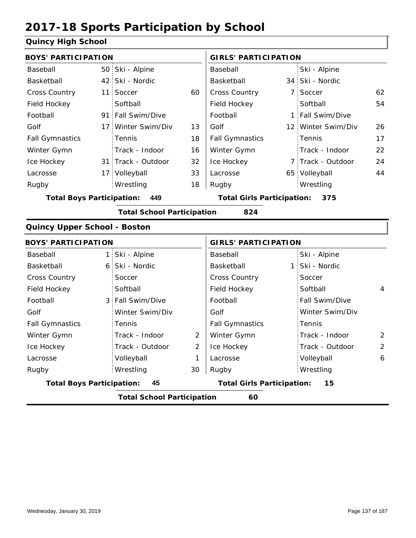#### **Quincy High School**

| <b>BOYS' PARTICIPATION</b>              |                 |                                   |                | <b>GIRLS' PARTICIPATION</b>       |  |                    |    |  |
|-----------------------------------------|-----------------|-----------------------------------|----------------|-----------------------------------|--|--------------------|----|--|
| Baseball                                |                 | 50 Ski - Alpine                   |                | Baseball                          |  | Ski - Alpine       |    |  |
| Basketball                              |                 | 42 Ski - Nordic                   |                | Basketball                        |  | 34 Ski - Nordic    |    |  |
| <b>Cross Country</b>                    | 11 <sup>1</sup> | Soccer                            | 60             | Cross Country                     |  | 7 Soccer           | 62 |  |
| Field Hockey                            |                 | Softball                          |                | Field Hockey                      |  | Softball           | 54 |  |
| Football                                |                 | 91 Fall Swim/Dive                 |                | Football                          |  | 1 Fall Swim/Dive   |    |  |
| Golf                                    | 17 <sup>1</sup> | Winter Swim/Div                   | 13             | Golf                              |  | 12 Winter Swim/Div | 26 |  |
| <b>Fall Gymnastics</b>                  |                 | Tennis                            | 18             | <b>Fall Gymnastics</b>            |  | Tennis             | 17 |  |
| Winter Gymn                             |                 | Track - Indoor                    | 16             | Winter Gymn                       |  | Track - Indoor     | 22 |  |
| Ice Hockey                              |                 | 31 Track - Outdoor                | 32             | Ice Hockey                        |  | 7 Track - Outdoor  | 24 |  |
| Lacrosse                                |                 | 17 Volleyball                     | 33             | Lacrosse                          |  | 65 Volleyball      | 44 |  |
| Rugby                                   |                 | Wrestling                         | 18             | Rugby                             |  | Wrestling          |    |  |
| <b>Total Boys Participation:</b><br>449 |                 |                                   |                | <b>Total Girls Participation:</b> |  | 375                |    |  |
|                                         |                 | <b>Total School Participation</b> |                | 824                               |  |                    |    |  |
| Quincy Upper School - Boston            |                 |                                   |                |                                   |  |                    |    |  |
| <b>BOYS' PARTICIPATION</b>              |                 |                                   |                | <b>GIRLS' PARTICIPATION</b>       |  |                    |    |  |
| Baseball                                | 1:              | Ski - Alpine                      |                | Baseball                          |  | Ski - Alpine       |    |  |
| Basketball                              | 6               | Ski - Nordic                      |                | Basketball                        |  | 1 Ski - Nordic     |    |  |
| <b>Cross Country</b>                    |                 | Soccer                            |                | <b>Cross Country</b>              |  | Soccer             |    |  |
| Field Hockey                            |                 | Softball                          |                | Field Hockey                      |  | Softball           | 4  |  |
| Football                                | 3               | Fall Swim/Dive                    |                | Football                          |  | Fall Swim/Dive     |    |  |
| Golf                                    |                 | Winter Swim/Div                   |                | Golf                              |  | Winter Swim/Div    |    |  |
| <b>Fall Gymnastics</b>                  |                 | Tennis                            |                | <b>Fall Gymnastics</b>            |  | Tennis             |    |  |
| Winter Gymn                             |                 | Track - Indoor                    | 2              | Winter Gymn                       |  | Track - Indoor     | 2  |  |
| Ice Hockey                              |                 | Track - Outdoor                   | $\overline{2}$ | Ice Hockey                        |  | Track - Outdoor    | 2  |  |
| Lacrosse                                |                 | Volleyball                        | 1              | Lacrosse                          |  | Volleyball         | 6  |  |

**Total Boys Participation: 45 Total Girls Participation: 15**

Wrestling Rugby Rugby

Wrestling

**Total School Participation 60**

30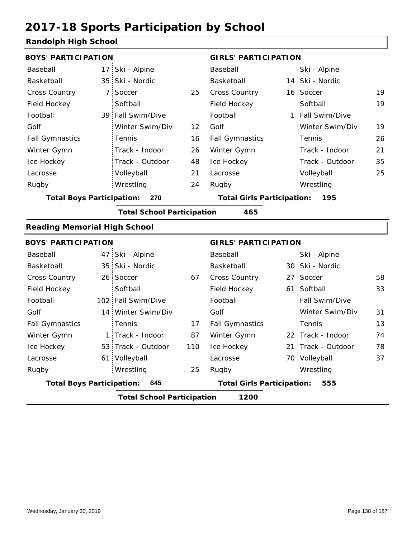### **Randolph High School**

| <b>BOYS' PARTICIPATION</b>          |                                   |     | <b>GIRLS' PARTICIPATION</b>       |  |                    |    |
|-------------------------------------|-----------------------------------|-----|-----------------------------------|--|--------------------|----|
| Baseball                            | 17 Ski - Alpine                   |     | Baseball                          |  | Ski - Alpine       |    |
| Basketball                          | 35 Ski - Nordic                   |     | Basketball                        |  | 14 Ski - Nordic    |    |
| Cross Country                       | 7 Soccer                          | 25  | Cross Country                     |  | 16 Soccer          | 19 |
| Field Hockey                        | Softball                          |     | Field Hockey                      |  | Softball           | 19 |
| Football                            | 39 Fall Swim/Dive                 |     | Football                          |  | 1 Fall Swim/Dive   |    |
| Golf                                | Winter Swim/Div                   | 12  | Golf                              |  | Winter Swim/Div    | 19 |
| <b>Fall Gymnastics</b>              | Tennis                            | 16  | <b>Fall Gymnastics</b>            |  | Tennis             | 26 |
| Winter Gymn                         | Track - Indoor                    | 26  | Winter Gymn                       |  | Track - Indoor     | 21 |
| Ice Hockey                          | Track - Outdoor                   | 48  | Ice Hockey                        |  | Track - Outdoor    | 35 |
| Lacrosse                            | Volleyball                        | 21  | Lacrosse                          |  | Volleyball         | 25 |
| Rugby                               | Wrestling                         | 24  | Rugby                             |  | Wrestling          |    |
| <b>Total Boys Participation:</b>    | 270                               |     | <b>Total Girls Participation:</b> |  | 195                |    |
|                                     | <b>Total School Participation</b> |     | 465                               |  |                    |    |
| <b>Reading Memorial High School</b> |                                   |     |                                   |  |                    |    |
| <b>BOYS' PARTICIPATION</b>          |                                   |     | <b>GIRLS' PARTICIPATION</b>       |  |                    |    |
| Baseball                            | 47 Ski - Alpine                   |     | Baseball                          |  | Ski - Alpine       |    |
| Basketball                          | 35 Ski - Nordic                   |     | Basketball                        |  | 30 Ski - Nordic    |    |
| <b>Cross Country</b>                | 26 Soccer                         | 67  | Cross Country                     |  | 27 Soccer          | 58 |
| Field Hockey                        | Softball                          |     | Field Hockey                      |  | 61 Softball        | 33 |
| Football                            | 102 Fall Swim/Dive                |     | Football                          |  | Fall Swim/Dive     |    |
| Golf                                | 14 Winter Swim/Div                |     | Golf                              |  | Winter Swim/Div    | 31 |
| <b>Fall Gymnastics</b>              | Tennis                            | 17  | <b>Fall Gymnastics</b>            |  | Tennis             | 13 |
| Winter Gymn                         | 1 Track - Indoor                  | 87  | Winter Gymn                       |  | 22 Track - Indoor  | 74 |
| Ice Hockey                          | 53 Track - Outdoor                | 110 | Ice Hockey                        |  | 21 Track - Outdoor | 78 |
| Lacrosse                            | 61 Volleyball                     |     | Lacrosse                          |  | 70 Volleyball      | 37 |
| Rugby                               | Wrestling                         | 25  | Rugby                             |  | Wrestling          |    |
| <b>Total Boys Participation:</b>    | 645                               |     | <b>Total Girls Participation:</b> |  | 555                |    |
|                                     | <b>Total School Participation</b> |     | 1200                              |  |                    |    |
|                                     |                                   |     |                                   |  |                    |    |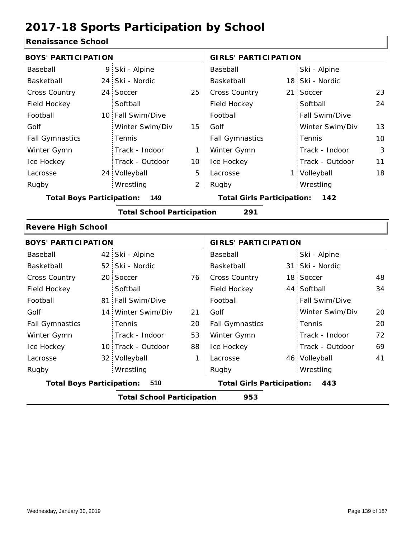### **Renaissance School**

| <b>BOYS' PARTICIPATION</b>       |                 |                                   |    | <b>GIRLS' PARTICIPATION</b>       |    |                 |    |
|----------------------------------|-----------------|-----------------------------------|----|-----------------------------------|----|-----------------|----|
| Baseball                         | 9               | Ski - Alpine                      |    | Baseball                          |    | Ski - Alpine    |    |
| Basketball                       | 24 <sub>1</sub> | Ski - Nordic                      |    | Basketball                        |    | 18 Ski - Nordic |    |
| <b>Cross Country</b>             | 24 <sup>1</sup> | Soccer                            | 25 | Cross Country                     |    | 21 Soccer       | 23 |
| Field Hockey                     |                 | Softball                          |    | Field Hockey                      |    | Softball        | 24 |
| Football                         |                 | 10 Fall Swim/Dive                 |    | Football                          |    | Fall Swim/Dive  |    |
| Golf                             |                 | Winter Swim/Div                   | 15 | Golf                              |    | Winter Swim/Div | 13 |
| <b>Fall Gymnastics</b>           |                 | Tennis                            |    | <b>Fall Gymnastics</b>            |    | Tennis          | 10 |
| Winter Gymn                      |                 | Track - Indoor                    | 1  | Winter Gymn                       |    | Track - Indoor  | 3  |
| Ice Hockey                       |                 | Track - Outdoor                   | 10 | Ice Hockey                        |    | Track - Outdoor | 11 |
| Lacrosse                         |                 | 24 Volleyball                     | 5  | Lacrosse                          |    | 1 Volleyball    | 18 |
| Rugby                            |                 | Wrestling                         | 2  | Rugby                             |    | Wrestling       |    |
| <b>Total Boys Participation:</b> |                 | 149                               |    | <b>Total Girls Participation:</b> |    | 142             |    |
|                                  |                 | <b>Total School Participation</b> |    | 291                               |    |                 |    |
| <b>Revere High School</b>        |                 |                                   |    |                                   |    |                 |    |
| <b>BOYS' PARTICIPATION</b>       |                 |                                   |    | <b>GIRLS' PARTICIPATION</b>       |    |                 |    |
| Baseball                         |                 | 42 Ski - Alpine                   |    | Baseball                          |    | Ski - Alpine    |    |
| Basketball                       | 52:             | Ski - Nordic                      |    | Basketball                        |    | 31 Ski - Nordic |    |
| <b>Cross Country</b>             | 20 <sup>1</sup> | Soccer                            | 76 | <b>Cross Country</b>              | 18 | Soccer          | 48 |
| Field Hockey                     |                 | Softball                          |    | Field Hockey                      |    | 44 Softball     | 34 |
| Football                         |                 | 81 Fall Swim/Dive                 |    | Football                          |    | Fall Swim/Dive  |    |
| Golf                             |                 | 14 Winter Swim/Div                | 21 | Golf                              |    | Winter Swim/Div | 20 |
| <b>Fall Gymnastics</b>           |                 | Tennis                            | 20 | <b>Fall Gymnastics</b>            |    | Tennis          | 20 |
| Winter Gymn                      |                 | Track - Indoor                    | 53 | Winter Gymn                       |    | Track - Indoor  | 72 |
| Ice Hockey                       |                 | 10 Track - Outdoor                | 88 | Ice Hockey                        |    | Track - Outdoor | 69 |
| Lacrosse                         |                 | 32 Volleyball                     | 1  | Lacrosse                          |    | 46 Volleyball   | 41 |
| Rugby                            |                 | Wrestling                         |    | Rugby                             |    | Wrestling       |    |
| <b>Total Boys Participation:</b> |                 | 510                               |    | <b>Total Girls Participation:</b> |    | 443             |    |
|                                  |                 | <b>Total School Participation</b> |    | 953                               |    |                 |    |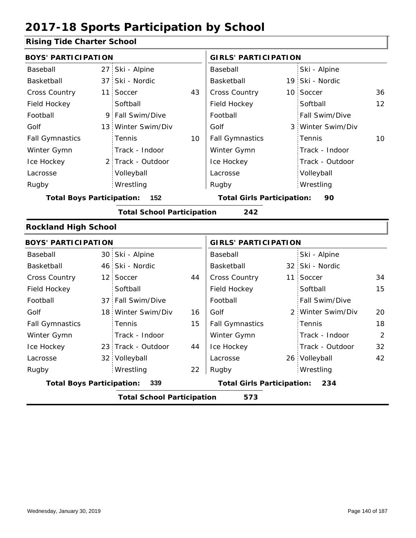### **Rising Tide Charter School**

| <b>BOYS' PARTICIPATION</b> |                |                                                                                                                                                                                                                                                                                                                                                                                          | <b>GIRLS' PARTICIPATION</b> |                                                                        |                 |                                                                                                                                                                                                                                  |
|----------------------------|----------------|------------------------------------------------------------------------------------------------------------------------------------------------------------------------------------------------------------------------------------------------------------------------------------------------------------------------------------------------------------------------------------------|-----------------------------|------------------------------------------------------------------------|-----------------|----------------------------------------------------------------------------------------------------------------------------------------------------------------------------------------------------------------------------------|
|                            |                |                                                                                                                                                                                                                                                                                                                                                                                          | Baseball                    |                                                                        | Ski - Alpine    |                                                                                                                                                                                                                                  |
|                            |                |                                                                                                                                                                                                                                                                                                                                                                                          | Basketball                  |                                                                        |                 |                                                                                                                                                                                                                                  |
|                            |                | 43                                                                                                                                                                                                                                                                                                                                                                                       | Cross Country               |                                                                        |                 | 36                                                                                                                                                                                                                               |
|                            | Softball       |                                                                                                                                                                                                                                                                                                                                                                                          | Field Hockey                |                                                                        | Softball        | 12                                                                                                                                                                                                                               |
|                            |                |                                                                                                                                                                                                                                                                                                                                                                                          | Football                    |                                                                        | Fall Swim/Dive  |                                                                                                                                                                                                                                  |
|                            |                |                                                                                                                                                                                                                                                                                                                                                                                          | Golf                        |                                                                        |                 |                                                                                                                                                                                                                                  |
|                            | Tennis         | 10                                                                                                                                                                                                                                                                                                                                                                                       | <b>Fall Gymnastics</b>      |                                                                        | Tennis          | 10                                                                                                                                                                                                                               |
|                            | Track - Indoor |                                                                                                                                                                                                                                                                                                                                                                                          | Winter Gymn                 |                                                                        | Track - Indoor  |                                                                                                                                                                                                                                  |
|                            |                |                                                                                                                                                                                                                                                                                                                                                                                          | Ice Hockey                  |                                                                        | Track - Outdoor |                                                                                                                                                                                                                                  |
|                            | Volleyball     |                                                                                                                                                                                                                                                                                                                                                                                          | Lacrosse                    |                                                                        | Volleyball      |                                                                                                                                                                                                                                  |
|                            | Wrestling      |                                                                                                                                                                                                                                                                                                                                                                                          | Rugby                       |                                                                        | Wrestling       |                                                                                                                                                                                                                                  |
|                            | 152            |                                                                                                                                                                                                                                                                                                                                                                                          |                             |                                                                        | 90              |                                                                                                                                                                                                                                  |
|                            |                |                                                                                                                                                                                                                                                                                                                                                                                          | 242                         |                                                                        |                 |                                                                                                                                                                                                                                  |
|                            |                |                                                                                                                                                                                                                                                                                                                                                                                          |                             |                                                                        |                 |                                                                                                                                                                                                                                  |
|                            |                |                                                                                                                                                                                                                                                                                                                                                                                          |                             |                                                                        |                 |                                                                                                                                                                                                                                  |
|                            |                |                                                                                                                                                                                                                                                                                                                                                                                          | Baseball                    |                                                                        | Ski - Alpine    |                                                                                                                                                                                                                                  |
|                            |                |                                                                                                                                                                                                                                                                                                                                                                                          | Basketball                  |                                                                        |                 |                                                                                                                                                                                                                                  |
|                            |                | 44                                                                                                                                                                                                                                                                                                                                                                                       | <b>Cross Country</b>        |                                                                        |                 | 34                                                                                                                                                                                                                               |
|                            | Softball       |                                                                                                                                                                                                                                                                                                                                                                                          | Field Hockey                |                                                                        | Softball        | 15                                                                                                                                                                                                                               |
|                            |                |                                                                                                                                                                                                                                                                                                                                                                                          | Football                    |                                                                        | Fall Swim/Dive  |                                                                                                                                                                                                                                  |
|                            |                | 16                                                                                                                                                                                                                                                                                                                                                                                       | Golf                        |                                                                        |                 | 20                                                                                                                                                                                                                               |
|                            | Tennis         | 15                                                                                                                                                                                                                                                                                                                                                                                       | <b>Fall Gymnastics</b>      |                                                                        | Tennis          | 18                                                                                                                                                                                                                               |
|                            | Track - Indoor |                                                                                                                                                                                                                                                                                                                                                                                          | Winter Gymn                 |                                                                        | Track - Indoor  | $\overline{2}$                                                                                                                                                                                                                   |
|                            |                | 44                                                                                                                                                                                                                                                                                                                                                                                       | Ice Hockey                  |                                                                        | Track - Outdoor | 32                                                                                                                                                                                                                               |
|                            |                |                                                                                                                                                                                                                                                                                                                                                                                          | Lacrosse                    |                                                                        |                 | 42                                                                                                                                                                                                                               |
|                            | Wrestling      | 22                                                                                                                                                                                                                                                                                                                                                                                       | Rugby                       |                                                                        | Wrestling       |                                                                                                                                                                                                                                  |
|                            | 339            |                                                                                                                                                                                                                                                                                                                                                                                          |                             |                                                                        | 234             |                                                                                                                                                                                                                                  |
|                            |                |                                                                                                                                                                                                                                                                                                                                                                                          | 573                         |                                                                        |                 |                                                                                                                                                                                                                                  |
|                            |                | 27 Ski - Alpine<br>37 Ski - Nordic<br>11 Soccer<br>9 Fall Swim/Dive<br>13 Winter Swim/Div<br>2 Track - Outdoor<br><b>Total Boys Participation:</b><br><b>Rockland High School</b><br><b>BOYS' PARTICIPATION</b><br>30 Ski - Alpine<br>46 Ski - Nordic<br>12 Soccer<br>37 Fall Swim/Dive<br>18 Winter Swim/Div<br>23 Track - Outdoor<br>32 Volleyball<br><b>Total Boys Participation:</b> |                             | <b>Total School Participation</b><br><b>Total School Participation</b> |                 | 19 Ski - Nordic<br>10 Soccer<br>3 Winter Swim/Div<br><b>Total Girls Participation:</b><br><b>GIRLS' PARTICIPATION</b><br>32 Ski - Nordic<br>11 Soccer<br>2 Winter Swim/Div<br>26 Volleyball<br><b>Total Girls Participation:</b> |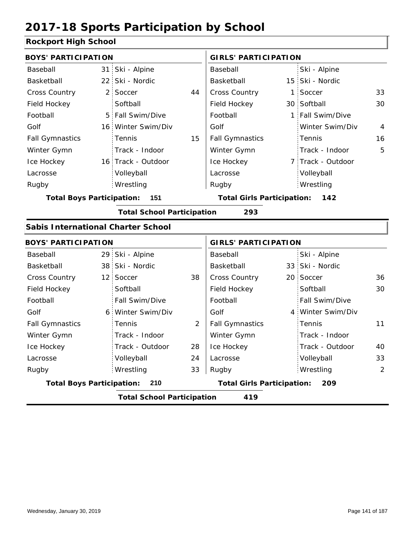### **Rockport High School**

| <b>BOYS' PARTICIPATION</b>                |  |                                   | <b>GIRLS' PARTICIPATION</b> |                                          |  |                   |                |
|-------------------------------------------|--|-----------------------------------|-----------------------------|------------------------------------------|--|-------------------|----------------|
| Baseball                                  |  | 31 Ski - Alpine                   |                             | Baseball                                 |  | Ski - Alpine      |                |
| Basketball                                |  | 22 Ski - Nordic                   |                             | Basketball                               |  | 15 Ski - Nordic   |                |
| Cross Country                             |  | 2 Soccer                          | 44                          | Cross Country                            |  | 1 Soccer          | 33             |
| Field Hockey                              |  | Softball                          |                             | Field Hockey                             |  | 30 Softball       | 30             |
| Football                                  |  | 5 Fall Swim/Dive                  |                             | Football                                 |  | 1 Fall Swim/Dive  |                |
| Golf                                      |  | 16 Winter Swim/Div                |                             | Golf                                     |  | Winter Swim/Div   | $\overline{4}$ |
| <b>Fall Gymnastics</b>                    |  | Tennis                            | 15                          | <b>Fall Gymnastics</b>                   |  | Tennis            | 16             |
| Winter Gymn                               |  | Track - Indoor                    |                             | Winter Gymn                              |  | Track - Indoor    | 5              |
| Ice Hockey                                |  | 16 Track - Outdoor                |                             | Ice Hockey                               |  | 7 Track - Outdoor |                |
| Lacrosse                                  |  | Volleyball                        |                             | Lacrosse                                 |  | Volleyball        |                |
| Rugby                                     |  | Wrestling                         |                             | Rugby                                    |  | Wrestling         |                |
| <b>Total Boys Participation:</b>          |  | 151                               |                             | <b>Total Girls Participation:</b>        |  | 142               |                |
|                                           |  | <b>Total School Participation</b> |                             | 293                                      |  |                   |                |
| <b>Sabis International Charter School</b> |  |                                   |                             |                                          |  |                   |                |
| <b>BOYS' PARTICIPATION</b>                |  |                                   |                             | <b>GIRLS' PARTICIPATION</b>              |  |                   |                |
| Baseball                                  |  | 29 Ski - Alpine                   |                             | Baseball                                 |  | Ski - Alpine      |                |
| Basketball                                |  | 38 Ski - Nordic                   |                             | Basketball                               |  | 33 Ski - Nordic   |                |
| <b>Cross Country</b>                      |  | 12 Soccer                         | 38                          | Cross Country                            |  | 20 Soccer         | 36             |
| Field Hockey                              |  | Softball                          |                             | Field Hockey                             |  | Softball          | 30             |
| Football                                  |  | Fall Swim/Dive                    |                             | Football                                 |  | Fall Swim/Dive    |                |
| Golf                                      |  | 6 Winter Swim/Div                 |                             | Golf                                     |  | 4 Winter Swim/Div |                |
| <b>Fall Gymnastics</b>                    |  | Tennis                            | 2                           | <b>Fall Gymnastics</b>                   |  | Tennis            | 11             |
| Winter Gymn                               |  | Track - Indoor                    |                             | Winter Gymn                              |  | Track - Indoor    |                |
| Ice Hockey                                |  | Track - Outdoor                   | 28                          | Ice Hockey                               |  | Track - Outdoor   | 40             |
| Lacrosse                                  |  | Volleyball                        | 24                          | Lacrosse                                 |  | Volleyball        | 33             |
| Rugby                                     |  | Wrestling                         | 33                          | Rugby                                    |  | Wrestling         | 2              |
| <b>Total Boys Participation:</b>          |  | 210                               |                             | <b>Total Girls Participation:</b><br>209 |  |                   |                |
|                                           |  | <b>Total School Participation</b> |                             | 419                                      |  |                   |                |
|                                           |  |                                   |                             |                                          |  |                   |                |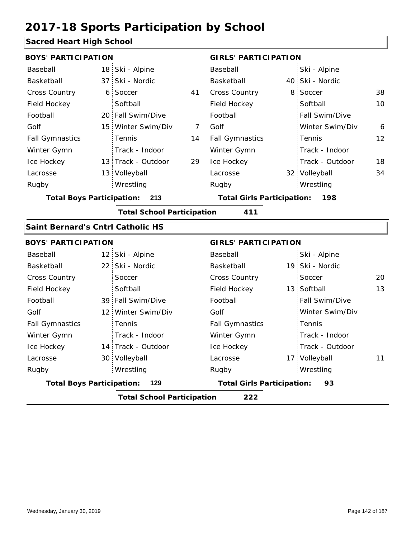### **Sacred Heart High School**

| <b>BOYS' PARTICIPATION</b>              |  |                                   | <b>GIRLS' PARTICIPATION</b> |                                            |                |                 |    |  |
|-----------------------------------------|--|-----------------------------------|-----------------------------|--------------------------------------------|----------------|-----------------|----|--|
| Baseball                                |  | 18 Ski - Alpine                   |                             | Baseball                                   |                | Ski - Alpine    |    |  |
| Basketball                              |  | 37 Ski - Nordic                   |                             | Basketball                                 |                | 40 Ski - Nordic |    |  |
| Cross Country                           |  | 6 Soccer                          | 41                          | Cross Country                              | 8 <sup>1</sup> | Soccer          | 38 |  |
| Field Hockey                            |  | Softball                          |                             | Field Hockey                               |                | Softball        | 10 |  |
| Football                                |  | 20 Fall Swim/Dive                 |                             | Football                                   |                | Fall Swim/Dive  |    |  |
| Golf                                    |  | 15 Winter Swim/Div                | $\overline{7}$              | Golf                                       |                | Winter Swim/Div | 6  |  |
| <b>Fall Gymnastics</b>                  |  | Tennis                            | 14                          | <b>Fall Gymnastics</b>                     |                | Tennis          | 12 |  |
| Winter Gymn                             |  | Track - Indoor                    |                             | Winter Gymn                                |                | Track - Indoor  |    |  |
| Ice Hockey                              |  | 13 Track - Outdoor                | 29                          | Ice Hockey                                 |                | Track - Outdoor | 18 |  |
| Lacrosse                                |  | 13 Volleyball                     |                             | Lacrosse                                   |                | 32 Volleyball   | 34 |  |
| Rugby                                   |  | Wrestling                         |                             | Rugby                                      |                | Wrestling       |    |  |
| <b>Total Boys Participation:</b><br>213 |  |                                   |                             | <b>Total Girls Participation:</b><br>- 198 |                |                 |    |  |
|                                         |  | <b>Total School Participation</b> |                             | 411                                        |                |                 |    |  |
| Saint Bernard's Cntrl Catholic HS       |  |                                   |                             |                                            |                |                 |    |  |
| <b>BOYS' PARTICIPATION</b>              |  |                                   | <b>GIRLS' PARTICIPATION</b> |                                            |                |                 |    |  |
| Baseball                                |  | 12 Ski - Alpine                   |                             | Baseball                                   |                | Ski - Alpine    |    |  |
| Basketball                              |  | 22 Ski - Nordic                   |                             | Basketball                                 |                | 19 Ski - Nordic |    |  |
| <b>Cross Country</b>                    |  | Soccer                            |                             | Cross Country                              |                | Soccer          | 20 |  |
| Field Hockey                            |  | Softball                          |                             | Field Hockey                               |                | 13 Softball     | 13 |  |
| Football                                |  | 39 Fall Swim/Dive                 |                             | Football                                   |                | Fall Swim/Dive  |    |  |
| Golf                                    |  | 12 Winter Swim/Div                |                             | Golf                                       |                | Winter Swim/Div |    |  |
| <b>Fall Gymnastics</b>                  |  | Tennis                            |                             | <b>Fall Gymnastics</b>                     |                | Tennis          |    |  |
| Winter Gymn                             |  | Track - Indoor                    |                             | Winter Gymn                                |                | Track - Indoor  |    |  |
| Ice Hockey                              |  | 14 Track - Outdoor                |                             | Ice Hockey                                 |                | Track - Outdoor |    |  |
| Lacrosse                                |  | 30 Volleyball                     |                             | Lacrosse                                   |                | 17 Volleyball   | 11 |  |
| Rugby                                   |  | Wrestling                         |                             | Rugby                                      |                | Wrestling       |    |  |
| 129<br><b>Total Boys Participation:</b> |  |                                   |                             | <b>Total Girls Participation:</b><br>93    |                |                 |    |  |

**Total School Participation 222**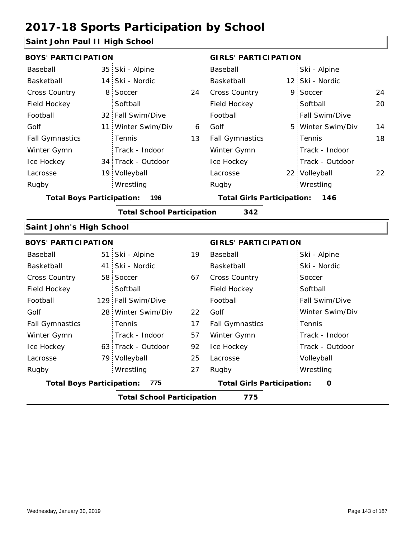### **Saint John Paul II High School**

| <b>BOYS' PARTICIPATION</b>       |                 |                                   | <b>GIRLS' PARTICIPATION</b>              |                        |  |                   |    |
|----------------------------------|-----------------|-----------------------------------|------------------------------------------|------------------------|--|-------------------|----|
| Baseball                         |                 | 35 Ski - Alpine                   |                                          | Baseball               |  | Ski - Alpine      |    |
| Basketball                       |                 | 14 Ski - Nordic                   |                                          | Basketball             |  | 12 Ski - Nordic   |    |
| Cross Country                    | 8               | Soccer                            | 24                                       | Cross Country          |  | 9 Soccer          | 24 |
| Field Hockey                     |                 | Softball                          |                                          | Field Hockey           |  | Softball          | 20 |
| Football                         |                 | 32 Fall Swim/Dive                 |                                          | Football               |  | Fall Swim/Dive    |    |
| Golf                             |                 | 11 Winter Swim/Div                | 6                                        | Golf                   |  | 5 Winter Swim/Div | 14 |
| <b>Fall Gymnastics</b>           |                 | Tennis                            | 13                                       | <b>Fall Gymnastics</b> |  | Tennis            | 18 |
| Winter Gymn                      |                 | Track - Indoor                    |                                          | Winter Gymn            |  | Track - Indoor    |    |
| Ice Hockey                       |                 | 34 Track - Outdoor                |                                          | Ice Hockey             |  | Track - Outdoor   |    |
| Lacrosse                         |                 | 19 Volleyball                     |                                          | Lacrosse               |  | 22 Volleyball     | 22 |
| Rugby                            |                 | Wrestling                         |                                          | Rugby                  |  | Wrestling         |    |
| <b>Total Boys Participation:</b> | 196             |                                   | <b>Total Girls Participation:</b><br>146 |                        |  |                   |    |
|                                  |                 | <b>Total School Participation</b> |                                          | 342                    |  |                   |    |
| <b>Saint John's High School</b>  |                 |                                   |                                          |                        |  |                   |    |
| <b>BOYS' PARTICIPATION</b>       |                 |                                   | <b>GIRLS' PARTICIPATION</b>              |                        |  |                   |    |
| Baseball                         |                 |                                   |                                          |                        |  |                   |    |
|                                  | 51 <sup>1</sup> | Ski - Alpine                      | 19                                       | Baseball               |  | Ski - Alpine      |    |
| Basketball                       |                 | 41 Ski - Nordic                   |                                          | Basketball             |  | Ski - Nordic      |    |
| Cross Country                    |                 | 58 Soccer                         | 67                                       | Cross Country          |  | Soccer            |    |
| Field Hockey                     |                 | Softball                          |                                          | Field Hockey           |  | Softball          |    |
| Football                         |                 | 129 Fall Swim/Dive                |                                          | Football               |  | Fall Swim/Dive    |    |
| Golf                             |                 | 28 Winter Swim/Div                | 22                                       | Golf                   |  | Winter Swim/Div   |    |
| <b>Fall Gymnastics</b>           |                 | Tennis                            | 17                                       | <b>Fall Gymnastics</b> |  | Tennis            |    |
| Winter Gymn                      |                 | Track - Indoor                    | 57                                       | Winter Gymn            |  | Track - Indoor    |    |
| Ice Hockey                       |                 | 63 Track - Outdoor                | 92                                       | Ice Hockey             |  | Track - Outdoor   |    |
| Lacrosse                         |                 | 79 Volleyball                     | 25                                       | Lacrosse               |  | Volleyball        |    |
| Rugby                            |                 | Wrestling                         | 27                                       | Rugby                  |  | Wrestling         |    |

**Total School Participation 775**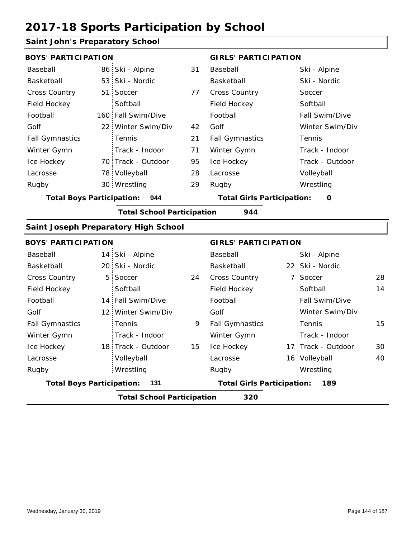### **Saint John's Preparatory School**

| <b>BOYS' PARTICIPATION</b>       |                 |                                      | <b>GIRLS' PARTICIPATION</b> |                                   |  |                    |    |
|----------------------------------|-----------------|--------------------------------------|-----------------------------|-----------------------------------|--|--------------------|----|
| Baseball                         | 86              | Ski - Alpine                         | 31                          | Baseball                          |  | Ski - Alpine       |    |
| Basketball                       | 53 <sup>1</sup> | Ski - Nordic                         |                             | Basketball                        |  | Ski - Nordic       |    |
| <b>Cross Country</b>             | 51              | Soccer                               | 77                          | Cross Country                     |  | Soccer             |    |
| Field Hockey                     |                 | Softball                             |                             | Field Hockey                      |  | Softball           |    |
| Football                         |                 | 160 Fall Swim/Dive                   |                             | Football                          |  | Fall Swim/Dive     |    |
| Golf                             |                 | 22 Winter Swim/Div                   | 42                          | Golf                              |  | Winter Swim/Div    |    |
| <b>Fall Gymnastics</b>           |                 | Tennis                               | 21                          | <b>Fall Gymnastics</b>            |  | Tennis             |    |
| Winter Gymn                      |                 | Track - Indoor                       | 71                          | Winter Gymn                       |  | Track - Indoor     |    |
| Ice Hockey                       |                 | 70 Track - Outdoor                   | 95                          | Ice Hockey                        |  | Track - Outdoor    |    |
| Lacrosse                         |                 | 78 Volleyball                        | 28                          | Lacrosse                          |  | Volleyball         |    |
| Rugby                            |                 | 30 Wrestling                         | 29                          | Rugby                             |  | Wrestling          |    |
| <b>Total Boys Participation:</b> |                 | 944                                  |                             | <b>Total Girls Participation:</b> |  | O                  |    |
|                                  |                 | <b>Total School Participation</b>    |                             | 944                               |  |                    |    |
|                                  |                 | Saint Joseph Preparatory High School |                             |                                   |  |                    |    |
| <b>BOYS' PARTICIPATION</b>       |                 |                                      |                             | <b>GIRLS' PARTICIPATION</b>       |  |                    |    |
| Baseball                         |                 | 14 Ski - Alpine                      |                             | Baseball                          |  | Ski - Alpine       |    |
| Basketball                       |                 | 20 Ski - Nordic                      |                             | Basketball                        |  | 22 Ski - Nordic    |    |
| <b>Cross Country</b>             | 5               | Soccer                               | 24                          | Cross Country                     |  | 7 Soccer           | 28 |
| Field Hockey                     |                 | Softball                             |                             | Field Hockey                      |  | Softball           | 14 |
| Football                         |                 | 14 Fall Swim/Dive                    |                             | Football                          |  | Fall Swim/Dive     |    |
| Golf                             | 12 <sup>1</sup> | Winter Swim/Div                      |                             | Golf                              |  | Winter Swim/Div    |    |
| <b>Fall Gymnastics</b>           |                 | Tennis                               | 9                           | <b>Fall Gymnastics</b>            |  | Tennis             | 15 |
| Winter Gymn                      |                 | Track - Indoor                       |                             | Winter Gymn                       |  | Track - Indoor     |    |
| Ice Hockey                       |                 | 18 Track - Outdoor                   | 15                          | Ice Hockey                        |  | 17 Track - Outdoor | 30 |
| Lacrosse                         |                 | Volleyball                           |                             | Lacrosse                          |  | 16 Volleyball      | 40 |
| Rugby                            |                 | Wrestling                            |                             | Rugby                             |  | Wrestling          |    |
| <b>Total Boys Participation:</b> |                 | 131                                  |                             | <b>Total Girls Participation:</b> |  | 189                |    |
|                                  |                 | <b>Total School Participation</b>    |                             | 320                               |  |                    |    |
|                                  |                 |                                      |                             |                                   |  |                    |    |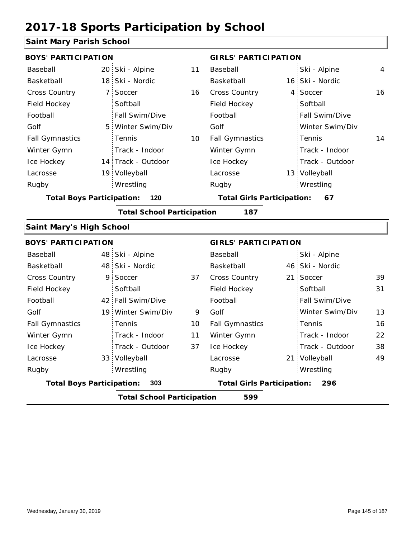### **Saint Mary Parish School**

|                                          |                 | 11                                                                                                                                                                                                                                                                                                                                                                                 | Baseball               |                                   | Ski - Alpine    | 4                                                                                                                                                                                                                                    |  |  |
|------------------------------------------|-----------------|------------------------------------------------------------------------------------------------------------------------------------------------------------------------------------------------------------------------------------------------------------------------------------------------------------------------------------------------------------------------------------|------------------------|-----------------------------------|-----------------|--------------------------------------------------------------------------------------------------------------------------------------------------------------------------------------------------------------------------------------|--|--|
|                                          | Ski - Nordic    |                                                                                                                                                                                                                                                                                                                                                                                    | Basketball             |                                   |                 |                                                                                                                                                                                                                                      |  |  |
|                                          | Soccer          | 16                                                                                                                                                                                                                                                                                                                                                                                 | Cross Country          |                                   | Soccer          | 16                                                                                                                                                                                                                                   |  |  |
|                                          | Softball        |                                                                                                                                                                                                                                                                                                                                                                                    | Field Hockey           |                                   | Softball        |                                                                                                                                                                                                                                      |  |  |
|                                          | Fall Swim/Dive  |                                                                                                                                                                                                                                                                                                                                                                                    | Football               |                                   | Fall Swim/Dive  |                                                                                                                                                                                                                                      |  |  |
| 5                                        | Winter Swim/Div |                                                                                                                                                                                                                                                                                                                                                                                    | Golf                   |                                   | Winter Swim/Div |                                                                                                                                                                                                                                      |  |  |
|                                          | Tennis          | 10                                                                                                                                                                                                                                                                                                                                                                                 | <b>Fall Gymnastics</b> |                                   | Tennis          | 14                                                                                                                                                                                                                                   |  |  |
|                                          | Track - Indoor  |                                                                                                                                                                                                                                                                                                                                                                                    | Winter Gymn            |                                   | Track - Indoor  |                                                                                                                                                                                                                                      |  |  |
|                                          |                 |                                                                                                                                                                                                                                                                                                                                                                                    | Ice Hockey             |                                   | Track - Outdoor |                                                                                                                                                                                                                                      |  |  |
|                                          |                 |                                                                                                                                                                                                                                                                                                                                                                                    | Lacrosse               |                                   |                 |                                                                                                                                                                                                                                      |  |  |
|                                          | Wrestling       |                                                                                                                                                                                                                                                                                                                                                                                    | Rugby                  |                                   | Wrestling       |                                                                                                                                                                                                                                      |  |  |
|                                          | 120             |                                                                                                                                                                                                                                                                                                                                                                                    |                        |                                   | 67              |                                                                                                                                                                                                                                      |  |  |
|                                          |                 |                                                                                                                                                                                                                                                                                                                                                                                    | 187                    |                                   |                 |                                                                                                                                                                                                                                      |  |  |
|                                          |                 |                                                                                                                                                                                                                                                                                                                                                                                    |                        |                                   |                 |                                                                                                                                                                                                                                      |  |  |
|                                          |                 |                                                                                                                                                                                                                                                                                                                                                                                    |                        |                                   |                 |                                                                                                                                                                                                                                      |  |  |
|                                          | Ski - Alpine    |                                                                                                                                                                                                                                                                                                                                                                                    | Baseball               |                                   | Ski - Alpine    |                                                                                                                                                                                                                                      |  |  |
|                                          |                 |                                                                                                                                                                                                                                                                                                                                                                                    | Basketball             |                                   |                 |                                                                                                                                                                                                                                      |  |  |
| 9                                        | Soccer          | 37                                                                                                                                                                                                                                                                                                                                                                                 | Cross Country          |                                   | Soccer          | 39                                                                                                                                                                                                                                   |  |  |
|                                          | Softball        |                                                                                                                                                                                                                                                                                                                                                                                    | Field Hockey           |                                   | Softball        | 31                                                                                                                                                                                                                                   |  |  |
|                                          |                 |                                                                                                                                                                                                                                                                                                                                                                                    | Football               |                                   | Fall Swim/Dive  |                                                                                                                                                                                                                                      |  |  |
|                                          | Winter Swim/Div | 9                                                                                                                                                                                                                                                                                                                                                                                  | Golf                   |                                   | Winter Swim/Div | 13                                                                                                                                                                                                                                   |  |  |
|                                          | Tennis          | 10                                                                                                                                                                                                                                                                                                                                                                                 | <b>Fall Gymnastics</b> |                                   | Tennis          | 16                                                                                                                                                                                                                                   |  |  |
|                                          | Track - Indoor  | 11                                                                                                                                                                                                                                                                                                                                                                                 | Winter Gymn            |                                   | Track - Indoor  | 22                                                                                                                                                                                                                                   |  |  |
|                                          | Track - Outdoor | 37                                                                                                                                                                                                                                                                                                                                                                                 | Ice Hockey             |                                   | Track - Outdoor | 38                                                                                                                                                                                                                                   |  |  |
|                                          |                 |                                                                                                                                                                                                                                                                                                                                                                                    | Lacrosse               |                                   |                 | 49                                                                                                                                                                                                                                   |  |  |
|                                          | Wrestling       |                                                                                                                                                                                                                                                                                                                                                                                    | Rugby                  |                                   | Wrestling       |                                                                                                                                                                                                                                      |  |  |
|                                          | 303             |                                                                                                                                                                                                                                                                                                                                                                                    |                        |                                   | 296             |                                                                                                                                                                                                                                      |  |  |
| <b>Total School Participation</b><br>599 |                 |                                                                                                                                                                                                                                                                                                                                                                                    |                        |                                   |                 |                                                                                                                                                                                                                                      |  |  |
|                                          |                 | $3$ annt Mar $\bm{y}$ ransol $3$ Chool<br><b>BOYS' PARTICIPATION</b><br>20 Ski - Alpine<br>18 <sup>1</sup><br>7.<br>14 Track - Outdoor<br>19 Volleyball<br><b>Total Boys Participation:</b><br><b>Saint Mary's High School</b><br><b>BOYS' PARTICIPATION</b><br>48<br>48 Ski - Nordic<br>42 Fall Swim/Dive<br>19 <sup>1</sup><br>33 Volleyball<br><b>Total Boys Participation:</b> |                        | <b>Total School Participation</b> |                 | <b>GIRLS' PARTICIPATION</b><br>16 Ski - Nordic<br>4<br>13 Volleyball<br><b>Total Girls Participation:</b><br><b>GIRLS' PARTICIPATION</b><br>46 Ski - Nordic<br>21 <sup>1</sup><br>21 Volleyball<br><b>Total Girls Participation:</b> |  |  |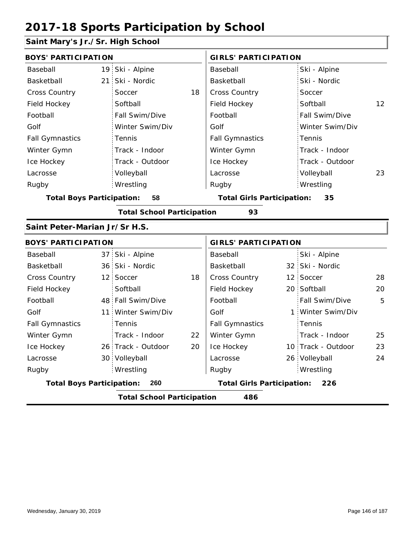### **Saint Mary's Jr./Sr. High School**

| <b>BOYS' PARTICIPATION</b>       |                 |                                   |    | <b>GIRLS' PARTICIPATION</b>       |   |                    |    |  |
|----------------------------------|-----------------|-----------------------------------|----|-----------------------------------|---|--------------------|----|--|
| Baseball                         |                 | 19 Ski - Alpine                   |    | Baseball                          |   | Ski - Alpine       |    |  |
| Basketball                       | 21 <sub>1</sub> | Ski - Nordic                      |    | Basketball                        |   | Ski - Nordic       |    |  |
| <b>Cross Country</b>             |                 | Soccer                            | 18 | <b>Cross Country</b>              |   | Soccer             |    |  |
| Field Hockey                     |                 | Softball                          |    | Field Hockey                      |   | Softball           | 12 |  |
| Football                         |                 | Fall Swim/Dive                    |    | Football                          |   | Fall Swim/Dive     |    |  |
| Golf                             |                 | Winter Swim/Div                   |    | Golf                              |   | Winter Swim/Div    |    |  |
| <b>Fall Gymnastics</b>           |                 | Tennis                            |    | <b>Fall Gymnastics</b>            |   | Tennis             |    |  |
| Winter Gymn                      |                 | Track - Indoor                    |    | Winter Gymn                       |   | Track - Indoor     |    |  |
| Ice Hockey                       |                 | Track - Outdoor                   |    | Ice Hockey                        |   | Track - Outdoor    |    |  |
| Lacrosse                         |                 | Volleyball                        |    | Lacrosse                          |   | Volleyball         | 23 |  |
| Rugby                            |                 | Wrestling                         |    | Rugby                             |   | Wrestling          |    |  |
| <b>Total Boys Participation:</b> |                 | 58                                |    | <b>Total Girls Participation:</b> |   | 35                 |    |  |
|                                  |                 | <b>Total School Participation</b> |    | 93                                |   |                    |    |  |
| Saint Peter-Marian Jr/Sr H.S.    |                 |                                   |    |                                   |   |                    |    |  |
| <b>BOYS' PARTICIPATION</b>       |                 |                                   |    | <b>GIRLS' PARTICIPATION</b>       |   |                    |    |  |
| Baseball                         | 37 <sup>2</sup> | Ski - Alpine                      |    | Baseball                          |   | Ski - Alpine       |    |  |
| Basketball                       |                 | 36 Ski - Nordic                   |    | Basketball                        |   | 32 Ski - Nordic    |    |  |
| <b>Cross Country</b>             | 12 <sup>1</sup> | Soccer                            | 18 | Cross Country                     |   | 12 Soccer          | 28 |  |
| Field Hockey                     |                 | Softball                          |    | Field Hockey                      |   | 20 Softball        | 20 |  |
| Football                         | 48              | Fall Swim/Dive                    |    | Football                          |   | Fall Swim/Dive     | 5  |  |
| Golf                             | 11              | Winter Swim/Div                   |    | Golf                              | 1 | Winter Swim/Div    |    |  |
| <b>Fall Gymnastics</b>           |                 | Tennis                            |    | <b>Fall Gymnastics</b>            |   | Tennis             |    |  |
| Winter Gymn                      |                 | Track - Indoor                    | 22 | Winter Gymn                       |   | Track - Indoor     | 25 |  |
| Ice Hockey                       |                 | 26 Track - Outdoor                | 20 | Ice Hockey                        |   | 10 Track - Outdoor | 23 |  |
| Lacrosse                         | 30 i            | Volleyball                        |    | Lacrosse                          |   | 26 Volleyball      | 24 |  |
| Rugby                            |                 | Wrestling                         |    | Rugby                             |   | Wrestling          |    |  |
| <b>Total Boys Participation:</b> |                 | 260                               |    | <b>Total Girls Participation:</b> |   | 226                |    |  |
|                                  |                 | <b>Total School Participation</b> |    | 486                               |   |                    |    |  |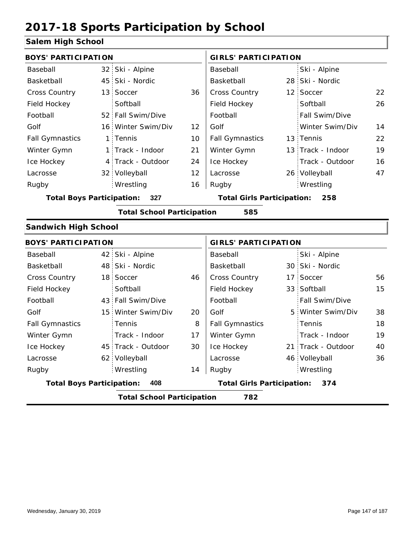#### **Salem High School**

| <b>BOYS' PARTICIPATION</b>       |                 |                                   |    | <b>GIRLS' PARTICIPATION</b>       |                    |    |
|----------------------------------|-----------------|-----------------------------------|----|-----------------------------------|--------------------|----|
| Baseball                         | 32 <sub>1</sub> | Ski - Alpine                      |    | Baseball                          | Ski - Alpine       |    |
| Basketball                       |                 | 45 Ski - Nordic                   |    | Basketball                        | 28 Ski - Nordic    |    |
| Cross Country                    | 13 <sup>1</sup> | Soccer                            | 36 | Cross Country                     | 12 Soccer          | 22 |
| Field Hockey                     |                 | Softball                          |    | Field Hockey                      | Softball           | 26 |
| Football                         |                 | 52 Fall Swim/Dive                 |    | Football                          | Fall Swim/Dive     |    |
| Golf                             |                 | 16 Winter Swim/Div                | 12 | Golf                              | Winter Swim/Div    | 14 |
| <b>Fall Gymnastics</b>           |                 | 1 Tennis                          | 10 | <b>Fall Gymnastics</b>            | 13 Tennis          | 22 |
| Winter Gymn                      |                 | 1 Track - Indoor                  | 21 | Winter Gymn                       | 13 Track - Indoor  | 19 |
| Ice Hockey                       |                 | 4 Track - Outdoor                 | 24 | Ice Hockey                        | Track - Outdoor    | 16 |
| Lacrosse                         |                 | 32 Volleyball                     | 12 | Lacrosse                          | 26 Volleyball      | 47 |
| Rugby                            |                 | Wrestling                         | 16 | Rugby                             | Wrestling          |    |
| <b>Total Boys Participation:</b> |                 | 327                               |    | <b>Total Girls Participation:</b> | 258                |    |
|                                  |                 | <b>Total School Participation</b> |    | 585                               |                    |    |
| <b>Sandwich High School</b>      |                 |                                   |    |                                   |                    |    |
| <b>BOYS' PARTICIPATION</b>       |                 |                                   |    | <b>GIRLS' PARTICIPATION</b>       |                    |    |
| Baseball                         |                 | 42 Ski - Alpine                   |    | Baseball                          | Ski - Alpine       |    |
| Basketball                       |                 | 48 Ski - Nordic                   |    | Basketball                        | 30 Ski - Nordic    |    |
| <b>Cross Country</b>             | 18 <sup>1</sup> | Soccer                            | 46 | Cross Country                     | 17 Soccer          | 56 |
| Field Hockey                     |                 | Softball                          |    | Field Hockey                      | 33 Softball        | 15 |
| Football                         |                 | 43 Fall Swim/Dive                 |    | Football                          | Fall Swim/Dive     |    |
| Golf                             | 15 <sup>1</sup> | Winter Swim/Div                   | 20 | Golf                              | 5 Winter Swim/Div  | 38 |
| <b>Fall Gymnastics</b>           |                 | Tennis                            | 8  | <b>Fall Gymnastics</b>            | Tennis             | 18 |
| Winter Gymn                      |                 | Track - Indoor                    | 17 | Winter Gymn                       | Track - Indoor     | 19 |
| Ice Hockey                       |                 | 45 Track - Outdoor                | 30 | Ice Hockey                        | 21 Track - Outdoor | 40 |
| Lacrosse                         |                 | 62 Volleyball                     |    | Lacrosse                          | 46 Volleyball      | 36 |
| Rugby                            |                 | Wrestling                         | 14 | Rugby                             | Wrestling          |    |
| <b>Total Boys Participation:</b> |                 | 408                               |    | <b>Total Girls Participation:</b> | 374                |    |
|                                  |                 | <b>Total School Participation</b> |    | 782                               |                    |    |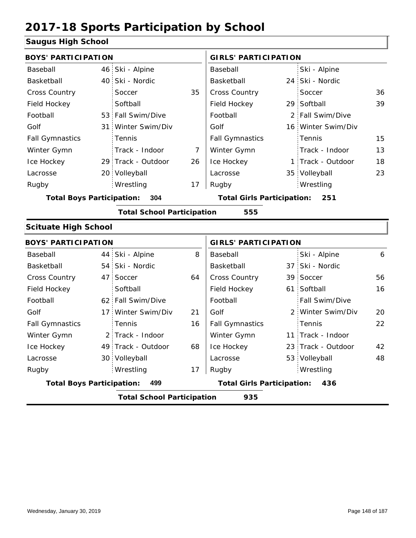#### **Saugus High School**

|                                         | <b>BOYS' PARTICIPATION</b> |                                   |                |                                   |  | <b>GIRLS' PARTICIPATION</b> |    |  |  |
|-----------------------------------------|----------------------------|-----------------------------------|----------------|-----------------------------------|--|-----------------------------|----|--|--|
| Baseball                                |                            | 46 Ski - Alpine                   |                | Baseball                          |  | Ski - Alpine                |    |  |  |
| Basketball                              |                            | 40 Ski - Nordic                   |                | Basketball                        |  | 24 Ski - Nordic             |    |  |  |
| Cross Country                           |                            | Soccer                            | 35             | Cross Country                     |  | Soccer                      | 36 |  |  |
| Field Hockey                            |                            | Softball                          |                | Field Hockey                      |  | 29 Softball                 | 39 |  |  |
| Football                                |                            | 53 Fall Swim/Dive                 |                | Football                          |  | 2 Fall Swim/Dive            |    |  |  |
| Golf                                    |                            | 31 Winter Swim/Div                |                | Golf                              |  | 16 Winter Swim/Div          |    |  |  |
| <b>Fall Gymnastics</b>                  |                            | Tennis                            |                | <b>Fall Gymnastics</b>            |  | Tennis                      | 15 |  |  |
| Winter Gymn                             |                            | Track - Indoor                    | $\overline{7}$ | Winter Gymn                       |  | Track - Indoor              | 13 |  |  |
| Ice Hockey                              |                            | 29 Track - Outdoor                | 26             | Ice Hockey                        |  | 1 Track - Outdoor           | 18 |  |  |
| Lacrosse                                |                            | 20 Volleyball                     |                | Lacrosse                          |  | 35 Volleyball               | 23 |  |  |
| Rugby                                   |                            | Wrestling                         | 17             | Rugby                             |  | Wrestling                   |    |  |  |
| <b>Total Boys Participation:</b><br>304 |                            |                                   |                | <b>Total Girls Participation:</b> |  | 251                         |    |  |  |
|                                         |                            | <b>Total School Participation</b> |                | 555                               |  |                             |    |  |  |
| <b>Scituate High School</b>             |                            |                                   |                |                                   |  |                             |    |  |  |
| <b>BOYS' PARTICIPATION</b>              |                            |                                   |                | <b>GIRLS' PARTICIPATION</b>       |  |                             |    |  |  |
| Baseball                                |                            | 44 Ski - Alpine                   | 8              | Baseball                          |  | Ski - Alpine                | 6  |  |  |
| Basketball                              |                            | 54 Ski - Nordic                   |                | Basketball                        |  | 37 Ski - Nordic             |    |  |  |
| Cross Country                           |                            | 47 Soccer                         | 64             | Cross Country                     |  | 39 Soccer                   | 56 |  |  |
| Field Hockey                            |                            | Softball                          |                | Field Hockey                      |  | 61 Softball                 | 16 |  |  |
| Football                                |                            | 62 Fall Swim/Dive                 |                | Football                          |  | Fall Swim/Dive              |    |  |  |
| Golf                                    |                            | 17 Winter Swim/Div                | 21             | Golf                              |  | 2 Winter Swim/Div           | 20 |  |  |
| <b>Fall Gymnastics</b>                  |                            | Tennis                            | 16             | <b>Fall Gymnastics</b>            |  | Tennis                      | 22 |  |  |
| Winter Gymn                             |                            | 2 Track - Indoor                  |                | Winter Gymn                       |  | 11 Track - Indoor           |    |  |  |
| Ice Hockey                              |                            | 49 Track - Outdoor                | 68             | Ice Hockey                        |  | 23 Track - Outdoor          | 42 |  |  |

17

**Total Boys Participation: 499 Total Girls Participation: 436**

**Total School Participation 935**

Lacrosse

Lacrosse

30 Volleyball

Wrestling Rugby Rugby

53 Volleyball 48

Wrestling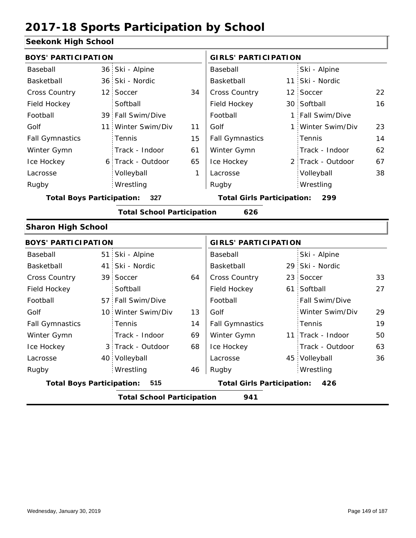#### **Seekonk High School**

| <b>BOYS' PARTICIPATION</b>       |                 |                                   |    | <b>GIRLS' PARTICIPATION</b>              |  |                   |    |  |
|----------------------------------|-----------------|-----------------------------------|----|------------------------------------------|--|-------------------|----|--|
| Baseball                         |                 | 36 Ski - Alpine                   |    | Baseball                                 |  | Ski - Alpine      |    |  |
| Basketball                       |                 | 36 Ski - Nordic                   |    | Basketball                               |  | 11 Ski - Nordic   |    |  |
| <b>Cross Country</b>             |                 | 12 Soccer                         | 34 | Cross Country                            |  | 12 Soccer         | 22 |  |
| Field Hockey                     |                 | Softball                          |    | Field Hockey                             |  | 30 Softball       | 16 |  |
| Football                         |                 | 39 Fall Swim/Dive                 |    | Football                                 |  | 1 Fall Swim/Dive  |    |  |
| Golf                             | 11 <sup>1</sup> | Winter Swim/Div                   | 11 | Golf                                     |  | 1 Winter Swim/Div | 23 |  |
| <b>Fall Gymnastics</b>           |                 | Tennis                            | 15 | <b>Fall Gymnastics</b>                   |  | Tennis            | 14 |  |
| Winter Gymn                      |                 | Track - Indoor                    | 61 | Winter Gymn                              |  | Track - Indoor    | 62 |  |
| Ice Hockey                       |                 | 6 Track - Outdoor                 | 65 | Ice Hockey                               |  | 2 Track - Outdoor | 67 |  |
| Lacrosse                         |                 | Volleyball                        | 1  | Lacrosse                                 |  | Volleyball        | 38 |  |
| Rugby                            |                 | Wrestling                         |    | Rugby                                    |  | Wrestling         |    |  |
| <b>Total Boys Participation:</b> |                 | 327                               |    | <b>Total Girls Participation:</b><br>299 |  |                   |    |  |
|                                  |                 | <b>Total School Participation</b> |    | 626                                      |  |                   |    |  |
| <b>Sharon High School</b>        |                 |                                   |    |                                          |  |                   |    |  |
| <b>BOYS' PARTICIPATION</b>       |                 |                                   |    | <b>GIRLS' PARTICIPATION</b>              |  |                   |    |  |
| Baseball                         |                 | 51 Ski - Alpine                   |    | Baseball                                 |  | Ski - Alpine      |    |  |
| Basketball                       |                 | 41 Ski - Nordic                   |    | Basketball                               |  | 29 Ski - Nordic   |    |  |
| <b>Cross Country</b>             |                 | 39 Soccer                         | 64 | Cross Country                            |  | 23 Soccer         | 33 |  |
| Field Hockey                     |                 | Softball                          |    | Field Hockey                             |  | 61 Softball       | 27 |  |

|                                         |  |                    |    | <u>.</u>                                 |  |                       |    |
|-----------------------------------------|--|--------------------|----|------------------------------------------|--|-----------------------|----|
| <b>Total Boys Participation:</b><br>515 |  |                    |    | <b>Total Girls Participation:</b><br>426 |  |                       |    |
| Rugby                                   |  | Wrestling          | 46 | Rugby                                    |  | Wrestling             |    |
| Lacrosse                                |  | 40 Volleyball      |    | Lacrosse                                 |  | 45 Volleyball         | 36 |
| Ice Hockey                              |  | 3 Track - Outdoor  | 68 | Ice Hockey                               |  | Track - Outdoor       | 63 |
| Winter Gymn                             |  | Track - Indoor     | 69 | Winter Gymn                              |  | 11 Track - Indoor     | 50 |
| <b>Fall Gymnastics</b>                  |  | <b>Tennis</b>      | 14 | <b>Fall Gymnastics</b>                   |  | Tennis                | 19 |
| Golf                                    |  | 10 Winter Swim/Div | 13 | Golf                                     |  | Winter Swim/Div       | 29 |
| Football                                |  | 57 Fall Swim/Dive  |    | Football                                 |  | <b>Fall Swim/Dive</b> |    |
| Field Hockey                            |  | Softball           |    | Field Hockey                             |  | 61 Softball           | 27 |

**Total School Participation 941**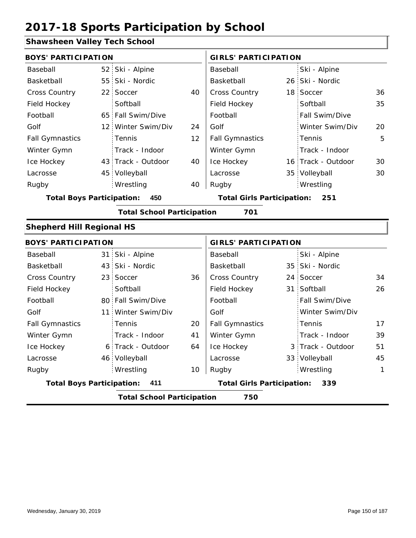#### **Shawsheen Valley Tech School**

|                                          |                                                                                                                                                                                                                                                                                                                                                                                                                                               | Baseball               |                                   | Ski - Alpine    |                                                                                                                                                                                                                                                                                                  |  |  |  |
|------------------------------------------|-----------------------------------------------------------------------------------------------------------------------------------------------------------------------------------------------------------------------------------------------------------------------------------------------------------------------------------------------------------------------------------------------------------------------------------------------|------------------------|-----------------------------------|-----------------|--------------------------------------------------------------------------------------------------------------------------------------------------------------------------------------------------------------------------------------------------------------------------------------------------|--|--|--|
|                                          |                                                                                                                                                                                                                                                                                                                                                                                                                                               | Basketball             |                                   |                 |                                                                                                                                                                                                                                                                                                  |  |  |  |
|                                          | 40                                                                                                                                                                                                                                                                                                                                                                                                                                            | Cross Country          |                                   |                 | 36                                                                                                                                                                                                                                                                                               |  |  |  |
| Softball                                 |                                                                                                                                                                                                                                                                                                                                                                                                                                               | Field Hockey           |                                   | Softball        | 35                                                                                                                                                                                                                                                                                               |  |  |  |
|                                          |                                                                                                                                                                                                                                                                                                                                                                                                                                               | Football               |                                   | Fall Swim/Dive  |                                                                                                                                                                                                                                                                                                  |  |  |  |
|                                          | 24                                                                                                                                                                                                                                                                                                                                                                                                                                            | Golf                   |                                   | Winter Swim/Div | 20                                                                                                                                                                                                                                                                                               |  |  |  |
| Tennis                                   | 12                                                                                                                                                                                                                                                                                                                                                                                                                                            | <b>Fall Gymnastics</b> |                                   | Tennis          | 5                                                                                                                                                                                                                                                                                                |  |  |  |
| Track - Indoor                           |                                                                                                                                                                                                                                                                                                                                                                                                                                               | Winter Gymn            |                                   | Track - Indoor  |                                                                                                                                                                                                                                                                                                  |  |  |  |
|                                          | 40                                                                                                                                                                                                                                                                                                                                                                                                                                            | Ice Hockey             |                                   |                 | 30                                                                                                                                                                                                                                                                                               |  |  |  |
|                                          |                                                                                                                                                                                                                                                                                                                                                                                                                                               | Lacrosse               |                                   |                 | 30                                                                                                                                                                                                                                                                                               |  |  |  |
| Wrestling                                | 40                                                                                                                                                                                                                                                                                                                                                                                                                                            | Rugby                  |                                   | Wrestling       |                                                                                                                                                                                                                                                                                                  |  |  |  |
| 450                                      |                                                                                                                                                                                                                                                                                                                                                                                                                                               |                        |                                   | 251             |                                                                                                                                                                                                                                                                                                  |  |  |  |
|                                          |                                                                                                                                                                                                                                                                                                                                                                                                                                               | 701                    |                                   |                 |                                                                                                                                                                                                                                                                                                  |  |  |  |
|                                          |                                                                                                                                                                                                                                                                                                                                                                                                                                               |                        |                                   |                 |                                                                                                                                                                                                                                                                                                  |  |  |  |
|                                          |                                                                                                                                                                                                                                                                                                                                                                                                                                               |                        |                                   |                 |                                                                                                                                                                                                                                                                                                  |  |  |  |
|                                          |                                                                                                                                                                                                                                                                                                                                                                                                                                               | Baseball               |                                   | Ski - Alpine    |                                                                                                                                                                                                                                                                                                  |  |  |  |
|                                          |                                                                                                                                                                                                                                                                                                                                                                                                                                               | Basketball             |                                   |                 |                                                                                                                                                                                                                                                                                                  |  |  |  |
|                                          | 36                                                                                                                                                                                                                                                                                                                                                                                                                                            | Cross Country          |                                   |                 | 34                                                                                                                                                                                                                                                                                               |  |  |  |
| Softball                                 |                                                                                                                                                                                                                                                                                                                                                                                                                                               | Field Hockey           |                                   |                 | 26                                                                                                                                                                                                                                                                                               |  |  |  |
|                                          |                                                                                                                                                                                                                                                                                                                                                                                                                                               | Football               |                                   | Fall Swim/Dive  |                                                                                                                                                                                                                                                                                                  |  |  |  |
|                                          |                                                                                                                                                                                                                                                                                                                                                                                                                                               | Golf                   |                                   | Winter Swim/Div |                                                                                                                                                                                                                                                                                                  |  |  |  |
| Tennis                                   | 20                                                                                                                                                                                                                                                                                                                                                                                                                                            | <b>Fall Gymnastics</b> |                                   | Tennis          | 17                                                                                                                                                                                                                                                                                               |  |  |  |
| Track - Indoor                           | 41                                                                                                                                                                                                                                                                                                                                                                                                                                            | Winter Gymn            |                                   | Track - Indoor  | 39                                                                                                                                                                                                                                                                                               |  |  |  |
|                                          | 64                                                                                                                                                                                                                                                                                                                                                                                                                                            | Ice Hockey             |                                   |                 | 51                                                                                                                                                                                                                                                                                               |  |  |  |
|                                          |                                                                                                                                                                                                                                                                                                                                                                                                                                               | Lacrosse               |                                   |                 | 45                                                                                                                                                                                                                                                                                               |  |  |  |
| Wrestling                                | 10                                                                                                                                                                                                                                                                                                                                                                                                                                            | Rugby                  |                                   | Wrestling       | 1                                                                                                                                                                                                                                                                                                |  |  |  |
| 411                                      |                                                                                                                                                                                                                                                                                                                                                                                                                                               |                        |                                   | 339             |                                                                                                                                                                                                                                                                                                  |  |  |  |
| <b>Total School Participation</b><br>750 |                                                                                                                                                                                                                                                                                                                                                                                                                                               |                        |                                   |                 |                                                                                                                                                                                                                                                                                                  |  |  |  |
|                                          | <b>BOYS' PARTICIPATION</b><br>52 Ski - Alpine<br>55 Ski - Nordic<br>22 Soccer<br>65 Fall Swim/Dive<br>12 Winter Swim/Div<br>43 Track - Outdoor<br>45 Volleyball<br><b>Total Boys Participation:</b><br><b>Shepherd Hill Regional HS</b><br><b>BOYS' PARTICIPATION</b><br>31 Ski - Alpine<br>43 Ski - Nordic<br>23 Soccer<br>80 Fall Swim/Dive<br>11 Winter Swim/Div<br>6 Track - Outdoor<br>46 Volleyball<br><b>Total Boys Participation:</b> |                        | <b>Total School Participation</b> |                 | <b>GIRLS' PARTICIPATION</b><br>26 Ski - Nordic<br>18 Soccer<br>16 Track - Outdoor<br>35 Volleyball<br><b>Total Girls Participation:</b><br><b>GIRLS' PARTICIPATION</b><br>35 Ski - Nordic<br>24 Soccer<br>31 Softball<br>3 Track - Outdoor<br>33 Volleyball<br><b>Total Girls Participation:</b> |  |  |  |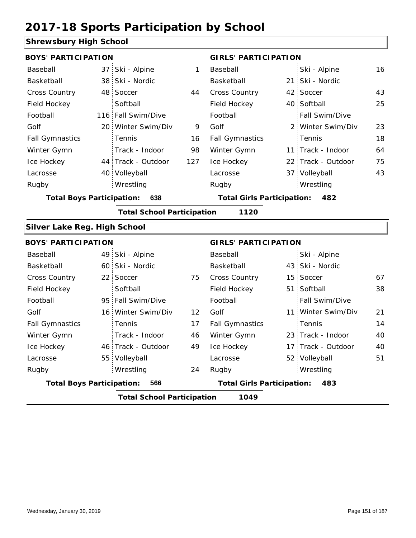#### **Shrewsbury High School**

| <b>BOYS' PARTICIPATION</b>       |                                   |              | <b>GIRLS' PARTICIPATION</b>       |  |                    |    |  |
|----------------------------------|-----------------------------------|--------------|-----------------------------------|--|--------------------|----|--|
| Baseball                         | 37 Ski - Alpine                   | $\mathbf{1}$ | Baseball                          |  | Ski - Alpine       | 16 |  |
| Basketball                       | 38 Ski - Nordic                   |              | Basketball                        |  | 21 Ski - Nordic    |    |  |
| Cross Country                    | 48 Soccer                         | 44           | Cross Country                     |  | 42 Soccer          | 43 |  |
| Field Hockey                     | Softball                          |              | Field Hockey                      |  | 40 Softball        | 25 |  |
| Football                         | 116 Fall Swim/Dive                |              | Football                          |  | Fall Swim/Dive     |    |  |
| Golf                             | 20 Winter Swim/Div                | 9            | Golf                              |  | 2 Winter Swim/Div  | 23 |  |
| <b>Fall Gymnastics</b>           | Tennis                            | 16           | <b>Fall Gymnastics</b>            |  | Tennis             | 18 |  |
| Winter Gymn                      | Track - Indoor                    | 98           | Winter Gymn                       |  | 11 Track - Indoor  | 64 |  |
| Ice Hockey                       | 44 Track - Outdoor                | 127          | Ice Hockey                        |  | 22 Track - Outdoor | 75 |  |
| Lacrosse                         | 40 Volleyball                     |              | Lacrosse                          |  | 37 Volleyball      | 43 |  |
| Rugby                            | Wrestling                         |              | Rugby                             |  | Wrestling          |    |  |
| <b>Total Boys Participation:</b> | 638                               |              | <b>Total Girls Participation:</b> |  | 482                |    |  |
|                                  | <b>Total School Participation</b> |              | 1120                              |  |                    |    |  |
| Silver Lake Reg. High School     |                                   |              |                                   |  |                    |    |  |
| <b>BOYS' PARTICIPATION</b>       |                                   |              | <b>GIRLS' PARTICIPATION</b>       |  |                    |    |  |
| Baseball                         | 49 Ski - Alpine                   |              | Baseball                          |  | Ski - Alpine       |    |  |
| Basketball                       | 60 Ski - Nordic                   |              | Basketball                        |  | 43 Ski - Nordic    |    |  |
| <b>Cross Country</b>             | 22 Soccer                         | 75           | Cross Country                     |  | 15 Soccer          | 67 |  |
| Field Hockey                     | Softball                          |              | Field Hockey                      |  | 51 Softball        | 38 |  |
| Football                         | 95 Fall Swim/Dive                 |              | Football                          |  | Fall Swim/Dive     |    |  |
| Golf                             | 16 Winter Swim/Div                | 12           | Golf                              |  | 11 Winter Swim/Div | 21 |  |
| <b>Fall Gymnastics</b>           | Tennis                            | 17           | <b>Fall Gymnastics</b>            |  | Tennis             | 14 |  |
| Winter Gymn                      | Track - Indoor                    | 46           | Winter Gymn                       |  | 23 Track - Indoor  | 40 |  |
| Ice Hockey                       | 46 Track - Outdoor                | 49           | Ice Hockey                        |  | 17 Track - Outdoor | 40 |  |
| Lacrosse                         | 55 Volleyball                     |              | Lacrosse                          |  | 52 Volleyball      | 51 |  |
| Rugby                            | Wrestling                         | 24           | Rugby                             |  | Wrestling          |    |  |
| <b>Total Boys Participation:</b> | 566                               |              | <b>Total Girls Participation:</b> |  | 483                |    |  |
|                                  | <b>Total School Participation</b> |              | 1049                              |  |                    |    |  |
|                                  |                                   |              |                                   |  |                    |    |  |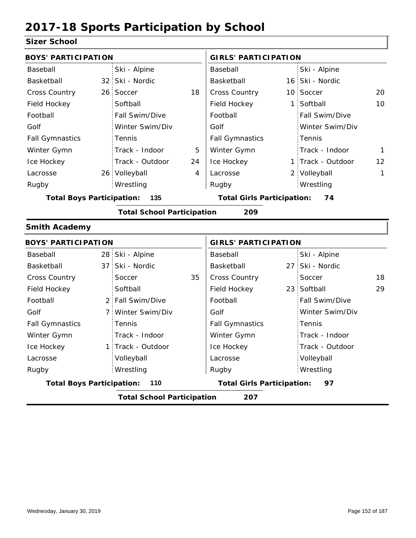#### **Sizer School**

| וטטווטטו                         |                                   |    |                                   |                |                   |              |
|----------------------------------|-----------------------------------|----|-----------------------------------|----------------|-------------------|--------------|
| <b>BOYS' PARTICIPATION</b>       |                                   |    | <b>GIRLS' PARTICIPATION</b>       |                |                   |              |
| Baseball                         | Ski - Alpine                      |    | Baseball                          |                | Ski - Alpine      |              |
| Basketball                       | 32 Ski - Nordic                   |    | Basketball                        |                | 16 Ski - Nordic   |              |
| <b>Cross Country</b>             | 26 Soccer                         | 18 | <b>Cross Country</b>              |                | 10 Soccer         | 20           |
| Field Hockey                     | Softball                          |    | Field Hockey                      | $\overline{1}$ | Softball          | 10           |
| Football                         | Fall Swim/Dive                    |    | Football                          |                | Fall Swim/Dive    |              |
| Golf                             | Winter Swim/Div                   |    | Golf                              |                | Winter Swim/Div   |              |
| <b>Fall Gymnastics</b>           | Tennis                            |    | <b>Fall Gymnastics</b>            |                | Tennis            |              |
| Winter Gymn                      | Track - Indoor                    | 5  | Winter Gymn                       |                | Track - Indoor    | $\mathbf{1}$ |
| Ice Hockey                       | Track - Outdoor                   | 24 | Ice Hockey                        |                | 1 Track - Outdoor | 12           |
| Lacrosse                         | 26 Volleyball                     | 4  | Lacrosse                          |                | 2 Volleyball      | 1            |
| Rugby                            | Wrestling                         |    | Rugby                             |                | Wrestling         |              |
| <b>Total Boys Participation:</b> | 135                               |    | <b>Total Girls Participation:</b> |                | 74                |              |
|                                  | <b>Total School Participation</b> |    | 209                               |                |                   |              |
| <b>Smith Academy</b>             |                                   |    |                                   |                |                   |              |
| <b>BOYS' PARTICIPATION</b>       |                                   |    | <b>GIRLS' PARTICIPATION</b>       |                |                   |              |
| Baseball                         | 28 Ski - Alpine                   |    | Baseball                          |                | Ski - Alpine      |              |
| Basketball                       | 37 Ski - Nordic                   |    | Basketball                        |                | 27 Ski - Nordic   |              |
| Cross Country                    | Soccer                            | 35 | <b>Cross Country</b>              |                | Soccer            | 18           |
| Field Hockey                     | Softball                          |    | Field Hockey                      |                | 23 Softball       | 29           |
| Football                         | 2 Fall Swim/Dive                  |    | Football                          |                | Fall Swim/Dive    |              |
| Golf                             | 7 Winter Swim/Div                 |    | Golf                              |                | Winter Swim/Div   |              |
| <b>Fall Gymnastics</b>           | Tennis                            |    | <b>Fall Gymnastics</b>            |                | Tennis            |              |
| Winter Gymn                      | Track - Indoor                    |    | Winter Gymn                       |                | Track - Indoor    |              |
| Ice Hockey                       | 1 Track - Outdoor                 |    | Ice Hockey                        |                | Track - Outdoor   |              |
| Lacrosse                         | Volleyball                        |    | Lacrosse                          |                | Volleyball        |              |
| Rugby                            | Wrestling                         |    | Rugby                             |                | Wrestling         |              |
| <b>Total Boys Participation:</b> | 110                               |    | <b>Total Girls Participation:</b> |                | 97                |              |
|                                  | <b>Total School Participation</b> |    | 207                               |                |                   |              |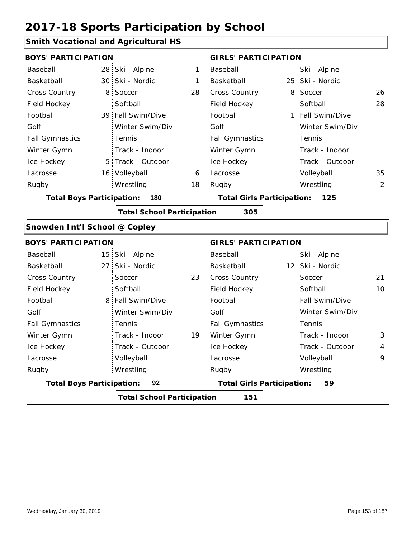### **Smith Vocational and Agricultural HS**

| <b>BOYS' PARTICIPATION</b>       |                |                                   |    | <b>GIRLS' PARTICIPATION</b>       |                                         |                  |                |  |
|----------------------------------|----------------|-----------------------------------|----|-----------------------------------|-----------------------------------------|------------------|----------------|--|
| Baseball                         |                | 28 Ski - Alpine                   | 1  | Baseball                          |                                         | Ski - Alpine     |                |  |
| Basketball                       |                | 30 Ski - Nordic                   | 1  | Basketball                        |                                         | 25 Ski - Nordic  |                |  |
| Cross Country                    | 8 <sup>1</sup> | Soccer                            | 28 | Cross Country                     |                                         | 8 Soccer         | 26             |  |
| Field Hockey                     |                | Softball                          |    | Field Hockey                      |                                         | Softball         | 28             |  |
| Football                         |                | 39 Fall Swim/Dive                 |    | Football                          |                                         | 1 Fall Swim/Dive |                |  |
| Golf                             |                | Winter Swim/Div                   |    | Golf                              |                                         | Winter Swim/Div  |                |  |
| <b>Fall Gymnastics</b>           |                | Tennis                            |    | <b>Fall Gymnastics</b>            |                                         | Tennis           |                |  |
| Winter Gymn                      |                | Track - Indoor                    |    | Winter Gymn                       |                                         | Track - Indoor   |                |  |
| Ice Hockey                       |                | 5 Track - Outdoor                 |    | Ice Hockey                        |                                         | Track - Outdoor  |                |  |
| Lacrosse                         |                | 16 Volleyball                     | 6  | Lacrosse                          |                                         | Volleyball       | 35             |  |
| Rugby                            |                | Wrestling                         | 18 | Rugby                             |                                         | Wrestling        | $\overline{2}$ |  |
| <b>Total Boys Participation:</b> |                | 180                               |    | <b>Total Girls Participation:</b> |                                         | 125              |                |  |
|                                  |                | <b>Total School Participation</b> |    | 305                               |                                         |                  |                |  |
| Snowden Int'l School @ Copley    |                |                                   |    |                                   |                                         |                  |                |  |
| <b>BOYS' PARTICIPATION</b>       |                |                                   |    | <b>GIRLS' PARTICIPATION</b>       |                                         |                  |                |  |
| Baseball                         |                | 15 Ski - Alpine                   |    | Baseball                          |                                         | Ski - Alpine     |                |  |
| Basketball                       |                | 27 Ski - Nordic                   |    | Basketball                        |                                         | 12 Ski - Nordic  |                |  |
| <b>Cross Country</b>             |                | Soccer                            | 23 | Cross Country                     |                                         | Soccer           | 21             |  |
| Field Hockey                     |                | Softball                          |    | Field Hockey                      |                                         | Softball         | 10             |  |
| Football                         |                | 8 Fall Swim/Dive                  |    | Football                          |                                         | Fall Swim/Dive   |                |  |
| Golf                             |                | Winter Swim/Div                   |    | Golf                              |                                         | Winter Swim/Div  |                |  |
| <b>Fall Gymnastics</b>           |                | Tennis                            |    | <b>Fall Gymnastics</b>            |                                         | Tennis           |                |  |
| Winter Gymn                      |                | Track - Indoor                    | 19 | Winter Gymn                       |                                         | Track - Indoor   | 3              |  |
| Ice Hockey                       |                | Track - Outdoor                   |    | Ice Hockey                        |                                         | Track - Outdoor  | 4              |  |
| Lacrosse                         |                | Volleyball                        |    | Lacrosse                          |                                         | Volleyball       | 9              |  |
| Rugby                            |                | Wrestling                         |    | Rugby                             |                                         | Wrestling        |                |  |
| <b>Total Boys Participation:</b> |                | 92                                |    |                                   | <b>Total Girls Participation:</b><br>59 |                  |                |  |
|                                  |                | <b>Total School Participation</b> |    | 151                               |                                         |                  |                |  |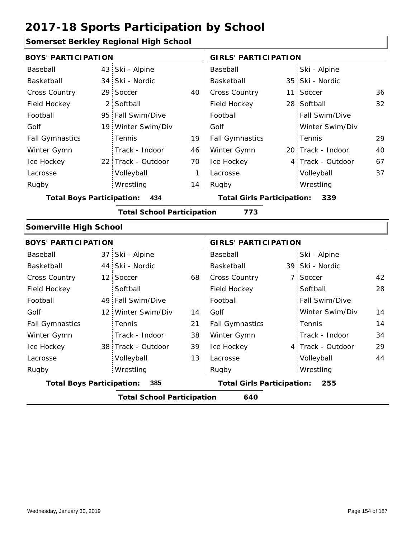#### **Somerset Berkley Regional High School**

| <b>BOYS' PARTICIPATION</b>       |                |                                   |    | <b>GIRLS' PARTICIPATION</b>       |  |                   |    |  |
|----------------------------------|----------------|-----------------------------------|----|-----------------------------------|--|-------------------|----|--|
| Baseball                         |                | 43 Ski - Alpine                   |    | Baseball                          |  | Ski - Alpine      |    |  |
| Basketball                       | 34             | Ski - Nordic                      |    | Basketball                        |  | 35 Ski - Nordic   |    |  |
| <b>Cross Country</b>             | 29             | Soccer                            | 40 | <b>Cross Country</b>              |  | 11 Soccer         | 36 |  |
| Field Hockey                     | $\overline{2}$ | Softball                          |    | Field Hockey                      |  | 28 Softball       | 32 |  |
| Football                         | 95             | Fall Swim/Dive                    |    | Football                          |  | Fall Swim/Dive    |    |  |
| Golf                             |                | 19 Winter Swim/Div                |    | Golf                              |  | Winter Swim/Div   |    |  |
| <b>Fall Gymnastics</b>           |                | Tennis                            | 19 | <b>Fall Gymnastics</b>            |  | Tennis            | 29 |  |
| Winter Gymn                      |                | Track - Indoor                    | 46 | Winter Gymn                       |  | 20 Track - Indoor | 40 |  |
| Ice Hockey                       |                | 22 Track - Outdoor                | 70 | Ice Hockey                        |  | 4 Track - Outdoor | 67 |  |
| Lacrosse                         |                | Volleyball                        | 1  | Lacrosse                          |  | Volleyball        | 37 |  |
| Rugby                            |                | Wrestling                         | 14 | Rugby                             |  | Wrestling         |    |  |
| <b>Total Boys Participation:</b> |                | 434                               |    | <b>Total Girls Participation:</b> |  | 339               |    |  |
|                                  |                | <b>Total School Participation</b> |    | 773                               |  |                   |    |  |
| <b>Somerville High School</b>    |                |                                   |    |                                   |  |                   |    |  |
| <b>BOYS' PARTICIPATION</b>       |                |                                   |    | <b>GIRLS' PARTICIPATION</b>       |  |                   |    |  |
| Baseball                         | 37             | Ski - Alpine                      |    | Baseball                          |  | Ski - Alpine      |    |  |
| Basketball                       |                | 44 Ski - Nordic                   |    | Basketball                        |  | 39 Ski - Nordic   |    |  |
| Cross Country                    | 12             | Soccer                            | 68 | <b>Cross Country</b>              |  | 7 Soccer          | 42 |  |
| Field Hockey                     |                | Softball                          |    | Field Hockey                      |  | Softball          | 28 |  |
| Football                         | 49             | Fall Swim/Dive                    |    | Football                          |  | Fall Swim/Dive    |    |  |
| Golf                             | 12             | Winter Swim/Div                   | 14 | Golf                              |  | Winter Swim/Div   | 14 |  |
| <b>Fall Gymnastics</b>           |                | Tennis                            | 21 | <b>Fall Gymnastics</b>            |  | Tennis            | 14 |  |
|                                  |                |                                   |    |                                   |  |                   |    |  |

|                                  | <b>Total School Participation</b> |    | 640                               |                   |    |
|----------------------------------|-----------------------------------|----|-----------------------------------|-------------------|----|
| <b>Total Boys Participation:</b> | 385                               |    | <b>Total Girls Participation:</b> | 255               |    |
| Rugby                            | Wrestling                         |    | Rugby                             | Wrestling         |    |
| Lacrosse                         | Volleyball                        | 13 | Lacrosse                          | Volleyball        | 44 |
| Ice Hockey                       | 38 Track - Outdoor                | 39 | Ice Hockey                        | 4 Track - Outdoor | 29 |
| Winter Gymn                      | Track - Indoor                    | 38 | Winter Gymn                       | Track - Indoor    | 34 |
| <b>Fall Gymnastics</b>           | Tennis                            | 21 | <b>Fall Gymnastics</b>            | Tennis            | 14 |
| Golf                             | 12 Winter Swim/Div                | 14 | Golf                              | Winter Swim/Div   | 14 |
|                                  |                                   |    |                                   |                   |    |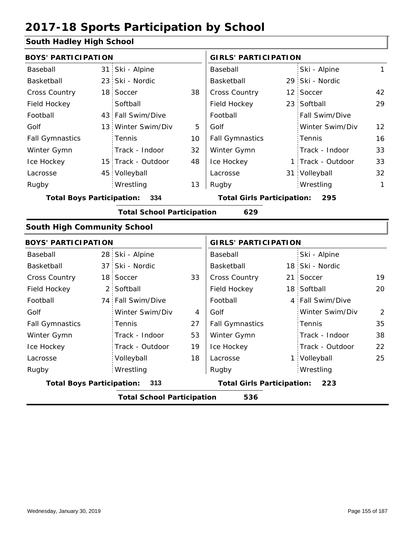#### **South Hadley High School**

| <b>BOYS' PARTICIPATION</b>              |                 |                                   |                                   | <b>GIRLS' PARTICIPATION</b> |     |                   |                |  |
|-----------------------------------------|-----------------|-----------------------------------|-----------------------------------|-----------------------------|-----|-------------------|----------------|--|
| Baseball                                | 31 <sup>1</sup> | Ski - Alpine                      |                                   | Baseball                    |     | Ski - Alpine      | $\mathbf{1}$   |  |
| Basketball                              | 23 <sup>1</sup> | Ski - Nordic                      |                                   | Basketball                  |     | 29 Ski - Nordic   |                |  |
| <b>Cross Country</b>                    | 18 <sup>1</sup> | Soccer                            | 38                                | Cross Country               |     | 12 Soccer         | 42             |  |
| Field Hockey                            |                 | Softball                          |                                   | Field Hockey                |     | 23 Softball       | 29             |  |
| Football                                | 43              | Fall Swim/Dive                    |                                   | Football                    |     | Fall Swim/Dive    |                |  |
| Golf                                    | 13              | Winter Swim/Div                   | 5                                 | Golf                        |     | Winter Swim/Div   | 12             |  |
| <b>Fall Gymnastics</b>                  |                 | Tennis                            | 10                                | <b>Fall Gymnastics</b>      |     | Tennis            | 16             |  |
| Winter Gymn                             |                 | Track - Indoor                    | 32                                | Winter Gymn                 |     | Track - Indoor    | 33             |  |
| Ice Hockey                              |                 | 15 Track - Outdoor                | 48                                | Ice Hockey                  |     | 1 Track - Outdoor | 33             |  |
| Lacrosse                                |                 | 45 Volleyball                     |                                   | Lacrosse                    |     | 31 Volleyball     | 32             |  |
| Rugby                                   |                 | Wrestling                         | 13                                | Rugby                       |     | Wrestling         | $\mathbf{1}$   |  |
| 334<br><b>Total Boys Participation:</b> |                 |                                   | <b>Total Girls Participation:</b> |                             | 295 |                   |                |  |
|                                         |                 | <b>Total School Participation</b> |                                   | 629                         |     |                   |                |  |
| <b>South High Community School</b>      |                 |                                   |                                   |                             |     |                   |                |  |
| <b>BOYS' PARTICIPATION</b>              |                 |                                   |                                   | <b>GIRLS' PARTICIPATION</b> |     |                   |                |  |
| Baseball                                |                 | 28 Ski - Alpine                   |                                   | Baseball                    |     | Ski - Alpine      |                |  |
| Basketball                              | 37 <sup>1</sup> | Ski - Nordic                      |                                   | Basketball                  |     | 18 Ski - Nordic   |                |  |
| <b>Cross Country</b>                    | 18 <sup>1</sup> | Soccer                            | 33                                | <b>Cross Country</b>        |     | 21 Soccer         | 19             |  |
| Field Hockey                            | $\overline{2}$  | Softball                          |                                   | Field Hockey                |     | 18 Softball       | 20             |  |
| Football                                | 74              | Fall Swim/Dive                    |                                   | Football                    |     | 4 Fall Swim/Dive  |                |  |
| Golf                                    |                 | Winter Swim/Div                   | 4                                 | Golf                        |     | Winter Swim/Div   | $\overline{2}$ |  |
| <b>Fall Gymnastics</b>                  |                 | Tennis                            | 27                                | <b>Fall Gymnastics</b>      |     | Tennis            | 35             |  |
| Winter Gymn                             |                 | Track - Indoor                    | 53                                | Winter Gymn                 |     | Track - Indoor    | 38             |  |
| Ice Hockey                              |                 | Track - Outdoor                   | 19                                | Ice Hockey                  |     | Track - Outdoor   | 22             |  |

18

**Total Boys Participation: 313 Total Girls Participation: 223**

Lacrosse

| <b>Total School Participation</b> | 536 |
|-----------------------------------|-----|
|                                   |     |
|                                   |     |
|                                   |     |

Volleyball Wrestling Rugby Rugby

Lacrosse

1 Volleyball 25

Wrestling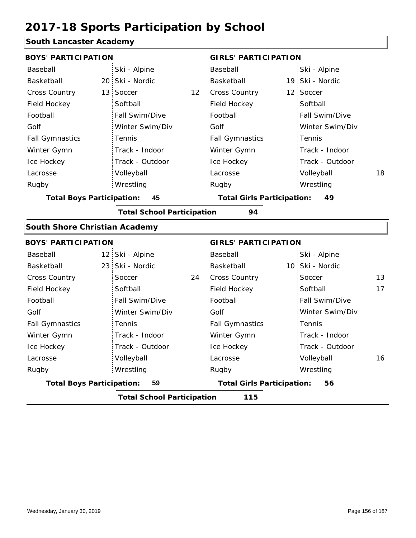#### **South Lancaster Academy**

| <b>BOYS' PARTICIPATION</b>           |                                   |    | <b>GIRLS' PARTICIPATION</b>       |  |                 |    |
|--------------------------------------|-----------------------------------|----|-----------------------------------|--|-----------------|----|
| Baseball                             | Ski - Alpine                      |    | Baseball                          |  | Ski - Alpine    |    |
| Basketball                           | 20 Ski - Nordic                   |    | Basketball                        |  | 19 Ski - Nordic |    |
| <b>Cross Country</b>                 | 13 Soccer                         | 12 | Cross Country                     |  | 12 Soccer       |    |
| Field Hockey                         | Softball                          |    | Field Hockey                      |  | Softball        |    |
| Football                             | Fall Swim/Dive                    |    | Football                          |  | Fall Swim/Dive  |    |
| Golf                                 | Winter Swim/Div                   |    | Golf                              |  | Winter Swim/Div |    |
| <b>Fall Gymnastics</b>               | Tennis                            |    | <b>Fall Gymnastics</b>            |  | Tennis          |    |
| Winter Gymn                          | Track - Indoor                    |    | Winter Gymn                       |  | Track - Indoor  |    |
| Ice Hockey                           | Track - Outdoor                   |    | Ice Hockey                        |  | Track - Outdoor |    |
| Lacrosse                             | Volleyball                        |    | Lacrosse                          |  | Volleyball      | 18 |
| Rugby                                | Wrestling                         |    | Rugby                             |  | Wrestling       |    |
| <b>Total Boys Participation:</b>     | 45                                |    | <b>Total Girls Participation:</b> |  | 49              |    |
|                                      | <b>Total School Participation</b> |    | 94                                |  |                 |    |
| <b>South Shore Christian Academy</b> |                                   |    |                                   |  |                 |    |
| <b>BOYS' PARTICIPATION</b>           |                                   |    | <b>GIRLS' PARTICIPATION</b>       |  |                 |    |
| Baseball                             | 12 Ski - Alpine                   |    | Baseball                          |  | Ski - Alpine    |    |
| Basketball                           | 23 Ski - Nordic                   |    | Basketball                        |  | 10 Ski - Nordic |    |
| <b>Cross Country</b>                 | Soccer                            | 24 | Cross Country                     |  | Soccer          | 13 |
| Field Hockey                         | Softball                          |    | Field Hockey                      |  | Softball        | 17 |
| Football                             | Fall Swim/Dive                    |    | Football                          |  | Fall Swim/Dive  |    |
| Golf                                 | Winter Swim/Div                   |    | Golf                              |  | Winter Swim/Div |    |
| <b>Fall Gymnastics</b>               | Tennis                            |    | <b>Fall Gymnastics</b>            |  | Tennis          |    |
| Winter Gymn                          | Track - Indoor                    |    | Winter Gymn                       |  | Track - Indoor  |    |
| Ice Hockey                           | Track - Outdoor                   |    | Ice Hockey                        |  | Track - Outdoor |    |
| Lacrosse                             | Volleyball                        |    | Lacrosse                          |  | Volleyball      | 16 |
| Rugby                                | Wrestling                         |    | Rugby                             |  | Wrestling       |    |
| <b>Total Boys Participation:</b>     | 59                                |    | <b>Total Girls Participation:</b> |  | 56              |    |
|                                      | <b>Total School Participation</b> |    | 115                               |  |                 |    |
|                                      |                                   |    |                                   |  |                 |    |

I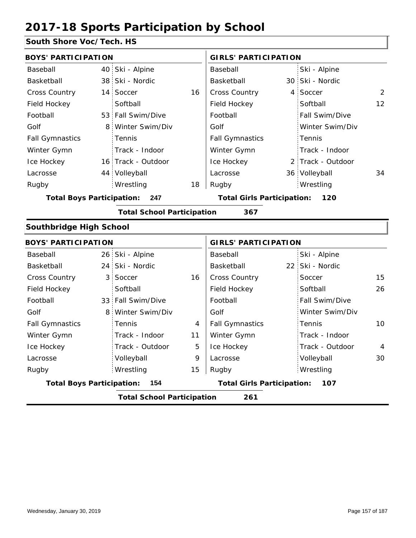#### **South Shore Voc/Tech. HS**

| <b>BOYS' PARTICIPATION</b>       |                 |                                   |    | <b>GIRLS' PARTICIPATION</b>       |  |                   |                |
|----------------------------------|-----------------|-----------------------------------|----|-----------------------------------|--|-------------------|----------------|
| Baseball                         | 40              | Ski - Alpine                      |    | Baseball                          |  | Ski - Alpine      |                |
| Basketball                       |                 | 38 Ski - Nordic                   |    | Basketball                        |  | 30 Ski - Nordic   |                |
| <b>Cross Country</b>             | 14 <sup>1</sup> | Soccer                            | 16 | Cross Country                     |  | 4 Soccer          | $\overline{2}$ |
| Field Hockey                     |                 | Softball                          |    | Field Hockey                      |  | Softball          | 12             |
| Football                         |                 | 53 Fall Swim/Dive                 |    | Football                          |  | Fall Swim/Dive    |                |
| Golf                             | 8               | Winter Swim/Div                   |    | Golf                              |  | Winter Swim/Div   |                |
| <b>Fall Gymnastics</b>           |                 | Tennis                            |    | <b>Fall Gymnastics</b>            |  | Tennis            |                |
| Winter Gymn                      |                 | Track - Indoor                    |    | Winter Gymn                       |  | Track - Indoor    |                |
| Ice Hockey                       |                 | 16 Track - Outdoor                |    | Ice Hockey                        |  | 2 Track - Outdoor |                |
| Lacrosse                         |                 | 44 Volleyball                     |    | Lacrosse                          |  | 36 Volleyball     | 34             |
| Rugby                            |                 | Wrestling                         | 18 | Rugby                             |  | Wrestling         |                |
| <b>Total Boys Participation:</b> |                 | 247                               |    | <b>Total Girls Participation:</b> |  | 120               |                |
|                                  |                 | <b>Total School Participation</b> |    | 367                               |  |                   |                |
| Southbridge High School          |                 |                                   |    |                                   |  |                   |                |
| <b>BOYS' PARTICIPATION</b>       |                 |                                   |    | <b>GIRLS' PARTICIPATION</b>       |  |                   |                |
| Baseball                         |                 | 26 Ski - Alpine                   |    | Baseball                          |  | Ski - Alpine      |                |
| Basketball                       | 24 <sup>1</sup> | Ski - Nordic                      |    | Basketball                        |  | 22 Ski - Nordic   |                |
| <b>Cross Country</b>             | 3               | Soccer                            | 16 | <b>Cross Country</b>              |  | Soccer            | 15             |
| Field Hockey                     |                 | Softball                          |    | Field Hockey                      |  | Softball          | 26             |
| Football                         |                 | 33 Fall Swim/Dive                 |    | Football                          |  | Fall Swim/Dive    |                |
| Golf                             | 8               | Winter Swim/Div                   |    | Golf                              |  | Winter Swim/Div   |                |
| <b>Fall Gymnastics</b>           |                 | Tennis                            | 4  | <b>Fall Gymnastics</b>            |  | Tennis            | 10             |
| Winter Gymn                      |                 | Track - Indoor                    | 11 | Winter Gymn                       |  | Track - Indoor    |                |
| Ice Hockey                       |                 | Track - Outdoor                   | 5  | Ice Hockey                        |  | Track - Outdoor   | 4              |
| Lacrosse                         |                 | Volleyball                        | 9  | Lacrosse                          |  | Volleyball        | 30             |
| Rugby                            |                 | Wrestling                         | 15 | Rugby                             |  | Wrestling         |                |
| <b>Total Boys Participation:</b> |                 | 154                               |    | <b>Total Girls Participation:</b> |  | 107               |                |

**Total School Participation 261**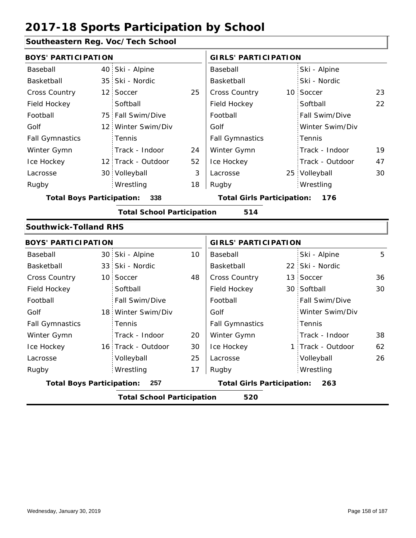#### **Southeastern Reg. Voc/Tech School**

| <b>BOYS' PARTICIPATION</b>       |                                   |    | <b>GIRLS' PARTICIPATION</b>       |  |                 |    |
|----------------------------------|-----------------------------------|----|-----------------------------------|--|-----------------|----|
| Baseball                         | 40 Ski - Alpine                   |    | Baseball                          |  | Ski - Alpine    |    |
| Basketball                       | 35 Ski - Nordic                   |    | Basketball                        |  | Ski - Nordic    |    |
| Cross Country                    | 12 Soccer                         | 25 | Cross Country                     |  | 10 Soccer       | 23 |
| Field Hockey                     | Softball                          |    | Field Hockey                      |  | Softball        | 22 |
| Football                         | 75 Fall Swim/Dive                 |    | Football                          |  | Fall Swim/Dive  |    |
| Golf                             | 12 Winter Swim/Div                |    | Golf                              |  | Winter Swim/Div |    |
| <b>Fall Gymnastics</b>           | Tennis                            |    | <b>Fall Gymnastics</b>            |  | Tennis          |    |
| Winter Gymn                      | Track - Indoor                    | 24 | Winter Gymn                       |  | Track - Indoor  | 19 |
| Ice Hockey                       | 12 Track - Outdoor                | 52 | Ice Hockey                        |  | Track - Outdoor | 47 |
| Lacrosse                         | 30 Volleyball                     | 3  | Lacrosse                          |  | 25 Volleyball   | 30 |
| Rugby                            | Wrestling                         | 18 | Rugby                             |  | Wrestling       |    |
| <b>Total Boys Participation:</b> | 338                               |    | <b>Total Girls Participation:</b> |  | 176             |    |
|                                  | <b>Total School Participation</b> |    | 514                               |  |                 |    |
| <b>Southwick-Tolland RHS</b>     |                                   |    |                                   |  |                 |    |
| <b>BOYS' PARTICIPATION</b>       |                                   |    | <b>GIRLS' PARTICIPATION</b>       |  |                 |    |
| Baseball                         | 30 Ski - Alpine                   | 10 | Baseball                          |  | Ski - Alpine    | 5  |
| Basketball                       | 33 Ski - Nordic                   |    | Basketball                        |  | 22 Ski - Nordic |    |
| Cross Country                    | 10 Soccer                         | 48 | <b>Cross Country</b>              |  | 13 Soccer       | 36 |
| Field Hockey                     | Softball                          |    | Field Hockey                      |  | 30 Softball     | 30 |
| Football                         | Fall Swim/Dive                    |    | Football                          |  | Fall Swim/Dive  |    |
| Golf                             | 18 Winter Swim/Div                |    | Golf                              |  | Winter Swim/Div |    |
|                                  |                                   |    |                                   |  |                 |    |

|                                           |  | <b>Total School Participation</b> |    | 520                                      |  |                       |    |
|-------------------------------------------|--|-----------------------------------|----|------------------------------------------|--|-----------------------|----|
| <b>Total Boys Participation:</b><br>- 257 |  |                                   |    | <b>Total Girls Participation:</b><br>263 |  |                       |    |
| Rugby                                     |  | Wrestling                         | 17 | Rugby                                    |  | Wrestling             |    |
| Lacrosse                                  |  | Volleyball                        | 25 | Lacrosse                                 |  | Volleyball            | 26 |
| Ice Hockey                                |  | 16 Track - Outdoor                | 30 | Ice Hockey                               |  | 1 Track - Outdoor     | 62 |
| Winter Gymn                               |  | Track - Indoor                    | 20 | Winter Gymn                              |  | Track - Indoor        | 38 |
| <b>Fall Gymnastics</b>                    |  | Tennis                            |    | <b>Fall Gymnastics</b>                   |  | : Tennis              |    |
| Golf                                      |  | 18 Winter Swim/Div                |    | Golf                                     |  | Winter Swim/Div       |    |
| Football                                  |  | Fall Swim/Dive                    |    | Football                                 |  | <b>Fall Swim/Dive</b> |    |
| Field Hockey                              |  | Softball                          |    | Field Hockey                             |  | 30 Softball           | 30 |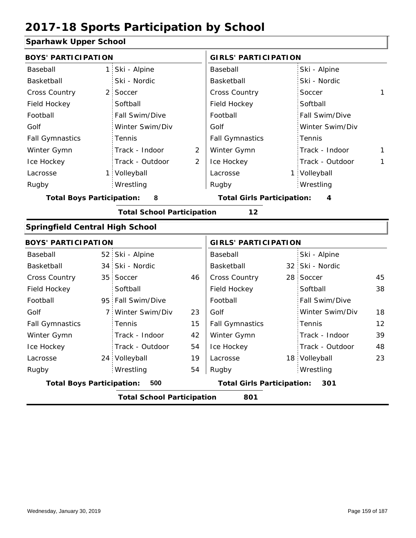#### **Sparhawk Upper School**

| oparnawn upper ochoor                  |                                          |                                   |                |                                   |  |                 |                   |  |  |
|----------------------------------------|------------------------------------------|-----------------------------------|----------------|-----------------------------------|--|-----------------|-------------------|--|--|
| <b>BOYS' PARTICIPATION</b>             |                                          |                                   |                | <b>GIRLS' PARTICIPATION</b>       |  |                 |                   |  |  |
| Baseball                               | $\mathbf{1}$                             | Ski - Alpine                      |                | Baseball                          |  | Ski - Alpine    |                   |  |  |
| Basketball                             |                                          | Ski - Nordic                      |                | Basketball                        |  | Ski - Nordic    |                   |  |  |
| <b>Cross Country</b>                   | $\overline{2}$                           | Soccer                            |                | Cross Country                     |  | Soccer          | $\mathbf{1}$      |  |  |
| Field Hockey                           |                                          | Softball                          |                | Field Hockey                      |  | Softball        |                   |  |  |
| Football                               |                                          | Fall Swim/Dive                    |                | Football                          |  | Fall Swim/Dive  |                   |  |  |
| Golf                                   |                                          | Winter Swim/Div                   |                | Golf                              |  | Winter Swim/Div |                   |  |  |
| <b>Fall Gymnastics</b>                 |                                          | Tennis                            |                | <b>Fall Gymnastics</b>            |  | Tennis          |                   |  |  |
| Winter Gymn                            |                                          | Track - Indoor                    | 2              | Winter Gymn                       |  | Track - Indoor  | 1                 |  |  |
| Ice Hockey                             |                                          | Track - Outdoor                   | $\overline{2}$ | Ice Hockey                        |  | Track - Outdoor | 1                 |  |  |
| Lacrosse                               | 1 <sup>1</sup>                           | Volleyball                        |                | Lacrosse                          |  | 1 Volleyball    |                   |  |  |
| Rugby                                  |                                          | Wrestling                         |                | Rugby                             |  | Wrestling       |                   |  |  |
| <b>Total Boys Participation:</b>       |                                          | 8                                 |                | <b>Total Girls Participation:</b> |  | 4               |                   |  |  |
|                                        |                                          | <b>Total School Participation</b> |                | 12                                |  |                 |                   |  |  |
| <b>Springfield Central High School</b> |                                          |                                   |                |                                   |  |                 |                   |  |  |
| <b>BOYS' PARTICIPATION</b>             |                                          |                                   |                | <b>GIRLS' PARTICIPATION</b>       |  |                 |                   |  |  |
| Baseball                               | 52 <sub>1</sub>                          | Ski - Alpine                      |                | Baseball                          |  | Ski - Alpine    |                   |  |  |
| Basketball                             | 34 <sup>1</sup>                          | Ski - Nordic                      |                | Basketball                        |  | 32 Ski - Nordic |                   |  |  |
| Cross Country                          | 35 <sup>1</sup>                          | Soccer                            | 46             | Cross Country                     |  | 28 Soccer       | 45                |  |  |
| Field Hockey                           |                                          | Softball                          |                | Field Hockey                      |  | Softball        | 38                |  |  |
| Football                               |                                          | 95 Fall Swim/Dive                 |                | Football                          |  | Fall Swim/Dive  |                   |  |  |
| Golf                                   | $\overline{7}$                           | Winter Swim/Div                   | 23             | Golf                              |  | Winter Swim/Div | 18                |  |  |
| <b>Fall Gymnastics</b>                 |                                          | Tennis                            | 15             | <b>Fall Gymnastics</b>            |  | Tennis          | $12 \overline{ }$ |  |  |
| Winter Gymn                            |                                          | Track - Indoor                    | 42             | Winter Gymn                       |  | Track - Indoor  | 39                |  |  |
| Ice Hockey                             |                                          | Track - Outdoor                   | 54             | Ice Hockey                        |  | Track - Outdoor | 48                |  |  |
| Lacrosse                               |                                          | 24 Volleyball                     | 19             | Lacrosse                          |  | 18 Volleyball   | 23                |  |  |
| Rugby                                  |                                          | Wrestling                         | 54             | Rugby                             |  | Wrestling       |                   |  |  |
| <b>Total Boys Participation:</b>       |                                          | 500                               |                | <b>Total Girls Participation:</b> |  | 301             |                   |  |  |
|                                        | <b>Total School Participation</b><br>801 |                                   |                |                                   |  |                 |                   |  |  |
|                                        |                                          |                                   |                |                                   |  |                 |                   |  |  |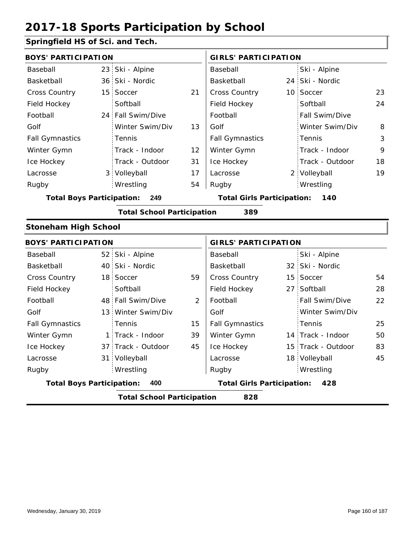#### **Springfield HS of Sci. and Tech.**

| <b>BOYS' PARTICIPATION</b>              |                                          |                   |                                          | <b>GIRLS' PARTICIPATION</b> |  |                       |    |
|-----------------------------------------|------------------------------------------|-------------------|------------------------------------------|-----------------------------|--|-----------------------|----|
| Baseball                                |                                          | 23 Ski - Alpine   |                                          | Baseball                    |  | Ski - Alpine          |    |
| Basketball                              |                                          | 36 Ski - Nordic   |                                          | Basketball                  |  | 24 Ski - Nordic       |    |
| <b>Cross Country</b>                    |                                          | 15 Soccer         | 21                                       | Cross Country               |  | 10 Soccer             | 23 |
| Field Hockey                            |                                          | Softball          |                                          | Field Hockey                |  | Softball              | 24 |
| Football                                |                                          | 24 Fall Swim/Dive |                                          | Football                    |  | <b>Fall Swim/Dive</b> |    |
| Golf                                    |                                          | Winter Swim/Div   | 13                                       | Golf                        |  | Winter Swim/Div       | 8  |
| <b>Fall Gymnastics</b>                  |                                          | <b>Tennis</b>     |                                          | <b>Fall Gymnastics</b>      |  | Tennis                | 3  |
| Winter Gymn                             |                                          | Track - Indoor    | 12                                       | Winter Gymn                 |  | Track - Indoor        | 9  |
| Ice Hockey                              |                                          | Track - Outdoor   | 31                                       | Ice Hockey                  |  | Track - Outdoor       | 18 |
| Lacrosse                                |                                          | 3 Volleyball      | 17                                       | Lacrosse                    |  | 2 Volleyball          | 19 |
| Rugby                                   |                                          | Wrestling         | 54                                       | Rugby                       |  | Wrestling             |    |
| <b>Total Boys Participation:</b><br>249 |                                          |                   | <b>Total Girls Participation:</b><br>140 |                             |  |                       |    |
|                                         | <b>Total School Participation</b><br>389 |                   |                                          |                             |  |                       |    |

#### **Stoneham High School**

| <b>BOYS' PARTICIPATION</b>              |                                          |                                          |    | <b>GIRLS' PARTICIPATION</b> |  |                    |    |  |
|-----------------------------------------|------------------------------------------|------------------------------------------|----|-----------------------------|--|--------------------|----|--|
| Baseball                                |                                          | 52 Ski - Alpine                          |    | Baseball                    |  | Ski - Alpine       |    |  |
| Basketball                              |                                          | 40 Ski - Nordic                          |    | Basketball                  |  | 32 Ski - Nordic    |    |  |
| <b>Cross Country</b>                    |                                          | 18 Soccer                                | 59 | <b>Cross Country</b>        |  | 15 Soccer          | 54 |  |
| Field Hockey                            |                                          | Softball                                 |    | Field Hockey                |  | 27 Softball        | 28 |  |
| Football                                |                                          | 48 Fall Swim/Dive                        | 2  | Football                    |  | Fall Swim/Dive     | 22 |  |
| Golf                                    |                                          | 13 Winter Swim/Div                       |    | Golf                        |  | Winter Swim/Div    |    |  |
| <b>Fall Gymnastics</b>                  |                                          | Tennis                                   | 15 | <b>Fall Gymnastics</b>      |  | Tennis             | 25 |  |
| Winter Gymn                             |                                          | 1 Track - Indoor                         | 39 | Winter Gymn                 |  | 14 Track - Indoor  | 50 |  |
| Ice Hockey                              |                                          | 37 Track - Outdoor                       | 45 | Ice Hockey                  |  | 15 Track - Outdoor | 83 |  |
| Lacrosse                                |                                          | 31 Volleyball                            |    | Lacrosse                    |  | 18 Volleyball      | 45 |  |
| Rugby                                   |                                          | Wrestling                                |    | Rugby                       |  | Wrestling          |    |  |
| 400<br><b>Total Boys Participation:</b> |                                          | <b>Total Girls Participation:</b><br>428 |    |                             |  |                    |    |  |
|                                         | 828<br><b>Total School Participation</b> |                                          |    |                             |  |                    |    |  |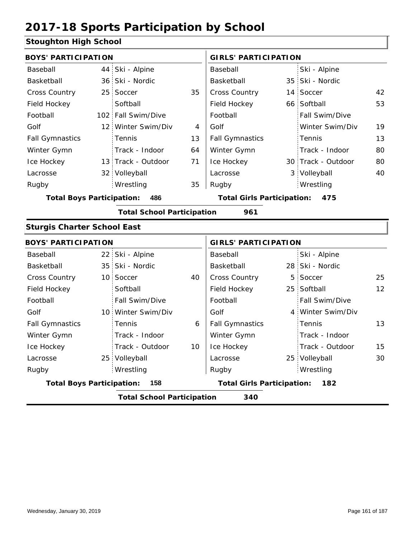#### **Stoughton High School**

|                                          | Ski - Alpine    |                                                                                                                                                                                                                                                                                                                                                     | Baseball               |                                   | Ski - Alpine    |                                                                                                                                                                                                                                                                                                                                              |  |  |
|------------------------------------------|-----------------|-----------------------------------------------------------------------------------------------------------------------------------------------------------------------------------------------------------------------------------------------------------------------------------------------------------------------------------------------------|------------------------|-----------------------------------|-----------------|----------------------------------------------------------------------------------------------------------------------------------------------------------------------------------------------------------------------------------------------------------------------------------------------------------------------------------------------|--|--|
|                                          |                 |                                                                                                                                                                                                                                                                                                                                                     | Basketball             |                                   |                 |                                                                                                                                                                                                                                                                                                                                              |  |  |
|                                          |                 | 35                                                                                                                                                                                                                                                                                                                                                  | Cross Country          |                                   |                 | 42                                                                                                                                                                                                                                                                                                                                           |  |  |
|                                          | Softball        |                                                                                                                                                                                                                                                                                                                                                     | Field Hockey           |                                   |                 | 53                                                                                                                                                                                                                                                                                                                                           |  |  |
|                                          | Fall Swim/Dive  |                                                                                                                                                                                                                                                                                                                                                     | Football               |                                   | Fall Swim/Dive  |                                                                                                                                                                                                                                                                                                                                              |  |  |
|                                          |                 | 4                                                                                                                                                                                                                                                                                                                                                   | Golf                   |                                   | Winter Swim/Div | 19                                                                                                                                                                                                                                                                                                                                           |  |  |
|                                          | Tennis          | 13                                                                                                                                                                                                                                                                                                                                                  | <b>Fall Gymnastics</b> |                                   | Tennis          | 13                                                                                                                                                                                                                                                                                                                                           |  |  |
|                                          | Track - Indoor  | 64                                                                                                                                                                                                                                                                                                                                                  | Winter Gymn            |                                   | Track - Indoor  | 80                                                                                                                                                                                                                                                                                                                                           |  |  |
|                                          |                 | 71                                                                                                                                                                                                                                                                                                                                                  | Ice Hockey             |                                   |                 | 80                                                                                                                                                                                                                                                                                                                                           |  |  |
|                                          |                 |                                                                                                                                                                                                                                                                                                                                                     | Lacrosse               |                                   |                 | 40                                                                                                                                                                                                                                                                                                                                           |  |  |
|                                          | Wrestling       | 35                                                                                                                                                                                                                                                                                                                                                  | Rugby                  |                                   |                 |                                                                                                                                                                                                                                                                                                                                              |  |  |
| <b>Total Boys Participation:</b><br>486  |                 |                                                                                                                                                                                                                                                                                                                                                     |                        |                                   |                 |                                                                                                                                                                                                                                                                                                                                              |  |  |
|                                          |                 |                                                                                                                                                                                                                                                                                                                                                     | 961                    |                                   |                 |                                                                                                                                                                                                                                                                                                                                              |  |  |
|                                          |                 |                                                                                                                                                                                                                                                                                                                                                     |                        |                                   |                 |                                                                                                                                                                                                                                                                                                                                              |  |  |
|                                          |                 |                                                                                                                                                                                                                                                                                                                                                     |                        |                                   |                 |                                                                                                                                                                                                                                                                                                                                              |  |  |
|                                          |                 |                                                                                                                                                                                                                                                                                                                                                     | Baseball               |                                   | Ski - Alpine    |                                                                                                                                                                                                                                                                                                                                              |  |  |
|                                          |                 |                                                                                                                                                                                                                                                                                                                                                     | Basketball             |                                   |                 |                                                                                                                                                                                                                                                                                                                                              |  |  |
|                                          |                 | 40                                                                                                                                                                                                                                                                                                                                                  | Cross Country          | 5                                 |                 | 25                                                                                                                                                                                                                                                                                                                                           |  |  |
|                                          | Softball        |                                                                                                                                                                                                                                                                                                                                                     | Field Hockey           |                                   |                 | 12                                                                                                                                                                                                                                                                                                                                           |  |  |
|                                          | Fall Swim/Dive  |                                                                                                                                                                                                                                                                                                                                                     | Football               |                                   | Fall Swim/Dive  |                                                                                                                                                                                                                                                                                                                                              |  |  |
|                                          |                 |                                                                                                                                                                                                                                                                                                                                                     | Golf                   |                                   |                 |                                                                                                                                                                                                                                                                                                                                              |  |  |
|                                          | Tennis          | 6                                                                                                                                                                                                                                                                                                                                                   | <b>Fall Gymnastics</b> |                                   | Tennis          | 13                                                                                                                                                                                                                                                                                                                                           |  |  |
|                                          | Track - Indoor  |                                                                                                                                                                                                                                                                                                                                                     | Winter Gymn            |                                   | Track - Indoor  |                                                                                                                                                                                                                                                                                                                                              |  |  |
|                                          | Track - Outdoor | 10                                                                                                                                                                                                                                                                                                                                                  | Ice Hockey             |                                   | Track - Outdoor | 15                                                                                                                                                                                                                                                                                                                                           |  |  |
|                                          |                 |                                                                                                                                                                                                                                                                                                                                                     | Lacrosse               |                                   |                 | 30                                                                                                                                                                                                                                                                                                                                           |  |  |
|                                          | Wrestling       |                                                                                                                                                                                                                                                                                                                                                     | Rugby                  |                                   |                 |                                                                                                                                                                                                                                                                                                                                              |  |  |
|                                          | 158             |                                                                                                                                                                                                                                                                                                                                                     |                        |                                   | 182             |                                                                                                                                                                                                                                                                                                                                              |  |  |
| <b>Total School Participation</b><br>340 |                 |                                                                                                                                                                                                                                                                                                                                                     |                        |                                   |                 |                                                                                                                                                                                                                                                                                                                                              |  |  |
|                                          |                 | <b>BOYS' PARTICIPATION</b><br>44<br>36 Ski - Nordic<br>25 Soccer<br>102 <sub>1</sub><br>12 Winter Swim/Div<br>13 Track - Outdoor<br>32 Volleyball<br><b>Sturgis Charter School East</b><br><b>BOYS' PARTICIPATION</b><br>22 Ski - Alpine<br>35 Ski - Nordic<br>10 Soccer<br>10 Winter Swim/Div<br>25 Volleyball<br><b>Total Boys Participation:</b> |                        | <b>Total School Participation</b> |                 | <b>GIRLS' PARTICIPATION</b><br>35 Ski - Nordic<br>14 Soccer<br>66 Softball<br>30 Track - Outdoor<br>3 Volleyball<br>Wrestling<br><b>Total Girls Participation:</b><br>475<br><b>GIRLS' PARTICIPATION</b><br>28 Ski - Nordic<br>Soccer<br>25 Softball<br>4 Winter Swim/Div<br>25 Volleyball<br>Wrestling<br><b>Total Girls Participation:</b> |  |  |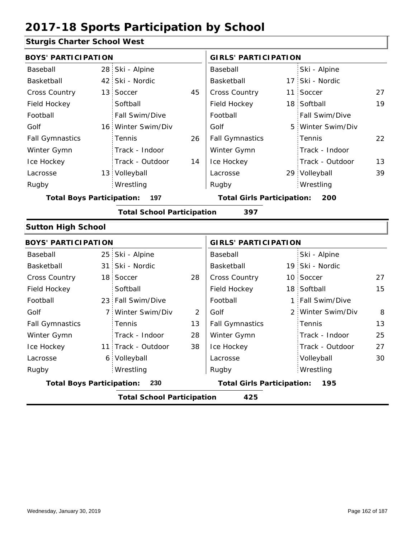### **Sturgis Charter School West**

| <b>BOYS' PARTICIPATION</b>       |                                   |                | <b>GIRLS' PARTICIPATION</b>       |   |                   |    |
|----------------------------------|-----------------------------------|----------------|-----------------------------------|---|-------------------|----|
| Baseball                         | 28 Ski - Alpine                   |                | Baseball                          |   | Ski - Alpine      |    |
| Basketball                       | 42 Ski - Nordic                   |                | Basketball                        |   | 17 Ski - Nordic   |    |
| Cross Country                    | 13 Soccer                         | 45             | Cross Country                     |   | 11 Soccer         | 27 |
| Field Hockey                     | Softball                          |                | Field Hockey                      |   | 18 Softball       | 19 |
| Football                         | Fall Swim/Dive                    |                | Football                          |   | Fall Swim/Dive    |    |
| Golf                             | 16 Winter Swim/Div                |                | Golf                              | 5 | Winter Swim/Div   |    |
| <b>Fall Gymnastics</b>           | Tennis                            | 26             | <b>Fall Gymnastics</b>            |   | Tennis            | 22 |
| Winter Gymn                      | Track - Indoor                    |                | Winter Gymn                       |   | Track - Indoor    |    |
| Ice Hockey                       | Track - Outdoor                   | 14             | Ice Hockey                        |   | Track - Outdoor   | 13 |
| Lacrosse                         | 13 Volleyball                     |                | Lacrosse                          |   | 29 Volleyball     | 39 |
| Rugby                            | Wrestling                         |                | Rugby                             |   | Wrestling         |    |
| <b>Total Boys Participation:</b> | 197                               |                | <b>Total Girls Participation:</b> |   | 200               |    |
|                                  | <b>Total School Participation</b> |                | 397                               |   |                   |    |
| <b>Sutton High School</b>        |                                   |                |                                   |   |                   |    |
| <b>BOYS' PARTICIPATION</b>       |                                   |                | <b>GIRLS' PARTICIPATION</b>       |   |                   |    |
| Baseball                         | 25 Ski - Alpine                   |                | Baseball                          |   | Ski - Alpine      |    |
| Basketball                       | 31 Ski - Nordic                   |                | Basketball                        |   | 19 Ski - Nordic   |    |
| <b>Cross Country</b>             | 18 Soccer                         | 28             | Cross Country                     |   | 10 Soccer         | 27 |
| Field Hockey                     | Softball                          |                | Field Hockey                      |   | 18 Softball       | 15 |
| Football                         | 23 Fall Swim/Dive                 |                | Football                          |   | 1 Fall Swim/Dive  |    |
| Golf                             | 7 Winter Swim/Div                 | $\overline{2}$ | Golf                              |   | 2 Winter Swim/Div | 8  |
| <b>Fall Gymnastics</b>           | Tennis                            | 13             | <b>Fall Gymnastics</b>            |   | Tennis            | 13 |
| Winter Gymn                      | Track - Indoor                    | 28             | Winter Gymn                       |   | Track - Indoor    | 25 |
| Ice Hockey                       | 11 Track - Outdoor                | 38             | Ice Hockey                        |   | Track - Outdoor   | 27 |
| Lacrosse                         | 6 Volleyball                      |                | Lacrosse                          |   | Volleyball        | 30 |
| Rugby                            | Wrestling                         |                | Rugby                             |   | Wrestling         |    |
| <b>Total Boys Participation:</b> | 230                               |                | <b>Total Girls Participation:</b> |   | 195               |    |
|                                  | <b>Total School Participation</b> |                | 425                               |   |                   |    |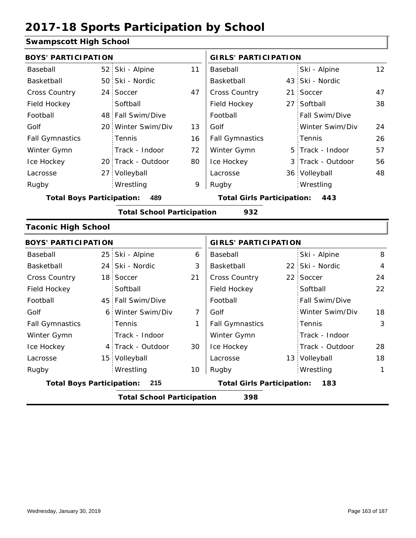#### **Swampscott High School**

| <b>BOYS' PARTICIPATION</b>       |                                          |                                   |                | <b>GIRLS' PARTICIPATION</b>       |  |                   |                |  |  |
|----------------------------------|------------------------------------------|-----------------------------------|----------------|-----------------------------------|--|-------------------|----------------|--|--|
| Baseball                         |                                          | 52 Ski - Alpine                   | 11             | Baseball                          |  | Ski - Alpine      | 12             |  |  |
| Basketball                       |                                          | 50 Ski - Nordic                   |                | Basketball                        |  | 43 Ski - Nordic   |                |  |  |
| Cross Country                    |                                          | 24 Soccer                         | 47             | Cross Country                     |  | 21 Soccer         | 47             |  |  |
| Field Hockey                     |                                          | Softball                          |                | Field Hockey                      |  | 27 Softball       | 38             |  |  |
| Football                         |                                          | 48 Fall Swim/Dive                 |                | Football                          |  | Fall Swim/Dive    |                |  |  |
| Golf                             |                                          | 20 Winter Swim/Div                | 13             | Golf                              |  | Winter Swim/Div   | 24             |  |  |
| <b>Fall Gymnastics</b>           |                                          | Tennis                            | 16             | <b>Fall Gymnastics</b>            |  | Tennis            | 26             |  |  |
| Winter Gymn                      |                                          | Track - Indoor                    | 72             | Winter Gymn                       |  | 5 Track - Indoor  | 57             |  |  |
| Ice Hockey                       |                                          | 20 Track - Outdoor                | 80             | Ice Hockey                        |  | 3 Track - Outdoor | 56             |  |  |
| Lacrosse                         |                                          | 27 Volleyball                     |                | Lacrosse                          |  | 36 Volleyball     | 48             |  |  |
| Rugby                            |                                          | Wrestling                         | 9              | Rugby                             |  | Wrestling         |                |  |  |
| <b>Total Boys Participation:</b> |                                          | 489                               |                | <b>Total Girls Participation:</b> |  | 443               |                |  |  |
|                                  |                                          | <b>Total School Participation</b> |                | 932                               |  |                   |                |  |  |
| <b>Taconic High School</b>       |                                          |                                   |                |                                   |  |                   |                |  |  |
| <b>BOYS' PARTICIPATION</b>       |                                          |                                   |                | <b>GIRLS' PARTICIPATION</b>       |  |                   |                |  |  |
| Baseball                         |                                          | 25 Ski - Alpine                   | 6              | Baseball                          |  | Ski - Alpine      | 8              |  |  |
| Basketball                       | 24                                       | Ski - Nordic                      | 3              | Basketball                        |  | 22 Ski - Nordic   | $\overline{4}$ |  |  |
| <b>Cross Country</b>             |                                          | 18 Soccer                         | 21             | Cross Country                     |  | 22 Soccer         | 24             |  |  |
| Field Hockey                     |                                          | Softball                          |                | Field Hockey                      |  | Softball          | 22             |  |  |
| Football                         |                                          | 45 Fall Swim/Dive                 |                | Football                          |  | Fall Swim/Dive    |                |  |  |
| Golf                             | 6 <sup>1</sup>                           | Winter Swim/Div                   | $\overline{7}$ | Golf                              |  | Winter Swim/Div   | 18             |  |  |
| <b>Fall Gymnastics</b>           |                                          | Tennis                            | 1              | <b>Fall Gymnastics</b>            |  | Tennis            | 3              |  |  |
| Winter Gymn                      |                                          | Track - Indoor                    |                | Winter Gymn                       |  | Track - Indoor    |                |  |  |
| Ice Hockey                       |                                          | 4 Track - Outdoor                 | 30             | Ice Hockey                        |  | Track - Outdoor   | 28             |  |  |
| Lacrosse                         |                                          | 15 Volleyball                     |                | Lacrosse                          |  | 13 Volleyball     | 18             |  |  |
| Rugby                            |                                          | Wrestling                         | 10             | Rugby                             |  | Wrestling         | 1              |  |  |
| <b>Total Boys Participation:</b> |                                          | 215                               |                | <b>Total Girls Participation:</b> |  | 183               |                |  |  |
|                                  | <b>Total School Participation</b><br>398 |                                   |                |                                   |  |                   |                |  |  |
|                                  |                                          |                                   |                |                                   |  |                   |                |  |  |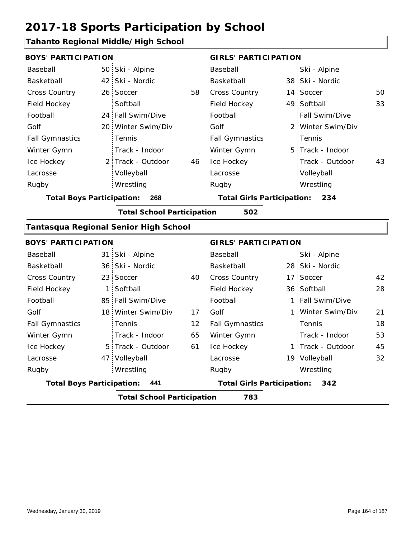### **Tahanto Regional Middle/High School**

| <b>BOYS' PARTICIPATION</b>       |             |                                       |    | <b>GIRLS' PARTICIPATION</b>       |    |                   |    |  |
|----------------------------------|-------------|---------------------------------------|----|-----------------------------------|----|-------------------|----|--|
| Baseball                         |             | 50 Ski - Alpine                       |    | Baseball                          |    | Ski - Alpine      |    |  |
| Basketball                       |             | 42 Ski - Nordic                       |    | Basketball                        |    | 38 Ski - Nordic   |    |  |
| <b>Cross Country</b>             |             | 26 Soccer                             | 58 | Cross Country                     |    | 14 Soccer         | 50 |  |
| Field Hockey                     |             | Softball                              |    | Field Hockey                      |    | 49 Softball       | 33 |  |
| Football                         |             | 24 Fall Swim/Dive                     |    | Football                          |    | Fall Swim/Dive    |    |  |
| Golf                             |             | 20 Winter Swim/Div                    |    | Golf                              |    | 2 Winter Swim/Div |    |  |
| <b>Fall Gymnastics</b>           |             | Tennis                                |    | <b>Fall Gymnastics</b>            |    | Tennis            |    |  |
| Winter Gymn                      |             | Track - Indoor                        |    | Winter Gymn                       |    | 5 Track - Indoor  |    |  |
| Ice Hockey                       |             | 2 Track - Outdoor                     | 46 | Ice Hockey                        |    | Track - Outdoor   | 43 |  |
| Lacrosse                         |             | Volleyball                            |    | Lacrosse                          |    | Volleyball        |    |  |
| Rugby                            |             | Wrestling                             |    | Rugby                             |    | Wrestling         |    |  |
| <b>Total Boys Participation:</b> |             | 268                                   |    | <b>Total Girls Participation:</b> |    | 234               |    |  |
|                                  |             | <b>Total School Participation</b>     |    | 502                               |    |                   |    |  |
|                                  |             | Tantasqua Regional Senior High School |    |                                   |    |                   |    |  |
| <b>BOYS' PARTICIPATION</b>       |             |                                       |    | <b>GIRLS' PARTICIPATION</b>       |    |                   |    |  |
| Baseball                         |             | 31 Ski - Alpine                       |    | Baseball                          |    | Ski - Alpine      |    |  |
| Basketball                       |             | 36 Ski - Nordic                       |    | Basketball                        |    | 28 Ski - Nordic   |    |  |
| Cross Country                    |             | 23 Soccer                             | 40 | <b>Cross Country</b>              | 17 | Soccer            | 42 |  |
| Field Hockey                     | $\mathbf 1$ | Softball                              |    | Field Hockey                      |    | 36 Softball       | 28 |  |
| Football                         |             | 85 Fall Swim/Dive                     |    | Football                          |    | 1 Fall Swim/Dive  |    |  |
| Golf                             |             | 18 Winter Swim/Div                    | 17 | Golf                              |    | 1 Winter Swim/Div | 21 |  |

|                                  | <b>Total School Participation</b> |    | 783                                      |  |                         |    |
|----------------------------------|-----------------------------------|----|------------------------------------------|--|-------------------------|----|
| <b>Total Boys Participation:</b> | 441                               |    | <b>Total Girls Participation:</b><br>342 |  |                         |    |
| Rugby                            | Wrestling                         |    | Rugby                                    |  | Wrestling               |    |
| Lacrosse                         | 47 Volleyball                     |    | Lacrosse                                 |  | 19 Volleyball           | 32 |
| Ice Hockey                       | 5 Track - Outdoor                 | 61 | Ice Hockey                               |  | 1 Track - Outdoor       | 45 |
| Winter Gymn                      | Track - Indoor                    | 65 | Winter Gymn                              |  | Track - Indoor          | 53 |
| <b>Fall Gymnastics</b>           | Tennis                            | 12 | <b>Fall Gymnastics</b>                   |  | Tennis                  | 18 |
| Golf                             | 18 Winter Swim/Div                | 17 | Golf                                     |  | 1 Winter Swim/Div       | 21 |
| Football                         | 85 Fall Swim/Dive                 |    | Football                                 |  | 1 Fall Swim/Dive        |    |
| Field Hockey                     | 1 Softball                        |    | Field Hockey                             |  | 36 Softball             | 28 |
| <b>Cross Country</b>             | 23 Soccer                         | 40 | <b>Cross Country</b>                     |  | 17 Soccer               | 42 |
| Basketball                       | 36 Ski - Nordic                   |    | Basketball                               |  | 28 Ski - Nordic         |    |
| pasuun                           | טוועות ־ואט ויט                   |    | pasupan                                  |  | ייוועור <i>ד</i> - ואיט |    |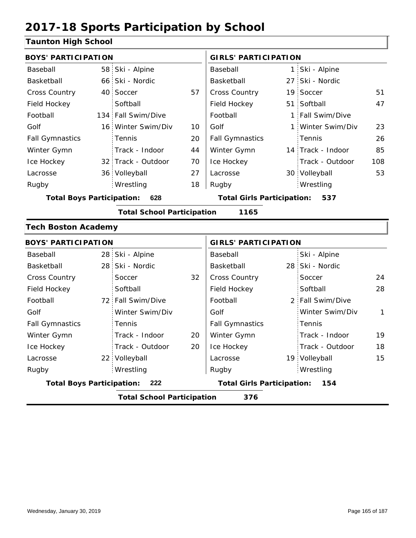#### **Taunton High School**

| raanton mga bonoor               |     |                                   |                                   |                             |              |                   |              |  |
|----------------------------------|-----|-----------------------------------|-----------------------------------|-----------------------------|--------------|-------------------|--------------|--|
| <b>BOYS' PARTICIPATION</b>       |     |                                   |                                   | <b>GIRLS' PARTICIPATION</b> |              |                   |              |  |
| Baseball                         |     | 58 Ski - Alpine                   |                                   | Baseball                    |              | 1 Ski - Alpine    |              |  |
| Basketball                       |     | 66 Ski - Nordic                   |                                   | Basketball                  | 27           | Ski - Nordic      |              |  |
| Cross Country                    |     | 40 Soccer                         | 57                                | Cross Country               | 19           | Soccer            | 51           |  |
| Field Hockey                     |     | Softball                          |                                   | Field Hockey                | 51           | Softball          | 47           |  |
| Football                         |     | 134 Fall Swim/Dive                |                                   | Football                    | $\mathbf{1}$ | Fall Swim/Dive    |              |  |
| Golf                             |     | 16 Winter Swim/Div                | 10                                | Golf                        | $1\,$        | Winter Swim/Div   | 23           |  |
| <b>Fall Gymnastics</b>           |     | Tennis                            | 20                                | <b>Fall Gymnastics</b>      |              | Tennis            | 26           |  |
| Winter Gymn                      |     | Track - Indoor                    | 44                                | Winter Gymn                 |              | 14 Track - Indoor | 85           |  |
| Ice Hockey                       |     | 32 Track - Outdoor                | 70                                | Ice Hockey                  |              | Track - Outdoor   | 108          |  |
| Lacrosse                         |     | 36 Volleyball                     | 27                                | Lacrosse                    |              | 30 Volleyball     | 53           |  |
| Rugby                            |     | Wrestling                         | 18                                | Rugby                       |              | Wrestling         |              |  |
| <b>Total Boys Participation:</b> | 628 |                                   | <b>Total Girls Participation:</b> |                             | 537          |                   |              |  |
|                                  |     | <b>Total School Participation</b> |                                   | 1165                        |              |                   |              |  |
| <b>Tech Boston Academy</b>       |     |                                   |                                   |                             |              |                   |              |  |
| <b>BOYS' PARTICIPATION</b>       |     |                                   |                                   | <b>GIRLS' PARTICIPATION</b> |              |                   |              |  |
| Baseball                         |     | 28 Ski - Alpine                   |                                   | Baseball                    |              | Ski - Alpine      |              |  |
| Basketball                       |     | 28 Ski - Nordic                   |                                   | Basketball                  |              | 28 Ski - Nordic   |              |  |
| Cross Country                    |     | Soccer                            | 32                                | Cross Country               |              | Soccer            | 24           |  |
| Field Hockey                     |     | Softball                          |                                   | Field Hockey                |              | Softball          | 28           |  |
| Football                         |     | 72 Fall Swim/Dive                 |                                   | Football                    |              | 2 Fall Swim/Dive  |              |  |
| Golf                             |     | Winter Swim/Div                   |                                   | Golf                        |              | Winter Swim/Div   | $\mathbf{1}$ |  |
| <b>Fall Gymnastics</b>           |     | Tennis                            |                                   | <b>Fall Gymnastics</b>      |              | Tennis            |              |  |
| Winter Gymn                      |     | Track - Indoor                    | 20                                | Winter Gymn                 |              | Track - Indoor    | 19           |  |
| Ice Hockey                       |     | Track - Outdoor                   | 20                                | Ice Hockey                  |              | Track - Outdoor   | 18           |  |
|                                  |     |                                   |                                   |                             |              |                   |              |  |
| Lacrosse                         |     | 22 Volleyball                     |                                   | Lacrosse                    |              | 19 Volleyball     | 15           |  |
| Rugby                            |     | Wrestling                         |                                   | Rugby                       |              | Wrestling         |              |  |

**Total School Participation 376**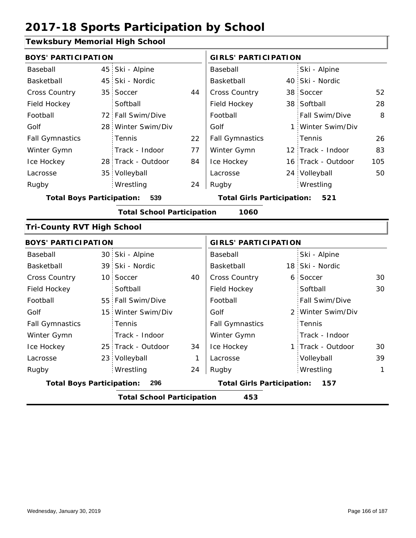#### **Tewksbury Memorial High School**

| <b>BOYS' PARTICIPATION</b>              |  |                                   |                                   | <b>GIRLS' PARTICIPATION</b> |     |                    |     |
|-----------------------------------------|--|-----------------------------------|-----------------------------------|-----------------------------|-----|--------------------|-----|
| Baseball                                |  | 45 Ski - Alpine                   |                                   | Baseball                    |     | Ski - Alpine       |     |
| Basketball                              |  | 45 Ski - Nordic                   |                                   | Basketball                  |     | 40 Ski - Nordic    |     |
| <b>Cross Country</b>                    |  | 35 Soccer                         | 44                                | Cross Country               |     | 38 Soccer          | 52  |
| Field Hockey                            |  | Softball                          |                                   | Field Hockey                |     | 38 Softball        | 28  |
| Football                                |  | 72 Fall Swim/Dive                 |                                   | Football                    |     | Fall Swim/Dive     | 8   |
| Golf                                    |  | 28 Winter Swim/Div                |                                   | Golf                        |     | 1 Winter Swim/Div  |     |
| <b>Fall Gymnastics</b>                  |  | Tennis                            | 22                                | <b>Fall Gymnastics</b>      |     | Tennis             | 26  |
| Winter Gymn                             |  | Track - Indoor                    | 77                                | Winter Gymn                 |     | 12 Track - Indoor  | 83  |
| Ice Hockey                              |  | 28 Track - Outdoor                | 84                                | Ice Hockey                  |     | 16 Track - Outdoor | 105 |
| Lacrosse                                |  | 35 Volleyball                     |                                   | Lacrosse                    |     | 24 Volleyball      | 50  |
| Rugby                                   |  | Wrestling                         | 24                                | Rugby                       |     | Wrestling          |     |
| <b>Total Boys Participation:</b><br>539 |  |                                   | <b>Total Girls Participation:</b> |                             | 521 |                    |     |
|                                         |  | <b>Total School Participation</b> |                                   | 1060                        |     |                    |     |
| <b>Tri-County RVT High School</b>       |  |                                   |                                   |                             |     |                    |     |
| <b>BOYS' PARTICIPATION</b>              |  |                                   |                                   | <b>GIRLS' PARTICIPATION</b> |     |                    |     |
| Baseball                                |  | 30 Ski - Alpine                   |                                   | Baseball                    |     | Ski - Alpine       |     |
| Basketball                              |  | 39 Ski - Nordic                   |                                   | Basketball                  |     | 18 Ski - Nordic    |     |
| Cross Country                           |  | 10 Soccer                         | 40                                | Cross Country               |     | 6 Soccer           | 30  |
| Field Hockey                            |  | Softball                          |                                   | Field Hockey                |     | Softball           | 30  |
| Football                                |  | 55 Fall Swim/Dive                 |                                   | Football                    |     | Fall Swim/Dive     |     |
| Golf                                    |  | 15 Winter Swim/Div                |                                   | Golf                        |     | 2 Winter Swim/Div  |     |
| <b>Fall Gymnastics</b>                  |  | Tennis                            |                                   | <b>Fall Gymnastics</b>      |     | Tennis             |     |
| Winter Gymn                             |  | Track - Indoor                    |                                   | Winter Gymn                 |     | Track - Indoor     |     |
| Ice Hockey                              |  | 25 Track - Outdoor                | 34                                | Ice Hockey                  |     | 1 Track - Outdoor  | 30  |

1 24

**Total Boys Participation: 296 Total Girls Participation: 157**

**Total School Participation 453**

Lacrosse

Lacrosse

23 Volleyball

Wrestling Rugby Rugby

Volleyball 39 Wrestling 1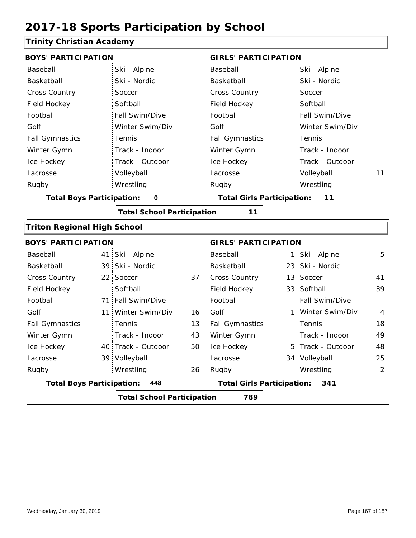#### **Trinity Christian Academy**

| <b>BOYS' PARTICIPATION</b>         |    |                                   |    | <b>GIRLS' PARTICIPATION</b>       |  |                   |                |
|------------------------------------|----|-----------------------------------|----|-----------------------------------|--|-------------------|----------------|
| Baseball                           |    | Ski - Alpine                      |    | Baseball                          |  | Ski - Alpine      |                |
| Basketball                         |    | Ski - Nordic                      |    | Basketball                        |  | Ski - Nordic      |                |
| <b>Cross Country</b>               |    | Soccer                            |    | Cross Country                     |  | Soccer            |                |
| Field Hockey                       |    | Softball                          |    | Field Hockey                      |  | Softball          |                |
| Football                           |    | Fall Swim/Dive                    |    | Football                          |  | Fall Swim/Dive    |                |
| Golf                               |    | Winter Swim/Div                   |    | Golf                              |  | Winter Swim/Div   |                |
| <b>Fall Gymnastics</b>             |    | Tennis                            |    | <b>Fall Gymnastics</b>            |  | Tennis            |                |
| Winter Gymn                        |    | Track - Indoor                    |    | Winter Gymn                       |  | Track - Indoor    |                |
| Ice Hockey                         |    | Track - Outdoor                   |    | Ice Hockey                        |  | Track - Outdoor   |                |
| Lacrosse                           |    | Volleyball                        |    | Lacrosse                          |  | Volleyball        | 11             |
| Rugby                              |    | Wrestling                         |    | Rugby                             |  | Wrestling         |                |
| <b>Total Boys Participation:</b>   |    | $\mathbf 0$                       |    | <b>Total Girls Participation:</b> |  | 11                |                |
|                                    |    | <b>Total School Participation</b> |    | 11                                |  |                   |                |
| <b>Triton Regional High School</b> |    |                                   |    |                                   |  |                   |                |
| <b>BOYS' PARTICIPATION</b>         |    |                                   |    | <b>GIRLS' PARTICIPATION</b>       |  |                   |                |
| Baseball                           |    | 41 Ski - Alpine                   |    | Baseball                          |  | 1 Ski - Alpine    | 5              |
| Basketball                         |    | 39 Ski - Nordic                   |    | Basketball                        |  | 23 Ski - Nordic   |                |
| <b>Cross Country</b>               |    | 22 Soccer                         | 37 | Cross Country                     |  | 13 Soccer         | 41             |
| Field Hockey                       |    | Softball                          |    | Field Hockey                      |  | 33 Softball       | 39             |
| Football                           |    | 71 Fall Swim/Dive                 |    | Football                          |  | Fall Swim/Dive    |                |
| Golf                               | 11 | Winter Swim/Div                   | 16 | Golf                              |  | 1 Winter Swim/Div | 4              |
| <b>Fall Gymnastics</b>             |    | Tennis                            | 13 | <b>Fall Gymnastics</b>            |  | Tennis            | 18             |
| Winter Gymn                        |    | Track - Indoor                    | 43 | Winter Gymn                       |  | Track - Indoor    | 49             |
| Ice Hockey                         |    | 40 Track - Outdoor                | 50 | Ice Hockey                        |  | 5 Track - Outdoor | 48             |
| Lacrosse                           |    | 39 Volleyball                     |    | Lacrosse                          |  | 34 Volleyball     | 25             |
| Rugby                              |    | Wrestling                         | 26 | Rugby                             |  | Wrestling         | $\overline{2}$ |
| <b>Total Boys Participation:</b>   |    | 448                               |    | <b>Total Girls Participation:</b> |  | 341               |                |
|                                    |    | <b>Total School Participation</b> |    | 789                               |  |                   |                |
|                                    |    |                                   |    |                                   |  |                   |                |

I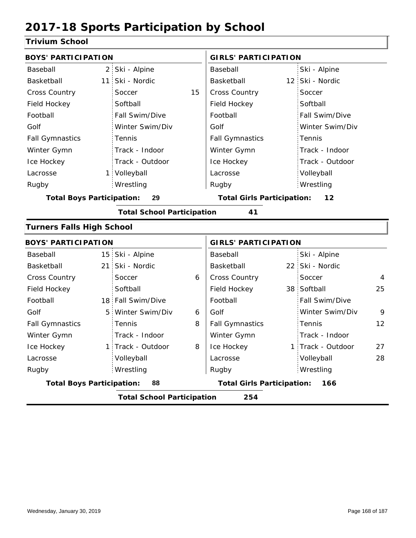#### **Trivium School**

| <b>BOYS' PARTICIPATION</b>       |                |                                   |    | <b>GIRLS' PARTICIPATION</b>              |  |                   |    |
|----------------------------------|----------------|-----------------------------------|----|------------------------------------------|--|-------------------|----|
| Baseball                         | 2:             | Ski - Alpine                      |    | Baseball                                 |  | Ski - Alpine      |    |
| Basketball                       | 11             | Ski - Nordic                      |    | Basketball                               |  | 12 Ski - Nordic   |    |
| <b>Cross Country</b>             |                | Soccer                            | 15 | Cross Country                            |  | Soccer            |    |
| Field Hockey                     |                | Softball                          |    | Field Hockey                             |  | Softball          |    |
| Football                         |                | Fall Swim/Dive                    |    | Football                                 |  | Fall Swim/Dive    |    |
| Golf                             |                | Winter Swim/Div                   |    | Golf                                     |  | Winter Swim/Div   |    |
| <b>Fall Gymnastics</b>           |                | Tennis                            |    | <b>Fall Gymnastics</b>                   |  | Tennis            |    |
| Winter Gymn                      |                | Track - Indoor                    |    | Winter Gymn                              |  | Track - Indoor    |    |
| Ice Hockey                       |                | Track - Outdoor                   |    | Ice Hockey                               |  | Track - Outdoor   |    |
| Lacrosse                         |                | 1 Volleyball                      |    | Lacrosse                                 |  | Volleyball        |    |
| Rugby                            |                | Wrestling                         |    | Rugby                                    |  | Wrestling         |    |
| <b>Total Boys Participation:</b> |                | 29                                |    | <b>Total Girls Participation:</b>        |  | 12                |    |
|                                  |                | <b>Total School Participation</b> |    | 41                                       |  |                   |    |
| <b>Turners Falls High School</b> |                |                                   |    |                                          |  |                   |    |
| <b>BOYS' PARTICIPATION</b>       |                |                                   |    | <b>GIRLS' PARTICIPATION</b>              |  |                   |    |
| Baseball                         |                | 15 Ski - Alpine                   |    | Baseball                                 |  | Ski - Alpine      |    |
| Basketball                       |                | 21 Ski - Nordic                   |    | Basketball                               |  | 22 Ski - Nordic   |    |
| <b>Cross Country</b>             |                | Soccer                            | 6  | Cross Country                            |  | Soccer            | 4  |
| Field Hockey                     |                | Softball                          |    | Field Hockey                             |  | 38 Softball       | 25 |
| Football                         |                | 18 Fall Swim/Dive                 |    | Football                                 |  | Fall Swim/Dive    |    |
| Golf                             | 5 <sup>1</sup> | Winter Swim/Div                   | 6  | Golf                                     |  | Winter Swim/Div   | 9  |
| <b>Fall Gymnastics</b>           |                | Tennis                            | 8  | <b>Fall Gymnastics</b>                   |  | Tennis            | 12 |
| Winter Gymn                      |                | Track - Indoor                    |    | Winter Gymn                              |  | Track - Indoor    |    |
| Ice Hockey                       |                | 1 Track - Outdoor                 | 8  | Ice Hockey                               |  | 1 Track - Outdoor | 27 |
| Lacrosse                         |                | Volleyball                        |    | Lacrosse                                 |  | Volleyball        | 28 |
| Rugby                            |                | Wrestling                         |    | Rugby                                    |  | Wrestling         |    |
| <b>Total Boys Participation:</b> |                | 88                                |    | <b>Total Girls Participation:</b><br>166 |  |                   |    |
|                                  |                | <b>Total School Participation</b> |    | 254                                      |  |                   |    |
|                                  |                |                                   |    |                                          |  |                   |    |

I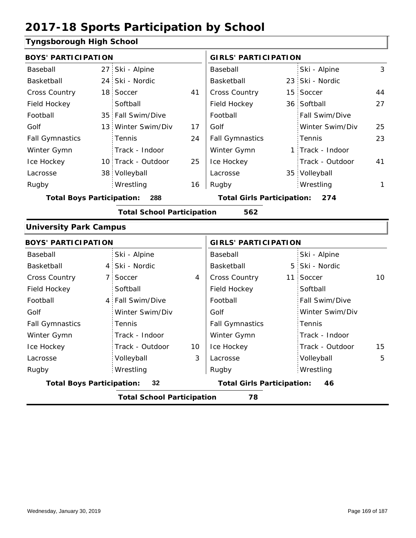#### **Tyngsborough High School**

|                               | <b>BOYS' PARTICIPATION</b>              |                                   |    |                                          | <b>GIRLS' PARTICIPATION</b> |                  |    |  |
|-------------------------------|-----------------------------------------|-----------------------------------|----|------------------------------------------|-----------------------------|------------------|----|--|
| Baseball                      |                                         | 27 Ski - Alpine                   |    | Baseball                                 |                             | Ski - Alpine     | 3  |  |
| Basketball                    |                                         | 24 Ski - Nordic                   |    | Basketball                               |                             | 23 Ski - Nordic  |    |  |
| <b>Cross Country</b>          |                                         | 18 Soccer                         | 41 | <b>Cross Country</b>                     |                             | 15 Soccer        | 44 |  |
| Field Hockey                  |                                         | Softball                          |    | Field Hockey                             |                             | 36 Softball      | 27 |  |
| Football                      |                                         | 35 Fall Swim/Dive                 |    | Football                                 |                             | Fall Swim/Dive   |    |  |
| Golf                          |                                         | 13 Winter Swim/Div                | 17 | Golf                                     |                             | Winter Swim/Div  | 25 |  |
| <b>Fall Gymnastics</b>        |                                         | <b>Tennis</b>                     | 24 | <b>Fall Gymnastics</b>                   |                             | Tennis           | 23 |  |
| Winter Gymn                   |                                         | Track - Indoor                    |    | Winter Gymn                              |                             | 1 Track - Indoor |    |  |
| Ice Hockey                    |                                         | 10 Track - Outdoor                | 25 | Ice Hockey                               |                             | Track - Outdoor  | 41 |  |
| Lacrosse                      |                                         | 38 Volleyball                     |    | Lacrosse                                 |                             | 35 Volleyball    |    |  |
| Rugby                         |                                         | Wrestling                         | 16 | Rugby                                    |                             | Wrestling        | 1  |  |
|                               | <b>Total Boys Participation:</b><br>288 |                                   |    | <b>Total Girls Participation:</b><br>274 |                             |                  |    |  |
|                               |                                         | <b>Total School Participation</b> |    | 562                                      |                             |                  |    |  |
| <b>University Park Campus</b> |                                         |                                   |    |                                          |                             |                  |    |  |

#### 4 5 Ski - Nordic 7 Soccer 10 4 | Cross Country 11 Soccer 10 4 Fall Swim/Dive 10 3 15 Baseball Basketball Cross Country Field Hockey Football Golf Fall Gymnastics Ice Hockey Lacrosse Ski - Alpine 7 Soccer **Softball** Tennis Track - Indoor Track - Outdoor Volleyball Wrestling Rugby Rugby **BOYS' PARTICIPATION GIRLS' PARTICIPATION** Baseball Basketball Field Hockey Football Golf Fall Gymnastics Winter Gymn Ice Hockey Lacrosse Ski - Alpine 5 Ski - Nordic 11 Soccer **Softball** Fall Swim/Dive Winter Swim/Div Tennis Track - Indoor Track - Outdoor Winter Gymn Winter Swim/Div Volleyball 5 Wrestling **Total Boys Participation: 32 Total Girls Participation: 46 Total School Participation 78**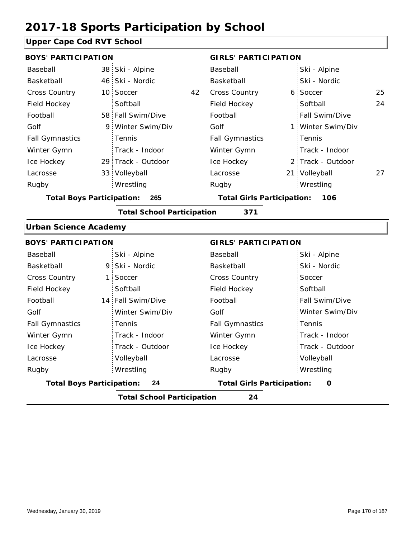### **Upper Cape Cod RVT School**

| <b>BOYS' PARTICIPATION</b>       |    |                                   |    | <b>GIRLS' PARTICIPATION</b>              |  |                   |    |  |
|----------------------------------|----|-----------------------------------|----|------------------------------------------|--|-------------------|----|--|
| Baseball                         |    | 38 Ski - Alpine                   |    | Baseball                                 |  | Ski - Alpine      |    |  |
| <b>Basketball</b>                |    | 46 Ski - Nordic                   |    | Basketball                               |  | Ski - Nordic      |    |  |
| <b>Cross Country</b>             |    | 10 Soccer                         | 42 | Cross Country                            |  | 6 Soccer          | 25 |  |
| Field Hockey                     |    | Softball                          |    | Field Hockey                             |  | Softball          | 24 |  |
| Football                         |    | 58 Fall Swim/Dive                 |    | Football                                 |  | Fall Swim/Dive    |    |  |
| Golf                             | 9. | Winter Swim/Div                   |    | Golf                                     |  | 1 Winter Swim/Div |    |  |
| <b>Fall Gymnastics</b>           |    | Tennis                            |    | <b>Fall Gymnastics</b>                   |  | Tennis            |    |  |
| Winter Gymn                      |    | Track - Indoor                    |    | Winter Gymn                              |  | Track - Indoor    |    |  |
| Ice Hockey                       |    | 29 Track - Outdoor                |    | Ice Hockey                               |  | 2 Track - Outdoor |    |  |
| Lacrosse                         |    | 33 Volleyball                     |    | Lacrosse                                 |  | 21 Volleyball     | 27 |  |
| Rugby                            |    | Wrestling                         |    | Rugby                                    |  | Wrestling         |    |  |
| <b>Total Boys Participation:</b> |    | 265                               |    | <b>Total Girls Participation:</b><br>106 |  |                   |    |  |
|                                  |    | <b>Total School Participation</b> |    | 371                                      |  |                   |    |  |
| <b>Urban Science Academy</b>     |    |                                   |    |                                          |  |                   |    |  |
| <b>BOYS' PARTICIPATION</b>       |    |                                   |    | <b>GIRLS' PARTICIPATION</b>              |  |                   |    |  |
| Baseball                         |    | Ski - Alpine                      |    | Baseball                                 |  | Ski - Alpine      |    |  |
| <b>Raskethall</b>                |    | 9 Ski - Nordic                    |    | <b>Raskethall</b>                        |  | Ski - Nordic      |    |  |

| Basketball                       | 9 Ski - Nordic                          | Basketball                        | Ski - Nordic    |  |  |  |  |  |  |
|----------------------------------|-----------------------------------------|-----------------------------------|-----------------|--|--|--|--|--|--|
| <b>Cross Country</b>             | 1 Soccer                                | <b>Cross Country</b>              | Soccer          |  |  |  |  |  |  |
| Field Hockey                     | Softball                                | Field Hockey                      | Softball        |  |  |  |  |  |  |
| Football                         | 14 Fall Swim/Dive                       | Football                          | Fall Swim/Dive  |  |  |  |  |  |  |
| Golf                             | Winter Swim/Div                         | Golf                              | Winter Swim/Div |  |  |  |  |  |  |
| <b>Fall Gymnastics</b>           | Tennis                                  | <b>Fall Gymnastics</b>            | Tennis          |  |  |  |  |  |  |
| Winter Gymn                      | Track - Indoor                          | Winter Gymn                       | Track - Indoor  |  |  |  |  |  |  |
| Ice Hockey                       | Track - Outdoor                         | Ice Hockey                        | Track - Outdoor |  |  |  |  |  |  |
| Lacrosse                         | Volleyball                              | Lacrosse                          | Volleyball      |  |  |  |  |  |  |
| Rugby                            | Wrestling                               | Rugby                             | Wrestling       |  |  |  |  |  |  |
| <b>Total Boys Participation:</b> | 24                                      | <b>Total Girls Participation:</b> | O               |  |  |  |  |  |  |
|                                  | <b>Total School Participation</b><br>24 |                                   |                 |  |  |  |  |  |  |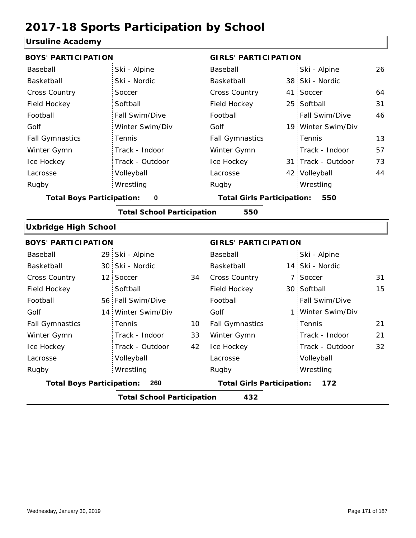#### **Ursuline Academy**

| orsanno Acauchry                 |     |                                   |                                   |                                   |     |                    |    |
|----------------------------------|-----|-----------------------------------|-----------------------------------|-----------------------------------|-----|--------------------|----|
| <b>BOYS' PARTICIPATION</b>       |     |                                   |                                   | <b>GIRLS' PARTICIPATION</b>       |     |                    |    |
| Baseball                         |     | Ski - Alpine                      |                                   | Baseball                          |     | Ski - Alpine       | 26 |
| Basketball                       |     | Ski - Nordic                      |                                   | <b>Basketball</b>                 |     | 38 Ski - Nordic    |    |
| Cross Country                    |     | Soccer                            |                                   | Cross Country                     | 41  | Soccer             | 64 |
| Field Hockey                     |     | Softball                          |                                   | Field Hockey                      | 25  | Softball           | 31 |
| Football                         |     | Fall Swim/Dive                    |                                   | Football                          |     | Fall Swim/Dive     | 46 |
| Golf                             |     | Winter Swim/Div                   |                                   | Golf                              |     | 19 Winter Swim/Div |    |
| <b>Fall Gymnastics</b>           |     | Tennis                            |                                   | <b>Fall Gymnastics</b>            |     | Tennis             | 13 |
| Winter Gymn                      |     | Track - Indoor                    |                                   | Winter Gymn                       |     | Track - Indoor     | 57 |
| Ice Hockey                       |     | Track - Outdoor                   |                                   | Ice Hockey                        |     | 31 Track - Outdoor | 73 |
| Lacrosse                         |     | Volleyball                        |                                   | Lacrosse                          |     | 42 Volleyball      | 44 |
| Rugby                            |     | Wrestling                         |                                   | Rugby                             |     | Wrestling          |    |
| <b>Total Boys Participation:</b> |     | $\mathbf 0$                       |                                   | <b>Total Girls Participation:</b> |     | 550                |    |
|                                  |     | <b>Total School Participation</b> |                                   | 550                               |     |                    |    |
| <b>Uxbridge High School</b>      |     |                                   |                                   |                                   |     |                    |    |
| <b>BOYS' PARTICIPATION</b>       |     |                                   |                                   | <b>GIRLS' PARTICIPATION</b>       |     |                    |    |
| Baseball                         |     | 29 Ski - Alpine                   |                                   | Baseball                          |     | Ski - Alpine       |    |
| Basketball                       |     | 30 Ski - Nordic                   |                                   | Basketball                        |     | 14 Ski - Nordic    |    |
| Cross Country                    |     | 12 Soccer                         | 34                                | Cross Country                     | 7   | Soccer             | 31 |
| Field Hockey                     |     | Softball                          |                                   | Field Hockey                      | 30  | Softball           | 15 |
| Football                         |     | 56 Fall Swim/Dive                 |                                   | Football                          |     | Fall Swim/Dive     |    |
| Golf                             |     | 14 Winter Swim/Div                |                                   | Golf                              | 1   | Winter Swim/Div    |    |
| <b>Fall Gymnastics</b>           |     | Tennis                            | 10                                | <b>Fall Gymnastics</b>            |     | Tennis             | 21 |
| Winter Gymn                      |     | Track - Indoor                    | 33                                | Winter Gymn                       |     | Track - Indoor     | 21 |
| Ice Hockey                       |     | Track - Outdoor                   | 42                                | Ice Hockey                        |     | Track - Outdoor    | 32 |
| Lacrosse                         |     | Volleyball                        |                                   | Lacrosse                          |     | Volleyball         |    |
| Rugby                            |     | Wrestling                         |                                   | Rugby                             |     | Wrestling          |    |
| <b>Total Boys Participation:</b> | 260 |                                   | <b>Total Girls Participation:</b> |                                   | 172 |                    |    |

**Total School Participation 432**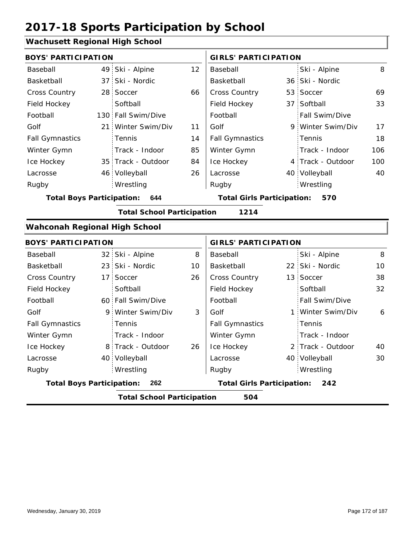#### **Wachusett Regional High School**

| <b>BOYS' PARTICIPATION</b>           |                 |                                   |    | <b>GIRLS' PARTICIPATION</b>       |                 |                   |     |
|--------------------------------------|-----------------|-----------------------------------|----|-----------------------------------|-----------------|-------------------|-----|
| Baseball                             | 49              | Ski - Alpine                      | 12 | Baseball                          |                 | Ski - Alpine      | 8   |
| Basketball                           | 37:             | Ski - Nordic                      |    | Basketball                        |                 | 36 Ski - Nordic   |     |
| Cross Country                        |                 | 28 Soccer                         | 66 | Cross Country                     |                 | 53 Soccer         | 69  |
| Field Hockey                         |                 | Softball                          |    | Field Hockey                      | 37 <sup>1</sup> | Softball          | 33  |
| Football                             |                 | 130 Fall Swim/Dive                |    | Football                          |                 | Fall Swim/Dive    |     |
| Golf                                 |                 | 21 Winter Swim/Div                | 11 | Golf                              |                 | 9 Winter Swim/Div | 17  |
| <b>Fall Gymnastics</b>               |                 | Tennis                            | 14 | <b>Fall Gymnastics</b>            |                 | Tennis            | 18  |
| Winter Gymn                          |                 | Track - Indoor                    | 85 | Winter Gymn                       |                 | Track - Indoor    | 106 |
| Ice Hockey                           |                 | 35 Track - Outdoor                | 84 | Ice Hockey                        |                 | 4 Track - Outdoor | 100 |
| Lacrosse                             |                 | 46 Volleyball                     | 26 | Lacrosse                          |                 | 40 Volleyball     | 40  |
| Rugby                                |                 | Wrestling                         |    | Rugby                             |                 | Wrestling         |     |
| <b>Total Boys Participation:</b>     |                 | 644                               |    | <b>Total Girls Participation:</b> |                 | 570               |     |
|                                      |                 | <b>Total School Participation</b> |    | 1214                              |                 |                   |     |
| <b>Wahconah Regional High School</b> |                 |                                   |    |                                   |                 |                   |     |
|                                      |                 |                                   |    |                                   |                 |                   |     |
| <b>BOYS' PARTICIPATION</b>           |                 |                                   |    | <b>GIRLS' PARTICIPATION</b>       |                 |                   |     |
| Baseball                             | 32 <sub>1</sub> | Ski - Alpine                      | 8  | Baseball                          |                 | Ski - Alpine      | 8   |
| Basketball                           |                 | 23 Ski - Nordic                   | 10 | <b>Basketball</b>                 |                 | 22 Ski - Nordic   | 10  |
| Cross Country                        |                 | 17 Soccer                         | 26 | Cross Country                     |                 | 13 Soccer         | 38  |
| Field Hockey                         |                 | Softball                          |    | Field Hockey                      |                 | Softball          | 32  |
| Football                             |                 | 60 Fall Swim/Dive                 |    | Football                          |                 | Fall Swim/Dive    |     |
| Golf                                 |                 | 9 Winter Swim/Div                 | 3  | Golf                              | 1:              | Winter Swim/Div   | 6   |
| <b>Fall Gymnastics</b>               |                 | Tennis                            |    | <b>Fall Gymnastics</b>            |                 | Tennis            |     |
| Winter Gymn                          |                 | Track - Indoor                    |    | Winter Gymn                       |                 | Track - Indoor    |     |
| Ice Hockey                           |                 | 8 Track - Outdoor                 | 26 | Ice Hockey                        |                 | 2 Track - Outdoor | 40  |
| Lacrosse                             |                 | 40 Volleyball                     |    | Lacrosse                          |                 | 40 Volleyball     | 30  |
| Rugby                                |                 | Wrestling                         |    | Rugby                             |                 | Wrestling         |     |

**Total School Participation 504**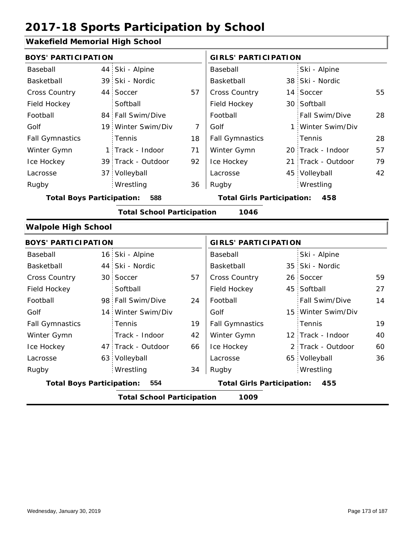#### **Wakefield Memorial High School**

| <b>BOYS' PARTICIPATION</b>              |  |                                   |    | <b>GIRLS' PARTICIPATION</b> |  |                       |    |
|-----------------------------------------|--|-----------------------------------|----|-----------------------------|--|-----------------------|----|
| Baseball                                |  | 44 Ski - Alpine                   |    | Baseball                    |  | Ski - Alpine          |    |
| Basketball                              |  | 39 Ski - Nordic                   |    | Basketball                  |  | 38 Ski - Nordic       |    |
| <b>Cross Country</b>                    |  | 44 Soccer                         | 57 | <b>Cross Country</b>        |  | 14 Soccer             | 55 |
| Field Hockey                            |  | Softball                          |    | Field Hockey                |  | 30 Softball           |    |
| Football                                |  | 84 Fall Swim/Dive                 |    | Football                    |  | <b>Fall Swim/Dive</b> | 28 |
| Golf                                    |  | 19 Winter Swim/Div                | 7  | Golf                        |  | 1 Winter Swim/Div     |    |
| <b>Fall Gymnastics</b>                  |  | <b>Tennis</b>                     | 18 | <b>Fall Gymnastics</b>      |  | Tennis                | 28 |
| Winter Gymn                             |  | 1 Track - Indoor                  | 71 | Winter Gymn                 |  | 20 Track - Indoor     | 57 |
| Ice Hockey                              |  | 39 Track - Outdoor                | 92 | Ice Hockey                  |  | 21 Track - Outdoor    | 79 |
| Lacrosse                                |  | 37 Volleyball                     |    | Lacrosse                    |  | 45 Volleyball         | 42 |
| Rugby                                   |  | Wrestling                         | 36 | Rugby                       |  | Wrestling             |    |
| 588<br><b>Total Boys Participation:</b> |  | <b>Total Girls Participation:</b> |    | 458                         |  |                       |    |

**Total School Participation 1046**

#### **Walpole High School**

| <b>BOYS' PARTICIPATION</b>       |  |                                   |    | <b>GIRLS' PARTICIPATION</b>       |  |                    |    |
|----------------------------------|--|-----------------------------------|----|-----------------------------------|--|--------------------|----|
| Baseball                         |  | 16 Ski - Alpine                   |    | Baseball                          |  | Ski - Alpine       |    |
| Basketball                       |  | 44 Ski - Nordic                   |    | Basketball                        |  | 35 Ski - Nordic    |    |
| <b>Cross Country</b>             |  | 30 Soccer                         | 57 | <b>Cross Country</b>              |  | 26 Soccer          | 59 |
| Field Hockey                     |  | Softball                          |    | Field Hockey                      |  | 45 Softball        | 27 |
| Football                         |  | 98 Fall Swim/Dive                 | 24 | Football                          |  | Fall Swim/Dive     | 14 |
| Golf                             |  | 14 Winter Swim/Div                |    | Golf                              |  | 15 Winter Swim/Div |    |
| <b>Fall Gymnastics</b>           |  | <b>Tennis</b>                     | 19 | <b>Fall Gymnastics</b>            |  | Tennis             | 19 |
| Winter Gymn                      |  | Track - Indoor                    | 42 | Winter Gymn                       |  | 12 Track - Indoor  | 40 |
| Ice Hockey                       |  | 47 Track - Outdoor                | 66 | Ice Hockey                        |  | 2 Track - Outdoor  | 60 |
| Lacrosse                         |  | 63 Volleyball                     |    | Lacrosse                          |  | 65 Volleyball      | 36 |
| Rugby                            |  | Wrestling                         | 34 | Rugby                             |  | Wrestling          |    |
| <b>Total Boys Participation:</b> |  | 554                               |    | <b>Total Girls Participation:</b> |  | 455                |    |
|                                  |  | <b>Total School Participation</b> |    | 1009                              |  |                    |    |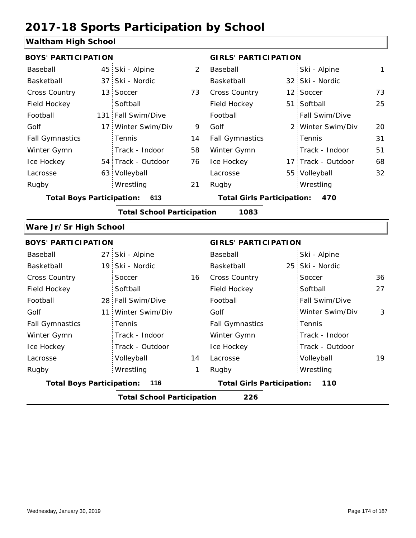#### **Waltham High School**

| <b>BOYS' PARTICIPATION</b>       |     |                                   |    | <b>GIRLS' PARTICIPATION</b>       |  |                    |    |
|----------------------------------|-----|-----------------------------------|----|-----------------------------------|--|--------------------|----|
| Baseball                         |     | 45 Ski - Alpine                   | 2  | Baseball                          |  | Ski - Alpine       | 1  |
| Basketball                       |     | 37 Ski - Nordic                   |    | Basketball                        |  | 32 Ski - Nordic    |    |
| <b>Cross Country</b>             |     | 13 Soccer                         | 73 | <b>Cross Country</b>              |  | 12 Soccer          | 73 |
| Field Hockey                     |     | Softball                          |    | Field Hockey                      |  | 51 Softball        | 25 |
| Football                         |     | 131 Fall Swim/Dive                |    | Football                          |  | Fall Swim/Dive     |    |
| Golf                             | 17: | Winter Swim/Div                   | 9  | Golf                              |  | 2 Winter Swim/Div  | 20 |
| <b>Fall Gymnastics</b>           |     | Tennis                            | 14 | <b>Fall Gymnastics</b>            |  | Tennis             | 31 |
| Winter Gymn                      |     | Track - Indoor                    | 58 | Winter Gymn                       |  | Track - Indoor     | 51 |
| Ice Hockey                       |     | 54 Track - Outdoor                | 76 | Ice Hockey                        |  | 17 Track - Outdoor | 68 |
| Lacrosse                         |     | 63 Volleyball                     |    | Lacrosse                          |  | 55 Volleyball      | 32 |
| Rugby                            |     | Wrestling                         | 21 | Rugby                             |  | Wrestling          |    |
| <b>Total Boys Participation:</b> |     | 613                               |    | <b>Total Girls Participation:</b> |  | 470                |    |
|                                  |     | <b>Total School Participation</b> |    | 1083                              |  |                    |    |
| Ware Jr/Sr High School           |     |                                   |    |                                   |  |                    |    |

| <b>BOYS' PARTICIPATION</b>       |                                   |    | <b>GIRLS' PARTICIPATION</b>       |                 |    |  |
|----------------------------------|-----------------------------------|----|-----------------------------------|-----------------|----|--|
| Baseball                         | 27 Ski - Alpine                   |    | Baseball                          | Ski - Alpine    |    |  |
| Basketball                       | 19 Ski - Nordic                   |    | Basketball                        | 25 Ski - Nordic |    |  |
| <b>Cross Country</b>             | Soccer                            | 16 | <b>Cross Country</b>              | Soccer          | 36 |  |
| Field Hockey                     | Softball                          |    | Field Hockey                      | Softball        | 27 |  |
| Football                         | 28 Fall Swim/Dive                 |    | Football                          | Fall Swim/Dive  |    |  |
| Golf                             | 11 Winter Swim/Div                |    | Golf                              | Winter Swim/Div | 3  |  |
| <b>Fall Gymnastics</b>           | Tennis                            |    | <b>Fall Gymnastics</b>            | Tennis          |    |  |
| Winter Gymn                      | Track - Indoor                    |    | Winter Gymn                       | Track - Indoor  |    |  |
| Ice Hockey                       | Track - Outdoor                   |    | Ice Hockey                        | Track - Outdoor |    |  |
| Lacrosse                         | Volleyball                        | 14 | Lacrosse                          | Volleyball      | 19 |  |
| Rugby                            | Wrestling                         | 1  | Rugby                             | Wrestling       |    |  |
| <b>Total Boys Participation:</b> | 116                               |    | <b>Total Girls Participation:</b> | 110             |    |  |
|                                  | <b>Total School Participation</b> |    | 226                               |                 |    |  |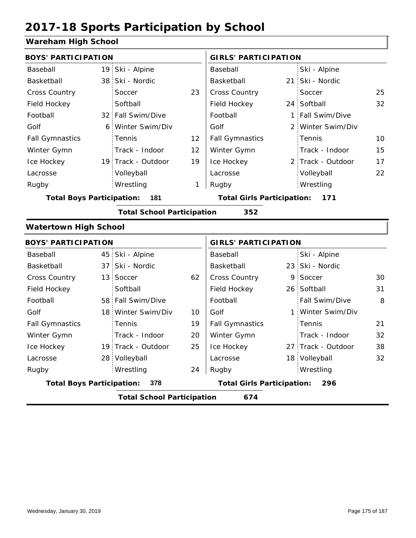#### **Wareham High School**

| <b>BOYS' PARTICIPATION</b>                                                          |                                          |                                   |    | <b>GIRLS' PARTICIPATION</b>       |  |                    |    |  |  |
|-------------------------------------------------------------------------------------|------------------------------------------|-----------------------------------|----|-----------------------------------|--|--------------------|----|--|--|
| Baseball                                                                            |                                          | 19 Ski - Alpine                   |    | Baseball                          |  | Ski - Alpine       |    |  |  |
| Basketball                                                                          | 38                                       | Ski - Nordic                      |    | Basketball                        |  | 21 Ski - Nordic    |    |  |  |
| Cross Country                                                                       |                                          | Soccer                            | 23 | Cross Country                     |  | Soccer             | 25 |  |  |
| Field Hockey                                                                        |                                          | Softball                          |    | Field Hockey                      |  | 24 Softball        | 32 |  |  |
| Football                                                                            |                                          | 32 Fall Swim/Dive                 |    | Football                          |  | 1 Fall Swim/Dive   |    |  |  |
| Golf                                                                                | 6                                        | Winter Swim/Div                   |    | Golf                              |  | 2 Winter Swim/Div  |    |  |  |
| <b>Fall Gymnastics</b>                                                              |                                          | Tennis                            | 12 | <b>Fall Gymnastics</b>            |  | Tennis             | 10 |  |  |
| Winter Gymn                                                                         |                                          | Track - Indoor                    | 12 | Winter Gymn                       |  | Track - Indoor     | 15 |  |  |
| Ice Hockey                                                                          |                                          | 19 Track - Outdoor                | 19 | Ice Hockey                        |  | 2 Track - Outdoor  | 17 |  |  |
| Lacrosse                                                                            |                                          | Volleyball                        |    | Lacrosse                          |  | Volleyball         | 22 |  |  |
| Rugby                                                                               |                                          | Wrestling                         | 1  | Rugby                             |  | Wrestling          |    |  |  |
| <b>Total Boys Participation:</b><br>181<br><b>Total Girls Participation:</b><br>171 |                                          |                                   |    |                                   |  |                    |    |  |  |
|                                                                                     |                                          | <b>Total School Participation</b> |    | 352                               |  |                    |    |  |  |
| <b>Watertown High School</b>                                                        |                                          |                                   |    |                                   |  |                    |    |  |  |
| <b>BOYS' PARTICIPATION</b>                                                          |                                          |                                   |    | <b>GIRLS' PARTICIPATION</b>       |  |                    |    |  |  |
| Baseball                                                                            | 45                                       | Ski - Alpine                      |    | Baseball                          |  | Ski - Alpine       |    |  |  |
| Basketball                                                                          | 37                                       | Ski - Nordic                      |    | Basketball                        |  | 23 Ski - Nordic    |    |  |  |
| <b>Cross Country</b>                                                                | 13                                       | Soccer                            | 62 | Cross Country                     |  | 9 Soccer           | 30 |  |  |
| Field Hockey                                                                        |                                          | Softball                          |    | Field Hockey                      |  | 26 Softball        | 31 |  |  |
| Football                                                                            |                                          | 58 Fall Swim/Dive                 |    | Football                          |  | Fall Swim/Dive     | 8  |  |  |
| Golf                                                                                | 18 <sup>1</sup>                          | Winter Swim/Div                   | 10 | Golf                              |  | 1 Winter Swim/Div  |    |  |  |
| <b>Fall Gymnastics</b>                                                              |                                          | Tennis                            | 19 | <b>Fall Gymnastics</b>            |  | Tennis             | 21 |  |  |
| Winter Gymn                                                                         |                                          | Track - Indoor                    | 20 | Winter Gymn                       |  | Track - Indoor     | 32 |  |  |
| Ice Hockey                                                                          |                                          | 19 Track - Outdoor                | 25 | Ice Hockey                        |  | 27 Track - Outdoor | 38 |  |  |
| Lacrosse                                                                            |                                          | 28 Volleyball                     |    | Lacrosse                          |  | 18 Volleyball      | 32 |  |  |
| Rugby                                                                               |                                          | Wrestling                         | 24 | Rugby                             |  | Wrestling          |    |  |  |
| <b>Total Boys Participation:</b>                                                    |                                          | 378                               |    | <b>Total Girls Participation:</b> |  | 296                |    |  |  |
|                                                                                     | <b>Total School Participation</b><br>674 |                                   |    |                                   |  |                    |    |  |  |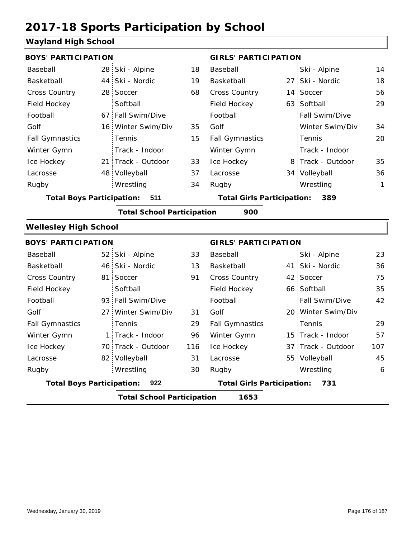#### **Wayland High School**

|                                                                                     | <b>BOYS' PARTICIPATION</b> |                                   |     |                                   | <b>GIRLS' PARTICIPATION</b> |                    |              |  |
|-------------------------------------------------------------------------------------|----------------------------|-----------------------------------|-----|-----------------------------------|-----------------------------|--------------------|--------------|--|
| Baseball                                                                            |                            | 28 Ski - Alpine                   | 18  | Baseball                          |                             | Ski - Alpine       | 14           |  |
| Basketball                                                                          |                            | 44 Ski - Nordic                   | 19  | Basketball                        |                             | 27 Ski - Nordic    | 18           |  |
| Cross Country                                                                       |                            | 28 Soccer                         | 68  | Cross Country                     |                             | 14 Soccer          | 56           |  |
| Field Hockey                                                                        |                            | Softball                          |     | Field Hockey                      |                             | 63 Softball        | 29           |  |
| Football                                                                            |                            | 67 Fall Swim/Dive                 |     | Football                          |                             | Fall Swim/Dive     |              |  |
| Golf                                                                                |                            | 16 Winter Swim/Div                | 35  | Golf                              |                             | Winter Swim/Div    | 34           |  |
| <b>Fall Gymnastics</b>                                                              |                            | Tennis                            | 15  | <b>Fall Gymnastics</b>            |                             | Tennis             | 20           |  |
| Winter Gymn                                                                         |                            | Track - Indoor                    |     | Winter Gymn                       |                             | Track - Indoor     |              |  |
| Ice Hockey                                                                          |                            | 21 Track - Outdoor                | 33  | Ice Hockey                        |                             | 8 Track - Outdoor  | 35           |  |
| Lacrosse                                                                            |                            | 48 Volleyball                     | 37  | Lacrosse                          |                             | 34 Volleyball      | 36           |  |
| Rugby                                                                               |                            | Wrestling                         | 34  | Rugby                             |                             | Wrestling          | $\mathbf{1}$ |  |
| <b>Total Boys Participation:</b><br>511<br><b>Total Girls Participation:</b><br>389 |                            |                                   |     |                                   |                             |                    |              |  |
|                                                                                     |                            | <b>Total School Participation</b> |     | 900                               |                             |                    |              |  |
| <b>Wellesley High School</b>                                                        |                            |                                   |     |                                   |                             |                    |              |  |
| <b>BOYS' PARTICIPATION</b>                                                          |                            |                                   |     | <b>GIRLS' PARTICIPATION</b>       |                             |                    |              |  |
| Baseball                                                                            |                            | 52 Ski - Alpine                   | 33  | Baseball                          |                             | Ski - Alpine       | 23           |  |
| Basketball                                                                          |                            | 46 Ski - Nordic                   | 13  | Basketball                        | 41:                         | Ski - Nordic       | 36           |  |
| <b>Cross Country</b>                                                                |                            | 81 Soccer                         | 91  | Cross Country                     |                             | 42 Soccer          | 75           |  |
| Field Hockey                                                                        |                            | Softball                          |     | Field Hockey                      |                             | 66 Softball        | 35           |  |
| Football                                                                            |                            | 93 Fall Swim/Dive                 |     | Football                          |                             | Fall Swim/Dive     | 42           |  |
| Golf                                                                                |                            | 27 Winter Swim/Div                | 31  | Golf                              |                             | 20 Winter Swim/Div |              |  |
| <b>Fall Gymnastics</b>                                                              |                            | Tennis                            | 29  | <b>Fall Gymnastics</b>            |                             | Tennis             | 29           |  |
| Winter Gymn                                                                         |                            | 1 Track - Indoor                  | 96  | Winter Gymn                       |                             | 15 Track - Indoor  | 57           |  |
| Ice Hockey                                                                          |                            | 70 Track - Outdoor                | 116 | Ice Hockey                        |                             | 37 Track - Outdoor | 107          |  |
| Lacrosse                                                                            |                            | 82 Volleyball                     | 31  | Lacrosse                          |                             | 55 Volleyball      | 45           |  |
| Rugby                                                                               |                            | Wrestling                         | 30  | Rugby                             |                             | Wrestling          | 6            |  |
| <b>Total Boys Participation:</b>                                                    |                            | 922                               |     | <b>Total Girls Participation:</b> |                             | 731                |              |  |
|                                                                                     |                            | <b>Total School Participation</b> |     | 1653                              |                             |                    |              |  |
|                                                                                     |                            |                                   |     |                                   |                             |                    |              |  |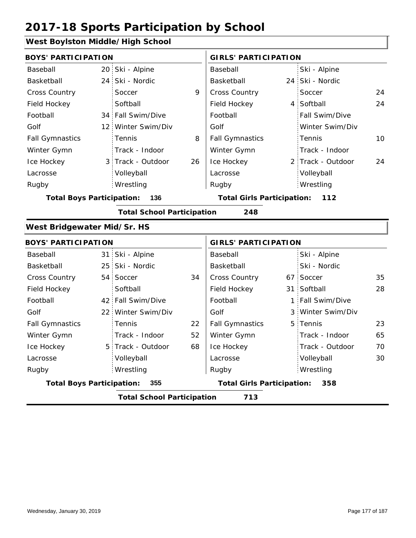#### **West Boylston Middle/High School**

| <b>BOYS' PARTICIPATION</b>              |  |                                   |    | <b>GIRLS' PARTICIPATION</b>       |  |                   |    |  |
|-----------------------------------------|--|-----------------------------------|----|-----------------------------------|--|-------------------|----|--|
| Baseball                                |  | 20 Ski - Alpine                   |    | Baseball                          |  | Ski - Alpine      |    |  |
| Basketball                              |  | 24 Ski - Nordic                   |    | Basketball                        |  | 24 Ski - Nordic   |    |  |
| Cross Country                           |  | Soccer                            | 9  | Cross Country                     |  | Soccer            | 24 |  |
| Field Hockey                            |  | Softball                          |    | Field Hockey                      |  | 4 Softball        | 24 |  |
| Football                                |  | 34 Fall Swim/Dive                 |    | Football                          |  | Fall Swim/Dive    |    |  |
| Golf                                    |  | 12 Winter Swim/Div                |    | Golf                              |  | Winter Swim/Div   |    |  |
| <b>Fall Gymnastics</b>                  |  | Tennis                            | 8  | <b>Fall Gymnastics</b>            |  | Tennis            | 10 |  |
| Winter Gymn                             |  | Track - Indoor                    |    | Winter Gymn                       |  | Track - Indoor    |    |  |
| Ice Hockey                              |  | 3 Track - Outdoor                 | 26 | Ice Hockey                        |  | 2 Track - Outdoor | 24 |  |
| Lacrosse                                |  | Volleyball                        |    | Lacrosse                          |  | Volleyball        |    |  |
| Rugby                                   |  | Wrestling                         |    | Rugby                             |  | Wrestling         |    |  |
| <b>Total Boys Participation:</b><br>136 |  |                                   |    | <b>Total Girls Participation:</b> |  | 112               |    |  |
|                                         |  | <b>Total School Participation</b> |    | 248                               |  |                   |    |  |
| West Bridgewater Mid/Sr. HS             |  |                                   |    |                                   |  |                   |    |  |
| <b>BOYS' PARTICIPATION</b>              |  |                                   |    | <b>GIRLS' PARTICIPATION</b>       |  |                   |    |  |
| Baseball                                |  | 31 Ski - Alpine                   |    | Baseball                          |  | Ski - Alpine      |    |  |
| Basketball                              |  | 25 Ski - Nordic                   |    | Basketball                        |  | Ski - Nordic      |    |  |
| <b>Cross Country</b>                    |  | 54 Soccer                         | 34 | Cross Country                     |  | 67 Soccer         | 35 |  |
| Field Hockey                            |  | Softball                          |    | Field Hockey                      |  | 31 Softball       | 28 |  |
| Football                                |  | 42 Fall Swim/Dive                 |    | Football                          |  | 1 Fall Swim/Dive  |    |  |
| Golf                                    |  | 22 Winter Swim/Div                |    | Golf                              |  | 3 Winter Swim/Div |    |  |
| <b>Fall Gymnastics</b>                  |  | Tennis                            | 22 | <b>Fall Gymnastics</b>            |  | 5 Tennis          | 23 |  |
| Winter Gymn                             |  | Track - Indoor                    | 52 | Winter Gymn                       |  | Track - Indoor    | 65 |  |
| Ice Hockey                              |  | 5 Track - Outdoor                 | 68 | Ice Hockey                        |  | Track - Outdoor   | 70 |  |
| Lacrosse                                |  | Volleyball                        |    | Lacrosse                          |  | Volleyball        | 30 |  |
| Rugby                                   |  | Wrestling                         |    | Rugby                             |  | Wrestling         |    |  |
| <b>Total Boys Participation:</b>        |  | 355                               |    | <b>Total Girls Participation:</b> |  | 358               |    |  |
|                                         |  | <b>Total School Participation</b> |    | 713                               |  |                   |    |  |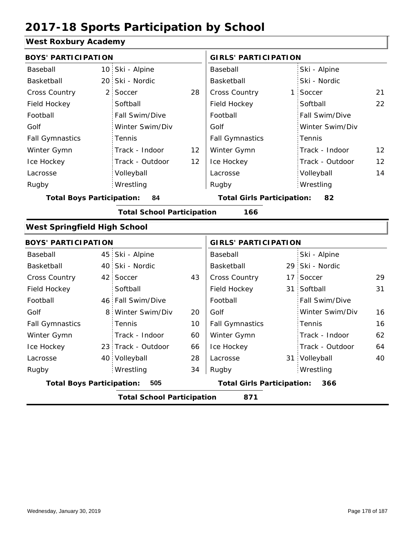#### **West Roxbury Academy**

| <b>BOYS' PARTICIPATION</b>          |                |                                   |                                         | <b>GIRLS' PARTICIPATION</b>       |  |                 |    |
|-------------------------------------|----------------|-----------------------------------|-----------------------------------------|-----------------------------------|--|-----------------|----|
| Baseball                            |                | 10 Ski - Alpine                   |                                         | Baseball                          |  | Ski - Alpine    |    |
| Basketball                          |                | 20 Ski - Nordic                   |                                         | Basketball                        |  | Ski - Nordic    |    |
| Cross Country                       | 2 <sup>1</sup> | Soccer                            | 28                                      | Cross Country                     |  | 1 Soccer        | 21 |
| Field Hockey                        |                | Softball                          |                                         | Field Hockey                      |  | Softball        | 22 |
| Football                            |                | Fall Swim/Dive                    |                                         | Football                          |  | Fall Swim/Dive  |    |
| Golf                                |                | Winter Swim/Div                   |                                         | Golf                              |  | Winter Swim/Div |    |
| <b>Fall Gymnastics</b>              |                | Tennis                            |                                         | <b>Fall Gymnastics</b>            |  | Tennis          |    |
| Winter Gymn                         |                | Track - Indoor                    | 12                                      | Winter Gymn                       |  | Track - Indoor  | 12 |
| Ice Hockey                          |                | Track - Outdoor                   | 12                                      | Ice Hockey                        |  | Track - Outdoor | 12 |
| Lacrosse                            |                | Volleyball                        |                                         | Lacrosse                          |  | Volleyball      | 14 |
| Rugby                               |                | Wrestling                         |                                         | Rugby                             |  | Wrestling       |    |
| <b>Total Boys Participation:</b>    | 84             |                                   | <b>Total Girls Participation:</b><br>82 |                                   |  |                 |    |
|                                     |                | <b>Total School Participation</b> |                                         | 166                               |  |                 |    |
| <b>West Springfield High School</b> |                |                                   |                                         |                                   |  |                 |    |
| <b>BOYS' PARTICIPATION</b>          |                |                                   |                                         | <b>GIRLS' PARTICIPATION</b>       |  |                 |    |
| Baseball                            |                | 45 Ski - Alpine                   |                                         | Baseball                          |  | Ski - Alpine    |    |
| Basketball                          |                | 40 Ski - Nordic                   |                                         | Basketball                        |  | 29 Ski - Nordic |    |
| <b>Cross Country</b>                |                | 42 Soccer                         | 43                                      | Cross Country                     |  | 17 Soccer       | 29 |
| Field Hockey                        |                | Softball                          |                                         | Field Hockey                      |  | 31 Softball     | 31 |
| Football                            |                | 46 Fall Swim/Dive                 |                                         | Football                          |  | Fall Swim/Dive  |    |
| Golf                                | 8              | Winter Swim/Div                   | 20                                      | Golf                              |  | Winter Swim/Div | 16 |
| <b>Fall Gymnastics</b>              |                | Tennis                            | 10                                      | <b>Fall Gymnastics</b>            |  | Tennis          | 16 |
| Winter Gymn                         |                | Track - Indoor                    | 60                                      | Winter Gymn                       |  | Track - Indoor  | 62 |
| Ice Hockey                          |                | 23 Track - Outdoor                | 66                                      | Ice Hockey                        |  | Track - Outdoor | 64 |
| Lacrosse                            |                | 40 Volleyball                     | 28                                      | Lacrosse                          |  | 31 Volleyball   | 40 |
| Rugby                               |                | Wrestling                         | 34                                      | Rugby                             |  | Wrestling       |    |
| <b>Total Boys Participation:</b>    |                | 505                               |                                         | <b>Total Girls Participation:</b> |  | 366             |    |
|                                     |                | <b>Total School Participation</b> |                                         | 871                               |  |                 |    |
|                                     |                |                                   |                                         |                                   |  |                 |    |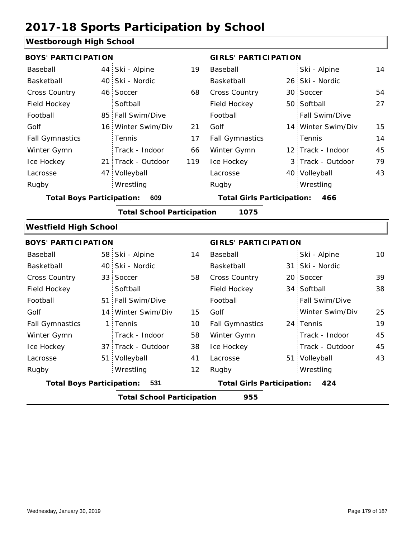#### **Westborough High School**

| <b>BOYS' PARTICIPATION</b>              |  |                                   |                                   | <b>GIRLS' PARTICIPATION</b> |     |                    |    |
|-----------------------------------------|--|-----------------------------------|-----------------------------------|-----------------------------|-----|--------------------|----|
| Baseball                                |  | 44 Ski - Alpine                   | 19                                | Baseball                    |     | Ski - Alpine       | 14 |
| Basketball                              |  | 40 Ski - Nordic                   |                                   | Basketball                  |     | 26 Ski - Nordic    |    |
| <b>Cross Country</b>                    |  | 46 Soccer                         | 68                                | <b>Cross Country</b>        |     | 30 Soccer          | 54 |
| Field Hockey                            |  | Softball                          |                                   | Field Hockey                |     | 50 Softball        | 27 |
| Football                                |  | 85 Fall Swim/Dive                 |                                   | Football                    |     | Fall Swim/Dive     |    |
| Golf                                    |  | 16 Winter Swim/Div                | 21                                | Golf                        |     | 14 Winter Swim/Div | 15 |
| <b>Fall Gymnastics</b>                  |  | Tennis                            | 17                                | <b>Fall Gymnastics</b>      |     | Tennis             | 14 |
| Winter Gymn                             |  | Track - Indoor                    | 66                                | Winter Gymn                 |     | 12 Track - Indoor  | 45 |
| Ice Hockey                              |  | 21 Track - Outdoor                | 119                               | Ice Hockey                  |     | 3 Track - Outdoor  | 79 |
| Lacrosse                                |  | 47 Volleyball                     |                                   | Lacrosse                    |     | 40 Volleyball      | 43 |
| Rugby                                   |  | Wrestling                         |                                   | Rugby                       |     | Wrestling          |    |
| 609<br><b>Total Boys Participation:</b> |  |                                   | <b>Total Girls Participation:</b> |                             | 466 |                    |    |
|                                         |  | <b>Total School Participation</b> |                                   | 1075                        |     |                    |    |

#### **Westfield High School**

| <b>BOYS' PARTICIPATION</b>               |  |                    |                                          | <b>GIRLS' PARTICIPATION</b> |  |                 |    |
|------------------------------------------|--|--------------------|------------------------------------------|-----------------------------|--|-----------------|----|
| Baseball                                 |  | 58 Ski - Alpine    | 14                                       | Baseball                    |  | Ski - Alpine    | 10 |
| Basketball                               |  | 40 Ski - Nordic    |                                          | Basketball                  |  | 31 Ski - Nordic |    |
| <b>Cross Country</b>                     |  | 33 Soccer          | 58                                       | <b>Cross Country</b>        |  | 20 Soccer       | 39 |
| Field Hockey                             |  | Softball           |                                          | Field Hockey                |  | 34 Softball     | 38 |
| Football                                 |  | 51 Fall Swim/Dive  |                                          | Football                    |  | Fall Swim/Dive  |    |
| Golf                                     |  | 14 Winter Swim/Div | 15                                       | Golf                        |  | Winter Swim/Div | 25 |
| <b>Fall Gymnastics</b>                   |  | 1 Tennis           | 10                                       | <b>Fall Gymnastics</b>      |  | 24 Tennis       | 19 |
| Winter Gymn                              |  | Track - Indoor     | 58                                       | Winter Gymn                 |  | Track - Indoor  | 45 |
| Ice Hockey                               |  | 37 Track - Outdoor | 38                                       | Ice Hockey                  |  | Track - Outdoor | 45 |
| Lacrosse                                 |  | 51 Volleyball      | 41                                       | Lacrosse                    |  | 51 Volleyball   | 43 |
| Rugby                                    |  | Wrestling          | 12                                       | Rugby                       |  | Wrestling       |    |
| <b>Total Boys Participation:</b><br>-531 |  |                    | <b>Total Girls Participation:</b><br>424 |                             |  |                 |    |
| 955<br><b>Total School Participation</b> |  |                    |                                          |                             |  |                 |    |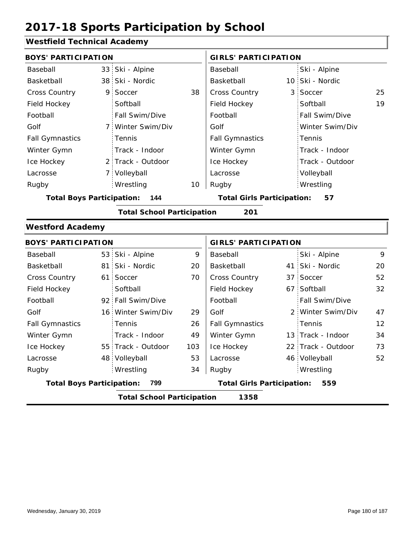### **Westfield Technical Academy**

|                                          |                |                                                                                                                                                                                                                                                                                                                                        | Baseball                    |                                   | Ski - Alpine                            |                                                                                                                                                                                                  |  |  |  |
|------------------------------------------|----------------|----------------------------------------------------------------------------------------------------------------------------------------------------------------------------------------------------------------------------------------------------------------------------------------------------------------------------------------|-----------------------------|-----------------------------------|-----------------------------------------|--------------------------------------------------------------------------------------------------------------------------------------------------------------------------------------------------|--|--|--|
|                                          |                |                                                                                                                                                                                                                                                                                                                                        | Basketball                  |                                   |                                         |                                                                                                                                                                                                  |  |  |  |
|                                          | Soccer         | 38                                                                                                                                                                                                                                                                                                                                     | Cross Country               | 3                                 | Soccer                                  | 25                                                                                                                                                                                               |  |  |  |
|                                          | Softball       |                                                                                                                                                                                                                                                                                                                                        | Field Hockey                |                                   | Softball                                | 19                                                                                                                                                                                               |  |  |  |
|                                          | Fall Swim/Dive |                                                                                                                                                                                                                                                                                                                                        | Football                    |                                   | Fall Swim/Dive                          |                                                                                                                                                                                                  |  |  |  |
|                                          |                |                                                                                                                                                                                                                                                                                                                                        | Golf                        |                                   | Winter Swim/Div                         |                                                                                                                                                                                                  |  |  |  |
|                                          | Tennis         |                                                                                                                                                                                                                                                                                                                                        | <b>Fall Gymnastics</b>      |                                   | Tennis                                  |                                                                                                                                                                                                  |  |  |  |
|                                          | Track - Indoor |                                                                                                                                                                                                                                                                                                                                        | Winter Gymn                 |                                   | Track - Indoor                          |                                                                                                                                                                                                  |  |  |  |
|                                          |                |                                                                                                                                                                                                                                                                                                                                        | Ice Hockey                  |                                   | Track - Outdoor                         |                                                                                                                                                                                                  |  |  |  |
|                                          |                |                                                                                                                                                                                                                                                                                                                                        | Lacrosse                    |                                   | Volleyball                              |                                                                                                                                                                                                  |  |  |  |
|                                          | Wrestling      | 10                                                                                                                                                                                                                                                                                                                                     | Rugby                       |                                   | Wrestling                               |                                                                                                                                                                                                  |  |  |  |
| <b>Total Boys Participation:</b><br>144  |                |                                                                                                                                                                                                                                                                                                                                        |                             |                                   | <b>Total Girls Participation:</b><br>57 |                                                                                                                                                                                                  |  |  |  |
| <b>Total School Participation</b><br>201 |                |                                                                                                                                                                                                                                                                                                                                        |                             |                                   |                                         |                                                                                                                                                                                                  |  |  |  |
| <b>Westford Academy</b>                  |                |                                                                                                                                                                                                                                                                                                                                        |                             |                                   |                                         |                                                                                                                                                                                                  |  |  |  |
|                                          |                |                                                                                                                                                                                                                                                                                                                                        | <b>GIRLS' PARTICIPATION</b> |                                   |                                         |                                                                                                                                                                                                  |  |  |  |
|                                          |                | 9                                                                                                                                                                                                                                                                                                                                      | Baseball                    |                                   | Ski - Alpine                            | 9                                                                                                                                                                                                |  |  |  |
|                                          |                | 20                                                                                                                                                                                                                                                                                                                                     | Basketball                  |                                   | Ski - Nordic                            | 20                                                                                                                                                                                               |  |  |  |
|                                          |                | 70                                                                                                                                                                                                                                                                                                                                     | Cross Country               |                                   |                                         | 52                                                                                                                                                                                               |  |  |  |
|                                          | Softball       |                                                                                                                                                                                                                                                                                                                                        | Field Hockey                |                                   | Softball                                | 32                                                                                                                                                                                               |  |  |  |
|                                          |                |                                                                                                                                                                                                                                                                                                                                        | Football                    |                                   | Fall Swim/Dive                          |                                                                                                                                                                                                  |  |  |  |
|                                          |                | 29                                                                                                                                                                                                                                                                                                                                     | Golf                        |                                   |                                         | 47                                                                                                                                                                                               |  |  |  |
|                                          | Tennis         | 26                                                                                                                                                                                                                                                                                                                                     | <b>Fall Gymnastics</b>      |                                   | Tennis                                  | $12 \overline{ }$                                                                                                                                                                                |  |  |  |
|                                          | Track - Indoor | 49                                                                                                                                                                                                                                                                                                                                     | Winter Gymn                 |                                   |                                         | 34                                                                                                                                                                                               |  |  |  |
|                                          |                | 103                                                                                                                                                                                                                                                                                                                                    | Ice Hockey                  |                                   |                                         | 73                                                                                                                                                                                               |  |  |  |
|                                          |                | 53                                                                                                                                                                                                                                                                                                                                     | Lacrosse                    |                                   |                                         | 52                                                                                                                                                                                               |  |  |  |
|                                          | Wrestling      | 34                                                                                                                                                                                                                                                                                                                                     | Rugby                       |                                   | Wrestling                               |                                                                                                                                                                                                  |  |  |  |
|                                          | 799            |                                                                                                                                                                                                                                                                                                                                        |                             |                                   | 559                                     |                                                                                                                                                                                                  |  |  |  |
|                                          |                |                                                                                                                                                                                                                                                                                                                                        | 1358                        |                                   |                                         |                                                                                                                                                                                                  |  |  |  |
|                                          |                | <b>BOYS' PARTICIPATION</b><br>33 Ski - Alpine<br>38 Ski - Nordic<br>9<br>7 Winter Swim/Div<br>2 Track - Outdoor<br>7 Volleyball<br><b>BOYS' PARTICIPATION</b><br>53 Ski - Alpine<br>81 Ski - Nordic<br>61 Soccer<br>92 Fall Swim/Dive<br>16 Winter Swim/Div<br>55 Track - Outdoor<br>48 Volleyball<br><b>Total Boys Participation:</b> |                             | <b>Total School Participation</b> |                                         | <b>GIRLS' PARTICIPATION</b><br>10 Ski - Nordic<br>41 :<br>37 Soccer<br>67:<br>2 Winter Swim/Div<br>13 Track - Indoor<br>22 Track - Outdoor<br>46 Volleyball<br><b>Total Girls Participation:</b> |  |  |  |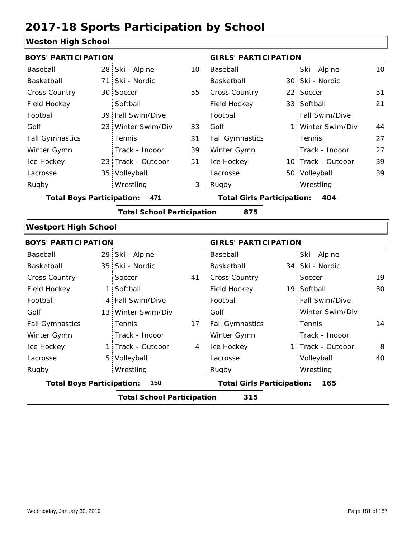#### **Weston High School**

| <b>BOYS' PARTICIPATION</b>       |    |                                   |                | <b>GIRLS' PARTICIPATION</b>       |  |                    |    |  |
|----------------------------------|----|-----------------------------------|----------------|-----------------------------------|--|--------------------|----|--|
| Baseball                         |    | 28 Ski - Alpine                   | 10             | Baseball                          |  | Ski - Alpine       | 10 |  |
| Basketball                       |    | 71 Ski - Nordic                   |                | Basketball                        |  | 30 Ski - Nordic    |    |  |
| Cross Country                    |    | 30 Soccer                         | 55             | Cross Country                     |  | 22 Soccer          | 51 |  |
| Field Hockey                     |    | Softball                          |                | Field Hockey                      |  | 33 Softball        | 21 |  |
| Football                         |    | 39 Fall Swim/Dive                 |                | Football                          |  | Fall Swim/Dive     |    |  |
| Golf                             |    | 23 Winter Swim/Div                | 33             | Golf                              |  | 1 Winter Swim/Div  | 44 |  |
| <b>Fall Gymnastics</b>           |    | Tennis                            | 31             | <b>Fall Gymnastics</b>            |  | Tennis             | 27 |  |
| Winter Gymn                      |    | Track - Indoor                    | 39             | Winter Gymn                       |  | Track - Indoor     | 27 |  |
| Ice Hockey                       |    | 23 Track - Outdoor                | 51             | Ice Hockey                        |  | 10 Track - Outdoor | 39 |  |
| Lacrosse                         |    | 35 Volleyball                     |                | Lacrosse                          |  | 50 Volleyball      | 39 |  |
| Rugby                            |    | Wrestling                         | 3              | Rugby                             |  | Wrestling          |    |  |
| <b>Total Boys Participation:</b> |    | 471                               |                | <b>Total Girls Participation:</b> |  | 404                |    |  |
|                                  |    | <b>Total School Participation</b> |                | 875                               |  |                    |    |  |
| <b>Westport High School</b>      |    |                                   |                |                                   |  |                    |    |  |
| <b>BOYS' PARTICIPATION</b>       |    |                                   |                | <b>GIRLS' PARTICIPATION</b>       |  |                    |    |  |
| Baseball                         |    | 29 Ski - Alpine                   |                | Baseball                          |  | Ski - Alpine       |    |  |
| Basketball                       |    | 35 Ski - Nordic                   |                | Basketball                        |  | 34 Ski - Nordic    |    |  |
| <b>Cross Country</b>             |    | Soccer                            | 41             | Cross Country                     |  | Soccer             | 19 |  |
| Field Hockey                     | 1: | Softball                          |                | Field Hockey                      |  | 19 Softball        | 30 |  |
| Football                         |    | 4 Fall Swim/Dive                  |                | Football                          |  | Fall Swim/Dive     |    |  |
| Golf                             |    | 13 Winter Swim/Div                |                | Golf                              |  | Winter Swim/Div    |    |  |
| <b>Fall Gymnastics</b>           |    | Tennis                            | 17             | <b>Fall Gymnastics</b>            |  | Tennis             | 14 |  |
| Winter Gymn                      |    | Track - Indoor                    |                | Winter Gymn                       |  | Track - Indoor     |    |  |
| Ice Hockey                       |    | 1 Track - Outdoor                 | $\overline{4}$ | Ice Hockey                        |  | 1 Track - Outdoor  | 8  |  |
| Lacrosse                         |    | 5 Volleyball                      |                | Lacrosse                          |  | Volleyball         | 40 |  |
| Rugby                            |    | Wrestling                         |                | Rugby                             |  | Wrestling          |    |  |

**Total Boys Participation: 150 Total Girls Participation: 165**

**Total School Participation 315**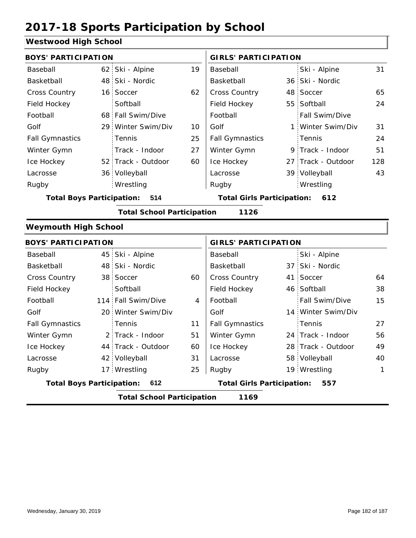#### **Westwood High School**

| <b>BOYS' PARTICIPATION</b>       |                                   |    | <b>GIRLS' PARTICIPATION</b>       |  |                    |     |
|----------------------------------|-----------------------------------|----|-----------------------------------|--|--------------------|-----|
| Baseball                         | 62 Ski - Alpine                   | 19 | Baseball                          |  | Ski - Alpine       | 31  |
| Basketball                       | 48 Ski - Nordic                   |    | Basketball                        |  | 36 Ski - Nordic    |     |
| <b>Cross Country</b>             | 16 Soccer                         | 62 | <b>Cross Country</b>              |  | 48 Soccer          | 65  |
| Field Hockey                     | Softball                          |    | Field Hockey                      |  | 55 Softball        | 24  |
| Football                         | 68 Fall Swim/Dive                 |    | Football                          |  | Fall Swim/Dive     |     |
| Golf                             | 29 Winter Swim/Div                | 10 | Golf                              |  | 1 Winter Swim/Div  | 31  |
| <b>Fall Gymnastics</b>           | <b>Tennis</b>                     | 25 | <b>Fall Gymnastics</b>            |  | Tennis             | 24  |
| Winter Gymn                      | Track - Indoor                    | 27 | Winter Gymn                       |  | 9 Track - Indoor   | 51  |
| Ice Hockey                       | 52 Track - Outdoor                | 60 | Ice Hockey                        |  | 27 Track - Outdoor | 128 |
| Lacrosse                         | 36 Volleyball                     |    | Lacrosse                          |  | 39 Volleyball      | 43  |
| Rugby                            | Wrestling                         |    | Rugby                             |  | Wrestling          |     |
| <b>Total Boys Participation:</b> | 514                               |    | <b>Total Girls Participation:</b> |  | 612                |     |
|                                  | <b>Total School Participation</b> |    | 1126                              |  |                    |     |
| <b>Weymouth High School</b>      |                                   |    |                                   |  |                    |     |
| <b>BOYS' PARTICIPATION</b>       |                                   |    | <b>GIRLS' PARTICIPATION</b>       |  |                    |     |

| Baseball                                |  | 45 Ski - Alpine                   |                                          | Baseball               |  | Ski - Alpine       |              |
|-----------------------------------------|--|-----------------------------------|------------------------------------------|------------------------|--|--------------------|--------------|
| Basketball                              |  | 48 Ski - Nordic                   |                                          | Basketball             |  | 37 Ski - Nordic    |              |
| <b>Cross Country</b>                    |  | 38 Soccer                         | 60                                       | <b>Cross Country</b>   |  | 41 Soccer          | 64           |
| Field Hockey                            |  | Softball                          |                                          | Field Hockey           |  | 46 Softball        | 38           |
| Football                                |  | 114 Fall Swim/Dive                | 4                                        | Football               |  | Fall Swim/Dive     | 15           |
| Golf                                    |  | 20 Winter Swim/Div                |                                          | Golf                   |  | 14 Winter Swim/Div |              |
| <b>Fall Gymnastics</b>                  |  | <b>Tennis</b>                     | 11                                       | <b>Fall Gymnastics</b> |  | Tennis             | 27           |
| Winter Gymn                             |  | 2 Track - Indoor                  | 51                                       | Winter Gymn            |  | 24 Track - Indoor  | 56           |
| Ice Hockey                              |  | 44 Track - Outdoor                | 60                                       | Ice Hockey             |  | 28 Track - Outdoor | 49           |
| Lacrosse                                |  | 42 Volleyball                     | 31                                       | Lacrosse               |  | 58 Volleyball      | 40           |
| Rugby                                   |  | 17 Wrestling                      | 25                                       | Rugby                  |  | 19 Wrestling       | $\mathbf{1}$ |
| <b>Total Boys Participation:</b><br>612 |  |                                   | <b>Total Girls Participation:</b><br>557 |                        |  |                    |              |
|                                         |  | <b>Total School Participation</b> |                                          | 1169                   |  |                    |              |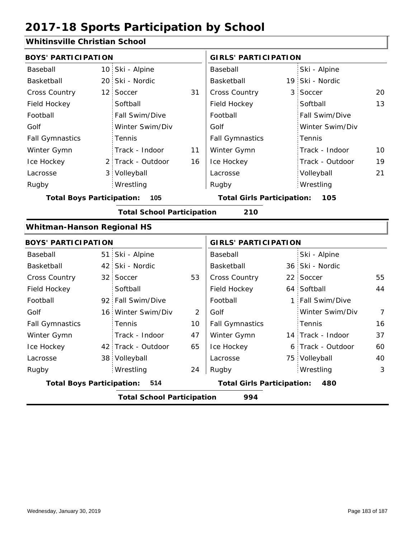### **Whitinsville Christian School**

| <b>HULLSVILLE OF HIS GRILD SCILL</b>                                                |  |                    |                |                                   |              |                   |                |  |  |
|-------------------------------------------------------------------------------------|--|--------------------|----------------|-----------------------------------|--------------|-------------------|----------------|--|--|
| <b>BOYS' PARTICIPATION</b>                                                          |  |                    |                | <b>GIRLS' PARTICIPATION</b>       |              |                   |                |  |  |
| Baseball                                                                            |  | 10 Ski - Alpine    |                | Baseball                          |              | Ski - Alpine      |                |  |  |
| Basketball                                                                          |  | 20 Ski - Nordic    |                | Basketball                        |              | 19 Ski - Nordic   |                |  |  |
| Cross Country                                                                       |  | 12 Soccer          | 31             | Cross Country                     | 3            | Soccer            | 20             |  |  |
| Field Hockey                                                                        |  | Softball           |                | Field Hockey                      |              | Softball          | 13             |  |  |
| Football                                                                            |  | Fall Swim/Dive     |                | Football                          |              | Fall Swim/Dive    |                |  |  |
| Golf                                                                                |  | Winter Swim/Div    |                | Golf                              |              | Winter Swim/Div   |                |  |  |
| <b>Fall Gymnastics</b>                                                              |  | Tennis             |                | <b>Fall Gymnastics</b>            |              | Tennis            |                |  |  |
| Winter Gymn                                                                         |  | Track - Indoor     | 11             | Winter Gymn                       |              | Track - Indoor    | 10             |  |  |
| Ice Hockey                                                                          |  | 2 Track - Outdoor  | 16             | Ice Hockey                        |              | Track - Outdoor   | 19             |  |  |
| Lacrosse                                                                            |  | 3 Volleyball       |                | Lacrosse                          |              | Volleyball        | 21             |  |  |
| Rugby                                                                               |  | Wrestling          |                | Rugby                             |              | Wrestling         |                |  |  |
| <b>Total Boys Participation:</b><br><b>Total Girls Participation:</b><br>105<br>105 |  |                    |                |                                   |              |                   |                |  |  |
| <b>Total School Participation</b><br>210                                            |  |                    |                |                                   |              |                   |                |  |  |
| <b>Whitman-Hanson Regional HS</b>                                                   |  |                    |                |                                   |              |                   |                |  |  |
| <b>BOYS' PARTICIPATION</b>                                                          |  |                    |                | <b>GIRLS' PARTICIPATION</b>       |              |                   |                |  |  |
| Baseball                                                                            |  | 51 Ski - Alpine    |                | Baseball                          |              | Ski - Alpine      |                |  |  |
| Basketball                                                                          |  | 42 Ski - Nordic    |                | Basketball                        |              | 36 Ski - Nordic   |                |  |  |
| Cross Country                                                                       |  | 32 Soccer          | 53             | Cross Country                     |              | 22 Soccer         | 55             |  |  |
| Field Hockey                                                                        |  | Softball           |                | Field Hockey                      |              | 64 Softball       | 44             |  |  |
| Football                                                                            |  | 92 Fall Swim/Dive  |                | Football                          | $\mathbf{1}$ | Fall Swim/Dive    |                |  |  |
| Golf                                                                                |  | 16 Winter Swim/Div | $\overline{2}$ | Golf                              |              | Winter Swim/Div   | $\overline{7}$ |  |  |
| <b>Fall Gymnastics</b>                                                              |  | Tennis             | 10             | <b>Fall Gymnastics</b>            |              | Tennis            | 16             |  |  |
| Winter Gymn                                                                         |  | Track - Indoor     | 47             | Winter Gymn                       |              | 14 Track - Indoor | 37             |  |  |
| Ice Hockey                                                                          |  | 42 Track - Outdoor | 65             | Ice Hockey                        |              | 6 Track - Outdoor | 60             |  |  |
| Lacrosse                                                                            |  | 38 Volleyball      |                | Lacrosse                          |              | 75 Volleyball     | 40             |  |  |
| Rugby                                                                               |  | Wrestling          | 24             | Rugby                             |              | Wrestling         | 3              |  |  |
| <b>Total Boys Participation:</b>                                                    |  | 514                |                | <b>Total Girls Participation:</b> |              | 480               |                |  |  |
| <b>Total School Participation</b><br>994                                            |  |                    |                |                                   |              |                   |                |  |  |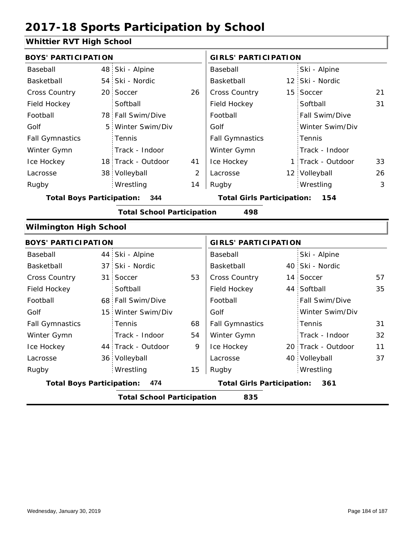### **Whittier RVT High School**

| <b>BOYS' PARTICIPATION</b>       |                 |                                   |    | <b>GIRLS' PARTICIPATION</b>       |  |                    |    |  |
|----------------------------------|-----------------|-----------------------------------|----|-----------------------------------|--|--------------------|----|--|
| Baseball                         | 48              | Ski - Alpine                      |    | Baseball                          |  | Ski - Alpine       |    |  |
| Basketball                       | 54              | Ski - Nordic                      |    | Basketball                        |  | 12 Ski - Nordic    |    |  |
| Cross Country                    | 20 <sup>1</sup> | Soccer                            | 26 | Cross Country                     |  | 15 Soccer          | 21 |  |
| Field Hockey                     |                 | Softball                          |    | Field Hockey                      |  | Softball           | 31 |  |
| Football                         |                 | 78 Fall Swim/Dive                 |    | Football                          |  | Fall Swim/Dive     |    |  |
| Golf                             | 5               | Winter Swim/Div                   |    | Golf                              |  | Winter Swim/Div    |    |  |
| <b>Fall Gymnastics</b>           |                 | Tennis                            |    | <b>Fall Gymnastics</b>            |  | Tennis             |    |  |
| Winter Gymn                      |                 | Track - Indoor                    |    | Winter Gymn                       |  | Track - Indoor     |    |  |
| Ice Hockey                       |                 | 18 Track - Outdoor                | 41 | Ice Hockey                        |  | 1 Track - Outdoor  | 33 |  |
| Lacrosse                         |                 | 38 Volleyball                     | 2  | Lacrosse                          |  | 12 Volleyball      | 26 |  |
| Rugby                            |                 | Wrestling                         | 14 | Rugby                             |  | Wrestling          | 3  |  |
| <b>Total Boys Participation:</b> |                 | 344                               |    | <b>Total Girls Participation:</b> |  | 154                |    |  |
|                                  |                 | <b>Total School Participation</b> |    | 498                               |  |                    |    |  |
| <b>Wilmington High School</b>    |                 |                                   |    |                                   |  |                    |    |  |
| <b>BOYS' PARTICIPATION</b>       |                 |                                   |    | <b>GIRLS' PARTICIPATION</b>       |  |                    |    |  |
| Baseball                         | 44              | Ski - Alpine                      |    | Baseball                          |  | Ski - Alpine       |    |  |
| Basketball                       | 37              | Ski - Nordic                      |    | Basketball                        |  | 40 Ski - Nordic    |    |  |
| <b>Cross Country</b>             | 31 :            | Soccer                            | 53 | Cross Country                     |  | 14 Soccer          | 57 |  |
| Field Hockey                     |                 | Softball                          |    | Field Hockey                      |  | 44 Softball        | 35 |  |
| Football                         |                 | 68 Fall Swim/Dive                 |    | Football                          |  | Fall Swim/Dive     |    |  |
| Golf                             | 15 i            | Winter Swim/Div                   |    | Golf                              |  | Winter Swim/Div    |    |  |
| <b>Fall Gymnastics</b>           |                 | Tennis                            | 68 | <b>Fall Gymnastics</b>            |  | Tennis             | 31 |  |
| Winter Gymn                      |                 | Track - Indoor                    | 54 | Winter Gymn                       |  | Track - Indoor     | 32 |  |
| Ice Hockey                       |                 | 44 Track - Outdoor                | 9  | Ice Hockey                        |  | 20 Track - Outdoor | 11 |  |
| Lacrosse                         |                 | 36 Volleyball                     |    | Lacrosse                          |  | 40 Volleyball      | 37 |  |
| Rugby                            |                 | Wrestling                         | 15 | Rugby                             |  | Wrestling          |    |  |
| <b>Total Boys Participation:</b> |                 | 474                               |    | <b>Total Girls Participation:</b> |  | 361                |    |  |
|                                  |                 | <b>Total School Participation</b> |    | 835                               |  |                    |    |  |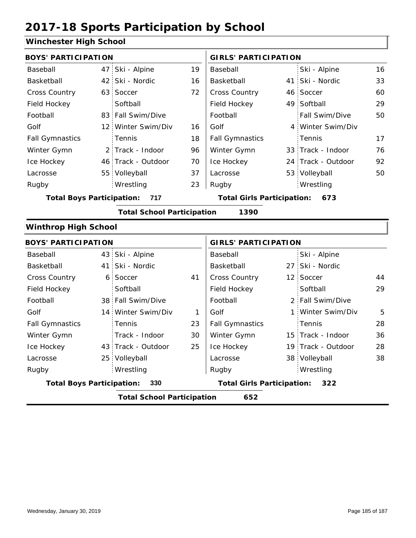### **Winchester High School**

|                                  | <b>BOYS' PARTICIPATION</b>               |                                   |              |                                       | <b>GIRLS' PARTICIPATION</b> |                    |    |  |  |
|----------------------------------|------------------------------------------|-----------------------------------|--------------|---------------------------------------|-----------------------------|--------------------|----|--|--|
| Baseball                         |                                          | 47 Ski - Alpine                   | 19           | Baseball                              |                             | Ski - Alpine       | 16 |  |  |
| Basketball                       |                                          | 42 Ski - Nordic                   | 16           | Basketball                            |                             | 41 Ski - Nordic    | 33 |  |  |
| Cross Country                    |                                          | 63 Soccer                         | 72           | Cross Country                         |                             | 46 Soccer          | 60 |  |  |
| Field Hockey                     |                                          | Softball                          |              | Field Hockey                          |                             | 49 Softball        | 29 |  |  |
| Football                         |                                          | 83 Fall Swim/Dive                 |              | Football                              |                             | Fall Swim/Dive     | 50 |  |  |
| Golf                             |                                          | 12 Winter Swim/Div                | 16           | Golf                                  |                             | 4 Winter Swim/Div  |    |  |  |
| <b>Fall Gymnastics</b>           |                                          | Tennis                            | 18           | <b>Fall Gymnastics</b>                |                             | Tennis             | 17 |  |  |
| Winter Gymn                      |                                          | 2 Track - Indoor                  | 96           | Winter Gymn                           |                             | 33 Track - Indoor  | 76 |  |  |
| Ice Hockey                       |                                          | 46 Track - Outdoor                | 70           | Ice Hockey                            |                             | 24 Track - Outdoor | 92 |  |  |
| Lacrosse                         |                                          | 55 Volleyball                     | 37           | Lacrosse                              |                             | 53 Volleyball      | 50 |  |  |
| Rugby                            |                                          | Wrestling                         | 23           | Rugby                                 |                             | Wrestling          |    |  |  |
| <b>Total Boys Participation:</b> |                                          | 717                               |              | <b>Total Girls Participation: 673</b> |                             |                    |    |  |  |
|                                  |                                          | <b>Total School Participation</b> |              | 1390                                  |                             |                    |    |  |  |
| <b>Winthrop High School</b>      |                                          |                                   |              |                                       |                             |                    |    |  |  |
| <b>BOYS' PARTICIPATION</b>       |                                          |                                   |              | <b>GIRLS' PARTICIPATION</b>           |                             |                    |    |  |  |
| Baseball                         |                                          | 43 Ski - Alpine                   |              | Baseball                              |                             | Ski - Alpine       |    |  |  |
| Basketball                       |                                          | 41 Ski - Nordic                   |              | Basketball                            |                             | 27 Ski - Nordic    |    |  |  |
| <b>Cross Country</b>             |                                          | 6 Soccer                          | 41           | Cross Country                         |                             | 12 Soccer          | 44 |  |  |
| Field Hockey                     |                                          | Softball                          |              | Field Hockey                          |                             | Softball           | 29 |  |  |
| Football                         |                                          | 38 Fall Swim/Dive                 |              | Football                              |                             | 2 Fall Swim/Dive   |    |  |  |
| Golf                             |                                          | 14 Winter Swim/Div                | $\mathbf{1}$ | Golf                                  |                             | 1 Winter Swim/Div  | 5  |  |  |
| <b>Fall Gymnastics</b>           |                                          | Tennis                            | 23           | <b>Fall Gymnastics</b>                |                             | Tennis             | 28 |  |  |
| Winter Gymn                      |                                          | Track - Indoor                    | 30           | Winter Gymn                           |                             | 15 Track - Indoor  | 36 |  |  |
| Ice Hockey                       |                                          | 43 Track - Outdoor                | 25           | Ice Hockey                            |                             | 19 Track - Outdoor | 28 |  |  |
| Lacrosse                         |                                          | 25 Volleyball                     |              | Lacrosse                              |                             | 38 Volleyball      | 38 |  |  |
| Rugby                            |                                          | Wrestling                         |              | Rugby                                 |                             | Wrestling          |    |  |  |
| <b>Total Boys Participation:</b> |                                          | 330                               |              | <b>Total Girls Participation:</b>     |                             | 322                |    |  |  |
|                                  | <b>Total School Participation</b><br>652 |                                   |              |                                       |                             |                    |    |  |  |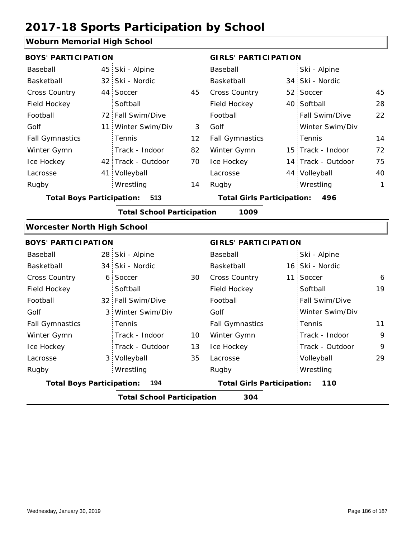#### **Woburn Memorial High School**

| <b>BOYS' PARTICIPATION</b>                |  |                    |    | <b>GIRLS' PARTICIPATION</b>              |  |                    |    |  |
|-------------------------------------------|--|--------------------|----|------------------------------------------|--|--------------------|----|--|
| Baseball                                  |  | 45 Ski - Alpine    |    | Baseball                                 |  | Ski - Alpine       |    |  |
| Basketball                                |  | 32 Ski - Nordic    |    | Basketball                               |  | 34 Ski - Nordic    |    |  |
| <b>Cross Country</b>                      |  | 44 Soccer          | 45 | <b>Cross Country</b>                     |  | 52 Soccer          | 45 |  |
| Field Hockey                              |  | Softball           |    | Field Hockey                             |  | 40 Softball        | 28 |  |
| Football                                  |  | 72 Fall Swim/Dive  |    | Football                                 |  | Fall Swim/Dive     | 22 |  |
| Golf                                      |  | 11 Winter Swim/Div | 3  | Golf                                     |  | Winter Swim/Div    |    |  |
| <b>Fall Gymnastics</b>                    |  | <b>Tennis</b>      | 12 | <b>Fall Gymnastics</b>                   |  | Tennis             | 14 |  |
| Winter Gymn                               |  | Track - Indoor     | 82 | Winter Gymn                              |  | 15 Track - Indoor  | 72 |  |
| Ice Hockey                                |  | 42 Track - Outdoor | 70 | Ice Hockey                               |  | 14 Track - Outdoor | 75 |  |
| Lacrosse                                  |  | 41 Volleyball      |    | Lacrosse                                 |  | 44 Volleyball      | 40 |  |
| Rugby                                     |  | Wrestling          | 14 | Rugby                                    |  | Wrestling          | 1  |  |
| <b>Total Boys Participation:</b><br>513   |  |                    |    | <b>Total Girls Participation:</b><br>496 |  |                    |    |  |
| <b>Total School Participation</b><br>1009 |  |                    |    |                                          |  |                    |    |  |

#### **Worcester North High School**

| <b>BOYS' PARTICIPATION</b>               |  |                   |                                          | <b>GIRLS' PARTICIPATION</b> |  |                 |    |  |
|------------------------------------------|--|-------------------|------------------------------------------|-----------------------------|--|-----------------|----|--|
| Baseball                                 |  | 28 Ski - Alpine   |                                          | Baseball                    |  | Ski - Alpine    |    |  |
| Basketball                               |  | 34 Ski - Nordic   |                                          | Basketball                  |  | 16 Ski - Nordic |    |  |
| <b>Cross Country</b>                     |  | 6 Soccer          | 30                                       | <b>Cross Country</b>        |  | 11 Soccer       | 6  |  |
| Field Hockey                             |  | Softball          |                                          | Field Hockey                |  | Softball        | 19 |  |
| Football                                 |  | 32 Fall Swim/Dive |                                          | Football                    |  | Fall Swim/Dive  |    |  |
| Golf                                     |  | 3 Winter Swim/Div |                                          | Golf                        |  | Winter Swim/Div |    |  |
| <b>Fall Gymnastics</b>                   |  | <b>Tennis</b>     |                                          | <b>Fall Gymnastics</b>      |  | Tennis          | 11 |  |
| Winter Gymn                              |  | Track - Indoor    | 10                                       | Winter Gymn                 |  | Track - Indoor  | 9  |  |
| Ice Hockey                               |  | Track - Outdoor   | 13                                       | Ice Hockey                  |  | Track - Outdoor | 9  |  |
| Lacrosse                                 |  | 3 Volleyball      | 35                                       | Lacrosse                    |  | Volleyball      | 29 |  |
| Rugby                                    |  | Wrestling         |                                          | Rugby                       |  | Wrestling       |    |  |
| <b>Total Boys Participation:</b><br>194  |  |                   | <b>Total Girls Participation:</b><br>110 |                             |  |                 |    |  |
| 304<br><b>Total School Participation</b> |  |                   |                                          |                             |  |                 |    |  |